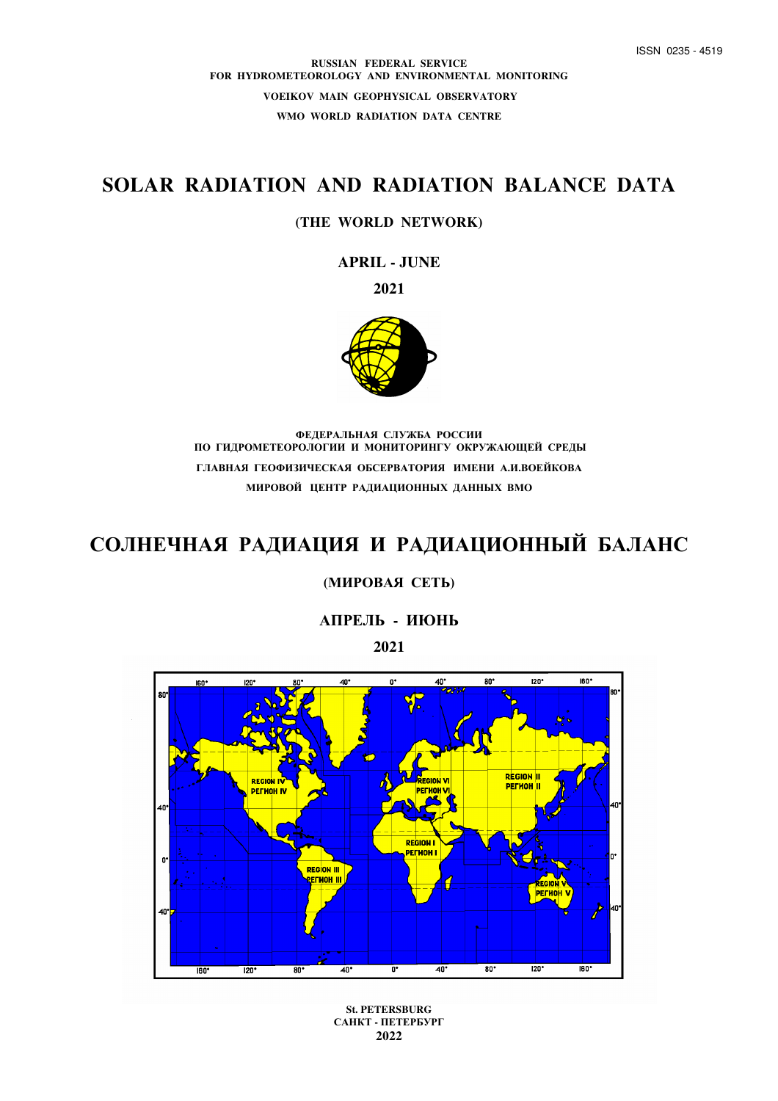**RUSSIAN FEDERAL SERVICE FOR HYDROMETEOROLOGY AND ENVIRONMENTAL MONITORING VOEIKOV MAIN GEOPHYSICAL OBSERVATORY WMO WORLD RADIATION DATA CENTRE** 

# **SOLAR RADIATION AND RADIATION BALANCE DATA**

# **(THE WORLD NETWORK)**

**APRIL - JUNE** 

**2021** 



**ФЕДЕРАЛЬНАЯ СЛУЖБА РОССИИ ПО ГИДРОМЕТЕОРОЛОГИИ И МОНИТОРИНГУ ОКРУЖАЮЩЕЙ СРЕДЫ ГЛАВНАЯ ГЕОФИЗИЧЕСКАЯ ОБСЕРВАТОРИЯ ИМЕНИ А.И.ВОЕЙКОВА МИРОВОЙ ЦЕНТР РАДИАЦИОННЫХ ДАННЫХ ВМО**

# **СОЛНЕЧНАЯ РАДИАЦИЯ И РАДИАЦИОННЫЙ БАЛАНС**

# **(МИРОВАЯ СЕТЬ)**

**АПРЕЛЬ - ИЮНЬ**

**2021** 



**St. PETERSBURG САНКТ - ПЕТЕРБУРГ 2022**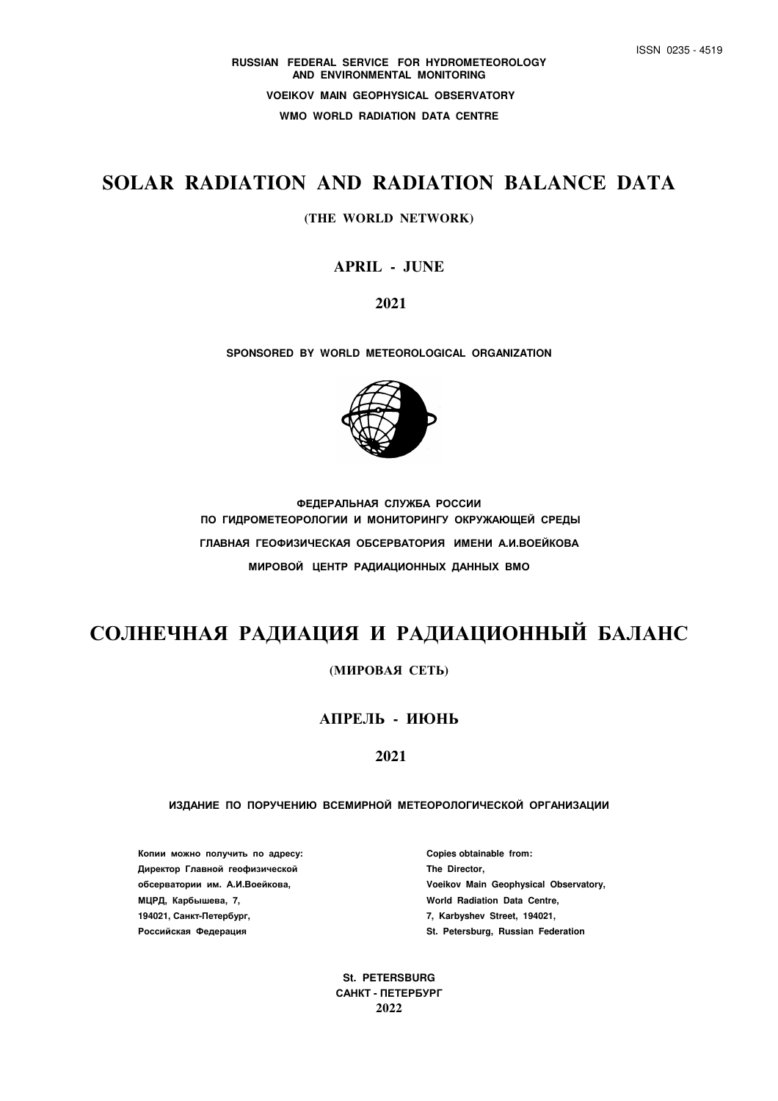# **SOLAR RADIATION AND RADIATION BALANCE DATA**

#### **(THE WORLD NETWORK)**

# **APRIL - JUNE**

 **2021** 

**SPONSORED BY WORLD METEOROLOGICAL ORGANIZATION** 



**ФЕДЕРАЛЬНАЯ СЛУЖБА РОССИИ ПО ГИДРОМЕТЕОРОЛОГИИ И МОНИТОРИНГУ ОКРУЖАЮЩЕЙ СРЕДЫ ГЛАВНАЯ ГЕОФИЗИЧЕСКАЯ ОБСЕРВАТОРИЯ ИМЕНИ А.И.ВОЕЙКОВА МИРОВОЙ ЦЕНТР РАДИАЦИОННЫХ ДАННЫХ ВМО**

# **СОЛНЕЧНАЯ РАДИАЦИЯ И РАДИАЦИОННЫЙ БАЛАНС**

**(МИРОВАЯ СЕТЬ)** 

# **АПРЕЛЬ - ИЮНЬ**

# **2021**

#### **ИЗДАНИЕ ПО ПОРУЧЕНИЮ ВСЕМИРНОЙ МЕТЕОРОЛОГИЧЕСКОЙ ОРГАНИЗАЦИИ**

**Копии можно получить по адресу: Copies obtainable from: Директор Главной геофизической The Director, МЦРД, Карбышева, 7, World Radiation Data Centre, 194021, Санкт-Петербург, 7, Karbyshev Street, 194021, Российская Федерация St. Petersburg, Russian Federation** 

**обсерватории им. А.И.Воейкова, Voeikov Main Geophysical Observatory,** 

**St. PETERSBURG САНКТ - ПЕТЕРБУРГ 2022**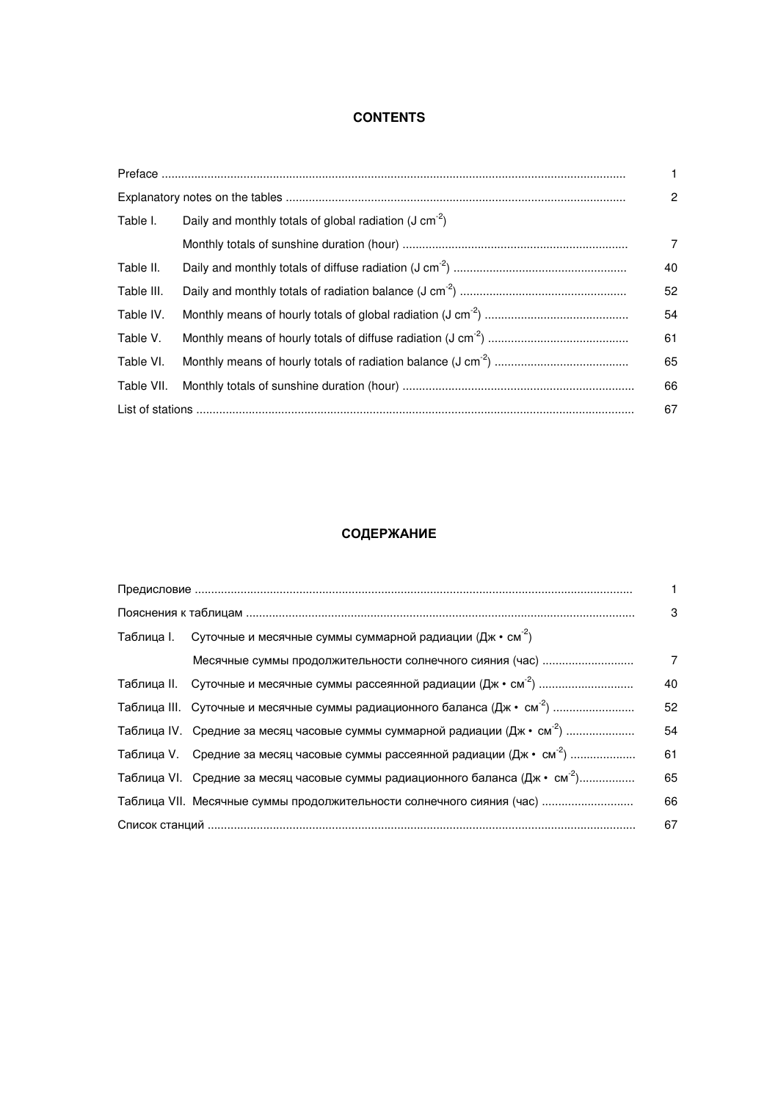# **CONTENTS**

|            |                                                             | $\mathbf{1}$   |
|------------|-------------------------------------------------------------|----------------|
|            |                                                             | $\overline{2}$ |
| Table I.   | Daily and monthly totals of global radiation (J $cm^{-2}$ ) |                |
|            |                                                             | $\overline{7}$ |
| Table II.  |                                                             | 40             |
| Table III. |                                                             | 52             |
| Table IV.  |                                                             | 54             |
| Table V.   |                                                             | 61             |
| Table VI.  |                                                             | 65             |
| Table VII. |                                                             | 66             |
|            |                                                             | 67             |

# **СОДЕРЖАНИЕ**

|                                                                                           | 1. |
|-------------------------------------------------------------------------------------------|----|
|                                                                                           | 3  |
| Таблица I. Суточные и месячные суммы суммарной радиации (Дж • см <sup>-2</sup> )          |    |
|                                                                                           | 7  |
|                                                                                           | 40 |
| Таблица III. Суточные и месячные суммы радиационного баланса (Дж • см <sup>-2</sup> )     | 52 |
| Таблица IV. Средние за месяц часовые суммы суммарной радиации (Дж • см <sup>-2</sup> )    | 54 |
| Таблица V. Средние за месяц часовые суммы рассеянной радиации (Дж • см <sup>-2</sup> )    | 61 |
| Таблица VI. Средние за месяц часовые суммы радиационного баланса (Дж • см <sup>-2</sup> ) | 65 |
| Таблица VII. Месячные суммы продолжительности солнечного сияния (час)                     | 66 |
|                                                                                           | 67 |
|                                                                                           |    |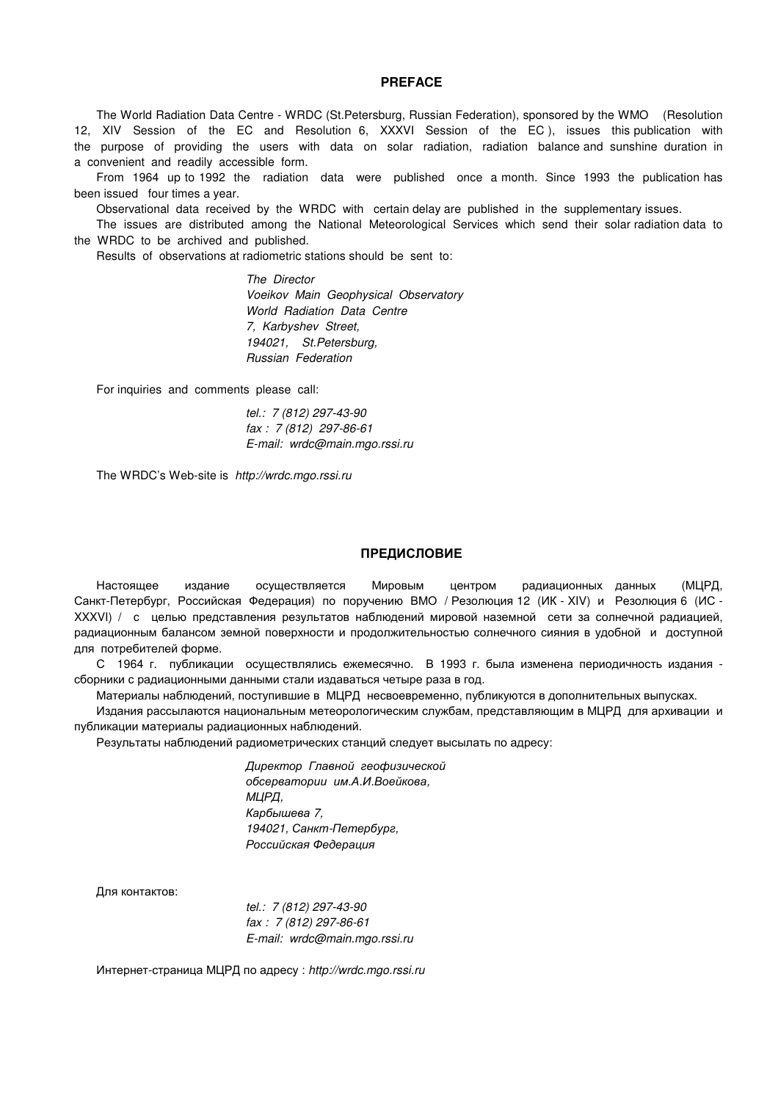#### **PREFACE**

The World Radiation Data Centre - WRDC (St.Petersburg, Russian Federation), sponsored by the WMO (Resolution 12, XIV Session of the EC and Resolution 6, XXXVI Session of the EC ), issues this publication with the purpose of providing the users with data on solar radiation, radiation balance and sunshine duration in a convenient and readily accessible form.

From 1964 up to 1992 the radiation data were published once a month. Since 1993 the publication has been issued four times a year.

Observational data received by the WRDC with certain delay are published in the supplementary issues.

The issues are distributed among the National Meteorological Services which send their solar radiation data to the WRDC to be archived and published.

Results of observations at radiometric stations should be sent to:

 *The Director Voeikov Main Geophysical Observatory World Radiation Data Centre 7, Karbyshev Street, 194021, St.Petersburg, Russian Federation* 

For inquiries and comments please call:

 *tel.: 7 (812) 297-43-90 fax : 7 (812) 297-86-61 E-mail: wrdc@main.mgo.rssi.ru* 

The WRDC's Web-site is *http://wrdc.mgo.rssi.ru* 

#### **ПРЕДИСЛОВИЕ**

Настоящее издание осуществляется Мировым центром радиационных данных (МЦРД, Санкт-Петербург, Российская Федерация) по поручению ВМО / Резолюция 12 (ИК - XIV) и Резолюция 6 (ИС - XXXVI) / с целью представления результатов наблюдений мировой наземной сети за солнечной радиацией, радиационным балансом земной поверхности и продолжительностью солнечного сияния в удобной и доступной для потребителей форме.

С 1964 г. публикации осуществлялись ежемесячно. В 1993 г. была изменена периодичность издания сборники с радиационными данными стали издаваться четыре раза в год.

Материалы наблюдений, поступившие в МЦРД несвоевременно, публикуются в дополнительных выпусках.

Издания рассылаются национальным метеорологическим службам, представляющим в МЦРД для архивации и публикации материалы радиационных наблюдений.

Результаты наблюдений радиометрических станций следует высылать по адресу:

*Директор Главной геофизической обсерватории им.А.И.Воейкова, МЦРД, Карбышева 7, 194021, Санкт-Петербург, Российская Федерация* 

Для контактов:

 *tel.: 7 (812) 297-43-90 fax : 7 (812) 297-86-61 E-mail: wrdc@main.mgo.rssi.ru* 

Интернет-страница МЦРД по адресу : *http://wrdc.mgo.rssi.ru*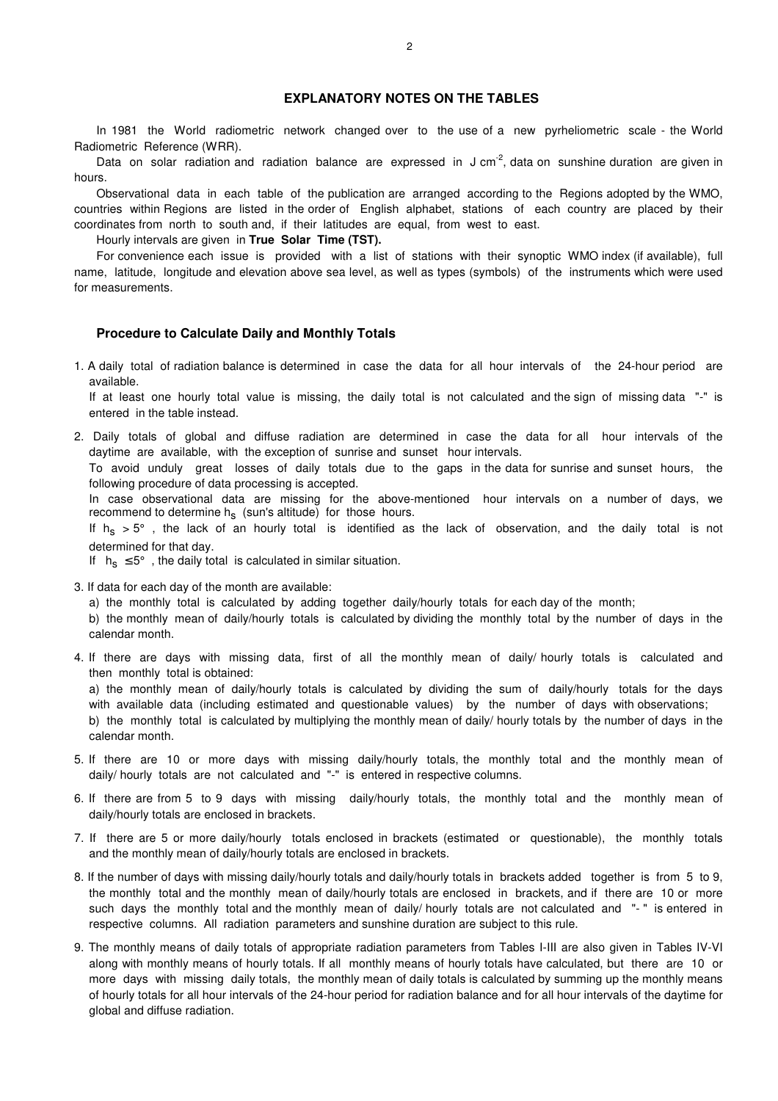#### **EXPLANATORY NOTES ON THE TABLES**

In 1981 the World radiometric network changed over to the use of a new pyrheliometric scale - the World Radiometric Reference (WRR).

Data on solar radiation and radiation balance are expressed in J cm<sup>-2</sup>, data on sunshine duration are given in hours.

Observational data in each table of the publication are arranged according to the Regions adopted by the WMO, countries within Regions are listed in the order of English alphabet, stations of each country are placed by their coordinates from north to south and, if their latitudes are equal, from west to east.

Hourly intervals are given in **True Solar Time (TST).**

For convenience each issue is provided with a list of stations with their synoptic WMO index (if available), full name, latitude, longitude and elevation above sea level, as well as types (symbols) of the instruments which were used for measurements.

#### **Procedure to Calculate Daily and Monthly Totals**

1. A daily total of radiation balance is determined in case the data for all hour intervals of the 24-hour period are available.

If at least one hourly total value is missing, the daily total is not calculated and the sign of missing data "-" is entered in the table instead.

2. Daily totals of global and diffuse radiation are determined in case the data for all hour intervals of the daytime are available, with the exception of sunrise and sunset hour intervals.

To avoid unduly great losses of daily totals due to the gaps in the data for sunrise and sunset hours, the following procedure of data processing is accepted.

In case observational data are missing for the above-mentioned hour intervals on a number of days, we recommend to determine h<sub>s</sub> (sun's altitude) for those hours.

If  $h_s > 5^\circ$  , the lack of an hourly total is identified as the lack of observation, and the daily total is not determined for that day.

If  $h_s \leq 5^\circ$ , the daily total is calculated in similar situation.

3. If data for each day of the month are available:

a) the monthly total is calculated by adding together daily/hourly totals for each day of the month;

b) the monthly mean of daily/hourly totals is calculated by dividing the monthly total by the number of days in the calendar month.

4. If there are days with missing data, first of all the monthly mean of daily/ hourly totals is calculated and then monthly total is obtained:

a) the monthly mean of daily/hourly totals is calculated by dividing the sum of daily/hourly totals for the days with available data (including estimated and questionable values) by the number of days with observations;

b) the monthly total is calculated by multiplying the monthly mean of daily/ hourly totals by the number of days in the calendar month.

- 5. If there are 10 or more days with missing daily/hourly totals, the monthly total and the monthly mean of daily/ hourly totals are not calculated and "-" is entered in respective columns.
- 6. If there are from 5 to 9 days with missing daily/hourly totals, the monthly total and the monthly mean of daily/hourly totals are enclosed in brackets.
- 7. If there are 5 or more daily/hourly totals enclosed in brackets (estimated or questionable), the monthly totals and the monthly mean of daily/hourly totals are enclosed in brackets.
- 8. If the number of days with missing daily/hourly totals and daily/hourly totals in brackets added together is from 5 to 9, the monthly total and the monthly mean of daily/hourly totals are enclosed in brackets, and if there are 10 or more such days the monthly total and the monthly mean of daily/ hourly totals are not calculated and "-" is entered in respective columns. All radiation parameters and sunshine duration are subject to this rule.
- 9. The monthly means of daily totals of appropriate radiation parameters from Tables I-III are also given in Tables IV-VI along with monthly means of hourly totals. If all monthly means of hourly totals have calculated, but there are 10 or more days with missing daily totals, the monthly mean of daily totals is calculated by summing up the monthly means of hourly totals for all hour intervals of the 24-hour period for radiation balance and for all hour intervals of the daytime for global and diffuse radiation.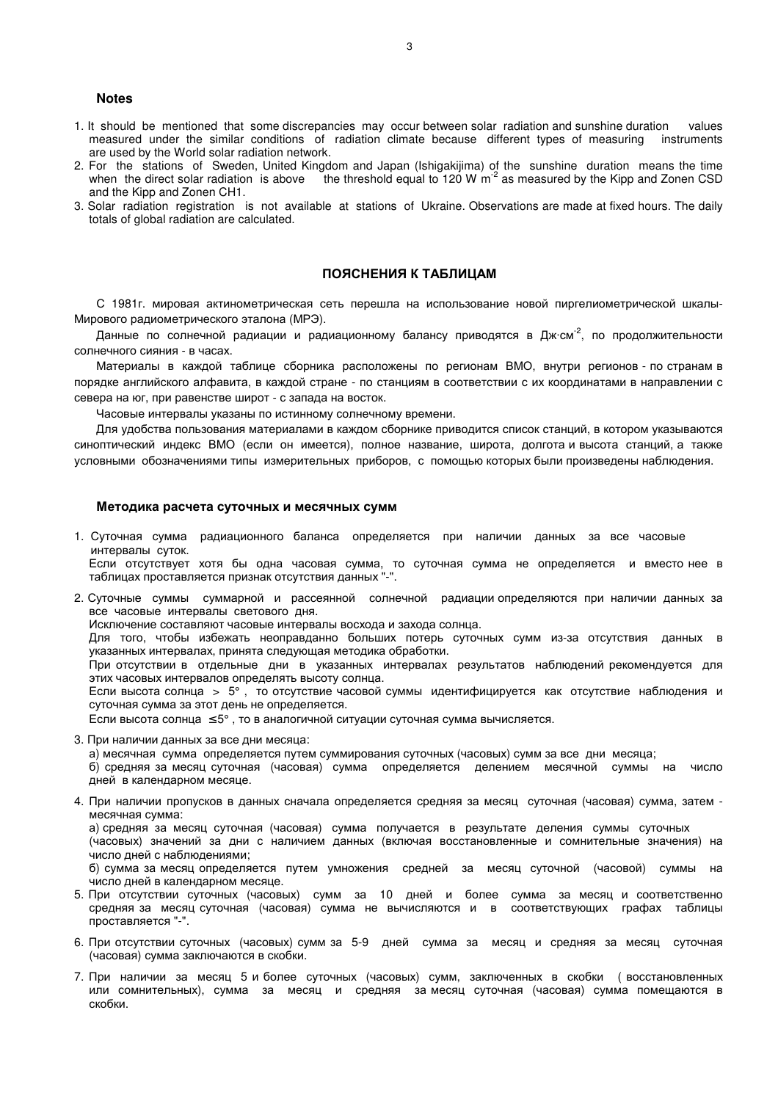#### **Notes**

- 1. It should be mentioned that some discrepancies may occur between solar radiation and sunshine duration values measured under the similar conditions of radiation climate because different types of measuring instruments are used by the World solar radiation network.
- 2. For the stations of Sweden, United Kingdom and Japan (Ishigakijima) of the sunshine duration means the time when the direct solar radiation is above the threshold equal to 120 W  $\text{m}^2$  as measured by the Kipp and Zonen CSD and the Kipp and Zonen CH1.
- 3. Solar radiation registration is not available at stations of Ukraine. Observations are made at fixed hours. The daily totals of global radiation are calculated.

#### **ПОЯСНЕНИЯ К ТАБЛИЦАМ**

С 1981г. мировая актинометрическая сеть перешла на использование новой пиргелиометрической шкалы-Мирового радиометрического эталона (МРЭ).

Данные по солнечной радиации и радиационному балансу приводятся в Дж·см<sup>-2</sup>, по продолжительности солнечного сияния - в часах.

Материалы в каждой таблице сборника расположены по регионам ВМО, внутри регионов - по странам в порядке английского алфавита, в каждой стране - по станциям в соответствии с их координатами в направлении с севера на юг, при равенстве широт - с запада на восток.

Часовые интервалы указаны по истинному солнечному времени.

Для удобства пользования материалами в каждом сборнике приводится список станций, в котором указываются синоптический индекс ВМО (если он имеется), полное название, широта, долгота и высота станций, а также условными обозначениями типы измерительных приборов, с помощью которых были произведены наблюдения.

#### **Методика расчета суточных и месячных сумм**

- 1. Суточная сумма радиационного баланса определяется при наличии данных за все часовые интервалы суток. Если отсутствует хотя бы одна часовая сумма, то суточная сумма не определяется и вместо нее в таблицах проставляется признак отсутствия данных "-".
- 2. Суточные суммы суммарной и рассеянной солнечной радиации определяются при наличии данных за все часовые интервалы светового дня.

Исключение составляют часовые интервалы восхода и захода солнца.

Для того, чтобы избежать неоправданно больших потерь суточных сумм из-за отсутствия данных в указанных интервалах, принята следующая методика обработки.

При отсутствии в отдельные дни в указанных интервалах результатов наблюдений рекомендуется для этих часовых интервалов определять высоту солнца.

Если высота солнца > 5° , то отсутствие часовой суммы идентифицируется как отсутствие наблюдения и суточная сумма за этот день не определяется.

Если высота солнца  $\leq 5^{\circ}$ , то в аналогичной ситуации суточная сумма вычисляется.

3. При наличии данных за все дни месяца:

а) месячная сумма определяется путем суммирования суточных (часовых) сумм за все дни месяца;

б) средняя за месяц суточная (часовая) сумма определяется делением месячной суммы на число дней в календарном месяце.

4. При наличии пропусков в данных сначала определяется средняя за месяц суточная (часовая) сумма, затем месячная сумма:

а) средняя за месяц суточная (часовая) сумма получается в результате деления суммы суточных (часовых) значений за дни с наличием данных (включая восстановленные и сомнительные значения) на число дней с наблюдениями;

б) сумма за месяц определяется путем умножения средней за месяц суточной (часовой) суммы на число дней в календарном месяце.

- 5. При отсутствии суточных (часовых) сумм за 10 дней и более сумма за месяц и соответственно средняя за месяц суточная (часовая) сумма не вычисляются и в соответствующих графах таблицы проставляется "-".
- 6. При отсутствии суточных (часовых) сумм за 5-9 дней сумма за месяц и средняя за месяц суточная (часовая) сумма заключаются в скобки.
- 7. При наличии за месяц 5 и более суточных (часовых) сумм, заключенных в скобки ( восстановленных или сомнительных), сумма за месяц и средняя за месяц суточная (часовая) сумма помещаются в скобки.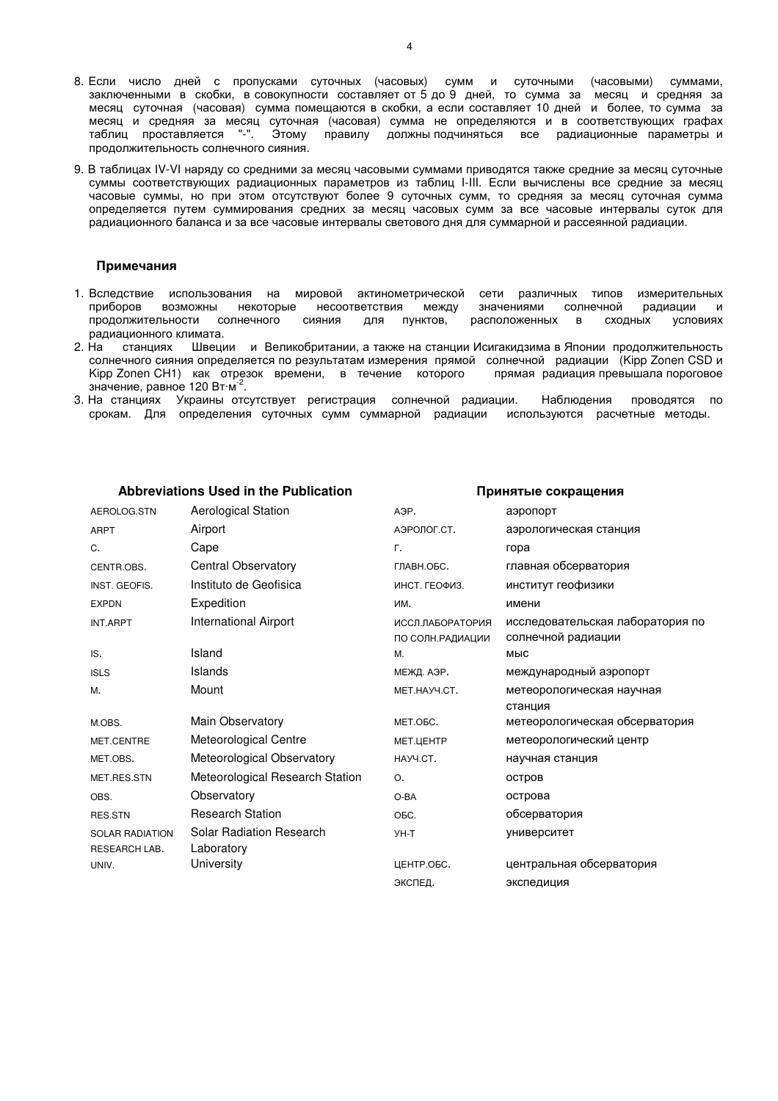- 8. Если число дней с пропусками суточных (часовых) сумм и суточными (часовыми) суммами, заключенными в скобки, в совокупности составляет от 5 до 9 дней, то сумма за месяц и средняя за месяц суточная (часовая) сумма помещаются в скобки, а если составляет 10 дней и более, то сумма за месяц и средняя за месяц суточная (часовая) сумма не определяются и в соответствующих графах<br>таблиц проставляется "-". Этому правилу должны подчиняться все радиационные параметры и Этому правилу должны подчиняться все радиационные параметры и продолжительность солнечного сияния.
- 9. В таблицах IV-VI наряду со средними за месяц часовыми суммами приводятся также средние за месяц суточные суммы соответствующих радиационных параметров из таблиц I-III. Если вычислены все средние за месяц часовые суммы, но при этом отсутствуют более 9 суточных сумм, то средняя за месяц суточная сумма определяется путем суммирования средних за месяц часовых сумм за все часовые интервалы суток для радиационного баланса и за все часовые интервалы светового дня для суммарной и рассеянной радиации.

#### **Примечания**

- 1. Вследствие использования на мировой актинометрической сети различных типов измерительных приборов возможны некоторые несоответствия между значениями солнечной радиации и продолжительности солнечного сияния для пунктов, расположенных в сходных условиях
- радиационного климата.<br>2. На станциях Швеци 2. На станциях Швеции и Великобритании, а также на станции Исигакидзима в Японии продолжительность солнечного сияния определяется по результатам измерения прямой солнечной радиации (Kipp Zonen CSD и Kipp Zonen CH1) как отрезок времени, в течение которого прямая радиация превышала пороговое значение, равное 120 Вт $\cdot$ м $^{-2}$ .
- 3. На станциях Украины отсутствует регистрация солнечной радиации. Наблюдения проводятся по срокам. Для определения суточных сумм суммарной радиации используются расчетные методы.

#### **Abbreviations Used in the Publication Принятые сокращения**

#### AEROLOG.STN Aerological Station A<sub>9P</sub>. A<sub>9P</sub> A<sub>9P</sub> A<sub>3</sub>ponopT АРРТ **АНГЛИЙ АНГАВИЙ АЭРОЛОГ.**СТ. АЭРОЛОГ.СТ. АЭРОЛОГИЧЕСКАЯ СТАНЦИЯ C. Cape Г. гора CENTR.OBS. Central Observatory ГЛАВН.ОБС. главная обсерватория INST. GEOFIS. **Instituto de Geofisica Instituto de Geofisica** инст. геофизики EXPDN Expedition **Expedition** им. ИМ. ИМени INT.ARPT International Airport иссл.лаборатория ПО СОЛН.РАДИАЦИИ исследовательская лаборатория по солнечной радиации IS. Island М. мыс ISLS Islands МЕЖД. АЭР. международный аэропорт M. Mount Mount MET.HAYY.CT. МЕТЕОРОЛОГИЧЕСКАЯ НАУЧНАЯ станция M.OBS. Маin Observatory МЕТ.ОБС. МЕТ.ОБС. МЕТ.ОБС. МЕТЕОРОЛОГИЧЕСКАЯ Обсерватория MET.CENTRE Meteorological Centre МЕТ.ЦЕНТР метеорологический центр MET.OBS. Meteorological Observatory науч.ст. научная станция MET.RES.STN Meteorological Research Station 0. Состров OBS. **Observatory COMBING O-BA острова** RES.STN Research Station COSC. ОБС. ОБСЕРВАТОРИЯ SOLAR RADIATION RESEARCH LAB. Solar Radiation Research Laboratory УН-Т университет UNIV. University ЦЕНТР.ОБС. центральная обсерватория ЭКСПЕД. экспедиция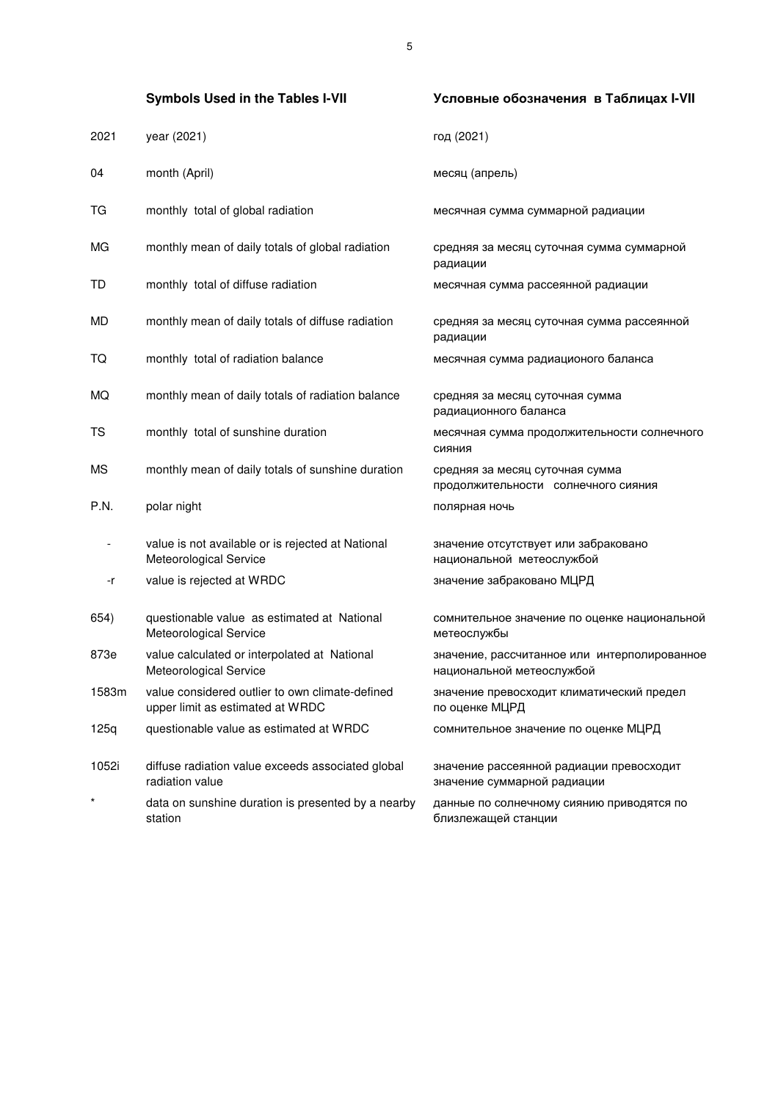|       | <b>Symbols Used in the Tables I-VII</b>                                             | Условные обозначения в Таблицах I-VII                                     |
|-------|-------------------------------------------------------------------------------------|---------------------------------------------------------------------------|
| 2021  | year (2021)                                                                         | год (2021)                                                                |
| 04    | month (April)                                                                       | месяц (апрель)                                                            |
| ТG    | monthly total of global radiation                                                   | месячная сумма суммарной радиации                                         |
| МG    | monthly mean of daily totals of global radiation                                    | средняя за месяц суточная сумма суммарной<br>радиации                     |
| TD    | monthly total of diffuse radiation                                                  | месячная сумма рассеянной радиации                                        |
| MD    | monthly mean of daily totals of diffuse radiation                                   | средняя за месяц суточная сумма рассеянной<br>радиации                    |
| TQ    | monthly total of radiation balance                                                  | месячная сумма радиационого баланса                                       |
| МQ    | monthly mean of daily totals of radiation balance                                   | средняя за месяц суточная сумма<br>радиационного баланса                  |
| TS    | monthly total of sunshine duration                                                  | месячная сумма продолжительности солнечного<br>СИЯНИЯ                     |
| ΜS    | monthly mean of daily totals of sunshine duration                                   | средняя за месяц суточная сумма<br>продолжительности солнечного сияния    |
| P.N.  | polar night                                                                         | полярная ночь                                                             |
|       | value is not available or is rejected at National<br>Meteorological Service         | значение отсутствует или забраковано<br>национальной метеослужбой         |
| -r    | value is rejected at WRDC                                                           | значение забраковано МЦРД                                                 |
| 654)  | questionable value as estimated at National<br>Meteorological Service               | сомнительное значение по оценке национальной<br>метеослужбы               |
| 873e  | value calculated or interpolated at National<br>Meteorological Service              | значение, рассчитанное или интерполированное<br>национальной метеослужбой |
| 1583m | value considered outlier to own climate-defined<br>upper limit as estimated at WRDC | значение превосходит климатический предел<br>по оценке МЦРД               |
| 125q  | questionable value as estimated at WRDC                                             | сомнительное значение по оценке МЦРД                                      |
| 1052i | diffuse radiation value exceeds associated global<br>radiation value                | значение рассеянной радиации превосходит<br>значение суммарной радиации   |
|       | data on sunshine duration is presented by a nearby<br>station                       | данные по солнечному сиянию приводятся по<br>близлежащей станции          |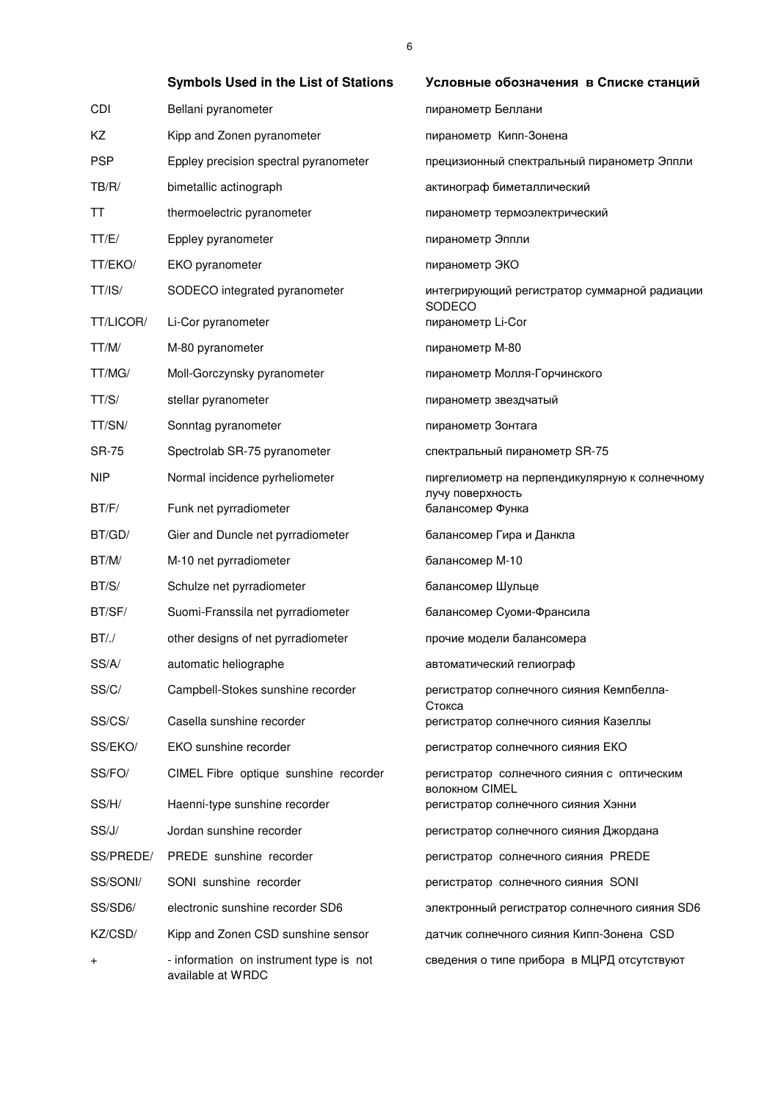|              | <b>Symbols Used in the List of Stations</b>                  | Условные обозначения в Списке станций                        |
|--------------|--------------------------------------------------------------|--------------------------------------------------------------|
| CDI          | Bellani pyranometer                                          | пиранометр Беллани                                           |
| ΚZ           | Kipp and Zonen pyranometer                                   | пиранометр Кипп-Зонена                                       |
| <b>PSP</b>   | Eppley precision spectral pyranometer                        | прецизионный спектральный пиранометр Эппли                   |
| TB/R/        | bimetallic actinograph                                       | актинограф биметаллический                                   |
| TT           | thermoelectric pyranometer                                   | пиранометр термоэлектрический                                |
| TT/E/        | Eppley pyranometer                                           | пиранометр Эппли                                             |
| TT/EKO/      | EKO pyranometer                                              | пиранометр ЭКО                                               |
| TT/IS/       | SODECO integrated pyranometer                                | интегрирующий регистратор суммарной радиации<br>SODECO       |
| TT/LICOR/    | Li-Cor pyranometer                                           | пиранометр Li-Cor                                            |
| TT/M/        | M-80 pyranometer                                             | пиранометр М-80                                              |
| TT/MG/       | Moll-Gorczynsky pyranometer                                  | пиранометр Молля-Горчинского                                 |
| TT/S/        | stellar pyranometer                                          | пиранометр звездчатый                                        |
| TT/SN/       | Sonntag pyranometer                                          | пиранометр Зонтага                                           |
| <b>SR-75</b> | Spectrolab SR-75 pyranometer                                 | спектральный пиранометр SR-75                                |
| <b>NIP</b>   | Normal incidence pyrheliometer                               | пиргелиометр на перпендикулярную к солнечному                |
| BT/F/        | Funk net pyrradiometer                                       | лучу поверхность<br>балансомер Функа                         |
| BT/GD/       | Gier and Duncle net pyrradiometer                            | балансомер Гира и Данкла                                     |
| BT/M/        | M-10 net pyrradiometer                                       | балансомер М-10                                              |
| BT/S/        | Schulze net pyrradiometer                                    | балансомер Шульце                                            |
| BT/SF/       | Suomi-Franssila net pyrradiometer                            | балансомер Суоми-Франсила                                    |
| BT/.         | other designs of net pyrradiometer                           | прочие модели балансомера                                    |
| SS/A/        | automatic heliographe                                        | автоматический гелиограф                                     |
| SS/C/        | Campbell-Stokes sunshine recorder                            | регистратор солнечного сияния Кемпбелла-<br>Стокса           |
| SS/CS/       | Casella sunshine recorder                                    | регистратор солнечного сияния Казеллы                        |
| SS/EKO/      | EKO sunshine recorder                                        | регистратор солнечного сияния ЕКО                            |
| SS/FO/       | CIMEL Fibre optique sunshine recorder                        | регистратор солнечного сияния с оптическим<br>волокном CIMEL |
| SS/H/        | Haenni-type sunshine recorder                                | регистратор солнечного сияния Хэнни                          |
| SS/J/        | Jordan sunshine recorder                                     | регистратор солнечного сияния Джордана                       |
| SS/PREDE/    | PREDE sunshine recorder                                      | регистратор солнечного сияния PREDE                          |
| SS/SONI/     | SONI sunshine recorder                                       | регистратор солнечного сияния SONI                           |
| SS/SD6/      | electronic sunshine recorder SD6                             | электронный регистратор солнечного сияния SD6                |
| KZ/CSD/      | Kipp and Zonen CSD sunshine sensor                           | датчик солнечного сияния Кипп-Зонена CSD                     |
| +            | - information on instrument type is not<br>available at WRDC | сведения о типе прибора в МЦРД отсутствуют                   |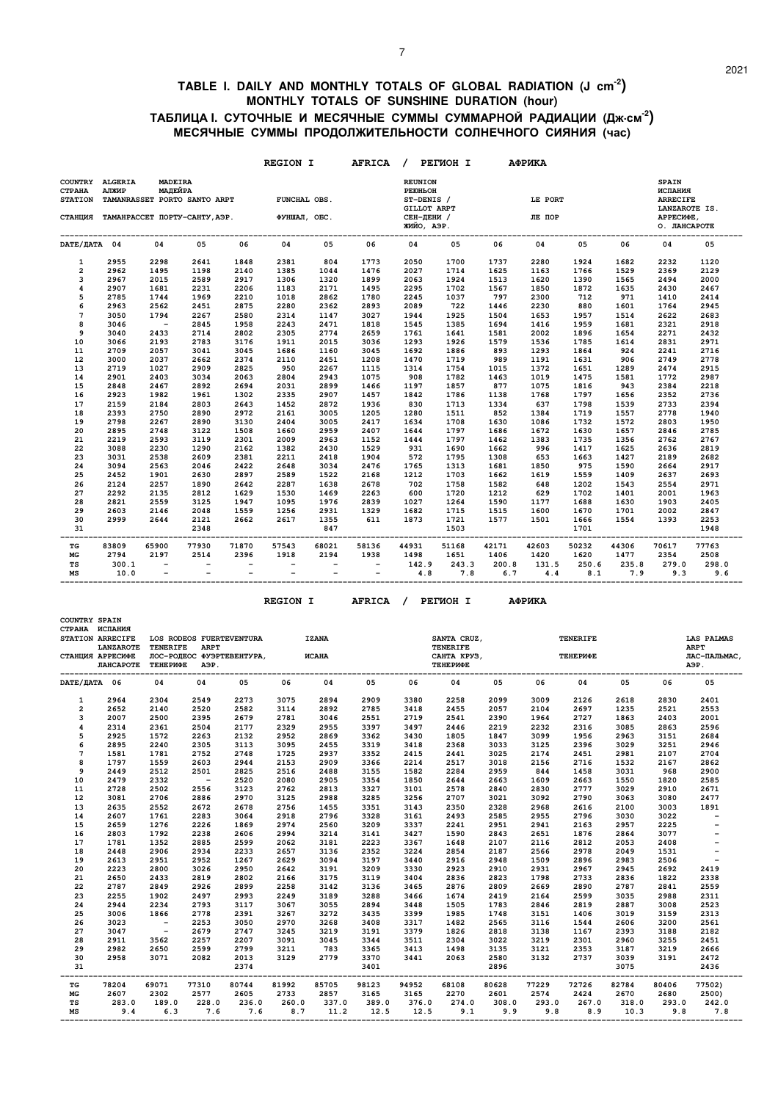#### **TABLE I. DAILY AND MONTHLY TOTALS OF GLOBAL RADIATION (J cm-2) MONTHLY TOTALS OF SUNSHINE DURATION (hour) ТАБЛИЦА I. СУТОЧНЫЕ И МЕСЯЧНЫЕ СУММЫ СУММАРНОЙ РАДИАЦИИ (Дж.см-2) МЕСЯЧНЫЕ СУММЫ ПРОДОЛЖИТЕЛЬНОСТИ СОЛНЕЧНОГО СИЯНИЯ (час)**

|                                            |                                                                                                                                            |                                                      |                                                      |                          | <b>REGION I</b>          |                                                      | <b>AFRICA</b>                   |                                                                                     | PETMOH I     |              | АФРИКА       |              |              |                                                                          |              |
|--------------------------------------------|--------------------------------------------------------------------------------------------------------------------------------------------|------------------------------------------------------|------------------------------------------------------|--------------------------|--------------------------|------------------------------------------------------|---------------------------------|-------------------------------------------------------------------------------------|--------------|--------------|--------------|--------------|--------------|--------------------------------------------------------------------------|--------------|
| <b>COUNTRY</b><br>СТРАНА<br><b>STATION</b> | <b>ALGERIA</b><br><b>MADEIRA</b><br>МАЛЕЙРА<br>АЛЖИР<br>TAMANRASSET PORTO SANTO ARPT<br>СТАНЦИЯ ТАМАНРАССЕТ ПОРТУ-САНТУ, АЭР. ФУНШАЛ, ОБС. |                                                      |                                                      |                          | FUNCHAL OBS.             |                                                      |                                 | <b>REUNION</b><br><b>PEIOHLOH</b><br>ST-DENIS /<br><b>GILLOT ARPT</b><br>СЕН-ДЕНИ / |              | LE PORT      | ЛЕ ПОР       |              |              | <b>SPAIN</b><br>ИСПАНИЯ<br><b>ARRECIFE</b><br>LANZAROTE IS.<br>АРРЕСИФЕ, |              |
|                                            |                                                                                                                                            |                                                      |                                                      |                          |                          |                                                      |                                 | ЖИЙО, АЭР.                                                                          |              |              |              |              |              | О. ЛАНСАРОТЕ                                                             |              |
| DATE/ JATA 04                              |                                                                                                                                            | 04                                                   | 05                                                   | 06                       | 04                       | 05                                                   | 06                              | 04                                                                                  | 05           | 06           | 04           | 05           | 06           | 04                                                                       | 05           |
| $\mathbf{1}$                               | 2955                                                                                                                                       | 2298                                                 | 2641                                                 | 1848                     | 2381                     | 804                                                  | 1773                            | 2050                                                                                | 1700         | 1737         | 2280         | 1924         | 1682         | 2232                                                                     | 1120         |
| $\overline{\mathbf{2}}$                    | 2962                                                                                                                                       | 1495                                                 | 1198                                                 | 2140                     | 1385                     | 1044                                                 | 1476                            | 2027                                                                                | 1714         | 1625         | 1163         | 1766         | 1529         | 2369                                                                     | 2129         |
| 3                                          | 2967                                                                                                                                       | 2015                                                 | 2589                                                 | 2917                     | 1306                     | 1320                                                 | 1899                            | 2063                                                                                | 1924         | 1513         | 1620         | 1390         | 1565         | 2494                                                                     | 2000         |
| $\overline{\mathbf{4}}$                    | 2907                                                                                                                                       | 1681                                                 | 2231                                                 | 2206                     | 1183                     | 2171                                                 | 1495                            | 2295                                                                                | 1702         | 1567         | 1850         | 1872         | 1635         | 2430                                                                     | 2467         |
| 5                                          | 2785                                                                                                                                       | 1744                                                 | 1969                                                 | 2210                     | 1018                     | 2862                                                 | 1780                            | 2245                                                                                | 1037         | 797          | 2300         | 712          | 971          | 1410                                                                     | 2414         |
| 6                                          | 2963                                                                                                                                       | 2562                                                 | 2451                                                 | 2875                     | 2280                     | 2362                                                 | 2893                            | 2089                                                                                | 722          | 1446         | 2230         | 880          | 1601         | 1764                                                                     | 2945         |
| $\overline{7}$                             | 3050                                                                                                                                       | 1794                                                 | 2267                                                 | 2580                     | 2314                     | 1147                                                 | 3027                            | 1944                                                                                | 1925         | 1504         | 1653         | 1957         | 1514         | 2622                                                                     | 2683         |
| 8                                          | 3046                                                                                                                                       | $\overline{\phantom{0}}$                             | 2845                                                 | 1958                     | 2243                     | 2471                                                 | 1818                            | 1545                                                                                | 1385         | 1694         | 1416         | 1959         | 1681         | 2321                                                                     | 2918         |
| 9                                          | 3040                                                                                                                                       | 2433                                                 | 2714                                                 | 2802                     | 2305                     | 2774                                                 | 2659                            | 1761                                                                                | 1641         | 1581         | 2002         | 1896         | 1654         | 2271                                                                     | 2432         |
| 10                                         | 3066                                                                                                                                       | 2193                                                 | 2783                                                 | 3176                     | 1911                     | 2015                                                 | 3036                            | 1293                                                                                | 1926         | 1579         | 1536         | 1785         | 1614         | 2831                                                                     | 2971         |
| 11                                         | 2709                                                                                                                                       | 2057                                                 | 3041                                                 | 3045                     | 1686                     | 1160                                                 | 3045                            | 1692                                                                                | 1886         | 893          | 1293         | 1864         | 924          | 2241                                                                     | 2716         |
| 12                                         | 3000                                                                                                                                       | 2037                                                 | 2662<br>2909                                         | 2374                     | 2110                     | 2451                                                 | 1208                            | 1470                                                                                | 1719         | 989          | 1191         | 1631         | 906<br>1289  | 2749                                                                     | 2778         |
| 13                                         | 2719                                                                                                                                       | 1027<br>2403                                         | 3034                                                 | 2825                     | 950<br>2804              | 2267<br>2943                                         | 1115<br>1075                    | 1314<br>908                                                                         | 1754<br>1782 | 1015         | 1372         | 1651<br>1475 | 1581         | 2474                                                                     | 2915         |
| 14<br>15                                   | 2901<br>2848                                                                                                                               | 2467                                                 | 2892                                                 | 2063<br>2694             | 2031                     | 2899                                                 | 1466                            | 1197                                                                                | 1857         | 1463<br>877  | 1019<br>1075 | 1816         | 943          | 1772<br>2384                                                             | 2987<br>2218 |
| 16                                         | 2923                                                                                                                                       | 1982                                                 | 1961                                                 | 1302                     | 2335                     | 2907                                                 | 1457                            | 1842                                                                                | 1786         | 1138         | 1768         | 1797         | 1656         | 2352                                                                     | 2736         |
| 17                                         | 2159                                                                                                                                       | 2184                                                 | 2803                                                 | 2643                     | 1452                     | 2872                                                 | 1936                            | 830                                                                                 | 1713         | 1334         | 637          | 1798         | 1539         | 2733                                                                     | 2394         |
| 18                                         | 2393                                                                                                                                       | 2750                                                 | 2890                                                 | 2972                     | 2161                     | 3005                                                 | 1205                            | 1280                                                                                | 1511         | 852          | 1384         | 1719         | 1557         | 2778                                                                     | 1940         |
| 19                                         | 2798                                                                                                                                       | 2267                                                 | 2890                                                 | 3130                     | 2404                     | 3005                                                 | 2417                            | 1634                                                                                | 1708         | 1630         | 1086         | 1732         | 1572         | 2803                                                                     | 1950         |
| 20                                         | 2895                                                                                                                                       | 2748                                                 | 3122                                                 | 1508                     | 1660                     | 2959                                                 | 2407                            | 1644                                                                                | 1797         | 1686         | 1672         | 1630         | 1657         | 2846                                                                     | 2785         |
| 21                                         | 2219                                                                                                                                       | 2593                                                 | 3119                                                 | 2301                     | 2009                     | 2963                                                 | 1152                            | 1444                                                                                | 1797         | 1462         | 1383         | 1735         | 1356         | 2762                                                                     | 2767         |
| 22                                         | 3088                                                                                                                                       | 2230                                                 | 1290                                                 | 2162                     | 1382                     | 2430                                                 | 1529                            | 931                                                                                 | 1690         | 1662         | 996          | 1417         | 1625         | 2636                                                                     | 2819         |
| 23                                         | 3031                                                                                                                                       | 2538                                                 | 2609                                                 | 2381                     | 2211                     | 2418                                                 | 1904                            | 572                                                                                 | 1795         | 1308         | 653          | 1663         | 1427         | 2189                                                                     | 2682         |
| 24                                         | 3094                                                                                                                                       | 2563                                                 | 2046                                                 | 2422                     | 2648                     | 3034                                                 | 2476                            | 1765                                                                                | 1313         | 1681         | 1850         | 975          | 1590         | 2664                                                                     | 2917         |
| 25                                         | 2452                                                                                                                                       | 1901                                                 | 2630                                                 | 2897                     | 2589                     | 1522                                                 | 2168                            | 1212                                                                                | 1703         | 1662         | 1619         | 1559         | 1409         | 2637                                                                     | 2693         |
| 26                                         | 2124                                                                                                                                       | 2257                                                 | 1890                                                 | 2642                     | 2287                     | 1638                                                 | 2678                            | 702                                                                                 | 1758         | 1582         | 648          | 1202         | 1543         | 2554                                                                     | 2971         |
| 27                                         | 2292                                                                                                                                       | 2135                                                 | 2812                                                 | 1629                     | 1530                     | 1469                                                 | 2263                            | 600                                                                                 | 1720         | 1212         | 629          | 1702         | 1401         | 2001                                                                     | 1963         |
| 28                                         | 2821                                                                                                                                       | 2559                                                 | 3125                                                 | 1947                     | 1095                     | 1976                                                 | 2839                            | 1027                                                                                | 1264         | 1590         | 1177         | 1688         | 1630         | 1903                                                                     | 2405         |
| 29                                         | 2603                                                                                                                                       | 2146                                                 | 2048                                                 | 1559                     | 1256                     | 2931                                                 | 1329                            | 1682                                                                                | 1715         | 1515         | 1600         | 1670         | 1701         | 2002                                                                     | 2847         |
| 30                                         | 2999                                                                                                                                       | 2644                                                 | 2121                                                 | 2662                     | 2617                     | 1355                                                 | 611                             | 1873                                                                                | 1721         | 1577         | 1501         | 1666         | 1554         | 1393                                                                     | 2253         |
| 31                                         |                                                                                                                                            |                                                      | 2348                                                 |                          |                          | 847                                                  |                                 |                                                                                     | 1503         |              |              | 1701         |              |                                                                          | 1948         |
| TG                                         | 83809                                                                                                                                      | 65900                                                | 77930                                                | 71870                    | 57543                    | 68021                                                | 58136                           | 44931                                                                               | 51168        | 42171        | 42603        | 50232        | 44306        | 70617                                                                    | 77763        |
| MG                                         | 2794                                                                                                                                       | 2197                                                 | 2514                                                 | 2396                     | 1918                     | 2194                                                 | 1938                            | 1498                                                                                | 1651         | 1406         | 1420         | 1620         | 1477         | 2354                                                                     | 2508         |
| TS<br>MS                                   | 300.1<br>10.0                                                                                                                              | $\overline{\phantom{a}}$<br>$\overline{\phantom{0}}$ | $\overline{\phantom{m}}$<br>$\overline{\phantom{a}}$ | $\overline{\phantom{a}}$ | $\overline{\phantom{0}}$ | $\overline{\phantom{a}}$<br>$\overline{\phantom{a}}$ | $-$<br>$\overline{\phantom{a}}$ | 142.9<br>4.8                                                                        | 243.3<br>7.8 | 200.8<br>6.7 | 131.5<br>4.4 | 250.6<br>8.1 | 235.8<br>7.9 | 279.0<br>9.3                                                             | 298.0<br>9.6 |

 **REGION I AFRICA / PEГИOH I AФPИKA** 

 **COUNTRY SPAIN** 

| СТРАНА ИСПАНИЯ          | STATION ARRECIFE<br>LANZAROTE<br>СТАНЦИЯ АРРЕСИФЕ<br><b>JIAHCAPOTE</b> | <b>TENERIFE</b><br>ТЕНЕРИФЕ | LOS RODEOS FUERTEVENTURA<br><b>ARPT</b><br>A <sub>9</sub> P. | ЛОС-РОДЕОС ФУЭРТЕВЕНТУРА, | <b><i>MCAHA</i></b> | <b>IZANA</b> |       |       | SANTA CRUZ,<br><b>TENERIFE</b><br>САНТА КРУЗ,<br><b>ТЕНЕРИФЕ</b> |             | <b>TENERIFE</b><br>ТЕНЕРИФЕ |       |       |       | <b>LAS PALMAS</b><br><b>ARPT</b><br>ЛАС-ПАЛЬМАС,<br>АЭР. |
|-------------------------|------------------------------------------------------------------------|-----------------------------|--------------------------------------------------------------|---------------------------|---------------------|--------------|-------|-------|------------------------------------------------------------------|-------------|-----------------------------|-------|-------|-------|----------------------------------------------------------|
| DATE/ JATA 06           |                                                                        | 04                          | 04                                                           | 05                        | 06                  | 04           | 05    | 06    | 04                                                               | 05          | 06                          | 04    | 05    | 06    | 05                                                       |
| 1                       | 2964                                                                   | 2304                        | 2549                                                         | 2273                      | 3075                | 2894         | 2909  | 3380  | 2258                                                             | 2099        | 3009                        | 2126  | 2618  | 2830  | 2401                                                     |
| $\overline{\mathbf{2}}$ | 2652                                                                   | 2140                        | 2520                                                         | 2582                      | 3114                | 2892         | 2785  | 3418  | 2455                                                             | 2057        | 2104                        | 2697  | 1235  | 2521  | 2553                                                     |
| 3                       | 2007                                                                   | 2500                        | 2395                                                         | 2679                      | 2781                | 3046         | 2551  | 2719  | 2541                                                             | 2390        | 1964                        | 2727  | 1863  | 2403  | 2001                                                     |
| 4                       | 2314                                                                   | 2361                        | 2504                                                         | 2177                      | 2329                | 2955         | 3397  | 3497  | 2446                                                             | 2219        | 2232                        | 2316  | 3085  | 2863  | 2596                                                     |
| 5                       | 2925                                                                   | 1572                        | 2263                                                         | 2132                      | 2952                | 2869         | 3362  | 3430  | 1805                                                             | 1847        | 3099                        | 1956  | 2963  | 3151  | 2684                                                     |
| 6                       | 2895                                                                   | 2240                        | 2305                                                         | 3113                      | 3095                | 2455         | 3319  | 3418  | 2368                                                             | 3033        | 3125                        | 2396  | 3029  | 3251  | 2946                                                     |
| $\overline{7}$          | 1581                                                                   | 1781                        | 2752                                                         | 2748                      | 1725                | 2937         | 3352  | 2415  | 2441                                                             | 3025        | 2174                        | 2451  | 2981  | 2107  | 2704                                                     |
| 8                       | 1797                                                                   | 1559                        | 2603                                                         | 2944                      | 2153                | 2909         | 3366  | 2214  | 2517                                                             | 3018        | 2156                        | 2716  | 1532  | 2167  | 2862                                                     |
| 9                       | 2449                                                                   | 2512                        | 2501                                                         | 2825                      | 2516                | 2488         | 3155  | 1582  | 2284                                                             | 2959        | 844                         | 1458  | 3031  | 968   | 2900                                                     |
| 10                      | 2479                                                                   | 2332                        | $\sim$ $-$                                                   | 2520                      | 2080                | 2905         | 3354  | 1850  | 2644                                                             | 2663        | 1609                        | 2663  | 1550  | 1820  | 2585                                                     |
| 11                      | 2728                                                                   | 2502                        | 2556                                                         | 3123                      | 2762                | 2813         | 3327  | 3101  | 2578                                                             | 2840        | 2830                        | 2777  | 3029  | 2910  | 2671                                                     |
| 12                      | 3081                                                                   | 2706                        | 2886                                                         | 2970                      | 3125                | 2988         | 3285  | 3256  | 2707                                                             | 3021        | 3092                        | 2790  | 3063  | 3080  | 2477                                                     |
| 13                      | 2635                                                                   | 2552                        | 2672                                                         | 2678                      | 2756                | 1455         | 3351  | 3143  | 2350                                                             | 2328        | 2968                        | 2616  | 2100  | 3003  | 1891                                                     |
| 14                      | 2607                                                                   | 1761                        | 2283                                                         | 3064                      | 2918                | 2796         | 3328  | 3161  | 2493                                                             | 2585        | 2955                        | 2796  | 3030  | 3022  | $\overline{\phantom{a}}$                                 |
| 15                      | 2659                                                                   | 1276                        | 2226                                                         | 1869                      | 2974                | 2560         | 3209  | 3337  | 2241                                                             | 2951        | 2941                        | 2163  | 2957  | 2225  |                                                          |
| 16                      | 2803                                                                   | 1792                        | 2238                                                         | 2606                      | 2994                | 3214         | 3141  | 3427  | 1590                                                             | 2843        | 2651                        | 1876  | 2864  | 3077  |                                                          |
| 17                      | 1781                                                                   | 1352                        | 2885                                                         | 2599                      | 2062                | 3181         | 2223  | 3367  | 1648                                                             | 2107        | 2116                        | 2812  | 2053  | 2408  | $\overline{\phantom{a}}$                                 |
| 18                      | 2448                                                                   | 2906                        | 2934                                                         | 2233                      | 2657                | 3136         | 2352  | 3224  | 2854                                                             | 2187        | 2566                        | 2978  | 2049  | 1531  | $\overline{\phantom{a}}$                                 |
| 19                      | 2613                                                                   | 2951                        | 2952                                                         | 1267                      | 2629                | 3094         | 3197  | 3440  | 2916                                                             | 2948        | 1509                        | 2896  | 2983  | 2506  | $\overline{\phantom{a}}$                                 |
| 20                      | 2223                                                                   | 2800                        | 3026                                                         | 2950                      | 2642                | 3191         | 3209  | 3330  | 2923                                                             | 2910        | 2931                        | 2967  | 2945  | 2692  | 2419                                                     |
| 21                      | 2650                                                                   | 2433                        | 2819                                                         | 2802                      | 2166                | 3175         | 3119  | 3404  | 2836                                                             | 2823        | 1798                        | 2733  | 2836  | 1822  | 2338                                                     |
| 22                      | 2787                                                                   | 2849                        | 2926                                                         | 2899                      | 2258                | 3142         | 3136  | 3465  | 2876                                                             | 2809        | 2669                        | 2890  | 2787  | 2841  | 2559                                                     |
| 23                      | 2255                                                                   | 1902                        | 2497                                                         | 2993                      | 2249                | 3189         | 3288  | 3466  | 1674                                                             | 2419        | 2164                        | 2599  | 3035  | 2988  | 2311                                                     |
| 24                      | 2944                                                                   | 2234                        | 2793                                                         | 3117                      | 3067                | 3055         | 2894  | 3448  | 1505                                                             | 1783        | 2846                        | 2819  | 2887  | 3008  | 2523                                                     |
| 25                      | 3006                                                                   | 1866                        | 2778                                                         | 2391                      | 3267                | 3272         | 3435  | 3399  | 1985                                                             | 1748        | 3151                        | 1406  | 3019  | 3159  | 2313                                                     |
| 26                      | 3023                                                                   | $\sim$ $-$                  | 2253                                                         | 3050                      | 2970                | 3268         | 3408  | 3317  | 1482                                                             | 2565        | 3116                        | 1544  | 2606  | 3200  | 2561                                                     |
| 27                      | 3047                                                                   | $\sim$ $-$                  | 2679                                                         | 2747                      | 3245                | 3219         | 3191  | 3379  | 1826                                                             | 2818        | 3138                        | 1167  | 2393  | 3188  | 2182                                                     |
| 28                      | 2911                                                                   | 3562                        | 2257                                                         | 2207                      | 3091                | 3045         | 3344  | 3511  | 2304                                                             | 3022        | 3219                        | 2301  | 2960  | 3255  | 2451                                                     |
| 29                      | 2982                                                                   | 2650                        | 2599                                                         | 2799                      | 3211                | 783          | 3365  | 3413  | 1498                                                             | 3135        | 3121                        | 2353  | 3187  | 3219  | 2666                                                     |
| 30                      | 2958                                                                   | 3071                        | 2082                                                         | 2013                      | 3129                | 2779         | 3370  | 3441  | 2063                                                             | 2580        | 3132                        | 2737  | 3039  | 3191  | 2472                                                     |
| 31                      |                                                                        |                             |                                                              | 2374                      |                     |              | 3401  |       |                                                                  | 2896        |                             |       | 3075  |       | 2436                                                     |
| TG                      | 78204                                                                  | 69071                       | 77310                                                        | 80744                     | 81992               | 85705        | 98123 | 94952 | 68108                                                            | 80628       | 77229                       | 72726 | 82784 | 80406 | 77502)                                                   |
| МG                      | 2607                                                                   | 2302                        | 2577                                                         | 2605                      | 2733                | 2857         | 3165  | 3165  | 2270                                                             | 2601        | 2574                        | 2424  | 2670  | 2680  | 2500)                                                    |
| TS                      | 283.0                                                                  | 189.0                       | 228.0                                                        | 236.0                     | 260.0               | 337.0        | 389.0 | 376.0 | 274.0                                                            | 308.0       | 293.0                       | 267.0 | 318.0 | 293.0 | 242.0                                                    |
| МS                      | 9.4                                                                    | 6.3                         | 7.6 7.6                                                      |                           | 8.7                 | 11.2         | 12.5  | 12.5  |                                                                  | $9.1$ $9.9$ | 9.8                         | 8.9   | 10.3  | 9.8   | 7.8                                                      |

 **-------------------------------------------------------------------------------------------------------------------------------------------------**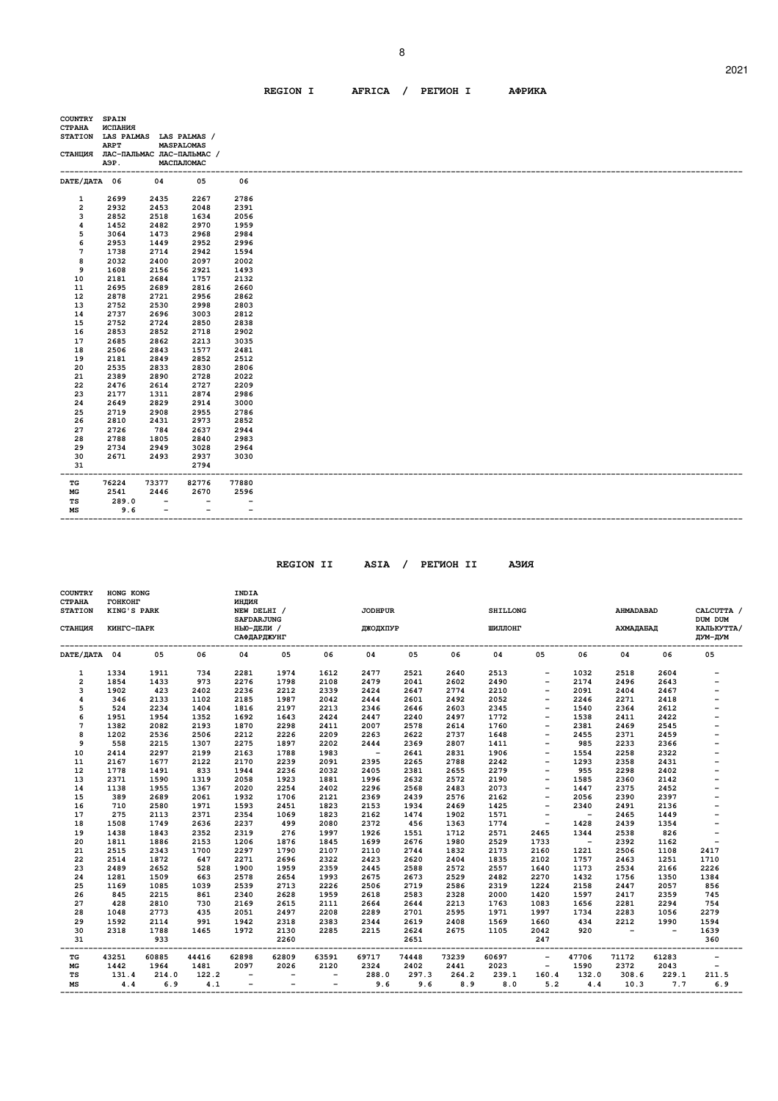# **REGION I AFRICA / PEГИOH I AФPИKA**

| COUNTRY SPAIN                   |             |                          |                                   |                          |  |
|---------------------------------|-------------|--------------------------|-----------------------------------|--------------------------|--|
| <b>CTPAHA</b>                   | ИСПАНИЯ     |                          |                                   |                          |  |
| STATION LAS PALMAS LAS PALMAS / |             |                          |                                   |                          |  |
|                                 | <b>ARPT</b> |                          | <b>MASPALOMAS</b>                 |                          |  |
|                                 |             |                          | СТАНЦИЯ ЛАС-ПАЛЬМАС ЛАС-ПАЛЬМАС / |                          |  |
|                                 | АЭР.        |                          | МАСПАЛОМАС                        |                          |  |
|                                 |             |                          |                                   |                          |  |
| DATE/ДАТА 06                    |             | 04                       | 05                                | 06                       |  |
|                                 |             |                          |                                   |                          |  |
| 1                               | 2699        | 2435                     | 2267                              | 2786                     |  |
| $\mathbf{2}$                    | 2932        | 2453                     | 2048                              | 2391                     |  |
| 3                               | 2852        | 2518                     | 1634                              | 2056                     |  |
| 4                               | 1452        | 2482                     | 2970                              | 1959                     |  |
| 5                               | 3064        | 1473                     | 2968                              | 2984                     |  |
| 6                               | 2953        | 1449                     | 2952                              | 2996                     |  |
| 7                               | 1738        | 2714                     | 2942                              | 1594                     |  |
| 8                               | 2032        | 2400                     | 2097                              | 2002                     |  |
| 9                               | 1608        | 2156                     | 2921                              | 1493                     |  |
| 10                              | 2181        | 2684                     | 1757                              | 2132                     |  |
| 11                              | 2695        | 2689                     | 2816                              | 2660                     |  |
| 12                              | 2878        | 2721                     | 2956                              | 2862                     |  |
| 13                              | 2752        | 2530                     | 2998                              | 2803                     |  |
| 14                              | 2737        | 2696                     | 3003                              | 2812                     |  |
| 15                              | 2752        | 2724                     | 2850                              | 2838                     |  |
| 16                              | 2853        | 2852                     | 2718                              | 2902                     |  |
| 17                              | 2685        | 2862                     | 2213                              | 3035                     |  |
| 18                              | 2506        | 2843                     | 1577                              | 2481                     |  |
| 19                              | 2181        | 2849                     | 2852                              | 2512                     |  |
| 20                              | 2535        | 2833                     | 2830                              | 2806                     |  |
| 21                              | 2389        | 2890                     | 2728                              | 2022                     |  |
| 22                              | 2476        | 2614                     | 2727                              | 2209                     |  |
| 23                              | 2177        | 1311                     | 2874                              | 2986                     |  |
| 24                              | 2649        | 2829                     | 2914                              | 3000                     |  |
| 25                              | 2719        | 2908                     | 2955                              | 2786                     |  |
| 26                              | 2810        | 2431                     | 2973                              | 2852                     |  |
| 27                              | 2726        | 784                      | 2637                              | 2944                     |  |
| 28                              | 2788        | 1805                     | 2840                              | 2983                     |  |
| 29                              | 2734        | 2949                     | 3028                              | 2964                     |  |
| 30                              | 2671        | 2493                     | 2937                              | 3030                     |  |
| 31                              |             |                          | 2794                              |                          |  |
| ---                             |             | -------                  | ------                            |                          |  |
| TC                              | 76224       | 73377                    | 82776                             | 77880                    |  |
| МG                              | 2541        | 2446                     | 2670                              | 2596                     |  |
| TS                              | 289.0       | $\overline{\phantom{a}}$ | $\overline{\phantom{a}}$          | $\overline{\phantom{a}}$ |  |
| МS                              | 9.6         | $\overline{\phantom{a}}$ | $\overline{\phantom{a}}$          | $\overline{\phantom{0}}$ |  |

 **REGION II ASIA / PEГИOH II AЗИЯ**

| COUNTRY<br><b>CTPAHA</b><br><b>STATION</b> | HONG KONG<br>ГОНКОНГ<br>KING'S PARK |       |       | INDIA<br>индия<br>NEW DELHI /                         |       |                          | <b>JODHPUR</b><br><b>SHILLONG</b> |       |       |         |                          |                          | <b>AHMADABAD</b>         |                          | CALCUTTA /<br>DUM DUM    |
|--------------------------------------------|-------------------------------------|-------|-------|-------------------------------------------------------|-------|--------------------------|-----------------------------------|-------|-------|---------|--------------------------|--------------------------|--------------------------|--------------------------|--------------------------|
| СТАНЦИЯ                                    | КИНГС-ПАРК                          |       |       | <b>SAFDARJUNG</b><br>НЬЮ-ДЕЛИ /<br><b>САФДАРДЖУНГ</b> |       |                          | <b>ДЖОДХПУР</b>                   |       |       | ШИЛЛОНГ |                          |                          | АХМАДАБАД                |                          | КАЛЬКУТТА/<br>ДУМ-ДУМ    |
| DATE/ JATA 04                              |                                     | 05    | 06    | 04                                                    | 05    | 06                       | 04                                | 05    | 06    | 04      | 05                       | 06                       | 04                       | 06                       | 05                       |
| 1                                          | 1334                                | 1911  | 734   | 2281                                                  | 1974  | 1612                     | 2477                              | 2521  | 2640  | 2513    | $\overline{\phantom{a}}$ | 1032                     | 2518                     | 2604                     |                          |
| $\overline{2}$                             | 1854                                | 1433  | 973   | 2276                                                  | 1798  | 2108                     | 2479                              | 2041  | 2602  | 2490    | $\overline{\phantom{a}}$ | 2174                     | 2496                     | 2643                     |                          |
| 3                                          | 1902                                | 423   | 2402  | 2236                                                  | 2212  | 2339                     | 2424                              | 2647  | 2774  | 2210    | $\overline{\phantom{0}}$ | 2091                     | 2404                     | 2467                     | -                        |
| 4                                          | 346                                 | 2133  | 1102  | 2185                                                  | 1987  | 2042                     | 2444                              | 2601  | 2492  | 2052    | $\qquad \qquad -$        | 2246                     | 2271                     | 2418                     |                          |
| 5                                          | 524                                 | 2234  | 1404  | 1816                                                  | 2197  | 2213                     | 2346                              | 2646  | 2603  | 2345    | $\overline{\phantom{a}}$ | 1540                     | 2364                     | 2612                     | $\overline{a}$           |
| 6                                          | 1951                                | 1954  | 1352  | 1692                                                  | 1643  | 2424                     | 2447                              | 2240  | 2497  | 1772    | $\qquad \qquad -$        | 1538                     | 2411                     | 2422                     |                          |
| $\overline{7}$                             | 1382                                | 2082  | 2193  | 1870                                                  | 2298  | 2411                     | 2007                              | 2578  | 2614  | 1760    | $\overline{\phantom{a}}$ | 2381                     | 2469                     | 2545                     |                          |
| 8                                          | 1202                                | 2536  | 2506  | 2212                                                  | 2226  | 2209                     | 2263                              | 2622  | 2737  | 1648    | $\overline{\phantom{a}}$ | 2455                     | 2371                     | 2459                     | -                        |
| 9                                          | 558                                 | 2215  | 1307  | 2275                                                  | 1897  | 2202                     | 2444                              | 2369  | 2807  | 1411    | $\overline{\phantom{0}}$ | 985                      | 2233                     | 2366                     |                          |
| 10                                         | 2414                                | 2297  | 2199  | 2163                                                  | 1788  | 1983                     | $\overline{\phantom{a}}$          | 2641  | 2831  | 1906    | $\qquad \qquad -$        | 1554                     | 2258                     | 2322                     |                          |
| 11                                         | 2167                                | 1677  | 2122  | 2170                                                  | 2239  | 2091                     | 2395                              | 2265  | 2788  | 2242    | $\qquad \qquad -$        | 1293                     | 2358                     | 2431                     |                          |
| 12                                         | 1778                                | 1491  | 833   | 1944                                                  | 2236  | 2032                     | 2405                              | 2381  | 2655  | 2279    | $\overline{\phantom{a}}$ | 955                      | 2298                     | 2402                     |                          |
| 13                                         | 2371                                | 1590  | 1319  | 2058                                                  | 1923  | 1881                     | 1996                              | 2632  | 2572  | 2190    | $\overline{\phantom{a}}$ | 1585                     | 2360                     | 2142                     | -                        |
| 14                                         | 1138                                | 1955  | 1367  | 2020                                                  | 2254  | 2402                     | 2296                              | 2568  | 2483  | 2073    | $\qquad \qquad -$        | 1447                     | 2375                     | 2452                     |                          |
| 15                                         | 389                                 | 2689  | 2061  | 1932                                                  | 1706  | 2121                     | 2369                              | 2439  | 2576  | 2162    | $\overline{\phantom{0}}$ | 2056                     | 2390                     | 2397                     |                          |
| 16                                         | 710                                 | 2580  | 1971  | 1593                                                  | 2451  | 1823                     | 2153                              | 1934  | 2469  | 1425    | $\overline{\phantom{0}}$ | 2340                     | 2491                     | 2136                     |                          |
| 17                                         | 275                                 | 2113  | 2371  | 2354                                                  | 1069  | 1823                     | 2162                              | 1474  | 1902  | 1571    | $\qquad \qquad -$        | $\overline{\phantom{a}}$ | 2465                     | 1449                     |                          |
| 18                                         | 1508                                | 1749  | 2636  | 2237                                                  | 499   | 2080                     | 2372                              | 456   | 1363  | 1774    | $\overline{\phantom{a}}$ | 1428                     | 2439                     | 1354                     |                          |
| 19                                         | 1438                                | 1843  | 2352  | 2319                                                  | 276   | 1997                     | 1926                              | 1551  | 1712  | 2571    | 2465                     | 1344                     | 2538                     | 826                      |                          |
| 20                                         | 1811                                | 1886  | 2153  | 1206                                                  | 1876  | 1845                     | 1699                              | 2676  | 1980  | 2529    | 1733                     | $\overline{\phantom{a}}$ | 2392                     | 1162                     | $\overline{\phantom{0}}$ |
| 21                                         | 2515                                | 2343  | 1700  | 2297                                                  | 1790  | 2107                     | 2110                              | 2744  | 1832  | 2173    | 2160                     | 1221                     | 2506                     | 1108                     | 2417                     |
| 22                                         | 2514                                | 1872  | 647   | 2271                                                  | 2696  | 2322                     | 2423                              | 2620  | 2404  | 1835    | 2102                     | 1757                     | 2463                     | 1251                     | 1710                     |
| 23                                         | 2489                                | 2652  | 528   | 1900                                                  | 1959  | 2359                     | 2445                              | 2588  | 2572  | 2557    | 1640                     | 1173                     | 2534                     | 2166                     | 2226                     |
| 24                                         | 1281                                | 1509  | 663   | 2578                                                  | 2654  | 1993                     | 2675                              | 2673  | 2529  | 2482    | 2270                     | 1432                     | 1756                     | 1350                     | 1384                     |
| 25                                         | 1169                                | 1085  | 1039  | 2539                                                  | 2713  | 2226                     | 2506                              | 2719  | 2586  | 2319    | 1224                     | 2158                     | 2447                     | 2057                     | 856                      |
| 26                                         | 845                                 | 2215  | 861   | 2340                                                  | 2628  | 1959                     | 2618                              | 2583  | 2328  | 2000    | 1420                     | 1597                     | 2417                     | 2359                     | 745                      |
| 27                                         | 428                                 | 2810  | 730   | 2169                                                  | 2615  | 2111                     | 2664                              | 2644  | 2213  | 1763    | 1083                     | 1656                     | 2281                     | 2294                     | 754                      |
| 28                                         | 1048                                | 2773  | 435   | 2051                                                  | 2497  | 2208                     | 2289                              | 2701  | 2595  | 1971    | 1997                     | 1734                     | 2283                     | 1056                     | 2279                     |
| 29                                         | 1592                                | 2114  | 991   | 1942                                                  | 2318  | 2383                     | 2344                              | 2619  | 2408  | 1569    | 1660                     | 434                      | 2212                     | 1990                     | 1594                     |
| 30                                         | 2318                                | 1788  | 1465  | 1972                                                  | 2130  | 2285                     | 2215                              | 2624  | 2675  | 1105    | 2042                     | 920                      | $\overline{\phantom{a}}$ | $\overline{\phantom{a}}$ | 1639                     |
| 31                                         |                                     | 933   |       |                                                       | 2260  |                          |                                   | 2651  |       |         | 247                      |                          |                          |                          | 360                      |
| TG                                         | 43251                               | 60885 | 44416 | 62898                                                 | 62809 | 63591                    | 69717                             | 74448 | 73239 | 60697   | $\overline{\phantom{a}}$ | 47706                    | 71172                    | 61283                    | $\overline{\phantom{0}}$ |
| МG                                         | 1442                                | 1964  | 1481  | 2097                                                  | 2026  | 2120                     | 2324                              | 2402  | 2441  | 2023    | $\qquad \qquad -$        | 1590                     | 2372                     | 2043                     |                          |
| TS                                         | 131.4                               | 214.0 | 122.2 | $\overline{\phantom{0}}$                              |       |                          | 288.0                             | 297.3 | 264.2 | 239.1   | 160.4                    | 132.0                    | 308.6                    | 229.1                    | 211.5                    |
| MS                                         | 4.4                                 | 6.9   | 4.1   | $\overline{\phantom{0}}$                              |       | $\overline{\phantom{a}}$ | 9.6                               | 9.6   | 8.9   | 8.0     | 5.2                      | 4.4                      | 10.3                     | 7.7                      | 6.9                      |

2021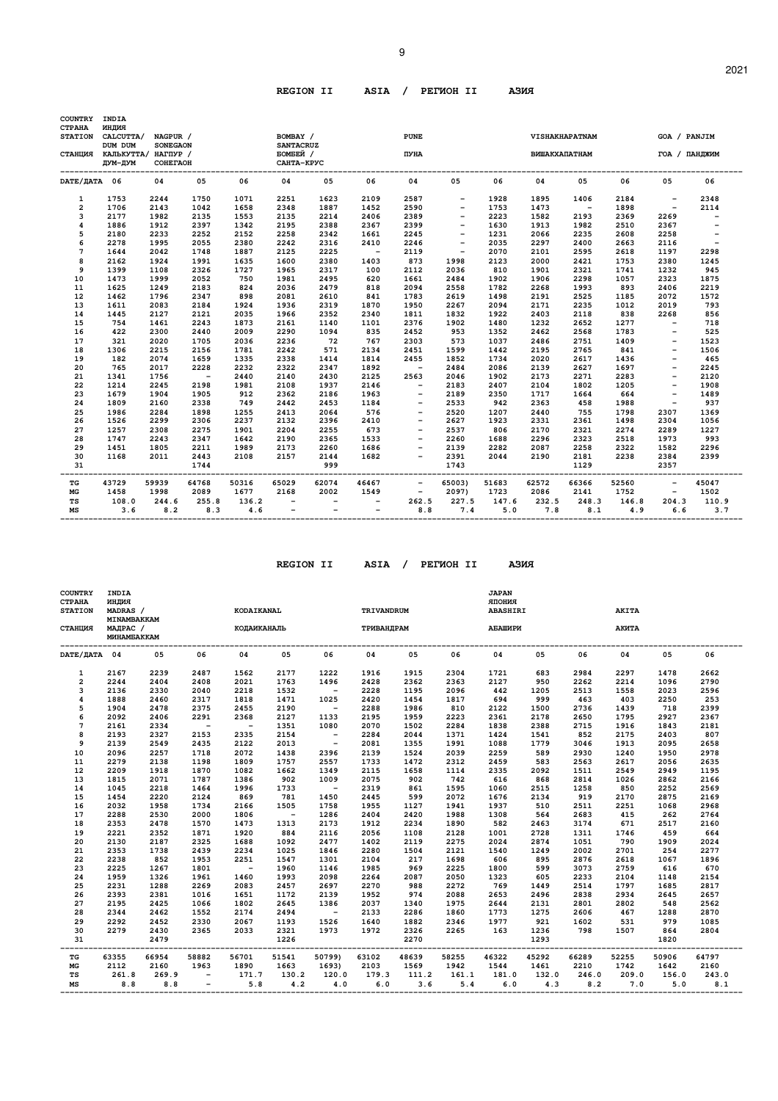# **REGION II ASIA / PEГИOH II AЗИЯ**

| <b>COUNTRY</b>                  | INDIA                       |                 |            |       |                          |                          |                          |                          |                          |       |                      |        |       |                          |                          |  |
|---------------------------------|-----------------------------|-----------------|------------|-------|--------------------------|--------------------------|--------------------------|--------------------------|--------------------------|-------|----------------------|--------|-------|--------------------------|--------------------------|--|
| <b>CTPAHA</b><br><b>STATION</b> | индия<br>CALCUTTA/          | NAGPUR /        |            |       | BOMBAY /                 |                          |                          | <b>PUNE</b>              |                          |       |                      |        |       | GOA / PANJIM             |                          |  |
|                                 | DUM DUM                     | <b>SONEGAON</b> |            |       | <b>SANTACRUZ</b>         |                          |                          |                          |                          |       | VISHAKHAPATNAM       |        |       |                          |                          |  |
|                                 | СТАНЦИЯ КАЛЬКУТТА/ НАГПУР / |                 |            |       | БОМБЕЙ /                 |                          |                          | ПУНА                     |                          |       | <b>ВИШАКХАПАТНАМ</b> |        |       | ГОА / ПАНДЖИМ            |                          |  |
|                                 | ДУМ-ДУМ                     | COHETAOH        |            |       | САНТА-КРУС               |                          |                          |                          |                          |       |                      |        |       |                          |                          |  |
| DATE/JATA 06                    |                             | 04              | 05         | 06    | 04                       | 05                       | 06                       | 04                       | 05                       | 06    | 04                   | 05     | 06    | 05                       | 06                       |  |
| $\mathbf{1}$                    | 1753                        | 2244            | 1750       | 1071  | 2251                     | 1623                     | 2109                     | 2587                     | $\overline{\phantom{a}}$ | 1928  | 1895                 | 1406   | 2184  | $\overline{\phantom{a}}$ | 2348                     |  |
| $\overline{a}$                  | 1706                        | 2143            | 1042       | 1658  | 2348                     | 1887                     | 1452                     | 2590                     |                          | 1753  | 1473                 | $\sim$ | 1898  | $\overline{\phantom{a}}$ | 2114                     |  |
| 3                               | 2177                        | 1982            | 2135       | 1553  | 2135                     | 2214                     | 2406                     | 2389                     |                          | 2223  | 1582                 | 2193   | 2369  | 2269                     | $\overline{\phantom{a}}$ |  |
| 4                               | 1886                        | 1912            | 2397       | 1342  | 2195                     | 2388                     | 2367                     | 2399                     | $\overline{\phantom{a}}$ | 1630  | 1913                 | 1982   | 2510  | 2367                     | $\overline{\phantom{0}}$ |  |
| 5                               | 2180                        | 2233            | 2252       | 2152  | 2258                     | 2342                     | 1661                     | 2245                     |                          | 1231  | 2066                 | 2235   | 2608  | 2258                     |                          |  |
| 6                               | 2278                        | 1995            | 2055       | 2380  | 2242                     | 2316                     | 2410                     | 2246                     | $\overline{\phantom{a}}$ | 2035  | 2297                 | 2400   | 2663  | 2116                     | $\overline{\phantom{a}}$ |  |
| 7                               | 1644                        | 2042            | 1748       | 1887  | 2125                     | 2225                     | $\sim$ $-$               | 2119                     | $\overline{\phantom{a}}$ | 2070  | 2101                 | 2595   | 2618  | 1197                     | 2298                     |  |
| 8                               | 2162                        | 1924            | 1991       | 1635  | 1600                     | 2380                     | 1403                     | 873                      | 1998                     | 2123  | 2000                 | 2421   | 1753  | 2380                     | 1245                     |  |
| 9                               | 1399                        | 1108            | 2326       | 1727  | 1965                     | 2317                     | 100                      | 2112                     | 2036                     | 810   | 1901                 | 2321   | 1741  | 1232                     | 945                      |  |
| 10                              | 1473                        | 1999            | 2052       | 750   | 1981                     | 2495                     | 620                      | 1661                     | 2484                     | 1902  | 1906                 | 2298   | 1057  | 2323                     | 1875                     |  |
| 11                              | 1625                        | 1249            | 2183       | 824   | 2036                     | 2479                     | 818                      | 2094                     | 2558                     | 1782  | 2268                 | 1993   | 893   | 2406                     | 2219                     |  |
| 12                              | 1462                        | 1796            | 2347       | 898   | 2081                     | 2610                     | 841                      | 1783                     | 2619                     | 1498  | 2191                 | 2525   | 1185  | 2072                     | 1572                     |  |
| 13                              | 1611                        | 2083            | 2184       | 1924  | 1936                     | 2319                     | 1870                     | 1950                     | 2267                     | 2094  | 2171                 | 2235   | 1012  | 2019                     | 793                      |  |
| 14                              | 1445                        | 2127            | 2121       | 2035  | 1966                     | 2352                     | 2340                     | 1811                     | 1832                     | 1922  | 2403                 | 2118   | 838   | 2268                     | 856                      |  |
| 15                              | 754                         | 1461            | 2243       | 1873  | 2161                     | 1140                     | 1101                     | 2376                     | 1902                     | 1480  | 1232                 | 2652   | 1277  | $\overline{\phantom{a}}$ | 718                      |  |
| 16                              | 422                         | 2300            | 2440       | 2009  | 2290                     | 1094                     | 835                      | 2452                     | 953                      | 1352  | 2462                 | 2568   | 1783  | $\overline{\phantom{a}}$ | 525                      |  |
| 17                              | 321                         | 2020            | 1705       | 2036  | 2236                     | 72                       | 767                      | 2303                     | 573                      | 1037  | 2486                 | 2751   | 1409  | $\overline{\phantom{a}}$ | 1523                     |  |
| 18                              | 1306                        | 2215            | 2156       | 1781  | 2242                     | 571                      | 2134                     | 2451                     | 1599                     | 1442  | 2195                 | 2765   | 841   |                          | 1506                     |  |
| 19                              | 182                         | 2074            | 1659       | 1335  | 2338                     | 1414                     | 1814                     | 2455                     | 1852                     | 1734  | 2020                 | 2617   | 1436  | $\overline{\phantom{a}}$ | 465                      |  |
| 20                              | 765                         | 2017            | 2228       | 2232  | 2322                     | 2347                     | 1892                     | $\sim$                   | 2484                     | 2086  | 2139                 | 2627   | 1697  | $\overline{\phantom{a}}$ | 2245                     |  |
| 21                              | 1341                        | 1756            | $\sim$ $-$ | 2440  | 2140                     | 2430                     | 2125                     | 2563                     | 2046                     | 1902  | 2173                 | 2271   | 2283  | $\overline{\phantom{a}}$ | 2120                     |  |
| 22                              | 1214                        | 2245            | 2198       | 1981  | 2108                     | 1937                     | 2146                     | $\overline{\phantom{0}}$ | 2183                     | 2407  | 2104                 | 1802   | 1205  | $\overline{\phantom{0}}$ | 1908                     |  |
| 23                              | 1679                        | 1904            | 1905       | 912   | 2362                     | 2186                     | 1963                     | $\overline{\phantom{a}}$ | 2189                     | 2350  | 1717                 | 1664   | 664   | $\overline{\phantom{a}}$ | 1489                     |  |
| 24                              | 1809                        | 2160            | 2338       | 749   | 2442                     | 2453                     | 1184                     |                          | 2533                     | 942   | 2363                 | 458    | 1988  | $\overline{\phantom{a}}$ | 937                      |  |
| 25                              | 1986                        | 2284            | 1898       | 1255  | 2413                     | 2064                     | 576                      | $\qquad \qquad -$        | 2520                     | 1207  | 2440                 | 755    | 1798  | 2307                     | 1369                     |  |
| 26                              | 1526                        | 2299            | 2306       | 2237  | 2132                     | 2396                     | 2410                     |                          | 2627                     | 1923  | 2331                 | 2361   | 1498  | 2304                     | 1056                     |  |
| 27                              | 1257                        | 2308            | 2275       | 1901  | 2204                     | 2255                     | 673                      | $\overline{\phantom{0}}$ | 2537                     | 806   | 2170                 | 2321   | 2274  | 2289                     | 1227                     |  |
| 28                              | 1747                        | 2243            | 2347       | 1642  | 2190                     | 2365                     | 1533                     |                          | 2260                     | 1688  | 2296                 | 2323   | 2518  | 1973                     | 993                      |  |
| 29                              | 1451                        | 1805            | 2211       | 1989  | 2173                     | 2260                     | 1686                     |                          | 2139                     | 2282  | 2087                 | 2258   | 2322  | 1582                     | 2296                     |  |
| 30                              | 1168                        | 2011            | 2443       | 2108  | 2157                     | 2144                     | 1682                     |                          | 2391                     | 2044  | 2190                 | 2181   | 2238  | 2384                     | 2399                     |  |
| 31                              |                             |                 | 1744       |       |                          | 999                      |                          |                          | 1743                     |       |                      | 1129   |       | 2357                     |                          |  |
| TG                              | 43729                       | 59939           | 64768      | 50316 | 65029                    | 62074                    | 46467                    | $\overline{\phantom{a}}$ | 65003)                   | 51683 | 62572                | 66366  | 52560 | $\overline{\phantom{a}}$ | 45047                    |  |
| MG                              | 1458                        | 1998            | 2089       | 1677  | 2168                     | 2002                     | 1549                     | $\overline{\phantom{a}}$ | 2097)                    | 1723  | 2086                 | 2141   | 1752  | $\overline{\phantom{a}}$ | 1502                     |  |
| TS                              | 108.0                       | 244.6           | 255.8      | 136.2 | $\overline{\phantom{a}}$ | $\overline{\phantom{a}}$ | $\overline{\phantom{a}}$ | 262.5                    | 227.5                    | 147.6 | 232.5                | 248.3  | 146.8 | 204.3                    | 110.9                    |  |
| MS                              | 3.6                         | 8.2             | 8.3        | 4.6   | $\qquad \qquad -$        |                          |                          | 8.8                      | 7.4                      | 5.0   | 7.8                  | 8.1    | 4.9   | 6.6                      | 3.7                      |  |

 **REGION II ASIA / PEГИOH II AЗИЯ**

| <b>COUNTRY</b><br><b>CTPAHA</b><br><b>STATION</b><br>СТАНЦИЯ | INDIA<br>индия<br>MADRAS /<br>MINAMBAKKAM<br>МАДРАС /<br>MUHAMBAKKAM |       |            | KODAIKANAL<br><b>КОДАИКАНАЛЬ</b> |            |                      | TRIVANDRUM<br>ТРИВАНДРАМ     |       |       | <b>JAPAN</b><br>RNHOIIR<br><b>ABASHIRI</b><br>АБАШИРИ |       |           | <b>AKITA</b><br>АКИТА |       |       |
|--------------------------------------------------------------|----------------------------------------------------------------------|-------|------------|----------------------------------|------------|----------------------|------------------------------|-------|-------|-------------------------------------------------------|-------|-----------|-----------------------|-------|-------|
| DATE/ДАТА 04                                                 |                                                                      | 05    | 06         | 04                               | 05         | 06                   | 04                           | 05    | 06    | 04                                                    | 05    | 06        | 04                    | 05    | 06    |
| $\mathbf{1}$                                                 | 2167                                                                 | 2239  | 2487       | 1562                             | 2177       | 1222                 | 1916                         | 1915  | 2304  | 1721                                                  | 683   | 2984      | 2297                  | 1478  | 2662  |
| $\overline{a}$                                               | 2244                                                                 | 2404  | 2408       | 2021                             | 1763       | 1496                 | 2428                         | 2362  | 2363  | 2127                                                  | 950   | 2262      | 2214                  | 1096  | 2790  |
| 3                                                            | 2136                                                                 | 2330  | 2040       | 2218                             | 1532       | $\sim$ $-$           | 2228                         | 1195  | 2096  | 442                                                   | 1205  | 2513      | 1558                  | 2023  | 2596  |
| $\overline{\mathbf{4}}$                                      | 1888                                                                 | 2460  | 2317       | 1818                             | 1471       | 1025                 | 2420                         | 1454  | 1817  | 694                                                   | 999   | 463       | 403                   | 2250  | 253   |
| 5                                                            | 1904                                                                 | 2478  | 2375       | 2455                             | 2190       | $\sim 100$ m $^{-1}$ | 2288                         | 1986  | 810   | 2122                                                  | 1500  | 2736      | 1439                  | 718   | 2399  |
| 6                                                            | 2092                                                                 | 2406  | 2291       | 2368                             | 2127       | 1133                 | 2195                         | 1959  | 2223  | 2361                                                  | 2178  | 2650      | 1795                  | 2927  | 2367  |
| $\overline{7}$                                               | 2161                                                                 | 2334  | $\sim$     | $\sim$ $-$                       | 1351       | 1080                 | 2070                         | 1502  | 2284  | 1838                                                  | 2388  | 2715      | 1916                  | 1843  | 2181  |
| 8                                                            | 2193                                                                 | 2327  | 2153       | 2335                             | 2154       | $\sim$ $-$           | 2284                         | 2044  | 1371  | 1424                                                  | 1541  | 852       | 2175                  | 2403  | 807   |
| 9                                                            | 2139                                                                 | 2549  | 2435       | 2122                             | 2013       | $\sim$ $-$           | 2081                         | 1355  | 1991  | 1088                                                  | 1779  | 3046      | 1913                  | 2095  | 2658  |
| 10                                                           | 2096                                                                 | 2257  | 1718       | 2072                             | 1438       | 2396                 | 2139                         | 1524  | 2039  | 2259                                                  | 589   | 2930      | 1240                  | 1950  | 2978  |
| 11                                                           | 2279                                                                 | 2138  | 1198       | 1809                             | 1757       | 2557                 | 1733                         | 1472  | 2312  | 2459                                                  | 583   | 2563      | 2617                  | 2056  | 2635  |
| 12                                                           | 2209                                                                 | 1918  | 1870       | 1082                             | 1662       | 1349                 | 2115                         | 1658  | 1114  | 2335                                                  | 2092  | 1511      | 2549                  | 2949  | 1195  |
| 13                                                           | 1815                                                                 | 2071  | 1787       | 1386                             | 902        | 1009                 | 2075                         | 902   | 742   | 616                                                   | 868   | 2814      | 1026                  | 2862  | 2166  |
| 14                                                           | 1045                                                                 | 2218  | 1464       | 1996                             | 1733       | $\sim$ $-$           | 2319                         | 861   | 1595  | 1060                                                  | 2515  | 1258      | 850                   | 2252  | 2569  |
| 15                                                           | 1454                                                                 | 2220  | 2124       | 869                              | 781        | 1450                 | 2445                         | 599   | 2072  | 1676                                                  | 2134  | 919       | 2170                  | 2875  | 2169  |
| 16                                                           | 2032                                                                 | 1958  | 1734       | 2166                             | 1505       | 1758                 | 1955                         | 1127  | 1941  | 1937                                                  | 510   | 2511      | 2251                  | 1068  | 2968  |
| 17                                                           | 2288                                                                 | 2530  | 2000       | 1806                             | $\sim$ $-$ | 1286                 | 2404                         | 2420  | 1988  | 1308                                                  | 564   | 2683      | 415                   | 262   | 2764  |
| 18                                                           | 2353                                                                 | 2478  | 1570       | 1473                             | 1313       | 2173                 | 1912                         | 2234  | 1890  | 582                                                   | 2463  | 3174      | 671                   | 2517  | 2160  |
| 19                                                           | 2221                                                                 | 2352  | 1871       | 1920                             | 884        | 2116                 | 2056                         | 1108  | 2128  | 1001                                                  | 2728  | 1311      | 1746                  | 459   | 664   |
| 20                                                           | 2130                                                                 | 2187  | 2325       | 1688                             | 1092       | 2477                 | 1402                         | 2119  | 2275  | 2024                                                  | 2874  | 1051      | 790                   | 1909  | 2024  |
| 21                                                           | 2353                                                                 | 1738  | 2439       | 2234                             | 1025       | 1846                 | 2280                         | 1504  | 2121  | 1540                                                  | 1249  | 2002      | 2701                  | 254   | 2277  |
| 22                                                           | 2238                                                                 | 852   | 1953       | 2251                             | 1547       | 1301                 | 2104                         | 217   | 1698  | 606                                                   | 895   | 2876      | 2618                  | 1067  | 1896  |
| 23                                                           | 2225                                                                 | 1267  | 1801       | $\sim$ $-$                       | 1960       | 1146                 | 1985                         | 969   | 2225  | 1800                                                  | 599   | 3073      | 2759                  | 616   | 670   |
| 24                                                           | 1959                                                                 | 1326  | 1961       | 1460                             | 1993       | 2098                 | 2264                         | 2087  | 2050  | 1323                                                  | 605   | 2233      | 2104                  | 1148  | 2154  |
| 25                                                           | 2231                                                                 | 1288  | 2269       | 2083                             | 2457       | 2697                 | 2270                         | 988   | 2272  | 769                                                   | 1449  | 2514      | 1797                  | 1685  | 2817  |
| 26                                                           | 2393                                                                 | 2381  | 1016       | 1651                             | 1172       | 2139                 | 1952                         | 974   | 2088  | 2653                                                  | 2496  | 2838      | 2934                  | 2645  | 2657  |
| 27                                                           | 2195                                                                 | 2425  | 1066       | 1802                             | 2645       | 1386                 | 2037                         | 1340  | 1975  | 2644                                                  | 2131  | 2801      | 2802                  | 548   | 2562  |
| 28                                                           | 2344                                                                 | 2462  | 1552       | 2174                             | 2494       | $\sim$ $-$           | 2133                         | 2286  | 1860  | 1773                                                  | 1275  | 2606      | 467                   | 1288  | 2870  |
| 29                                                           | 2292                                                                 | 2452  | 2330       | 2067                             | 1193       | 1526                 | 1640                         | 1882  | 2346  | 1977                                                  | 921   | 1602      | 531                   | 979   | 1085  |
| 30                                                           | 2279                                                                 | 2430  | 2365       | 2033                             | 2321       | 1973                 | 1972                         | 2326  | 2265  | 163                                                   | 1236  | 798       | 1507                  | 864   | 2804  |
| 31<br>----                                                   |                                                                      | 2479  |            | -----------------------------    | 1226       |                      | ---------------------------- | 2270  |       | ---------------------------                           | 1293  | --------- | ----------------      | 1820  |       |
| TG                                                           | 63355                                                                | 66954 | 58882      | 56701                            | 51541      | 50799)               | 63102                        | 48639 | 58255 | 46322                                                 | 45292 | 66289     | 52255                 | 50906 | 64797 |
| $_{\rm MG}$                                                  | 2112                                                                 | 2160  | 1963       | 1890                             | 1663       | 1693)                | 2103                         | 1569  | 1942  | 1544                                                  | 1461  | 2210      | 1742                  | 1642  | 2160  |
| TS                                                           | 261.8                                                                | 269.9 | $\sim$ $-$ | 171.7                            | 130.2      | 120.0                | 179.3                        | 111.2 | 161.1 | 181.0                                                 | 132.0 | 246.0     | 209.0                 | 156.0 | 243.0 |
| MS                                                           | 8.8                                                                  | 8.8   | $ \,$      | 5.8                              | 4.2        | 4.0                  | 6.0                          | 3.6   | 5.4   | 6.0                                                   | 4.3   | 8.2       | 7.0                   | 5.0   | 8.1   |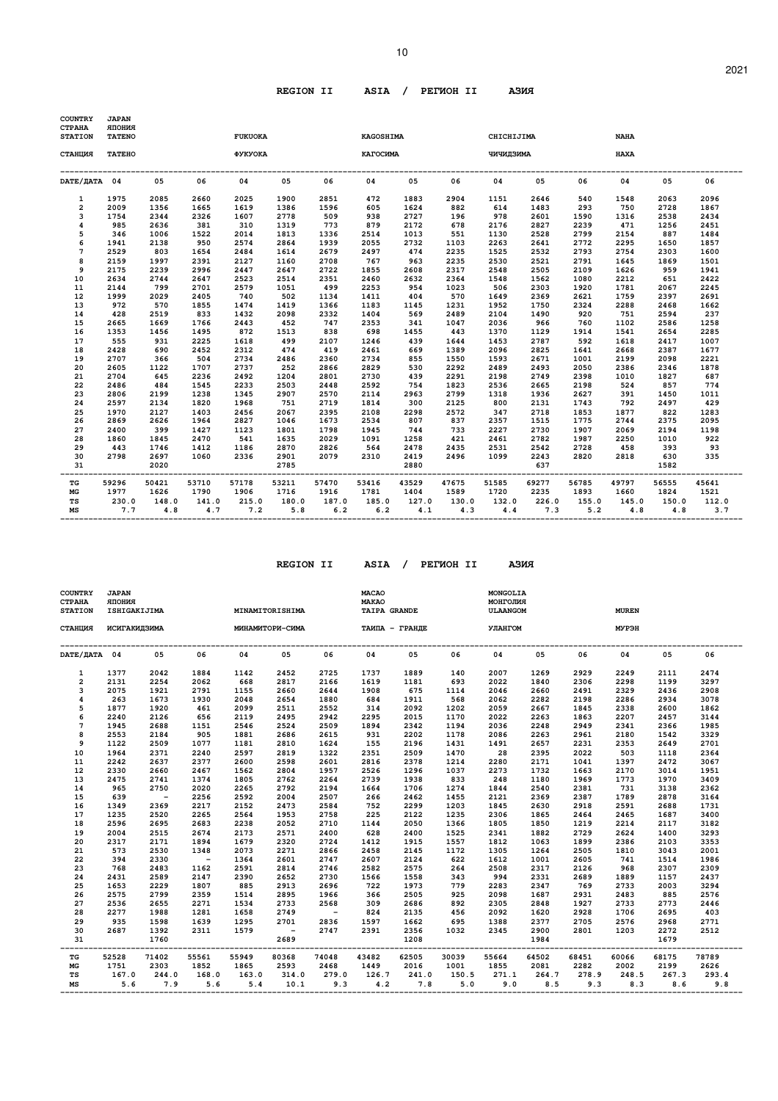# **REGION II ASIA / PEГИOH II AЗИЯ**

| <b>COUNTRY</b><br><b>CTPAHA</b><br><b>STATION</b> | <b>JAPAN</b><br><b>RNHOIIR</b><br><b>TATENO</b> |              |              | <b>KAGOSHIMA</b><br><b>FUKUOKA</b><br>CHICHIJIMA<br><b>NAHA</b> |             |              |                              |             |              |             |              |                  |                   |                    |             |  |
|---------------------------------------------------|-------------------------------------------------|--------------|--------------|-----------------------------------------------------------------|-------------|--------------|------------------------------|-------------|--------------|-------------|--------------|------------------|-------------------|--------------------|-------------|--|
| СТАНЦИЯ                                           | <b>TATEHO</b>                                   |              |              | ФУКУОКА                                                         |             |              | КАГОСИМА                     |             |              | АМКЕДИРИР   |              |                  | <b>HAXA</b>       |                    |             |  |
| DATE/ <b>ДАТА</b> 04                              |                                                 | 05           | 06           | 04                                                              | 05          | 06           | 04                           | 05          | 06           | 04          | 05           | 06               | 04                | 05                 | 06          |  |
| 1                                                 | 1975                                            | 2085         | 2660         | 2025                                                            | 1900        | 2851         | 472                          | 1883        | 2904         | 1151        | 2646         | 540              | 1548              | 2063               | 2096        |  |
| $\overline{a}$                                    | 2009                                            | 1356         | 1665         | 1619                                                            | 1386        | 1596         | 605                          | 1624        | 882          | 614         | 1483         | 293              | 750               | 2728               | 1867        |  |
| 3                                                 | 1754                                            | 2344         | 2326         | 1607                                                            | 2778        | 509          | 938                          | 2727        | 196          | 978         | 2601         | 1590             | 1316              | 2538               | 2434        |  |
| 4                                                 | 985                                             | 2636         | 381          | 310                                                             | 1319        | 773          | 879                          | 2172        | 678          | 2176        | 2827         | 2239             | 471               | 1256               | 2451        |  |
| 5                                                 | 346                                             | 1006         | 1522         | 2014                                                            | 1813        | 1336         | 2514                         | 1013        | 551          | 1130        | 2528         | 2799             | 2154              | 887                | 1484        |  |
| 6                                                 | 1941                                            | 2138         | 950          | 2574                                                            | 2864        | 1939         | 2055                         | 2732        | 1103         | 2263        | 2641         | 2772             | 2295              | 1650               | 1857        |  |
| $\overline{7}$                                    | 2529                                            | 803          | 1654         | 2484                                                            | 1614        | 2679         | 2497                         | 474         | 2235         | 1525        | 2532         | 2793             | 2754              | 2303               | 1600        |  |
| 8                                                 | 2159                                            | 1997         | 2391         | 2127                                                            | 1160        | 2708         | 767                          | 963         | 2235         | 2530        | 2521         | 2791             | 1645              | 1869               | 1501        |  |
| 9                                                 | 2175                                            | 2239         | 2996         | 2447                                                            | 2647        | 2722         | 1855                         | 2608        | 2317         | 2548        | 2505         | 2109             | 1626              | 959                | 1941        |  |
| 10                                                | 2634                                            | 2744         | 2647         | 2523                                                            | 2514        | 2351         | 2460                         | 2632        | 2364         | 1548        | 1562         | 1080             | 2212              | 651                | 2422        |  |
| 11                                                | 2144                                            | 799          | 2701         | 2579                                                            | 1051        | 499          | 2253                         | 954         | 1023         | 506         | 2303         | 1920             | 1781              | 2067               | 2245        |  |
| 12                                                | 1999                                            | 2029         | 2405         | 740                                                             | 502         | 1134         | 1411                         | 404         | 570          | 1649        | 2369         | 2621             | 1759              | 2397               | 2691        |  |
| 13                                                | 972                                             | 570          | 1855         | 1474                                                            | 1419        | 1366         | 1183                         | 1145        | 1231         | 1952        | 1750         | 2324             | 2288              | 2468               | 1662        |  |
| 14                                                | 428                                             | 2519         | 833          | 1432                                                            | 2098        | 2332         | 1404                         | 569         | 2489         | 2104        | 1490         | 920              | 751               | 2594               | 237         |  |
| 15                                                | 2665                                            | 1669         | 1766         | 2443                                                            | 452         | 747          | 2353                         | 341         | 1047         | 2036        | 966          | 760              | 1102              | 2586               | 1258        |  |
| 16                                                | 1353                                            | 1456         | 1495         | 872                                                             | 1513        | 838          | 698                          | 1455        | 443          | 1370        | 1129         | 1914             | 1541              | 2654               | 2285        |  |
| 17                                                | 555                                             | 931          | 2225         | 1618                                                            | 499         | 2107         | 1246                         | 439         | 1644         | 1453        | 2787         | 592              | 1618              | 2417               | 1007        |  |
| 18                                                | 2428                                            | 690          | 2452         | 2312                                                            | 474         | 419          | 2461                         | 669         | 1389         | 2096        | 2825         | 1641             | 2668              | 2387               | 1677        |  |
| 19                                                | 2707                                            | 366          | 504          | 2734                                                            | 2486        | 2360         | 2734                         | 855         | 1550         | 1593        | 2671         | 1001             | 2199              | 2098               | 2221        |  |
| 20                                                | 2605                                            | 1122         | 1707         | 2737                                                            | 252         | 2866         | 2829                         | 530         | 2292         | 2489        | 2493         | 2050             | 2386              | 2346               | 1878        |  |
| 21                                                | 2704                                            | 645          | 2236         | 2492                                                            | 1204        | 2801         | 2730                         | 439         | 2291         | 2198        | 2749         | 2398             | 1010              | 1827               | 687         |  |
| 22                                                | 2486                                            | 484          | 1545         | 2233                                                            | 2503        | 2448         | 2592                         | 754         | 1823<br>2799 | 2536        | 2665         | 2198             | 524               | 857                | 774         |  |
| 23                                                | 2806<br>2597                                    | 2199<br>2134 | 1238         | 1345                                                            | 2907<br>751 | 2570<br>2719 | 2114                         | 2963        | 2125         | 1318<br>800 | 1936<br>2131 | 2627<br>1743     | 391<br>792        | 1450<br>2497       | 1011<br>429 |  |
| 24<br>25                                          | 1970                                            | 2127         | 1820<br>1403 | 1968<br>2456                                                    | 2067        | 2395         | 1814<br>2108                 | 300<br>2298 | 2572         | 347         | 2718         | 1853             | 1877              | 822                | 1283        |  |
| 26                                                | 2869                                            | 2626         | 1964         | 2827                                                            | 1046        | 1673         | 2534                         | 807         | 837          | 2357        | 1515         | 1775             | 2744              | 2375               | 2095        |  |
| 27                                                | 2400                                            | 399          | 1427         | 1123                                                            | 1801        | 1798         | 1945                         | 744         | 733          | 2227        | 2730         | 1907             | 2069              | 2194               | 1198        |  |
| 28                                                | 1860                                            | 1845         | 2470         | 541                                                             | 1635        | 2029         | 1091                         | 1258        | 421          | 2461        | 2782         | 1987             | 2250              | 1010               | 922         |  |
| 29                                                | 443                                             | 1746         | 1412         | 1186                                                            | 2870        | 2826         | 564                          | 2478        | 2435         | 2531        | 2542         | 2728             | 458               | 393                | 93          |  |
| 30                                                | 2798                                            | 2697         | 1060         | 2336                                                            | 2901        | 2079         | 2310                         | 2419        | 2496         | 1099        | 2243         | 2820             | 2818              | 630                | 335         |  |
| 31                                                |                                                 | 2020         |              | -------------------------------------                           | 2785        |              | ---------------------------- | 2880        |              |             | 637          |                  |                   | 1582<br>. <u>.</u> |             |  |
| ----<br>TG                                        | 59296                                           | 50421        | 53710        | 57178                                                           | 53211       | 57470        | 53416                        | 43529       | 47675        | 51585       | 69277        | -------<br>56785 | --------<br>49797 | 56555              | 45641       |  |
| МG                                                | 1977                                            | 1626         | 1790         | 1906                                                            | 1716        | 1916         | 1781                         | 1404        | 1589         | 1720        | 2235         | 1893             | 1660              | 1824               | 1521        |  |
| TS                                                | 230.0                                           | 148.0        | 141.0        | 215.0                                                           | 180.0       | 187.0        |                              | 185.0 127.0 |              | 130.0 132.0 | 226.0        |                  | 155.0 145.0       | 150.0              | 112.0       |  |
| МS                                                | 7.7                                             | 4.8          |              | 4.7 7.2                                                         | 5.8         | 6.2          | 6.2                          | 4.1         |              | $4.3$ $4.4$ | 7.3          |                  | $5.2$ $4.8$       | 4.8                | 3.7         |  |

10

 **REGION II ASIA / PEГИOH II AЗИЯ**

| אזכ<br>ия<br>ш<br>۰. |
|----------------------|
|----------------------|

| <b>COUNTRY</b><br><b>CTPAHA</b><br><b>STATION</b> | <b>JAPAN</b><br><b>RNHOIIR</b><br>ISHIGAKIJIMA |                   |             | MINAMITORISHIMA                                      |            |                                                 | <b>MACAO</b><br><b>MAKAO</b><br><b>TAIPA GRANDE</b> |       |       | MONGOLIA<br>МОНГОЛИЯ<br>ULAANGOM |       |       | <b>MUREN</b> |       |       |
|---------------------------------------------------|------------------------------------------------|-------------------|-------------|------------------------------------------------------|------------|-------------------------------------------------|-----------------------------------------------------|-------|-------|----------------------------------|-------|-------|--------------|-------|-------|
| СТАНЦИЯ                                           | ИСИГАКИДЗИМА                                   |                   |             | МИНАМИТОРИ-СИМА ТАИПА - ГРАНДЕ                       |            |                                                 |                                                     |       |       | <b>УЛАНГОМ</b>                   |       |       | <b>MYP9H</b> |       |       |
| DATA 04 05                                        |                                                |                   | 06          | 04                                                   | 0.5        | 06                                              | 04                                                  | 05    | 06    | 04                               | 05    | 06    | 04           | 0.5   | 06    |
| $\mathbf{1}$                                      | 1377                                           | 2042              | 1884        | 1142                                                 | 2452       | 2725                                            | 1737                                                | 1889  | 140   | 2007                             | 1269  | 2929  | 2249         | 2111  | 2474  |
| $\overline{2}$                                    | 2131                                           | 2254              | 2062        | 668                                                  | 2817       | 2166                                            | 1619                                                | 1181  | 693   | 2022                             | 1840  | 2306  | 2298         | 1199  | 3297  |
| 3                                                 | 2075                                           | 1921              | 2791        | 1155                                                 | 2660       | 2644                                            | 1908                                                | 675   | 1114  | 2046                             | 2660  | 2491  | 2329         | 2436  | 2908  |
| 4                                                 | 263                                            | 1673              | 1930        | 2048                                                 | 2654       | 1880                                            | 684                                                 | 1911  | 568   | 2062                             | 2282  | 2198  | 2286         | 2934  | 3078  |
| 5                                                 | 1877                                           | 1920              | 461         | 2099                                                 | 2511       | 2552                                            | 314                                                 | 2092  | 1202  | 2059                             | 2667  | 1845  | 2338         | 2600  | 1862  |
| 6                                                 | 2240                                           | 2126              | 656         | 2119                                                 | 2495       | 2942                                            | 2295                                                | 2015  | 1170  | 2022                             | 2263  | 1863  | 2207         | 2457  | 3144  |
| $\overline{7}$                                    | 1945                                           | 2688              | 1151        | 2546                                                 | 2524       | 2509                                            | 1894                                                | 2342  | 1194  | 2036                             | 2248  | 2949  | 2341         | 2366  | 1985  |
| 8                                                 | 2553                                           | 2184              | 905         | 1881                                                 | 2686       | 2615                                            | 931                                                 | 2202  | 1178  | 2086                             | 2263  | 2961  | 2180         | 1542  | 3329  |
| 9                                                 | 1122                                           | 2509              | 1077        | 1181                                                 | 2810       | 1624                                            | 155                                                 | 2196  | 1431  | 1491                             | 2657  | 2231  | 2353         | 2649  | 2701  |
| 10                                                | 1964                                           | 2371              | 2240        | 2597                                                 | 2819       | 1322                                            | 2351                                                | 2509  | 1470  | 28                               | 2395  | 2022  | 503          | 1118  | 2364  |
| 11                                                | 2242                                           | 2637              | 2377        | 2600                                                 | 2598       | 2601                                            | 2816                                                | 2378  | 1214  | 2280                             | 2171  | 1041  | 1397         | 2472  | 3067  |
| 12                                                | 2330                                           | 2660              | 2467        | 1562                                                 | 2804       | 1957                                            | 2526                                                | 1296  | 1037  | 2273                             | 1732  | 1663  | 2170         | 3014  | 1951  |
| 13                                                | 2475                                           | 2741              | 1374        | 1805                                                 | 2762       | 2264                                            | 2739                                                | 1938  | 833   | 248                              | 1180  | 1969  | 1773         | 1970  | 3409  |
| 14                                                | 965                                            | 2750              | 2020        | 2265                                                 | 2792       | 2194                                            | 1664                                                | 1706  | 1274  | 1844                             | 2540  | 2381  | 731          | 3138  | 2362  |
| 15                                                | 639                                            | $\sim$ $-$        | 2256        | 2592                                                 | 2004       | 2507                                            | 266                                                 | 2462  | 1455  | 2121                             | 2369  | 2387  | 1789         | 2878  | 3164  |
| 16                                                | 1349                                           | 2369              | 2217        | 2152                                                 | 2473       | 2584                                            | 752                                                 | 2299  | 1203  | 1845                             | 2630  | 2918  | 2591         | 2688  | 1731  |
| 17                                                | 1235                                           | 2520              | 2265        | 2564                                                 | 1953       | 2758                                            | 225                                                 | 2122  | 1235  | 2306                             | 1865  | 2464  | 2465         | 1687  | 3400  |
| 18                                                | 2596                                           | 2695              | 2683        | 2238                                                 | 2052       | 2710                                            | 1144                                                | 2050  | 1366  | 1805                             | 1850  | 1219  | 2214         | 2117  | 3182  |
| 19                                                | 2004                                           | 2515              | 2674        | 2173                                                 | 2571       | 2400                                            | 628                                                 | 2400  | 1525  | 2341                             | 1882  | 2729  | 2624         | 1400  | 3293  |
| 20                                                | 2317                                           | 2171              | 1894        | 1679                                                 | 2320       | 2724                                            | 1412                                                | 1915  | 1557  | 1812                             | 1063  | 1899  | 2386         | 2103  | 3353  |
| 21                                                | 573                                            | 2530              | 1348        | 2073                                                 | 2271       | 2866                                            | 2458                                                | 2145  | 1172  | 1305                             | 1264  | 2505  | 1810         | 3043  | 2001  |
| 22                                                | 394                                            | 2330              | $\sim$ $ -$ | 1364                                                 | 2601       | 2747                                            | 2607                                                | 2124  | 622   | 1612                             | 1001  | 2605  | 741          | 1514  | 1986  |
| 23                                                | 768                                            | 2483              | 1162        | 2591                                                 | 2814       | 2746                                            | 2582                                                | 2575  | 264   | 2508                             | 2317  | 2126  | 968          | 2307  | 2309  |
| 24                                                | 2431                                           | 2589              | 2147        | 2390                                                 | 2652       | 2730                                            | 1566                                                | 1558  | 343   | 994                              | 2331  | 2689  | 1889         | 1157  | 2437  |
| 25                                                | 1653                                           | 2229              | 1807        | 885                                                  | 2913       | 2696                                            | 722                                                 | 1973  | 779   | 2283                             | 2347  | 769   | 2733         | 2003  | 3294  |
| 26                                                | 2575                                           | 2799              | 2359        | 1514                                                 | 2895       | 1966                                            | 366                                                 | 2505  | 925   | 2098                             | 1687  | 2931  | 2483         | 885   | 2576  |
| 27                                                | 2536                                           | 2655              | 2271        | 1534                                                 | 2733       | 2568                                            | 309                                                 | 2686  | 892   | 2305                             | 2848  | 1927  | 2733         | 2773  | 2446  |
| 28                                                | 2277                                           | 1988              | 1281        | 1658                                                 | 2749       | $\sim 100$ km s $^{-1}$                         | 824                                                 | 2135  | 456   | 2092                             | 1620  | 2928  | 1706         | 2695  | 403   |
| 29                                                | 935                                            | 1598              | 1639        | 1295                                                 | 2701       | 2836                                            | 1597                                                | 1662  | 695   | 1388                             | 2377  | 2705  | 2576         | 2968  | 2771  |
| 30                                                | 2687                                           | 1392              | 2311        | 1579                                                 | $\sim$ $-$ | 2747                                            | 2391                                                | 2356  | 1032  | 2345                             | 2900  | 2801  | 1203         | 2272  | 2512  |
| 31<br>------                                      |                                                | 1760              |             |                                                      | 2689       |                                                 | ----------------------------                        | 1208  |       |                                  | 1984  |       |              | 1679  |       |
| TG                                                | 52528                                          | 71402             | 55561       | 55949                                                | 80368      | 74048                                           | 43482                                               | 62505 | 30039 | 55664                            | 64502 | 68451 | 60066        | 68175 | 78789 |
| МG                                                | 1751                                           | 2303              | 1852        | 1865                                                 | 2593       | 2468                                            | 1449                                                | 2016  | 1001  | 1855                             | 2081  | 2282  | 2002         | 2199  | 2626  |
| TS                                                |                                                | 167.0 244.0 168.0 |             | 163.0                                                | 314.0      | 279.0 126.7 241.0 150.5 271.1 264.7 278.9 248.5 |                                                     |       |       |                                  |       |       |              | 267.3 | 293.4 |
| МS                                                | 5.6                                            |                   |             | 7.9 5.6 5.4 10.1 9.3 4.2 7.8 5.0 9.0 8.5 9.3 8.3 8.6 |            |                                                 |                                                     |       |       |                                  |       |       |              |       | 9.8   |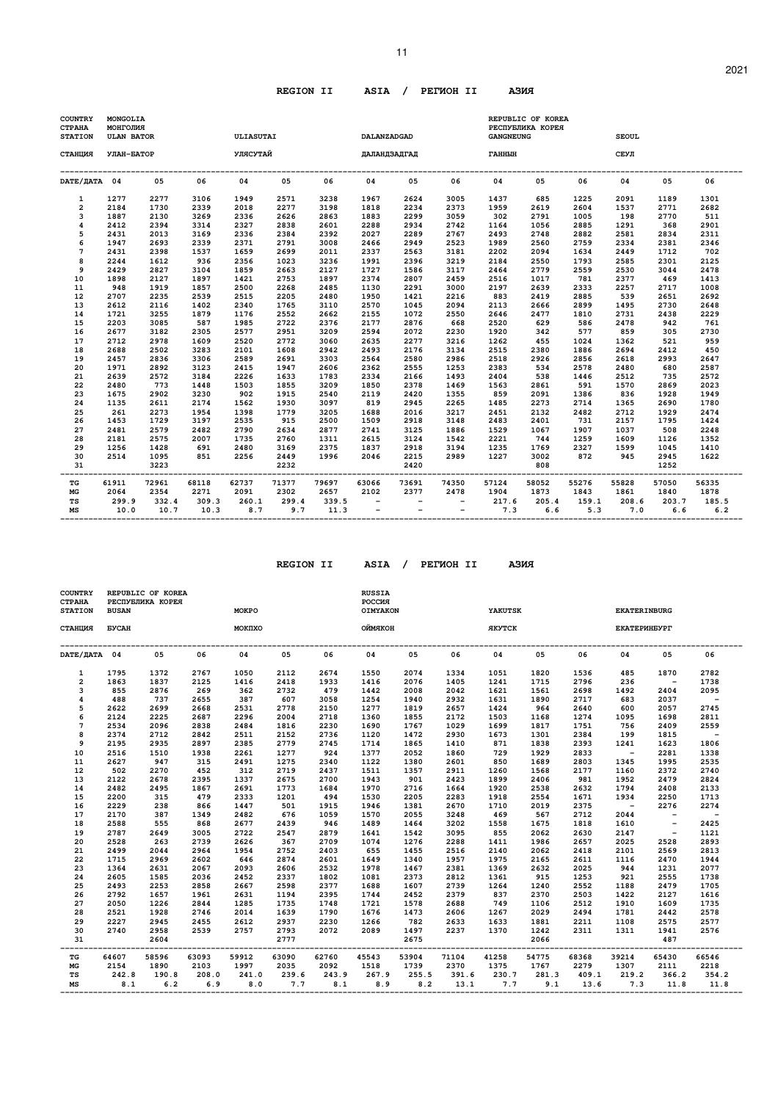# **REGION II ASIA / PEГИOH II AЗИЯ**

11

| <b>COUNTRY</b><br><b>CTPAHA</b><br><b>STATION</b> | MONGOLIA<br><b>RNITOTHOM</b><br><b>ULAN BATOR</b> |               |               | ULIASUTAI    |              |              | DALANZADGAD              |              |                                 | <b>GANGNEUNG</b> | REPUBLIC OF KOREA<br>РЕСПУБЛИКА КОРЕЯ |              | <b>SEOUL</b> |              |              |
|---------------------------------------------------|---------------------------------------------------|---------------|---------------|--------------|--------------|--------------|--------------------------|--------------|---------------------------------|------------------|---------------------------------------|--------------|--------------|--------------|--------------|
| СТАНЦИЯ                                           | УЛАН-БАТОР                                        |               |               | УЛЯСУТАЙ     |              |              | ДАЛАНДЗАДГАД             |              |                                 | ГАННЫН           |                                       |              | СЕУЛ         |              |              |
| DATE/ JATA 04                                     |                                                   | 05            | 06            | 04           | 05           | 06           | 04                       | 05           | 06                              | 04               | 05                                    | 06           | 04           | 05           | 06           |
| 1                                                 | 1277                                              | 2277          | 3106          | 1949         | 2571         | 3238         | 1967                     | 2624         | 3005                            | 1437             | 685                                   | 1225         | 2091         | 1189         | 1301         |
| $\overline{2}$                                    | 2184                                              | 1730          | 2339          | 2018         | 2277         | 3198         | 1818                     | 2234         | 2373                            | 1959             | 2619                                  | 2604         | 1537         | 2771         | 2682         |
| 3                                                 | 1887                                              | 2130          | 3269          | 2336         | 2626         | 2863         | 1883                     | 2299         | 3059                            | 302              | 2791                                  | 1005         | 198          | 2770         | 511          |
| 4<br>5                                            | 2412<br>2431                                      | 2394<br>2013  | 3314<br>3169  | 2327<br>2336 | 2838<br>2384 | 2601<br>2392 | 2288<br>2027             | 2934<br>2289 | 2742<br>2767                    | 1164<br>2493     | 1056<br>2748                          | 2885<br>2882 | 1291<br>2581 | 368<br>2834  | 2901<br>2311 |
| 6                                                 | 1947                                              | 2693          | 2339          | 2371         | 2791         | 3008         | 2466                     | 2949         | 2523                            | 1989             | 2560                                  | 2759         | 2334         | 2381         | 2346         |
| 7                                                 | 2431                                              | 2398          | 1537          | 1659         | 2699         | 2011         | 2337                     | 2563         | 3181                            | 2202             | 2094                                  | 1634         | 2449         | 1712         | 702          |
| 8                                                 | 2244                                              | 1612          | 936           | 2356         | 1023         | 3236         | 1991                     | 2396         | 3219                            | 2184             | 2550                                  | 1793         | 2585         | 2301         | 2125         |
| 9                                                 | 2429                                              | 2827          | 3104          | 1859         | 2663         | 2127         | 1727                     | 1586         | 3117                            | 2464             | 2779                                  | 2559         | 2530         | 3044         | 2478         |
| 10                                                | 1898                                              | 2127          | 1897          | 1421         | 2753         | 1897         | 2374                     | 2807         | 2459                            | 2516             | 1017                                  | 781          | 2377         | 469          | 1413         |
| 11                                                | 948                                               | 1919          | 1857          | 2500         | 2268         | 2485         | 1130                     | 2291         | 3000                            | 2197             | 2639                                  | 2333         | 2257         | 2717         | 1008         |
| 12                                                | 2707                                              | 2235          | 2539          | 2515         | 2205         | 2480         | 1950                     | 1421         | 2216                            | 883              | 2419                                  | 2885         | 539          | 2651         | 2692         |
| 13                                                | 2612                                              | 2116          | 1402          | 2340         | 1765         | 3110         | 2570                     | 1045         | 2094                            | 2113             | 2666                                  | 2899         | 1495         | 2730         | 2648         |
| 14                                                | 1721                                              | 3255          | 1879          | 1176         | 2552         | 2662         | 2155                     | 1072         | 2550                            | 2646             | 2477                                  | 1810         | 2731         | 2438         | 2229         |
| 15                                                | 2203                                              | 3085          | 587           | 1985         | 2722         | 2376         | 2177                     | 2876         | 668                             | 2520             | 629                                   | 586          | 2478         | 942          | 761          |
| 16                                                | 2677                                              | 3182          | 2305          | 2577         | 2951         | 3209         | 2594                     | 2072         | 2230                            | 1920             | 342                                   | 577          | 859          | 305          | 2730         |
| 17                                                | 2712                                              | 2978          | 1609          | 2520         | 2772         | 3060         | 2635                     | 2277         | 3216                            | 1262             | 455                                   | 1024         | 1362         | 521          | 959          |
| 18                                                | 2688                                              | 2502          | 3283          | 2101         | 1608         | 2942         | 2493                     | 2176         | 3134                            | 2515             | 2380                                  | 1886         | 2694         | 2412         | 450          |
| 19                                                | 2457                                              | 2836          | 3306          | 2589         | 2691         | 3303         | 2564                     | 2580         | 2986                            | 2518             | 2926                                  | 2856         | 2618         | 2993         | 2647         |
| 20                                                | 1971                                              | 2892          | 3123          | 2415         | 1947         | 2606         | 2362                     | 2555         | 1253                            | 2383             | 534                                   | 2578         | 2480         | 680          | 2587         |
| 21                                                | 2639                                              | 2572          | 3184          | 2226         | 1633         | 1783         | 2334                     | 2166         | 1493                            | 2404             | 538                                   | 1446         | 2512         | 735          | 2572         |
| 22<br>23                                          | 2480<br>1675                                      | 773<br>2902   | 1448<br>3230  | 1503<br>902  | 1855<br>1915 | 3209<br>2540 | 1850<br>2119             | 2378<br>2420 | 1469<br>1355                    | 1563<br>859      | 2861<br>2091                          | 591<br>1386  | 1570<br>836  | 2869<br>1928 | 2023<br>1949 |
| 24                                                | 1135                                              | 2611          | 2174          | 1562         | 1930         | 3097         | 819                      | 2945         | 2265                            | 1485             | 2273                                  | 2714         | 1365         | 2690         | 1780         |
| 25                                                | 261                                               | 2273          | 1954          | 1398         | 1779         | 3205         | 1688                     | 2016         | 3217                            | 2451             | 2132                                  | 2482         | 2712         | 1929         | 2474         |
| 26                                                | 1453                                              | 1729          | 3197          | 2535         | 915          | 2500         | 1509                     | 2918         | 3148                            | 2483             | 2401                                  | 731          | 2157         | 1795         | 1424         |
| 27                                                | 2481                                              | 2579          | 2482          | 2790         | 2634         | 2877         | 2741                     | 3125         | 1886                            | 1529             | 1067                                  | 1907         | 1037         | 508          | 2248         |
| 28                                                | 2181                                              | 2575          | 2007          | 1735         | 2760         | 1311         | 2615                     | 3124         | 1542                            | 2221             | 744                                   | 1259         | 1609         | 1126         | 1352         |
| 29                                                | 1256                                              | 1428          | 691           | 2480         | 3169         | 2375         | 1837                     | 2918         | 3194                            | 1235             | 1769                                  | 2327         | 1599         | 1045         | 1410         |
| 30                                                | 2514                                              | 1095          | 851           | 2256         | 2449         | 1996         | 2046                     | 2215         | 2989                            | 1227             | 3002                                  | 872          | 945          | 2945         | 1622         |
| 31                                                |                                                   | 3223          |               |              | 2232         |              |                          | 2420         |                                 |                  | 808                                   |              |              | 1252         |              |
| TG                                                | 61911                                             | 72961         | 68118         | 62737        | 71377        | 79697        | 63066                    | 73691        | 74350                           | 57124            | 58052                                 | 55276        | 55828        | 57050        | 56335        |
| MG                                                | 2064                                              | 2354          | 2271          | 2091         | 2302         | 2657         | 2102                     | 2377         | 2478                            | 1904             | 1873                                  | 1843         | 1861         | 1840         | 1878         |
| TS                                                | 299.9                                             | 332.4<br>10.7 | 309.3<br>10.3 | 260.1<br>8.7 | 299.4<br>9.7 | 339.5        | $\overline{\phantom{a}}$ |              | $\overline{\phantom{a}}$<br>$-$ | 217.6<br>7.3     | 205.4<br>6.6                          | 159.1        | 208.6<br>7.0 | 203.7<br>6.6 | 185.5        |
| MS                                                | 10.0                                              |               |               |              |              | 11.3         | $\overline{\phantom{a}}$ | $-$          |                                 |                  |                                       | 5.3          |              |              | 6.2          |

 **REGION II ASIA / PEГИOH II AЗИЯ**

| АЗИЯ |  |
|------|--|
|      |  |

| COUNTRY<br><b>CTPAHA</b><br><b>STATION</b> | <b>BUSAN</b> | REPUBLIC OF KOREA<br>РЕСПУБЛИКА КОРЕЯ |       | <b>MOKPO</b> |       |       | <b>RUSSIA</b><br>РОССИЯ<br>OIMYAKON |         |       | YAKUTSK       |           |       | <b>EKATERINBURG</b> |                          |                          |
|--------------------------------------------|--------------|---------------------------------------|-------|--------------|-------|-------|-------------------------------------|---------|-------|---------------|-----------|-------|---------------------|--------------------------|--------------------------|
| СТАНЦИЯ                                    | <b>EYCAH</b> |                                       |       | MOKIIXO      |       |       | ОЙМЯКОН                             |         |       | <b>ЯКУТСК</b> |           |       | <b>EKATEPMHEYPT</b> |                          |                          |
| DATE/ДАТА 04                               |              | 05                                    | 06    | 04           | 05    | 06    | 04                                  | 05      | 06    | 04            | 05        | 06    | 04                  | 05                       | 06                       |
| 1                                          | 1795         | 1372                                  | 2767  | 1050         | 2112  | 2674  | 1550                                | 2074    | 1334  | 1051          | 1820      | 1536  | 485                 | 1870                     | 2782                     |
| $\overline{a}$                             | 1863         | 1837                                  | 2125  | 1416         | 2418  | 1933  | 1416                                | 2076    | 1405  | 1241          | 1715      | 2796  | 236                 | $\overline{\phantom{a}}$ | 1738                     |
| 3                                          | 855          | 2876                                  | 269   | 362          | 2732  | 479   | 1442                                | 2008    | 2042  | 1621          | 1561      | 2698  | 1492                | 2404                     | 2095                     |
| 4                                          | 488          | 737                                   | 2655  | 387          | 607   | 3058  | 1254                                | 1940    | 2932  | 1631          | 1890      | 2717  | 683                 | 2037                     | $\sim$                   |
| 5                                          | 2622         | 2699                                  | 2668  | 2531         | 2778  | 2150  | 1277                                | 1819    | 2657  | 1424          | 964       | 2640  | 600                 | 2057                     | 2745                     |
| 6                                          | 2124         | 2225                                  | 2687  | 2296         | 2004  | 2718  | 1360                                | 1855    | 2172  | 1503          | 1168      | 1274  | 1095                | 1698                     | 2811                     |
| $\overline{7}$                             | 2534         | 2096                                  | 2838  | 2484         | 1816  | 2230  | 1690                                | 1767    | 1029  | 1699          | 1817      | 1751  | 756                 | 2409                     | 2559                     |
| 8                                          | 2374         | 2712                                  | 2842  | 2511         | 2152  | 2736  | 1120                                | 1472    | 2930  | 1673          | 1301      | 2384  | 199                 | 1815                     | $\overline{\phantom{a}}$ |
| 9                                          | 2195         | 2935                                  | 2897  | 2385         | 2779  | 2745  | 1714                                | 1865    | 1410  | 871           | 1838      | 2393  | 1241                | 1623                     | 1806                     |
| 10                                         | 2516         | 1510                                  | 1938  | 2261         | 1277  | 924   | 1377                                | 2052    | 1860  | 729           | 1929      | 2833  | $\sim$ $-$          | 2281                     | 1338                     |
| 11                                         | 2627         | 947                                   | 315   | 2491         | 1275  | 2340  | 1122                                | 1380    | 2601  | 850           | 1689      | 2803  | 1345                | 1995                     | 2535                     |
| 12                                         | 502          | 2270                                  | 452   | 312          | 2719  | 2437  | 1511                                | 1357    | 2911  | 1260          | 1568      | 2177  | 1160                | 2372                     | 2740                     |
| 13                                         | 2122         | 2678                                  | 2395  | 1337         | 2675  | 2700  | 1943                                | 901     | 2423  | 1899          | 2406      | 981   | 1952                | 2479                     | 2824                     |
| 14                                         | 2482         | 2495                                  | 1867  | 2691         | 1773  | 1684  | 1970                                | 2716    | 1664  | 1920          | 2538      | 2632  | 1794                | 2408                     | 2133                     |
| 15                                         | 2200         | 315                                   | 479   | 2333         | 1201  | 494   | 1530                                | 2205    | 2283  | 1918          | 2554      | 1671  | 1934                | 2250                     | 1713                     |
| 16                                         | 2229         | 238                                   | 866   | 1447         | 501   | 1915  | 1946                                | 1381    | 2670  | 1710          | 2019      | 2375  | $\sim 100$          | 2276                     | 2274                     |
| 17                                         | 2170         | 387                                   | 1349  | 2482         | 676   | 1059  | 1570                                | 2055    | 3248  | 469           | 567       | 2712  | 2044                | $\overline{\phantom{a}}$ | $\overline{\phantom{a}}$ |
| 18                                         | 2588         | 555                                   | 868   | 2677         | 2439  | 946   | 1489                                | 1464    | 3202  | 1558          | 1675      | 1818  | 1610                | $\sim$                   | 2425                     |
| 19                                         | 2787         | 2649                                  | 3005  | 2722         | 2547  | 2879  | 1641                                | 1542    | 3095  | 855           | 2062      | 2630  | 2147                | $\overline{\phantom{a}}$ | 1121                     |
| 20                                         | 2528         | 263                                   | 2739  | 2626         | 367   | 2709  | 1074                                | 1276    | 2288  | 1411          | 1986      | 2657  | 2025                | 2528                     | 2893                     |
| 21                                         | 2499         | 2044                                  | 2964  | 1954         | 2752  | 2403  | 655                                 | 1455    | 2516  | 2140          | 2062      | 2418  | 2101                | 2569                     | 2813                     |
| 22                                         | 1715         | 2969                                  | 2602  | 646          | 2874  | 2601  | 1649                                | 1340    | 1957  | 1975          | 2165      | 2611  | 1116                | 2470                     | 1944                     |
| 23                                         | 1364         | 2631                                  | 2067  | 2093         | 2606  | 2532  | 1978                                | 1467    | 2381  | 1369          | 2632      | 2025  | 944                 | 1231                     | 2077                     |
| 24                                         | 2605         | 1585                                  | 2036  | 2452         | 2337  | 1802  | 1081                                | 2373    | 2812  | 1361          | 915       | 1253  | 921                 | 2555                     | 1738                     |
| 25                                         | 2493         | 2253                                  | 2858  | 2667         | 2598  | 2377  | 1688                                | 1607    | 2739  | 1264          | 1240      | 2552  | 1188                | 2479                     | 1705                     |
| 26                                         | 2792         | 1657                                  | 1961  | 2631         | 1194  | 2395  | 1744                                | 2452    | 2379  | 837           | 2370      | 2503  | 1422                | 2127                     | 1616                     |
| 27                                         | 2050         | 1226                                  | 2844  | 1285         | 1735  | 1748  | 1721                                | 1578    | 2688  | 749           | 1106      | 2512  | 1910                | 1609                     | 1735                     |
| 28                                         | 2521         | 1928                                  | 2746  | 2014         | 1639  | 1790  | 1676                                | 1473    | 2606  | 1267          | 2029      | 2494  | 1781                | 2442                     | 2578                     |
| 29                                         | 2227         | 2945                                  | 2455  | 2612         | 2937  | 2230  | 1266                                | 782     | 2633  | 1633          | 1881      | 2211  | 1108                | 2575                     | 2577                     |
| 30                                         | 2740         | 2958                                  | 2539  | 2757         | 2793  | 2072  | 2089                                | 1497    | 2237  | 1370          | 1242      | 2311  | 1311                | 1941                     | 2576                     |
| 31                                         |              | 2604                                  |       |              | 2777  |       |                                     | 2675    |       |               | 2066      |       |                     | 487                      |                          |
| TG                                         | 64607        | 58596                                 | 63093 | 59912        | 63090 | 62760 | 45543                               | 53904   | 71104 | 41258         | 54775     | 68368 | 39214               | 65430                    | 66546                    |
| MG                                         | 2154         | 1890                                  | 2103  | 1997         | 2035  | 2092  | 1518                                | 1739    | 2370  | 1375          | 1767      | 2279  | 1307                | 2111                     | 2218                     |
| TS                                         | 242.8        | 190.8                                 | 208.0 | 241.0        | 239.6 | 243.9 | 267.9                               | 255.5   | 391.6 | 230.7         | 281.3     | 409.1 | 219.2               | 366.2                    | 354.2                    |
| MS                                         | 8.1          | 6.2                                   | 6.9   | 8.0          | 7.7   | 8.1   |                                     | 8.9 8.2 | 13.1  |               | $7.7$ 9.1 | 13.6  | 7.3                 | 11.8                     | 11.8                     |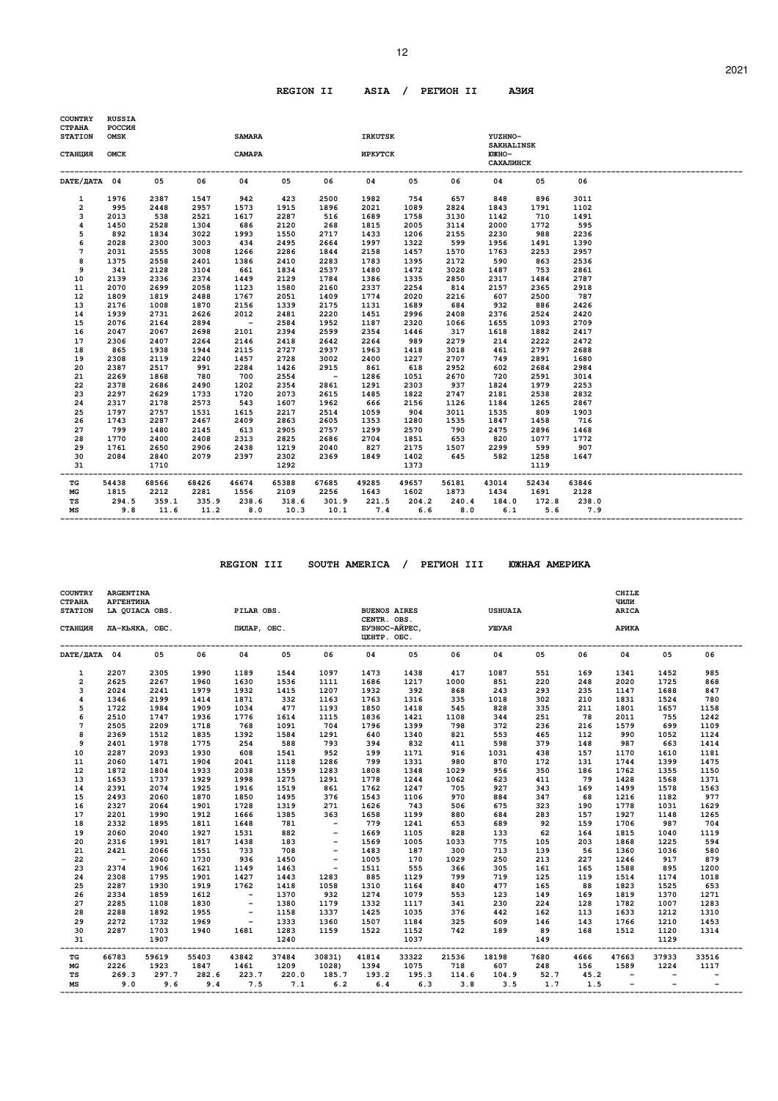#### 12

# **REGION II ASIA / PEГИOH II AЗИЯ**

| <b>COUNTRY</b><br><b>CTPAHA</b><br><b>STATION</b> | <b>RUSSIA</b><br><b>POCCMA</b><br><b>OMSK</b> |       |       | <b>SAMARA</b>           |       |                              | <b>IRKUTSK</b>                            |       |       | YUZHNO-                                               |       |       |  |
|---------------------------------------------------|-----------------------------------------------|-------|-------|-------------------------|-------|------------------------------|-------------------------------------------|-------|-------|-------------------------------------------------------|-------|-------|--|
| СТАНЦИЯ                                           | OMCK                                          |       |       | CAMAPA                  |       |                              | <b>MPKYTCK</b>                            |       |       | <b>SAKHALINSK</b><br><b>ЮЖНО-</b><br><b>САХАЛИНСК</b> |       |       |  |
| DATE/IATA 04                                      |                                               | 05    | 06    | 04                      | 05    | 06                           | 04                                        | 05    | 06    | 04                                                    | 05    | 06    |  |
| 1                                                 | 1976                                          | 2387  | 1547  | 942                     | 423   | 2500                         | 1982                                      | 754   | 657   | 848                                                   | 896   | 3011  |  |
| $\mathbf{2}$                                      | 995                                           | 2448  | 2957  | 1573                    | 1915  | 1896                         | 2021                                      | 1089  | 2824  | 1843                                                  | 1791  | 1102  |  |
| 3                                                 | 2013                                          | 538   | 2521  | 1617                    | 2287  | 516                          | 1689                                      | 1758  | 3130  | 1142                                                  | 710   | 1491  |  |
| 4                                                 | 1450                                          | 2528  | 1304  | 686                     | 2120  | 268                          | 1815                                      | 2005  | 3114  | 2000                                                  | 1772  | 595   |  |
| 5                                                 | 892                                           | 1834  | 3022  | 1993                    | 1550  | 2717                         | 1433                                      | 1206  | 2155  | 2230                                                  | 988   | 2236  |  |
| 6                                                 | 2028                                          | 2300  | 3003  | 434                     | 2495  | 2664                         | 1997                                      | 1322  | 599   | 1956                                                  | 1491  | 1390  |  |
| 7                                                 | 2031                                          | 2555  | 3008  | 1266                    | 2286  | 1844                         | 2158                                      | 1457  | 1570  | 1763                                                  | 2253  | 2957  |  |
| 8                                                 | 1375                                          | 2558  | 2401  | 1386                    | 2410  | 2283                         | 1783                                      | 1395  | 2172  | 590                                                   | 863   | 2536  |  |
| 9                                                 | 341                                           | 2128  | 3104  | 661                     | 1834  | 2537                         | 1480                                      | 1472  | 3028  | 1487                                                  | 753   | 2861  |  |
| 10                                                | 2139                                          | 2336  | 2374  | 1449                    | 2129  | 1784                         | 1386                                      | 1335  | 2850  | 2317                                                  | 1484  | 2787  |  |
| 11                                                | 2070                                          | 2699  | 2058  | 1123                    | 1580  | 2160                         | 2337                                      | 2254  | 814   | 2157                                                  | 2365  | 2918  |  |
| 12                                                | 1809                                          | 1819  | 2488  | 1767                    | 2051  | 1409                         | 1774                                      | 2020  | 2216  | 607                                                   | 2500  | 787   |  |
| 13                                                | 2176                                          | 1008  | 1870  | 2156                    | 1339  | 2175                         | 1131                                      | 1689  | 684   | 932                                                   | 886   | 2426  |  |
| 14                                                | 1939                                          | 2731  | 2626  | 2012                    | 2481  | 2220                         | 1451                                      | 2996  | 2408  | 2376                                                  | 2524  | 2420  |  |
| 15                                                | 2076                                          | 2164  | 2894  | $\sim$ $-$              | 2584  | 1952                         | 1187                                      | 2320  | 1066  | 1655                                                  | 1093  | 2709  |  |
| 16                                                | 2047                                          | 2067  | 2698  | 2101                    | 2394  | 2599                         | 2354                                      | 1446  | 317   | 1618                                                  | 1882  | 2417  |  |
| 17                                                | 2306                                          | 2407  | 2264  | 2146                    | 2418  | 2642                         | 2264                                      | 989   | 2279  | 214                                                   | 2222  | 2472  |  |
| 18                                                | 865                                           | 1938  | 1944  | 2115                    | 2727  | 2937                         | 1963                                      | 1418  | 3018  | 461                                                   | 2797  | 2688  |  |
| 19                                                | 2308                                          | 2119  | 2240  | 1457                    | 2728  | 3002                         | 2400                                      | 1227  | 2707  | 749                                                   | 2891  | 1680  |  |
| 20                                                | 2387                                          | 2517  | 991   | 2284                    | 1426  | 2915                         | 861                                       | 618   | 2952  | 602                                                   | 2684  | 2984  |  |
| 21                                                | 2269                                          | 1868  | 780   | 700                     | 2554  | $\sim$ $ -$                  | 1286                                      | 1051  | 2670  | 720                                                   | 2591  | 3014  |  |
| 22                                                | 2378                                          | 2686  | 2490  | 1202                    | 2354  | 2861                         | 1291                                      | 2303  | 937   | 1824                                                  | 1979  | 2253  |  |
| 23                                                | 2297                                          | 2629  | 1733  | 1720                    | 2073  | 2615                         | 1485                                      | 1822  | 2747  | 2181                                                  | 2538  | 2832  |  |
| 24                                                | 2317                                          | 2178  | 2573  | 543                     | 1607  | 1962                         | 666                                       | 2156  | 1126  | 1184                                                  | 1265  | 2867  |  |
| 25                                                | 1797                                          | 2757  | 1531  | 1615                    | 2217  | 2514                         | 1059                                      | 904   | 3011  | 1535                                                  | 809   | 1903  |  |
| 26                                                | 1743                                          | 2287  | 2467  | 2409                    | 2863  | 2605                         | 1353                                      | 1280  | 1535  | 1847                                                  | 1458  | 716   |  |
| 27                                                | 799                                           | 1480  | 2145  | 613                     | 2905  | 2757                         | 1299                                      | 2570  | 790   | 2475                                                  | 2896  | 1468  |  |
| 28                                                | 1770                                          | 2400  | 2408  | 2313                    | 2825  | 2686                         | 2704                                      | 1851  | 653   | 820                                                   | 1077  | 1772  |  |
| 29                                                | 1761                                          | 2650  | 2906  | 2438                    | 1219  | 2040                         | 827                                       | 2175  | 1507  | 2299                                                  | 599   | 907   |  |
| 30                                                | 2084                                          | 2840  | 2079  | 2397                    | 2302  | 2369                         | 1849                                      | 1402  | 645   | 582                                                   | 1258  | 1647  |  |
| 31                                                |                                               | 1710  |       |                         | 1292  |                              |                                           | 1373  |       |                                                       | 1119  |       |  |
| -----<br>TG                                       | 54438                                         | 68566 | 68426 | 46674                   | 65388 | 67685                        | 49285                                     | 49657 | 56181 | 43014                                                 | 52434 | 63846 |  |
| МG                                                | 1815                                          | 2212  | 2281  | 1556                    | 2109  | 2256                         | 1643 1602                                 |       | 1873  | 1434                                                  | 1691  | 2128  |  |
| TS                                                | 294.5                                         |       |       | 359.1 335.9 238.6 318.6 |       |                              | 301.9 221.5 204.2 240.4 184.0 172.8 238.0 |       |       |                                                       |       |       |  |
| МS                                                | 9.8                                           | 11.6  |       | 11.2 8.0 10.3           |       | 10.1 7.4 6.6 8.0 6.1 5.6 7.9 |                                           |       |       |                                                       |       |       |  |

 **REGION III SOUTH AMERICA / PEГИOH III ЮЖHAЯ AMEPИKA** 

| <b>COUNTRY</b><br><b>CTPAHA</b><br><b>STATION</b> | <b>ARGENTINA</b><br><b>АРГЕНТИНА</b><br>LA QUIACA OBS. |                |       | PILAR OBS.                 |       |                          | <b>BUENOS AIRES</b><br>CENTR. OBS.   |       |       | <b>USHUAIA</b>    |                 |      | <b>CHILE</b><br>чили<br>ARICA |       |       |
|---------------------------------------------------|--------------------------------------------------------|----------------|-------|----------------------------|-------|--------------------------|--------------------------------------|-------|-------|-------------------|-----------------|------|-------------------------------|-------|-------|
| СТАНЦИЯ                                           |                                                        | ЛА-КЬЯКА, ОБС. |       | ПИЛАР, ОБС.                |       |                          | БУЭНОС-АЙРЕС,<br><b>ILEHTP. OEC.</b> |       |       | УШУАЯ             |                 |      | АРИКА                         |       |       |
| DATE/JATA 04                                      |                                                        | 05             | 06    | 04                         | 05    | 06                       | 04                                   | 05    | 06    | 04                | 05              | 06   | 04                            | 05    | 06    |
| 1                                                 | 2207                                                   | 2305           | 1990  | 1189                       | 1544  | 1097                     | 1473                                 | 1438  | 417   | 1087              | 551             | 169  | 1341                          | 1452  | 985   |
| $\overline{2}$                                    | 2625                                                   | 2267           | 1960  | 1630                       | 1536  | 1111                     | 1686                                 | 1217  | 1000  | 851               | 220             | 248  | 2020                          | 1725  | 868   |
| 3                                                 | 2024                                                   | 2241           | 1979  | 1932                       | 1415  | 1207                     | 1932                                 | 392   | 868   | 243               | 293             | 235  | 1147                          | 1688  | 847   |
| 4                                                 | 1346                                                   | 2199           | 1414  | 1871                       | 332   | 1163                     | 1763                                 | 1316  | 335   | 1018              | 302             | 210  | 1831                          | 1524  | 780   |
| 5                                                 | 1722                                                   | 1984           | 1909  | 1034                       | 477   | 1193                     | 1850                                 | 1418  | 545   | 828               | 335             | 211  | 1801                          | 1657  | 1158  |
| 6                                                 | 2510                                                   | 1747           | 1936  | 1776                       | 1614  | 1115                     | 1836                                 | 1421  | 1108  | 344               | 251             | 78   | 2011                          | 755   | 1242  |
| $\overline{7}$                                    | 2505                                                   | 2209           | 1718  | 768                        | 1091  | 704                      | 1796                                 | 1399  | 798   | 372               | 236             | 216  | 1579                          | 699   | 1109  |
| 8                                                 | 2369                                                   | 1512           | 1835  | 1392                       | 1584  | 1291                     | 640                                  | 1340  | 821   | 553               | 465             | 112  | 990                           | 1052  | 1124  |
| 9                                                 | 2401                                                   | 1978           | 1775  | 254                        | 588   | 793                      | 394                                  | 832   | 411   | 598               | 379             | 148  | 987                           | 663   | 1414  |
| 10                                                | 2287                                                   | 2093           | 1930  | 608                        | 1541  | 952                      | 199                                  | 1171  | 916   | 1031              | 438             | 157  | 1170                          | 1610  | 1181  |
| 11                                                | 2060                                                   | 1471           | 1904  | 2041                       | 1118  | 1286                     | 799                                  | 1331  | 980   | 870               | 172             | 131  | 1744                          | 1399  | 1475  |
| 12                                                | 1872                                                   | 1804           | 1933  | 2038                       | 1559  | 1283                     | 1808                                 | 1348  | 1029  | 956               | 350             | 186  | 1762                          | 1355  | 1150  |
| 13                                                | 1653                                                   | 1737           | 1929  | 1998                       | 1275  | 1291                     | 1778                                 | 1244  | 1062  | 623               | 411             | 79   | 1428                          | 1568  | 1371  |
| 14                                                | 2391                                                   | 2074           | 1925  | 1916                       | 1519  | 861                      | 1762                                 | 1247  | 705   | 927               | 343             | 169  | 1499                          | 1578  | 1563  |
| 15                                                | 2493                                                   | 2060           | 1870  | 1850                       | 1495  | 376                      | 1543                                 | 1106  | 970   | 884               | 347             | 68   | 1216                          | 1182  | 977   |
| 16                                                | 2327                                                   | 2064           | 1901  | 1728                       | 1319  | 271                      | 1626                                 | 743   | 506   | 675               | 323             | 190  | 1778                          | 1031  | 1629  |
| 17                                                | 2201                                                   | 1990           | 1912  | 1666                       | 1385  | 363                      | 1658                                 | 1199  | 880   | 684               | 283             | 157  | 1927                          | 1148  | 1265  |
| 18                                                | 2332                                                   | 1895           | 1811  | 1648                       | 781   | $\sim 100$ km s $^{-1}$  | 779                                  | 1241  | 653   | 689               | 92              | 159  | 1706                          | 987   | 704   |
| 19                                                | 2060                                                   | 2040           | 1927  | 1531                       | 882   |                          | 1669                                 | 1105  | 828   | 133               | 62              | 164  | 1815                          | 1040  | 1119  |
| 20                                                | 2316                                                   | 1991           | 1817  | 1438                       | 183   | $\overline{\phantom{a}}$ | 1569                                 | 1005  | 1033  | 775               | 105             | 203  | 1868                          | 1225  | 594   |
| 21                                                | 2421                                                   | 2066           | 1551  | 733                        | 708   | $\overline{\phantom{a}}$ | 1483                                 | 187   | 300   | 713               | 139             | 56   | 1360                          | 1036  | 580   |
| 22                                                | $\sim$                                                 | 2060           | 1730  | 936                        | 1450  | $\overline{\phantom{a}}$ | 1005                                 | 170   | 1029  | 250               | 213             | 227  | 1246                          | 917   | 879   |
| 23                                                | 2374                                                   | 1906           | 1621  | 1149                       | 1463  | $\sim$ $-$               | 1511                                 | 555   | 366   | 305               | 161             | 165  | 1588                          | 895   | 1200  |
| 24                                                | 2308                                                   | 1795           | 1901  | 1427                       | 1443  | 1283                     | 885                                  | 1129  | 799   | 719               | 125             | 119  | 1514                          | 1174  | 1018  |
| 25                                                | 2287                                                   | 1930           | 1919  | 1762                       | 1418  | 1058                     | 1310                                 | 1164  | 840   | 477               | 165             | 88   | 1823                          | 1525  | 653   |
| 26                                                | 2334                                                   | 1859           | 1612  | $\overline{\phantom{a}}$   | 1370  | 932                      | 1274                                 | 1079  | 553   | 123               | 149             | 169  | 1819                          | 1370  | 1271  |
| 27                                                | 2285                                                   | 1108           | 1830  | $\overline{\phantom{a}}$   | 1380  | 1179                     | 1332                                 | 1117  | 341   | 230               | 224             | 128  | 1782                          | 1007  | 1283  |
| 28                                                | 2288                                                   | 1892           | 1955  | $\overline{\phantom{a}}$   | 1158  | 1337                     | 1425                                 | 1035  | 376   | 442               | 162             | 113  | 1633                          | 1212  | 1310  |
| 29                                                | 2272                                                   | 1732           | 1969  | $\overline{\phantom{a}}$   | 1333  | 1360                     | 1507                                 | 1184  | 325   | 609               | 146             | 143  | 1766                          | 1210  | 1453  |
| 30                                                | 2287                                                   | 1703           | 1940  | 1681                       | 1283  | 1159                     | 1522                                 | 1152  | 742   | 189               | 89              | 168  | 1512                          | 1120  | 1314  |
| 31                                                |                                                        | 1907           |       | -------------------------- | 1240  |                          | --------------------------           | 1037  |       | ----------------- | 149<br>-------- |      |                               | 1129  |       |
| TG                                                | 66783                                                  | 59619          | 55403 | 43842                      | 37484 | 30831)                   | 41814                                | 33322 | 21536 | 18198             | 7680            | 4666 | 47663                         | 37933 | 33516 |
| МG                                                | 2226                                                   | 1923           | 1847  | 1461                       | 1209  | 1028)                    | 1394                                 | 1075  | 718   | 607               | 248             | 156  | 1589                          | 1224  | 1117  |
| TS                                                | 269.3                                                  | 297.7          | 282.6 | 223.7                      | 220.0 | 185.7                    | 193.2                                | 195.3 | 114.6 | 104.9             | 52.7            | 45.2 | $-$                           |       |       |
| MS                                                | 9.0                                                    | 9.6            | 9.4   | 7.5                        | 7.1   | 6.2                      | 6.4                                  | 6.3   |       | 3.8<br>3.5        | 1.7             | 1.5  | $\overline{\phantom{a}}$      |       |       |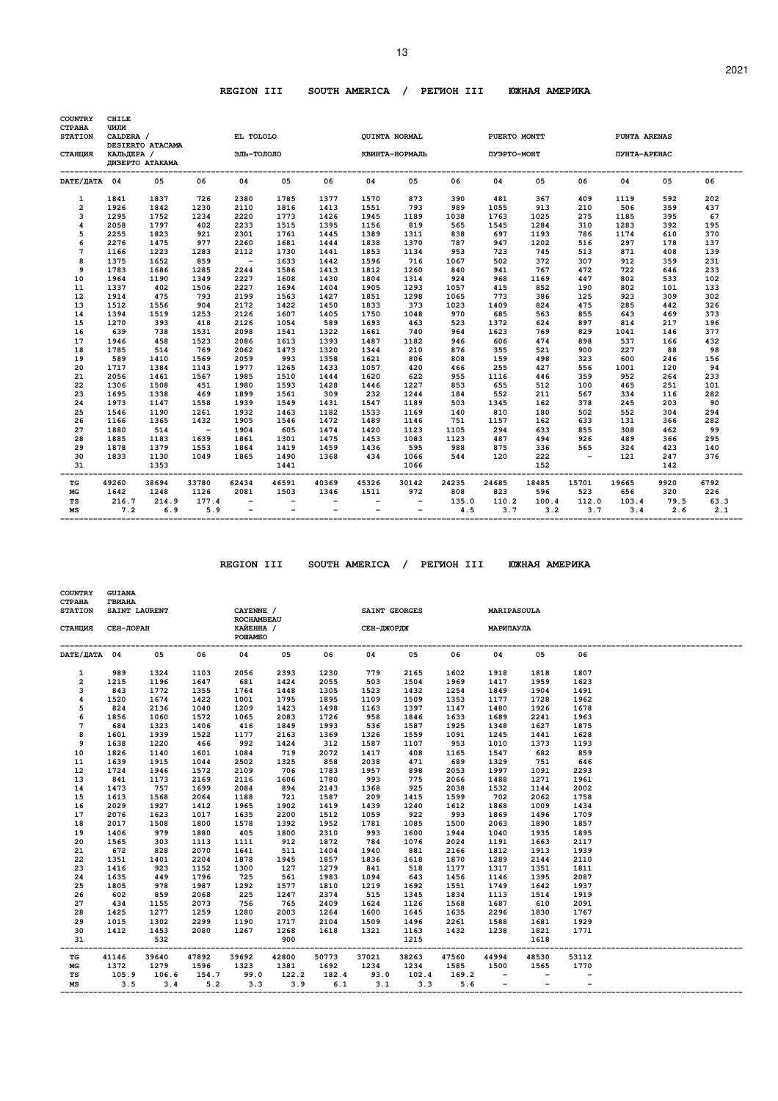# **REGION III SOUTH AMERICA / PEГИOH III ЮЖHAЯ AMEPИKA**

| <b>COUNTRY</b><br><b>CTPAHA</b> | <b>CHILE</b><br>ЧИЛИ |                   |                               |                          |                          |                          |                             |                          |       |                                        |       |            |                                    |      |      |
|---------------------------------|----------------------|-------------------|-------------------------------|--------------------------|--------------------------|--------------------------|-----------------------------|--------------------------|-------|----------------------------------------|-------|------------|------------------------------------|------|------|
| <b>STATION</b>                  | CALDERA /            | DESIERTO ATACAMA  |                               | EL TOLOLO                |                          |                          |                             | QUINTA NORMAL            |       | PUERTO MONTT                           |       |            | PUNTA ARENAS                       |      |      |
| СТАНЦИЯ                         | КАЛЬДЕРА /           | ДИЗЕРТО АТАКАМА   |                               | ЭЛЬ-ТОЛОЛО               |                          |                          |                             | КВИНТА-НОРМАЛЬ           |       | ПУЭРТО-МОНТ                            |       |            | ПУНТА-АРЕНАС                       |      |      |
| DATE/ JATA 04                   |                      | 0.5               | 06                            | 04                       | 05                       | 06                       | 04                          | 05                       | 06    | 04                                     | 05    | 06         | 04                                 | 05   | 06   |
| $\mathbf{1}$                    | 1841                 | 1837              | 726                           | 2380                     | 1785                     | 1377                     | 1570                        | 873                      | 390   | 481                                    | 367   | 409        | 1119                               | 592  | 202  |
| $\overline{2}$                  | 1926                 | 1842              | 1230                          | 2110                     | 1816                     | 1413                     | 1551                        | 793                      | 989   | 1055                                   | 913   | 210        | 506                                | 359  | 437  |
| 3                               | 1295                 | 1752              | 1234                          | 2220                     | 1773                     | 1426                     | 1945                        | 1189                     | 1038  | 1763                                   | 1025  | 275        | 1185                               | 395  | 67   |
| 4                               | 2058                 | 1797              | 402                           | 2233                     | 1515                     | 1395                     | 1156                        | 819                      | 565   | 1545                                   | 1284  | 310        | 1283                               | 392  | 195  |
| 5                               | 2255                 | 1823              | 921                           | 2301                     | 1761                     | 1445                     | 1389                        | 1311                     | 838   | 697                                    | 1193  | 786        | 1174                               | 610  | 370  |
| 6                               | 2276                 | 1475              | 977                           | 2260                     | 1681                     | 1444                     | 1838                        | 1370                     | 787   | 947                                    | 1202  | 516        | 297                                | 178  | 137  |
| 7                               | 1166                 | 1223              | 1283                          | 2112                     | 1730                     | 1441                     | 1853                        | 1134                     | 953   | 723                                    | 745   | 513        | 871                                | 408  | 139  |
| 8                               | 1375                 | 1652              | 859                           | $\sim$                   | 1633                     | 1442                     | 1596                        | 716                      | 1067  | 502                                    | 372   | 307        | 912                                | 359  | 231  |
| 9                               | 1783                 | 1686              | 1285                          | 2244                     | 1586                     | 1413                     | 1812                        | 1260                     | 840   | 941                                    | 767   | 472        | 722                                | 646  | 233  |
| 10                              | 1964                 | 1190              | 1349                          | 2227                     | 1608                     | 1430                     | 1804                        | 1314                     | 924   | 968                                    | 1169  | 447        | 802                                | 533  | 102  |
| 11                              | 1337                 | 402               | 1506                          | 2227                     | 1694                     | 1404                     | 1905                        | 1293                     | 1057  | 415                                    | 852   | 190        | 802                                | 101  | 133  |
| 12                              | 1914                 | 475               | 793                           | 2199                     | 1563                     | 1427                     | 1851                        | 1298                     | 1065  | 773                                    | 386   | 125        | 923                                | 309  | 302  |
| 13                              | 1512                 | 1556              | 904                           | 2172                     | 1422                     | 1450                     | 1833                        | 373                      | 1023  | 1409                                   | 824   | 475        | 285                                | 442  | 326  |
| 14                              | 1394                 | 1519              | 1253                          | 2126                     | 1607                     | 1405                     | 1750                        | 1048                     | 970   | 685                                    | 563   | 855        | 643                                | 469  | 373  |
| 15                              | 1270                 | 393               | 418                           | 2126                     | 1054                     | 589                      | 1693                        | 463                      | 523   | 1372                                   | 624   | 897        | 814                                | 217  | 196  |
| 16                              | 639                  | 738               | 1531                          | 2098                     | 1541                     | 1322                     | 1661                        | 740                      | 964   | 1623                                   | 769   | 829        | 1041                               | 146  | 377  |
| 17                              | 1946                 | 458               | 1523                          | 2086                     | 1613                     | 1393                     | 1487                        | 1182                     | 946   | 606                                    | 474   | 898        | 537                                | 166  | 432  |
| 18                              | 1785                 | 514               | 769                           | 2062                     | 1473                     | 1320                     | 1344                        | 210                      | 876   | 355                                    | 521   | 900        | 227                                | 88   | 98   |
| 19                              | 589                  | 1410              | 1569                          | 2059                     | 993                      | 1358                     | 1621                        | 806                      | 808   | 159                                    | 498   | 323        | 600                                | 246  | 156  |
| 20                              | 1717                 | 1384              | 1143                          | 1977                     | 1265                     | 1433                     | 1057                        | 420                      | 466   | 255                                    | 427   | 556        | 1001                               | 120  | 94   |
| 21                              | 2056                 | 1461              | 1567                          | 1985                     | 1510                     | 1444                     | 1620                        | 622                      | 955   | 1116                                   | 446   | 359        | 952                                | 264  | 233  |
| 22                              | 1306                 | 1508              | 451                           | 1980                     | 1593                     | 1428                     | 1446                        | 1227                     | 853   | 655                                    | 512   | 100        | 465                                | 251  | 101  |
| 23                              | 1695                 | 1338              | 469                           | 1899                     | 1561                     | 309                      | 232                         | 1244                     | 184   | 552                                    | 211   | 567        | 334                                | 116  | 282  |
| 24                              | 1973                 | 1147              | 1558                          | 1939                     | 1549                     | 1431                     | 1547                        | 1189                     | 503   | 1345                                   | 162   | 378        | 245                                | 203  | 90   |
| 25                              | 1546                 | 1190              | 1261                          | 1932                     | 1463                     | 1182                     | 1533                        | 1169                     | 140   | 810                                    | 180   | 502        | 552                                | 304  | 294  |
| 26                              | 1166                 | 1365              | 1432                          | 1905                     | 1546                     | 1472                     | 1489                        | 1146                     | 751   | 1157                                   | 162   | 633        | 131                                | 366  | 282  |
| 27                              | 1880                 | 514               | $\sim$ $-$                    | 1904                     | 605                      | 1474                     | 1420                        | 1123                     | 1105  | 294                                    | 633   | 855        | 308                                | 462  | 99   |
| 28                              | 1885                 | 1183              | 1639                          | 1861                     | 1301                     | 1475                     | 1453                        | 1083                     | 1123  | 487                                    | 494   | 926        | 489                                | 366  | 295  |
| 29                              | 1878                 | 1379              | 1553                          | 1864                     | 1419                     | 1459                     | 1436                        | 595                      | 988   | 875                                    | 336   | 565        | 324                                | 423  | 140  |
| 30                              | 1833                 | 1130              | 1049                          | 1865                     | 1490                     | 1368                     | 434                         | 1066                     | 544   | 120                                    | 222   | $\sim$ $-$ | 121                                | 247  | 376  |
| 31                              |                      | 1353              |                               |                          | 1441<br>-------          |                          | --------------------------- | 1066                     |       |                                        | 152   |            |                                    | 142  |      |
| ----<br>TG                      | 49260                | --------<br>38694 | --------------------<br>33780 | 62434                    | 46591                    | 40369                    | 45326                       | 30142                    | 24235 | -----------------------------<br>24685 | 18485 | 15701      | -------------------------<br>19665 | 9920 | 6792 |
| MG                              | 1642                 | 1248              | 1126                          | 2081                     | 1503                     | 1346                     | 1511                        | 972                      | 808   | 823                                    | 596   | 523        | 656                                | 320  | 226  |
| TS                              | 216.7                | 214.9             | 177.4                         | $\overline{\phantom{a}}$ |                          |                          |                             | $\overline{\phantom{a}}$ | 135.0 | 110.2                                  | 100.4 | 112.0      | 103.4                              | 79.5 | 63.3 |
| MS                              | 7.2                  | 6.9               | 5.9                           | $\overline{\phantom{0}}$ | $\overline{\phantom{a}}$ | $\overline{\phantom{a}}$ | $\overline{\phantom{0}}$    | $\overline{\phantom{0}}$ | 4.5   | 3.7                                    | 3.2   | 3.7        | 3.4                                | 2.6  | 2.1  |

 **REGION III SOUTH AMERICA / PEГИOH III ЮЖHAЯ AMEPИKA** 

| <b>COUNTRY</b><br><b>CTPAHA</b><br><b>STATION</b> | <b>GUIANA</b><br><b>ГВИАНА</b><br>SAINT LAURENT |       |       | CAYENNE /                                 |       | SAINT GEORGES        |                         |                  |       | MARIPASOULA              |       |       |  |
|---------------------------------------------------|-------------------------------------------------|-------|-------|-------------------------------------------|-------|----------------------|-------------------------|------------------|-------|--------------------------|-------|-------|--|
| СТАНЦИЯ                                           | СЕН-ЛОРАН                                       |       |       | <b>ROCHAMBEAU</b><br>КАЙЕННА /<br>POWAMEO |       | СЕН-ДЖОРДЖ МАРИПАУЛА |                         |                  |       |                          |       |       |  |
| DATE/ДАТА 04                                      |                                                 | 05    | 06    | 04                                        | 05    | 06                   | 04                      | 05               | 06    | 04                       | 05    | 06    |  |
| 1                                                 | 989                                             | 1324  | 1103  | 2056                                      | 2393  | 1230                 | 779                     | 2165             | 1602  | 1918                     | 1818  | 1807  |  |
| $\overline{a}$                                    | 1215                                            | 1196  | 1647  | 681                                       | 1424  | 2055                 | 503                     | 1504             | 1969  | 1417                     | 1959  | 1623  |  |
| 3                                                 | 843                                             | 1772  | 1355  | 1764                                      | 1448  | 1305                 | 1523                    | 1432             | 1254  | 1849                     | 1904  | 1491  |  |
| 4                                                 | 1520                                            | 1674  | 1422  | 1001                                      | 1795  | 1895                 | 1109                    | 1509             | 1353  | 1177                     | 1728  | 1962  |  |
| 5                                                 | 824                                             | 2136  | 1040  | 1209                                      | 1423  | 1498                 | 1163                    | 1397             | 1147  | 1480                     | 1926  | 1678  |  |
| 6                                                 | 1856                                            | 1060  | 1572  | 1065                                      | 2083  | 1726                 | 958                     | 1846             | 1633  | 1689                     | 2241  | 1963  |  |
| 7                                                 | 684                                             | 1323  | 1406  | 416                                       | 1849  | 1993                 | 536                     | 1587             | 1925  | 1348                     | 1627  | 1875  |  |
| 8                                                 | 1601                                            | 1939  | 1522  | 1177                                      | 2163  | 1369                 | 1326                    | 1559             | 1091  | 1245                     | 1441  | 1628  |  |
| 9                                                 | 1638                                            | 1220  | 466   | 992                                       | 1424  | 312                  | 1587                    | 1107             | 953   | 1010                     | 1373  | 1193  |  |
| 10                                                | 1826                                            | 1140  | 1601  | 1084                                      | 719   | 2072                 | 1417                    | 408              | 1165  | 1547                     | 682   | 859   |  |
| 11                                                | 1639                                            | 1915  | 1044  | 2502                                      | 1325  | 858                  | 2038                    | 471              | 689   | 1329                     | 751   | 646   |  |
| 12                                                | 1724                                            | 1946  | 1572  | 2109                                      | 706   | 1783                 | 1957                    | 898              | 2053  | 1997                     | 1091  | 2293  |  |
| 13                                                | 841                                             | 1173  | 2169  | 2116                                      | 1606  | 1780                 | 993                     | 775              | 2066  | 1488                     | 1271  | 1961  |  |
| 14                                                | 1473                                            | 757   | 1699  | 2084                                      | 894   | 2143                 | 1368                    | 925              | 2038  | 1532                     | 1144  | 2002  |  |
| 15                                                | 1613                                            | 1568  | 2064  | 1188                                      | 721   | 1587                 | 209                     | 1415             | 1599  | 702                      | 2062  | 1758  |  |
| 16                                                | 2029                                            | 1927  | 1412  | 1965                                      | 1902  | 1419                 | 1439                    | 1240             | 1612  | 1868                     | 1009  | 1434  |  |
| 17                                                | 2076                                            | 1623  | 1017  | 1635                                      | 2200  | 1512                 | 1059                    | 922              | 993   | 1869                     | 1496  | 1709  |  |
| 18                                                | 2017                                            | 1508  | 1800  | 1578                                      | 1392  | 1952                 | 1781                    | 1085             | 1500  | 2063                     | 1890  | 1857  |  |
| 19                                                | 1406                                            | 979   | 1880  | 405                                       | 1800  | 2310                 | 993                     | 1600             | 1944  | 1040                     | 1935  | 1895  |  |
| 20                                                | 1565                                            | 303   | 1113  | 1111                                      | 912   | 1872                 | 784                     | 1076             | 2024  | 1191                     | 1663  | 2117  |  |
| 21                                                | 672                                             | 828   | 2070  | 1641                                      | 511   | 1404                 | 1940                    | 881              | 2166  | 1812                     | 1913  | 1939  |  |
| 22                                                | 1351                                            | 1401  | 2204  | 1878                                      | 1945  | 1857                 | 1836                    | 1618             | 1870  | 1289                     | 2144  | 2110  |  |
| 23                                                | 1416                                            | 923   | 1152  | 1300                                      | 127   | 1279                 | 841                     | 518              | 1177  | 1317                     | 1351  | 1811  |  |
| 24                                                | 1635                                            | 449   | 1796  | 725                                       | 561   | 1983                 | 1094                    | 643              | 1456  | 1146                     | 1395  | 2087  |  |
| 25                                                | 1805                                            | 978   | 1987  | 1292                                      | 1577  | 1810                 | 1219                    | 1692             | 1551  | 1749                     | 1642  | 1937  |  |
| 26                                                | 602                                             | 859   | 2068  | 225                                       | 1247  | 2374                 | 515                     | 1345             | 1834  | 1113                     | 1514  | 1919  |  |
| 27                                                | 434                                             | 1155  | 2073  | 756                                       | 765   | 2409                 | 1624                    | 1126             | 1568  | 1687                     | 610   | 2091  |  |
| 28                                                | 1425                                            | 1277  | 1259  | 1280                                      | 2003  | 1264                 | 1600                    | 1645             | 1635  | 2296                     | 1830  | 1767  |  |
| 29                                                | 1015                                            | 1302  | 2299  | 1190                                      | 1717  | 2104                 | 1509                    | 1496             | 2261  | 1588                     | 1681  | 1929  |  |
| 30                                                | 1412                                            | 1453  | 2080  | 1267                                      | 1268  | 1618                 | 1321                    | 1163             | 1432  | 1238                     | 1821  | 1771  |  |
| 31                                                |                                                 | 532   |       |                                           | 900   |                      |                         | 1215             |       |                          | 1618  |       |  |
| TG                                                | 41146                                           | 39640 | 47892 | 39692                                     | 42800 | 50773                | 37021                   | 38263            | 47560 | 44994                    | 48530 | 53112 |  |
| МG                                                | 1372                                            | 1279  | 1596  | 1323                                      | 1381  | 1692                 | 1234                    | 1234             | 1585  | 1500                     | 1565  | 1770  |  |
| TS                                                | 105.9                                           |       |       | 106.6 154.7 99.0 122.2                    |       | 182.4                |                         | 93.0 102.4 169.2 |       | $\overline{\phantom{a}}$ |       |       |  |
| МS                                                | 3.5                                             |       |       | $3.4$ $5.2$ $3.3$ $3.9$                   |       |                      | $6.1$ $3.1$ $3.3$ $5.6$ |                  |       | $\overline{\phantom{a}}$ |       |       |  |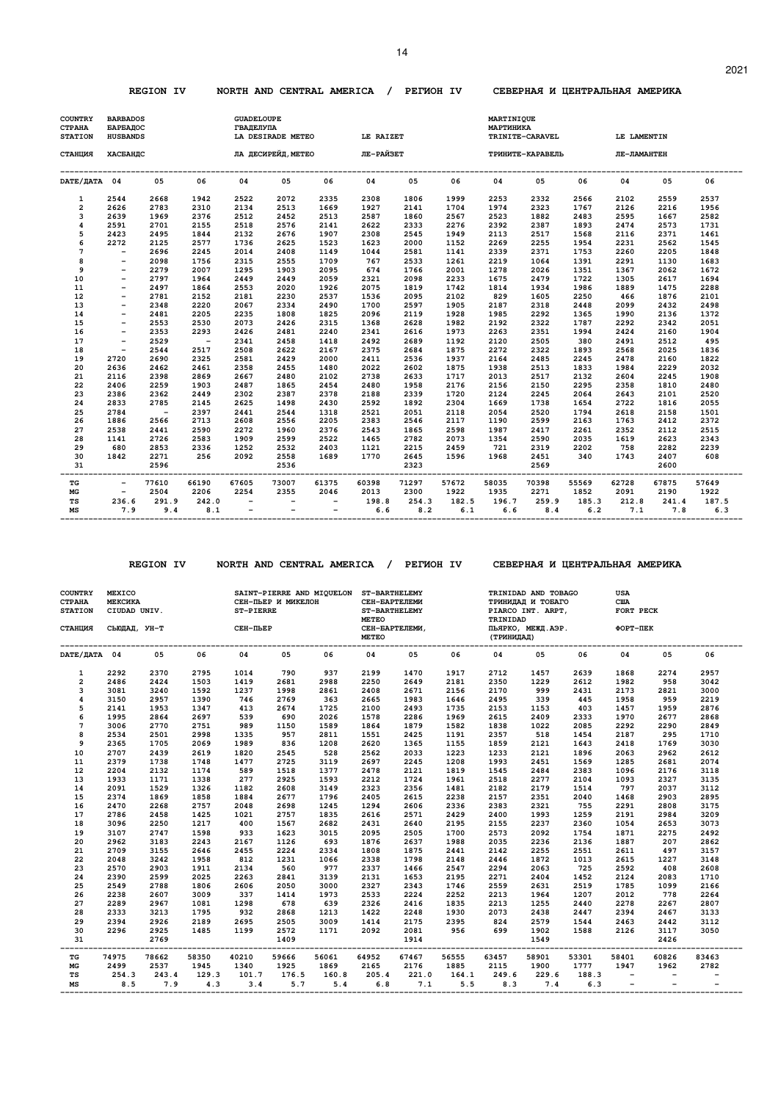#### **REGION IV NORTH AND CENTRAL AMERICA / PEГИOH IV CEBEPHAЯ И ЦEHTPAЛЬHAЯ AMEPИKA**

| <b>COUNTRY</b><br><b>CTPAHA</b><br><b>STATION</b> | <b>BARBADOS</b><br>БАРБАДОС<br><b>HUSBANDS</b> |              |              | <b>GUADELOUPE</b><br><b>ГВАДЕЛУПА</b> | LA DESIRADE METEO        |              | LE RAIZET                    |              |              | <b>MARTINIQUE</b><br><b>МАРТИНИКА</b> | TRINITE-CARAVEL  |              | LE LAMENTIN  |              |              |
|---------------------------------------------------|------------------------------------------------|--------------|--------------|---------------------------------------|--------------------------|--------------|------------------------------|--------------|--------------|---------------------------------------|------------------|--------------|--------------|--------------|--------------|
| СТАНЦИЯ                                           | ХАСБАНДС                                       |              |              |                                       |                          |              | ЛА ДЕСИРЕЙД, МЕТЕО ЛЕ-РАЙЗЕТ |              |              |                                       | ТРИНИТЕ-КАРАВЕЛЬ |              | ЛЕ-ЛАМАНТЕН  |              |              |
| DATE/ JATA 04                                     |                                                | 05           | 06           | 04                                    | 05                       | 06           | 04                           | 05           | 06           | 04                                    | 05               | 06           | 04           | 05           | 06           |
| $\mathbf{1}$                                      | 2544                                           | 2668         | 1942         | 2522                                  | 2072                     | 2335         | 2308                         | 1806         | 1999         | 2253                                  | 2332             | 2566         | 2102         | 2559         | 2537         |
| 2                                                 | 2626                                           | 2783         | 2310         | 2134                                  | 2513                     | 1669         | 1927                         | 2141         | 1704         | 1974                                  | 2323             | 1767         | 2126         | 2216         | 1956         |
| 3                                                 | 2639                                           | 1969         | 2376         | 2512                                  | 2452                     | 2513         | 2587                         | 1860         | 2567         | 2523                                  | 1882             | 2483         | 2595         | 1667         | 2582         |
| 4                                                 | 2591                                           | 2701         | 2155         | 2518                                  | 2576                     | 2141         | 2622                         | 2333         | 2276         | 2392                                  | 2387             | 1893         | 2474         | 2573         | 1731         |
| 5                                                 | 2423                                           | 2495         | 1844         | 2132                                  | 2676                     | 1907         | 2308                         | 2545         | 1949         | 2113                                  | 2517             | 1568         | 2116         | 2371         | 1461         |
| 6                                                 | 2272                                           | 2125         | 2577         | 1736                                  | 2625                     | 1523         | 1623                         | 2000         | 1152         | 2269                                  | 2255             | 1954         | 2231         | 2562         | 1545         |
| $\overline{7}$                                    | $-$<br>$\overline{\phantom{a}}$                | 2696         | 2245         | 2014                                  | 2408                     | 1149         | 1044                         | 2581         | 1141         | 2339                                  | 2371             | 1753         | 2260         | 2205         | 1848         |
| 8<br>9                                            | $-$                                            | 2098<br>2279 | 1756<br>2007 | 2315                                  | 2555<br>1903             | 1709<br>2095 | 767<br>674                   | 2533<br>1766 | 1261<br>2001 | 2219<br>1278                          | 1064             | 1391<br>1351 | 2291<br>1367 | 1130<br>2062 | 1683<br>1672 |
| 10                                                | $\overline{\phantom{a}}$                       | 2797         | 1964         | 1295<br>2449                          | 2449                     | 2059         | 2321                         | 2098         | 2233         | 1675                                  | 2026<br>2479     | 1722         | 1305         | 2617         | 1694         |
| 11                                                | $\qquad \qquad -$                              | 2497         | 1864         | 2553                                  | 2020                     | 1926         | 2075                         | 1819         | 1742         | 1814                                  | 1934             | 1986         | 1889         | 1475         | 2288         |
| 12                                                | $-$                                            | 2781         | 2152         | 2181                                  | 2230                     | 2537         | 1536                         | 2095         | 2102         | 829                                   | 1605             | 2250         | 466          | 1876         | 2101         |
| 13                                                | $-$                                            | 2348         | 2220         | 2067                                  | 2334                     | 2490         | 1700                         | 2597         | 1905         | 2187                                  | 2318             | 2448         | 2099         | 2432         | 2498         |
| 14                                                | $\overline{\phantom{0}}$                       | 2481         | 2205         | 2235                                  | 1808                     | 1825         | 2096                         | 2119         | 1928         | 1985                                  | 2292             | 1365         | 1990         | 2136         | 1372         |
| 15                                                | $\qquad \qquad -$                              | 2553         | 2530         | 2073                                  | 2426                     | 2315         | 1368                         | 2628         | 1982         | 2192                                  | 2322             | 1787         | 2292         | 2342         | 2051         |
| 16                                                | $-$                                            | 2353         | 2293         | 2426                                  | 2481                     | 2240         | 2341                         | 2616         | 1973         | 2263                                  | 2351             | 1994         | 2424         | 2160         | 1904         |
| 17                                                | $\overline{\phantom{a}}$                       | 2529         | $\sim$ $-$   | 2341                                  | 2458                     | 1418         | 2492                         | 2689         | 1192         | 2120                                  | 2505             | 380          | 2491         | 2512         | 495          |
| 18                                                | $\overline{\phantom{a}}$                       | 2544         | 2517         | 2508                                  | 2622                     | 2167         | 2375                         | 2684         | 1875         | 2272                                  | 2322             | 1893         | 2568         | 2025         | 1836         |
| 19                                                | 2720                                           | 2690         | 2325         | 2581                                  | 2429                     | 2000         | 2411                         | 2536         | 1937         | 2164                                  | 2485             | 2245         | 2478         | 2160         | 1822         |
| 20                                                | 2636                                           | 2462         | 2461         | 2358                                  | 2455                     | 1480         | 2022                         | 2602         | 1875         | 1938                                  | 2513             | 1833         | 1984         | 2229         | 2032         |
| 21                                                | 2116                                           | 2398         | 2869         | 2667                                  | 2480                     | 2102         | 2738                         | 2633         | 1717         | 2013                                  | 2517             | 2132         | 2604         | 2245         | 1908         |
| 22                                                | 2406                                           | 2259         | 1903         | 2487                                  | 1865                     | 2454         | 2480                         | 1958         | 2176         | 2156                                  | 2150             | 2295         | 2358         | 1810         | 2480         |
| 23                                                | 2386                                           | 2362         | 2449         | 2302                                  | 2387                     | 2378         | 2188                         | 2339         | 1720         | 2124                                  | 2245             | 2064         | 2643         | 2101         | 2520         |
| 24                                                | 2833                                           | 2785         | 2145         | 2625                                  | 1498                     | 2430         | 2592                         | 1892         | 2304         | 1669                                  | 1738             | 1654         | 2722         | 1816         | 2055         |
| 25                                                | 2784                                           | $\sim$       | 2397         | 2441                                  | 2544                     | 1318         | 2521                         | 2051         | 2118         | 2054                                  | 2520             | 1794         | 2618         | 2158         | 1501         |
| 26                                                | 1886                                           | 2566         | 2713         | 2608                                  | 2556                     | 2205         | 2383                         | 2546         | 2117         | 1190                                  | 2599             | 2163         | 1763         | 2412         | 2372         |
| 27                                                | 2538                                           | 2441         | 2590         | 2272                                  | 1960                     | 2376         | 2543                         | 1865         | 2598         | 1987                                  | 2417             | 2261         | 2352         | 2112         | 2515         |
| 28                                                | 1141                                           | 2726         | 2583         | 1909                                  | 2599                     | 2522         | 1465                         | 2782         | 2073         | 1354                                  | 2590             | 2035         | 1619         | 2623         | 2343         |
| 29                                                | 680                                            | 2853         | 2336         | 1252                                  | 2532                     | 2403         | 1121                         | 2215         | 2459         | 721                                   | 2319             | 2202         | 758          | 2282         | 2239         |
| 30                                                | 1842                                           | 2271         | 256          | 2092                                  | 2558                     | 1689         | 1770                         | 2645         | 1596         | 1968                                  | 2451             | 340          | 1743         | 2407         | 608          |
| 31                                                |                                                | 2596         |              |                                       | 2536                     |              |                              | 2323         |              |                                       | 2569             |              |              | 2600         |              |
| TG                                                | $\overline{\phantom{a}}$                       | 77610        | 66190        | 67605                                 | 73007                    | 61375        | 60398                        | 71297        | 57672        | 58035                                 | 70398            | 55569        | 62728        | 67875        | 57649        |
| MG                                                | $\overline{\phantom{a}}$                       | 2504         | 2206         | 2254                                  | 2355                     | 2046         | 2013                         | 2300         | 1922         | 1935                                  | 2271             | 1852         | 2091         | 2190         | 1922         |
| TS                                                | 236.6                                          | 291.9        | 242.0        | $\overline{\phantom{a}}$              |                          | $-$          | 198.8                        | 254.3        | 182.5        | 196.7                                 | 259.9            | 185.3        | 212.8        | 241.4        | 187.5        |
| MS                                                | 7.9                                            | 9.4          | 8.1          | $\overline{\phantom{0}}$              | $\overline{\phantom{a}}$ | $-$          | 6.6                          | 8.2          | 6.1          | 6.6                                   | 8.4              | 6.2          | 7.1          | 7.8          | 6.3          |

 **REGION IV NORTH AND CENTRAL AMERICA / PEГИOH IV CEBEPHAЯ И ЦEHTPAЛЬHAЯ AMEPИKA** 

| <b>COUNTRY</b><br><b>CTPAHA</b><br><b>STATION</b><br>СТАНЦИЯ | <b>MEXICO</b><br><b>МЕКСИКА</b><br>CIUDAD UNIV.<br>СЬЮДАД, УН-Т |       |                            | ST-PIERRE<br>СЕН-ПЬЕР | СЕН-ПЬЕР И МИКЕЛОН | SAINT-PIERRE AND MIQUELON ST-BARTHELEMY | СЕН-БАРТЕЛЕМИ<br><b>ST-BARTHELEMY</b><br><b>METEO</b><br>СЕН-БАРТЕЛЕМИ,<br><b>METEO</b> |       |       | TRINIDAD<br>(ТРИНИДАД) | TRINIDAD AND TOBAGO<br>ТРИНИДАД И ТОБАГО<br>PIARCO INT. ARPT,<br>ПЬЯРКО, МЕЖД. АЭР. ФОРТ-ПЕК |                   | <b>USA</b><br><b>CIIA</b><br>FORT PECK |                |       |
|--------------------------------------------------------------|-----------------------------------------------------------------|-------|----------------------------|-----------------------|--------------------|-----------------------------------------|-----------------------------------------------------------------------------------------|-------|-------|------------------------|----------------------------------------------------------------------------------------------|-------------------|----------------------------------------|----------------|-------|
| DATE/JATA 04                                                 |                                                                 | 05    | 06                         | 04                    | 05                 | 06                                      | 04                                                                                      | 05    | 06    | 04                     | 05                                                                                           | 06                | 04                                     | 05             | 06    |
| $\mathbf{1}$                                                 | 2292                                                            | 2370  | 2795                       | 1014                  | 790                | 937                                     | 2199                                                                                    | 1470  | 1917  | 2712                   | 1457                                                                                         | 2639              | 1868                                   | 2274           | 2957  |
| $\overline{2}$                                               | 2486                                                            | 2424  | 1503                       | 1419                  | 2681               | 2988                                    | 2250                                                                                    | 2649  | 2181  | 2350                   | 1229                                                                                         | 2612              | 1982                                   | 958            | 3042  |
| 3                                                            | 3081                                                            | 3240  | 1592                       | 1237                  | 1998               | 2861                                    | 2408                                                                                    | 2671  | 2156  | 2170                   | 999                                                                                          | 2431              | 2173                                   | 2821           | 3000  |
| 4                                                            | 3150                                                            | 2957  | 1390                       | 746                   | 2769               | 363                                     | 2665                                                                                    | 1983  | 1646  | 2495                   | 339                                                                                          | 445               | 1958                                   | 959            | 2219  |
| 5                                                            | 2141                                                            | 1953  | 1347                       | 413                   | 2674               | 1725                                    | 2100                                                                                    | 2493  | 1735  | 2153                   | 1153                                                                                         | 403               | 1457                                   | 1959           | 2876  |
| 6                                                            | 1995                                                            | 2864  | 2697                       | 539                   | 690                | 2026                                    | 1578                                                                                    | 2286  | 1969  | 2615                   | 2409                                                                                         | 2333              | 1970                                   | 2677           | 2868  |
| $\overline{7}$                                               | 3006                                                            | 2770  | 2751                       | 989                   | 1150               | 1589                                    | 1864                                                                                    | 1879  | 1582  | 1838                   | 1022                                                                                         | 2085              | 2292                                   | 2290           | 2849  |
| 8                                                            | 2534                                                            | 2501  | 2998                       | 1335                  | 957                | 2811                                    | 1551                                                                                    | 2425  | 1191  | 2357                   | 518                                                                                          | 1454              | 2187                                   | 295            | 1710  |
| 9                                                            | 2365                                                            | 1705  | 2069                       | 1989                  | 836                | 1208                                    | 2620                                                                                    | 1365  | 1155  | 1859                   | 2121                                                                                         | 1643              | 2418                                   | 1769           | 3030  |
| 10                                                           | 2707                                                            | 2439  | 2619                       | 1820                  | 2545               | 528                                     | 2562                                                                                    | 2033  | 1223  | 1233                   | 2121                                                                                         | 1896              | 2063                                   | 2962           | 2612  |
| 11                                                           | 2379                                                            | 1738  | 1748                       | 1477                  | 2725               | 3119                                    | 2697                                                                                    | 2245  | 1208  | 1993                   | 2451                                                                                         | 1569              | 1285                                   | 2681           | 2074  |
| 12                                                           | 2204                                                            | 2132  | 1174                       | 589                   | 1518               | 1377                                    | 2478                                                                                    | 2121  | 1819  | 1545                   | 2484                                                                                         | 2383              | 1096                                   | 2176           | 3118  |
| 13                                                           | 1933                                                            | 1171  | 1338                       | 277                   | 2925               | 1593                                    | 2212                                                                                    | 1724  | 1961  | 2518                   | 2277                                                                                         | 2104              | 1093                                   | 2327           | 3135  |
| 14                                                           | 2091                                                            | 1529  | 1326                       | 1182                  | 2608               | 3149                                    | 2323                                                                                    | 2356  | 1481  | 2182                   | 2179                                                                                         | 1514              | 797                                    | 2037           | 3112  |
| 15                                                           | 2374                                                            | 1869  | 1858                       | 1884                  | 2677               | 1796                                    | 2405                                                                                    | 2615  | 2238  | 2157                   | 2351                                                                                         | 2040              | 1468                                   | 2903           | 2895  |
| 16                                                           | 2470                                                            | 2268  | 2757                       | 2048                  | 2698               | 1245                                    | 1294                                                                                    | 2606  | 2336  | 2383                   | 2321                                                                                         | 755               | 2291                                   | 2808           | 3175  |
| 17                                                           | 2786                                                            | 2458  | 1425                       | 1021                  | 2757               | 1835                                    | 2616                                                                                    | 2571  | 2429  | 2400                   | 1993                                                                                         | 1259              | 2191                                   | 2984           | 3209  |
| 18                                                           | 3096                                                            | 2250  | 1217                       | 400                   | 1567               | 2682                                    | 2431                                                                                    | 2640  | 2195  | 2155                   | 2237                                                                                         | 2360              | 1054                                   | 2653           | 3073  |
| 19                                                           | 3107                                                            | 2747  | 1598                       | 933                   | 1623               | 3015                                    | 2095                                                                                    | 2505  | 1700  | 2573                   | 2092                                                                                         | 1754              | 1871                                   | 2275           | 2492  |
| 20                                                           | 2962                                                            | 3183  | 2243                       | 2167                  | 1126               | 693                                     | 1876                                                                                    | 2637  | 1988  | 2035                   | 2236                                                                                         | 2136              | 1887                                   | 207            | 2862  |
| 21                                                           | 2709                                                            | 3155  | 2646                       | 2455                  | 2224               | 2334                                    | 1808                                                                                    | 1875  | 2441  | 2142                   | 2255                                                                                         | 2551              | 2611                                   | 497            | 3157  |
| 22                                                           | 2048                                                            | 3242  | 1958                       | 812                   | 1231               | 1066                                    | 2338                                                                                    | 1798  | 2148  | 2446                   | 1872                                                                                         | 1013              | 2615                                   | 1227           | 3148  |
| 23                                                           | 2570                                                            | 2903  | 1911                       | 2134                  | 560                | 977                                     | 2337                                                                                    | 1466  | 2547  | 2294                   | 2063                                                                                         | 725               | 2592                                   | 408            | 2608  |
| 24                                                           | 2390                                                            | 2599  | 2025                       | 2263                  | 2841               | 3139                                    | 2131                                                                                    | 1653  | 2195  | 2271                   | 2404                                                                                         | 1452              | 2124                                   | 2083           | 1710  |
| 25                                                           | 2549                                                            | 2788  | 1806                       | 2606                  | 2050               | 3000                                    | 2327                                                                                    | 2343  | 1746  | 2559                   | 2631                                                                                         | 2519              | 1785                                   | 1099           | 2166  |
| 26                                                           | 2238                                                            | 2607  | 3009                       | 337                   | 1414               | 1973                                    | 2533                                                                                    | 2224  | 2252  | 2213                   | 1964                                                                                         | 1207              | 2012                                   | 778            | 2264  |
| 27                                                           | 2289                                                            | 2967  | 1081                       | 1298                  | 678                | 639                                     | 2326                                                                                    | 2416  | 1835  | 2213                   | 1255                                                                                         | 2440              | 2278                                   | 2267           | 2807  |
| 28                                                           | 2333                                                            | 3213  | 1795                       | 932                   | 2868               | 1213                                    | 1422                                                                                    | 2248  | 1930  | 2073                   | 2438                                                                                         | 2447              | 2394                                   | 2467           | 3133  |
| 29                                                           | 2394                                                            | 2926  | 2189                       | 2695                  | 2505               | 3009                                    | 1414                                                                                    | 2175  | 2395  | 824                    | 2579                                                                                         | 1544              | 2463                                   | 2442           | 3112  |
| 30                                                           | 2296                                                            | 2925  | 1485                       | 1199                  | 2572               | 1171                                    | 2092                                                                                    | 2081  | 956   | 699                    | 1902                                                                                         | 1588              | 2126                                   | 3117           | 3050  |
| 31                                                           |                                                                 | 2769  |                            |                       | 1409<br>------     |                                         |                                                                                         | 1914  |       |                        | 1549<br>--------                                                                             |                   |                                        | 2426<br>------ |       |
| TG                                                           | 74975                                                           | 78662 | -----------------<br>58350 | 40210                 | 59666              | 56061                                   | 64952                                                                                   | 67467 | 56555 | 63457                  | 58901                                                                                        | --------<br>53301 | -------<br>58401                       | 60826          | 83463 |
| MG                                                           | 2499                                                            | 2537  | 1945                       | 1340                  | 1925               | 1869                                    | 2165                                                                                    | 2176  | 1885  | 2115                   | 1900                                                                                         | 1777              | 1947                                   | 1962           | 2782  |
| TS                                                           | 254.3                                                           | 243.4 | 129.3                      | 101.7                 | 176.5              | 160.8                                   | 205.4                                                                                   | 221.0 | 164.1 | 249.6                  | 229.6                                                                                        | 188.3             | $-$                                    |                |       |
| MS                                                           | 8.5                                                             | 7.9   | 4.3                        | 3.4                   | 5.7                | 5.4                                     | 6.8                                                                                     | 7.1   | 5.5   | 8.3                    | 7.4                                                                                          | 6.3               | $\overline{\phantom{a}}$               |                |       |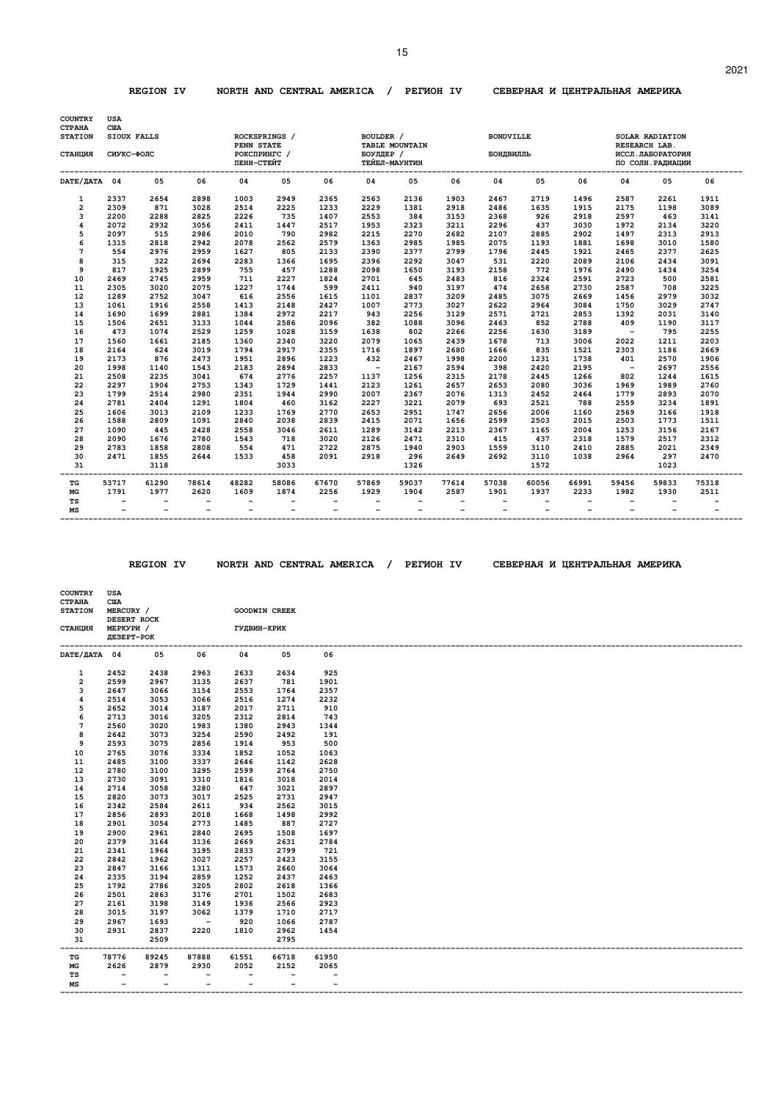#### **REGION IV NORTH AND CENTRAL AMERICA / PEГИOH IV CEBEPHAЯ И ЦEHTPAЛЬHAЯ AMEPИKA**

| <b>COUNTRY</b><br><b>CTPAHA</b> | <b>USA</b><br><b>CIIA</b>                  |                          |                          |                          |                          |                                                      |                          |                          |                   |                                                      |              |                          |                          |                                  |                                            |
|---------------------------------|--------------------------------------------|--------------------------|--------------------------|--------------------------|--------------------------|------------------------------------------------------|--------------------------|--------------------------|-------------------|------------------------------------------------------|--------------|--------------------------|--------------------------|----------------------------------|--------------------------------------------|
| <b>STATION</b>                  | SIOUX FALLS                                |                          |                          | PENN STATE               | ROCKSPRINGS /            |                                                      | BOULDER /                | TABLE MOUNTAIN           |                   | <b>BONDVILLE</b>                                     |              |                          |                          | SOLAR RADIATION<br>RESEARCH LAB. |                                            |
| СТАНЦИЯ                         | СИУКС-ФОЛС                                 |                          |                          | РОКСПРИНГС /             |                          |                                                      | БОУЛДЕР /                |                          |                   | БОНДВИЛЛЬ                                            |              |                          |                          | ИССЛ. ЛАБОРАТОРИЯ                |                                            |
|                                 |                                            |                          |                          | ПЕНН-СТЕЙТ               |                          |                                                      |                          | ТЕЙБЛ-МАУНТИН            |                   |                                                      |              |                          |                          | ПО СОЛН. РАДИАЦИИ                |                                            |
| DATE/ JATA 04                   |                                            | 05                       | 06                       | 04                       | 05                       | 06                                                   | 04                       | 05                       | 06                | 04                                                   | 05           | 06                       | 04                       | 05                               | 06                                         |
| $\mathbf{1}$                    | 2337                                       | 2654                     | 2898                     | 1003                     | 2949                     | 2365                                                 | 2563                     | 2136                     | 1903              | 2467                                                 | 2719         | 1496                     | 2587                     | 2261                             | 1911                                       |
| $\overline{\mathbf{c}}$         | 2309                                       | 871                      | 3028                     | 2514                     | 2225                     | 1233                                                 | 2229                     | 1381                     | 2918              | 2486                                                 | 1635         | 1915                     | 2175                     | 1198                             | 3089                                       |
| 3                               | 2200                                       | 2288                     | 2825                     | 2226                     | 735                      | 1407                                                 | 2553                     | 384                      | 3153              | 2368                                                 | 926          | 2918                     | 2597                     | 463                              | 3141                                       |
| 4                               | 2072                                       | 2932                     | 3056                     | 2411                     | 1447                     | 2517                                                 | 1953                     | 2323                     | 3211              | 2296                                                 | 437          | 3030                     | 1972                     | 2134                             | 3220                                       |
| 5                               | 2097                                       | 515                      | 2986                     | 2010                     | 790                      | 2982                                                 | 2215                     | 2270                     | 2682              | 2107                                                 | 2885         | 2902                     | 1497                     | 2313                             | 2913                                       |
| 6                               | 1315                                       | 2818                     | 2942                     | 2078                     | 2562                     | 2579                                                 | 1363                     | 2985                     | 1985              | 2075                                                 | 1193         | 1881                     | 1698                     | 3010                             | 1580                                       |
| 7<br>8                          | 554<br>315                                 | 2976<br>322              | 2959<br>2694             | 1627                     | 805<br>1366              | 2133<br>1695                                         | 2390<br>2396             | 2377<br>2292             | 2799<br>3047      | 1796<br>531                                          | 2445         | 1921<br>2089             | 2465<br>2106             | 2377<br>2434                     | 2625<br>3091                               |
| 9                               | 817                                        | 1925                     | 2899                     | 2283<br>755              | 457                      | 1288                                                 | 2098                     | 1650                     | 3193              | 2158                                                 | 2220<br>772  | 1976                     | 2490                     | 1434                             | 3254                                       |
| 10                              | 2469                                       | 2745                     | 2959                     | 711                      | 2227                     | 1824                                                 | 2701                     | 645                      | 2483              | 816                                                  | 2324         | 2591                     | 2723                     | 500                              | 2581                                       |
| 11                              | 2305                                       | 3020                     | 2075                     | 1227                     | 1744                     | 599                                                  | 2411                     | 940                      | 3197              | 474                                                  | 2658         | 2730                     | 2587                     | 708                              | 3225                                       |
| 12                              | 1289                                       | 2752                     | 3047                     | 616                      | 2556                     | 1615                                                 | 1101                     | 2837                     | 3209              | 2485                                                 | 3075         | 2669                     | 1456                     | 2979                             | 3032                                       |
| 13                              | 1061                                       | 1916                     | 2558                     | 1413                     | 2148                     | 2427                                                 | 1007                     | 2773                     | 3027              | 2622                                                 | 2964         | 3084                     | 1750                     | 3029                             | 2747                                       |
| 14                              | 1690                                       | 1699                     | 2881                     | 1384                     | 2972                     | 2217                                                 | 943                      | 2256                     | 3129              | 2571                                                 | 2721         | 2853                     | 1392                     | 2031                             | 3140                                       |
| 15                              | 1506                                       | 2651                     | 3133                     | 1044                     | 2586                     | 2096                                                 | 382                      | 1088                     | 3096              | 2463                                                 | 852          | 2788                     | 409                      | 1190                             | 3117                                       |
| 16                              | 473                                        | 1074                     | 2529                     | 1259                     | 1028                     | 3159                                                 | 1638                     | 802                      | 2266              | 2256                                                 | 1630         | 3189                     | $\overline{\phantom{a}}$ | 795                              | 2255                                       |
| 17                              | 1560                                       | 1661                     | 2185                     | 1360                     | 2340                     | 3220                                                 | 2079                     | 1065                     | 2439              | 1678                                                 | 713          | 3006                     | 2022                     | 1211                             | 2203                                       |
| 18                              | 2164                                       | 624                      | 3019                     | 1794                     | 2917                     | 2355                                                 | 1716                     | 1897                     | 2680              | 1666                                                 | 835          | 1521                     | 2303                     | 1186                             | 2669                                       |
| 19                              | 2173                                       | 876                      | 2473                     | 1951                     | 2896                     | 1223                                                 | 432                      | 2467                     | 1998              | 2200                                                 | 1231         | 1738                     | 401                      | 2570                             | 1906                                       |
| 20                              | 1998                                       | 1140                     | 1543                     | 2183                     | 2894                     | 2833                                                 | $\overline{\phantom{a}}$ | 2167                     | 2594              | 398                                                  | 2420         | 2195                     | $\overline{\phantom{0}}$ | 2697                             | 2556                                       |
| 21                              | 2508                                       | 2235                     | 3041                     | 674                      | 2776                     | 2257                                                 | 1137                     | 1256                     | 2315              | 2178                                                 | 2445         | 1266                     | 802                      | 1244                             | 1615                                       |
| 22                              | 2297                                       | 1904                     | 2753                     | 1343                     | 1729                     | 1441                                                 | 2123                     | 1261                     | 2657              | 2653                                                 | 2080         | 3036                     | 1969                     | 1989                             | 2760                                       |
| 23                              | 1799                                       | 2514                     | 2980                     | 2351                     | 1944                     | 2990                                                 | 2007                     | 2367                     | 2076              | 1313                                                 | 2452         | 2464                     | 1779                     | 2893                             | 2070                                       |
| 24<br>25                        | 2781<br>1606                               | 2404<br>3013             | 1291<br>2109             | 1804<br>1233             | 460<br>1769              | 3162<br>2770                                         | 2227<br>2653             | 3221<br>2951             | 2079<br>1747      | 693<br>2656                                          | 2521<br>2006 | 788<br>1160              | 2559<br>2569             | 3234<br>3166                     | 1891<br>1918                               |
| 26                              | 1588                                       | 2809                     | 1091                     | 2840                     | 2038                     | 2839                                                 | 2415                     | 2071                     | 1656              | 2599                                                 | 2503         | 2015                     | 2503                     | 1773                             | 1511                                       |
| 27                              | 1090                                       | 445                      | 2428                     | 2558                     | 3046                     | 2611                                                 | 1289                     | 3142                     | 2213              | 2367                                                 | 1165         | 2004                     | 1253                     | 3156                             | 2167                                       |
| 28                              | 2090                                       | 1676                     | 2780                     | 1543                     | 718                      | 3020                                                 | 2126                     | 2471                     | 2310              | 415                                                  | 437          | 2318                     | 1579                     | 2517                             | 2312                                       |
| 29                              | 2783                                       | 1858                     | 2808                     | 554                      | 471                      | 2722                                                 | 2875                     | 1940                     | 2903              | 1559                                                 | 3110         | 2410                     | 2885                     | 2021                             | 2349                                       |
| 30                              | 2471                                       | 1855                     | 2644                     | 1533                     | 458                      | 2091                                                 | 2918                     | 296                      | 2649              | 2692                                                 | 3110         | 1038                     | 2964                     | 297                              | 2470                                       |
| 31                              |                                            | 3118                     |                          |                          | 3033                     |                                                      |                          | 1326                     |                   |                                                      | 1572         |                          |                          | 1023                             |                                            |
| TG                              | 53717                                      | 61290                    | 78614                    | 48282                    | 58086                    | 67670                                                | 57869                    | 59037                    | 77614             | 57038                                                | 60056        | 66991                    | 59456                    | 59833                            | 75318                                      |
| MG                              | 1791                                       | 1977                     | 2620                     | 1609                     | 1874                     | 2256                                                 | 1929                     | 1904                     | 2587              | 1901                                                 | 1937         | 2233                     | 1982                     | 1930                             | 2511                                       |
| TS<br>MS                        | $\overline{\phantom{0}}$<br>$\overline{a}$ | $\overline{\phantom{0}}$ | $\overline{\phantom{0}}$ | $\overline{\phantom{0}}$ | $\overline{\phantom{a}}$ | $\overline{\phantom{a}}$<br>$\overline{\phantom{0}}$ |                          | $\overline{\phantom{0}}$ | $\qquad \qquad -$ | $\overline{\phantom{a}}$<br>$\overline{\phantom{0}}$ |              | $\overline{\phantom{0}}$ | $\overline{\phantom{0}}$ |                                  | $\overline{\phantom{0}}$<br>$\overline{a}$ |

 **COUNTRY USA** 

 **REGION IV NORTH AND CENTRAL AMERICA / PEГИOH IV CEBEPHAЯ И ЦEHTPAЛЬHAЯ AMEPИKA** 

| <b>CTPAHA</b><br><b>STATION</b> | <b>CIIA</b><br>MERCURY /<br>DESERT ROCK |                           |                          |                             | <b>GOODWIN CREEK</b>     |                          |
|---------------------------------|-----------------------------------------|---------------------------|--------------------------|-----------------------------|--------------------------|--------------------------|
| СТАНЦИЯ                         | МЕРКУРИ /<br>ДЕЗЕРТ-РОК                 |                           |                          | ГУДВИН-КРИК                 |                          |                          |
| DATE/ <b>JATA 04</b>            |                                         | 05                        | 06                       | 04                          | 05                       | 06                       |
| 1                               | 2452                                    | 2438                      | 2963                     | 2633                        | 2634                     | 925                      |
| $\overline{2}$                  | 2599                                    | 2967                      | 3135                     | 2637                        | 781                      | 1901                     |
| з                               | 2647                                    | 3066                      | 3154                     | 2553                        | 1764                     | 2357                     |
| $\overline{\mathbf{4}}$         | 2514                                    | 3053                      | 3066                     | 2516                        | 1274                     | 2232                     |
| 5                               | 2652                                    | 3014                      | 3187                     | 2017                        | 2711                     | 910                      |
| 6                               | 2713                                    | 3016                      | 3205                     | 2312                        | 2814                     | 743                      |
| 7                               | 2560                                    | 3020                      | 1983                     | 1380                        | 2943                     | 1344                     |
| 8                               | 2642                                    | 3073                      | 3254                     | 2590                        | 2492                     | 191                      |
| 9                               | 2593                                    | 3075                      | 2856                     | 1914                        | 953                      | 500                      |
| 10                              | 2765                                    | 3076                      | 3334                     | 1852                        | 1052                     | 1063                     |
| 11                              | 2485                                    | 3100                      | 3337                     | 2646                        | 1142                     | 2628                     |
| 12                              | 2780                                    | 3100                      | 3295                     | 2599                        | 2764                     | 2750                     |
| 13                              | 2730                                    | 3091                      | 3310                     | 1816                        | 3018                     | 2014                     |
| 14                              | 2714                                    | 3058                      | 3280                     | 647                         | 3021                     | 2897                     |
| 15                              | 2820                                    | 3073                      | 3017                     | 2525                        | 2731                     | 2947                     |
| 16                              | 2342                                    | 2584                      | 2611                     | 934                         | 2562                     | 3015                     |
| 17                              | 2856                                    | 2893                      | 2018                     | 1668                        | 1498                     | 2992                     |
| 18                              | 2901                                    | 3054                      | 2773                     | 1485                        | 887                      | 2727                     |
| 19                              | 2900                                    | 2961                      | 2840                     | 2695                        | 1508                     | 1697                     |
| 20                              | 2379                                    | 3164                      | 3136                     | 2669                        | 2631                     | 2784                     |
| 21                              | 2341                                    | 1964                      | 3195                     | 2833                        | 2799                     | 721                      |
| 22                              | 2842                                    | 1962                      | 3027                     | 2257                        | 2423                     | 3155                     |
| 23                              | 2847                                    | 3166                      | 1311                     | 1573                        | 2660                     | 3064                     |
| 24                              | 2335                                    | 3194                      | 2859                     | 1252                        | 2437                     | 2463                     |
| 25                              | 1792                                    | 2786                      | 3205                     | 2802                        | 2618                     | 1366                     |
| 26                              | 2501                                    | 2863                      | 3176                     | 2701                        | 1502                     | 2683                     |
| 27                              | 2161                                    | 3198                      | 3149                     | 1936                        | 2566                     | 2923                     |
| 28                              | 3015                                    | 3197                      | 3062                     | 1379                        | 1710                     | 2717                     |
| 29                              | 2967                                    | 1693                      | $\sim$ $-$               | 920                         | 1066                     | 2787                     |
| 30                              | 2931                                    | 2837                      | 2220                     | 1810                        | 2962                     | 1454                     |
| 31<br>_____                     |                                         | 2509<br>----------------- |                          | --------------------------- | 2795                     |                          |
| TG                              | 78776                                   | 89245                     | 87888                    | 61551                       | 66718                    | 61950                    |
| МG                              | 2626                                    | 2879                      | 2930                     | 2052                        | 2152                     | 2065                     |
| TS                              | $-$                                     | $\overline{\phantom{a}}$  | $\overline{\phantom{a}}$ | $\overline{\phantom{a}}$    | $\overline{\phantom{a}}$ | $\overline{\phantom{a}}$ |
| MS                              | $\overline{\phantom{a}}$                | $-$                       | $\overline{\phantom{a}}$ | $\overline{\phantom{a}}$    | $\overline{\phantom{0}}$ | $\overline{\phantom{a}}$ |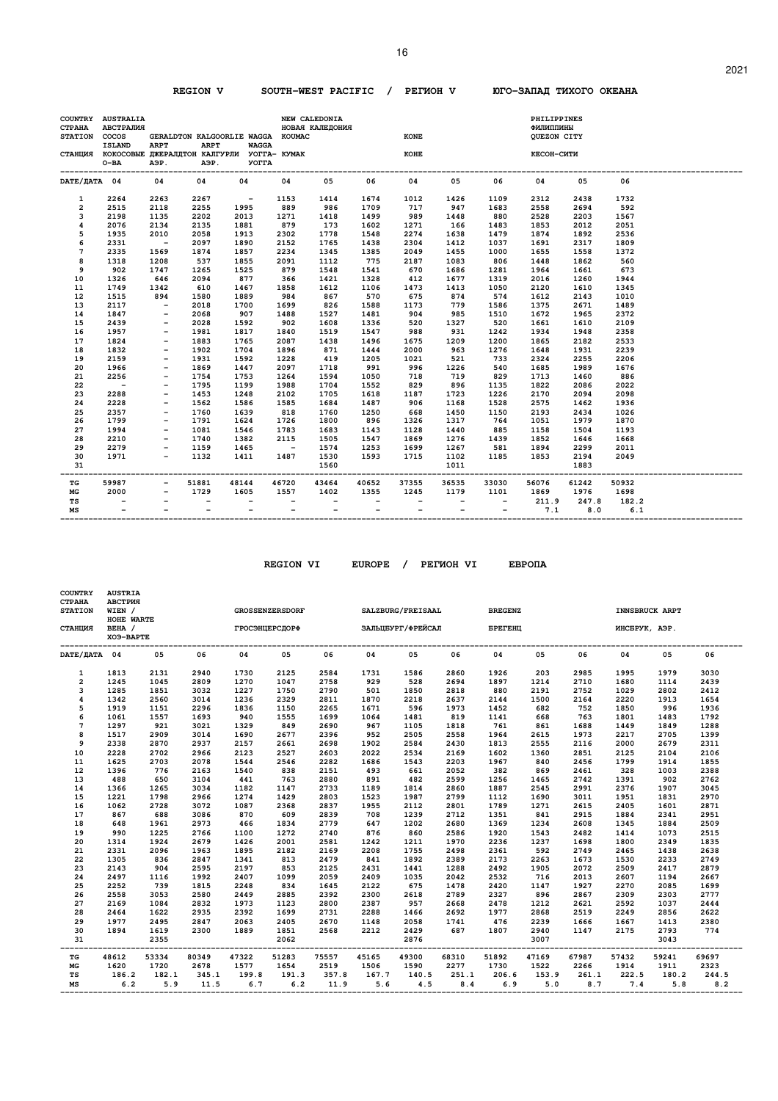**REGION V SOUTH-WEST PACIFIC / PEГИOH V ЮГO-ЗAПAД TИXOГO OKEAHA** 

| <b>COUNTRY</b><br><b>CTPAHA</b><br><b>STATION</b> | <b>AUSTRALIA</b><br>АВСТРАЛИЯ<br>cocos<br><b>ISLAND</b><br>СТАНЦИЯ КОКОСОВЫЕ ДЖЕРАЛДТОН КАЛГУРЛИ УОГГА- КУМАК<br>$O-BA$ | <b>ARPT</b><br>АЭР.                                  | GERALDTON KALGOORLIE WAGGA KOUMAC<br><b>ARPT</b><br>АЭР. | <b>WAGGA</b><br><b>YOTTA</b> |                          | NEW CALEDONIA<br>НОВАЯ КАЛЕДОНИЯ |                          | <b>KONE</b><br><b>KOHE</b> |                          |                          | PHILIPPINES<br>ФИЛИППИНЫ<br>QUEZON CITY<br>КЕСОН-СИТИ |                 |              |  |
|---------------------------------------------------|-------------------------------------------------------------------------------------------------------------------------|------------------------------------------------------|----------------------------------------------------------|------------------------------|--------------------------|----------------------------------|--------------------------|----------------------------|--------------------------|--------------------------|-------------------------------------------------------|-----------------|--------------|--|
| DATE/ JATA 04                                     |                                                                                                                         | 04                                                   | 04                                                       | 04                           | 04                       | 05                               | 06                       | 04                         | 05                       | 06                       | 04                                                    | 05              | 06           |  |
| 1                                                 | 2264                                                                                                                    | 2263                                                 | 2267                                                     | $\sim$ $-$                   | 1153                     | 1414                             | 1674                     | 1012                       | 1426                     | 1109                     | 2312                                                  | 2438            | 1732         |  |
| $\overline{2}$                                    | 2515                                                                                                                    | 2118                                                 | 2255                                                     | 1995                         | 889                      | 986                              | 1709                     | 717                        | 947                      | 1683                     | 2558                                                  | 2694            | 592          |  |
| 3                                                 | 2198                                                                                                                    | 1135                                                 | 2202                                                     | 2013                         | 1271                     | 1418                             | 1499                     | 989                        | 1448                     | 880                      | 2528                                                  | 2203            | 1567         |  |
| 4                                                 | 2076                                                                                                                    | 2134                                                 | 2135                                                     | 1881                         | 879                      | 173                              | 1602                     | 1271                       | 166                      | 1483                     | 1853                                                  | 2012            | 2051         |  |
| 5                                                 | 1935                                                                                                                    | 2010                                                 | 2058                                                     | 1913                         | 2302                     | 1778                             | 1548                     | 2274                       | 1638                     | 1479                     | 1874                                                  | 1892            | 2536         |  |
| 6                                                 | 2331                                                                                                                    | $\sim$ $-$                                           | 2097                                                     | 1890                         | 2152                     | 1765                             | 1438                     | 2304                       | 1412                     | 1037                     | 1691                                                  | 2317            | 1809         |  |
| 7                                                 | 2335                                                                                                                    | 1569                                                 | 1874                                                     | 1857                         | 2234                     | 1345                             | 1385                     | 2049                       | 1455                     | 1000                     | 1655                                                  | 1558            | 1372         |  |
| 8                                                 | 1318                                                                                                                    | 1208                                                 | 537                                                      | 1855                         | 2091                     | 1112                             | 775                      | 2187                       | 1083                     | 806                      | 1448                                                  | 1862            | 560          |  |
| 9                                                 | 902                                                                                                                     | 1747                                                 | 1265                                                     | 1525                         | 879                      | 1548                             | 1541                     | 670                        | 1686                     | 1281                     | 1964                                                  | 1661            | 673          |  |
| 10                                                | 1326                                                                                                                    | 646                                                  | 2094                                                     | 877                          | 366                      | 1421                             | 1328                     | 412                        | 1677                     | 1319                     | 2016                                                  | 1260            | 1944         |  |
| 11                                                | 1749                                                                                                                    | 1342                                                 | 610                                                      | 1467                         | 1858                     | 1612                             | 1106                     | 1473                       | 1413                     | 1050                     | 2120                                                  | 1610            | 1345         |  |
| 12                                                | 1515                                                                                                                    | 894                                                  | 1580                                                     | 1889                         | 984                      | 867                              | 570                      | 675                        | 874                      | 574                      | 1612                                                  | 2143            | 1010         |  |
| 13                                                | 2117                                                                                                                    | $\sim$ $-$                                           | 2018                                                     | 1700                         | 1699                     | 826                              | 1588                     | 1173                       | 779                      | 1586                     | 1375                                                  | 2671            | 1489         |  |
| 14                                                | 1847                                                                                                                    | $\overline{\phantom{a}}$                             | 2068                                                     | 907                          | 1488                     | 1527                             | 1481                     | 904                        | 985                      | 1510                     | 1672                                                  | 1965            | 2372         |  |
| 15                                                | 2439                                                                                                                    | $\overline{\phantom{a}}$                             | 2028                                                     | 1592                         | 902                      | 1608                             | 1336                     | 520                        | 1327                     | 520                      | 1661                                                  | 1610            | 2109         |  |
| 16                                                | 1957                                                                                                                    | $\overline{\phantom{a}}$                             | 1981                                                     | 1817                         | 1840                     | 1519                             | 1547                     | 988                        | 931                      | 1242                     | 1934                                                  | 1948            | 2358         |  |
| 17                                                | 1824                                                                                                                    | $\overline{\phantom{a}}$                             | 1883                                                     | 1765                         | 2087                     | 1438                             | 1496                     | 1675                       | 1209                     | 1200                     | 1865                                                  | 2182            | 2533         |  |
| 18                                                | 1832                                                                                                                    | $\overline{\phantom{a}}$                             | 1902                                                     | 1704                         | 1896                     | 871                              | 1444                     | 2000                       | 963                      | 1276                     | 1648                                                  | 1931            | 2239         |  |
| 19                                                | 2159                                                                                                                    | $\overline{\phantom{a}}$                             | 1931                                                     | 1592                         | 1228                     | 419                              | 1205                     | 1021                       | 521                      | 733                      | 2324                                                  | 2255            | 2206         |  |
| 20                                                | 1966                                                                                                                    | $\overline{\phantom{a}}$                             | 1869                                                     | 1447                         | 2097                     | 1718                             | 991                      | 996                        | 1226                     | 540                      | 1685                                                  | 1989            | 1676         |  |
| 21                                                | 2256                                                                                                                    | $\overline{\phantom{a}}$                             | 1754                                                     | 1753                         | 1264                     | 1594                             | 1050                     | 718                        | 719                      | 829                      | 1713                                                  | 1460            | 886          |  |
| 22                                                | $\overline{\phantom{a}}$                                                                                                | $\overline{\phantom{a}}$                             | 1795                                                     | 1199                         | 1988                     | 1704                             | 1552                     | 829                        | 896                      | 1135                     | 1822                                                  | 2086            | 2022         |  |
| 23                                                | 2288                                                                                                                    | $\overline{\phantom{a}}$                             | 1453                                                     | 1248                         | 2102                     | 1705                             | 1618                     | 1187                       | 1723                     | 1226                     | 2170                                                  | 2094            | 2098         |  |
| 24                                                | 2228                                                                                                                    | $\overline{\phantom{a}}$                             | 1562                                                     | 1586                         | 1585                     | 1684                             | 1487                     | 906                        | 1168                     | 1528                     | 2575                                                  | 1462            | 1936         |  |
| 25                                                | 2357                                                                                                                    |                                                      | 1760                                                     | 1639                         | 818                      | 1760                             | 1250                     | 668                        | 1450<br>1317             | 1150                     | 2193                                                  | 2434            | 1026         |  |
| 26<br>27                                          | 1799<br>1994                                                                                                            | $\overline{\phantom{a}}$<br>$\overline{\phantom{a}}$ | 1791<br>1081                                             | 1624<br>1546                 | 1726<br>1783             | 1800<br>1683                     | 896<br>1143              | 1326<br>1128               | 1440                     | 764<br>885               | 1051<br>1158                                          | 1979<br>1504    | 1870<br>1193 |  |
| 28                                                | 2210                                                                                                                    | $\overline{\phantom{a}}$                             | 1740                                                     | 1382                         | 2115                     | 1505                             | 1547                     | 1869                       | 1276                     | 1439                     | 1852                                                  | 1646            | 1668         |  |
| 29                                                | 2279                                                                                                                    | $\overline{\phantom{a}}$                             | 1159                                                     | 1465                         |                          | 1574                             | 1253                     | 1699                       | 1267                     | 581                      | 1894                                                  | 2299            | 2011         |  |
| 30                                                | 1971                                                                                                                    | $\overline{\phantom{a}}$                             | 1132                                                     | 1411                         | $\sim$ $-$<br>1487       | 1530                             | 1593                     | 1715                       | 1102                     | 1185                     | 1853                                                  | 2194            | 2049         |  |
| 31                                                |                                                                                                                         |                                                      |                                                          |                              |                          | 1560                             |                          |                            | 1011                     |                          |                                                       | 1883            |              |  |
| TG                                                | 59987                                                                                                                   |                                                      | 51881                                                    | 48144                        | 46720                    | -------<br>43464                 | ---------<br>40652       | 37355                      | -------<br>36535         | -------<br>33030         | 56076                                                 | ------<br>61242 | 50932        |  |
| MG                                                | 2000                                                                                                                    | $\overline{\phantom{a}}$                             | 1729                                                     | 1605                         | 1557                     | 1402                             | 1355                     | 1245                       | 1179                     | 1101                     | 1869                                                  | 1976            | 1698         |  |
| TS                                                | $\overline{\phantom{a}}$                                                                                                |                                                      | $\overline{\phantom{a}}$                                 | $\qquad \qquad -$            | $\overline{\phantom{a}}$ | $\overline{\phantom{a}}$         | $\overline{\phantom{a}}$ | $\overline{\phantom{a}}$   | $\overline{\phantom{a}}$ | $\overline{\phantom{a}}$ | 211.9                                                 | 247.8 182.2     |              |  |
| MS                                                |                                                                                                                         |                                                      | $\overline{\phantom{a}}$                                 | $\overline{\phantom{a}}$     | $\overline{\phantom{a}}$ | $-$                              | $\overline{\phantom{a}}$ | $\overline{\phantom{0}}$   | $\overline{\phantom{a}}$ | $-$                      | 7.1                                                   | 8.0             | 6.1          |  |

| <b>COUNTRY</b><br><b>CTPAHA</b><br><b>STATION</b><br>СТАНЦИЯ | <b>AUSTRIA</b><br>АВСТРИЯ<br>WIEN /<br>HOHE WARTE<br>BEHA /<br>XO9-BAPTE |       |       | <b>ГРОСЭНЦЕРСДОРФ</b>               | <b>GROSSENZERSDORF</b> |       | SALZBURG/FREISAAL<br>ЗАЛЬЦБУРГ/ФРЕЙСАЛ |       |       | <b>BREGENZ</b><br><b><i>EPETEHU</i></b> |       |       | ИНСБРУК, АЭР. | <b>INNSBRUCK ARPT</b>     |       |
|--------------------------------------------------------------|--------------------------------------------------------------------------|-------|-------|-------------------------------------|------------------------|-------|----------------------------------------|-------|-------|-----------------------------------------|-------|-------|---------------|---------------------------|-------|
| DATE/ДАТА 04                                                 |                                                                          | 05    | 06    | 04                                  | 05                     | 06    | 04                                     | 05    | 06    | 04                                      | 05    | 06    | 04            | 05                        | 06    |
| $\mathbf{1}$                                                 | 1813                                                                     | 2131  | 2940  | 1730                                | 2125                   | 2584  | 1731                                   | 1586  | 2860  | 1926                                    | 203   | 2985  | 1995          | 1979                      | 3030  |
| $\overline{2}$                                               | 1245                                                                     | 1045  | 2809  | 1270                                | 1047                   | 2758  | 929                                    | 528   | 2694  | 1897                                    | 1214  | 2710  | 1680          | 1114                      | 2439  |
| 3                                                            | 1285                                                                     | 1851  | 3032  | 1227                                | 1750                   | 2790  | 501                                    | 1850  | 2818  | 880                                     | 2191  | 2752  | 1029          | 2802                      | 2412  |
| $\overline{\mathbf{4}}$                                      | 1342                                                                     | 2560  | 3014  | 1236                                | 2329                   | 2811  | 1870                                   | 2218  | 2637  | 2144                                    | 1500  | 2164  | 2220          | 1913                      | 1654  |
| 5                                                            | 1919                                                                     | 1151  | 2296  | 1836                                | 1150                   | 2265  | 1671                                   | 596   | 1973  | 1452                                    | 682   | 752   | 1850          | 996                       | 1936  |
| 6                                                            | 1061                                                                     | 1557  | 1693  | 940                                 | 1555                   | 1699  | 1064                                   | 1481  | 819   | 1141                                    | 668   | 763   | 1801          | 1483                      | 1792  |
| $\overline{7}$                                               | 1297                                                                     | 921   | 3021  | 1329                                | 849                    | 2690  | 967                                    | 1105  | 1818  | 761                                     | 861   | 1688  | 1449          | 1849                      | 1288  |
| 8                                                            | 1517                                                                     | 2909  | 3014  | 1690                                | 2677                   | 2396  | 952                                    | 2505  | 2558  | 1964                                    | 2615  | 1973  | 2217          | 2705                      | 1399  |
| 9                                                            | 2338                                                                     | 2870  | 2937  | 2157                                | 2661                   | 2698  | 1902                                   | 2584  | 2430  | 1813                                    | 2555  | 2116  | 2000          | 2679                      | 2311  |
| 10                                                           | 2228                                                                     | 2702  | 2966  | 2123                                | 2527                   | 2603  | 2022                                   | 2534  | 2169  | 1602                                    | 1360  | 2851  | 2125          | 2104                      | 2106  |
| 11                                                           | 1625                                                                     | 2703  | 2078  | 1544                                | 2546                   | 2282  | 1686                                   | 1543  | 2203  | 1967                                    | 840   | 2456  | 1799          | 1914                      | 1855  |
| 12                                                           | 1396                                                                     | 776   | 2163  | 1540                                | 838                    | 2151  | 493                                    | 661   | 2052  | 382                                     | 869   | 2461  | 328           | 1003                      | 2388  |
| 13                                                           | 488                                                                      | 650   | 3104  | 441                                 | 763                    | 2880  | 891                                    | 482   | 2599  | 1256                                    | 1465  | 2742  | 1391          | 902                       | 2762  |
| 14                                                           | 1366                                                                     | 1265  | 3034  | 1182                                | 1147                   | 2733  | 1189                                   | 1814  | 2860  | 1887                                    | 2545  | 2991  | 2376          | 1907                      | 3045  |
| 15                                                           | 1221                                                                     | 1798  | 2966  | 1274                                | 1429                   | 2803  | 1523                                   | 1987  | 2799  | 1112                                    | 1690  | 3011  | 1951          | 1831                      | 2970  |
| 16                                                           | 1062                                                                     | 2728  | 3072  | 1087                                | 2368                   | 2837  | 1955                                   | 2112  | 2801  | 1789                                    | 1271  | 2615  | 2405          | 1601                      | 2871  |
| 17                                                           | 867                                                                      | 688   | 3086  | 870                                 | 609                    | 2839  | 708                                    | 1239  | 2712  | 1351                                    | 841   | 2915  | 1884          | 2341                      | 2951  |
| 18                                                           | 648                                                                      | 1961  | 2973  | 466                                 | 1834                   | 2779  | 647                                    | 1202  | 2680  | 1369                                    | 1234  | 2608  | 1345          | 1884                      | 2509  |
| 19                                                           | 990                                                                      | 1225  | 2766  | 1100                                | 1272                   | 2740  | 876                                    | 860   | 2586  | 1920                                    | 1543  | 2482  | 1414          | 1073                      | 2515  |
| 20                                                           | 1314                                                                     | 1924  | 2679  | 1426                                | 2001                   | 2581  | 1242                                   | 1211  | 1970  | 2236                                    | 1237  | 1698  | 1800          | 2349                      | 1835  |
| 21                                                           | 2331                                                                     | 2096  | 1963  | 1895                                | 2182                   | 2169  | 2208                                   | 1755  | 2498  | 2361                                    | 592   | 2749  | 2465          | 1438                      | 2638  |
| 22                                                           | 1305                                                                     | 836   | 2847  | 1341                                | 813                    | 2479  | 841                                    | 1892  | 2389  | 2173                                    | 2263  | 1673  | 1530          | 2233                      | 2749  |
| 23                                                           | 2143                                                                     | 904   | 2595  | 2197                                | 853                    | 2125  | 2431                                   | 1441  | 1288  | 2492                                    | 1905  | 2072  | 2509          | 2417                      | 2879  |
| 24                                                           | 2497                                                                     | 1116  | 1992  | 2407                                | 1099                   | 2059  | 2409                                   | 1035  | 2042  | 2532                                    | 716   | 2013  | 2607          | 1194                      | 2667  |
| 25                                                           | 2252                                                                     | 739   | 1815  | 2248                                | 834                    | 1645  | 2122                                   | 675   | 1478  | 2420                                    | 1147  | 1927  | 2270          | 2085                      | 1699  |
| 26                                                           | 2558                                                                     | 3053  | 2580  | 2449                                | 2885                   | 2392  | 2300                                   | 2618  | 2789  | 2327                                    | 896   | 2867  | 2309          | 2303                      | 2777  |
| 27                                                           | 2169                                                                     | 1084  | 2832  | 1973                                | 1123                   | 2800  | 2387                                   | 957   | 2668  | 2478                                    | 1212  | 2621  | 2592          | 1037                      | 2444  |
| 28                                                           | 2464                                                                     | 1622  | 2935  | 2392                                | 1699                   | 2731  | 2288                                   | 1466  | 2692  | 1977                                    | 2868  | 2519  | 2249          | 2856                      | 2622  |
| 29                                                           | 1977                                                                     | 2495  | 2847  | 2063                                | 2405                   | 2670  | 1148                                   | 2058  | 1741  | 476                                     | 2239  | 1666  | 1667          | 1413                      | 2380  |
| 30                                                           | 1894                                                                     | 1619  | 2300  | 1889                                | 1851                   | 2568  | 2212                                   | 2429  | 687   | 1807                                    | 2940  | 1147  | 2175          | 2793                      | 774   |
| 31                                                           |                                                                          | 2355  |       |                                     | 2062                   |       |                                        | 2876  |       | --------------------------              | 3007  |       |               | 3043<br>----------------- |       |
| ----<br>TG                                                   | 48612                                                                    | 53334 | 80349 | --------------------------<br>47322 | 51283                  | 75557 | ----------------------------<br>45165  | 49300 | 68310 | 51892                                   | 47169 | 67987 | 57432         | 59241                     | 69697 |
| МG                                                           | 1620                                                                     | 1720  | 2678  | 1577                                | 1654                   | 2519  | 1506                                   | 1590  | 2277  | 1730                                    | 1522  | 2266  | 1914          | 1911                      | 2323  |
| TS                                                           | 186.2                                                                    | 182.1 | 345.1 | 199.8                               | 191.3                  | 357.8 | 167.7                                  | 140.5 | 251.1 | 206.6                                   | 153.9 | 261.1 | 222.5         | 180.2                     | 244.5 |
| MS                                                           | 6.2                                                                      | 5.9   | 11.5  | 6.7                                 | 6.2                    | 11.9  | 5.6                                    | 4.5   | 8.4   | 6.9                                     | 5.0   |       | 8.7 7.4       | 5.8                       | 8.2   |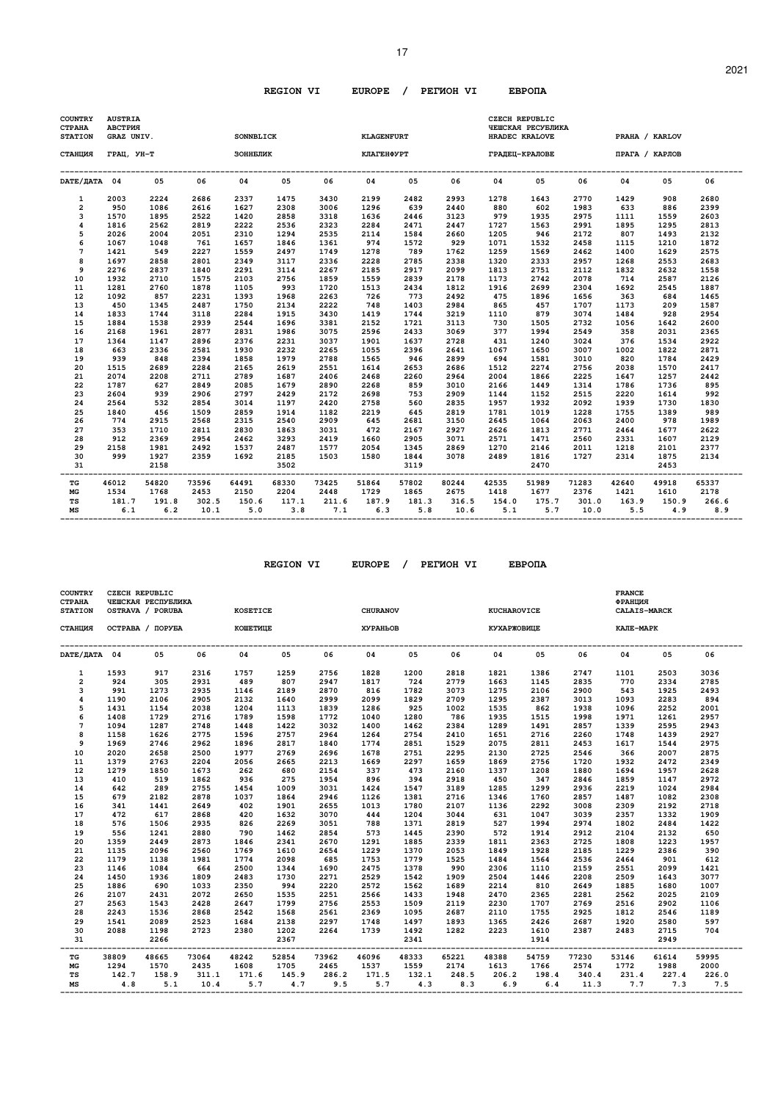| <b>COUNTRY</b><br><b>CTPAHA</b><br><b>STATION</b> | <b>AUSTRIA</b><br>АВСТРИЯ<br>GRAZ UNIV. |              |                  | <b>SONNBLICK</b> |              |                            | <b>KLAGENFURT</b> |              |               |                            | <b>CZECH REPUBLIC</b><br>ЧЕШСКАЯ РЕСУБЛИКА<br>HRADEC KRALOVE |                  | PRAHA / KARLOV            |              |              |
|---------------------------------------------------|-----------------------------------------|--------------|------------------|------------------|--------------|----------------------------|-------------------|--------------|---------------|----------------------------|--------------------------------------------------------------|------------------|---------------------------|--------------|--------------|
| СТАНЦИЯ                                           | ГРАЦ, УН-Т                              |              |                  | ЗОННЕЛИК         |              |                            | КЛАГЕНФУРТ        |              |               |                            | ГРАДЕЦ-КРАЛОВЕ                                               |                  | ПРАГА / КАРЛОВ            |              |              |
| DATE/ JATA 04                                     |                                         | 05           | 06               | 04               | 05           | 06                         | 04                | 05           | 06            | 04                         | 05                                                           | 06               | 04                        | 05           | 06           |
| 1                                                 | 2003                                    | 2224         | 2686             | 2337             | 1475         | 3430                       | 2199              | 2482         | 2993          | 1278                       | 1643                                                         | 2770             | 1429                      | 908          | 2680         |
| $\overline{2}$                                    | 950                                     | 1086         | 2616             | 1627             | 2308         | 3006                       | 1296              | 639          | 2440          | 880                        | 602                                                          | 1983             | 633                       | 886          | 2399         |
| 3                                                 | 1570                                    | 1895         | 2522             | 1420             | 2858         | 3318                       | 1636              | 2446         | 3123          | 979                        | 1935                                                         | 2975             | 1111                      | 1559         | 2603         |
| 4                                                 | 1816                                    | 2562         | 2819             | 2222             | 2536         | 2323                       | 2284              | 2471         | 2447          | 1727                       | 1563                                                         | 2991             | 1895                      | 1295         | 2813         |
| 5                                                 | 2026                                    | 2004         | 2051             | 2310             | 1294         | 2535                       | 2114              | 1584         | 2660          | 1205                       | 946                                                          | 2172             | 807                       | 1493         | 2132         |
| 6<br>$\overline{7}$                               | 1067                                    | 1048         | 761              | 1657             | 1846         | 1361                       | 974               | 1572         | 929           | 1071                       | 1532                                                         | 2458             | 1115                      | 1210         | 1872         |
| 8                                                 | 1421<br>1697                            | 549<br>2858  | 2227<br>2801     | 1559<br>2349     | 2497<br>3117 | 1749<br>2336               | 1278<br>2228      | 789<br>2785  | 1762<br>2338  | 1259<br>1320               | 1569<br>2333                                                 | 2462<br>2957     | 1400<br>1268              | 1629<br>2553 | 2575<br>2683 |
| 9                                                 | 2276                                    | 2837         | 1840             | 2291             | 3114         | 2267                       | 2185              | 2917         | 2099          | 1813                       | 2751                                                         | 2112             | 1832                      | 2632         | 1558         |
| 10                                                | 1932                                    | 2710         | 1575             | 2103             | 2756         | 1859                       | 1559              | 2839         | 2178          | 1173                       | 2742                                                         | 2078             | 714                       | 2587         | 2126         |
| 11                                                | 1281                                    | 2760         | 1878             | 1105             | 993          | 1720                       | 1513              | 2434         | 1812          | 1916                       | 2699                                                         | 2304             | 1692                      | 2545         | 1887         |
| 12                                                | 1092                                    | 857          | 2231             | 1393             | 1968         | 2263                       | 726               | 773          | 2492          | 475                        | 1896                                                         | 1656             | 363                       | 684          | 1465         |
| 13                                                | 450                                     | 1345         | 2487             | 1750             | 2134         | 2222                       | 748               | 1403         | 2984          | 865                        | 457                                                          | 1707             | 1173                      | 209          | 1587         |
| 14                                                | 1833                                    | 1744         | 3118             | 2284             | 1915         | 3430                       | 1419              | 1744         | 3219          | 1110                       | 879                                                          | 3074             | 1484                      | 928          | 2954         |
| 15                                                | 1884                                    | 1538         | 2939             | 2544             | 1696         | 3381                       | 2152              | 1721         | 3113          | 730                        | 1505                                                         | 2732             | 1056                      | 1642         | 2600         |
| 16                                                | 2168                                    | 1961         | 2877             | 2831             | 1986         | 3075                       | 2596              | 2433         | 3069          | 377                        | 1994                                                         | 2549             | 358                       | 2031         | 2365         |
| 17                                                | 1364                                    | 1147         | 2896             | 2376             | 2231         | 3037                       | 1901              | 1637         | 2728          | 431                        | 1240                                                         | 3024             | 376                       | 1534         | 2922         |
| 18                                                | 663                                     | 2336         | 2581             | 1930             | 2232         | 2265                       | 1055              | 2396         | 2641          | 1067                       | 1650                                                         | 3007             | 1002                      | 1822         | 2871         |
| 19                                                | 939                                     | 848          | 2394             | 1858             | 1979         | 2788                       | 1565              | 946          | 2899          | 694                        | 1581                                                         | 3010             | 820                       | 1784         | 2429         |
| 20                                                | 1515                                    | 2689         | 2284             | 2165             | 2619         | 2551                       | 1614              | 2653         | 2686          | 1512                       | 2274                                                         | 2756             | 2038                      | 1570         | 2417         |
| 21                                                | 2074                                    | 2208         | 2711             | 2789             | 1687         | 2406                       | 2468              | 2260         | 2964          | 2004                       | 1866                                                         | 2225             | 1647                      | 1257         | 2442         |
| 22                                                | 1787                                    | 627          | 2849             | 2085             | 1679         | 2890                       | 2268              | 859          | 3010          | 2166                       | 1449                                                         | 1314             | 1786                      | 1736         | 895          |
| 23                                                | 2604                                    | 939          | 2906             | 2797             | 2429         | 2172                       | 2698              | 753          | 2909          | 1144                       | 1152                                                         | 2515             | 2220                      | 1614         | 992          |
| 24                                                | 2564                                    | 532          | 2854             | 3014             | 1197         | 2420                       | 2758              | 560          | 2835          | 1957                       | 1932                                                         | 2092             | 1939                      | 1730         | 1830         |
| 25                                                | 1840                                    | 456          | 1509             | 2859             | 1914         | 1182                       | 2219              | 645          | 2819          | 1781                       | 1019                                                         | 1228             | 1755                      | 1389         | 989          |
| 26<br>27                                          | 774<br>353                              | 2915<br>1710 | 2568<br>2811     | 2315<br>2830     | 2540<br>1863 | 2909<br>3031               | 645<br>472        | 2681<br>2167 | 3150<br>2927  | 2645<br>2626               | 1064                                                         | 2063<br>2771     | 2400<br>2464              | 978<br>1677  | 1989<br>2622 |
| 28                                                | 912                                     | 2369         | 2954             | 2462             | 3293         | 2419                       | 1660              | 2905         | 3071          | 2571                       | 1813<br>1471                                                 | 2560             | 2331                      | 1607         | 2129         |
| 29                                                | 2158                                    | 1981         | 2492             | 1537             | 2487         | 1577                       | 2054              | 1345         | 2869          | 1270                       | 2146                                                         | 2011             | 1218                      | 2101         | 2377         |
| 30                                                | 999                                     | 1927         | 2359             | 1692             | 2185         | 1503                       | 1580              | 1844         | 3078          | 2489                       | 1816                                                         | 1727             | 2314                      | 1875         | 2134         |
| 31                                                |                                         | 2158         |                  |                  | 3502         |                            |                   | 3119         |               |                            | 2470                                                         |                  |                           | 2453         |              |
| ТG                                                | 46012                                   | 54820        | -------<br>73596 | 64491            | 68330        | -----------------<br>73425 | 51864             | 57802        | 80244         | -----------------<br>42535 | 51989                                                        | -------<br>71283 | ----------------<br>42640 | 49918        | 65337        |
| MG                                                | 1534                                    | 1768         | 2453             | 2150             | 2204         | 2448                       | 1729              | 1865         | 2675          | 1418                       | 1677                                                         | 2376             | 1421                      | 1610         | 2178         |
| TS<br>MS                                          | 181.7<br>6.1                            | 191.8<br>6.2 | 302.5<br>10.1    | 150.6<br>5.0     | 117.1<br>3.8 | 211.6<br>7.1               | 187.9<br>6.3      | 181.3<br>5.8 | 316.5<br>10.6 | 154.0<br>5.1               | 175.7<br>5.7                                                 | 301.0<br>10.0    | 163.9<br>5.5              | 150.9<br>4.9 | 266.6<br>8.9 |

| <b>COUNTRY</b><br><b>CTPAHA</b><br><b>STATION</b> | CZECH REPUBLIC | ЧЕШСКАЯ РЕСПУБЛИКА<br>OSTRAVA / PORUBA |        | <b>KOSETICE</b> |       |        | <b>CHURANOV</b> |       |         | <b>KUCHAROVICE</b> |       |       | <b>FRANCE</b><br>ФРАНЦИЯ<br><b>CALAIS-MARCK</b> |                |       |
|---------------------------------------------------|----------------|----------------------------------------|--------|-----------------|-------|--------|-----------------|-------|---------|--------------------|-------|-------|-------------------------------------------------|----------------|-------|
| СТАНЦИЯ                                           |                | ОСТРАВА / ПОРУБА                       |        | <b>КОШЕТИЦЕ</b> |       |        | <b>XYPAHLOB</b> |       |         | <b>КУХАРЖОВИЦЕ</b> |       |       | КАЛЕ-МАРК                                       |                |       |
| DATE/ JATA 04                                     |                | 05                                     | 06     | 04              | 05    | 06     | 04              | 05    | 06      | 04                 | 05    | 06    | 04                                              | 05             | 06    |
| $\mathbf{1}$                                      | 1593           | 917                                    | 2316   | 1757            | 1259  | 2756   | 1828            | 1200  | 2818    | 1821               | 1386  | 2747  | 1101                                            | 2503           | 3036  |
| $\overline{2}$                                    | 924            | 305                                    | 2931   | 489             | 807   | 2947   | 1817            | 724   | 2779    | 1663               | 1145  | 2835  | 770                                             | 2334           | 2785  |
| 3                                                 | 991            | 1273                                   | 2935   | 1146            | 2189  | 2870   | 816             | 1782  | 3073    | 1275               | 2106  | 2900  | 543                                             | 1925           | 2493  |
| 4                                                 | 1190           | 2106                                   | 2905   | 2132            | 1640  | 2999   | 2099            | 1829  | 2709    | 1295               | 2387  | 3013  | 1093                                            | 2283           | 894   |
| 5                                                 | 1431           | 1154                                   | 2038   | 1204            | 1113  | 1839   | 1286            | 925   | 1002    | 1535               | 862   | 1938  | 1096                                            | 2252           | 2001  |
| 6                                                 | 1408           | 1729                                   | 2716   | 1789            | 1598  | 1772   | 1040            | 1280  | 786     | 1935               | 1515  | 1998  | 1971                                            | 1261           | 2957  |
| $\overline{7}$                                    | 1094           | 1287                                   | 2748   | 1448            | 1422  | 3032   | 1400            | 1462  | 2384    | 1289               | 1491  | 2857  | 1339                                            | 2595           | 2943  |
| 8                                                 | 1158           | 1626                                   | 2775   | 1596            | 2757  | 2964   | 1264            | 2754  | 2410    | 1651               | 2716  | 2260  | 1748                                            | 1439           | 2927  |
| 9                                                 | 1969           | 2746                                   | 2962   | 1896            | 2817  | 1840   | 1774            | 2851  | 1529    | 2075               | 2811  | 2453  | 1617                                            | 1544           | 2975  |
| 10                                                | 2020           | 2658                                   | 2500   | 1977            | 2769  | 2696   | 1678            | 2751  | 2295    | 2130               | 2725  | 2546  | 366                                             | 2007           | 2875  |
| 11                                                | 1379           | 2763                                   | 2204   | 2056            | 2665  | 2213   | 1669            | 2297  | 1659    | 1869               | 2756  | 1720  | 1932                                            | 2472           | 2349  |
| 12                                                | 1279           | 1850                                   | 1673   | 262             | 680   | 2154   | 337             | 473   | 2160    | 1337               | 1208  | 1880  | 1694                                            | 1957           | 2628  |
| 13                                                | 410            | 519                                    | 1862   | 936             | 275   | 1954   | 896             | 394   | 2918    | 450                | 347   | 2846  | 1859                                            | 1147           | 2972  |
| 14                                                | 642            | 289                                    | 2755   | 1454            | 1009  | 3031   | 1424            | 1547  | 3189    | 1285               | 1299  | 2936  | 2219                                            | 1024           | 2984  |
| 15                                                | 679            | 2182                                   | 2878   | 1037            | 1864  | 2946   | 1126            | 1381  | 2716    | 1346               | 1760  | 2857  | 1487                                            | 1082           | 2308  |
| 16                                                | 341            | 1441                                   | 2649   | 402             | 1901  | 2655   | 1013            | 1780  | 2107    | 1136               | 2292  | 3008  | 2309                                            | 2192           | 2718  |
| 17                                                | 472            | 617                                    | 2868   | 420             | 1632  | 3070   | 444             | 1204  | 3044    | 631                | 1047  | 3039  | 2357                                            | 1332           | 1909  |
| 18                                                | 576            | 1506                                   | 2935   | 826             | 2269  | 3051   | 788             | 1371  | 2819    | 527                | 1994  | 2974  | 1802                                            | 2484           | 1422  |
| 19                                                | 556            | 1241                                   | 2880   | 790             | 1462  | 2854   | 573             | 1445  | 2390    | 572                | 1914  | 2912  | 2104                                            | 2132           | 650   |
| 20                                                | 1359           | 2449                                   | 2873   | 1846            | 2341  | 2670   | 1291            | 1885  | 2339    | 1811               | 2363  | 2725  | 1808                                            | 1223           | 1957  |
| 21                                                | 1135           | 2096                                   | 2560   | 1769            | 1610  | 2654   | 1229            | 1370  | 2053    | 1849               | 1928  | 2185  | 1229                                            | 2386           | 390   |
| 22                                                | 1179           | 1138                                   | 1981   | 1774            | 2098  | 685    | 1753            | 1779  | 1525    | 1484               | 1564  | 2536  | 2464                                            | 901            | 612   |
| 23                                                | 1146           | 1084                                   | 664    | 2500            | 1344  | 1690   | 2475            | 1378  | 990     | 2306               | 1110  | 2159  | 2551                                            | 2099           | 1421  |
| 24                                                | 1450           | 1936                                   | 1809   | 2483            | 1730  | 2271   | 2529            | 1542  | 1909    | 2504               | 1446  | 2208  | 2509                                            | 1643           | 3077  |
| 25                                                | 1886           | 690                                    | 1033   | 2350            | 994   | 2220   | 2572            | 1562  | 1689    | 2214               | 810   | 2649  | 1885                                            | 1680           | 1007  |
| 26                                                | 2107           | 2431                                   | 2072   | 2650            | 1535  | 2251   | 2566            | 1433  | 1948    | 2470               | 2365  | 2281  | 2562                                            | 2025           | 2109  |
| 27                                                | 2563           | 1543                                   | 2428   | 2647            | 1799  | 2756   | 2553            | 1509  | 2119    | 2230               | 1707  | 2769  | 2516                                            | 2902           | 1106  |
| 28                                                | 2243           | 1536                                   | 2868   | 2542            | 1568  | 2561   | 2369            | 1095  | 2687    | 2110               | 1755  | 2925  | 1812                                            | 2546           | 1189  |
| 29                                                | 1541           | 2089                                   | 2523   | 1684            | 2138  | 2297   | 1748            | 1497  | 1893    | 1365               | 2426  | 2687  | 1920                                            | 2580           | 597   |
| 30                                                | 2088           | 1198                                   | 2723   | 2380            | 1202  | 2264   | 1739            | 1492  | 1282    | 2223               | 1610  | 2387  | 2483                                            | 2715           | 704   |
| 31                                                |                | 2266                                   | ------ |                 | 2367  | ------ |                 | 2341  | ------- | ------             | 1914  |       | ------                                          | 2949<br>------ |       |
| TG                                                | 38809          | 48665                                  | 73064  | 48242           | 52854 | 73962  | 46096           | 48333 | 65221   | 48388              | 54759 | 77230 | 53146                                           | 61614          | 59995 |
| МG                                                | 1294           | 1570                                   | 2435   | 1608            | 1705  | 2465   | 1537            | 1559  | 2174    | 1613               | 1766  | 2574  | 1772                                            | 1988           | 2000  |
| TS                                                | 142.7          | 158.9                                  | 311.1  | 171.6           | 145.9 | 286.2  | 171.5           | 132.1 | 248.5   | 206.2              | 198.4 | 340.4 | 231.4                                           | 227.4          | 226.0 |
| MS                                                | 4.8            | 5.1                                    | 10.4   | 5.7             | 4.7   | 9.5    | 5.7             | 4.3   | 8.3     | 6.9                | 6.4   | 11.3  | 7.7                                             | 7.3            | 7.5   |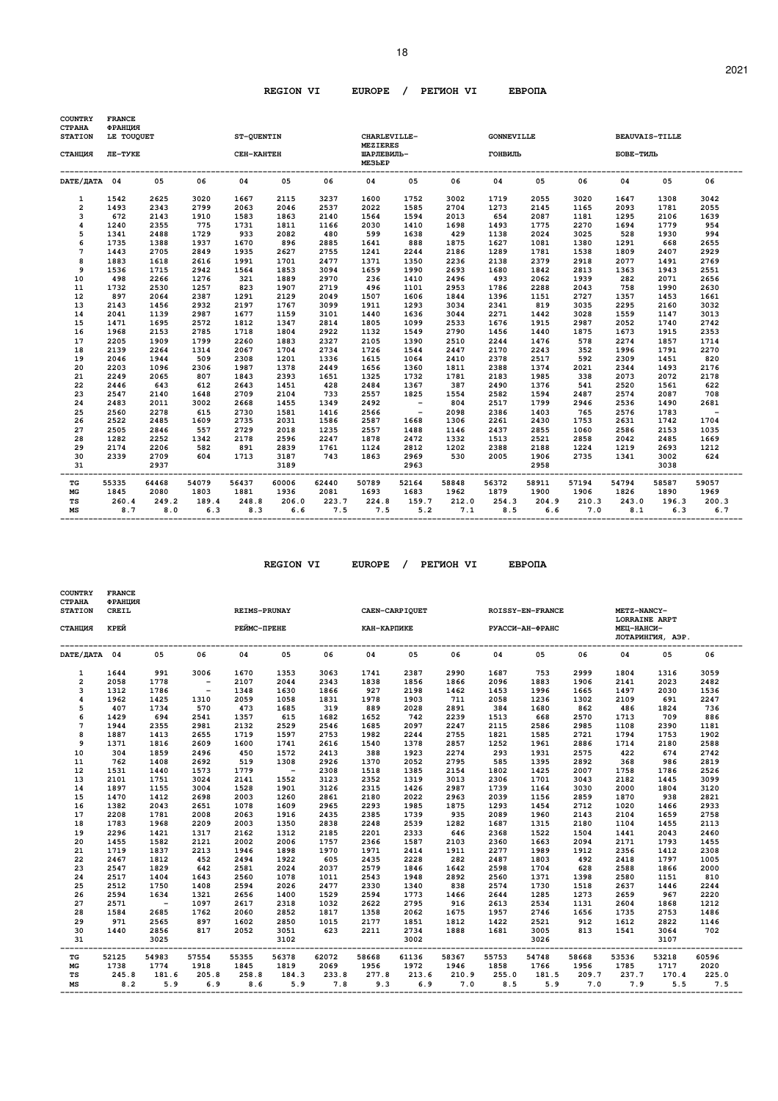| <b>STATION</b><br>СТАНЦИЯ<br>DATE/JATA 04<br>1542<br>$\mathbf{1}$<br>$\overline{\mathbf{2}}$<br>1493<br>3<br>672<br>4<br>1240<br>5<br>1341<br>6<br>1735<br>$\overline{7}$<br>1443<br>8<br>1883<br>9<br>1536 | LE TOUQUET<br>ЛЕ-ТУКЕ<br>05<br>2625<br>2343<br>2143<br>2355<br>2488<br>1388<br>2705<br>1618<br>1715<br>2266<br>2530 | 06<br>3020<br>2799<br>1910<br>775<br>1729<br>1937<br>2849<br>2616<br>2942<br>1276 | ST-QUENTIN<br>СЕН-КАНТЕН<br>04<br>1667<br>2063<br>1583<br>1731<br>933<br>1670<br>1935<br>1991<br>1564 | 05<br>2115<br>2046<br>1863<br>1811<br>2082<br>896<br>2627<br>1701 | 06<br>3237<br>2537<br>2140<br>1166<br>480<br>2885<br>2755 | CHARLEVILLE-<br><b>MEZIERES</b><br>ШАРЛЕВИЛЬ-<br>ME3LEP<br>04<br>1600<br>2022<br>1564<br>2030<br>599<br>1641<br>1241 | 05<br>1752<br>1585<br>1594<br>1410<br>1638<br>888 | 06<br>3002<br>2704<br>2013<br>1698<br>429 | <b>GONNEVILLE</b><br>ГОНВИЛЬ<br>04<br>1719<br>1273<br>654<br>1493<br>1138 | 05<br>2055<br>2145<br>2087<br>1775<br>2024 | 06<br>3020<br>1165<br>1181<br>2270<br>3025 | <b>BEAUVAIS-TILLE</b><br>БОВЕ-ТИЛЬ<br>04<br>1647<br>2093<br>1295<br>1694<br>528 | 05<br>1308<br>1781<br>2106<br>1779 | 06<br>3042<br>2055<br>1639<br>954 |
|-------------------------------------------------------------------------------------------------------------------------------------------------------------------------------------------------------------|---------------------------------------------------------------------------------------------------------------------|-----------------------------------------------------------------------------------|-------------------------------------------------------------------------------------------------------|-------------------------------------------------------------------|-----------------------------------------------------------|----------------------------------------------------------------------------------------------------------------------|---------------------------------------------------|-------------------------------------------|---------------------------------------------------------------------------|--------------------------------------------|--------------------------------------------|---------------------------------------------------------------------------------|------------------------------------|-----------------------------------|
|                                                                                                                                                                                                             |                                                                                                                     |                                                                                   |                                                                                                       |                                                                   |                                                           |                                                                                                                      |                                                   |                                           |                                                                           |                                            |                                            |                                                                                 |                                    |                                   |
|                                                                                                                                                                                                             |                                                                                                                     |                                                                                   |                                                                                                       |                                                                   |                                                           |                                                                                                                      |                                                   |                                           |                                                                           |                                            |                                            |                                                                                 |                                    |                                   |
|                                                                                                                                                                                                             |                                                                                                                     |                                                                                   |                                                                                                       |                                                                   |                                                           |                                                                                                                      |                                                   |                                           |                                                                           |                                            |                                            |                                                                                 |                                    |                                   |
|                                                                                                                                                                                                             |                                                                                                                     |                                                                                   |                                                                                                       |                                                                   |                                                           |                                                                                                                      |                                                   |                                           |                                                                           |                                            |                                            |                                                                                 |                                    |                                   |
|                                                                                                                                                                                                             |                                                                                                                     |                                                                                   |                                                                                                       |                                                                   |                                                           |                                                                                                                      |                                                   |                                           |                                                                           |                                            |                                            |                                                                                 |                                    |                                   |
|                                                                                                                                                                                                             |                                                                                                                     |                                                                                   |                                                                                                       |                                                                   |                                                           |                                                                                                                      |                                                   |                                           |                                                                           |                                            |                                            |                                                                                 |                                    |                                   |
|                                                                                                                                                                                                             |                                                                                                                     |                                                                                   |                                                                                                       |                                                                   |                                                           |                                                                                                                      |                                                   |                                           |                                                                           |                                            |                                            |                                                                                 |                                    |                                   |
|                                                                                                                                                                                                             |                                                                                                                     |                                                                                   |                                                                                                       |                                                                   |                                                           |                                                                                                                      |                                                   |                                           |                                                                           |                                            |                                            |                                                                                 | 1930                               | 994                               |
|                                                                                                                                                                                                             |                                                                                                                     |                                                                                   |                                                                                                       |                                                                   |                                                           |                                                                                                                      |                                                   | 1875                                      | 1627                                                                      | 1081                                       | 1380                                       | 1291                                                                            | 668                                | 2655                              |
|                                                                                                                                                                                                             |                                                                                                                     |                                                                                   |                                                                                                       |                                                                   |                                                           |                                                                                                                      | 2244                                              | 2186                                      | 1289                                                                      | 1781                                       | 1538                                       | 1809                                                                            | 2407                               | 2929                              |
|                                                                                                                                                                                                             |                                                                                                                     |                                                                                   |                                                                                                       |                                                                   | 2477                                                      | 1371                                                                                                                 | 1350                                              | 2236                                      | 2138                                                                      | 2379                                       | 2918                                       | 2077                                                                            | 1491                               | 2769                              |
|                                                                                                                                                                                                             |                                                                                                                     |                                                                                   |                                                                                                       | 1853                                                              | 3094                                                      | 1659                                                                                                                 | 1990                                              | 2693                                      | 1680                                                                      | 1842                                       | 2813                                       | 1363                                                                            | 1943                               | 2551                              |
| 10<br>498                                                                                                                                                                                                   |                                                                                                                     |                                                                                   | 321                                                                                                   | 1889                                                              | 2970                                                      | 236                                                                                                                  | 1410                                              | 2496                                      | 493                                                                       | 2062                                       | 1939                                       | 282                                                                             | 2071                               | 2656                              |
| 11<br>1732                                                                                                                                                                                                  |                                                                                                                     | 1257                                                                              | 823                                                                                                   | 1907                                                              | 2719                                                      | 496                                                                                                                  | 1101                                              | 2953                                      | 1786                                                                      | 2288                                       | 2043                                       | 758                                                                             | 1990                               | 2630                              |
| 12<br>897                                                                                                                                                                                                   | 2064                                                                                                                | 2387                                                                              | 1291                                                                                                  | 2129                                                              | 2049                                                      | 1507                                                                                                                 | 1606                                              | 1844                                      | 1396                                                                      | 1151                                       | 2727                                       | 1357                                                                            | 1453                               | 1661                              |
| 13<br>2143                                                                                                                                                                                                  | 1456                                                                                                                | 2932                                                                              | 2197                                                                                                  | 1767                                                              | 3099                                                      | 1911                                                                                                                 | 1293                                              | 3034                                      | 2341                                                                      | 819                                        | 3035                                       | 2295                                                                            | 2160                               | 3032                              |
| 14<br>2041                                                                                                                                                                                                  | 1139                                                                                                                | 2987                                                                              | 1677                                                                                                  | 1159                                                              | 3101                                                      | 1440                                                                                                                 | 1636                                              | 3044                                      | 2271                                                                      | 1442                                       | 3028                                       | 1559                                                                            | 1147                               | 3013                              |
| 15<br>1471                                                                                                                                                                                                  | 1695                                                                                                                | 2572                                                                              | 1812                                                                                                  | 1347                                                              | 2814                                                      | 1805                                                                                                                 | 1099                                              | 2533                                      | 1676                                                                      | 1915                                       | 2987                                       | 2052                                                                            | 1740                               | 2742                              |
| 16<br>1968                                                                                                                                                                                                  | 2153                                                                                                                | 2785                                                                              | 1718                                                                                                  | 1804                                                              | 2922                                                      | 1132                                                                                                                 | 1549                                              | 2790                                      | 1456                                                                      | 1440                                       | 1875                                       | 1673                                                                            | 1915                               | 2353                              |
| 17<br>2205                                                                                                                                                                                                  | 1909                                                                                                                | 1799                                                                              | 2260                                                                                                  | 1883                                                              | 2327                                                      | 2105                                                                                                                 | 1390                                              | 2510                                      | 2244                                                                      | 1476                                       | 578                                        | 2274                                                                            | 1857                               | 1714                              |
| 18<br>2139                                                                                                                                                                                                  | 2264                                                                                                                | 1314                                                                              | 2067                                                                                                  | 1704                                                              | 2734                                                      | 1726                                                                                                                 | 1544                                              | 2447                                      | 2170                                                                      | 2243                                       | 352                                        | 1996                                                                            | 1791                               | 2270                              |
| 19<br>2046                                                                                                                                                                                                  | 1944                                                                                                                | 509                                                                               | 2308                                                                                                  | 1201                                                              | 1336                                                      | 1615                                                                                                                 | 1064                                              | 2410                                      | 2378                                                                      | 2517                                       | 592                                        | 2309                                                                            | 1451                               | 820                               |
| 20<br>2203                                                                                                                                                                                                  | 1096                                                                                                                | 2306                                                                              | 1987                                                                                                  | 1378                                                              | 2449                                                      | 1656                                                                                                                 | 1360                                              | 1811                                      | 2388                                                                      | 1374                                       | 2021                                       | 2344                                                                            | 1493                               | 2176                              |
| 2249<br>21                                                                                                                                                                                                  | 2065                                                                                                                | 807                                                                               | 1843                                                                                                  | 2393                                                              | 1651                                                      | 1325                                                                                                                 | 1732                                              | 1781                                      | 2183                                                                      | 1985                                       | 338                                        | 2073                                                                            | 2072                               | 2178                              |
| 22<br>2446                                                                                                                                                                                                  | 643                                                                                                                 | 612                                                                               | 2643                                                                                                  | 1451                                                              | 428                                                       | 2484                                                                                                                 | 1367                                              | 387                                       | 2490                                                                      | 1376                                       | 541                                        | 2520                                                                            | 1561                               | 622                               |
| 23<br>2547                                                                                                                                                                                                  | 2140                                                                                                                | 1648                                                                              | 2709                                                                                                  | 2104                                                              | 733                                                       | 2557                                                                                                                 | 1825                                              | 1554                                      | 2582                                                                      | 1594                                       | 2487                                       | 2574                                                                            | 2087                               | 708                               |
| 24<br>2483                                                                                                                                                                                                  | 2011                                                                                                                | 3002                                                                              | 2668                                                                                                  | 1455                                                              | 1349                                                      | 2492                                                                                                                 | $\overline{\phantom{0}}$                          | 804                                       | 2517                                                                      | 1799                                       | 2946                                       | 2536                                                                            | 1490                               | 2681                              |
| 2560<br>25                                                                                                                                                                                                  | 2278                                                                                                                | 615                                                                               | 2730                                                                                                  | 1581                                                              | 1416                                                      | 2566                                                                                                                 | $\sim$ $-$                                        | 2098                                      | 2386                                                                      | 1403                                       | 765                                        | 2576                                                                            | 1783                               | $\sim$                            |
| 26<br>2522                                                                                                                                                                                                  | 2485                                                                                                                | 1609                                                                              | 2735                                                                                                  | 2031                                                              | 1586                                                      | 2587                                                                                                                 | 1668                                              | 1306                                      | 2261                                                                      | 2430                                       | 1753                                       | 2631                                                                            | 1742                               | 1704                              |
| 27<br>2505                                                                                                                                                                                                  | 2846                                                                                                                | 557                                                                               | 2729                                                                                                  | 2018                                                              | 1235                                                      | 2557                                                                                                                 | 1488                                              | 1146                                      | 2437                                                                      | 2855                                       | 1060                                       | 2586                                                                            | 2153                               | 1035                              |
| 28<br>1282                                                                                                                                                                                                  | 2252                                                                                                                | 1342                                                                              | 2178                                                                                                  | 2596                                                              | 2247                                                      | 1878                                                                                                                 | 2472                                              | 1332                                      | 1513                                                                      | 2521                                       | 2858                                       | 2042                                                                            | 2485                               | 1669                              |
| 29<br>2174                                                                                                                                                                                                  | 2206                                                                                                                | 582                                                                               | 891                                                                                                   | 2839                                                              | 1761                                                      | 1124                                                                                                                 | 2812                                              | 1202                                      | 2388                                                                      | 2188                                       | 1224                                       | 1219                                                                            | 2693                               | 1212                              |
| 2339<br>30                                                                                                                                                                                                  | 2709                                                                                                                | 604                                                                               | 1713                                                                                                  | 3187                                                              | 743                                                       | 1863                                                                                                                 | 2969                                              | 530                                       | 2005                                                                      | 1906                                       | 2735                                       | 1341                                                                            | 3002                               | 624                               |
| 31                                                                                                                                                                                                          | 2937                                                                                                                |                                                                                   |                                                                                                       | 3189                                                              |                                                           |                                                                                                                      | 2963                                              |                                           |                                                                           | 2958                                       |                                            |                                                                                 | 3038                               |                                   |
| TG<br>55335                                                                                                                                                                                                 | 64468                                                                                                               | 54079                                                                             | 56437                                                                                                 | 60006                                                             | .<br>62440                                                | 50789                                                                                                                | 52164                                             | 58848                                     | 56372                                                                     | 58911                                      | 57194                                      | 54794                                                                           | 58587                              | 59057                             |
| MG<br>1845                                                                                                                                                                                                  | 2080                                                                                                                | 1803                                                                              | 1881                                                                                                  | 1936                                                              | 2081                                                      | 1693                                                                                                                 | 1683                                              | 1962                                      | 1879                                                                      | 1900                                       | 1906                                       | 1826                                                                            | 1890                               | 1969                              |
| TS                                                                                                                                                                                                          | 260.4<br>249.2                                                                                                      | 189.4                                                                             | 248.8                                                                                                 | 206.0                                                             | 223.7                                                     | 224.8                                                                                                                | 159.7                                             | 212.0                                     | 254.3                                                                     | 204.9                                      | 210.3                                      | 243.0                                                                           | 196.3                              | 200.3                             |
| MS                                                                                                                                                                                                          | 8.7<br>8.0                                                                                                          | 6.3                                                                               | 8.3                                                                                                   | 6.6                                                               | 7.5                                                       | 7.5                                                                                                                  | 5.2                                               | 7.1                                       | 8.5                                                                       | 6.6                                        | 7.0                                        | 8.1                                                                             | 6.3                                | 6.7                               |

| <b>COUNTRY</b><br><b>CTPAHA</b><br><b>STATION</b><br>СТАНЦИЯ | <b>FRANCE</b><br>ФРАНЦИЯ<br>CREIL<br>КРЕЙ |            |                          | <b>REIMS-PRUNAY</b><br>РЕЙМС-ПРЕНЕ            |            |       | <b>CAEN-CARPIQUET</b><br>КАН-КАРПИКЕ |             |       |       | <b>ROISSY-EN-FRANCE</b><br>РУАССИ-АН-ФРАНС |       | METZ-NANCY-<br>LORRAINE ARPT<br>МЕЦ-НАНСИ- |                  |       |
|--------------------------------------------------------------|-------------------------------------------|------------|--------------------------|-----------------------------------------------|------------|-------|--------------------------------------|-------------|-------|-------|--------------------------------------------|-------|--------------------------------------------|------------------|-------|
|                                                              |                                           |            |                          |                                               |            |       |                                      |             |       |       |                                            |       |                                            | ЛОТАРИНГИЯ, АЭР. |       |
| DATE/IATA 04                                                 |                                           | 05         | 06                       | 04                                            | 05         | 06    | 04                                   | 05          | 06    | 04    | 05                                         | 06    | 04                                         | 05               | 06    |
| $\mathbf{1}$                                                 | 1644                                      | 991        | 3006                     | 1670                                          | 1353       | 3063  | 1741                                 | 2387        | 2990  | 1687  | 753                                        | 2999  | 1804                                       | 1316             | 3059  |
| $\overline{2}$                                               | 2058                                      | 1778       | $\overline{\phantom{0}}$ | 2107                                          | 2044       | 2343  | 1838                                 | 1856        | 1866  | 2096  | 1883                                       | 1906  | 2141                                       | 2023             | 2482  |
| 3                                                            | 1312                                      | 1786       | $\sim$ $-$               | 1348                                          | 1630       | 1866  | 927                                  | 2198        | 1462  | 1453  | 1996                                       | 1665  | 1497                                       | 2030             | 1536  |
| 4                                                            | 1962                                      | 1425       | 1310                     | 2059                                          | 1058       | 1831  | 1978                                 | 1903        | 711   | 2058  | 1236                                       | 1302  | 2109                                       | 691              | 2247  |
| 5                                                            | 407                                       | 1734       | 570                      | 473                                           | 1685       | 319   | 889                                  | 2028        | 2891  | 384   | 1680                                       | 862   | 486                                        | 1824             | 736   |
| 6                                                            | 1429                                      | 694        | 2541                     | 1357                                          | 615        | 1682  | 1652                                 | 742         | 2239  | 1513  | 668                                        | 2570  | 1713                                       | 709              | 886   |
| $\overline{7}$                                               | 1944                                      | 2355       | 2981                     | 2132                                          | 2529       | 2546  | 1685                                 | 2097        | 2247  | 2115  | 2586                                       | 2985  | 1108                                       | 2390             | 1181  |
| 8                                                            | 1887                                      | 1413       | 2655                     | 1719                                          | 1597       | 2753  | 1982                                 | 2244        | 2755  | 1821  | 1585                                       | 2721  | 1794                                       | 1753             | 1902  |
| 9                                                            | 1371                                      | 1816       | 2609                     | 1600                                          | 1741       | 2616  | 1540                                 | 1378        | 2857  | 1252  | 1961                                       | 2886  | 1714                                       | 2180             | 2588  |
| 10                                                           | 304                                       | 1859       | 2496                     | 450                                           | 1572       | 2413  | 388                                  | 1923        | 2274  | 293   | 1931                                       | 2575  | 422                                        | 674              | 2742  |
| 11                                                           | 762                                       | 1408       | 2692                     | 519                                           | 1308       | 2926  | 1370                                 | 2052        | 2795  | 585   | 1395                                       | 2892  | 368                                        | 986              | 2819  |
| 12                                                           | 1531                                      | 1440       | 1573                     | 1779                                          | $\sim$ $-$ | 2308  | 1518                                 | 1385        | 2154  | 1802  | 1425                                       | 2007  | 1758                                       | 1786             | 2526  |
| 13                                                           | 2101                                      | 1751       | 3024                     | 2141                                          | 1552       | 3123  | 2352                                 | 1319        | 3013  | 2306  | 1701                                       | 3043  | 2182                                       | 1445             | 3099  |
| 14                                                           | 1897                                      | 1155       | 3004                     | 1528                                          | 1901       | 3126  | 2315                                 | 1426        | 2987  | 1739  | 1164                                       | 3030  | 2000                                       | 1804             | 3120  |
| 15                                                           | 1470                                      | 1412       | 2698                     | 2003                                          | 1260       | 2861  | 2180                                 | 2022        | 2963  | 2039  | 1156                                       | 2859  | 1870                                       | 938              | 2821  |
| 16                                                           | 1382                                      | 2043       | 2651                     | 1078                                          | 1609       | 2965  | 2293                                 | 1985        | 1875  | 1293  | 1454                                       | 2712  | 1020                                       | 1466             | 2933  |
| 17                                                           | 2208                                      | 1781       | 2008                     | 2063                                          | 1916       | 2435  | 2385                                 | 1739        | 935   | 2089  | 1960                                       | 2143  | 2104                                       | 1659             | 2758  |
| 18                                                           | 1783                                      | 1968       | 2209                     | 2003                                          | 1350       | 2838  | 2248                                 | 2539        | 1282  | 1687  | 1315                                       | 2180  | 1104                                       | 1455             | 2113  |
| 19                                                           | 2296                                      | 1421       | 1317                     | 2162                                          | 1312       | 2185  | 2201                                 | 2333        | 646   | 2368  | 1522                                       | 1504  | 1441                                       | 2043             | 2460  |
| 20                                                           | 1455                                      | 1582       | 2121                     | 2002                                          | 2006       | 1757  | 2366                                 | 1587        | 2103  | 2360  | 1663                                       | 2094  | 2171                                       | 1793             | 1455  |
| 21                                                           | 1719                                      | 1837       | 2213                     | 1946                                          | 1898       | 1970  | 1971                                 | 2414        | 1911  | 2277  | 1989                                       | 1912  | 2356                                       | 1412             | 2308  |
| 22                                                           | 2467                                      | 1812       | 452                      | 2494                                          | 1922       | 605   | 2435                                 | 2228        | 282   | 2487  | 1803                                       | 492   | 2418                                       | 1797             | 1005  |
| 23                                                           | 2547                                      | 1829       | 642                      | 2581                                          | 2024       | 2037  | 2579                                 | 1846        | 1642  | 2598  | 1704                                       | 628   | 2588                                       | 1866             | 2000  |
| 24                                                           | 2517                                      | 1404       | 1643                     | 2560                                          | 1078       | 1011  | 2543                                 | 1948        | 2892  | 2560  | 1371                                       | 1398  | 2580                                       | 1151             | 810   |
| 25                                                           | 2512                                      | 1750       | 1408                     | 2594                                          | 2026       | 2477  | 2330                                 | 1340        | 838   | 2574  | 1730                                       | 1518  | 2637                                       | 1446             | 2244  |
| 26                                                           | 2594                                      | 1634       | 1321                     | 2656                                          | 1400       | 1529  | 2594                                 | 1773        | 1466  | 2644  | 1285                                       | 1273  | 2659                                       | 967              | 2220  |
| 27                                                           | 2571                                      | $\sim$ $-$ | 1097                     | 2617                                          | 2318       | 1032  | 2622                                 | 2795        | 916   | 2613  | 2534                                       | 1131  | 2604                                       | 1868             | 1212  |
| 28                                                           | 1584                                      | 2685       | 1762                     | 2060                                          | 2852       | 1817  | 1358                                 | 2062        | 1675  | 1957  | 2746                                       | 1656  | 1735                                       | 2753             | 1486  |
| 29                                                           | 971                                       | 2565       | 897                      | 1602                                          | 2850       | 1015  | 2177                                 | 1851        | 1812  | 1422  | 2521                                       | 912   | 1612                                       | 2822             | 1146  |
| 30                                                           | 1440                                      | 2856       | 817                      | 2052                                          | 3051       | 623   | 2211                                 | 2734        | 1888  | 1681  | 3005                                       | 813   | 1541                                       | 3064             | 702   |
| 31                                                           |                                           | 3025       |                          |                                               | 3102       |       |                                      | 3002        |       |       | 3026                                       |       |                                            | 3107             |       |
| ----<br>TG                                                   | 52125                                     | 54983      | 57554                    | ------------------------------------<br>55355 | 56378      | 62072 | ---------------------------<br>58668 | 61136       | 58367 | 55753 | ---------------------------<br>54748       | 58668 | --------------------------<br>53536        | 53218            | 60596 |
| $_{\rm MG}$                                                  | 1738                                      | 1774       | 1918                     | 1845                                          | 1819       | 2069  | 1956                                 | 1972        | 1946  | 1858  | 1766                                       | 1956  | 1785                                       | 1717             | 2020  |
| TS                                                           | 245.8                                     | 181.6      | 205.8                    | 258.8                                         | 184.3      | 233.8 |                                      | 277.8 213.6 | 210.9 | 255.0 | 181.5                                      | 209.7 | 237.7                                      | 170.4            | 225.0 |
| MS                                                           | 8.2                                       | 5.9        | 6.9                      | 8.6                                           | 5.9        | 7.8   | 9.3                                  | 6.9         | 7.0   | 8.5   | 5.9                                        | 7.0   | 7.9                                        | 5.5              | 7.5   |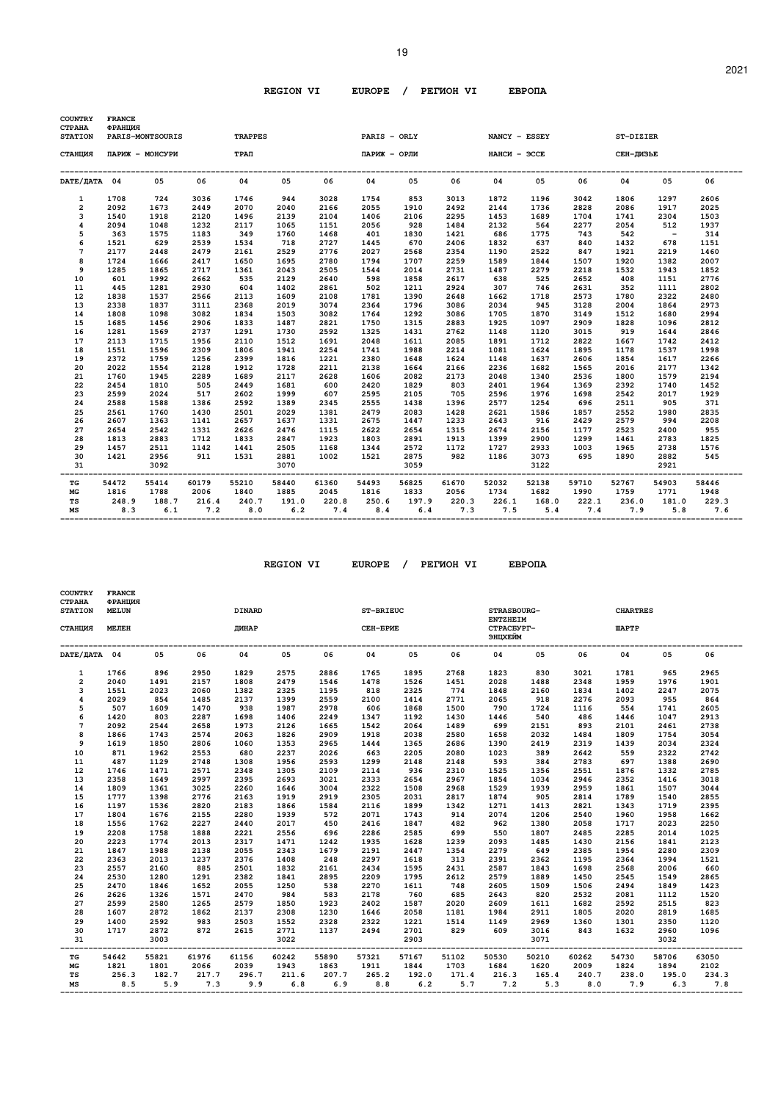| <b>COUNTRY</b><br><b>CTPAHA</b><br><b>STATION</b> | <b>FRANCE</b><br>ФРАНЦИЯ | PARIS-MONTSOURIS |             | <b>TRAPPES</b> |       |       | PARIS - ORLY                  |       |       |                     |                         | NANCY - ESSEY                                   | ST-DIZIER                  |             |       |
|---------------------------------------------------|--------------------------|------------------|-------------|----------------|-------|-------|-------------------------------|-------|-------|---------------------|-------------------------|-------------------------------------------------|----------------------------|-------------|-------|
| СТАНЦИЯ                                           |                          | ПАРИЖ - МОНСУРИ  |             | $TPA\Pi$       |       |       | ПАРИЖ - ОРЛИ                  |       |       | <b>НАНСИ - ЭССЕ</b> |                         | СЕН-ДИЗЬЕ                                       |                            |             |       |
| DATE/HATA 04                                      |                          | 0.5              | 06          | 04             | 05    | 06    | 04                            | 05    | 06    | 04                  | 05                      | 06                                              | 04                         | 0.5         | 06    |
| 1                                                 | 1708                     | 724              | 3036        | 1746           | 944   | 3028  | 1754                          | 853   | 3013  | 1872                | 1196                    | 3042                                            | 1806                       | 1297        | 2606  |
| $\overline{a}$                                    | 2092                     | 1673             | 2449        | 2070           | 2040  | 2166  | 2055                          | 1910  | 2492  | 2144                | 1736                    | 2828                                            | 2086                       | 1917        | 2025  |
| 3                                                 | 1540                     | 1918             | 2120        | 1496           | 2139  | 2104  | 1406                          | 2106  | 2295  | 1453                | 1689                    | 1704                                            | 1741                       | 2304        | 1503  |
| 4                                                 | 2094                     | 1048             | 1232        | 2117           | 1065  | 1151  | 2056                          | 928   | 1484  | 2132                | 564                     | 2277                                            | 2054                       | 512         | 1937  |
| 5                                                 | 363                      | 1575             | 1183        | 349            | 1760  | 1468  | 401                           | 1830  | 1421  | 686                 | 1775                    | 743                                             | 542                        | $\sim$ $-$  | 314   |
| 6                                                 | 1521                     | 629              | 2539        | 1534           | 718   | 2727  | 1445                          | 670   | 2406  | 1832                | 637                     | 840                                             | 1432                       | 678         | 1151  |
| 7                                                 | 2177                     | 2448             | 2479        | 2161           | 2529  | 2776  | 2027                          | 2568  | 2354  | 1190                | 2522                    | 847                                             | 1921                       | 2219        | 1460  |
| 8                                                 | 1724                     | 1666             | 2417        | 1650           | 1695  | 2780  | 1794                          | 1707  | 2259  | 1589                | 1844                    | 1507                                            | 1920                       | 1382        | 2007  |
| 9                                                 | 1285                     | 1865             | 2717        | 1361           | 2043  | 2505  | 1544                          | 2014  | 2731  | 1487                | 2279                    | 2218                                            | 1532                       | 1943        | 1852  |
| 10                                                | 601                      | 1992             | 2662        | 535            | 2129  | 2640  | 598                           | 1858  | 2617  | 638                 | 525                     | 2652                                            | 408                        | 1151        | 2776  |
| 11                                                | 445                      | 1281             | 2930        | 604            | 1402  | 2861  | 502                           | 1211  | 2924  | 307                 | 746                     | 2631                                            | 352                        | 1111        | 2802  |
| 12                                                | 1838                     | 1537             | 2566        | 2113           | 1609  | 2108  | 1781                          | 1390  | 2648  | 1662                | 1718                    | 2573                                            | 1780                       | 2322        | 2480  |
| 13                                                | 2338                     | 1837             | 3111        | 2368           | 2019  | 3074  | 2364                          | 1796  | 3086  | 2034                | 945                     | 3128                                            | 2004                       | 1864        | 2973  |
| 14                                                | 1808                     | 1098             | 3082        | 1834           | 1503  | 3082  | 1764                          | 1292  | 3086  | 1705                | 1870                    | 3149                                            | 1512                       | 1680        | 2994  |
| 15                                                | 1685                     | 1456             | 2906        | 1833           | 1487  | 2821  | 1750                          | 1315  | 2883  | 1925                | 1097                    | 2909                                            | 1828                       | 1096        | 2812  |
| 16                                                | 1281                     | 1569             | 2737        | 1291           | 1730  | 2592  | 1325                          | 1431  | 2762  | 1148                | 1120                    | 3015                                            | 919                        | 1644        | 2846  |
| 17                                                | 2113                     | 1715             | 1956        | 2110           | 1512  | 1691  | 2048                          | 1611  | 2085  | 1891                | 1712                    | 2822                                            | 1667                       | 1742        | 2412  |
| 18                                                | 1551                     | 1596             | 2309        | 1806           | 1941  | 2254  | 1741                          | 1988  | 2214  | 1081                | 1624                    | 1895                                            | 1178                       | 1537        | 1998  |
| 19                                                | 2372                     | 1759             | 1256        | 2399           | 1816  | 1221  | 2380                          | 1648  | 1624  | 1148                | 1637                    | 2606                                            | 1854                       | 1617        | 2266  |
| 20                                                | 2022                     | 1554             | 2128        | 1912           | 1728  | 2211  | 2138                          | 1664  | 2166  | 2236                | 1682                    | 1565                                            | 2016                       | 2177        | 1342  |
| 21                                                | 1760                     | 1945             | 2289        | 1689           | 2117  | 2628  | 1606                          | 2082  | 2173  | 2048                | 1340                    | 2536                                            | 1800                       | 1579        | 2194  |
| 22                                                | 2454                     | 1810             | 505         | 2449           | 1681  | 600   | 2420                          | 1829  | 803   | 2401                | 1964                    | 1369                                            | 2392                       | 1740        | 1452  |
| 23                                                | 2599                     | 2024             | 517         | 2602           | 1999  | 607   | 2595                          | 2105  | 705   | 2596                | 1976                    | 1698                                            | 2542                       | 2017        | 1929  |
| 24                                                | 2588                     | 1588             | 1386        | 2592           | 1389  | 2345  | 2555                          | 1438  | 1396  | 2577                | 1254                    | 696                                             | 2511                       | 905         | 371   |
| 25                                                | 2561                     | 1760             | 1430        | 2501           | 2029  | 1381  | 2479                          | 2083  | 1428  | 2621                | 1586                    | 1857                                            | 2552                       | 1980        | 2835  |
| 26                                                | 2607                     | 1363             | 1141        | 2657           | 1637  | 1331  | 2675                          | 1447  | 1233  | 2643                | 916                     | 2429                                            | 2579                       | 994         | 2208  |
| 27                                                | 2654                     | 2542             | 1331        | 2626           | 2476  | 1115  | 2622                          | 2654  | 1315  | 2674                | 2156                    | 1177                                            | 2523                       | 2400        | 955   |
| 28                                                | 1813                     | 2883             | 1712        | 1833           | 2847  | 1923  | 1803                          | 2891  | 1913  | 1399                | 2900                    | 1299                                            | 1461                       | 2783        | 1825  |
| 29                                                | 1457                     | 2511             | 1142        | 1441           | 2505  | 1168  | 1344                          | 2572  | 1172  | 1727                | 2933                    | 1003                                            | 1965                       | 2738        | 1576  |
| 30                                                | 1421                     | 2956             | 911         | 1531           | 2881  | 1002  | 1521                          | 2875  | 982   | 1186                | 3073                    | 695                                             | 1890                       | 2882        | 545   |
| 31                                                |                          | 3092             |             |                | 3070  |       |                               | 3059  |       |                     | 3122                    |                                                 |                            | 2921        |       |
| TG                                                | 54472                    | 55414            | 60179       | 55210          | 58440 | 61360 | --------------------<br>54493 | 56825 | 61670 | 52032               | 52138                   | 59710                                           | -----------------<br>52767 | 54903       | 58446 |
| МG                                                | 1816                     | 1788             | 2006        | 1840           | 1885  | 2045  | 1816                          | 1833  | 2056  | 1734                | 1682                    | 1990                                            | 1759                       | 1771        | 1948  |
| TS                                                | 248.9                    |                  | 188.7 216.4 | 240.7          | 191.0 | 220.8 | 250.6                         |       |       |                     | 197.9 220.3 226.1 168.0 |                                                 | 222.1 236.0                | 181.0 229.3 |       |
| MS                                                | 8.3                      | 6.1              | 7.2         | 8.0            | 6.2   | 7.4   | 8.4                           |       |       |                     |                         | $6.4$ $7.3$ $7.5$ $5.4$ $7.4$ $7.9$ $5.8$ $7.6$ |                            |             |       |

| <b>COUNTRY</b><br><b>CTPAHA</b><br><b>STATION</b><br>СТАНЦИЯ | <b>FRANCE</b><br>ФРАНЦИЯ<br><b>MELUN</b><br><b>MEJIEH</b> |       |       | <b>DINARD</b><br>ЛИНАР               |       |       | ST-BRIEUC<br>СЕН-БРИЕ |                                      |       | <b>STRASBOURG-</b><br><b>ENTZHEIM</b><br>CTPACEYPT-<br>ЭНЦХЕЙМ |       |       | <b>CHARTRES</b><br><b><i>IIAPTP</i></b> |                 |       |
|--------------------------------------------------------------|-----------------------------------------------------------|-------|-------|--------------------------------------|-------|-------|-----------------------|--------------------------------------|-------|----------------------------------------------------------------|-------|-------|-----------------------------------------|-----------------|-------|
| DATE/IATA 04                                                 |                                                           | 05    | 06    | 04                                   | 05    | 06    | 04                    | 05                                   | 06    | 04                                                             | 05    | 06    | 04                                      | 05              | 06    |
| $\mathbf{1}$                                                 | 1766                                                      | 896   | 2950  | 1829                                 | 2575  | 2886  | 1765                  | 1895                                 | 2768  | 1823                                                           | 830   | 3021  | 1781                                    | 965             | 2965  |
| $\overline{2}$                                               | 2040                                                      | 1491  | 2157  | 1808                                 | 2479  | 1546  | 1478                  | 1526                                 | 1451  | 2028                                                           | 1488  | 2348  | 1959                                    | 1976            | 1901  |
| 3                                                            | 1551                                                      | 2023  | 2060  | 1382                                 | 2325  | 1195  | 818                   | 2325                                 | 774   | 1848                                                           | 2160  | 1834  | 1402                                    | 2247            | 2075  |
| 4                                                            | 2029                                                      | 854   | 1485  | 2137                                 | 1399  | 2559  | 2100                  | 1414                                 | 2771  | 2065                                                           | 918   | 2276  | 2093                                    | 955             | 864   |
| 5                                                            | 507                                                       | 1609  | 1470  | 938                                  | 1987  | 2978  | 606                   | 1868                                 | 1500  | 790                                                            | 1724  | 1116  | 554                                     | 1741            | 2605  |
| 6                                                            | 1420                                                      | 803   | 2287  | 1698                                 | 1406  | 2249  | 1347                  | 1192                                 | 1430  | 1446                                                           | 540   | 486   | 1446                                    | 1047            | 2913  |
| $\overline{7}$                                               | 2092                                                      | 2544  | 2658  | 1973                                 | 2126  | 1665  | 1542                  | 2064                                 | 1489  | 699                                                            | 2151  | 893   | 2101                                    | 2461            | 2738  |
| 8                                                            | 1866                                                      | 1743  | 2574  | 2063                                 | 1826  | 2909  | 1918                  | 2038                                 | 2580  | 1658                                                           | 2032  | 1484  | 1809                                    | 1754            | 3054  |
| 9                                                            | 1619                                                      | 1850  | 2806  | 1060                                 | 1353  | 2965  | 1444                  | 1365                                 | 2686  | 1390                                                           | 2419  | 2319  | 1439                                    | 2034            | 2324  |
| 10                                                           | 871                                                       | 1962  | 2553  | 680                                  | 2237  | 2026  | 663                   | 2205                                 | 2080  | 1023                                                           | 389   | 2642  | 559                                     | 2322            | 2742  |
| 11                                                           | 487                                                       | 1129  | 2748  | 1308                                 | 1956  | 2593  | 1299                  | 2148                                 | 2148  | 593                                                            | 384   | 2783  | 697                                     | 1388            | 2690  |
| 12                                                           | 1746                                                      | 1471  | 2571  | 2348                                 | 1305  | 2109  | 2114                  | 936                                  | 2310  | 1525                                                           | 1356  | 2551  | 1876                                    | 1332            | 2785  |
| 13                                                           | 2358                                                      | 1649  | 2997  | 2395                                 | 2693  | 3021  | 2333                  | 2654                                 | 2967  | 1854                                                           | 1034  | 2946  | 2352                                    | 1416            | 3018  |
| 14                                                           | 1809                                                      | 1361  | 3025  | 2260                                 | 1646  | 3004  | 2322                  | 1508                                 | 2968  | 1529                                                           | 1939  | 2959  | 1861                                    | 1507            | 3044  |
| 15                                                           | 1777                                                      | 1398  | 2776  | 2163                                 | 1919  | 2919  | 2305                  | 2031                                 | 2817  | 1874                                                           | 905   | 2814  | 1789                                    | 1540            | 2855  |
| 16                                                           | 1197                                                      | 1536  | 2820  | 2183                                 | 1866  | 1584  | 2116                  | 1899                                 | 1342  | 1271                                                           | 1413  | 2821  | 1343                                    | 1719            | 2395  |
| 17                                                           | 1804                                                      | 1676  | 2155  | 2280                                 | 1939  | 572   | 2071                  | 1743                                 | 914   | 2074                                                           | 1206  | 2540  | 1960                                    | 1958            | 1662  |
| 18                                                           | 1556                                                      | 1762  | 2227  | 2440                                 | 2017  | 450   | 2416                  | 1847                                 | 482   | 962                                                            | 1380  | 2058  | 1717                                    | 2023            | 2250  |
| 19                                                           | 2208                                                      | 1758  | 1888  | 2221                                 | 2556  | 696   | 2286                  | 2585                                 | 699   | 550                                                            | 1807  | 2485  | 2285                                    | 2014            | 1025  |
| 20                                                           | 2223                                                      | 1774  | 2013  | 2317                                 | 1471  | 1242  | 1935                  | 1628                                 | 1239  | 2093                                                           | 1485  | 1430  | 2156                                    | 1841            | 2123  |
| 21                                                           | 1847                                                      | 1988  | 2138  | 2055                                 | 2343  | 1679  | 2191                  | 2447                                 | 1354  | 2279                                                           | 649   | 2385  | 1954                                    | 2280            | 2309  |
| 22                                                           | 2363                                                      | 2013  | 1237  | 2376                                 | 1408  | 248   | 2297                  | 1618                                 | 313   | 2391                                                           | 2362  | 1195  | 2364                                    | 1994            | 1521  |
| 23                                                           | 2557                                                      | 2160  | 885   | 2501                                 | 1832  | 2161  | 2434                  | 1595                                 | 2431  | 2587                                                           | 1843  | 1698  | 2568                                    | 2006            | 660   |
| 24                                                           | 2530                                                      | 1280  | 1291  | 2382                                 | 1841  | 2895  | 2209                  | 1795                                 | 2612  | 2579                                                           | 1889  | 1450  | 2545                                    | 1549            | 2865  |
| 25                                                           | 2470                                                      | 1846  | 1652  | 2055                                 | 1250  | 538   | 2270                  | 1611                                 | 748   | 2605                                                           | 1509  | 1506  | 2494                                    | 1849            | 1423  |
| 26                                                           | 2626                                                      | 1326  | 1571  | 2470                                 | 984   | 583   | 2178                  | 760                                  | 685   | 2643                                                           | 820   | 2532  | 2081                                    | 1112            | 1520  |
| 27                                                           | 2599                                                      | 2580  | 1265  | 2579                                 | 1850  | 1923  | 2402                  | 1587                                 | 2020  | 2609                                                           | 1611  | 1682  | 2592                                    | 2515            | 823   |
| 28                                                           | 1607                                                      | 2872  | 1862  | 2137                                 | 2308  | 1230  | 1646                  | 2058                                 | 1181  | 1984                                                           | 2911  | 1805  | 2020                                    | 2819            | 1685  |
| 29                                                           | 1400                                                      | 2592  | 983   | 2503                                 | 1552  | 2328  | 2322                  | 1221                                 | 1514  | 1149                                                           | 2969  | 1360  | 1301                                    | 2350            | 1120  |
| 30                                                           | 1717                                                      | 2872  | 872   | 2615                                 | 2771  | 1137  | 2494                  | 2701                                 | 829   | 609                                                            | 3016  | 843   | 1632                                    | 2960            | 1096  |
| 31<br>----                                                   |                                                           | 3003  |       | ------------------------------------ | 3022  |       |                       | 2903<br>---------------------------- |       | ---------------------------                                    | 3071  |       |                                         | 3032<br>------- |       |
| TG                                                           | 54642                                                     | 55821 | 61976 | 61156                                | 60242 | 55890 | 57321                 | 57167                                | 51102 | 50530                                                          | 50210 | 60262 | ----------<br>54730                     | 58706           | 63050 |
| МG                                                           | 1821                                                      | 1801  | 2066  | 2039                                 | 1943  | 1863  | 1911                  | 1844                                 | 1703  | 1684                                                           | 1620  | 2009  | 1824                                    | 1894            | 2102  |
| TS                                                           | 256.3                                                     | 182.7 | 217.7 | 296.7                                | 211.6 | 207.7 | 265.2                 | 192.0                                | 171.4 | 216.3                                                          | 165.4 | 240.7 | 238.0                                   | 195.0           | 234.3 |
| MS                                                           | 8.5                                                       | 5.9   | 7.3   | 9.9                                  | 6.8   | 6.9   | 8.8                   | 6.2                                  |       | $5.7$ $7.2$                                                    | 5.3   | 8.0   | 7.9                                     | 6.3             | 7.8   |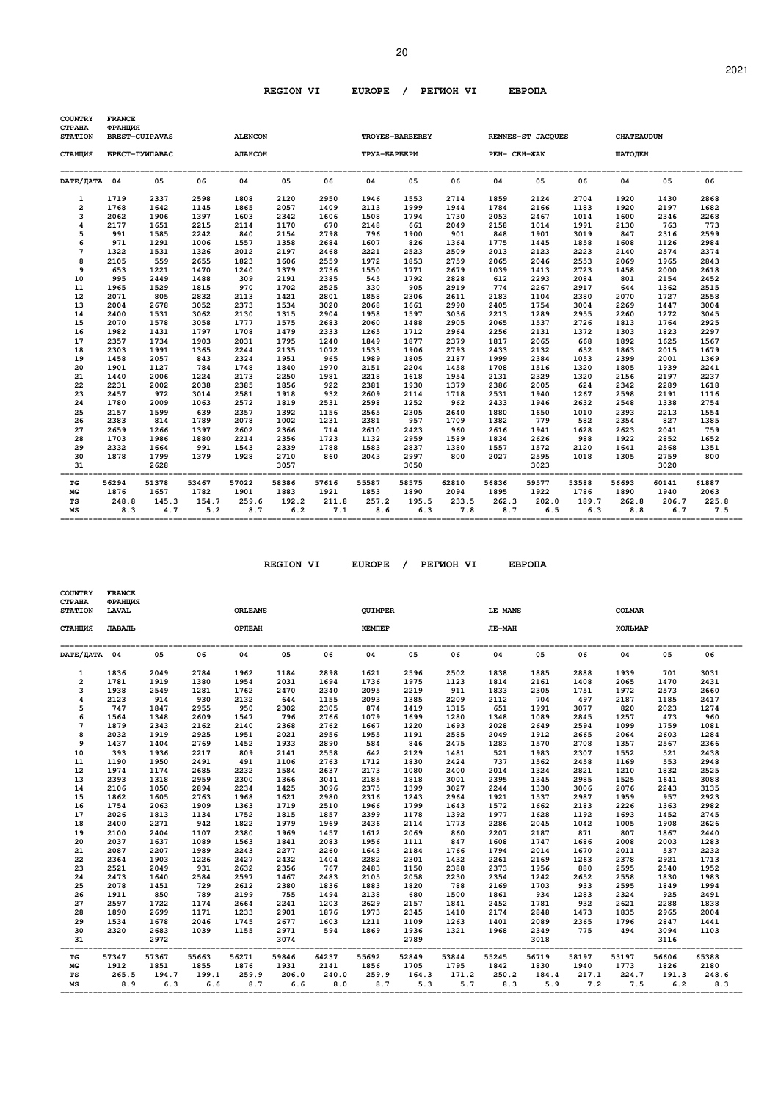| <b>COUNTRY</b><br><b>CTPAHA</b><br><b>STATION</b> | <b>FRANCE</b><br>ФРАНЦИЯ | <b>BREST-GUIPAVAS</b> |              | <b>ALENCON</b> |              |              |              | TROYES-BARBEREY |              |              | RENNES-ST JACQUES CHATEAUDUN |              |              |              |              |
|---------------------------------------------------|--------------------------|-----------------------|--------------|----------------|--------------|--------------|--------------|-----------------|--------------|--------------|------------------------------|--------------|--------------|--------------|--------------|
| СТАНЦИЯ                                           |                          | БРЕСТ-ГУИПАВАС        |              | АЛАНСОН        |              |              | TPYA-BAPBEPИ |                 |              | PEH- CEH-ЖАК |                              |              | ШАТОЛЕН      |              |              |
| DATE/ JATA 04                                     |                          | 05                    | 06           | 04             | 05           | 06           | 04           | 05              | 06           | 04           | 05                           | 06           | 04           | 05           | 06           |
| 1                                                 | 1719                     | 2337                  | 2598         | 1808           | 2120         | 2950         | 1946         | 1553            | 2714         | 1859         | 2124                         | 2704         | 1920         | 1430         | 2868         |
| $\overline{\mathbf{2}}$                           | 1768                     | 1642                  | 1145         | 1865           | 2057         | 1409         | 2113         | 1999            | 1944         | 1784         | 2166                         | 1183         | 1920         | 2197         | 1682         |
| 3                                                 | 2062                     | 1906                  | 1397         | 1603           | 2342         | 1606         | 1508         | 1794            | 1730         | 2053         | 2467                         | 1014         | 1600         | 2346         | 2268         |
| 4                                                 | 2177                     | 1651                  | 2215         | 2114           | 1170         | 670          | 2148         | 661             | 2049         | 2158         | 1014                         | 1991         | 2130         | 763          | 773          |
| 5                                                 | 991                      | 1585                  | 2242         | 840            | 2154         | 2798         | 796          | 1900            | 901          | 848          | 1901                         | 3019         | 847          | 2316         | 2599         |
| 6                                                 | 971                      | 1291                  | 1006         | 1557           | 1358         | 2684         | 1607         | 826             | 1364         | 1775         | 1445                         | 1858         | 1608         | 1126         | 2984         |
| 7                                                 | 1322                     | 1531                  | 1326         | 2012           | 2197         | 2468         | 2221         | 2523            | 2509         | 2013         | 2123                         | 2223         | 2140         | 2574         | 2374         |
| 8                                                 | 2105                     | 559                   | 2655         | 1823           | 1606         | 2559         | 1972         | 1853            | 2759         | 2065         | 2046                         | 2553         | 2069         | 1965         | 2843         |
| 9                                                 | 653                      | 1221                  | 1470         | 1240           | 1379         | 2736         | 1550         | 1771            | 2679         | 1039         | 1413                         | 2723         | 1458         | 2000         | 2618         |
| 10                                                | 995                      | 2449                  | 1488         | 309            | 2191         | 2385         | 545          | 1792            | 2828         | 612          | 2293                         | 2084         | 801          | 2154         | 2452         |
| 11                                                | 1965                     | 1529                  | 1815         | 970            | 1702         | 2525         | 330          | 905             | 2919         | 774          | 2267                         | 2917         | 644          | 1362         | 2515         |
| 12                                                | 2071                     | 805                   | 2832         | 2113           | 1421         | 2801         | 1858         | 2306            | 2611         | 2183         | 1104                         | 2380         | 2070         | 1727         | 2558         |
| 13                                                | 2004                     | 2678                  | 3052         | 2373           | 1534         | 3020         | 2068         | 1661            | 2990         | 2405         | 1754                         | 3004         | 2269         | 1447         | 3004         |
| 14                                                | 2400                     | 1531                  | 3062         | 2130           | 1315         | 2904         | 1958         | 1597            | 3036         | 2213         | 1289                         | 2955         | 2260         | 1272         | 3045         |
| 15                                                | 2070                     | 1578                  | 3058         | 1777           | 1575         | 2683         | 2060         | 1488            | 2905         | 2065         | 1537                         | 2726         | 1813         | 1764         | 2925         |
| 16                                                | 1982                     | 1431                  | 1797         | 1708           | 1479         | 2333         | 1265         | 1712            | 2964         | 2256         | 2131                         | 1372         | 1303         | 1823         | 2297         |
| 17                                                | 2357                     | 1734                  | 1903         | 2031           | 1795         | 1240         | 1849         | 1877            | 2379         | 1817         | 2065                         | 668          | 1892         | 1625         | 1567         |
| 18                                                | 2303                     | 1991                  | 1365         | 2244           | 2135         | 1072         | 1533         | 1906            | 2793         | 2433         | 2132                         | 652          | 1863         | 2015         | 1679         |
| 19                                                | 1458                     | 2057                  | 843          | 2324           | 1951         | 965          | 1989         | 1805            | 2187         | 1999         | 2384                         | 1053         | 2399         | 2001         | 1369         |
| 20                                                | 1901                     | 1127                  | 784          | 1748           | 1840         | 1970         | 2151         | 2204            | 1458         | 1708         | 1516                         | 1320         | 1805         | 1939         | 2241         |
| 21                                                | 1440                     | 2006                  | 1224         | 2173           | 2250         | 1981         | 2218         | 1618            | 1954         | 2131         | 2329                         | 1320         | 2156         | 2197         | 2237         |
| 22                                                | 2231                     | 2002                  | 2038         | 2385           | 1856         | 922          | 2381         | 1930            | 1379         | 2386         | 2005                         | 624          | 2342         | 2289         | 1618         |
| 23                                                | 2457                     | 972                   | 3014         | 2581           | 1918         | 932          | 2609         | 2114            | 1718         | 2531         | 1940                         | 1267         | 2598         | 2191         | 1116         |
| 24                                                | 1780                     | 2009                  | 1063         | 2572           | 1819         | 2531         | 2598         | 1252            | 962          | 2433         | 1946                         | 2632         | 2548         | 1338         | 2754         |
| 25                                                | 2157                     | 1599                  | 639          | 2357           | 1392         | 1156         | 2565         | 2305            | 2640         | 1880         | 1650                         | 1010         | 2393         | 2213         | 1554         |
| 26                                                | 2383                     | 814                   | 1789         | 2078           | 1002         | 1231         | 2381         | 957             | 1709         | 1382         | 779                          | 582          | 2354         | 827          | 1385         |
| 27                                                | 2659                     | 1266                  | 1397         | 2602           | 2366         | 714          | 2610         | 2423            | 960          | 2616         | 1941                         | 1628         | 2623         | 2041         | 759          |
| 28                                                | 1703                     | 1986                  | 1880         | 2214           | 2356         | 1723         | 1132         | 2959            | 1589         | 1834         | 2626                         | 988          | 1922         | 2852         | 1652         |
| 29                                                | 2332                     | 1664                  | 991          | 1543           | 2339         | 1788         | 1583         | 2837            | 1380         | 1557         | 1572                         | 2120         | 1641         | 2568         | 1351         |
| 30<br>31                                          | 1878                     | 1799<br>2628          | 1379         | 1928           | 2710<br>3057 | 860          | 2043         | 2997<br>3050    | 800          | 2027         | 2595<br>3023                 | 1018         | 1305         | 2759<br>3020 | 800          |
| TG                                                | 56294                    | 51378                 | 53467        | 57022          | 58386        | 57616        | 55587        | 58575           | 62810        | 56836        | 59577                        | 53588        | 56693        | 60141        | 61887        |
| MG                                                | 1876                     | 1657                  | 1782         | 1901           | 1883         | 1921         | 1853         | 1890            | 2094         | 1895         | 1922                         | 1786         | 1890         | 1940         | 2063         |
| TS<br>MS                                          | 248.8<br>8.3             | 145.3<br>4.7          | 154.7<br>5.2 | 259.6<br>8.7   | 192.2<br>6.2 | 211.8<br>7.1 | 257.2<br>8.6 | 195.5<br>6.3    | 233.5<br>7.8 | 262.3<br>8.7 | 202.0<br>6.5                 | 189.7<br>6.3 | 262.8<br>8.8 | 206.7<br>6.7 | 225.8<br>7.5 |

| <b>COUNTRY</b><br><b>CTPAHA</b><br><b>STATION</b> | <b>FRANCE</b><br>ФРАНЦИЯ<br><b>LAVAL</b> |       |             | <b>ORLEANS</b> |       |       | <b>OUIMPER</b> |             |       | LE MANS                              |       |       | <b>COLMAR</b>             |       |       |
|---------------------------------------------------|------------------------------------------|-------|-------------|----------------|-------|-------|----------------|-------------|-------|--------------------------------------|-------|-------|---------------------------|-------|-------|
| СТАНЦИЯ                                           | ЛАВАЛЬ                                   |       |             | <b>ОРЛЕАН</b>  |       |       | <b>KEMTEP</b>  |             |       | JIE-MAH                              |       |       | КОЛЬМАР                   |       |       |
| DATE/IATA 04                                      |                                          | 05    | 06          | 04             | 05    | 06    | 04             | 05          | 06    | 04                                   | 05    | 06    | 04                        | 05    | 06    |
| $\mathbf{1}$                                      | 1836                                     | 2049  | 2784        | 1962           | 1184  | 2898  | 1621           | 2596        | 2502  | 1838                                 | 1885  | 2888  | 1939                      | 701   | 3031  |
| $\overline{2}$                                    | 1781                                     | 1919  | 1380        | 1954           | 2031  | 1694  | 1736           | 1975        | 1123  | 1814                                 | 2161  | 1408  | 2065                      | 1470  | 2431  |
| 3                                                 | 1938                                     | 2549  | 1281        | 1762           | 2470  | 2340  | 2095           | 2219        | 911   | 1833                                 | 2305  | 1751  | 1972                      | 2573  | 2660  |
| 4                                                 | 2123                                     | 914   | 930         | 2132           | 644   | 1155  | 2093           | 1385        | 2209  | 2112                                 | 704   | 497   | 2187                      | 1185  | 2417  |
| 5                                                 | 747                                      | 1847  | 2955        | 950            | 2302  | 2305  | 874            | 1419        | 1315  | 651                                  | 1991  | 3077  | 820                       | 2023  | 1274  |
| 6                                                 | 1564                                     | 1348  | 2609        | 1547           | 796   | 2766  | 1079           | 1699        | 1280  | 1348                                 | 1089  | 2845  | 1257                      | 473   | 960   |
| $\overline{7}$                                    | 1879                                     | 2343  | 2162        | 2140           | 2368  | 2762  | 1667           | 1220        | 1693  | 2028                                 | 2649  | 2594  | 1099                      | 1759  | 1081  |
| 8                                                 | 2032                                     | 1919  | 2925        | 1951           | 2021  | 2956  | 1955           | 1191        | 2585  | 2049                                 | 1912  | 2665  | 2064                      | 2603  | 1284  |
| 9                                                 | 1437                                     | 1404  | 2769        | 1452           | 1933  | 2890  | 584            | 846         | 2475  | 1283                                 | 1570  | 2708  | 1357                      | 2567  | 2366  |
| 10                                                | 393                                      | 1936  | 2217        | 809            | 2141  | 2558  | 642            | 2129        | 1481  | 521                                  | 1983  | 2307  | 1552                      | 521   | 2438  |
| 11                                                | 1190                                     | 1950  | 2491        | 491            | 1106  | 2763  | 1712           | 1830        | 2424  | 737                                  | 1562  | 2458  | 1169                      | 553   | 2948  |
| 12                                                | 1974                                     | 1174  | 2685        | 2232           | 1584  | 2637  | 2173           | 1080        | 2400  | 2014                                 | 1324  | 2821  | 1210                      | 1832  | 2525  |
| 13                                                | 2393                                     | 1318  | 2959        | 2300           | 1366  | 3041  | 2185           | 1818        | 3001  | 2395                                 | 1345  | 2985  | 1525                      | 1641  | 3088  |
| 14                                                | 2106                                     | 1050  | 2894        | 2234           | 1425  | 3096  | 2375           | 1399        | 3027  | 2244                                 | 1330  | 3006  | 2076                      | 2243  | 3135  |
| 15                                                | 1862                                     | 1605  | 2763        | 1968           | 1621  | 2980  | 2316           | 1243        | 2964  | 1921                                 | 1537  | 2987  | 1959                      | 957   | 2923  |
| 16                                                | 1754                                     | 2063  | 1909        | 1363           | 1719  | 2510  | 1966           | 1799        | 1643  | 1572                                 | 1662  | 2183  | 2226                      | 1363  | 2982  |
| 17                                                | 2026                                     | 1813  | 1134        | 1752           | 1815  | 1857  | 2399           | 1178        | 1392  | 1977                                 | 1628  | 1192  | 1693                      | 1452  | 2745  |
| 18                                                | 2400                                     | 2271  | 942         | 1822           | 1979  | 1969  | 2436           | 2114        | 1773  | 2286                                 | 2045  | 1042  | 1005                      | 1908  | 2626  |
| 19                                                | 2100                                     | 2404  | 1107        | 2380           | 1969  | 1457  | 1612           | 2069        | 860   | 2207                                 | 2187  | 871   | 807                       | 1867  | 2440  |
| 20                                                | 2037                                     | 1637  | 1089        | 1563           | 1841  | 2083  | 1956           | 1111        | 847   | 1608                                 | 1747  | 1686  | 2008                      | 2003  | 1283  |
| 21                                                | 2087                                     | 2207  | 1989        | 2243           | 2277  | 2260  | 1643           | 2184        | 1766  | 1794                                 | 2014  | 1670  | 2011                      | 537   | 2232  |
| 22                                                | 2364                                     | 1903  | 1226        | 2427           | 2432  | 1404  | 2282           | 2301        | 1432  | 2261                                 | 2169  | 1263  | 2378                      | 2921  | 1713  |
| 23                                                | 2521                                     | 2049  | 931         | 2632           | 2356  | 767   | 2483           | 1150        | 2388  | 2373                                 | 1956  | 880   | 2595                      | 2540  | 1952  |
| 24                                                | 2473                                     | 1640  | 2584        | 2597           | 1467  | 2483  | 2105           | 2058        | 2230  | 2354                                 | 1242  | 2652  | 2558                      | 1830  | 1983  |
| 25                                                | 2078                                     | 1451  | 729         | 2612           | 2380  | 1836  | 1883           | 1820        | 788   | 2169                                 | 1703  | 933   | 2595                      | 1849  | 1994  |
| 26                                                | 1911                                     | 850   | 789         | 2199           | 755   | 1494  | 2138           | 680         | 1500  | 1861                                 | 934   | 1283  | 2324                      | 925   | 2491  |
| 27                                                | 2597                                     | 1722  | 1174        | 2664           | 2241  | 1203  | 2629           | 2157        | 1841  | 2452                                 | 1781  | 932   | 2621                      | 2288  | 1838  |
| 28                                                | 1890                                     | 2699  | 1171        | 1233           | 2901  | 1876  | 1973           | 2345        | 1410  | 2174                                 | 2848  | 1473  | 1835                      | 2965  | 2004  |
| 29                                                | 1534                                     | 1678  | 2046        | 1745           | 2677  | 1603  | 1211           | 1109        | 1263  | 1401                                 | 2089  | 2365  | 1796                      | 2847  | 1441  |
| 30                                                | 2320                                     | 2683  | 1039        | 1155           | 2971  | 594   | 1869           | 1936        | 1321  | 1968                                 | 2349  | 775   | 494                       | 3094  | 1103  |
| 31                                                |                                          | 2972  |             |                | 3074  |       |                | 2789        |       |                                      | 3018  |       |                           | 3116  |       |
| TG                                                | 57347                                    | 57367 | 55663       | 56271          | 59846 | 64237 | 55692          | 52849       | 53844 | ---------------------------<br>55245 | 56719 | 58197 | ----------------<br>53197 | 56606 | 65388 |
| МG                                                | 1912                                     | 1851  | 1855        | 1876           | 1931  | 2141  | 1856           | 1705        | 1795  | 1842                                 | 1830  | 1940  | 1773                      | 1826  | 2180  |
| TS                                                | 265.5                                    |       | 194.7 199.1 | 259.9          | 206.0 | 240.0 |                | 259.9 164.3 | 171.2 | 250.2                                | 184.4 | 217.1 | 224.7                     | 191.3 | 248.6 |
| MS                                                | 8.9                                      | 6.3   |             | $6.6$ $8.7$    | 6.6   | 8.0   |                | 8.7 5.3     |       | 5.7 8.3 5.9 7.2 7.5 6.2              |       |       |                           |       | 8.3   |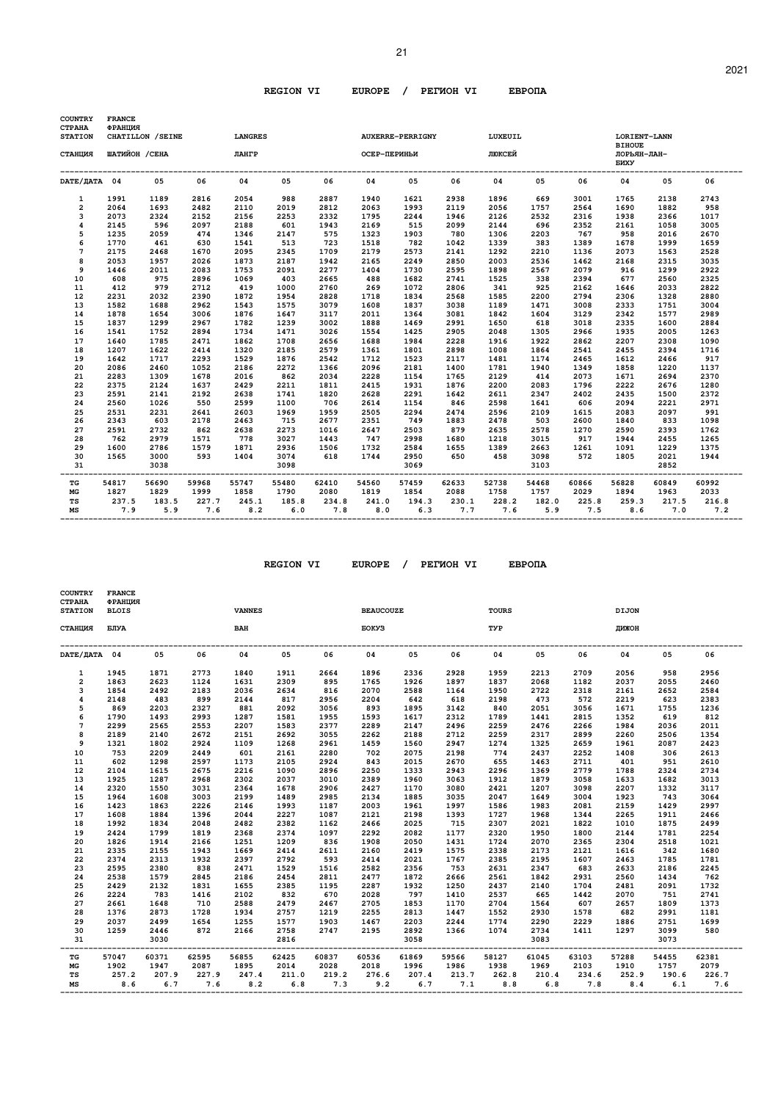| <b>COUNTRY</b><br><b>CTPAHA</b> | <b>FRANCE</b><br>ФРАНЦИЯ | CHATILLON / SEINE |              | <b>LANGRES</b> |              |                     |              |                         |                   | LUXEUIL      |              |                  |                                                      |              |              |
|---------------------------------|--------------------------|-------------------|--------------|----------------|--------------|---------------------|--------------|-------------------------|-------------------|--------------|--------------|------------------|------------------------------------------------------|--------------|--------------|
| <b>STATION</b><br>СТАНЦИЯ       | ШАТИЙОН / СЕНА           |                   |              | ЛАНГР          |              |                     | ОСЕР-ПЕРИНЬИ | <b>AUXERRE-PERRIGNY</b> |                   | люксей       |              |                  | LORIENT-LANN<br><b>BIHOUE</b><br>ЛОРЬЯН-ЛАН-<br>БИХУ |              |              |
| DATE/JATA 04                    |                          | 05                | 06           | 04             | 05           | 06                  | 04           | 05                      | 06                | 04           | 05           | 06               | 04                                                   | 05           | 06           |
| 1                               | 1991                     | 1189              | 2816         | 2054           | 988          | 2887                | 1940         | 1621                    | 2938              | 1896         | 669          | 3001             | 1765                                                 | 2138         | 2743         |
| $\overline{a}$                  | 2064                     | 1693              | 2482         | 2110           | 2019         | 2812                | 2063         | 1993                    | 2119              | 2056         | 1757         | 2564             | 1690                                                 | 1882         | 958          |
| 3                               | 2073                     | 2324              | 2152         | 2156           | 2253         | 2332                | 1795         | 2244                    | 1946              | 2126         | 2532         | 2316             | 1938                                                 | 2366         | 1017         |
| 4                               | 2145                     | 596               | 2097         | 2188           | 601          | 1943                | 2169         | 515                     | 2099              | 2144         | 696          | 2352             | 2161                                                 | 1058         | 3005         |
| 5                               | 1235                     | 2059              | 474          | 1346           | 2147         | 575                 | 1323         | 1903                    | 780               | 1306         | 2203         | 767              | 958                                                  | 2016         | 2670         |
| 6                               | 1770                     | 461               | 630          | 1541           | 513          | 723                 | 1518         | 782                     | 1042              | 1339         | 383          | 1389             | 1678                                                 | 1999         | 1659         |
| $\overline{7}$                  | 2175                     | 2468              | 1670         | 2095           | 2345         | 1709                | 2179         | 2573                    | 2141              | 1292         | 2210         | 1136             | 2073                                                 | 1563         | 2528         |
| 8                               | 2053                     | 1957              | 2026         | 1873           | 2187         | 1942                | 2165         | 2249                    | 2850              | 2003         | 2536         | 1462             | 2168                                                 | 2315         | 3035         |
| 9                               | 1446                     | 2011              | 2083         | 1753           | 2091         | 2277                | 1404         | 1730                    | 2595              | 1898         | 2567         | 2079             | 916                                                  | 1299         | 2922         |
| 10                              | 608                      | 975               | 2896         | 1069           | 403          | 2665                | 488          | 1682                    | 2741              | 1525         | 338          | 2394             | 677                                                  | 2560         | 2325         |
| 11                              | 412                      | 979               | 2712         | 419            | 1000         | 2760                | 269          | 1072                    | 2806              | 341          | 925          | 2162             | 1646                                                 | 2033         | 2822         |
| 12                              | 2231                     | 2032              | 2390         | 1872           | 1954         | 2828                | 1718         | 1834                    | 2568              | 1585         | 2200         | 2794             | 2306                                                 | 1328         | 2880         |
| 13                              | 1582                     | 1688              | 2962         | 1543           | 1575         | 3079                | 1608         | 1837                    | 3038              | 1189         | 1471         | 3008             | 2333                                                 | 1751         | 3004         |
| 14                              | 1878                     | 1654              | 3006         | 1876           | 1647         | 3117                | 2011         | 1364                    | 3081              | 1842         | 1604         | 3129             | 2342                                                 | 1577         | 2989         |
| 15                              | 1837                     | 1299              | 2967         | 1782           | 1239         | 3002                | 1888         | 1469                    | 2991              | 1650         | 618          | 3018             | 2335                                                 | 1600         | 2884         |
| 16                              | 1541                     | 1752              | 2894         | 1734           | 1471         | 3026                | 1554         | 1425                    | 2905              | 2048         | 1305         | 2966             | 1935                                                 | 2005         | 1263         |
| 17                              | 1640                     | 1785              | 2471         | 1862           | 1708         | 2656                | 1688         | 1984                    | 2228              | 1916         | 1922         | 2862             | 2207                                                 | 2308         | 1090         |
| 18                              | 1207                     | 1622              | 2414         | 1320           | 2185         | 2579                | 1361         | 1801                    | 2898              | 1008         | 1864         | 2541             | 2455                                                 | 2394         | 1716         |
| 19                              | 1642                     | 1717              | 2293         | 1529           | 1876         | 2542                | 1712         | 1523                    | 2117              | 1481         | 1174         | 2465             | 1612                                                 | 2466         | 917          |
| 20                              | 2086                     | 2460              | 1052         | 2186           | 2272         | 1366                | 2096         | 2181                    | 1400              | 1781         | 1940         | 1349             | 1858                                                 | 1220         | 1137         |
| 21                              | 2283                     | 1309              | 1678         | 2016           | 862          | 2034                | 2228         | 1154                    | 1765              | 2129         | 414          | 2073             | 1671                                                 | 2694         | 2370         |
| 22                              | 2375                     | 2124              | 1637         | 2429           | 2211         | 1811                | 2415         | 1931                    | 1876              | 2200         | 2083         | 1796             | 2222                                                 | 2676         | 1280         |
| 23                              | 2591                     | 2141              | 2192         | 2638           | 1741         | 1820                | 2628         | 2291                    | 1642              | 2611         | 2347         | 2402             | 2435                                                 | 1500         | 2372         |
| 24                              | 2560                     | 1026              | 550          | 2599           | 1100         | 706                 | 2614         | 1154                    | 846               | 2598         | 1641         | 606              | 2094                                                 | 2221         | 2971         |
| 25                              | 2531                     | 2231              | 2641         | 2603           | 1969         | 1959                | 2505         | 2294                    | 2474              | 2596         | 2109         | 1615             | 2083                                                 | 2097         | 991          |
| 26                              | 2343                     | 603               | 2178         | 2463           | 715          | 2677                | 2351         | 749                     | 1883              | 2478         | 503          | 2600             | 1840                                                 | 833          | 1098         |
| 27                              | 2591                     | 2732              | 862          | 2638           | 2273         | 1016                | 2647         | 2503                    | 879               | 2635         | 2578         | 1270             | 2590                                                 | 2393         | 1762         |
| 28                              | 762                      | 2979              | 1571         | 778            | 3027         | 1443                | 747          | 2998                    | 1680              | 1218         | 3015         | 917              | 1944                                                 | 2455         | 1265         |
| 29                              | 1600                     | 2786              | 1579         | 1871           | 2936         | 1506                | 1732         | 2584                    | 1655              | 1389         | 2663         | 1261             | 1091                                                 | 1229         | 1375         |
| 30<br>31                        | 1565                     | 3000<br>3038      | 593          | 1404           | 3074<br>3098 | 618                 | 1744         | 2950<br>3069            | 650               | 458          | 3098<br>3103 | 572              | 1805                                                 | 2021<br>2852 | 1944         |
| TG                              | 54817                    | 56690             | 59968        | 55747          | 55480        | ----------<br>62410 | 54560        | 57459                   | --------<br>62633 | 52738        | 54468        | -------<br>60866 | ________<br>56828                                    | 60849        | 60992        |
| МG                              | 1827                     | 1829              | 1999         | 1858           | 1790         | 2080                | 1819         | 1854                    | 2088              | 1758         | 1757         | 2029             | 1894                                                 | 1963         | 2033         |
| TS<br>MS                        | 237.5<br>7.9             | 183.5<br>5.9      | 227.7<br>7.6 | 245.1<br>8.2   | 185.8<br>6.0 | 234.8<br>7.8        | 241.0<br>8.0 | 194.3<br>6.3            | 230.1<br>7.7      | 228.2<br>7.6 | 182.0<br>5.9 | 225.8<br>7.5     | 259.3<br>8.6                                         | 217.5<br>7.0 | 216.8<br>7.2 |

| <b>COUNTRY</b><br><b>CTPAHA</b><br><b>STATION</b> | <b>FRANCE</b><br>ФРАНЦИЯ<br><b>BLOIS</b> |       |         | <b>VANNES</b>                        |       |       | <b>BEAUCOUZE</b>           |               |       | <b>TOURS</b>              |       |       | <b>DIJON</b> |       |         |
|---------------------------------------------------|------------------------------------------|-------|---------|--------------------------------------|-------|-------|----------------------------|---------------|-------|---------------------------|-------|-------|--------------|-------|---------|
| СТАНЦИЯ                                           | БЛУА                                     |       |         | <b>BAH</b>                           |       |       | <b>EOKY3</b>               |               |       | TYP                       |       |       | ДИЖОН        |       |         |
| DATE/ JATA 04                                     |                                          | 05    | 06      | 04                                   | 05    | 06    | 04                         | 05            | 06    | 04                        | 05    | 06    | 04           | 05    | 06      |
| $\mathbf{1}$                                      | 1945                                     | 1871  | 2773    | 1840                                 | 1911  | 2664  | 1896                       | 2336          | 2928  | 1959                      | 2213  | 2709  | 2056         | 958   | 2956    |
| $\overline{2}$                                    | 1863                                     | 2623  | 1124    | 1631                                 | 2309  | 895   | 1765                       | 1926          | 1897  | 1837                      | 2068  | 1182  | 2037         | 2055  | 2460    |
| 3                                                 | 1854                                     | 2492  | 2183    | 2036                                 | 2634  | 816   | 2070                       | 2588          | 1164  | 1950                      | 2722  | 2318  | 2161         | 2652  | 2584    |
| 4                                                 | 2148                                     | 483   | 899     | 2144                                 | 817   | 2956  | 2204                       | 642           | 618   | 2198                      | 473   | 572   | 2219         | 623   | 2383    |
| 5                                                 | 869                                      | 2203  | 2327    | 881                                  | 2092  | 3056  | 893                        | 1895          | 3142  | 840                       | 2051  | 3056  | 1671         | 1755  | 1236    |
| 6                                                 | 1790                                     | 1493  | 2993    | 1287                                 | 1581  | 1955  | 1593                       | 1617          | 2312  | 1789                      | 1441  | 2815  | 1352         | 619   | 812     |
| $\overline{7}$                                    | 2299                                     | 2565  | 2553    | 2207                                 | 1583  | 2377  | 2289                       | 2147          | 2496  | 2259                      | 2476  | 2266  | 1984         | 2036  | 2011    |
| 8                                                 | 2189                                     | 2140  | 2672    | 2151                                 | 2692  | 3055  | 2262                       | 2188          | 2712  | 2259                      | 2317  | 2899  | 2260         | 2506  | 1354    |
| 9                                                 | 1321                                     | 1802  | 2924    | 1109                                 | 1268  | 2961  | 1459                       | 1560          | 2947  | 1274                      | 1325  | 2659  | 1961         | 2087  | 2423    |
| 10                                                | 753                                      | 2209  | 2449    | 601                                  | 2161  | 2280  | 702                        | 2075          | 2198  | 774                       | 2437  | 2252  | 1408         | 306   | 2613    |
| 11                                                | 602                                      | 1298  | 2597    | 1173                                 | 2105  | 2924  | 843                        | 2015          | 2670  | 655                       | 1463  | 2711  | 401          | 951   | 2610    |
| 12                                                | 2104                                     | 1615  | 2675    | 2216                                 | 1090  | 2896  | 2250                       | 1333          | 2943  | 2296                      | 1369  | 2779  | 1788         | 2324  | 2734    |
| 13                                                | 1925                                     | 1287  | 2968    | 2302                                 | 2037  | 3010  | 2389                       | 1960          | 3063  | 1912                      | 1879  | 3058  | 1633         | 1682  | 3013    |
| 14                                                | 2320                                     | 1550  | 3031    | 2364                                 | 1678  | 2906  | 2427                       | 1170          | 3080  | 2421                      | 1207  | 3098  | 2207         | 1332  | 3117    |
| 15                                                | 1964                                     | 1608  | 3003    | 2199                                 | 1489  | 2985  | 2134                       | 1885          | 3035  | 2047                      | 1649  | 3004  | 1923         | 743   | 3064    |
| 16                                                | 1423                                     | 1863  | 2226    | 2146                                 | 1993  | 1187  | 2003                       | 1961          | 1997  | 1586                      | 1983  | 2081  | 2159         | 1429  | 2997    |
| 17                                                | 1608                                     | 1884  | 1396    | 2044                                 | 2227  | 1087  | 2121                       | 2198          | 1393  | 1727                      | 1968  | 1344  | 2265         | 1911  | 2466    |
| 18                                                | 1992                                     | 1834  | 2048    | 2482                                 | 2382  | 1162  | 2466                       | 2025          | 715   | 2307                      | 2021  | 1822  | 1010         | 1875  | 2499    |
| 19                                                | 2424                                     | 1799  | 1819    | 2368                                 | 2374  | 1097  | 2292                       | 2082          | 1177  | 2320                      | 1950  | 1800  | 2144         | 1781  | 2254    |
| 20                                                | 1826                                     | 1914  | 2166    | 1251                                 | 1209  | 836   | 1908                       | 2050          | 1431  | 1724                      | 2070  | 2365  | 2304         | 2518  | 1021    |
| 21                                                | 2335                                     | 2155  | 1943    | 1669                                 | 2414  | 2611  | 2160                       | 2419          | 1575  | 2338                      | 2173  | 2121  | 1616         | 342   | 1680    |
| 22                                                | 2374                                     | 2313  | 1932    | 2397                                 | 2792  | 593   | 2414                       | 2021          | 1767  | 2385                      | 2195  | 1607  | 2463         | 1785  | 1781    |
| 23                                                | 2595                                     | 2380  | 838     | 2471                                 | 1529  | 1516  | 2582                       | 2356          | 753   | 2631                      | 2347  | 683   | 2633         | 2186  | 2245    |
| 24                                                | 2538                                     | 1579  | 2845    | 2186                                 | 2454  | 2811  | 2477                       | 1872          | 2666  | 2561                      | 1842  | 2931  | 2560         | 1434  | 762     |
| 25                                                | 2429                                     | 2132  | 1831    | 1655                                 | 2385  | 1195  | 2287                       | 1932          | 1250  | 2437                      | 2140  | 1704  | 2481         | 2091  | 1732    |
| 26                                                | 2224                                     | 783   | 1416    | 2102                                 | 832   | 670   | 2028                       | 797           | 1410  | 2537                      | 665   | 1442  | 2070         | 751   | 2741    |
| 27                                                | 2661                                     | 1648  | 710     | 2588                                 | 2479  | 2467  | 2705                       | 1853          | 1170  | 2704                      | 1564  | 607   | 2657         | 1809  | 1373    |
| 28                                                | 1376                                     | 2873  | 1728    | 1934                                 | 2757  | 1219  | 2255                       | 2813          | 1447  | 1552                      | 2930  | 1578  | 682          | 2991  | 1181    |
| 29                                                | 2037                                     | 2499  | 1654    | 1255                                 | 1577  | 1903  | 1467                       | 2203          | 2244  | 1774                      | 2290  | 2229  | 1886         | 2751  | 1699    |
| 30                                                | 1259                                     | 2446  | 872     | 2166                                 | 2758  | 2747  | 2195                       | 2892          | 1366  | 1074                      | 2734  | 1411  | 1297         | 3099  | 580     |
| 31                                                |                                          | 3030  |         | ------------------------------------ | 2816  |       | -------------------------- | 3058          |       | ------------------------- | 3083  |       |              | 3073  |         |
| TG                                                | 57047                                    | 60371 | 62595   | 56855                                | 62425 | 60837 | 60536                      | 61869         | 59566 | 58127                     | 61045 | 63103 | 57288        | 54455 | 62381   |
| МG                                                | 1902                                     | 1947  | 2087    | 1895                                 | 2014  | 2028  | 2018                       | 1996          | 1986  | 1938                      | 1969  | 2103  | 1910         | 1757  | 2079    |
| TS                                                | 257.2                                    | 207.9 | 227.9   | 247.4                                | 211.0 | 219.2 |                            | 276.6 207.4   | 213.7 | 262.8                     | 210.4 | 234.6 | 252.9        | 190.6 | 226.7   |
| MS                                                | 8.6                                      |       | 6.7 7.6 | 8.2                                  | 6.8   | 7.3   |                            | $9.2$ 6.7 7.1 |       | 8.8                       | 6.8   | 7.8   | 8.4          |       | 6.1 7.6 |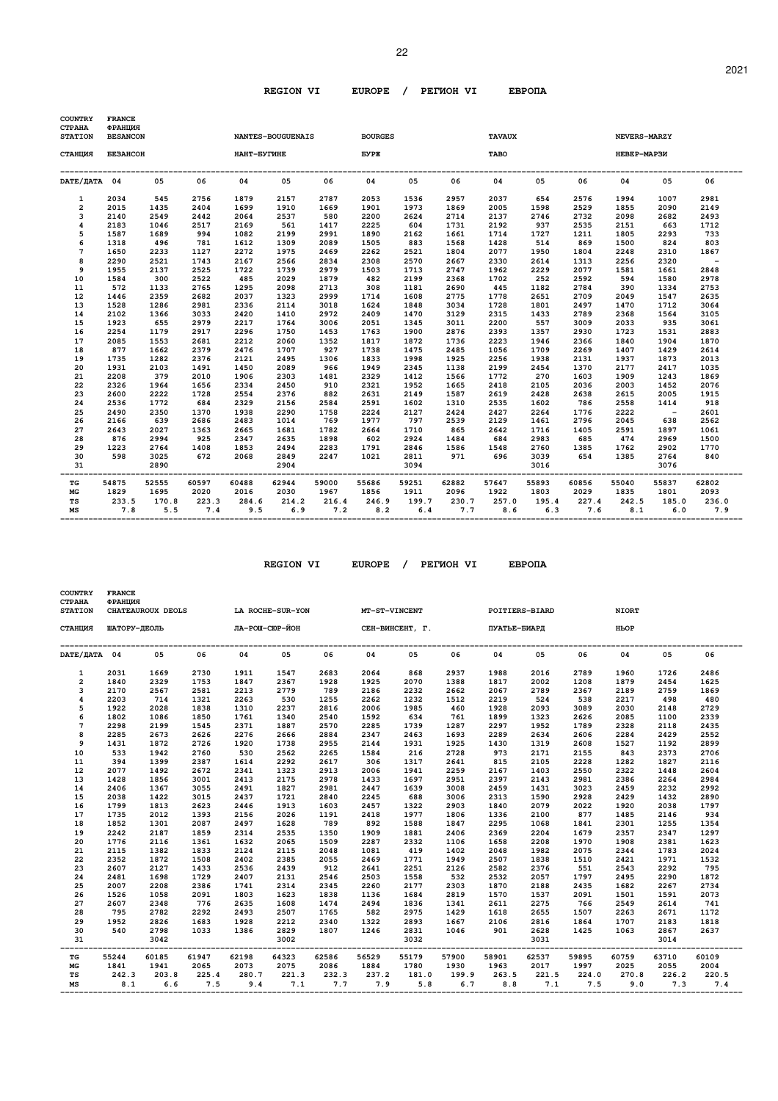| <b>COUNTRY</b><br>СТРАНА | <b>FRANCE</b><br>ФРАНЦИЯ |       |       |               |                          |       |                         |       |       |               |                                           |       |              |            |            |
|--------------------------|--------------------------|-------|-------|---------------|--------------------------|-------|-------------------------|-------|-------|---------------|-------------------------------------------|-------|--------------|------------|------------|
| <b>STATION</b>           | <b>BESANCON</b>          |       |       |               | <b>NANTES-BOUGUENAIS</b> |       | <b>BOURGES</b>          |       |       | <b>TAVAUX</b> |                                           |       | NEVERS-MARZY |            |            |
| СТАНЦИЯ                  | <b><i>GESAHCOH</i></b>   |       |       | НАНТ-БУГИНЕ   |                          |       | <b>EYPX</b>             |       |       | TABO          |                                           |       | HEBEP-MAP3И  |            |            |
| DATE/ДАТА 04             |                          | 05    | 06    | 04            | 05                       | 06    | 04                      | 05    | 06    | 04            | 05                                        | 06    | 04           | 05         | 06         |
| $\mathbf{1}$             | 2034                     | 545   | 2756  | 1879          | 2157                     | 2787  | 2053                    | 1536  | 2957  | 2037          | 654                                       | 2576  | 1994         | 1007       | 2981       |
| $\overline{a}$           | 2015                     | 1435  | 2404  | 1699          | 1910                     | 1669  | 1901                    | 1973  | 1869  | 2005          | 1598                                      | 2529  | 1855         | 2090       | 2149       |
| 3                        | 2140                     | 2549  | 2442  | 2064          | 2537                     | 580   | 2200                    | 2624  | 2714  | 2137          | 2746                                      | 2732  | 2098         | 2682       | 2493       |
| $\overline{\mathbf{4}}$  | 2183                     | 1046  | 2517  | 2169          | 561                      | 1417  | 2225                    | 604   | 1731  | 2192          | 937                                       | 2535  | 2151         | 663        | 1712       |
| 5                        | 1587                     | 1689  | 994   | 1082          | 2199                     | 2991  | 1890                    | 2162  | 1661  | 1714          | 1727                                      | 1211  | 1805         | 2293       | 733        |
| 6                        | 1318                     | 496   | 781   | 1612          | 1309                     | 2089  | 1505                    | 883   | 1568  | 1428          | 514                                       | 869   | 1500         | 824        | 803        |
| $\overline{7}$           | 1650                     | 2233  | 1127  | 2272          | 1975                     | 2469  | 2262                    | 2521  | 1804  | 2077          | 1950                                      | 1804  | 2248         | 2310       | 1867       |
| 8                        | 2290                     | 2521  | 1743  | 2167          | 2566                     | 2834  | 2308                    | 2570  | 2667  | 2330          | 2614                                      | 1313  | 2256         | 2320       | $\sim$ $-$ |
| 9                        | 1955                     | 2137  | 2525  | 1722          | 1739                     | 2979  | 1503                    | 1713  | 2747  | 1962          | 2229                                      | 2077  | 1581         | 1661       | 2848       |
| 10                       | 1584                     | 300   | 2522  | 485           | 2029                     | 1879  | 482                     | 2199  | 2368  | 1702          | 252                                       | 2592  | 594          | 1580       | 2978       |
| 11                       | 572                      | 1133  | 2765  | 1295          | 2098                     | 2713  | 308                     | 1181  | 2690  | 445           | 1182                                      | 2784  | 390          | 1334       | 2753       |
| 12                       | 1446                     | 2359  | 2682  | 2037          | 1323                     | 2999  | 1714                    | 1608  | 2775  | 1778          | 2651                                      | 2709  | 2049         | 1547       | 2635       |
| 13                       | 1528                     | 1286  | 2981  | 2336          | 2114                     | 3018  | 1624                    | 1848  | 3034  | 1728          | 1801                                      | 2497  | 1470         | 1712       | 3064       |
| 14                       | 2102                     | 1366  | 3033  | 2420          | 1410                     | 2972  | 2409                    | 1470  | 3129  | 2315          | 1433                                      | 2789  | 2368         | 1564       | 3105       |
| 15                       | 1923                     | 655   | 2979  | 2217          | 1764                     | 3006  | 2051                    | 1345  | 3011  | 2200          | 557                                       | 3009  | 2033         | 935        | 3061       |
| 16                       | 2254                     | 1179  | 2917  | 2296          | 1750                     | 1453  | 1763                    | 1900  | 2876  | 2393          | 1357                                      | 2930  | 1723         | 1531       | 2883       |
| 17                       | 2085                     | 1553  | 2681  | 2212          | 2060                     | 1352  | 1817                    | 1872  | 1736  | 2223          | 1946                                      | 2366  | 1840         | 1904       | 1870       |
| 18                       | 877                      | 1662  | 2379  | 2476          | 1707                     | 927   | 1738                    | 1475  | 2485  | 1056          | 1709                                      | 2269  | 1407         | 1429       | 2614       |
| 19                       | 1735                     | 1282  | 2376  | 2121          | 2495                     | 1306  | 1833                    | 1998  | 1925  | 2256          | 1938                                      | 2131  | 1937         | 1873       | 2013       |
| 20                       | 1931                     | 2103  | 1491  | 1450          | 2089                     | 966   | 1949                    | 2345  | 1138  | 2199          | 2454                                      | 1370  | 2177         | 2417       | 1035       |
| 21                       | 2208                     | 379   | 2010  | 1906          | 2303                     | 1481  | 2329                    | 1412  | 1566  | 1772          | 270                                       | 1603  | 1909         | 1243       | 1869       |
| 22                       | 2326                     | 1964  | 1656  | 2334          | 2450                     | 910   | 2321                    | 1952  | 1665  | 2418          | 2105                                      | 2036  | 2003         | 1452       | 2076       |
| 23                       | 2600                     | 2222  | 1728  | 2554          | 2376                     | 882   | 2631                    | 2149  | 1587  | 2619          | 2428                                      | 2638  | 2615         | 2005       | 1915       |
| 24                       | 2536                     | 1772  | 684   | 2329          | 2156                     | 2584  | 2591                    | 1602  | 1310  | 2535          | 1602                                      | 786   | 2558         | 1414       | 918        |
| 25                       | 2490                     | 2350  | 1370  | 1938          | 2290                     | 1758  | 2224                    | 2127  | 2424  | 2427          | 2264                                      | 1776  | 2222         | $\sim$ $-$ | 2601       |
| 26                       | 2166                     | 639   | 2686  | 2483          | 1014                     | 769   | 1977                    | 797   | 2539  | 2129          | 1461                                      | 2796  | 2045         | 638        | 2562       |
| 27                       | 2643                     | 2027  | 1363  | 2665          | 1681                     | 1782  | 2664                    | 1710  | 865   | 2642          | 1716                                      | 1405  | 2591         | 1897       | 1061       |
| 28                       | 876                      | 2994  | 925   | 2347          | 2635                     | 1898  | 602                     | 2924  | 1484  | 684           | 2983                                      | 685   | 474          | 2969       | 1500       |
| 29                       | 1223                     | 2764  | 1408  | 1853          | 2494                     | 2283  | 1791                    | 2846  | 1586  | 1548          | 2760                                      | 1385  | 1762         | 2902       | 1770       |
| 30                       | 598                      | 3025  | 672   | 2068          | 2849                     | 2247  | 1021                    | 2811  |       | 971 696       | 3039                                      | 654   | 1385         | 2764       | 840        |
| 31                       |                          | 2890  |       |               | 2904                     |       | ----------------------- | 3094  |       |               | 3016                                      |       |              | 3076       |            |
| TG                       | 54875                    | 52555 | 60597 | 60488         | 62944                    | 59000 | 55686                   | 59251 | 62882 | 57647         | 55893                                     | 60856 | 55040        | 55837      | 62802      |
| MG                       | 1829                     | 1695  | 2020  | 2016          | 2030                     | 1967  | 1856                    | 1911  | 2096  | 1922          | 1803                                      | 2029  | 1835         | 1801       | 2093       |
| TS                       | 233.5                    | 170.8 | 223.3 | 284.6         | 214.2                    | 216.4 | 246.9                   | 199.7 | 230.7 | 257.0         | 195.4                                     | 227.4 | 242.5        | 185.0      | 236.0      |
| МS                       | 7.8                      | 5.5   |       | $7.4$ 9.5 6.9 |                          |       |                         |       |       |               | $7.2$ $8.2$ $6.4$ $7.7$ $8.6$ $6.3$ $7.6$ |       | 8.1          | 6.0        | 7.9        |
|                          |                          |       |       |               |                          |       |                         |       |       |               |                                           |       |              |            |            |

 **REGION VI EUROPE / PEГИOH VI EBPOПA** 

 **COUNTRY FRANCE** 

| <b>CTPAHA</b><br><b>STATION</b> | ФРАНЦИЯ<br>CHATEAUROUX DEOLS |       |       | LA ROCHE-SUR-YON              |       |       | MT-ST-VINCENT              |       |       |                            | POITIERS-BIARD |          | <b>NIORT</b> |       |       |
|---------------------------------|------------------------------|-------|-------|-------------------------------|-------|-------|----------------------------|-------|-------|----------------------------|----------------|----------|--------------|-------|-------|
| СТАНЦИЯ                         | ШАТОРУ-ДЕОЛЬ                 |       |       | ЛА-РОШ-СЮР-ЙОН                |       |       | СЕН-ВИНСЕНТ, Г.            |       |       | ПУАТЬЕ-БИАРД               |                |          | HPOP         |       |       |
| DATE/ДАТА 04                    |                              | 05    | 06    | 04                            | 05    | 06    | 04                         | 05    | 06    | 04                         | 05             | 06       | 04           | 05    | 06    |
| $\mathbf{1}$                    | 2031                         | 1669  | 2730  | 1911                          | 1547  | 2683  | 2064                       | 868   | 2937  | 1988                       | 2016           | 2789     | 1960         | 1726  | 2486  |
| $\overline{2}$                  | 1840                         | 2329  | 1753  | 1847                          | 2367  | 1928  | 1925                       | 2070  | 1388  | 1817                       | 2002           | 1208     | 1879         | 2454  | 1625  |
| 3                               | 2170                         | 2567  | 2581  | 2213                          | 2779  | 789   | 2186                       | 2232  | 2662  | 2067                       | 2789           | 2367     | 2189         | 2759  | 1869  |
| $\overline{\mathbf{4}}$         | 2203                         | 714   | 1321  | 2263                          | 530   | 1255  | 2262                       | 1232  | 1512  | 2219                       | 524            | 538      | 2217         | 498   | 480   |
| 5                               | 1922                         | 2028  | 1838  | 1310                          | 2237  | 2816  | 2006                       | 1985  | 460   | 1928                       | 2093           | 3089     | 2030         | 2148  | 2729  |
| 6                               | 1802                         | 1086  | 1850  | 1761                          | 1340  | 2540  | 1592                       | 634   | 761   | 1899                       | 1323           | 2626     | 2085         | 1100  | 2339  |
| 7                               | 2298                         | 2199  | 1545  | 2371                          | 1887  | 2570  | 2285                       | 1739  | 1287  | 2297                       | 1952           | 1789     | 2328         | 2118  | 2435  |
| 8                               | 2285                         | 2673  | 2626  | 2276                          | 2666  | 2884  | 2347                       | 2463  | 1693  | 2289                       | 2634           | 2606     | 2284         | 2429  | 2552  |
| 9                               | 1431                         | 1872  | 2726  | 1920                          | 1738  | 2955  | 2144                       | 1931  | 1925  | 1430                       | 1319           | 2608     | 1527         | 1192  | 2899  |
| 10                              | 533                          | 1942  | 2760  | 530                           | 2562  | 2265  | 1584                       | 216   | 2728  | 973                        | 2171           | 2155     | 843          | 2373  | 2706  |
| 11                              | 394                          | 1399  | 2387  | 1614                          | 2292  | 2617  | 306                        | 1317  | 2641  | 815                        | 2105           | 2228     | 1282         | 1827  | 2116  |
| 12                              | 2077                         | 1492  | 2672  | 2341                          | 1323  | 2913  | 2006                       | 1941  | 2259  | 2167                       | 1403           | 2550     | 2322         | 1448  | 2604  |
| 13                              | 1428                         | 1856  | 3001  | 2413                          | 2175  | 2978  | 1433                       | 1697  | 2951  | 2397                       | 2143           | 2981     | 2386         | 2264  | 2984  |
| 14                              | 2406                         | 1367  | 3055  | 2491                          | 1827  | 2981  | 2447                       | 1639  | 3008  | 2459                       | 1431           | 3023     | 2459         | 2232  | 2992  |
| 15                              | 2038                         | 1422  | 3015  | 2437                          | 1721  | 2840  | 2245                       | 688   | 3006  | 2313                       | 1590           | 2928     | 2429         | 1432  | 2890  |
| 16                              | 1799                         | 1813  | 2623  | 2446                          | 1913  | 1603  | 2457                       | 1322  | 2903  | 1840                       | 2079           | 2022     | 1920         | 2038  | 1797  |
| 17                              | 1735                         | 2012  | 1393  | 2156                          | 2026  | 1191  | 2418                       | 1977  | 1806  | 1336                       | 2100           | 877      | 1485         | 2146  | 934   |
| 18                              | 1852                         | 1301  | 2087  | 2497                          | 1628  | 789   | 892                        | 1588  | 1847  | 2295                       | 1068           | 1841     | 2301         | 1255  | 1354  |
| 19                              | 2242                         | 2187  | 1859  | 2314                          | 2535  | 1350  | 1909                       | 1881  | 2406  | 2369                       | 2204           | 1679     | 2357         | 2347  | 1297  |
| 20                              | 1776                         | 2116  | 1361  | 1632                          | 2065  | 1509  | 2287                       | 2332  | 1106  | 1658                       | 2208           | 1970     | 1908         | 2381  | 1623  |
| 21                              | 2115                         | 1382  | 1833  | 2124                          | 2115  | 2048  | 1081                       | 419   | 1402  | 2048                       | 1982           | 2075     | 2344         | 1783  | 2024  |
| 22                              | 2352                         | 1872  | 1508  | 2402                          | 2385  | 2055  | 2469                       | 1771  | 1949  | 2507                       | 1838           | 1510     | 2421         | 1971  | 1532  |
| 23                              | 2607                         | 2127  | 1433  | 2536                          | 2439  | 912   | 2641                       | 2251  | 2126  | 2582                       | 2376           | 551      | 2543         | 2292  | 795   |
| 24                              | 2481                         | 1698  | 1729  | 2407                          | 2131  | 2546  | 2503                       | 1558  | 532   | 2532                       | 2057           | 1797     | 2495         | 2290  | 1872  |
| 25                              | 2007                         | 2208  | 2386  | 1741                          | 2314  | 2345  | 2260                       | 2177  | 2303  | 1870                       | 2188           | 2435     | 1682         | 2267  | 2734  |
| 26                              | 1526                         | 1058  | 2091  | 1803                          | 1623  | 1838  | 1136                       | 1684  | 2819  | 1570                       | 1537           | 2091     | 1501         | 1591  | 2073  |
| 27                              | 2607                         | 2348  | 776   | 2635                          | 1608  | 1474  | 2494                       | 1836  | 1341  | 2611                       | 2275           | 766      | 2549         | 2614  | 741   |
| 28                              | 795                          | 2782  | 2292  | 2493                          | 2507  | 1765  | 582                        | 2975  | 1429  | 1618                       | 2655           | 1507     | 2263         | 2671  | 1172  |
| 29                              | 1952                         | 2826  | 1683  | 1928                          | 2212  | 2340  | 1322                       | 2893  | 1667  | 2106                       | 2816           | 1864     | 1707         | 2183  | 1818  |
| 30                              | 540                          | 2798  | 1033  | 1386                          | 2829  | 1807  | 1246                       | 2831  | 1046  | 901                        | 2628           | 1425     | 1063         | 2867  | 2637  |
| 31                              |                              | 3042  |       | ----------------------------- | 3002  |       | -------------------------- | 3032  |       | -------------------------- | 3031           | -------- |              | 3014  |       |
| TG                              | 55244                        | 60185 | 61947 | 62198                         | 64323 | 62586 | 56529                      | 55179 | 57900 | 58901                      | 62537          | 59895    | 60759        | 63710 | 60109 |
| MG                              | 1841                         | 1941  | 2065  | 2073                          | 2075  | 2086  | 1884                       | 1780  | 1930  | 1963                       | 2017           | 1997     | 2025         | 2055  | 2004  |
| <b>TS</b>                       | 242.3                        | 203.8 | 225.4 | 280.7                         | 221.3 | 232.3 | 237.2                      | 181.0 | 199.9 | 263.5                      | 221.5          | 224.0    | 270.8        | 226.2 | 220.5 |
| МS                              | 8.1                          | 6.6   | 7.5   | 9.4                           | 7.1   |       | 7.7 7.9                    | 5.8   |       | 6.7<br>8.8                 | 7.1            | 7.5      | 9.0          | 7.3   | 7.4   |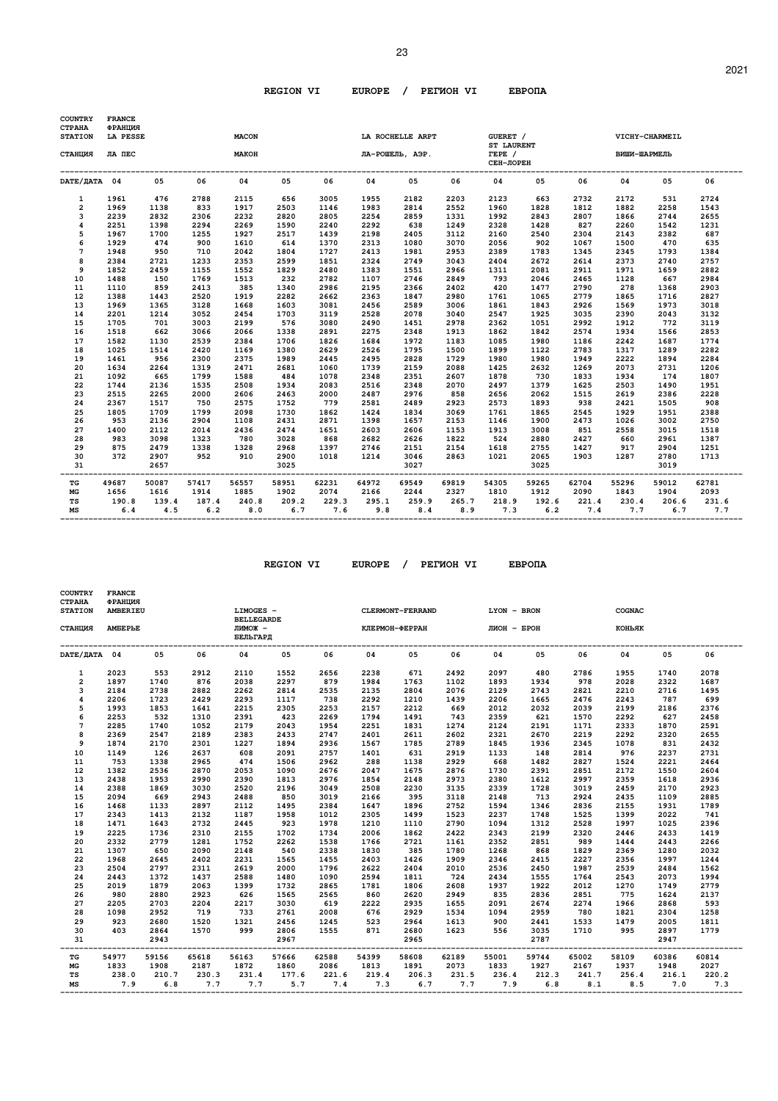| <b>COUNTRY</b><br><b>CTPAHA</b><br><b>STATION</b> | <b>FRANCE</b><br>ФРАНЦИЯ<br>LA PESSE<br><b>MACON</b> |              |              |              |              |              |              | LA ROCHELLE ARPT |              | GUERET /                                 |              |              | VICHY-CHARMEIL |                      |       |
|---------------------------------------------------|------------------------------------------------------|--------------|--------------|--------------|--------------|--------------|--------------|------------------|--------------|------------------------------------------|--------------|--------------|----------------|----------------------|-------|
| СТАНЦИЯ                                           | ЛА ПЕС                                               |              |              | МАКОН        |              |              |              | ЛА-РОШЕЛЬ, АЭР.  |              | <b>ST LAURENT</b><br>TEPE /<br>СЕН-ЛОРЕН |              |              | ВИШИ-ШАРМЕЛЬ   |                      |       |
| DATE/ДАТА 04                                      |                                                      | 05           | 06           | 04           | 05           | 06           | 04           | 05               | 06           | 04                                       | 05           | 06           | 04             | 05                   | 06    |
| 1                                                 | 1961                                                 | 476          | 2788         | 2115         | 656          | 3005         | 1955         | 2182             | 2203         | 2123                                     | 663          | 2732         | 2172           | 531                  | 2724  |
| $\overline{a}$                                    | 1969                                                 | 1138         | 833          | 1917         | 2503         | 1146         | 1983         | 2814             | 2552         | 1960                                     | 1828         | 1812         | 1882           | 2258                 | 1543  |
| 3                                                 | 2239                                                 | 2832         | 2306         | 2232         | 2820         | 2805         | 2254         | 2859             | 1331         | 1992                                     | 2843         | 2807         | 1866           | 2744                 | 2655  |
| $\overline{\mathbf{4}}$                           | 2251                                                 | 1398         | 2294         | 2269         | 1590         | 2240         | 2292         | 638              | 1249         | 2328                                     | 1428         | 827          | 2260           | 1542                 | 1231  |
| 5                                                 | 1967                                                 | 1700         | 1255         | 1927         | 2517         | 1439         | 2198         | 2405             | 3112         | 2160                                     | 2540         | 2304         | 2143           | 2382                 | 687   |
| 6                                                 | 1929                                                 | 474          | 900          | 1610         | 614          | 1370         | 2313         | 1080             | 3070         | 2056                                     | 902          | 1067         | 1500           | 470                  | 635   |
| 7                                                 | 1948                                                 | 950          | 710          | 2042         | 1804         | 1727         | 2413         | 1981             | 2953         | 2389                                     | 1783         | 1345         | 2345           | 1793                 | 1384  |
| 8                                                 | 2384                                                 | 2721         | 1233         | 2353         | 2599         | 1851         | 2324         | 2749             | 3043         | 2404                                     | 2672         | 2614         | 2373           | 2740                 | 2757  |
| 9                                                 | 1852                                                 | 2459         | 1155         | 1552         | 1829         | 2480         | 1383         | 1551             | 2966         | 1311                                     | 2081         | 2911         | 1971           | 1659                 | 2882  |
| 10                                                | 1488                                                 | 150          | 1769         | 1513         | 232          | 2782         | 1107         | 2746             | 2849         | 793                                      | 2046         | 2465         | 1128           | 667                  | 2984  |
| 11                                                | 1110                                                 | 859          | 2413         | 385          | 1340         | 2986         | 2195         | 2366             | 2402         | 420                                      | 1477         | 2790         | 278            | 1368                 | 2903  |
| 12                                                | 1388                                                 | 1443         | 2520         | 1919         | 2282         | 2662         | 2363         | 1847             | 2980         | 1761                                     | 1065         | 2779         | 1865           | 1716                 | 2827  |
| 13                                                | 1969                                                 | 1365         | 3128         | 1668         | 1603         | 3081         | 2456         | 2589             | 3006         | 1861                                     | 1843         | 2926         | 1569           | 1973                 | 3018  |
| 14                                                | 2201                                                 | 1214         | 3052         | 2454         | 1703         | 3119         | 2528         | 2078             | 3040         | 2547                                     | 1925         | 3035         | 2390           | 2043                 | 3132  |
| 15                                                | 1705                                                 | 701          | 3003         | 2199         | 576          | 3080         | 2490         | 1451             | 2978         | 2362                                     | 1051         | 2992         | 1912           | 772                  | 3119  |
| 16                                                | 1518                                                 | 662          | 3066         | 2066         | 1338         | 2891         | 2275         | 2348             | 1913         | 1862                                     | 1842         | 2574         | 1934           | 1566                 | 2853  |
| 17                                                | 1582                                                 | 1130         | 2539         | 2384         | 1706         | 1826         | 1684         | 1972             | 1183         | 1085                                     | 1980         | 1186         | 2242           | 1687                 | 1774  |
| 18                                                | 1025                                                 | 1514         | 2420         | 1169         | 1380         | 2629         | 2526         | 1795             | 1500         | 1899                                     | 1122         | 2783         | 1317           | 1289                 | 2282  |
| 19                                                | 1461                                                 | 956          | 2300         | 2375         | 1989         | 2445         | 2495         | 2828             | 1729         | 1980                                     | 1980         | 1949         | 2222           | 1894                 | 2284  |
| 20                                                | 1634                                                 | 2264         | 1319         | 2471         | 2681         | 1060         | 1739         | 2159             | 2088         | 1425                                     | 2632         | 1269         | 2073           | 2731                 | 1206  |
| 21                                                | 1092                                                 | 665          | 1799         | 1588         | 484          | 1078         | 2348         | 2351             | 2607         | 1878                                     | 730          | 1833         | 1934           | 174                  | 1807  |
| 22                                                | 1744                                                 | 2136         | 1535         | 2508         | 1934         | 2083         | 2516         | 2348             | 2070         | 2497                                     | 1379         | 1625         | 2503           | 1490                 | 1951  |
| 23                                                | 2515                                                 | 2265         | 2000         | 2606         | 2463         | 2000         | 2487         | 2976             | 858          | 2656                                     | 2062         | 1515         | 2619           | 2386                 | 2228  |
| 24                                                | 2367                                                 | 1517         | 750          | 2575         | 1752         | 779          | 2581         | 2489             | 2923         | 2573                                     | 1893         | 938          | 2421           | 1505                 | 908   |
| 25                                                | 1805                                                 | 1709         | 1799         | 2098         | 1730         | 1862         | 1424         | 1834             | 3069         | 1761                                     | 1865         | 2545         | 1929           | 1951                 | 2388  |
| 26                                                | 953                                                  | 2136         | 2904         | 1108         | 2431         | 2871         | 1398         | 1657             | 2153         | 1146                                     | 1900         | 2473         | 1026           | 3002                 | 2750  |
| 27                                                | 1400                                                 | 2112         | 2014         | 2436         | 2474         | 1651         | 2603         | 2606             | 1153         | 1913                                     | 3008         | 851          | 2558           | 3015                 | 1518  |
| 28                                                | 983                                                  | 3098         | 1323         | 780          | 3028         | 868          | 2682         | 2626             | 1822         | 524                                      | 2880         | 2427         | 660            | 2961                 | 1387  |
| 29                                                | 875                                                  | 2479         | 1338         | 1328         | 2968         | 1397         | 2746         | 2151             | 2154         | 1618                                     | 2755         | 1427         | 917            | 2904                 | 1251  |
| 30<br>31                                          | 372                                                  | 2907<br>2657 | 952          | 910          | 2900<br>3025 | 1018         | 1214         | 3046<br>3027     | 2863         | 1021                                     | 2065<br>3025 | 1903         | 1287           | 2780<br>3019         | 1713  |
| TG                                                | 49687                                                | 50087        | 57417        | 56557        | 58951        | 62231        | 64972        | 69549            | 69819        | 54305                                    | 59265        | 62704        | 55296          | 59012                | 62781 |
| MG                                                | 1656                                                 | 1616         | 1914         | 1885         | 1902         | 2074         | 2166         | 2244             | 2327         | 1810                                     | 1912         | 2090         | 1843           | 1904                 | 2093  |
| TS<br>MS                                          | 190.8<br>6.4                                         | 139.4<br>4.5 | 187.4<br>6.2 | 240.8<br>8.0 | 209.2<br>6.7 | 229.3<br>7.6 | 295.1<br>9.8 | 259.9<br>8.4     | 265.7<br>8.9 | 218.9<br>7.3                             | 192.6<br>6.2 | 221.4<br>7.4 | 230.4<br>7.7   | 206.6<br>$6.7$ $7.7$ | 231.6 |

| COUNTRY<br>СТРАНА    | <b>FRANCE</b><br>ФРАНЦИЯ |       |       |                                |       |       |       |                  |       |             |       |       |        |       |       |
|----------------------|--------------------------|-------|-------|--------------------------------|-------|-------|-------|------------------|-------|-------------|-------|-------|--------|-------|-------|
| <b>STATION</b>       | AMBERIEU                 |       |       | LIMOGES -<br><b>BELLEGARDE</b> |       |       |       | CLERMONT-FERRAND |       | LYON - BRON |       |       | COGNAC |       |       |
| СТАНЦИЯ              | <b>AMBEPLE</b>           |       |       | лимож -<br>БЕЛЬГАРД            |       |       |       | КЛЕРМОН-ФЕРРАН   |       | ЛИОН - БРОН |       |       | коньяк |       |       |
| DATE/ <b>ДАТА</b> 04 |                          | 05    | 06    | 04                             | 05    | 06    | 04    | 05               | 06    | 04          | 05    | 06    | 04     | 05    | 06    |
| 1                    | 2023                     | 553   | 2912  | 2110                           | 1552  | 2656  | 2238  | 671              | 2492  | 2097        | 480   | 2786  | 1955   | 1740  | 2078  |
| $\overline{2}$       | 1897                     | 1740  | 876   | 2038                           | 2297  | 879   | 1984  | 1763             | 1102  | 1893        | 1934  | 978   | 2028   | 2322  | 1687  |
| 3                    | 2184                     | 2738  | 2882  | 2262                           | 2814  | 2535  | 2135  | 2804             | 2076  | 2129        | 2743  | 2821  | 2210   | 2716  | 1495  |
| 4                    | 2206                     | 1723  | 2429  | 2293                           | 1117  | 738   | 2292  | 1210             | 1439  | 2206        | 1665  | 2476  | 2243   | 787   | 699   |
| 5                    | 1993                     | 1853  | 1641  | 2215                           | 2305  | 2253  | 2157  | 2212             | 669   | 2012        | 2032  | 2039  | 2199   | 2186  | 2376  |
| 6                    | 2253                     | 532   | 1310  | 2391                           | 423   | 2269  | 1794  | 1491             | 743   | 2359        | 621   | 1570  | 2292   | 627   | 2458  |
| $7\phantom{.0}$      | 2285                     | 1740  | 1052  | 2179                           | 2043  | 1954  | 2251  | 1831             | 1274  | 2124        | 2191  | 1171  | 2333   | 1870  | 2591  |
| 8                    | 2369                     | 2547  | 2189  | 2383                           | 2433  | 2747  | 2401  | 2611             | 2602  | 2321        | 2670  | 2219  | 2292   | 2320  | 2655  |
| 9                    | 1874                     | 2170  | 2301  | 1227                           | 1894  | 2936  | 1567  | 1785             | 2789  | 1845        | 1936  | 2345  | 1078   | 831   | 2432  |
| 10                   | 1149                     | 126   | 2637  | 608                            | 2091  | 2757  | 1401  | 631              | 2919  | 1133        | 148   | 2814  | 976    | 2237  | 2731  |
| 11                   | 753                      | 1338  | 2965  | 474                            | 1506  | 2962  | 288   | 1138             | 2929  | 668         | 1482  | 2827  | 1524   | 2221  | 2464  |
| 12                   | 1382                     | 2536  | 2870  | 2053                           | 1090  | 2676  | 2047  | 1675             | 2876  | 1730        | 2391  | 2851  | 2172   | 1550  | 2604  |
| 13                   | 2438                     | 1953  | 2990  | 2390                           | 1813  | 2976  | 1854  | 2148             | 2973  | 2380        | 1612  | 2997  | 2359   | 1618  | 2936  |
| 14                   | 2388                     | 1869  | 3030  | 2520                           | 2196  | 3049  | 2508  | 2230             | 3135  | 2339        | 1728  | 3019  | 2459   | 2170  | 2923  |
| 15                   | 2094                     | 669   | 2943  | 2488                           | 850   | 3019  | 2166  | 395              | 3118  | 2148        | 713   | 2924  | 2435   | 1109  | 2885  |
| 16                   | 1468                     | 1133  | 2897  | 2112                           | 1495  | 2384  | 1647  | 1896             | 2752  | 1594        | 1346  | 2836  | 2155   | 1931  | 1789  |
| 17                   | 2343                     | 1413  | 2132  | 1187                           | 1958  | 1012  | 2305  | 1499             | 1523  | 2237        | 1748  | 1525  | 1399   | 2022  | 741   |
| 18                   | 1471                     | 1643  | 2732  | 2445                           | 923   | 1978  | 1210  | 1110             | 2790  | 1094        | 1312  | 2528  | 1997   | 1025  | 2396  |
| 19                   | 2225                     | 1736  | 2310  | 2155                           | 1702  | 1734  | 2006  | 1862             | 2422  | 2343        | 2199  | 2320  | 2446   | 2433  | 1419  |
| 20                   | 2332                     | 2779  | 1281  | 1752                           | 2262  | 1538  | 1766  | 2721             | 1161  | 2352        | 2851  | 989   | 1444   | 2443  | 2266  |
| 21                   | 1307                     | 650   | 2090  | 2148                           | 540   | 2338  | 1830  | 385              | 1780  | 1268        | 868   | 1829  | 2369   | 1280  | 2032  |
| 22                   | 1968                     | 2645  | 2402  | 2231                           | 1565  | 1455  | 2403  | 1426             | 1909  | 2346        | 2415  | 2227  | 2356   | 1997  | 1244  |
| 23                   | 2504                     | 2797  | 2311  | 2619                           | 2000  | 1796  | 2622  | 2404             | 2010  | 2536        | 2450  | 1987  | 2539   | 2484  | 1562  |
| 24                   | 2443                     | 1372  | 1437  | 2588                           | 1480  | 1090  | 2594  | 1811             | 724   | 2434        | 1555  | 1764  | 2543   | 2073  | 1994  |
| 25                   | 2019                     | 1879  | 2063  | 1399                           | 1732  | 2865  | 1781  | 1806             | 2608  | 1937        | 1922  | 2012  | 1270   | 1749  | 2779  |
| 26                   | 980                      | 2880  | 2923  | 626                            | 1565  | 2565  | 860   | 2620             | 2949  | 835         | 2836  | 2851  | 775    | 1624  | 2137  |
| 27                   | 2205                     | 2703  | 2204  | 2217                           | 3030  | 619   | 2222  | 2935             | 1655  | 2091        | 2674  | 2274  | 1966   | 2868  | 593   |
| 28                   | 1098                     | 2952  | 719   | 733                            | 2761  | 2008  | 676   | 2929             | 1534  | 1094        | 2959  | 780   | 1821   | 2304  | 1258  |
| 29                   | 923                      | 2680  | 1520  | 1321                           | 2456  | 1245  | 523   | 2964             | 1613  | 900         | 2441  | 1533  | 1479   | 2005  | 1811  |
| 30                   | 403                      | 2864  | 1570  | 999                            | 2806  | 1555  | 871   | 2680             | 1623  | 556         | 3035  | 1710  | 995    | 2897  | 1779  |
| 31                   |                          | 2943  |       |                                | 2967  |       |       | 2965             |       |             | 2787  |       |        | 2947  |       |
| TG                   | 54977                    | 59156 | 65618 | 56163                          | 57666 | 62588 | 54399 | 58608            | 62189 | 55001       | 59744 | 65002 | 58109  | 60386 | 60814 |
| МG                   | 1833                     | 1908  | 2187  | 1872                           | 1860  | 2086  | 1813  | 1891             | 2073  | 1833        | 1927  | 2167  | 1937   | 1948  | 2027  |
| TS                   | 238.0                    | 210.7 | 230.3 | 231.4                          | 177.6 | 221.6 | 219.4 | 206.3            | 231.5 | 236.4       | 212.3 | 241.7 | 256.4  | 216.1 | 220.2 |
| MS                   | 7.9                      | 6.8   | 7.7   | 7.7                            | 5.7   | 7.4   | 7.3   | 6.7              | 7.7   | 7.9         | 6.8   | 8.1   | 8.5    | 7.0   | 7.3   |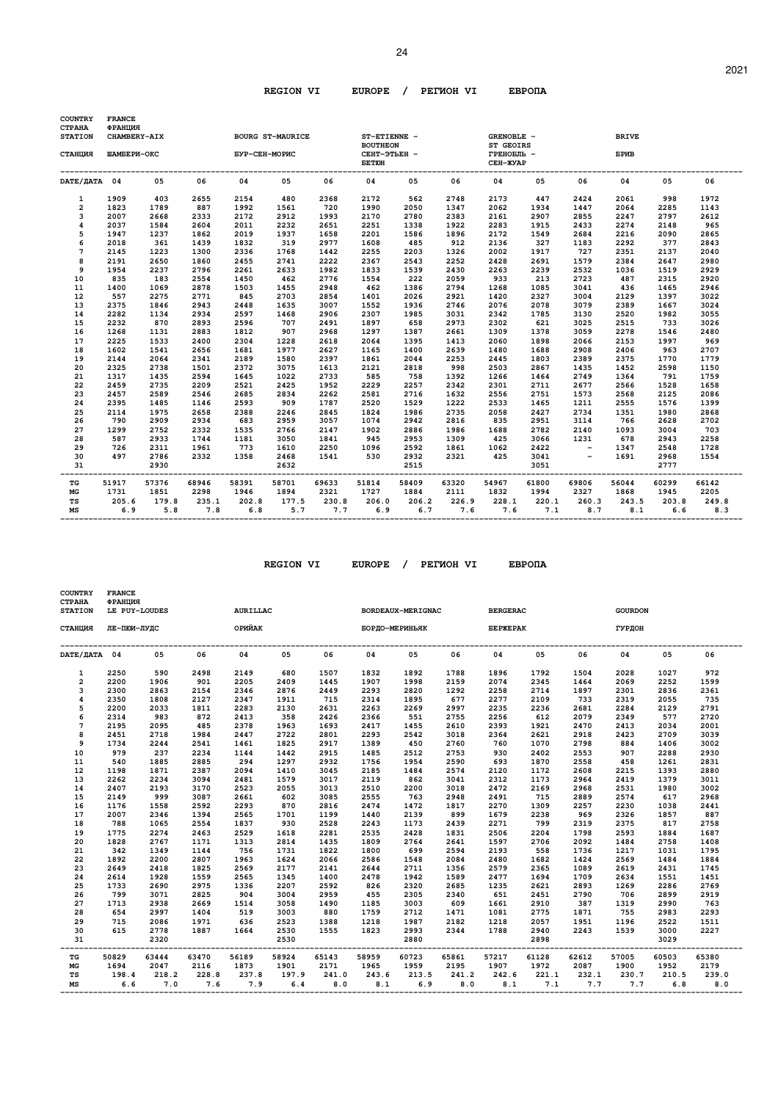| <b>COUNTRY</b><br><b>CTPAHA</b> | <b>FRANCE</b><br>ФРАНЦИЯ |              |              |               |                         |              |                                 |              |              |                                |              |              |              |       |       |
|---------------------------------|--------------------------|--------------|--------------|---------------|-------------------------|--------------|---------------------------------|--------------|--------------|--------------------------------|--------------|--------------|--------------|-------|-------|
| <b>STATION</b>                  | CHAMBERY-AIX             |              |              |               | <b>BOURG ST-MAURICE</b> |              | ST-ETIENNE -<br><b>BOUTHEON</b> |              |              | GRENOBLE -<br><b>ST GEOIRS</b> |              |              | <b>BRIVE</b> |       |       |
| СТАНЦИЯ                         | ШАМБЕРИ-ОКС              |              |              | БУР-СЕН-МОРИС |                         |              | СЕНТ-ЭТЬЕН -<br><b>EETIOH</b>   |              |              | ГРЕНОБЛЬ -<br>CEH-ЖУАР         |              |              | БРИВ         |       |       |
| DATE/JATA 04                    |                          | 05           | 06           | 04            | 05                      | 06           | 04                              | 05           | 06           | 04                             | 05           | 06           | 04           | 05    | 06    |
| $\mathbf{1}$                    | 1909                     | 403          | 2655         | 2154          | 480                     | 2368         | 2172                            | 562          | 2748         | 2173                           | 447          | 2424         | 2061         | 998   | 1972  |
| $\overline{2}$                  | 1823                     | 1789         | 887          | 1992          | 1561                    | 720          | 1990                            | 2050         | 1347         | 2062                           | 1934         | 1447         | 2064         | 2285  | 1143  |
| 3                               | 2007                     | 2668         | 2333         | 2172          | 2912                    | 1993         | 2170                            | 2780         | 2383         | 2161                           | 2907         | 2855         | 2247         | 2797  | 2612  |
| 4                               | 2037                     | 1584         | 2604         | 2011          | 2232                    | 2651         | 2251                            | 1338         | 1922         | 2283                           | 1915         | 2433         | 2274         | 2148  | 965   |
| 5                               | 1947                     | 1237         | 1862         | 2019          | 1937                    | 1658         | 2201                            | 1586         | 1896         | 2172                           | 1549         | 2684         | 2216         | 2090  | 2865  |
| 6                               | 2018                     | 361          | 1439         | 1832          | 319                     | 2977         | 1608                            | 485          | 912          | 2136                           | 327          | 1183         | 2292         | 377   | 2843  |
| 7                               | 2145                     | 1223         | 1300         | 2336          | 1768                    | 1442         | 2255                            | 2203         | 1326         | 2002                           | 1917         | 727          | 2351         | 2137  | 2040  |
| 8                               | 2191                     | 2650         | 1860         | 2455          | 2741                    | 2222         | 2367                            | 2543         | 2252         | 2428                           | 2691         | 1579         | 2384         | 2647  | 2980  |
| 9                               | 1954                     | 2237         | 2796         | 2261          | 2633                    | 1982         | 1833                            | 1539         | 2430         | 2263                           | 2239         | 2532         | 1036         | 1519  | 2929  |
| 10                              | 835                      | 183          | 2554         | 1450          | 462                     | 2776         | 1554                            | 222          | 2059         | 933                            | 213          | 2723         | 487          | 2315  | 2920  |
| 11                              | 1400                     | 1069         | 2878         | 1503          | 1455                    | 2948         | 462                             | 1386         | 2794         | 1268                           | 1085         | 3041         | 436          | 1465  | 2946  |
| 12                              | 557                      | 2275         | 2771         | 845           | 2703                    | 2854         | 1401                            | 2026         | 2921         | 1420                           | 2327         | 3004         | 2129         | 1397  | 3022  |
| 13                              | 2375                     | 1846         | 2943         | 2448          | 1635                    | 3007         | 1552                            | 1936         | 2746         | 2076                           | 2078         | 3079         | 2389         | 1667  | 3024  |
| 14                              | 2282                     | 1134         | 2934         | 2597          | 1468                    | 2906         | 2307                            | 1985         | 3031         | 2342                           | 1785         | 3130         | 2520         | 1982  | 3055  |
| 15                              | 2232                     | 870          | 2893         | 2596          | 707                     | 2491         | 1897                            | 658          | 2973         | 2302                           | 621          | 3025         | 2515         | 733   | 3026  |
| 16                              | 1268                     | 1131         | 2883         | 1812          | 907                     | 2968         | 1297                            | 1387         | 2661         | 1309                           | 1378         | 3059         | 2278         | 1546  | 2480  |
| 17                              | 2225                     | 1533         | 2400         | 2304          | 1228                    | 2618         | 2064                            | 1395         | 1413         | 2060                           | 1898         | 2066         | 2153         | 1997  | 969   |
| 18                              | 1602                     | 1541         | 2656         | 1681          | 1977                    | 2627         | 1165                            | 1400         | 2639         | 1480                           | 1688         | 2908         | 2406         | 963   | 2707  |
| 19                              | 2144                     | 2064         | 2341         | 2189          | 1580                    | 2397         | 1861                            | 2044         | 2253         | 2445                           | 1803         | 2389         | 2375         | 1770  | 1779  |
| 20                              | 2325                     | 2738         | 1501         | 2372          | 3075                    | 1613         | 2121                            | 2818         | 998          | 2503                           | 2867         | 1435         | 1452         | 2598  | 1150  |
| 21                              | 1317                     | 1435         | 2594         | 1645          | 1022                    | 2733         | 585                             | 758          | 1392         | 1266                           | 1464         | 2749         | 1364         | 791   | 1759  |
| 22                              | 2459                     | 2735         | 2209         | 2521          | 2425                    | 1952         | 2229                            | 2257         | 2342         | 2301                           | 2711         | 2677         | 2566         | 1528  | 1658  |
| 23                              | 2457                     | 2589         | 2546         | 2685          | 2834                    | 2262         | 2581                            | 2716         | 1632         | 2556                           | 2751         | 1573         | 2568         | 2125  | 2086  |
| 24                              | 2395                     | 1485         | 1146         | 2593          | 909                     | 1787         | 2520                            | 1529         | 1222         | 2533                           | 1465         | 1211         | 2555         | 1576  | 1399  |
| 25                              | 2114                     | 1975         | 2658         | 2388          | 2246                    | 2845         | 1824                            | 1986         | 2735         | 2058                           | 2427         | 2734         | 1351         | 1980  | 2868  |
| 26                              | 790                      | 2909         | 2934         | 683           | 2959                    | 3057         | 1074                            | 2942         | 2816         | 835                            | 2951         | 3114         | 766          | 2628  | 2702  |
| 27                              | 1299                     | 2752         | 2332         | 1535          | 2766                    | 2147         | 1902                            | 2886         | 1986         | 1688                           | 2782         | 2140         | 1093         | 3004  | 703   |
| 28                              | 587                      | 2933         | 1744         | 1181          | 3050                    | 1841         | 945                             | 2953         | 1309         | 425                            | 3066         | 1231         | 678          | 2943  | 2258  |
| 29                              | 726                      | 2311         | 1961         | 773           | 1610                    | 2250         | 1096                            | 2592         | 1861         | 1062                           | 2422         | $\sim$ $-$   | 1347         | 2548  | 1728  |
| 30                              | 497                      | 2786         | 2332         | 1358          | 2468                    | 1541         | 530                             | 2932         | 2321         | 425                            | 3041         | $\sim$ $-$   | 1691         | 2968  | 1554  |
| 31<br>---                       |                          | 2930         | ---------    |               | 2632                    | ----------   | -----------------               | 2515         | -------      |                                | 3051         | --------     | ---------    | 2777  |       |
| TG                              | 51917                    | 57376        | 68946        | 58391         | 58701                   | 69633        | 51814                           | 58409        | 63320        | 54967                          | 61800        | 69806        | 56044        | 60299 | 66142 |
| MG                              | 1731                     | 1851         | 2298         | 1946          | 1894                    | 2321         | 1727                            | 1884         | 2111         | 1832                           | 1994         | 2327         | 1868         | 1945  | 2205  |
|                                 |                          |              |              |               |                         |              |                                 |              |              |                                |              |              |              | 203.8 | 249.8 |
|                                 |                          |              |              |               |                         |              |                                 |              |              |                                |              |              |              | 6.6   | 8.3   |
| TS<br>MS                        | 205.6<br>6.9             | 179.8<br>5.8 | 235.1<br>7.8 | 202.8<br>6.8  | 177.5<br>5.7            | 230.8<br>7.7 | 206.0<br>6.9                    | 206.2<br>6.7 | 226.9<br>7.6 | 228.1<br>7.6                   | 220.1<br>7.1 | 260.3<br>8.7 | 243.5<br>8.1 |       |       |

| <b>COUNTRY</b><br><b>CTPAHA</b><br><b>STATION</b> | <b>FRANCE</b><br>ФРАНЦИЯ<br>LE PUY-LOUDES<br>ЛЕ-ПЮИ-ЛУДС |       |             | AURILLAC                   |       |                                                 |                                      | BORDEAUX-MERIGNAC |       | <b>BERGERAC</b>                               |       |             | <b>GOURDON</b>             |       |       |
|---------------------------------------------------|----------------------------------------------------------|-------|-------------|----------------------------|-------|-------------------------------------------------|--------------------------------------|-------------------|-------|-----------------------------------------------|-------|-------------|----------------------------|-------|-------|
| СТАНЦИЯ                                           |                                                          |       |             | <b>СЕРГУЛИЗАНИЕ ОРИЙАК</b> |       |                                                 |                                      | БОРДО-МЕРИНЬЯК    |       | <b><i>BEPXEPAK</i></b>                        |       |             | ГУРДОН                     |       |       |
| DATE/ДАТА 04                                      |                                                          | 05    | 06          | 04                         | 05    | 06                                              | 04                                   | 05                | 06    | 04                                            | 05    | 06          | 04                         | 05    | 06    |
| $\mathbf{1}$                                      | 2250                                                     | 590   | 2498        | 2149                       | 680   | 1507                                            | 1832                                 | 1892              | 1788  | 1896                                          | 1792  | 1504        | 2028                       | 1027  | 972   |
| $\overline{2}$                                    | 2200                                                     | 1906  | 901         | 2205                       | 2409  | 1445                                            | 1907                                 | 1998              | 2159  | 2074                                          | 2345  | 1464        | 2069                       | 2252  | 1599  |
| 3                                                 | 2300                                                     | 2863  | 2154        | 2346                       | 2876  | 2449                                            | 2293                                 | 2820              | 1292  | 2258                                          | 2714  | 1897        | 2301                       | 2836  | 2361  |
| $\overline{\mathbf{4}}$                           | 2350                                                     | 1808  | 2127        | 2347                       | 1911  | 715                                             | 2314                                 | 1895              | 677   | 2277                                          | 2109  | 733         | 2319                       | 2055  | 735   |
| 5                                                 | 2200                                                     | 2033  | 1811        | 2283                       | 2130  | 2631                                            | 2263                                 | 2269              | 2997  | 2235                                          | 2236  | 2681        | 2284                       | 2129  | 2791  |
| 6                                                 | 2314                                                     | 983   | 872         | 2413                       | 358   | 2426                                            | 2366                                 | 551               | 2755  | 2256                                          | 612   | 2079        | 2349                       | 577   | 2720  |
| $\overline{7}$                                    | 2195                                                     | 2095  | 485         | 2378                       | 1963  | 1693                                            | 2417                                 | 1455              | 2610  | 2393                                          | 1921  | 2470        | 2413                       | 2034  | 2001  |
| 8                                                 | 2451                                                     | 2718  | 1984        | 2447                       | 2722  | 2801                                            | 2293                                 | 2542              | 3018  | 2364                                          | 2621  | 2918        | 2423                       | 2709  | 3039  |
| 9                                                 | 1734                                                     | 2244  | 2541        | 1461                       | 1825  | 2917                                            | 1389                                 | 450               | 2760  | 760                                           | 1070  | 2798        | 884                        | 1406  | 3002  |
| 10                                                | 979                                                      | 237   | 2234        | 1144                       | 1442  | 2915                                            | 1485                                 | 2512              | 2753  | 930                                           | 2402  | 2553        | 907                        | 2288  | 2930  |
| 11                                                | 540                                                      | 1885  | 2885        | 294                        | 1297  | 2932                                            | 1756                                 | 1954              | 2590  | 693                                           | 1870  | 2558        | 458                        | 1261  | 2831  |
| 12                                                | 1198                                                     | 1871  | 2387        | 2094                       | 1410  | 3045                                            | 2185                                 | 1484              | 2574  | 2120                                          | 1172  | 2608        | 2215                       | 1393  | 2880  |
| 13                                                | 2262                                                     | 2234  | 3094        | 2481                       | 1579  | 3017                                            | 2119                                 | 862               | 3041  | 2312                                          | 1173  | 2964        | 2419                       | 1379  | 3011  |
| 14                                                | 2407                                                     | 2193  | 3170        | 2523                       | 2055  | 3013                                            | 2510                                 | 2200              | 3018  | 2472                                          | 2169  | 2968        | 2531                       | 1980  | 3002  |
| 15                                                | 2149                                                     | 999   | 3087        | 2661                       | 602   | 3085                                            | 2555                                 | 763               | 2948  | 2491                                          | 715   | 2889        | 2574                       | 617   | 2968  |
| 16                                                | 1176                                                     | 1558  | 2592        | 2293                       | 870   | 2816                                            | 2474                                 | 1472              | 1817  | 2270                                          | 1309  | 2257        | 2230                       | 1038  | 2441  |
| 17                                                | 2007                                                     | 2346  | 1394        | 2565                       | 1701  | 1199                                            | 1440                                 | 2139              | 899   | 1679                                          | 2238  | 969         | 2326                       | 1857  | 887   |
| 18                                                | 788                                                      | 1065  | 2554        | 1837                       | 930   | 2528                                            | 2243                                 | 1173              | 2439  | 2271                                          | 799   | 2319        | 2375                       | 817   | 2758  |
| 19                                                | 1775                                                     | 2274  | 2463        | 2529                       | 1618  | 2281                                            | 2535                                 | 2428              | 1831  | 2506                                          | 2204  | 1798        | 2593                       | 1884  | 1687  |
| 20                                                | 1828                                                     | 2767  | 1171        | 1313                       | 2814  | 1435                                            | 1809                                 | 2764              | 2641  | 1597                                          | 2706  | 2092        | 1484                       | 2758  | 1408  |
| 21                                                | 342                                                      | 1349  | 1144        | 756                        | 1731  | 1822                                            | 1800                                 | 699               | 2594  | 2193                                          | 558   | 1736        | 1217                       | 1031  | 1795  |
| 22                                                | 1892                                                     | 2200  | 2807        | 1963                       | 1624  | 2066                                            | 2586                                 | 1548              | 2084  | 2480                                          | 1682  | 1424        | 2569                       | 1484  | 1884  |
| 23                                                | 2649                                                     | 2418  | 1825        | 2569                       | 2177  | 2141                                            | 2644                                 | 2711              | 1356  | 2579                                          | 2365  | 1089        | 2619                       | 2431  | 1745  |
| 24                                                | 2614                                                     | 1928  | 1559        | 2565                       | 1345  | 1400                                            | 2478                                 | 1942              | 1589  | 2477                                          | 1694  | 1709        | 2634                       | 1551  | 1451  |
| 25                                                | 1733                                                     | 2690  | 2975        | 1336                       | 2207  | 2592                                            | 826                                  | 2320              | 2685  | 1235                                          | 2621  | 2893        | 1269                       | 2286  | 2769  |
| 26                                                | 799                                                      | 3071  | 2825        | 904                        | 3004  | 2959                                            | 455                                  | 2305              | 2340  | 651                                           | 2451  | 2790        | 706                        | 2899  | 2919  |
| 27                                                | 1713                                                     | 2938  | 2669        | 1514                       | 3058  | 1490                                            | 1185                                 | 3003              | 609   | 1661                                          | 2910  | 387         | 1319                       | 2990  | 763   |
| 28                                                | 654                                                      | 2997  | 1404        | 519                        | 3003  | 880                                             | 1759                                 | 2712              | 1471  | 1081                                          | 2775  | 1871        | 755                        | 2983  | 2293  |
| 29                                                | 715                                                      | 2086  | 1971        | 636                        | 2523  | 1388                                            | 1218                                 | 1987              | 2182  | 1218                                          | 2057  | 1951        | 1196                       | 2522  | 1511  |
| 30                                                | 615                                                      | 2778  | 1887        | 1664                       | 2530  | 1555                                            | 1823                                 | 2993              | 2344  | 1788                                          | 2940  | 2243        | 1539                       | 3000  | 2227  |
| 31                                                |                                                          | 2320  |             |                            | 2530  |                                                 |                                      | 2880              |       |                                               | 2898  |             |                            | 3029  |       |
| TG                                                | 50829                                                    | 63444 | 63470       | 56189                      | 58924 | 65143                                           | ---------------------------<br>58959 | 60723             | 65861 | ------------------------------------<br>57217 | 61128 | 62612       | -----------------<br>57005 | 60503 | 65380 |
| МG                                                | 1694                                                     | 2047  | 2116        | 1873                       | 1901  | 2171                                            | 1965                                 | 1959              | 2195  | 1907                                          | 1972  | 2087        | 1900                       | 1952  | 2179  |
| TS                                                | 198.4                                                    |       | 218.2 228.8 | 237.8                      | 197.9 | 241.0                                           |                                      | 243.6 213.5       | 241.2 | 242.6                                         |       | 221.1 232.1 | 230.7                      | 210.5 | 239.0 |
| МS                                                | 6.6                                                      |       |             | $7.0$ $7.6$ $7.9$ $6.4$    |       | $8.0$ $8.1$ $6.9$ $8.0$ $8.1$ $7.1$ $7.7$ $7.7$ |                                      |                   |       |                                               |       |             |                            | 6.8   | 8.0   |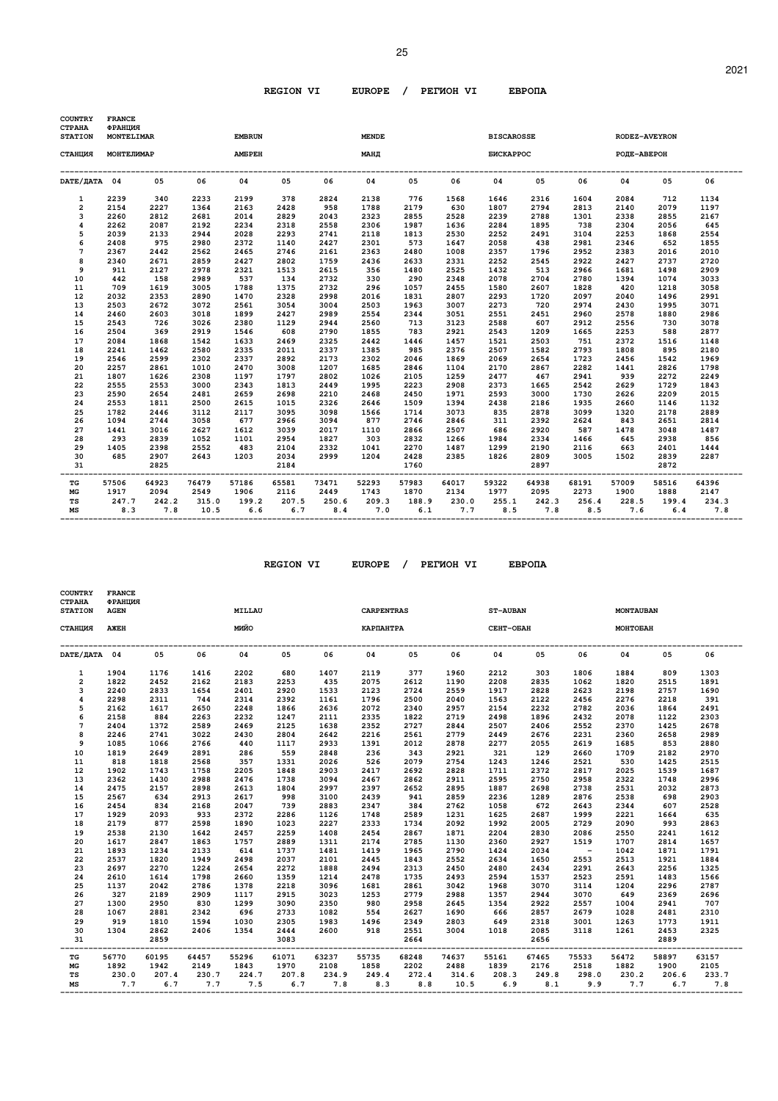| <b>COUNTRY</b><br>СТРАНА<br><b>STATION</b> | <b>FRANCE</b><br>ФРАНЦИЯ<br>MONTELIMAR |              |               | <b>EMBRUN</b> |              |              | <b>MENDE</b> |              |              | <b>BISCAROSSE</b> |              |              | RODEZ-AVEYRON |              |              |
|--------------------------------------------|----------------------------------------|--------------|---------------|---------------|--------------|--------------|--------------|--------------|--------------|-------------------|--------------|--------------|---------------|--------------|--------------|
| СТАНЦИЯ                                    | МОНТЕЛИМАР                             |              |               | <b>AMEPEH</b> |              |              | МАНД         |              |              | <b>БИСКАРРОС</b>  |              |              | РОДЕ-АВЕРОН   |              |              |
| DATE/JATA 04                               |                                        | 05           | 06            | 04            | 05           | 06           | 04           | 05           | 06           | 04                | 05           | 06           | 04            | 05           | 06           |
| 1                                          | 2239                                   | 340          | 2233          | 2199          | 378          | 2824         | 2138         | 776          | 1568         | 1646              | 2316         | 1604         | 2084          | 712          | 1134         |
| $\overline{2}$                             | 2154                                   | 2227         | 1364          | 2163          | 2428         | 958          | 1788         | 2179         | 630          | 1807              | 2794         | 2813         | 2140          | 2079         | 1197         |
| 3                                          | 2260                                   | 2812         | 2681          | 2014          | 2829         | 2043         | 2323         | 2855         | 2528         | 2239              | 2788         | 1301         | 2338          | 2855         | 2167         |
| 4                                          | 2262                                   | 2087         | 2192          | 2234          | 2318         | 2558         | 2306         | 1987         | 1636         | 2284              | 1895         | 738          | 2304          | 2056         | 645          |
| 5                                          | 2039                                   | 2133         | 2944          | 2028          | 2293         | 2741         | 2118         | 1813         | 2530         | 2252              | 2491         | 3104         | 2253          | 1868         | 2554         |
| 6                                          | 2408                                   | 975          | 2980          | 2372          | 1140         | 2427         | 2301         | 573          | 1647         | 2058              | 438          | 2981         | 2346          | 652          | 1855         |
| $\overline{7}$                             | 2367                                   | 2442         | 2562          | 2465          | 2746         | 2161         | 2363         | 2480         | 1008         | 2357              | 1796         | 2952         | 2383          | 2016         | 2010         |
| 8                                          | 2340                                   | 2671         | 2859          | 2427          | 2802         | 1759         | 2436         | 2633         | 2331         | 2252              | 2545         | 2922         | 2427          | 2737         | 2720         |
| 9                                          | 911                                    | 2127         | 2978          | 2321          | 1513         | 2615         | 356          | 1480         | 2525         | 1432              | 513          | 2966         | 1681          | 1498         | 2909         |
| 10                                         | 442                                    | 158          | 2989          | 537           | 134          | 2732         | 330          | 290          | 2348         | 2078              | 2704         | 2780         | 1394          | 1074         | 3033         |
| 11                                         | 709                                    | 1619         | 3005          | 1788          | 1375         | 2732         | 296          | 1057         | 2455         | 1580              | 2607         | 1828         | 420           | 1218         | 3058         |
| 12                                         | 2032                                   | 2353         | 2890          | 1470          | 2328         | 2998         | 2016         | 1831         | 2807         | 2293              | 1720         | 2097         | 2040          | 1496         | 2991         |
| 13                                         | 2503                                   | 2672         | 3072          | 2561          | 3054         | 3004         | 2503         | 1963         | 3007         | 2273              | 720          | 2974         | 2430          | 1995         | 3071         |
| 14                                         | 2460                                   | 2603         | 3018          | 1899          | 2427         | 2989         | 2554         | 2344         | 3051         | 2551              | 2451         | 2960         | 2578          | 1880         | 2986         |
| 15                                         | 2543                                   | 726          | 3026          | 2380          | 1129         | 2944         | 2560         | 713          | 3123         | 2588              | 607          | 2912         | 2556          | 730          | 3078         |
| 16                                         | 2504                                   | 369          | 2919          | 1546          | 608          | 2790         | 1855         | 783          | 2921         | 2543              | 1209         | 1665         | 2253          | 588          | 2877         |
| 17                                         | 2084                                   | 1868         | 1542          | 1633          | 2469         | 2325         | 2442         | 1446         | 1457         | 1521              | 2503         | 751          | 2372          | 1516         | 1148         |
| 18                                         | 2241                                   | 1462         | 2580          | 2335          | 2011         | 2337         | 1385         | 985          | 2376         | 2507              | 1582         | 2793         | 1808          | 895          | 2180         |
| 19                                         | 2546                                   | 2599         | 2302          | 2337          | 2892         | 2173         | 2302         | 2046         | 1869         | 2069              | 2654         | 1723         | 2456          | 1542         | 1969         |
| 20                                         | 2257                                   | 2861         | 1010          | 2470          | 3008         | 1207         | 1685         | 2846         | 1104         | 2170              | 2867         | 2282         | 1441          | 2826         | 1798         |
| 21                                         | 1807                                   | 1626         | 2308          | 1197          | 1797         | 2802         | 1026         | 2105         | 1259         | 2477              | 467          | 2941         | 939           | 2272         | 2249         |
| 22                                         | 2555                                   | 2553         | 3000          | 2343          | 1813         | 2449         | 1995         | 2223         | 2908         | 2373              | 1665         | 2542         | 2629          | 1729         | 1843         |
| 23                                         | 2590                                   | 2654         | 2481          | 2659          | 2698         | 2210         | 2468         | 2450         | 1971         | 2593              | 3000         | 1730         | 2626          | 2209         | 2015         |
| 24                                         | 2553                                   | 1811         | 2500          | 2615          | 1015         | 2326         | 2646         | 1509         | 1394         | 2438              | 2186         | 1935         | 2660          | 1146         | 1132         |
| 25                                         | 1782                                   | 2446         | 3112          | 2117          | 3095         | 3098         | 1566         | 1714         | 3073         | 835               | 2878         | 3099         | 1320          | 2178         | 2889         |
| 26                                         | 1094                                   | 2744         | 3058          | 677           | 2966         | 3094         | 877          | 2746         | 2846         | 311               | 2392         | 2624         | 843           | 2651         | 2814         |
| 27                                         | 1441                                   | 3016         | 2627          | 1612          | 3039         | 2017         | 1110         | 2866         | 2507         | 686               | 2920         | 587          | 1478          | 3048         | 1487         |
| 28                                         | 293                                    | 2839         | 1052          | 1101          | 2954         | 1827         | 303          | 2832         | 1266         | 1984              | 2334         | 1466         | 645           | 2938         | 856          |
| 29                                         | 1405                                   | 2398         | 2552          | 483           | 2104         | 2332         | 1041         | 2270         | 1487         | 1299              | 2190         | 2116         | 663           | 2401         | 1444         |
| 30                                         | 685                                    | 2907         | 2643          | 1203          | 2034         | 2999         | 1204         | 2428         | 2385         | 1826              | 2809         | 3005         | 1502          | 2839         | 2287         |
| 31                                         |                                        | 2825         |               |               | 2184         | ---------    |              | 1760         | --------     |                   | 2897         | ------       |               | 2872         |              |
| TG                                         | 57506                                  | 64923        | 76479         | 57186         | 65581        | 73471        | 52293        | 57983        | 64017        | 59322             | 64938        | 68191        | 57009         | 58516        | 64396        |
| MG                                         | 1917                                   | 2094         | 2549          | 1906          | 2116         | 2449         | 1743         | 1870         | 2134         | 1977              | 2095         | 2273         | 1900          | 1888         | 2147         |
| TS<br>MS                                   | 247.7<br>8.3                           | 242.2<br>7.8 | 315.0<br>10.5 | 199.2<br>6.6  | 207.5<br>6.7 | 250.6<br>8.4 | 209.3<br>7.0 | 188.9<br>6.1 | 230.0<br>7.7 | 255.1<br>8.5      | 242.3<br>7.8 | 256.4<br>8.5 | 228.5<br>7.6  | 199.4<br>6.4 | 234.3<br>7.8 |

| <b>COUNTRY</b><br><b>CTPAHA</b><br><b>STATION</b> | <b>FRANCE</b><br>ФРАНЦИЯ<br><b>AGEN</b> |       |             | MILLAU                                |             |                         | <b>CARPENTRAS</b>                     |             |       | <b>ST-AUBAN</b>            |       |            | <b>MONTAUBAN</b>          |       |       |
|---------------------------------------------------|-----------------------------------------|-------|-------------|---------------------------------------|-------------|-------------------------|---------------------------------------|-------------|-------|----------------------------|-------|------------|---------------------------|-------|-------|
| СТАНЦИЯ                                           | AXEH                                    |       |             | OŇNM                                  |             |                         | КАРПАНТРА                             |             |       | СЕНТ-ОБАН                  |       |            | MOHTOEAH                  |       |       |
| DATE/IATA 04                                      |                                         | 05    | 06          | 04                                    | 05          | 06                      | 04                                    | 05          | 06    | 04                         | 05    | 06         | 04                        | 05    | 06    |
| $\mathbf{1}$                                      | 1904                                    | 1176  | 1416        | 2202                                  | 680         | 1407                    | 2119                                  | 377         | 1960  | 2212                       | 303   | 1806       | 1884                      | 809   | 1303  |
| $\overline{a}$                                    | 1822                                    | 2452  | 2162        | 2183                                  | 2253        | 435                     | 2075                                  | 2612        | 1190  | 2208                       | 2835  | 1062       | 1820                      | 2515  | 1891  |
| 3                                                 | 2240                                    | 2833  | 1654        | 2401                                  | 2920        | 1533                    | 2123                                  | 2724        | 2559  | 1917                       | 2828  | 2623       | 2198                      | 2757  | 1690  |
| $\overline{\mathbf{4}}$                           | 2298                                    | 2311  | 744         | 2314                                  | 2392        | 1161                    | 1796                                  | 2500        | 2040  | 1563                       | 2122  | 2456       | 2276                      | 2218  | 391   |
| 5                                                 | 2162                                    | 1617  | 2650        | 2248                                  | 1866        | 2636                    | 2072                                  | 2340        | 2957  | 2154                       | 2232  | 2782       | 2036                      | 1864  | 2491  |
| 6                                                 | 2158                                    | 884   | 2263        | 2232                                  | 1247        | 2111                    | 2335                                  | 1822        | 2719  | 2498                       | 1896  | 2432       | 2078                      | 1122  | 2303  |
| $\overline{7}$                                    | 2404                                    | 1372  | 2589        | 2469                                  | 2125        | 1638                    | 2352                                  | 2727        | 2844  | 2507                       | 2406  | 2552       | 2370                      | 1425  | 2678  |
| 8                                                 | 2246                                    | 2741  | 3022        | 2430                                  | 2804        | 2642                    | 2216                                  | 2561        | 2779  | 2449                       | 2676  | 2231       | 2360                      | 2658  | 2989  |
| 9                                                 | 1085                                    | 1066  | 2766        | 440                                   | 1117        | 2933                    | 1391                                  | 2012        | 2878  | 2277                       | 2055  | 2619       | 1685                      | 853   | 2880  |
| 10                                                | 1819                                    | 2649  | 2891        | 286                                   | 559         | 2848                    | 236                                   | 343         | 2921  | 321                        | 129   | 2660       | 1709                      | 2182  | 2970  |
| 11                                                | 818                                     | 1818  | 2568        | 357                                   | 1331        | 2026                    | 526                                   | 2079        | 2754  | 1243                       | 1246  | 2521       | 530                       | 1425  | 2515  |
| 12                                                | 1902                                    | 1743  | 1758        | 2205                                  | 1848        | 2903                    | 2417                                  | 2692        | 2828  | 1711                       | 2372  | 2817       | 2025                      | 1539  | 1687  |
| 13                                                | 2362                                    | 1430  | 2988        | 2476                                  | 1738        | 3094                    | 2467                                  | 2862        | 2911  | 2595                       | 2750  | 2958       | 2322                      | 1748  | 2996  |
| 14                                                | 2475                                    | 2157  | 2898        | 2613                                  | 1804        | 2997                    | 2397                                  | 2652        | 2895  | 1887                       | 2698  | 2738       | 2531                      | 2032  | 2873  |
| 15                                                | 2567                                    | 634   | 2913        | 2617                                  | 998         | 3100                    | 2439                                  | 941         | 2859  | 2236                       | 1289  | 2876       | 2538                      | 698   | 2903  |
| 16                                                | 2454                                    | 834   | 2168        | 2047                                  | 739         | 2883                    | 2347                                  | 384         | 2762  | 1058                       | 672   | 2643       | 2344                      | 607   | 2528  |
| 17                                                | 1929                                    | 2093  | 933         | 2372                                  | 2286        | 1126                    | 1748                                  | 2589        | 1231  | 1625                       | 2687  | 1999       | 2221                      | 1664  | 635   |
| 18                                                | 2179                                    | 877   | 2598        | 1890                                  | 1023        | 2227                    | 2333                                  | 1734        | 2092  | 1992                       | 2005  | 2729       | 2090                      | 993   | 2863  |
| 19                                                | 2538                                    | 2130  | 1642        | 2457                                  | 2259        | 1408                    | 2454                                  | 2867        | 1871  | 2204                       | 2830  | 2086       | 2550                      | 2241  | 1612  |
| 20                                                | 1617                                    | 2847  | 1863        | 1757                                  | 2889        | 1311                    | 2174                                  | 2785        | 1130  | 2360                       | 2927  | 1519       | 1707                      | 2814  | 1657  |
| 21                                                | 1893                                    | 1234  | 2133        | 614                                   | 1737        | 1481                    | 1419                                  | 1965        | 2790  | 1424                       | 2034  | $\sim$ $-$ | 1042                      | 1871  | 1791  |
| 22                                                | 2537                                    | 1820  | 1949        | 2498                                  | 2037        | 2101                    | 2445                                  | 1843        | 2552  | 2634                       | 1650  | 2553       | 2513                      | 1921  | 1884  |
| 23                                                | 2697                                    | 2270  | 1224        | 2654                                  | 2272        | 1888                    | 2494                                  | 2313        | 2450  | 2480                       | 2434  | 2291       | 2643                      | 2256  | 1325  |
| 24                                                | 2610                                    | 1614  | 1798        | 2660                                  | 1359        | 1214                    | 2478                                  | 1735        | 2493  | 2594                       | 1537  | 2523       | 2591                      | 1483  | 1566  |
| 25                                                | 1137                                    | 2042  | 2786        | 1378                                  | 2218        | 3096                    | 1681                                  | 2861        | 3042  | 1968                       | 3070  | 3114       | 1204                      | 2296  | 2787  |
| 26                                                | 327                                     | 2189  | 2909        | 1117                                  | 2915        | 3023                    | 1253                                  | 2779        | 2988  | 1357                       | 2944  | 3070       | 649                       | 2369  | 2696  |
| 27                                                | 1300                                    | 2950  | 830         | 1299                                  | 3090        | 2350                    | 980                                   | 2958        | 2645  | 1354                       | 2922  | 2557       | 1004                      | 2941  | 707   |
| 28                                                | 1067                                    | 2881  | 2342        | 696                                   | 2733        | 1082                    | 554                                   | 2627        | 1690  | 666                        | 2857  | 2679       | 1028                      | 2481  | 2310  |
| 29                                                | 919                                     | 1810  | 1594        | 1030                                  | 2305        | 1983                    | 1496                                  | 2349        | 2803  | 649                        | 2318  | 3001       | 1263                      | 1773  | 1911  |
| 30                                                | 1304                                    | 2862  | 2406        | 1354                                  | 2444        | 2600                    | 918                                   | 2551        | 3004  | 1018                       | 2085  | 3118       | 1261                      | 2453  | 2325  |
| 31                                                |                                         | 2859  |             | ------------------------------------- | 3083        |                         |                                       | 2664        |       | -------------------------- | 2656  |            |                           | 2889  |       |
| TG                                                | 56770                                   | 60195 | 64457       | 55296                                 | 61071       | 63237                   | ----------------------------<br>55735 | 68248       | 74637 | 55161                      | 67465 | 75533      | ----------------<br>56472 | 58897 | 63157 |
| МG                                                | 1892                                    | 1942  | 2149        | 1843                                  | 1970        | 2108                    | 1858                                  | 2202        | 2488  | 1839                       | 2176  | 2518       | 1882                      | 1900  | 2105  |
| TS                                                | 230.0                                   |       | 207.4 230.7 |                                       | 224.7 207.8 | 234.9                   |                                       | 249.4 272.4 | 314.6 | 208.3                      | 249.8 |            | 298.0 230.2               | 206.6 | 233.7 |
| MS                                                | 7.7                                     |       |             | 6.7 7.7 7.5                           |             | $6.7$ $7.8$ $8.3$ $8.8$ |                                       |             |       | $10.5$ 6.9 8.1             |       |            | $9.9$ $7.7$ $6.7$ $7.8$   |       |       |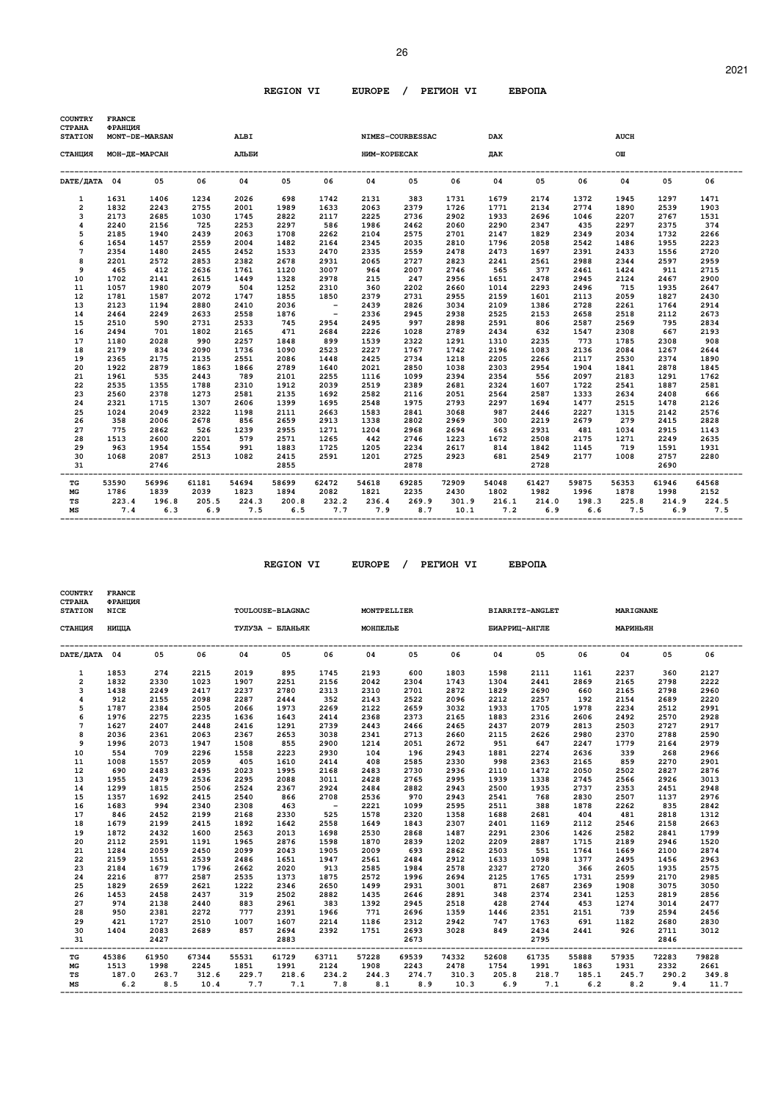| <b>COUNTRY</b><br><b>CTPAHA</b><br><b>STATION</b> | <b>FRANCE</b><br>ФРАНЦИЯ | MONT-DE-MARSAN | <b>ALBI</b>  |                                        |              |                         |                                      | NIMES-COURBESSAC |              | <b>DAX</b>     |              |              | <b>AUCH</b>  |                                                            |              |
|---------------------------------------------------|--------------------------|----------------|--------------|----------------------------------------|--------------|-------------------------|--------------------------------------|------------------|--------------|----------------|--------------|--------------|--------------|------------------------------------------------------------|--------------|
| СТАНЦИЯ                                           | МОН-ДЕ-МАРСАН            |                | <b>АЛЬБИ</b> |                                        |              |                         | HMM-KOPBECAK                         |                  |              | ДАК            |              |              | OШ           |                                                            |              |
| DATE/ДАТА 04                                      |                          | 05             | 06           | 04                                     | 05           | 06                      | 04                                   | 05               | 06           | 04             | 05           | 06           | 04           | 05                                                         | 06           |
| $\mathbf{1}$                                      | 1631                     | 1406           | 1234         | 2026                                   | 698          | 1742                    | 2131                                 | 383              | 1731         | 1679           | 2174         | 1372         | 1945         | 1297                                                       | 1471         |
| $\overline{2}$                                    | 1832                     | 2243           | 2755         | 2001                                   | 1989         | 1633                    | 2063                                 | 2379             | 1726         | 1771           | 2134         | 2774         | 1890         | 2539                                                       | 1903         |
| 3                                                 | 2173                     | 2685           | 1030         | 1745                                   | 2822         | 2117                    | 2225                                 | 2736             | 2902         | 1933           | 2696         | 1046         | 2207         | 2767                                                       | 1531         |
| $\overline{\mathbf{4}}$                           | 2240                     | 2156           | 725          | 2253                                   | 2297         | 586                     | 1986                                 | 2462             | 2060         | 2290           | 2347         | 435          | 2297         | 2375                                                       | 374          |
| 5                                                 | 2185                     | 1940           | 2439         | 2063                                   | 1708         | 2262                    | 2104                                 | 2575             | 2701         | 2147           | 1829         | 2349         | 2034         | 1732                                                       | 2266         |
| 6                                                 | 1654                     | 1457           | 2559         | 2004                                   | 1482         | 2164                    | 2345                                 | 2035             | 2810         | 1796           | 2058         | 2542         | 1486         | 1955                                                       | 2223         |
| 7                                                 | 2354                     | 1480           | 2455         | 2452                                   | 1533         | 2470                    | 2335                                 | 2559             | 2478         | 2473           | 1697         | 2391         | 2433         | 1556                                                       | 2720         |
| 8                                                 | 2201                     | 2572           | 2853         | 2382                                   | 2678         | 2931                    | 2065                                 | 2727             | 2823         | 2241           | 2561         | 2988         | 2344         | 2597                                                       | 2959         |
| 9                                                 | 465                      | 412            | 2636         | 1761                                   | 1120         | 3007                    | 964                                  | 2007             | 2746         | 565            | 377          | 2461         | 1424         | 911                                                        | 2715         |
| 10                                                | 1702                     | 2141           | 2615         | 1449                                   | 1328         | 2978                    | 215                                  | 247              | 2956         | 1651           | 2478         | 2945         | 2124         | 2467                                                       | 2900         |
| 11                                                | 1057                     | 1980           | 2079         | 504                                    | 1252         | 2310                    | 360                                  | 2202             | 2660         | 1014           | 2293         | 2496         | 715          | 1935                                                       | 2647         |
| 12                                                | 1781                     | 1587           | 2072         | 1747                                   | 1855         | 1850                    | 2379                                 | 2731             | 2955         | 2159           | 1601         | 2113         | 2059         | 1827                                                       | 2430         |
| 13                                                | 2123                     | 1194           | 2880         | 2410                                   | 2036         | $\sim 100$ km s $^{-1}$ | 2439                                 | 2826             | 3034         | 2109           | 1386         | 2728         | 2261         | 1764                                                       | 2914         |
| 14                                                | 2464                     | 2249           | 2633         | 2558                                   | 1876         | $\sim$ $-$              | 2336                                 | 2945             | 2938         | 2525           | 2153         | 2658         | 2518         | 2112                                                       | 2673         |
| 15                                                | 2510                     | 590            | 2731         | 2533                                   | 745          | 2954                    | 2495                                 | 997              | 2898         | 2591           | 806          | 2587         | 2569         | 795                                                        | 2834         |
| 16                                                | 2494                     | 701            | 1802         | 2165                                   | 471          | 2684                    | 2226                                 | 1028             | 2789         | 2434           | 632          | 1547         | 2308         | 667                                                        | 2193         |
| 17                                                | 1180                     | 2028           | 990          | 2257                                   | 1848         | 899                     | 1539                                 | 2322             | 1291         | 1310           | 2235         | 773          | 1785         | 2308                                                       | 908          |
| 18                                                | 2179                     | 834            | 2090         | 1736                                   | 1090         | 2523                    | 2227                                 | 1767             | 1742         | 2196           | 1083         | 2136         | 2084         | 1267                                                       | 2644         |
| 19                                                | 2365<br>1922             | 2175<br>2879   | 2135<br>1863 | 2551                                   | 2086         | 1448<br>1640            | 2425                                 | 2734<br>2850     | 1218<br>1038 | 2205<br>2303   | 2266         | 2117<br>1904 | 2530<br>1841 | 2374                                                       | 1890         |
| 20                                                |                          | 535            |              | 1866<br>789                            | 2789         | 2255                    | 2021                                 |                  | 2394         | 2354           | 2954         |              | 2183         | 2878                                                       | 1845         |
| 21                                                | 1961<br>2535             | 1355           | 2443         | 2310                                   | 2101<br>1912 | 2039                    | 1116<br>2519                         | 1099<br>2389     | 2681         | 2324           | 556<br>1607  | 2097<br>1722 | 2541         | 1291<br>1887                                               | 1762<br>2581 |
| 22                                                |                          |                | 1788<br>1273 | 2581                                   |              | 1692                    |                                      |                  | 2051         |                |              |              | 2634         |                                                            |              |
| 23<br>24                                          | 2560<br>2321             | 2378<br>1715   | 1307         | 2606                                   | 2135<br>1399 | 1695                    | 2582<br>2548                         | 2116<br>1975     | 2793         | 2564<br>2297   | 2587<br>1694 | 1333<br>1477 | 2515         | 2408<br>1478                                               | 666<br>2126  |
| 25                                                | 1024                     | 2049           | 2322         | 1198                                   | 2111         | 2663                    | 1583                                 | 2841             | 3068         | 987            | 2446         | 2227         | 1315         | 2142                                                       | 2576         |
| 26                                                | 358                      | 2006           | 2678         | 856                                    | 2659         | 2913                    | 1338                                 | 2802             | 2969         | 300            | 2219         | 2679         | 279          | 2415                                                       | 2828         |
| 27                                                | 775                      | 2862           | 526          | 1239                                   | 2955         | 1271                    | 1204                                 | 2968             | 2694         | 663            | 2931         | 481          | 1034         | 2915                                                       | 1143         |
| 28                                                | 1513                     | 2600           | 2201         | 579                                    | 2571         | 1265                    | 442                                  | 2746             | 1223         | 1672           | 2508         | 2175         | 1271         | 2249                                                       | 2635         |
| 29                                                | 963                      | 1954           | 1554         | 991                                    | 1883         | 1725                    | 1205                                 | 2234             | 2617         | 814            | 1842         | 1145         | 719          | 1591                                                       | 1931         |
| 30                                                | 1068                     | 2087           | 2513         | 1082                                   | 2415         | 2591                    | 1201                                 | 2725             | 2923         | 681            | 2549         | 2177         | 1008         | 2757                                                       | 2280         |
| 31                                                |                          | 2746           |              |                                        | 2855         |                         |                                      | 2878             |              |                | 2728         |              |              | 2690                                                       |              |
| TG                                                | 53590                    | 56996          | 61181        | 54694                                  | 58699        | 62472                   | ---------------------------<br>54618 | 69285            | 72909        | 54048          | 61427        | 59875        | 56353        | 61946                                                      | 64568        |
| MG                                                | 1786                     | 1839           | 2039         | 1823                                   | 1894         | 2082                    | 1821                                 | 2235             | 2430         | 1802           | 1982         | 1996         | 1878         | 1998                                                       | 2152         |
| TS<br>МS                                          | 223.4<br>7.4             | 6.3            |              | 196.8 205.5 224.3 200.8<br>$6.9$ $7.5$ | 6.5          | 232.2                   | $7.7$ $7.9$ 8.7                      | 236.4 269.9      |              | $10.1$ 7.2 6.9 |              | 6.6          |              | 301.9 216.1 214.0 198.3 225.8 214.9 224.5<br>$7.5$ 6.9 7.5 |              |

| <b>COUNTRY</b><br><b>CTPAHA</b><br><b>STATION</b> | <b>FRANCE</b><br>ФРАНЦИЯ<br><b>NICE</b> |       |             |       | <b>TOULOUSE-BLAGNAC</b> |                      | MONTPELLIER                                            |       |       |                                     | <b>BIARRITZ-ANGLET</b> |          | <b>MARIGNANE</b>          |         |       |
|---------------------------------------------------|-----------------------------------------|-------|-------------|-------|-------------------------|----------------------|--------------------------------------------------------|-------|-------|-------------------------------------|------------------------|----------|---------------------------|---------|-------|
| СТАНЦИЯ                                           | НИЦЦА                                   |       |             |       | ТУЛУЗА - БЛАНЬЯК        |                      | МОНПЕЛЬЕ                                               |       |       |                                     | БИАРРИЦ-АНГЛЕ          |          | МАРИНЬЯН                  |         |       |
| DATE/IATA 04                                      |                                         | 05    | 06          | 04    | 05                      | 06                   | 04                                                     | 05    | 06    | 04                                  | 05                     | 06       | 04                        | 05      | 06    |
| $\mathbf{1}$                                      | 1853                                    | 274   | 2215        | 2019  | 895                     | 1745                 | 2193                                                   | 600   | 1803  | 1598                                | 2111                   | 1161     | 2237                      | 360     | 2127  |
| $\overline{a}$                                    | 1832                                    | 2330  | 1023        | 1907  | 2251                    | 2156                 | 2042                                                   | 2304  | 1743  | 1304                                | 2441                   | 2869     | 2165                      | 2798    | 2222  |
| 3                                                 | 1438                                    | 2249  | 2417        | 2237  | 2780                    | 2313                 | 2310                                                   | 2701  | 2872  | 1829                                | 2690                   | 660      | 2165                      | 2798    | 2960  |
| 4                                                 | 912                                     | 2155  | 2098        | 2287  | 2444                    | 352                  | 2143                                                   | 2522  | 2096  | 2212                                | 2257                   | 192      | 2154                      | 2689    | 2220  |
| 5                                                 | 1787                                    | 2384  | 2505        | 2066  | 1973                    | 2269                 | 2122                                                   | 2659  | 3032  | 1933                                | 1705                   | 1978     | 2234                      | 2512    | 2991  |
| 6                                                 | 1976                                    | 2275  | 2235        | 1636  | 1643                    | 2414                 | 2368                                                   | 2373  | 2165  | 1883                                | 2316                   | 2606     | 2492                      | 2570    | 2928  |
| $\overline{7}$                                    | 1627                                    | 2407  | 2448        | 2416  | 1291                    | 2739                 | 2443                                                   | 2466  | 2465  | 2437                                | 2079                   | 2813     | 2503                      | 2727    | 2917  |
| 8                                                 | 2036                                    | 2361  | 2063        | 2367  | 2653                    | 3038                 | 2341                                                   | 2713  | 2660  | 2115                                | 2626                   | 2980     | 2370                      | 2788    | 2590  |
| 9                                                 | 1996                                    | 2073  | 1947        | 1508  | 855                     | 2900                 | 1214                                                   | 2051  | 2672  | 951                                 | 647                    | 2247     | 1779                      | 2164    | 2979  |
| 10                                                | 554                                     | 709   | 2296        | 1558  | 2223                    | 2930                 | 104                                                    | 196   | 2943  | 1881                                | 2274                   | 2636     | 339                       | 268     | 2966  |
| 11                                                | 1008                                    | 1557  | 2059        | 405   | 1610                    | 2414                 | 408                                                    | 2585  | 2330  | 998                                 | 2363                   | 2165     | 859                       | 2270    | 2901  |
| 12                                                | 690                                     | 2483  | 2495        | 2023  | 1995                    | 2168                 | 2483                                                   | 2730  | 2936  | 2110                                | 1472                   | 2050     | 2502                      | 2827    | 2876  |
| 13                                                | 1955                                    | 2479  | 2536        | 2295  | 2088                    | 3011                 | 2428                                                   | 2765  | 2995  | 1939                                | 1338                   | 2745     | 2566                      | 2926    | 3013  |
| 14                                                | 1299                                    | 1815  | 2506        | 2524  | 2367                    | 2924                 | 2484                                                   | 2882  | 2943  | 2500                                | 1935                   | 2737     | 2353                      | 2451    | 2948  |
| 15                                                | 1357                                    | 1692  | 2415        | 2540  | 866                     | 2708                 | 2536                                                   | 970   | 2943  | 2541                                | 768                    | 2830     | 2507                      | 1137    | 2976  |
| 16                                                | 1683                                    | 994   | 2340        | 2308  | 463                     | $\sim 100$ m $^{-1}$ | 2221                                                   | 1099  | 2595  | 2511                                | 388                    | 1878     | 2262                      | 835     | 2842  |
| 17                                                | 846                                     | 2452  | 2199        | 2168  | 2330                    | 525                  | 1578                                                   | 2320  | 1358  | 1688                                | 2681                   | 404      | 481                       | 2818    | 1312  |
| 18                                                | 1679                                    | 2199  | 2415        | 1892  | 1642                    | 2558                 | 1649                                                   | 1843  | 2307  | 2401                                | 1169                   | 2112     | 2546                      | 2158    | 2663  |
| 19                                                | 1872                                    | 2432  | 1600        | 2563  | 2013                    | 1698                 | 2530                                                   | 2868  | 1487  | 2291                                | 2306                   | 1426     | 2582                      | 2841    | 1799  |
| 20                                                | 2112                                    | 2591  | 1191        | 1965  | 2876                    | 1598                 | 1870                                                   | 2839  | 1202  | 2209                                | 2887                   | 1715     | 2189                      | 2946    | 1520  |
| 21                                                | 1284                                    | 2059  | 2450        | 2099  | 2043                    | 1905                 | 2009                                                   | 693   | 2862  | 2503                                | 551                    | 1764     | 1669                      | 2100    | 2874  |
| 22                                                | 2159                                    | 1551  | 2539        | 2486  | 1651                    | 1947                 | 2561                                                   | 2484  | 2912  | 1633                                | 1098                   | 1377     | 2495                      | 1456    | 2963  |
| 23                                                | 2184                                    | 1679  | 1796        | 2662  | 2020                    | 913                  | 2585                                                   | 1984  | 2578  | 2327                                | 2720                   | 366      | 2605                      | 1935    | 2575  |
| 24                                                | 2216                                    | 877   | 2587        | 2535  | 1373                    | 1875                 | 2572                                                   | 1996  | 2694  | 2125                                | 1765                   | 1731     | 2599                      | 2170    | 2985  |
| 25                                                | 1829                                    | 2659  | 2621        | 1222  | 2346                    | 2650                 | 1499                                                   | 2931  | 3001  | 871                                 | 2687                   | 2369     | 1908                      | 3075    | 3050  |
| 26                                                | 1453                                    | 2458  | 2437        | 319   | 2502                    | 2882                 | 1435                                                   | 2646  | 2891  | 348                                 | 2374                   | 2341     | 1253                      | 2819    | 2856  |
| 27                                                | 974                                     | 2138  | 2440        | 883   | 2961                    | 383                  | 1392                                                   | 2945  | 2518  | 428                                 | 2744                   | 453      | 1274                      | 3014    | 2477  |
| 28                                                | 950                                     | 2381  | 2272        | 777   | 2391                    | 1966                 | 771                                                    | 2696  | 1359  | 1446                                | 2351                   | 2151     | 739                       | 2594    | 2456  |
| 29                                                | 421                                     | 1727  | 2510        | 1007  | 1607                    | 2214                 | 1186                                                   | 2312  | 2942  | 747                                 | 1763                   | 691      | 1182                      | 2680    | 2830  |
| 30                                                | 1404                                    | 2083  | 2689        | 857   | 2694                    | 2392                 | 1751                                                   | 2693  | 3028  | 849                                 | 2434                   | 2441 926 |                           | 2711    | 3012  |
| 31                                                |                                         | 2427  |             |       | 2883                    |                      |                                                        | 2673  |       | -----------------------------       | 2795                   |          | ------------------------- | 2846    |       |
| -----<br>TG                                       | 45386                                   | 61950 | 67344       | 55531 | 61729                   | 63711                | ---------------------------<br>57228                   | 69539 | 74332 | 52608                               | 61735                  | 55888    | 57935                     | 72283   | 79828 |
| МG                                                | 1513                                    | 1998  | 2245        | 1851  | 1991                    | 2124                 | 1908                                                   | 2243  | 2478  | 1754                                | 1991                   | 1863     | 1931                      | 2332    | 2661  |
| TS                                                | 187.0                                   |       | 263.7 312.6 |       | 229.7 218.6             | 234.2                |                                                        |       |       | 244.3 274.7 310.3 205.8 218.7 185.1 |                        |          | 245.7                     | 290.2   | 349.8 |
| МS                                                | 6.2                                     |       | 8.5 10.4    |       |                         |                      | $7.7$ $7.1$ $7.8$ $8.1$ $8.9$ $10.3$ $6.9$ $7.1$ $6.2$ |       |       |                                     |                        |          |                           | 8.2 9.4 | 11.7  |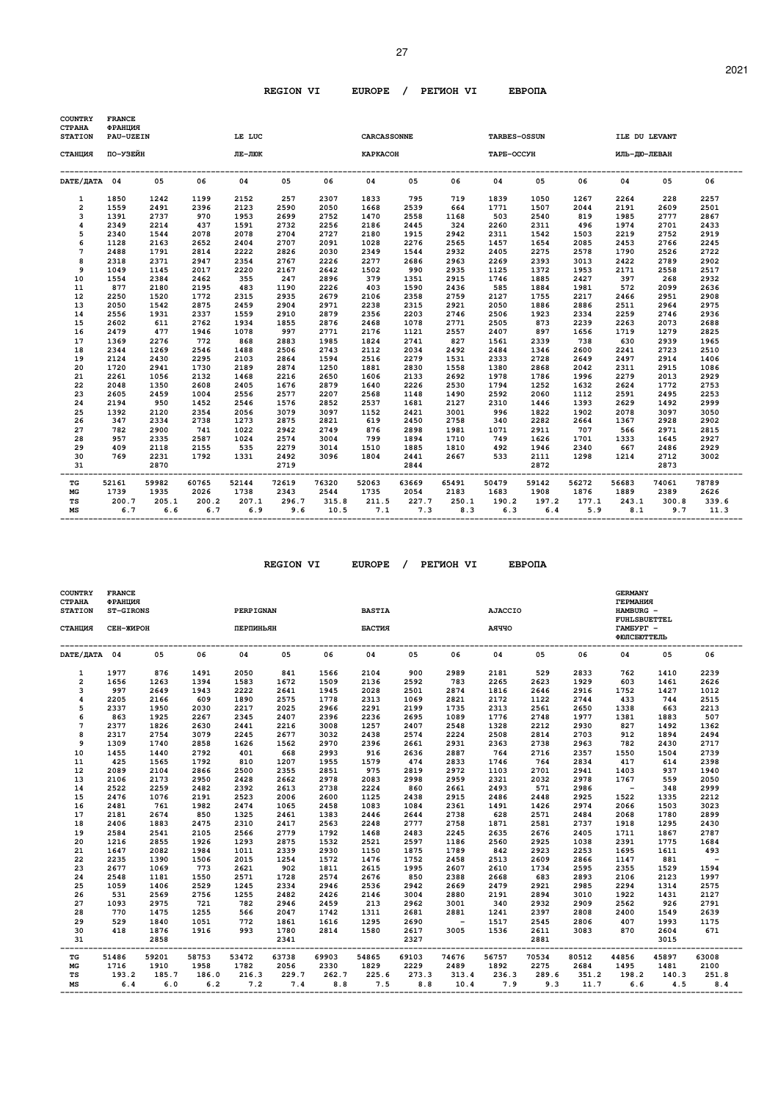| <b>COUNTRY</b><br><b>CTPAHA</b> | <b>FRANCE</b><br>ФРАНЦИЯ |              |              |              |              |                   |                    |              |              |                     |              |              |               |              |               |
|---------------------------------|--------------------------|--------------|--------------|--------------|--------------|-------------------|--------------------|--------------|--------------|---------------------|--------------|--------------|---------------|--------------|---------------|
| <b>STATION</b>                  | PAU-UZEIN                |              |              | LE LUC       |              |                   | <b>CARCASSONNE</b> |              |              | <b>TARBES-OSSUN</b> |              |              | ILE DU LEVANT |              |               |
| СТАНЦИЯ                         | по-узейн                 |              |              | ЛЕ-ЛЮК       |              |                   | <b>KAPKACOH</b>    |              |              | <b>TAPE-OCCYH</b>   |              |              | ИЛЬ-ДЮ-ЛЕВАН  |              |               |
| DATE/ JATA 04                   |                          | 05           | 06           | 04           | 05           | 06                | 04                 | 05           | 06           | 04                  | 05           | 06           | 04            | 05           | 06            |
| 1                               | 1850                     | 1242         | 1199         | 2152         | 257          | 2307              | 1833               | 795          | 719          | 1839                | 1050         | 1267         | 2264          | 228          | 2257          |
| $\overline{2}$                  | 1559                     | 2491         | 2396         | 2123         | 2590         | 2050              | 1668               | 2539         | 664          | 1771                | 1507         | 2044         | 2191          | 2609         | 2501          |
| 3                               | 1391                     | 2737         | 970          | 1953         | 2699         | 2752              | 1470               | 2558         | 1168         | 503                 | 2540         | 819          | 1985          | 2777         | 2867          |
| 4                               | 2349                     | 2214         | 437          | 1591         | 2732         | 2256              | 2186               | 2445         | 324          | 2260                | 2311         | 496          | 1974          | 2701         | 2433          |
| 5                               | 2340                     | 1544         | 2078         | 2078         | 2704         | 2727              | 2180               | 1915         | 2942         | 2311                | 1542         | 1503         | 2219          | 2752         | 2919          |
| 6                               | 1128                     | 2163         | 2652         | 2404         | 2707         | 2091              | 1028               | 2276         | 2565         | 1457                | 1654         | 2085         | 2453          | 2766         | 2245          |
| $\overline{7}$                  | 2488                     | 1791         | 2814         | 2222         | 2826         | 2030              | 2349               | 1544         | 2932         | 2405                | 2275         | 2578         | 1790          | 2526         | 2722          |
| 8                               | 2318                     | 2371         | 2947         | 2354         | 2767         | 2226              | 2277               | 2686         | 2963         | 2269                | 2393         | 3013         | 2422          | 2789         | 2902          |
| 9                               | 1049                     | 1145         | 2017         | 2220         | 2167         | 2642              | 1502               | 990          | 2935         | 1125                | 1372         | 1953         | 2171          | 2558         | 2517          |
| 10                              | 1554                     | 2384         | 2462         | 355          | 247          | 2896              | 379                | 1351         | 2915         | 1746                | 1885         | 2427         | 397           | 268          | 2932          |
| 11                              | 877                      | 2180         | 2195         | 483          | 1190         | 2226              | 403                | 1590         | 2436         | 585                 | 1884         | 1981         | 572           | 2099         | 2636          |
| 12                              | 2250                     | 1520         | 1772         | 2315         | 2935         | 2679              | 2106               | 2358         | 2759         | 2127                | 1755         | 2217         | 2466          | 2951         | 2908          |
| 13                              | 2050                     | 1542         | 2875         | 2459         | 2904         | 2971              | 2238               | 2315         | 2921         | 2050                | 1886         | 2886         | 2511          | 2964         | 2975          |
| 14                              | 2556                     | 1931         | 2337         | 1559         | 2910         | 2879              | 2356               | 2203         | 2746         | 2506                | 1923         | 2334         | 2259          | 2746         | 2936          |
| 15                              | 2602                     | 611          | 2762         | 1934         | 1855         | 2876              | 2468               | 1078         | 2771         | 2505                | 873          | 2239         | 2263          | 2073         | 2688          |
| 16                              | 2479                     | 477          | 1946         | 1078         | 997          | 2771              | 2176               | 1121         | 2557         | 2407                | 897          | 1656         | 1719          | 1279         | 2825          |
| 17                              | 1369                     | 2276         | 772          | 868          | 2883         | 1985              | 1824               | 2741         | 827          | 1561                | 2339         | 738          | 630           | 2939         | 1965          |
| 18                              | 2344                     | 1269         | 2546         | 1488         | 2506         | 2743              | 2112               | 2034         | 2492         | 2484                | 1346         | 2600         | 2241          | 2723         | 2510          |
| 19                              | 2124                     | 2430         | 2295         | 2103         | 2864         | 1594              | 2516               | 2279         | 1531         | 2333                | 2728         | 2649         | 2497          | 2914         | 1406          |
| 20                              | 1720                     | 2941         | 1730         | 2189         | 2874         | 1250              | 1881               | 2830         | 1558         | 1380                | 2868         | 2042         | 2311          | 2915         | 1086          |
| 21                              | 2261                     | 1056         | 2132         | 1468         | 2216         | 2650              | 1606               | 2133         | 2692         | 1978                | 1786         | 1996         | 2279          | 2013         | 2929          |
| 22                              | 2048                     | 1350         | 2608         | 2405         | 1676         | 2879              | 1640               | 2226         | 2530         | 1794                | 1252         | 1632         | 2624          | 1772         | 2753          |
| 23                              | 2605                     | 2459         | 1004         | 2556         | 2577         | 2207              | 2568               | 1148         | 1490         | 2592                | 2060         | 1112         | 2591          | 2495         | 2253          |
| 24                              | 2194                     | 950          | 1452         | 2546         | 1576         | 2852              | 2537               | 1681         | 2127         | 2310                | 1446         | 1393         | 2629          | 1492         | 2999          |
| 25                              | 1392                     | 2120         | 2354         | 2056         | 3079         | 3097              | 1152               | 2421         | 3001         | 996                 | 1822         | 1902         | 2078          | 3097         | 3050          |
| 26                              | 347                      | 2334         | 2738         | 1273         | 2875         | 2821              | 619                | 2450         | 2758         | 340                 | 2282         | 2664         | 1367          | 2928         | 2902          |
| 27                              | 782                      | 2900         | 741          | 1022         | 2942         | 2749              | 876                | 2898         | 1981         | 1071                | 2911         | 707          | 566           | 2971         | 2815          |
| 28                              | 957                      | 2335         | 2587         | 1024         | 2574         | 3004              | 799                | 1894         | 1710         | 749                 | 1626         | 1701         | 1333          | 1645         | 2927          |
| 29                              | 409                      | 2118         | 2155         | 535          | 2279         | 3014              | 1510               | 1885         | 1810         | 492                 | 1946         | 2340         | 667           | 2486         | 2929          |
| 30<br>31                        | 769                      | 2231<br>2870 | 1792         | 1331         | 2492<br>2719 | 3096              | 1804               | 2441<br>2844 | 2667         | 533                 | 2111<br>2872 | 1298         | 1214          | 2712<br>2873 | 3002          |
| TG                              | 52161                    | 59982        | 60765        | 52144        | 72619        | --------<br>76320 | 52063              | 63669        | 65491        | 50479               | 59142        | 56272        | 56683         | 74061        | 78789         |
| MG                              | 1739                     | 1935         | 2026         | 1738         | 2343         | 2544              | 1735               | 2054         | 2183         | 1683                | 1908         | 1876         | 1889          | 2389         | 2626          |
| TS<br>MS                        | 200.7<br>6.7             | 205.1<br>6.6 | 200.2<br>6.7 | 207.1<br>6.9 | 296.7<br>9.6 | 315.8<br>10.5     | 211.5<br>7.1       | 227.7<br>7.3 | 250.1<br>8.3 | 190.2<br>6.3        | 197.2<br>6.4 | 177.1<br>5.9 | 243.1<br>8.1  | 300.8<br>9.7 | 339.6<br>11.3 |

| <b>COUNTRY</b><br>СТРАНА<br><b>STATION</b> | <b>FRANCE</b><br>ФРАНЦИЯ<br>ST-GIRONS |       |       | PERPIGNAN |       |       | <b>BASTIA</b> |       |       | <b>AJACCIO</b> |       |       | <b>GERMANY</b><br><b>ГЕРМАНИЯ</b><br>HAMBURG -<br><b>FUHLSBUETTEL</b> |       |                          |
|--------------------------------------------|---------------------------------------|-------|-------|-----------|-------|-------|---------------|-------|-------|----------------|-------|-------|-----------------------------------------------------------------------|-------|--------------------------|
| СТАНЦИЯ                                    | СЕН-ЖИРОН                             |       |       | ПЕРПИНЬЯН |       |       | БАСТИЯ        |       |       | <b>AAYYO</b>   |       |       | TAMEYPT -<br><b>ФЮЛСБЮТТЕЛЬ</b>                                       |       |                          |
| DATE/ JATA 04                              |                                       | 05    | 06    | 04        | 05    | 06    | 04            | 05    | 06    | 04             | 05    | 06    | 04                                                                    | 05    | 06                       |
| 1                                          | 1977                                  | 876   | 1491  | 2050      | 841   | 1566  | 2104          | 900   | 2989  | 2181           | 529   | 2833  | 762                                                                   | 1410  | 2239                     |
| $\overline{2}$                             | 1656                                  | 1263  | 1394  | 1583      | 1672  | 1509  | 2136          | 2592  | 783   | 2265           | 2623  | 1929  | 603                                                                   | 1461  | 2626                     |
| 3                                          | 997                                   | 2649  | 1943  | 2222      | 2641  | 1945  | 2028          | 2501  | 2874  | 1816           | 2646  | 2916  | 1752                                                                  | 1427  | 1012                     |
| $\overline{\mathbf{4}}$                    | 2205                                  | 2166  | 609   | 1890      | 2575  | 1778  | 2313          | 1069  | 2821  | 2172           | 1122  | 2744  | 433                                                                   | 744   | 2515                     |
| 5                                          | 2337                                  | 1950  | 2030  | 2217      | 2025  | 2966  | 2291          | 2199  | 1735  | 2313           | 2561  | 2650  | 1338                                                                  | 663   | 2213                     |
| 6                                          | 863                                   | 1925  | 2267  | 2345      | 2407  | 2396  | 2236          | 2695  | 1089  | 1776           | 2748  | 1977  | 1381                                                                  | 1883  | 507                      |
| $7\phantom{.0}$                            | 2377                                  | 1826  | 2630  | 2441      | 2216  | 3008  | 1257          | 2407  | 2548  | 1328           | 2212  | 2930  | 827                                                                   | 1492  | 1362                     |
| 8                                          | 2317                                  | 2754  | 3079  | 2245      | 2677  | 3032  | 2438          | 2574  | 2224  | 2508           | 2814  | 2703  | 912                                                                   | 1894  | 2494                     |
| 9                                          | 1309                                  | 1740  | 2858  | 1626      | 1562  | 2970  | 2396          | 2661  | 2931  | 2363           | 2738  | 2963  | 782                                                                   | 2430  | 2717                     |
| 10                                         | 1455                                  | 1440  | 2792  | 401       | 668   | 2993  | 916           | 2636  | 2887  | 764            | 2716  | 2357  | 1550                                                                  | 1504  | 2739                     |
| 11                                         | 425                                   | 1565  | 1792  | 810       | 1207  | 1955  | 1579          | 474   | 2833  | 1746           | 764   | 2834  | 417                                                                   | 614   | 2398                     |
| 12                                         | 2089                                  | 2104  | 2866  | 2500      | 2355  | 2851  | 975           | 2819  | 2972  | 1103           | 2701  | 2941  | 1403                                                                  | 937   | 1940                     |
| 13                                         | 2106                                  | 2173  | 2950  | 2428      | 2662  | 2978  | 2083          | 2998  | 2959  | 2321           | 2032  | 2978  | 1767                                                                  | 559   | 2050                     |
| 14                                         | 2522                                  | 2259  | 2482  | 2392      | 2613  | 2738  | 2224          | 860   | 2661  | 2493           | 571   | 2986  | $\sim$                                                                | 348   | 2999                     |
| 15                                         | 2476                                  | 1076  | 2191  | 2523      | 2006  | 2600  | 1125          | 2438  | 2915  | 2486           | 2448  | 2925  | 1522                                                                  | 1335  | 2212                     |
| 16                                         | 2481                                  | 761   | 1982  | 2474      | 1065  | 2458  | 1083          | 1084  | 2361  | 1491           | 1426  | 2974  | 2066                                                                  | 1503  | 3023                     |
| 17                                         | 2181                                  | 2674  | 850   | 1325      | 2461  | 1383  | 2446          | 2644  | 2738  | 628            | 2571  | 2484  | 2068                                                                  | 1780  | 2899                     |
| 18                                         | 2406                                  | 1883  | 2475  | 2310      | 2417  | 2563  | 2248          | 2777  | 2758  | 1871           | 2581  | 2737  | 1918                                                                  | 1295  | 2430                     |
| 19                                         | 2584                                  | 2541  | 2105  | 2566      | 2779  | 1792  | 1468          | 2483  | 2245  | 2635           | 2676  | 2405  | 1711                                                                  | 1867  | 2787                     |
| 20                                         | 1216                                  | 2855  | 1926  | 1293      | 2875  | 1532  | 2521          | 2597  | 1186  | 2560           | 2925  | 1038  | 2391                                                                  | 1775  | 1684                     |
| 21                                         | 1647                                  | 2082  | 1984  | 1011      | 2339  | 2930  | 1150          | 1875  | 1789  | 842            | 2923  | 2253  | 1695                                                                  | 1611  | 493                      |
| 22                                         | 2235                                  | 1390  | 1506  | 2015      | 1254  | 1572  | 1476          | 1752  | 2458  | 2513           | 2609  | 2866  | 1147                                                                  | 881   | $\overline{\phantom{a}}$ |
| 23                                         | 2677                                  | 1069  | 773   | 2621      | 902   | 1811  | 2615          | 1995  | 2607  | 2610           | 1734  | 2595  | 2355                                                                  | 1529  | 1594                     |
| 24                                         | 2548                                  | 1181  | 1550  | 2571      | 1728  | 2574  | 2676          | 850   | 2388  | 2668           | 683   | 2893  | 2106                                                                  | 2123  | 1997                     |
| 25                                         | 1059                                  | 1406  | 2529  | 1245      | 2334  | 2946  | 2536          | 2942  | 2669  | 2479           | 2921  | 2985  | 2294                                                                  | 1314  | 2575                     |
| 26                                         | 531                                   | 2569  | 2756  | 1255      | 2482  | 2426  | 2146          | 3004  | 2880  | 2191           | 2894  | 3010  | 1922                                                                  | 1431  | 2127                     |
| 27                                         | 1093                                  | 2975  | 721   | 782       | 2946  | 2459  | 213           | 2962  | 3001  | 340            | 2932  | 2909  | 2562                                                                  | 926   | 2791                     |
| 28                                         | 770                                   | 1475  | 1255  | 566       | 2047  | 1742  | 1311          | 2681  | 2881  | 1241           | 2397  | 2808  | 2400                                                                  | 1549  | 2639                     |
| 29                                         | 529                                   | 1840  | 1051  | 772       | 1861  | 1616  | 1295          | 2690  |       | 1517           | 2545  | 2806  | 407                                                                   | 1993  | 1175                     |
| 30                                         | 418                                   | 1876  | 1916  | 993       | 1780  | 2814  | 1580          | 2617  | 3005  | 1536           | 2611  | 3083  | 870                                                                   | 2604  | 671                      |
| 31                                         |                                       | 2858  |       |           | 2341  |       |               | 2327  |       |                | 2881  |       |                                                                       | 3015  |                          |
| TG                                         | 51486                                 | 59201 | 58753 | 53472     | 63738 | 69903 | 54865         | 69103 | 74676 | 56757          | 70534 | 80512 | 44856                                                                 | 45897 | 63008                    |
| МG                                         | 1716                                  | 1910  | 1958  | 1782      | 2056  | 2330  | 1829          | 2229  | 2489  | 1892           | 2275  | 2684  | 1495                                                                  | 1481  | 2100                     |
| TS                                         | 193.2                                 | 185.7 | 186.0 | 216.3     | 229.7 | 262.7 | 225.6         | 273.3 | 313.4 | 236.3          | 289.6 | 351.2 | 198.2                                                                 | 140.3 | 251.8                    |
| MS                                         | 6.4                                   | 6.0   | 6.2   | 7.2       | 7.4   | 8.8   | 7.5           | 8.8   | 10.4  | 7.9            | 9.3   | 11.7  | 6.6                                                                   | 4.5   | 8.4                      |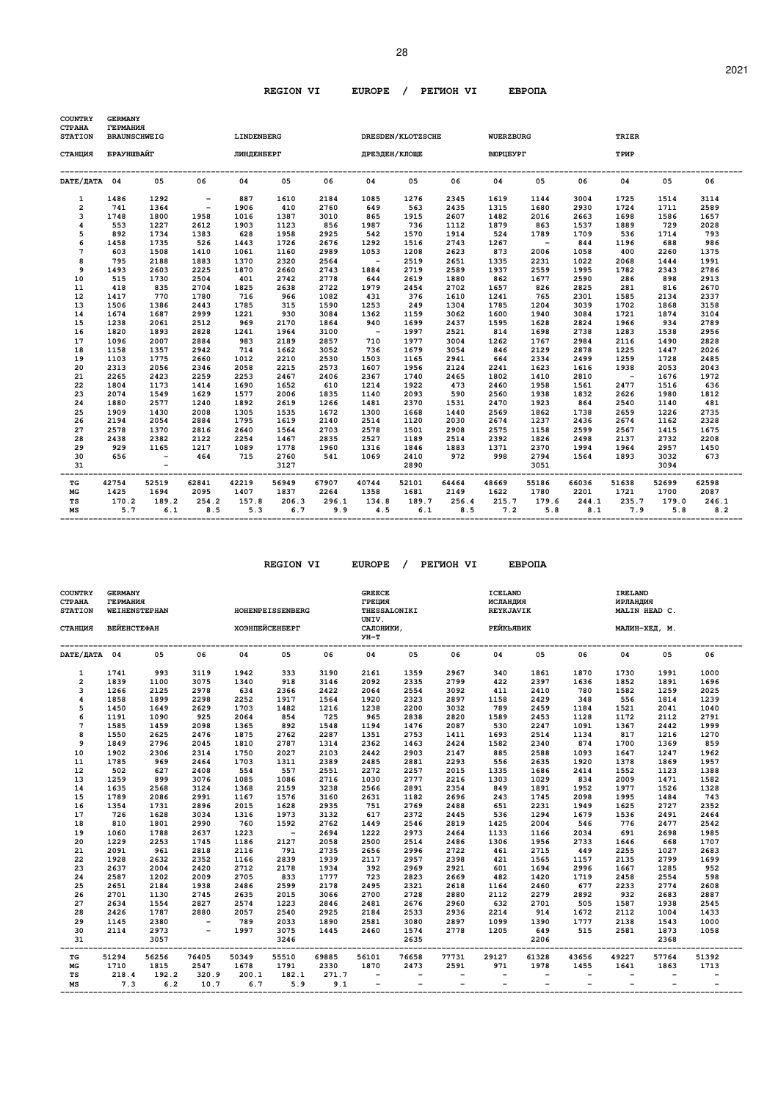| <b>COUNTRY</b><br><b>CTPAHA</b><br><b>STATION</b> | <b>GERMANY</b><br><b>ГЕРМАНИЯ</b><br><b>BRAUNSCHWEIG</b><br>БРАУНШВАЙГ |              |                          | LINDENBERG   |              |               |                          | <b>DRESDEN/KLOTZSCHE</b> |              | <b>WUERZBURG</b>  |                          |              | TRIER        |              |              |
|---------------------------------------------------|------------------------------------------------------------------------|--------------|--------------------------|--------------|--------------|---------------|--------------------------|--------------------------|--------------|-------------------|--------------------------|--------------|--------------|--------------|--------------|
| СТАНЦИЯ                                           |                                                                        |              |                          | ЛИНДЕНБЕРГ   |              |               | ДРЕЗДЕН/КЛОЩЕ            |                          |              | <b>BIOPLIEYPT</b> |                          |              | TPMP         |              |              |
| DATE/JATA 04                                      |                                                                        | 05           | 06                       | 04           | 05           | 06            | 04                       | 05                       | 06           | 04                | 05                       | 06           | 04           | 05           | 06           |
| 1                                                 | 1486                                                                   | 1292         | $\overline{\phantom{a}}$ | 887          | 1610         | 2184          | 1085                     | 1276                     | 2345         | 1619              | 1144                     | 3004         | 1725         | 1514         | 3114         |
| $\overline{a}$                                    | 741                                                                    | 1364         | $\sim$                   | 1906         | 410          | 2760          | 649                      | 563                      | 2435         | 1315              | 1680                     | 2930         | 1724         | 1711         | 2589         |
| 3                                                 | 1748                                                                   | 1800         | 1958                     | 1016         | 1387         | 3010          | 865                      | 1915                     | 2607         | 1482              | 2016                     | 2663         | 1698         | 1586         | 1657         |
| $\overline{\mathbf{4}}$                           | 553                                                                    | 1227         | 2612                     | 1903         | 1123         | 856           | 1987                     | 736                      | 1112         | 1879              | 863                      | 1537         | 1889         | 729          | 2028         |
| 5                                                 | 892                                                                    | 1734         | 1383                     | 628          | 1958         | 2925          | 542                      | 1570                     | 1914         | 524               | 1789                     | 1709         | 536          | 1714         | 793          |
| 6                                                 | 1458                                                                   | 1735         | 526                      | 1443         | 1726         | 2676          | 1292                     | 1516                     | 2743         | 1267              | $\overline{\phantom{0}}$ | 844          | 1196         | 688          | 986          |
| $\overline{7}$                                    | 603                                                                    | 1508         | 1410                     | 1061         | 1160         | 2989          | 1053                     | 1208                     | 2623         | 873               | 2006                     | 1058         | 400          | 2260         | 1375         |
| 8                                                 | 795                                                                    | 2188         | 1883                     | 1370         | 2320         | 2564          | $\overline{\phantom{a}}$ | 2519                     | 2651         | 1335              | 2231                     | 1022         | 2068         | 1444         | 1991         |
| 9                                                 | 1493                                                                   | 2603         | 2225                     | 1870         | 2660         | 2743          | 1884                     | 2719                     | 2589         | 1937              | 2559                     | 1995         | 1782         | 2343         | 2786         |
| 10                                                | 515                                                                    | 1730         | 2504                     | 401          | 2742         | 2778          | 644                      | 2619                     | 1880         | 862               | 1677                     | 2590         | 286          | 898          | 2913         |
| 11                                                | 418                                                                    | 835          | 2704                     | 1825         | 2638         | 2722          | 1979                     | 2454                     | 2702         | 1657              | 826                      | 2825         | 281          | 816          | 2670         |
| 12                                                | 1417                                                                   | 770          | 1780                     | 716          | 966          | 1082          | 431                      | 376                      | 1610         | 1241              | 765                      | 2301         | 1585         | 2134         | 2337         |
| 13                                                | 1506                                                                   | 1386         | 2443                     | 1785         | 315          | 1590          | 1253                     | 249                      | 1304         | 1785              | 1204                     | 3039         | 1702         | 1868         | 3158         |
| 14                                                | 1674                                                                   | 1687         | 2999                     | 1221         | 930          | 3084          | 1362                     | 1159                     | 3062         | 1600              | 1940                     | 3084         | 1721         | 1874         | 3104         |
| 15                                                | 1238                                                                   | 2061         | 2512                     | 969          | 2170         | 1864          | 940                      | 1699                     | 2437         | 1595              | 1628                     | 2824         | 1966         | 934          | 2789         |
| 16                                                | 1820                                                                   | 1893         | 2828                     | 1241         | 1964         | 3100          | $\sim$                   | 1997                     | 2521         | 814               | 1698                     | 2738         | 1283         | 1538         | 2956         |
| 17                                                | 1096                                                                   | 2007         | 2884                     | 983          | 2189         | 2857          | 710                      | 1977                     | 3004         | 1262              | 1767                     | 2984         | 2116         | 1490         | 2828         |
| 18                                                | 1158                                                                   | 1357         | 2942                     | 714          | 1662         | 3052          | 736                      | 1679                     | 3054         | 846               | 2129                     | 2878         | 1225         | 1447         | 2026         |
| 19                                                | 1103                                                                   | 1775         | 2660                     | 1012         | 2210         | 2530          | 1503                     | 1165                     | 2941         | 664               | 2334                     | 2499         | 1259         | 1728         | 2485         |
| 20                                                | 2313                                                                   | 2056         | 2346                     | 2058         | 2215         | 2573          | 1607                     | 1956                     | 2124         | 2241              | 1623                     | 1616         | 1938         | 2053         | 2043         |
| 21                                                | 2265                                                                   | 2423         | 2259                     | 2253         | 2467         | 2406          | 2367                     | 1740                     | 2465         | 1802              | 1410                     | 2810         | $\sim$ $-$   | 1676         | 1972         |
| 22                                                | 1804                                                                   | 1173         | 1414                     | 1690         | 1652         | 610           | 1214                     | 1922                     | 473          | 2460              | 1958                     | 1561         | 2477         | 1516         | 636          |
| 23                                                | 2074                                                                   | 1549         | 1629                     | 1577         | 2006         | 1835          | 1140                     | 2093                     | 590          | 2560              | 1938                     | 1832         | 2626         | 1980         | 1812         |
| 24                                                | 1880                                                                   | 2577         | 1240                     | 1892         | 2619         | 1266          | 1481                     | 2370                     | 1531         | 2470              | 1923                     | 864          | 2540         | 1140         | 481          |
| 25                                                | 1909                                                                   | 1430         | 2008                     | 1305         | 1535         | 1672          | 1300                     | 1668                     | 1440         | 2569              | 1862                     | 1738         | 2659         | 1226         | 2735         |
| 26                                                | 2194                                                                   | 2054         | 2884                     | 1795         | 1619         | 2140          | 2514                     | 1120                     | 2030         | 2674              | 1237                     | 2436         | 2674         | 1162         | 2328         |
| 27                                                | 2578                                                                   | 1370         | 2816                     | 2640         | 1564         | 2703          | 2578                     | 1501                     | 2908         | 2575              | 1158                     | 2599         | 2567         | 1415         | 1675         |
| 28                                                | 2438                                                                   | 2382         | 2122                     | 2254         | 1467         | 2835          | 2527                     | 1189                     | 2514         | 2392              | 1826                     | 2498         | 2137         | 2732         | 2208         |
| 29                                                | 929                                                                    | 1165         | 1217                     | 1089         | 1778         | 1960          | 1316                     | 1846                     | 1883         | 1371              | 2370                     | 1994         | 1964         | 2957         | 1450         |
| 30<br>31                                          | 656                                                                    | $\sim$ $-$   | 464                      | 715          | 2760<br>3127 | 541<br>------ | 1069                     | 2410<br>2890             | 972          | 998               | 2794<br>3051             | 1564         | 1893         | 3032<br>3094 | 673          |
| TG                                                | 42754                                                                  | 52519        | 62841                    | 42219        | 56949        | 67907         | 40744                    | 52101                    | 64464        | 48669             | 55186                    | 66036        | 51638        | 52699        | 62598        |
| MG                                                | 1425                                                                   | 1694         | 2095                     | 1407         | 1837         | 2264          | 1358                     | 1681                     | 2149         | 1622              | 1780                     | 2201         | 1721         | 1700         | 2087         |
| TS<br>MS                                          | 170.2<br>5.7                                                           | 189.2<br>6.1 | 254.2<br>8.5             | 157.8<br>5.3 | 206.3<br>6.7 | 296.1<br>9.9  | 134.8<br>4.5             | 189.7<br>6.1             | 256.4<br>8.5 | 215.7<br>7.2      | 179.6<br>5.8             | 244.1<br>8.1 | 235.7<br>7.9 | 179.0<br>5.8 | 246.1<br>8.2 |

| <b>COUNTRY</b><br><b>CTPAHA</b><br><b>STATION</b><br>СТАНЦИЯ | <b>GERMANY</b><br><b>ГЕРМАНИЯ</b><br><b>WEIHENSTEPHAN</b><br><b>ВЕЙЕНСТЕФАН</b> |              |                          | ХОЭНПЕЙСЕНБЕРГ                       | HOHENPEISSENBERG |                   | <b>GREECE</b><br>ГРЕЦИЯ<br>UNIV.<br>САЛОНИКИ.<br>УН-Т | THESSALONIKI                    |                                                      | <b>ICELAND</b><br>ИСЛАНДИЯ<br>REYKJAVIK<br>РЕЙКЬЯВИК |                          |                          | IRELAND<br>ИРЛАНДИЯ                                  | MALIN HEAD C.<br>МАЛИН-ХЕД, М. |       |
|--------------------------------------------------------------|---------------------------------------------------------------------------------|--------------|--------------------------|--------------------------------------|------------------|-------------------|-------------------------------------------------------|---------------------------------|------------------------------------------------------|------------------------------------------------------|--------------------------|--------------------------|------------------------------------------------------|--------------------------------|-------|
| DATE/ДАТА 04                                                 |                                                                                 | 05           | 06                       | 04                                   | 05               | 06                | 04                                                    | 05                              | 06                                                   | 04                                                   | 05                       | 06                       | 04                                                   | 05                             | 06    |
| $\mathbf{1}$                                                 | 1741                                                                            | 993          | 3119                     | 1942                                 | 333              | 3190              | 2161                                                  | 1359                            | 2967                                                 | 340                                                  | 1861                     | 1870                     | 1730                                                 | 1991                           | 1000  |
| $\overline{2}$                                               | 1839                                                                            | 1100         | 3075                     | 1340                                 | 918              | 3146              | 2092                                                  | 2335                            | 2799                                                 | 422                                                  | 2397                     | 1636                     | 1852                                                 | 1891                           | 1696  |
| 3                                                            | 1266                                                                            | 2125         | 2978                     | 634                                  | 2366             | 2422              | 2064                                                  | 2554                            | 3092                                                 | 411                                                  | 2410                     | 780                      | 1582                                                 | 1259                           | 2025  |
| $\overline{\mathbf{4}}$                                      | 1858                                                                            | 1899         | 2298                     | 2252                                 | 1917             | 1564              | 1920                                                  | 2323                            | 2897                                                 | 1158                                                 | 2429                     | 348                      | 556                                                  | 1814                           | 1239  |
| 5                                                            | 1450                                                                            | 1649         | 2629                     | 1703                                 | 1482             | 1216              | 1238                                                  | 2200                            | 3032                                                 | 789                                                  | 2459                     | 1184                     | 1521                                                 | 2041                           | 1040  |
| 6                                                            | 1191                                                                            | 1090         | 925                      | 2064                                 | 854              | 725               | 965                                                   | 2838                            | 2820                                                 | 1589                                                 | 2453                     | 1128                     | 1172                                                 | 2112                           | 2791  |
| $\overline{7}$                                               | 1585                                                                            | 1459         | 2098                     | 1365                                 | 892              | 1548              | 1194                                                  | 1476                            | 2087                                                 | 530                                                  | 2247                     | 1091                     | 1367                                                 | 2442                           | 1999  |
| 8                                                            | 1550                                                                            | 2625         | 2476                     | 1875                                 | 2762             | 2287              | 1351                                                  | 2753                            | 1411                                                 | 1693                                                 | 2514                     | 1134                     | 817                                                  | 1216                           | 1270  |
| 9                                                            | 1849                                                                            | 2796         | 2045                     | 1810                                 | 2787             | 1314              | 2362                                                  | 1463                            | 2424                                                 | 1582                                                 | 2340                     | 874                      | 1700                                                 | 1369                           | 859   |
| 10                                                           | 1902                                                                            | 2306         | 2314                     | 1750                                 | 2027             | 2103              | 2442                                                  | 2903                            | 2147                                                 | 885                                                  | 2588                     | 1093                     | 1647                                                 | 1247                           | 1962  |
| 11                                                           | 1785                                                                            | 969          | 2464                     | 1703                                 | 1311             | 2389              | 2485                                                  | 2881                            | 2293                                                 | 556                                                  | 2635                     | 1920                     | 1378                                                 | 1869                           | 1957  |
| 12                                                           | 502                                                                             | 627          | 2408                     | 554                                  | 557              | 2551              | 2272                                                  | 2257                            | 2015                                                 | 1335                                                 | 1686                     | 2414                     | 1552                                                 | 1123                           | 1388  |
| 13                                                           | 1259                                                                            | 899          | 3076                     | 1085                                 | 1086             | 2716              | 1030                                                  | 2777                            | 2216                                                 | 1303                                                 | 1029                     | 834                      | 2009                                                 | 1471                           | 1582  |
| 14                                                           | 1635                                                                            | 2568         | 3124                     | 1368                                 | 2159             | 3238              | 2566                                                  | 2891                            | 2354                                                 | 849                                                  | 1891                     | 1952                     | 1977                                                 | 1526                           | 1328  |
| 15                                                           | 1789                                                                            | 2086         | 2991                     | 1167                                 | 1576             | 3160              | 2631                                                  | 1182                            | 2696                                                 | 243                                                  | 1745                     | 2098                     | 1995                                                 | 1484                           | 743   |
| 16                                                           | 1354                                                                            | 1731         | 2896                     | 2015                                 | 1628             | 2935              | 751                                                   | 2769                            | 2488                                                 | 651                                                  | 2231                     | 1949                     | 1625                                                 | 2727                           | 2352  |
| 17                                                           | 726                                                                             | 1628         | 3034                     | 1316                                 | 1973             | 3132              | 617                                                   | 2372                            | 2445                                                 | 536                                                  | 1294                     | 1679                     | 1536                                                 | 2491                           | 2464  |
| 18                                                           | 810                                                                             | 1801         | 2990                     | 760                                  | 1592             | 2762              | 1449                                                  | 2546                            | 2819                                                 | 1425                                                 | 2004                     | 546                      | 776                                                  | 2477                           | 2542  |
| 19                                                           | 1060                                                                            | 1788         | 2637                     | 1223                                 | $\sim$ $-$       | 2694              | 1222                                                  | 2973                            | 2464                                                 | 1133                                                 | 1166                     | 2034                     | 691                                                  | 2698                           | 1985  |
| 20                                                           | 1229                                                                            | 2253         | 1745                     | 1186                                 | 2127             | 2058              | 2500                                                  | 2514                            | 2486                                                 | 1306                                                 | 1956                     | 2733                     | 1646                                                 | 668                            | 1707  |
| 21                                                           | 2091                                                                            | 961          | 2818                     | 2116                                 | 791              | 2735              | 2656                                                  | 2996                            | 2722                                                 | 461                                                  | 2715                     | 449                      | 2255                                                 | 1027                           | 2683  |
| 22                                                           | 1928                                                                            | 2632         | 2352                     | 1166                                 | 2839             | 1939              | 2117                                                  | 2957                            | 2398                                                 | 421                                                  | 1565                     | 1157                     | 2135                                                 | 2799                           | 1699  |
| 23                                                           | 2637                                                                            | 2004         | 2420                     | 2712                                 | 2178             | 1934              | 392                                                   | 2969                            | 2921                                                 | 601                                                  | 1694                     | 2996                     | 1667                                                 | 1285                           | 952   |
| 24                                                           | 2587                                                                            | 1202         | 2009                     | 2705                                 | 833              | 1777              | 723                                                   | 2823                            | 2669                                                 | 482                                                  | 1420                     | 1719                     | 2458                                                 | 2554                           | 598   |
| 25                                                           | 2651                                                                            | 2184         | 1938                     | 2486                                 | 2599             | 2178              | 2495                                                  | 2321                            | 2618                                                 | 1164                                                 | 2460                     | 677                      | 2233                                                 | 2774                           | 2608  |
| 26                                                           | 2701                                                                            | 1130         | 2745                     | 2635                                 | 2015             | 3066              | 2700                                                  | 2728                            | 2880                                                 | 2112                                                 | 2279                     | 2892                     | 932                                                  | 2683                           | 2887  |
| 27                                                           | 2634                                                                            | 1554         | 2827                     | 2574                                 | 1223             | 2846              | 2481                                                  | 2676                            | 2960                                                 | 632                                                  | 2701                     | 505                      | 1587                                                 | 1938                           | 2545  |
| 28                                                           | 2426                                                                            | 1787         | 2880                     | 2057                                 | 2540             | 2925              | 2184                                                  | 2533                            | 2936                                                 | 2214                                                 | 914                      | 1672                     | 2112                                                 | 1004                           | 1433  |
| 29                                                           | 1145                                                                            | 2380         | $\overline{\phantom{0}}$ | 789                                  | 2033             | 1890              | 2581                                                  | 3080                            | 2897                                                 | 1099                                                 | 1390                     | 1777                     | 2138                                                 | 1543                           | 1000  |
| 30                                                           | 2114                                                                            | 2973         | $-$                      | 1997                                 | 3075             | 1445              | 2460                                                  | 1574                            | 2778                                                 | 1205                                                 | 649                      | 515                      | 2581                                                 | 1873                           | 1058  |
| 31                                                           |                                                                                 | 3057         |                          |                                      | 3246             | ----------------- |                                                       | 2635                            |                                                      |                                                      | 2206                     |                          |                                                      | 2368                           |       |
| TG                                                           | 51294                                                                           | 56256        | 76405                    | ---------------------------<br>50349 | 55510            | 69885             | 56101                                                 | 76658                           | 77731                                                | 29127                                                | 61328                    | 43656                    | 49227                                                | 57764                          | 51392 |
| $_{\rm MG}$                                                  | 1710                                                                            | 1815         | 2547                     | 1678                                 | 1791             | 2330              | 1870                                                  | 2473                            | 2591                                                 | 971                                                  | 1978                     | 1455                     | 1641                                                 | 1863                           | 1713  |
| TS<br>MS                                                     | 218.4<br>7.3                                                                    | 192.2<br>6.2 | 320.9<br>10.7            | 200.1<br>6.7                         | 182.1<br>5.9     | 271.7<br>9.1      | $\overline{\phantom{a}}$<br>$\overline{\phantom{a}}$  | $\overline{\phantom{a}}$<br>$-$ | $\overline{\phantom{a}}$<br>$\overline{\phantom{a}}$ | $\overline{\phantom{a}}$<br>$\overline{\phantom{a}}$ | $\overline{\phantom{a}}$ | $\overline{\phantom{0}}$ | $\overline{\phantom{0}}$<br>$\overline{\phantom{0}}$ |                                |       |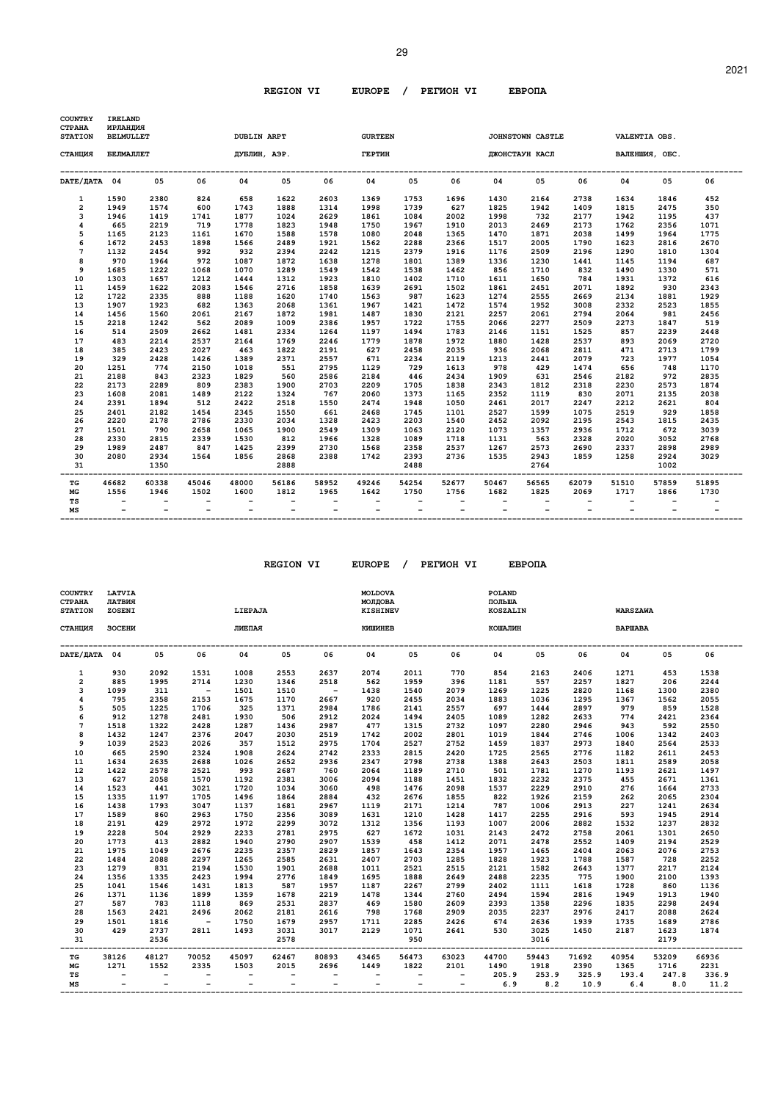| <b>COUNTRY</b><br><b>CTPAHA</b><br><b>STATION</b> | <b>IRELAND</b><br>ИРЛАНДИЯ<br><b>BELMULLET</b> |       |                          | <b>DUBLIN ARPT</b>       |                          |       | <b>GURTEEN</b>           |       |       |                                               | JOHNSTOWN CASTLE         |       |                          | VALENTIA OBS.  |       |
|---------------------------------------------------|------------------------------------------------|-------|--------------------------|--------------------------|--------------------------|-------|--------------------------|-------|-------|-----------------------------------------------|--------------------------|-------|--------------------------|----------------|-------|
| СТАНЦИЯ                                           | БЕЛМАЛЛЕТ                                      |       |                          | ДУБЛИН, АЭР.             |                          |       | <b>ГЕРТИН</b>            |       |       |                                               | ДЖОНСТАУН КАСЛ           |       |                          | ВАЛЕНШИЯ, ОБС. |       |
| DATE/IATA 04                                      |                                                | 05    | 06                       | 04                       | 05                       | 06    | 04                       | 05    | 06    | 04                                            | 05                       | 06    | 04                       | 05             | 06    |
| $\mathbf{1}$                                      | 1590                                           | 2380  | 824                      | 658                      | 1622                     | 2603  | 1369                     | 1753  | 1696  | 1430                                          | 2164                     | 2738  | 1634                     | 1846           | 452   |
| $\overline{a}$                                    | 1949                                           | 1574  | 600                      | 1743                     | 1888                     | 1314  | 1998                     | 1739  | 627   | 1825                                          | 1942                     | 1409  | 1815                     | 2475           | 350   |
| 3                                                 | 1946                                           | 1419  | 1741                     | 1877                     | 1024                     | 2629  | 1861                     | 1084  | 2002  | 1998                                          | 732                      | 2177  | 1942                     | 1195           | 437   |
| $\overline{\mathbf{4}}$                           | 665                                            | 2219  | 719                      | 1778                     | 1823                     | 1948  | 1750                     | 1967  | 1910  | 2013                                          | 2469                     | 2173  | 1762                     | 2356           | 1071  |
| 5                                                 | 1165                                           | 2123  | 1161                     | 1670                     | 1588                     | 1578  | 1080                     | 2048  | 1365  | 1470                                          | 1871                     | 2038  | 1499                     | 1964           | 1775  |
| 6                                                 | 1672                                           | 2453  | 1898                     | 1566                     | 2489                     | 1921  | 1562                     | 2288  | 2366  | 1517                                          | 2005                     | 1790  | 1623                     | 2816           | 2670  |
| 7                                                 | 1132                                           | 2454  | 992                      | 932                      | 2394                     | 2242  | 1215                     | 2379  | 1916  | 1176                                          | 2509                     | 2196  | 1290                     | 1810           | 1304  |
| 8                                                 | 970                                            | 1964  | 972                      | 1087                     | 1872                     | 1638  | 1278                     | 1801  | 1389  | 1336                                          | 1230                     | 1441  | 1145                     | 1194           | 687   |
| 9                                                 | 1685                                           | 1222  | 1068                     | 1070                     | 1289                     | 1549  | 1542                     | 1538  | 1462  | 856                                           | 1710                     | 832   | 1490                     | 1330           | 571   |
| 10                                                | 1303                                           | 1657  | 1212                     | 1444                     | 1312                     | 1923  | 1810                     | 1402  | 1710  | 1611                                          | 1650                     | 784   | 1931                     | 1372           | 616   |
| 11                                                | 1459                                           | 1622  | 2083                     | 1546                     | 2716                     | 1858  | 1639                     | 2691  | 1502  | 1861                                          | 2451                     | 2071  | 1892                     | 930            | 2343  |
| 12                                                | 1722                                           | 2335  | 888                      | 1188                     | 1620                     | 1740  | 1563                     | 987   | 1623  | 1274                                          | 2555                     | 2669  | 2134                     | 1881           | 1929  |
| 13                                                | 1907                                           | 1923  | 682                      | 1363                     | 2068                     | 1361  | 1967                     | 1421  | 1472  | 1574                                          | 1952                     | 3008  | 2332                     | 2523           | 1855  |
| 14                                                | 1456                                           | 1560  | 2061                     | 2167                     | 1872                     | 1981  | 1487                     | 1830  | 2121  | 2257                                          | 2061                     | 2794  | 2064                     | 981            | 2456  |
| 15                                                | 2218                                           | 1242  | 562                      | 2089                     | 1009                     | 2386  | 1957                     | 1722  | 1755  | 2066                                          | 2277                     | 2509  | 2273                     | 1847           | 519   |
| 16                                                | 514                                            | 2509  | 2662                     | 1481                     | 2334                     | 1264  | 1197                     | 1494  | 1783  | 2146                                          | 1151                     | 1525  | 857                      | 2239           | 2448  |
| 17                                                | 483                                            | 2214  | 2537                     | 2164                     | 1769                     | 2246  | 1779                     | 1878  | 1972  | 1880                                          | 1428                     | 2537  | 893                      | 2069           | 2720  |
| 18                                                | 385                                            | 2423  | 2027                     | 463                      | 1822                     | 2191  | 627                      | 2458  | 2035  | 936                                           | 2068                     | 2811  | 471                      | 2713           | 1799  |
| 19                                                | 329                                            | 2428  | 1426                     | 1389                     | 2371                     | 2557  | 671                      | 2234  | 2119  | 1213                                          | 2441                     | 2079  | 723                      | 1977           | 1054  |
| 20                                                | 1251                                           | 774   | 2150                     | 1018                     | 551                      | 2795  | 1129                     | 729   | 1613  | 978                                           | 429                      | 1474  | 656                      | 748            | 1170  |
| 21                                                | 2188                                           | 843   | 2323                     | 1829                     | 560                      | 2586  | 2184                     | 446   | 2434  | 1909                                          | 631                      | 2546  | 2182                     | 972            | 2835  |
| 22                                                | 2173                                           | 2289  | 809                      | 2383                     | 1900                     | 2703  | 2209                     | 1705  | 1838  | 2343                                          | 1812                     | 2318  | 2230                     | 2573           | 1874  |
| 23                                                | 1608                                           | 2081  | 1489                     | 2122                     | 1324                     | 767   | 2060                     | 1373  | 1165  | 2352                                          | 1119                     | 830   | 2071                     | 2135           | 2038  |
| 24                                                | 2391                                           | 1894  | 512                      | 2422                     | 2518                     | 1550  | 2474                     | 1948  | 1050  | 2461                                          | 2017                     | 2247  | 2212                     | 2621           | 804   |
| 25                                                | 2401                                           | 2182  | 1454                     | 2345                     | 1550                     | 661   | 2468                     | 1745  | 1101  | 2527                                          | 1599                     | 1075  | 2519                     | 929            | 1858  |
| 26                                                | 2220                                           | 2178  | 2786                     | 2330                     | 2034                     | 1328  | 2423                     | 2203  | 1540  | 2452                                          | 2092                     | 2195  | 2543                     | 1815           | 2435  |
| 27                                                | 1501                                           | 790   | 2658                     | 1065                     | 1900                     | 2549  | 1309                     | 1063  | 2120  | 1073                                          | 1357                     | 2936  | 1712                     | 672            | 3039  |
| 28                                                | 2330                                           | 2815  | 2339                     | 1530                     | 812                      | 1966  | 1328                     | 1089  | 1718  | 1131                                          | 563                      | 2328  | 2020                     | 3052           | 2768  |
| 29                                                | 1989                                           | 2487  | 847                      | 1425                     | 2399                     | 2730  | 1568                     | 2358  | 2537  | 1267                                          | 2573                     | 2690  | 2337                     | 2898           | 2989  |
| 30                                                | 2080                                           | 2934  | 1564                     | 1856                     | 2868                     | 2388  | 1742                     | 2393  | 2736  | 1535                                          | 2943                     | 1859  | 1258                     | 2924           | 3029  |
| 31                                                |                                                | 1350  |                          |                          | 2888                     |       |                          | 2488  |       |                                               | 2764                     |       |                          | 1002           |       |
| TG                                                | 46682                                          | 60338 | 45046                    | 48000                    | 56186                    | 58952 | 49246                    | 54254 | 52677 | 50467                                         | 56565                    | 62079 | 51510                    | 57859          | 51895 |
| MG                                                | 1556                                           | 1946  | 1502                     | 1600                     | 1812                     | 1965  | 1642                     | 1750  | 1756  | 1682                                          | 1825                     | 2069  | 1717                     | 1866           | 1730  |
| TS<br>MS                                          | $\overline{\phantom{a}}$                       |       | $\overline{\phantom{a}}$ | $\overline{\phantom{0}}$ | $\overline{\phantom{0}}$ | $-$   | $\overline{\phantom{a}}$ |       |       | $\overline{\phantom{a}}$<br>$\qquad \qquad -$ | $\overline{\phantom{a}}$ |       | $\overline{\phantom{a}}$ |                |       |

| <b>COUNTRY</b><br><b>CTPAHA</b><br><b>STATION</b> | <b>LATVIA</b><br>ЛАТВИЯ<br>ZOSENI |                          |                          | LIEPAJA                  |                          |                          | <b>MOLDOVA</b><br>МОЛДОВА<br><b>KISHINEV</b> |                          |                          | POLAND<br>ПОЛЬША<br><b>KOSZALIN</b> |       |       | <b>WARSZAWA</b> |       |       |
|---------------------------------------------------|-----------------------------------|--------------------------|--------------------------|--------------------------|--------------------------|--------------------------|----------------------------------------------|--------------------------|--------------------------|-------------------------------------|-------|-------|-----------------|-------|-------|
| СТАНЦИЯ                                           | ЗОСЕНИ                            |                          |                          | ЛИЕПАЯ                   |                          |                          | КИШИНЕВ                                      |                          |                          | КОШАЛИН                             |       |       | <b>BAPWABA</b>  |       |       |
| DATE/ДАТА 04                                      |                                   | 05                       | 06                       | 04                       | 05                       | 06                       | 04                                           | 05                       | 06                       | 04                                  | 05    | 06    | 04              | 05    | 06    |
| $\mathbf{1}$                                      | 930                               | 2092                     | 1531                     | 1008                     | 2553                     | 2637                     | 2074                                         | 2011                     | 770                      | 854                                 | 2163  | 2406  | 1271            | 453   | 1538  |
| 2                                                 | 885                               | 1995                     | 2714                     | 1230                     | 1346                     | 2518                     | 562                                          | 1959                     | 396                      | 1181                                | 557   | 2257  | 1827            | 206   | 2244  |
| 3                                                 | 1099                              | 311                      | $\sim$ $-$               | 1501                     | 1510                     | $\sim$ $-$               | 1438                                         | 1540                     | 2079                     | 1269                                | 1225  | 2820  | 1168            | 1300  | 2380  |
| 4                                                 | 795                               | 2358                     | 2153                     | 1675                     | 1170                     | 2667                     | 920                                          | 2455                     | 2034                     | 1883                                | 1036  | 1295  | 1367            | 1562  | 2055  |
| 5                                                 | 505                               | 1225                     | 1706                     | 325                      | 1371                     | 2984                     | 1786                                         | 2141                     | 2557                     | 697                                 | 1444  | 2897  | 979             | 859   | 1528  |
| 6                                                 | 912                               | 1278                     | 2481                     | 1930                     | 506                      | 2912                     | 2024                                         | 1494                     | 2405                     | 1089                                | 1282  | 2633  | 774             | 2421  | 2364  |
| 7                                                 | 1518                              | 1322                     | 2428                     | 1287                     | 1436                     | 2987                     | 477                                          | 1315                     | 2732                     | 1097                                | 2280  | 2946  | 943             | 592   | 2550  |
| 8                                                 | 1432                              | 1247                     | 2376                     | 2047                     | 2030                     | 2519                     | 1742                                         | 2002                     | 2801                     | 1019                                | 1844  | 2746  | 1006            | 1342  | 2403  |
| 9                                                 | 1039                              | 2523                     | 2026                     | 357                      | 1512                     | 2975                     | 1704                                         | 2527                     | 2752                     | 1459                                | 1837  | 2973  | 1840            | 2564  | 2533  |
| 10                                                | 665                               | 2590                     | 2324                     | 1908                     | 2624                     | 2742                     | 2333                                         | 2815                     | 2420                     | 1725                                | 2565  | 2776  | 1182            | 2611  | 2453  |
| 11                                                | 1634                              | 2635                     | 2688                     | 1026                     | 2652                     | 2936                     | 2347                                         | 2798                     | 2738                     | 1388                                | 2643  | 2503  | 1811            | 2589  | 2058  |
| 12                                                | 1422                              | 2578                     | 2521                     | 993                      | 2687                     | 760                      | 2064                                         | 1189                     | 2710                     | 501                                 | 1781  | 1270  | 1193            | 2621  | 1497  |
| 13                                                | 627                               | 2058                     | 1570                     | 1192                     | 2381                     | 3006                     | 2094                                         | 1188                     | 1451                     | 1832                                | 2232  | 2375  | 455             | 2671  | 1361  |
| 14                                                | 1523                              | 441                      | 3021                     | 1720                     | 1034                     | 3060                     | 498                                          | 1476                     | 2098                     | 1537                                | 2229  | 2910  | 276             | 1664  | 2733  |
| 15                                                | 1335                              | 1197                     | 1705                     | 1496                     | 1864                     | 2884                     | 432                                          | 2676                     | 1855                     | 822                                 | 1926  | 2159  | 262             | 2065  | 2304  |
| 16                                                | 1438                              | 1793                     | 3047                     | 1137                     | 1681                     | 2967                     | 1119                                         | 2171                     | 1214                     | 787                                 | 1006  | 2913  | 227             | 1241  | 2634  |
| 17                                                | 1589                              | 860                      | 2963                     | 1750                     | 2356                     | 3089                     | 1631                                         | 1210                     | 1428                     | 1417                                | 2255  | 2916  | 593             | 1945  | 2914  |
| 18                                                | 2191                              | 429                      | 2972                     | 1972                     | 2299                     | 3072                     | 1312                                         | 1356                     | 1193                     | 1007                                | 2006  | 2882  | 1532            | 1237  | 2832  |
| 19                                                | 2228                              | 504                      | 2929                     | 2233                     | 2781                     | 2975                     | 627                                          | 1672                     | 1031                     | 2143                                | 2472  | 2758  | 2061            | 1301  | 2650  |
| 20                                                | 1773                              | 413                      | 2882                     | 1940                     | 2790                     | 2907                     | 1539                                         | 458                      | 1412                     | 2071                                | 2478  | 2552  | 1409            | 2194  | 2529  |
| 21                                                | 1975                              | 1049                     | 2676                     | 2235                     | 2357                     | 2829                     | 1857                                         | 1643                     | 2354                     | 1957                                | 1465  | 2404  | 2063            | 2076  | 2753  |
| 22                                                | 1484                              | 2088                     | 2297                     | 1265                     | 2585                     | 2631                     | 2407                                         | 2703                     | 1285                     | 1828                                | 1923  | 1788  | 1587            | 728   | 2252  |
| 23                                                | 1279                              | 831                      | 2194                     | 1530                     | 1901                     | 2688                     | 1011                                         | 2521                     | 2515                     | 2121                                | 1582  | 2643  | 1377            | 2217  | 2124  |
| 24                                                | 1356                              | 1335                     | 2423                     | 1994                     | 2776                     | 1849                     | 1695                                         | 1888                     | 2649                     | 2488                                | 2235  | 775   | 1900            | 2100  | 1393  |
| 25                                                | 1041                              | 1546                     | 1431                     | 1813                     | 587                      | 1957                     | 1187                                         | 2267                     | 2799                     | 2402                                | 1111  | 1618  | 1728            | 860   | 1136  |
| 26                                                | 1371                              | 1136                     | 1899                     | 1359                     | 1678                     | 2219                     | 1478                                         | 1344                     | 2760                     | 2494                                | 1594  | 2816  | 1949            | 1913  | 1940  |
| 27                                                | 587                               | 783                      | 1118                     | 869                      | 2531                     | 2837                     | 469                                          | 1580                     | 2609                     | 2393                                | 1358  | 2296  | 1835            | 2298  | 2494  |
| 28                                                | 1563                              | 2421                     | 2496                     | 2062                     | 2181                     | 2616                     | 798                                          | 1768                     | 2909                     | 2035                                | 2237  | 2976  | 2417            | 2088  | 2624  |
| 29                                                | 1501                              | 1816                     | $\sim$ $-$               | 1750                     | 1679                     | 2957                     | 1711                                         | 2285                     | 2426                     | 674                                 | 2636  | 1939  | 1735            | 1689  | 2786  |
| 30                                                | 429                               | 2737                     | 2811                     | 1493                     | 3031                     | 3017                     | 2129                                         | 1071                     | 2641                     | 530                                 | 3025  | 1450  | 2187            | 1623  | 1874  |
| 31                                                |                                   | 2536                     |                          |                          | 2578                     |                          |                                              | 950                      |                          |                                     | 3016  |       | ---------       | 2179  |       |
| TG                                                | 38126                             | 48127                    | 70052                    | 45097                    | 62467                    | 80893                    | 43465                                        | 56473                    | 63023                    | 44700                               | 59443 | 71692 | 40954           | 53209 | 66936 |
| $_{\rm MG}$                                       | 1271                              | 1552                     | 2335                     | 1503                     | 2015                     | 2696                     | 1449                                         | 1822                     | 2101                     | 1490                                | 1918  | 2390  | 1365            | 1716  | 2231  |
| TS                                                | $\overline{\phantom{a}}$          |                          | $\overline{\phantom{a}}$ | $\overline{\phantom{0}}$ |                          | $\overline{\phantom{a}}$ |                                              | $-$                      | $\overline{\phantom{a}}$ | 205.9                               | 253.9 | 325.9 | 193.4           | 247.8 | 336.9 |
| MS                                                | $\overline{\phantom{a}}$          | $\overline{\phantom{a}}$ | $\overline{\phantom{a}}$ |                          | $\overline{\phantom{a}}$ | $\overline{\phantom{a}}$ |                                              | $\overline{\phantom{0}}$ | $\overline{\phantom{a}}$ | 6.9                                 | 8.2   | 10.9  | 6.4             | 8.0   | 11.2  |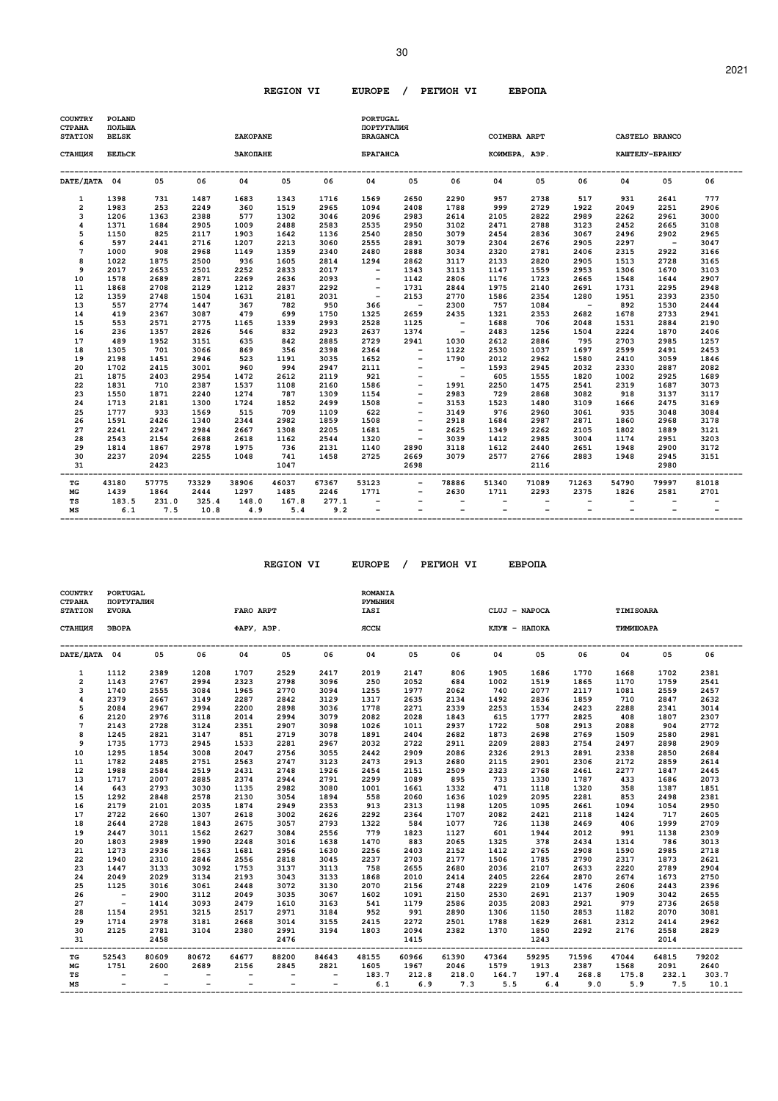| <b>COUNTRY</b><br><b>CTPAHA</b><br><b>STATION</b> | POLAND<br>ПОЛЬША<br><b>BELSK</b> |              |                 | ZAKOPANE     |              |                 | <b>PORTUGAL</b><br>ПОРТУГАЛИЯ<br><b>BRAGANCA</b> |                                  |                          |                                               | <b>COIMBRA ARPT</b> |              |              | CASTELO BRANCO           |              |
|---------------------------------------------------|----------------------------------|--------------|-----------------|--------------|--------------|-----------------|--------------------------------------------------|----------------------------------|--------------------------|-----------------------------------------------|---------------------|--------------|--------------|--------------------------|--------------|
| СТАНЦИЯ                                           | БЕЛЬСК                           |              |                 | ЗАКОПАНЕ     |              |                 | <b>БРАГАНСА</b>                                  |                                  |                          |                                               | КОИМБРА, АЭР.       |              |              | КАШТЕЛУ-БРАНКУ           |              |
| DATE/ JATA 04                                     |                                  | 05           | 06              | 04           | 05           | 06              | 04                                               | 05                               | 06                       | 04                                            | 05                  | 06           | 04           | 05                       | 06           |
| $\mathbf{1}$                                      | 1398                             | 731          | 1487            | 1683         | 1343         | 1716            | 1569                                             | 2650                             | 2290                     | 957                                           | 2738                | 517          | 931          | 2641                     | 777          |
| 2                                                 | 1983                             | 253          | 2249            | 360          | 1519         | 2965            | 1094                                             | 2408                             | 1788                     | 999                                           | 2729                | 1922         | 2049         | 2251                     | 2906         |
| 3<br>$\overline{\mathbf{4}}$                      | 1206<br>1371                     | 1363<br>1684 | 2388<br>2905    | 577<br>1009  | 1302<br>2488 | 3046<br>2583    | 2096<br>2535                                     | 2983<br>2950                     | 2614<br>3102             | 2105<br>2471                                  | 2822<br>2788        | 2989<br>3123 | 2262<br>2452 | 2961<br>2665             | 3000<br>3108 |
| 5                                                 | 1150                             | 825          | 2117            | 1903         | 1642         | 1136            | 2540                                             | 2850                             | 3079                     | 2454                                          | 2836                | 3067         | 2496         | 2902                     | 2965         |
| 6                                                 | 597                              | 2441         | 2716            | 1207         | 2213         | 3060            | 2555                                             | 2891                             | 3079                     | 2304                                          | 2676                | 2905         | 2297         | $\overline{\phantom{a}}$ | 3047         |
| 7                                                 | 1000                             | 908          | 2968            | 1149         | 1359         | 2340            | 2480                                             | 2888                             | 3034                     | 2320                                          | 2781                | 2406         | 2315         | 2922                     | 3166         |
| 8                                                 | 1022                             | 1875         | 2500            | 936          | 1605         | 2814            | 1294                                             | 2862                             | 3117                     | 2133                                          | 2820                | 2905         | 1513         | 2728                     | 3165         |
| 9                                                 | 2017                             | 2653         | 2501            | 2252         | 2833         | 2017            | $\overline{\phantom{a}}$                         | 1343                             | 3113                     | 1147                                          | 1559                | 2953         | 1306         | 1670                     | 3103         |
| 10                                                | 1578                             | 2689         | 2871            | 2269         | 2636         | 2093            | $\overline{\phantom{a}}$                         | 1142                             | 2806                     | 1176                                          | 1723                | 2665         | 1548         | 1644                     | 2907         |
| 11                                                | 1868                             | 2708         | 2129            | 1212         | 2837         | 2292            | $\overline{\phantom{a}}$                         | 1731                             | 2844                     | 1975                                          | 2140                | 2691         | 1731         | 2295                     | 2948         |
| 12                                                | 1359                             | 2748         | 1504            | 1631         | 2181         | 2031            | $\overline{\phantom{a}}$                         | 2153                             | 2770                     | 1586                                          | 2354                | 1280         | 1951         | 2393                     | 2350         |
| 13                                                | 557                              | 2774         | 1447            | 367          | 782          | 950             | 366                                              | $\sim$                           | 2300                     | 757                                           | 1084                | $\sim$ $-$   | 892          | 1530                     | 2444         |
| 14                                                | 419                              | 2367         | 3087            | 479          | 699          | 1750            | 1325                                             | 2659                             | 2435                     | 1321                                          | 2353                | 2682         | 1678         | 2733                     | 2941         |
| 15                                                | 553                              | 2571         | 2775            | 1165         | 1339         | 2993            | 2528                                             | 1125                             | $\overline{\phantom{a}}$ | 1688                                          | 706                 | 2048         | 1531         | 2884                     | 2190         |
| 16                                                | 236                              | 1357         | 2826            | 546          | 832          | 2923            | 2637                                             | 1374                             | $\sim$ $-$               | 2483                                          | 1256                | 1504         | 2224         | 1870                     | 2406         |
| 17<br>18                                          | 489<br>1305                      | 1952<br>701  | 3151<br>3066    | 635<br>869   | 842<br>356   | 2885<br>2398    | 2729<br>2364                                     | 2941<br>$\overline{\phantom{a}}$ | 1030<br>1122             | 2612<br>2530                                  | 2886<br>1037        | 795<br>1697  | 2703<br>2599 | 2985<br>2491             | 1257<br>2453 |
| 19                                                | 2198                             | 1451         | 2946            | 523          | 1191         | 3035            | 1652                                             | $\qquad \qquad -$                | 1790                     | 2012                                          | 2962                | 1580         | 2410         | 3059                     | 1846         |
| 20                                                | 1702                             | 2415         | 3001            | 960          | 994          | 2947            | 2111                                             |                                  | $\overline{\phantom{a}}$ | 1593                                          | 2945                | 2032         | 2330         | 2887                     | 2082         |
| 21                                                | 1875                             | 2403         | 2954            | 1472         | 2612         | 2119            | 921                                              | $\qquad \qquad -$                | $\overline{\phantom{a}}$ | 605                                           | 1555                | 1820         | 1002         | 2925                     | 1689         |
| 22                                                | 1831                             | 710          | 2387            | 1537         | 1108         | 2160            | 1586                                             |                                  | 1991                     | 2250                                          | 1475                | 2541         | 2319         | 1687                     | 3073         |
| 23                                                | 1550                             | 1871         | 2240            | 1274         | 787          | 1309            | 1154                                             | $\overline{\phantom{a}}$         | 2983                     | 729                                           | 2868                | 3082         | 918          | 3137                     | 3117         |
| 24                                                | 1713                             | 2181         | 1300            | 1724         | 1852         | 2499            | 1508                                             | $\qquad \qquad -$                | 3153                     | 1523                                          | 1480                | 3109         | 1666         | 2475                     | 3169         |
| 25                                                | 1777                             | 933          | 1569            | 515          | 709          | 1109            | 622                                              |                                  | 3149                     | 976                                           | 2960                | 3061         | 935          | 3048                     | 3084         |
| 26                                                | 1591                             | 2426         | 1340            | 2344         | 2982         | 1859            | 1508                                             | $\qquad \qquad -$                | 2918                     | 1684                                          | 2987                | 2871         | 1860         | 2968                     | 3178         |
| 27                                                | 2241                             | 2247         | 2984            | 2667         | 1308         | 2205            | 1681                                             |                                  | 2625                     | 1349                                          | 2262                | 2105         | 1802         | 1889                     | 3121         |
| 28                                                | 2543                             | 2154         | 2688            | 2618         | 1162         | 2544            | 1320                                             | $\overline{\phantom{m}}$         | 3039                     | 1412                                          | 2985                | 3004         | 1174         | 2951                     | 3203         |
| 29                                                | 1814                             | 1867         | 2978            | 1975         | 736          | 2131            | 1140                                             | 2890                             | 3118                     | 1612                                          | 2440                | 2651         | 1948         | 2900                     | 3172         |
| 30<br>31<br>---                                   | 2237                             | 2094<br>2423 | 2255<br>------- | 1048         | 741<br>1047  | 1458<br>------- | 2725                                             | 2669<br>2698                     | 3079                     | 2577                                          | 2766<br>2116        | 2883         | 1948         | 2945<br>2980             | 3151         |
| TG                                                | 43180                            | 57775        | 73329           | 38906        | 46037        | 67367           | 53123                                            | $\overline{\phantom{a}}$         | 78886                    | 51340                                         | 71089               | 71263        | 54790        | 79997                    | 81018        |
| MG                                                | 1439                             | 1864         | 2444            | 1297         | 1485         | 2246            | 1771                                             |                                  | 2630                     | 1711                                          | 2293                | 2375         | 1826         | 2581                     | 2701         |
| TS<br>MS                                          | 183.5<br>6.1                     | 231.0<br>7.5 | 325.4<br>10.8   | 148.0<br>4.9 | 167.8<br>5.4 | 277.1<br>9.2    |                                                  |                                  |                          | $\qquad \qquad -$<br>$\overline{\phantom{0}}$ |                     |              |              |                          |              |

| COUNTRY<br><b>CTPAHA</b><br><b>STATION</b> | <b>PORTUGAL</b><br>ПОРТУГАЛИЯ<br><b>EVORA</b> |       |       | FARO ARPT                |                          |                          | <b>ROMANIA</b><br>РУМЫНИЯ<br><b>IASI</b> |       |       | CLUJ - NAPOCA |       |       | TIMISOARA |       |       |
|--------------------------------------------|-----------------------------------------------|-------|-------|--------------------------|--------------------------|--------------------------|------------------------------------------|-------|-------|---------------|-------|-------|-----------|-------|-------|
| СТАНЦИЯ                                    | ЭВОРА                                         |       |       | <b>ΦΑΡΥ, ΑΘΡ.</b>        |                          |                          | ЯCCЫ                                     |       |       | КЛУЖ - НАПОКА |       |       | ТИМИШОАРА |       |       |
| DATE/ JATA 04                              |                                               | 05    | 06    | 04                       | 05                       | 06                       | 04                                       | 05    | 06    | 04            | 05    | 06    | 04        | 05    | 06    |
| 1                                          | 1112                                          | 2389  | 1208  | 1707                     | 2529                     | 2417                     | 2019                                     | 2147  | 806   | 1905          | 1686  | 1770  | 1668      | 1702  | 2381  |
| $\overline{2}$                             | 1143                                          | 2767  | 2994  | 2323                     | 2798                     | 3096                     | 250                                      | 2052  | 684   | 1002          | 1519  | 1865  | 1170      | 1759  | 2541  |
| 3                                          | 1740                                          | 2555  | 3084  | 1965                     | 2770                     | 3094                     | 1255                                     | 1977  | 2062  | 740           | 2077  | 2117  | 1081      | 2559  | 2457  |
| 4                                          | 2379                                          | 2667  | 3149  | 2287                     | 2842                     | 3129                     | 1317                                     | 2635  | 2134  | 1492          | 2836  | 1859  | 710       | 2847  | 2632  |
| 5                                          | 2084                                          | 2967  | 2994  | 2200                     | 2898                     | 3036                     | 1778                                     | 2271  | 2339  | 2253          | 1534  | 2423  | 2288      | 2341  | 3014  |
| 6                                          | 2120                                          | 2976  | 3118  | 2014                     | 2994                     | 3079                     | 2082                                     | 2028  | 1843  | 615           | 1777  | 2825  | 408       | 1807  | 2307  |
| $\overline{7}$                             | 2143                                          | 2728  | 3124  | 2351                     | 2907                     | 3098                     | 1026                                     | 1011  | 2937  | 1722          | 508   | 2913  | 2088      | 904   | 2772  |
| 8                                          | 1245                                          | 2821  | 3147  | 851                      | 2719                     | 3078                     | 1891                                     | 2404  | 2682  | 1873          | 2698  | 2769  | 1509      | 2580  | 2981  |
| 9                                          | 1735                                          | 1773  | 2945  | 1533                     | 2281                     | 2967                     | 2032                                     | 2722  | 2911  | 2209          | 2883  | 2754  | 2497      | 2898  | 2909  |
| 10                                         | 1295                                          | 1854  | 3008  | 2047                     | 2756                     | 3055                     | 2442                                     | 2909  | 2086  | 2326          | 2913  | 2891  | 2338      | 2850  | 2684  |
| 11                                         | 1782                                          | 2485  | 2751  | 2563                     | 2747                     | 3123                     | 2473                                     | 2913  | 2680  | 2115          | 2901  | 2306  | 2172      | 2859  | 2614  |
| 12                                         | 1988                                          | 2584  | 2519  | 2431                     | 2748                     | 1926                     | 2454                                     | 2151  | 2509  | 2323          | 2768  | 2461  | 2277      | 1847  | 2445  |
| 13                                         | 1717                                          | 2007  | 2885  | 2374                     | 2944                     | 2791                     | 2299                                     | 1089  | 895   | 733           | 1330  | 1787  | 433       | 1686  | 2073  |
| 14                                         | 643                                           | 2793  | 3030  | 1135                     | 2982                     | 3080                     | 1001                                     | 1661  | 1332  | 471           | 1118  | 1320  | 358       | 1387  | 1851  |
| 15                                         | 1292                                          | 2848  | 2578  | 2130                     | 3054                     | 1894                     | 558                                      | 2060  | 1636  | 1029          | 2095  | 2281  | 853       | 2498  | 2381  |
| 16                                         | 2179                                          | 2101  | 2035  | 1874                     | 2949                     | 2353                     | 913                                      | 2313  | 1198  | 1205          | 1095  | 2661  | 1094      | 1054  | 2950  |
| 17                                         | 2722                                          | 2660  | 1307  | 2618                     | 3002                     | 2626                     | 2292                                     | 2364  | 1707  | 2082          | 2421  | 2118  | 1424      | 717   | 2605  |
| 18                                         | 2644                                          | 2728  | 1843  | 2675                     | 3057                     | 2793                     | 1322                                     | 584   | 1077  | 726           | 1138  | 2469  | 406       | 1999  | 2709  |
| 19                                         | 2447                                          | 3011  | 1562  | 2627                     | 3084                     | 2556                     | 779                                      | 1823  | 1127  | 601           | 1944  | 2012  | 991       | 1138  | 2309  |
| 20                                         | 1803                                          | 2989  | 1990  | 2248                     | 3016                     | 1638                     | 1470                                     | 883   | 2065  | 1325          | 378   | 2434  | 1314      | 786   | 3013  |
| 21                                         | 1273                                          | 2936  | 1563  | 1681                     | 2956                     | 1630                     | 2256                                     | 2403  | 2152  | 1412          | 2765  | 2908  | 1590      | 2985  | 2718  |
| 22                                         | 1940                                          | 2310  | 2846  | 2556                     | 2818                     | 3045                     | 2237                                     | 2703  | 2177  | 1506          | 1785  | 2790  | 2317      | 1873  | 2621  |
| 23                                         | 1447                                          | 3133  | 3092  | 1753                     | 3137                     | 3113                     | 758                                      | 2655  | 2680  | 2036          | 2107  | 2633  | 2220      | 2789  | 2904  |
| 24                                         | 2049                                          | 2029  | 3134  | 2193                     | 3043                     | 3133                     | 1868                                     | 2010  | 2414  | 2405          | 2264  | 2870  | 2674      | 1673  | 2750  |
| 25                                         | 1125                                          | 3016  | 3061  | 2448                     | 3072                     | 3130                     | 2070                                     | 2156  | 2748  | 2229          | 2109  | 1476  | 2606      | 2443  | 2396  |
| 26                                         | $\overline{\phantom{a}}$                      | 2900  | 3112  | 2049                     | 3035                     | 3067                     | 1602                                     | 1091  | 2150  | 2530          | 2691  | 2137  | 1909      | 3042  | 2655  |
| 27                                         | $\sim$                                        | 1414  | 3093  | 2479                     | 1610                     | 3163                     | 541                                      | 1179  | 2586  | 2035          | 2083  | 2921  | 979       | 2736  | 2658  |
| 28                                         | 1154                                          | 2951  | 3215  | 2517                     | 2971                     | 3184                     | 952                                      | 991   | 2890  | 1306          | 1150  | 2853  | 1182      | 2070  | 3081  |
| 29                                         | 1714                                          | 2978  | 3181  | 2668                     | 3014                     | 3155                     | 2415                                     | 2272  | 2501  | 1788          | 1629  | 2681  | 2312      | 2414  | 2962  |
| 30                                         | 2125                                          | 2781  | 3104  | 2380                     | 2991                     | 3194                     | 1803                                     | 2094  | 2382  | 1370          | 1850  | 2292  | 2176      | 2558  | 2829  |
| 31                                         |                                               | 2458  |       |                          | 2476                     |                          |                                          | 1415  |       |               | 1243  |       |           | 2014  |       |
| TG                                         | 52543                                         | 80609 | 80672 | 64677                    | 88200                    | 84643                    | 48155                                    | 60966 | 61390 | 47364         | 59295 | 71596 | 47044     | 64815 | 79202 |
| МG                                         | 1751                                          | 2600  | 2689  | 2156                     | 2845                     | 2821                     | 1605                                     | 1967  | 2046  | 1579          | 1913  | 2387  | 1568      | 2091  | 2640  |
| TS                                         |                                               |       |       | $\overline{\phantom{a}}$ |                          | $\overline{\phantom{a}}$ | 183.7                                    | 212.8 | 218.0 | 164.7         | 197.4 | 268.8 | 175.8     | 232.1 | 303.7 |
| MS                                         |                                               |       |       |                          | $\overline{\phantom{a}}$ | $-$                      | 6.1                                      | 6.9   | 7.3   | 5.5           | 6.4   | 9.0   | 5.9       | 7.5   | 10.1  |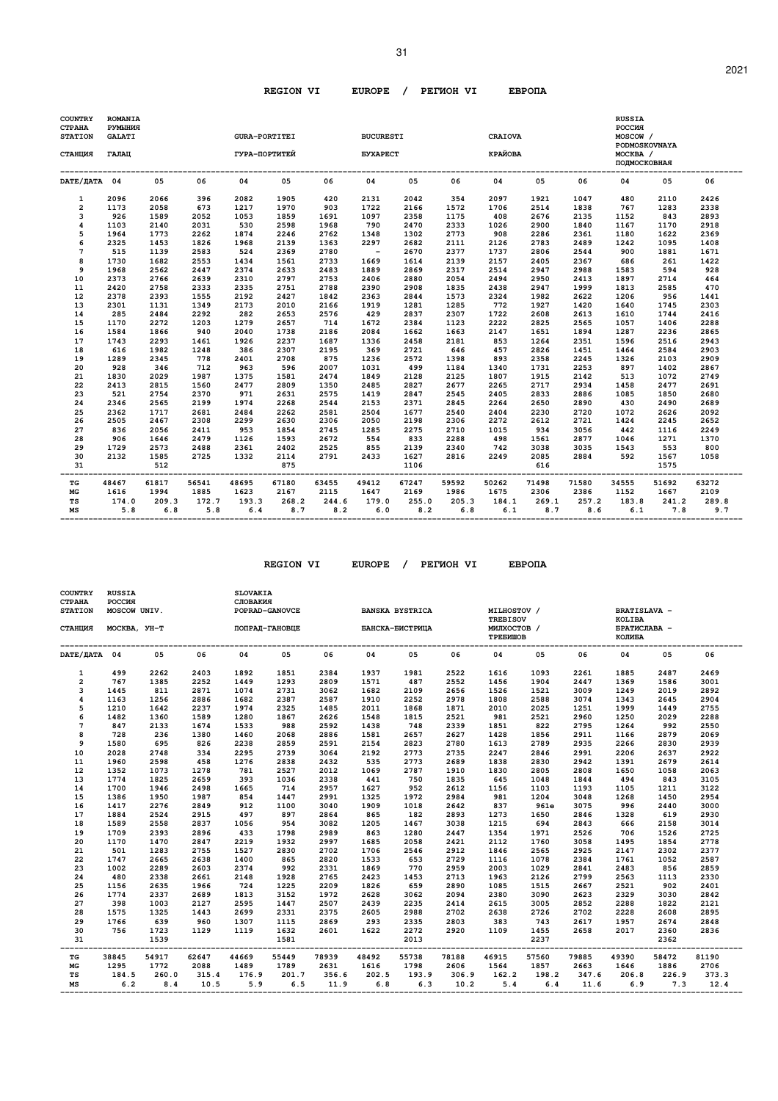| <b>COUNTRY</b><br><b>CTPAHA</b><br><b>STATION</b> | ROMANIA<br><b>PYMLIHMA</b><br><b>GALATI</b> |              |              | <b>GURA-PORTITEI</b> |              |              | <b>BUCURESTI</b>       |              |              | <b>CRAIOVA</b> |              |              | <b>RUSSIA</b><br><b>POCCMA</b><br>MOSCOW /<br>PODMOSKOVNAYA |              |              |
|---------------------------------------------------|---------------------------------------------|--------------|--------------|----------------------|--------------|--------------|------------------------|--------------|--------------|----------------|--------------|--------------|-------------------------------------------------------------|--------------|--------------|
| СТАНЦИЯ                                           | ГАЛАЦ                                       |              |              | ГУРА-ПОРТИТЕЙ        |              |              | <b><i>EYXAPECT</i></b> |              |              | КРАЙОВА        |              |              | MOCKBA /<br>ПОДМОСКОВНАЯ                                    |              |              |
| DATE/ JATA 04                                     |                                             | 05           | 06           | 04                   | 05           | 06           | 04                     | 05           | 06           | 04             | 05           | 06           | 04                                                          | 0.5          | 06           |
| $\mathbf{1}$                                      | 2096                                        | 2066         | 396          | 2082                 | 1905         | 420          | 2131                   | 2042         | 354          | 2097           | 1921         | 1047         | 480                                                         | 2110         | 2426         |
| $\overline{2}$                                    | 1173                                        | 2058         | 673          | 1217                 | 1970         | 903          | 1722                   | 2166         | 1572         | 1706           | 2514         | 1838         | 767                                                         | 1283         | 2338         |
| 3                                                 | 926                                         | 1589         | 2052         | 1053                 | 1859         | 1691         | 1097                   | 2358         | 1175         | 408            | 2676         | 2135         | 1152                                                        | 843          | 2893         |
| $\overline{\mathbf{4}}$                           | 1103                                        | 2140         | 2031         | 530                  | 2598         | 1968         | 790                    | 2470         | 2333         | 1026           | 2900         | 1840         | 1167                                                        | 1170         | 2918         |
| 5                                                 | 1964                                        | 1773         | 2262         | 1874                 | 2246         | 2762         | 1348                   | 1302         | 2773         | 908            | 2286         | 2361         | 1180                                                        | 1622         | 2369         |
| 6                                                 | 2325                                        | 1453         | 1826         | 1968                 | 2139         | 1363         | 2297                   | 2682         | 2111         | 2126           | 2783         | 2489         | 1242                                                        | 1095         | 1408         |
| 7                                                 | 515                                         | 1139         | 2583         | 524                  | 2369         | 2780         | $\sim$                 | 2670         | 2377         | 1737           | 2806         | 2544         | 900                                                         | 1881         | 1671         |
| 8                                                 | 1730                                        | 1682         | 2553         | 1434                 | 1561         | 2733         | 1669                   | 1614         | 2139         | 2157           | 2405         | 2367         | 686                                                         | 261          | 1422         |
| 9                                                 | 1968                                        | 2562         | 2447         | 2374                 | 2633         | 2483         | 1889                   | 2869         | 2317         | 2514           | 2947         | 2988         | 1583                                                        | 594          | 928          |
| 10                                                | 2373                                        | 2766         | 2639         | 2310                 | 2797         | 2753         | 2406                   | 2880         | 2054         | 2494           | 2950         | 2413         | 1897                                                        | 2714         | 464          |
| $11\,$                                            | 2420                                        | 2758         | 2333         | 2335                 | 2751         | 2788         | 2390                   | 2908         | 1835         | 2438           | 2947         | 1999         | 1813                                                        | 2585         | 470          |
| 12                                                | 2378                                        | 2393         | 1555         | 2192                 | 2427         | 1842         | 2363                   | 2844         | 1573         | 2324           | 1982         | 2622         | 1206                                                        | 956          | 1441         |
| 13                                                | 2301                                        | 1131         | 1349         | 2173                 | 2010         | 2166         | 1919                   | 1281         | 1285         | 772            | 1927         | 1420         | 1640                                                        | 1745         | 2303         |
| 14                                                | 285                                         | 2484         | 2292         | 282                  | 2653         | 2576         | 429                    | 2837         | 2307         | 1722           | 2608         | 2613         | 1610                                                        | 1744         | 2416         |
| 15                                                | 1170                                        | 2272         | 1203         | 1279                 | 2657         | 714          | 1672                   | 2384         | 1123         | 2222           | 2825         | 2565         | 1057                                                        | 1406         | 2288         |
| 16                                                | 1584                                        | 1866         | 940          | 2040                 | 1738         | 2186         | 2084                   | 1662         | 1663         | 2147           | 1651         | 1894         | 1287                                                        | 2236         | 2865         |
| 17                                                | 1743                                        | 2293         | 1461         | 1926                 | 2237         | 1687         | 1336                   | 2458         | 2181<br>646  | 853            | 1264         | 2351         | 1596                                                        | 2516         | 2943         |
| 18<br>19                                          | 616<br>1289                                 | 1982<br>2345 | 1248<br>778  | 386<br>2401          | 2307<br>2708 | 2195<br>875  | 369<br>1236            | 2721<br>2572 | 1398         | 457<br>893     | 2826<br>2358 | 1451<br>2245 | 1464<br>1326                                                | 2584<br>2103 | 2903<br>2909 |
| 20                                                | 928                                         | 346          | 712          | 963                  | 596          | 2007         |                        | 499          | 1184         | 1340           |              | 2253         | 897                                                         | 1402         |              |
| 21                                                | 1830                                        | 2029         | 1987         | 1375                 | 1581         | 2474         | 1031<br>1849           | 2128         | 2125         | 1807           | 1731<br>1915 | 2142         | 513                                                         | 1072         | 2867<br>2749 |
| 22                                                | 2413                                        | 2815         | 1560         | 2477                 | 2809         | 1350         | 2485                   |              | 2677         | 2265           | 2717         | 2934         | 1458                                                        | 2477         | 2691         |
| 23                                                | 521                                         | 2754         | 2370         | 971                  | 2631         | 2575         | 1419                   | 2827<br>2847 | 2545         | 2405           | 2833         | 2886         | 1085                                                        | 1850         | 2680         |
| 24                                                | 2346                                        | 2565         | 2199         | 1974                 | 2268         | 2544         | 2153                   | 2371         | 2845         | 2264           | 2650         | 2890         | 430                                                         | 2490         | 2689         |
| 25                                                | 2362                                        | 1717         | 2681         | 2484                 | 2262         | 2581         | 2504                   | 1677         | 2540         | 2404           | 2230         | 2720         | 1072                                                        | 2626         | 2092         |
| 26                                                | 2505                                        | 2467         | 2308         | 2299                 | 2630         | 2306         | 2050                   | 2198         | 2306         | 2272           | 2612         | 2721         | 1424                                                        | 2245         | 2652         |
| 27                                                | 836                                         | 2056         | 2411         | 953                  | 1854         | 2745         | 1285                   | 2275         | 2710         | 1015           | 934          | 3056         | 442                                                         | 1116         | 2249         |
| 28                                                | 906                                         | 1646         | 2479         | 1126                 | 1593         | 2672         | 554                    | 833          | 2288         | 498            | 1561         | 2877         | 1046                                                        | 1271         | 1370         |
| 29                                                | 1729                                        | 2573         | 2488         | 2361                 | 2402         | 2525         | 855                    | 2139         | 2340         | 742            | 3038         | 3035         | 1543                                                        | 553          | 800          |
| 30                                                | 2132                                        | 1585         | 2725         | 1332                 | 2114         | 2791         | 2433                   | 1627         | 2816         | 2249           | 2085         | 2884         | 592                                                         | 1567         | 1058         |
| 31                                                |                                             | 512          |              |                      | 875          |              |                        | 1106         |              |                | 616          |              |                                                             | 1575         |              |
| TG                                                | 48467                                       | 61817        | 56541        | 48695                | 67180        | 63455        | 49412                  | 67247        | 59592        | 50262          | 71498        | 71580        | 34555                                                       | 51692        | 63272        |
| MG                                                | 1616                                        | 1994         | 1885         | 1623                 | 2167         | 2115         | 1647                   | 2169         | 1986         | 1675           | 2306         | 2386         | 1152                                                        | 1667         | 2109         |
| TS<br>MS                                          | 174.0<br>5.8                                | 209.3<br>6.8 | 172.7<br>5.8 | 193.3<br>6.4         | 268.2<br>8.7 | 244.6<br>8.2 | 179.0<br>6.0           | 255.0<br>8.2 | 205.3<br>6.8 | 184.1<br>6.1   | 269.1<br>8.7 | 257.2<br>8.6 | 183.8<br>6.1                                                | 241.2<br>7.8 | 289.8<br>9.7 |

| <b>COUNTRY</b><br>СТРАНА<br><b>STATION</b> | <b>RUSSIA</b><br>РОССИЯ<br>MOSCOW UNIV. |       |       | <b>SLOVAKIA</b><br>СЛОВАКИЯ | POPRAD-GANOVCE |       |                 | <b>BANSKA BYSTRICA</b> |       | MILHOSTOV /                                |       |       | <b>BRATISLAVA -</b>              |       |       |
|--------------------------------------------|-----------------------------------------|-------|-------|-----------------------------|----------------|-------|-----------------|------------------------|-------|--------------------------------------------|-------|-------|----------------------------------|-------|-------|
| СТАНЦИЯ                                    | MOCKBA, YH-T                            |       |       |                             | ПОПРАД-ГАНОВЦЕ |       | БАНСКА-БИСТРИЦА |                        |       | <b>TREBISOV</b><br>МИЛХОСТОВ /<br>ТРЕБИШОВ |       |       | KOLIBA<br>БРАТИСЛАВА -<br>КОЛИБА |       |       |
| DATE/ <b>ДАТА</b> 04                       |                                         | 05    | 06    | 04                          | 05             | 06    | 04              | 05                     | 06    | 04                                         | 05    | 06    | 04                               | 05    | 06    |
| 1                                          | 499                                     | 2262  | 2403  | 1892                        | 1851           | 2384  | 1937            | 1981                   | 2522  | 1616                                       | 1093  | 2261  | 1885                             | 2487  | 2469  |
| $\overline{2}$                             | 767                                     | 1385  | 2252  | 1449                        | 1293           | 2809  | 1571            | 487                    | 2552  | 1456                                       | 1904  | 2447  | 1369                             | 1586  | 3001  |
| 3                                          | 1445                                    | 811   | 2871  | 1074                        | 2731           | 3062  | 1682            | 2109                   | 2656  | 1526                                       | 1521  | 3009  | 1249                             | 2019  | 2892  |
| $\overline{\mathbf{4}}$                    | 1163                                    | 1256  | 2886  | 1682                        | 2387           | 2587  | 1910            | 2252                   | 2978  | 1808                                       | 2588  | 3074  | 1343                             | 2645  | 2904  |
| 5                                          | 1210                                    | 1642  | 2237  | 1974                        | 2325           | 1485  | 2011            | 1868                   | 1871  | 2010                                       | 2025  | 1251  | 1999                             | 1449  | 2755  |
| 6                                          | 1482                                    | 1360  | 1589  | 1280                        | 1867           | 2626  | 1548            | 1815                   | 2521  | 981                                        | 2521  | 2960  | 1250                             | 2029  | 2288  |
| $7\phantom{.0}$                            | 847                                     | 2133  | 1674  | 1533                        | 988            | 2592  | 1438            | 748                    | 2339  | 1851                                       | 822   | 2795  | 1264                             | 992   | 2550  |
| 8                                          | 728                                     | 236   | 1380  | 1460                        | 2068           | 2886  | 1581            | 2657                   | 2627  | 1428                                       | 1856  | 2911  | 1166                             | 2879  | 2069  |
| 9                                          | 1580                                    | 695   | 826   | 2238                        | 2859           | 2591  | 2154            | 2823                   | 2780  | 1613                                       | 2789  | 2935  | 2266                             | 2830  | 2939  |
| 10                                         | 2028                                    | 2748  | 334   | 2295                        | 2739           | 3064  | 2192            | 2773                   | 2735  | 2247                                       | 2846  | 2991  | 2206                             | 2637  | 2922  |
| 11                                         | 1960                                    | 2598  | 458   | 1276                        | 2838           | 2432  | 535             | 2773                   | 2689  | 1838                                       | 2830  | 2942  | 1391                             | 2679  | 2614  |
| 12                                         | 1352                                    | 1073  | 1278  | 781                         | 2527           | 2012  | 1069            | 2787                   | 1910  | 1830                                       | 2805  | 2808  | 1650                             | 1058  | 2063  |
| 13                                         | 1774                                    | 1825  | 2659  | 393                         | 1036           | 2338  | 441             | 750                    | 1835  | 645                                        | 1048  | 1844  | 494                              | 843   | 3105  |
| 14                                         | 1700                                    | 1946  | 2498  | 1665                        | 714            | 2957  | 1627            | 952                    | 2612  | 1156                                       | 1103  | 1193  | 1105                             | 1211  | 3122  |
| 15                                         | 1386                                    | 1950  | 1987  | 854                         | 1447           | 2991  | 1325            | 1972                   | 2984  | 981                                        | 1204  | 3048  | 1268                             | 1450  | 2954  |
| 16                                         | 1417                                    | 2276  | 2849  | 912                         | 1100           | 3040  | 1909            | 1018                   | 2642  | 837                                        | 961e  | 3075  | 996                              | 2440  | 3000  |
| 17                                         | 1884                                    | 2524  | 2915  | 497                         | 897            | 2864  | 865             | 182                    | 2893  | 1273                                       | 1650  | 2846  | 1328                             | 619   | 2930  |
| 18                                         | 1589                                    | 2558  | 2837  | 1056                        | 954            | 3082  | 1205            | 1467                   | 3038  | 1215                                       | 694   | 2843  | 666                              | 2158  | 3014  |
| 19                                         | 1709                                    | 2393  | 2896  | 433                         | 1798           | 2989  | 863             | 1280                   | 2447  | 1354                                       | 1971  | 2526  | 706                              | 1526  | 2725  |
| 20                                         | 1170                                    | 1470  | 2847  | 2219                        | 1932           | 2997  | 1685            | 2058                   | 2421  | 2112                                       | 1760  | 3058  | 1495                             | 1854  | 2778  |
| 21                                         | 501                                     | 1283  | 2755  | 1527                        | 2830           | 2702  | 1706            | 2546                   | 2912  | 1846                                       | 2565  | 2925  | 2147                             | 2302  | 2377  |
| 22                                         | 1747                                    | 2665  | 2638  | 1400                        | 865            | 2820  | 1533            | 653                    | 2729  | 1116                                       | 1078  | 2384  | 1761                             | 1052  | 2587  |
| 23                                         | 1002                                    | 2289  | 2603  | 2374                        | 992            | 2331  | 1869            | 770                    | 2959  | 2003                                       | 1029  | 2841  | 2483                             | 856   | 2859  |
| 24                                         | 480                                     | 2338  | 2661  | 2148                        | 1928           | 2765  | 2423            | 1453                   | 2713  | 1963                                       | 2126  | 2799  | 2563                             | 1113  | 2330  |
| 25                                         | 1156                                    | 2635  | 1966  | 724                         | 1225           | 2209  | 1826            | 659                    | 2890  | 1085                                       | 1515  | 2667  | 2521                             | 902   | 2401  |
| 26                                         | 1774                                    | 2337  | 2689  | 1813                        | 3152           | 1972  | 2628            | 3062                   | 2094  | 2380                                       | 3090  | 2623  | 2329                             | 3030  | 2842  |
| 27                                         | 398                                     | 1003  | 2127  | 2595                        | 1447           | 2507  | 2439            | 2235                   | 2414  | 2615                                       | 3005  | 2852  | 2288                             | 1822  | 2121  |
| 28                                         | 1575                                    | 1325  | 1443  | 2699                        | 2331           | 2375  | 2605            | 2988                   | 2702  | 2638                                       | 2726  | 2702  | 2228                             | 2608  | 2895  |
| 29                                         | 1766                                    | 639   | 960   | 1307                        | 1115           | 2869  | 293             | 2335                   | 2803  | 383                                        | 743   | 2617  | 1957                             | 2674  | 2848  |
| 30                                         | 756                                     | 1723  | 1129  | 1119                        | 1632           | 2601  | 1622            | 2272                   | 2920  | 1109                                       | 1455  | 2658  | 2017                             | 2360  | 2836  |
| 31                                         |                                         | 1539  |       |                             | 1581           |       |                 | 2013                   |       |                                            | 2237  |       |                                  | 2362  |       |
| TG                                         | 38845                                   | 54917 | 62647 | 44669                       | 55449          | 78939 | 48492           | 55738                  | 78188 | 46915                                      | 57560 | 79885 | 49390                            | 58472 | 81190 |
| MG                                         | 1295                                    | 1772  | 2088  | 1489                        | 1789           | 2631  | 1616            | 1798                   | 2606  | 1564                                       | 1857  | 2663  | 1646                             | 1886  | 2706  |
| TS                                         | 184.5                                   | 260.0 | 315.4 | 176.9                       | 201.7          | 356.6 | 202.5           | 193.9                  | 306.9 | 162.2                                      | 198.2 | 347.6 | 206.8                            | 226.9 | 373.3 |
| MS                                         | 6.2                                     | 8.4   | 10.5  | 5.9                         | 6.5            | 11.9  | 6.8             | 6.3                    | 10.2  | 5.4                                        | 6.4   | 11.6  | 6.9                              | 7.3   | 12.4  |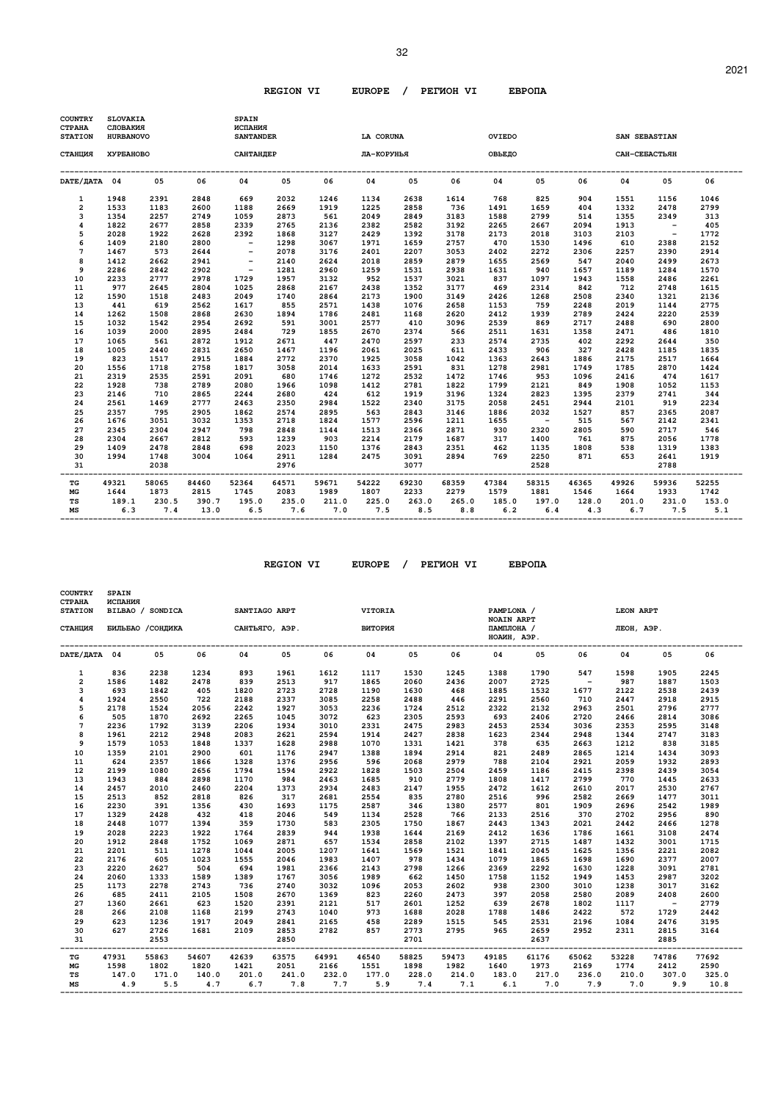| <b>COUNTRY</b><br><b>CTPAHA</b><br><b>STATION</b> | <b>SLOVAKIA</b><br>СЛОВАКИЯ<br><b>HURBANOVO</b> |       |       | <b>SPAIN</b><br>ИСПАНИЯ<br><b>SANTANDER</b> |       |       | <b>LA CORUNA</b> |       |       | OVIEDO |            |       | SAN SEBASTIAN |            |       |
|---------------------------------------------------|-------------------------------------------------|-------|-------|---------------------------------------------|-------|-------|------------------|-------|-------|--------|------------|-------|---------------|------------|-------|
| СТАНЦИЯ                                           | ХУРБАНОВО                                       |       |       | САНТАНДЕР                                   |       |       | ЛА-КОРУНЬЯ       |       |       | ОВЬЕДО |            |       | САН-СЕБАСТЬЯН |            |       |
| DATE/ JATA 04                                     |                                                 | 05    | 06    | 04                                          | 05    | 06    | 04               | 05    | 06    | 04     | 05         | 06    | 04            | 05         | 06    |
| 1                                                 | 1948                                            | 2391  | 2848  | 669                                         | 2032  | 1246  | 1134             | 2638  | 1614  | 768    | 825        | 904   | 1551          | 1156       | 1046  |
| $\overline{2}$                                    | 1533                                            | 1183  | 2600  | 1188                                        | 2669  | 1919  | 1225             | 2858  | 736   | 1491   | 1659       | 404   | 1332          | 2478       | 2799  |
| 3                                                 | 1354                                            | 2257  | 2749  | 1059                                        | 2873  | 561   | 2049             | 2849  | 3183  | 1588   | 2799       | 514   | 1355          | 2349       | 313   |
| $\overline{\mathbf{4}}$                           | 1822                                            | 2677  | 2858  | 2339                                        | 2765  | 2136  | 2382             | 2582  | 3192  | 2265   | 2667       | 2094  | 1913          | $\sim$ $-$ | 405   |
| 5                                                 | 2028                                            | 1922  | 2628  | 2392                                        | 1868  | 3127  | 2429             | 1392  | 3178  | 2173   | 2018       | 3103  | 2103          | $\sim$ $-$ | 1772  |
| 6                                                 | 1409                                            | 2180  | 2800  | $\overline{\phantom{a}}$                    | 1298  | 3067  | 1971             | 1659  | 2757  | 470    | 1530       | 1496  | 610           | 2388       | 2152  |
| $\overline{7}$                                    | 1467                                            | 573   | 2644  | $\sim$ $-$                                  | 2078  | 3176  | 2401             | 2207  | 3053  | 2402   | 2272       | 2306  | 2257          | 2390       | 2914  |
| 8                                                 | 1412                                            | 2662  | 2941  | $\overline{\phantom{a}}$                    | 2140  | 2624  | 2018             | 2859  | 2879  | 1655   | 2569       | 547   | 2040          | 2499       | 2673  |
| 9                                                 | 2286                                            | 2842  | 2902  | $\overline{\phantom{a}}$                    | 1281  | 2960  | 1259             | 1531  | 2938  | 1631   | 940        | 1657  | 1189          | 1284       | 1570  |
| 10                                                | 2233                                            | 2777  | 2978  | 1729                                        | 1957  | 3132  | 952              | 1537  | 3021  | 837    | 1097       | 1943  | 1558          | 2486       | 2261  |
| 11                                                | 977                                             | 2645  | 2804  | 1025                                        | 2868  | 2167  | 2438             | 1352  | 3177  | 469    | 2314       | 842   | 712           | 2748       | 1615  |
| 12                                                | 1590                                            | 1518  | 2483  | 2049                                        | 1740  | 2864  | 2173             | 1900  | 3149  | 2426   | 1268       | 2508  | 2340          | 1321       | 2136  |
| 13                                                | 441                                             | 619   | 2562  | 1617                                        | 855   | 2571  | 1438             | 1076  | 2658  | 1153   | 759        | 2248  | 2019          | 1144       | 2775  |
| 14                                                | 1262                                            | 1508  | 2868  | 2630                                        | 1894  | 1786  | 2481             | 1168  | 2620  | 2412   | 1939       | 2789  | 2424          | 2220       | 2539  |
| 15                                                | 1032                                            | 1542  | 2954  | 2692                                        | 591   | 3001  | 2577             | 410   | 3096  | 2539   | 869        | 2717  | 2488          | 690        | 2800  |
| 16                                                | 1039                                            | 2000  | 2895  | 2484                                        | 729   | 1855  | 2670             | 2374  | 566   | 2511   | 1631       | 1358  | 2471          | 486        | 1810  |
| 17                                                | 1065                                            | 561   | 2872  | 1912                                        | 2671  | 447   | 2470             | 2597  | 233   | 2574   | 2735       | 402   | 2292          | 2644       | 350   |
| 18                                                | 1005                                            | 2440  | 2831  | 2650                                        | 1467  | 1196  | 2061             | 2025  | 611   | 2433   | 906        | 327   | 2428          | 1185       | 1835  |
| 19                                                | 823                                             | 1517  | 2915  | 1884                                        | 2772  | 2370  | 1925             | 3058  | 1042  | 1363   | 2643       | 1886  | 2175          | 2517       | 1664  |
| 20                                                | 1556                                            | 1718  | 2758  | 1817                                        | 3058  | 2014  | 1633             | 2591  | 831   | 1278   | 2981       | 1749  | 1785          | 2870       | 1424  |
| 21                                                | 2319                                            | 2535  | 2591  | 2091                                        | 680   | 1746  | 1272             | 2532  | 1472  | 1746   | 953        | 1096  | 2416          | 474        | 1617  |
| 22                                                | 1928                                            | 738   | 2789  | 2080                                        | 1966  | 1098  | 1412             | 2781  | 1822  | 1799   | 2121       | 849   | 1908          | 1052       | 1153  |
| 23                                                | 2146                                            | 710   | 2865  | 2244                                        | 2680  | 424   | 612              | 1919  | 3196  | 1324   | 2823       | 1395  | 2379          | 2741       | 344   |
| 24                                                | 2561                                            | 1469  | 2777  | 2463                                        | 2350  | 2984  | 1522             | 2340  | 3175  | 2058   | 2451       | 2944  | 2101          | 919        | 2234  |
| 25                                                | 2357                                            | 795   | 2905  | 1862                                        | 2574  | 2895  | 563              | 2843  | 3146  | 1886   | 2032       | 1527  | 857           | 2365       | 2087  |
| 26                                                | 1676                                            | 3051  | 3032  | 1353                                        | 2718  | 1824  | 1577             | 2596  | 1211  | 1655   | $\sim$ $-$ | 515   | 567           | 2142       | 2341  |
| 27                                                | 2345                                            | 2304  | 2947  | 798                                         | 2848  | 1144  | 1513             | 2366  | 2871  | 930    | 2320       | 2805  | 590           | 2717       | 546   |
| 28                                                | 2304                                            | 2667  | 2812  | 593                                         | 1239  | 903   | 2214             | 2179  | 1687  | 317    | 1400       | 761   | 875           | 2056       | 1778  |
| 29                                                | 1409                                            | 2478  | 2848  | 698                                         | 2023  | 1150  | 1376             | 2843  | 2351  | 462    | 1135       | 1808  | 538           | 1319       | 1383  |
| 30                                                | 1994                                            | 1748  | 3004  | 1064                                        | 2911  | 1284  | 2475             | 3091  | 2894  | 769    | 2250       | 871   | 653           | 2641       | 1919  |
| 31                                                |                                                 | 2038  |       |                                             | 2976  |       |                  | 3077  |       |        | 2528       |       |               | 2788       |       |
| TG                                                | 49321                                           | 58065 | 84460 | 52364                                       | 64571 | 59671 | 54222            | 69230 | 68359 | 47384  | 58315      | 46365 | 49926         | 59936      | 52255 |
| МG                                                | 1644                                            | 1873  | 2815  | 1745                                        | 2083  | 1989  | 1807             | 2233  | 2279  | 1579   | 1881       | 1546  | 1664          | 1933       | 1742  |
| TS                                                | 189.1                                           | 230.5 | 390.7 | 195.0                                       | 235.0 | 211.0 | 225.0            | 263.0 | 265.0 | 185.0  | 197.0      | 128.0 | 201.0         | 231.0      | 153.0 |
| МS                                                | 6.3                                             | 7.4   | 13.0  | 6.5                                         | 7.6   | 7.0   | 7.5              | 8.5   | 8.8   | 6.2    | 6.4        | 4.3   | 6.7           | 7.5        | 5.1   |

 **REGION VI EUROPE / PEГИOH VI EBPOПA** 

 **COUNTRY SPAIN** 

| <b>CTPAHA</b><br><b>STATION</b> | ИСПАНИЯ | BILBAO / SONDICA  |       | SANTIAGO ARPT  |       |           | VITORIA |       |            | PAMPLONA /                |       |            | LEON ARPT  |                          |       |
|---------------------------------|---------|-------------------|-------|----------------|-------|-----------|---------|-------|------------|---------------------------|-------|------------|------------|--------------------------|-------|
|                                 |         |                   |       |                |       |           |         |       |            | <b>NOAIN ARPT</b>         |       |            |            |                          |       |
| СТАНЦИЯ                         |         | БИЛЬБАО / СОНДИКА |       | САНТЬЯГО, АЭР. |       |           | витория |       |            | ПАМПЛОНА /<br>НОАИН, АЭР. |       |            | ЛЕОН, АЭР. |                          |       |
| DATE/JATA 04                    |         | 05                | 06    | 04             | 05    | 06        | 04      | 05    | 06         | 04                        | 05    | 06         | 04         | 05                       | 06    |
| 1                               | 836     | 2238              | 1234  | 893            | 1961  | 1612      | 1117    | 1530  | 1245       | 1388                      | 1790  | 547        | 1598       | 1905                     | 2245  |
| $\overline{2}$                  | 1586    | 1482              | 2478  | 839            | 2513  | 917       | 1865    | 2060  | 2436       | 2007                      | 2725  | $\sim$ $-$ | 987        | 1887                     | 1503  |
| 3                               | 693     | 1842              | 405   | 1820           | 2723  | 2728      | 1190    | 1630  | 468        | 1885                      | 1532  | 1677       | 2122       | 2538                     | 2439  |
| $\overline{\mathbf{4}}$         | 1924    | 2550              | 722   | 2188           | 2337  | 3085      | 2258    | 2488  | 446        | 2291                      | 2560  | 710        | 2447       | 2918                     | 2915  |
| 5                               | 2178    | 1524              | 2056  | 2242           | 1927  | 3053      | 2236    | 1724  | 2512       | 2322                      | 2132  | 2963       | 2501       | 2796                     | 2777  |
| 6                               | 505     | 1870              | 2692  | 2265           | 1045  | 3072      | 623     | 2305  | 2593       | 693                       | 2406  | 2720       | 2466       | 2814                     | 3086  |
| 7                               | 2236    | 1792              | 3139  | 2206           | 1934  | 3010      | 2331    | 2475  | 2983       | 2453                      | 2534  | 3036       | 2353       | 2595                     | 3148  |
| 8                               | 1961    | 2212              | 2948  | 2083           | 2621  | 2594      | 1914    | 2427  | 2838       | 1623                      | 2344  | 2948       | 1344       | 2747                     | 3183  |
| 9                               | 1579    | 1053              | 1848  | 1337           | 1628  | 2988      | 1070    | 1331  | 1421       | 378                       | 635   | 2663       | 1212       | 838                      | 3185  |
| 10                              | 1359    | 2101              | 2900  | 601            | 1176  | 2947      | 1388    | 1894  | 2914       | 821                       | 2489  | 2865       | 1214       | 1434                     | 3093  |
| 11                              | 624     | 2357              | 1866  | 1328           | 1376  | 2956      | 596     | 2068  | 2979       | 788                       | 2104  | 2921       | 2059       | 1932                     | 2893  |
| 12                              | 2199    | 1080              | 2656  | 1794           | 1594  | 2922      | 1828    | 1503  | 2504       | 2459                      | 1186  | 2415       | 2398       | 2439                     | 3054  |
| 13                              | 1943    | 884               | 2898  | 1170           | 984   | 2463      | 1685    | 910   | 2779       | 1808                      | 1417  | 2799       | 770        | 1445                     | 2633  |
| 14                              | 2457    | 2010              | 2460  | 2204           | 1373  | 2934      | 2483    | 2147  | 1955       | 2472                      | 1612  | 2610       | 2017       | 2530                     | 2767  |
| 15                              | 2513    | 852               | 2818  | 826            | 317   | 2681      | 2554    | 835   | 2780       | 2516                      | 996   | 2582       | 2669       | 1477                     | 3011  |
| 16                              | 2230    | 391               | 1356  | 430            | 1693  | 1175      | 2587    | 346   | 1380       | 2577                      | 801   | 1909       | 2696       | 2542                     | 1989  |
| 17                              | 1329    | 2428              | 432   | 418            | 2046  | 549       | 1134    | 2528  | 766        | 2133                      | 2516  | 370        | 2702       | 2956                     | 890   |
| 18                              | 2448    | 1077              | 1394  | 359            | 1730  | 583       | 2305    | 1750  | 1867       | 2443                      | 1343  | 2021       | 2442       | 2466                     | 1278  |
| 19                              | 2028    | 2223              | 1922  | 1764           | 2839  | 944       | 1938    | 1644  | 2169       | 2412                      | 1636  | 1786       | 1661       | 3108                     | 2474  |
| 20                              | 1912    | 2848              | 1752  | 1069           | 2871  | 657       | 1534    | 2858  | 2102       | 1397                      | 2715  | 1487       | 1432       | 3001                     | 1715  |
| 21                              | 2201    | 511               | 1278  | 1044           | 2005  | 1207      | 1641    | 1569  | 1521       | 1841                      | 2045  | 1625       | 1356       | 2221                     | 2082  |
| 22                              | 2176    | 605               | 1023  | 1555           | 2046  | 1983      | 1407    | 978   | 1434       | 1079                      | 1865  | 1698       | 1690       | 2377                     | 2007  |
| 23                              | 2220    | 2627              | 504   | 694            | 1981  | 2366      | 2143    | 2798  | 1266       | 2369                      | 2292  | 1630       | 1228       | 3091                     | 2781  |
| 24                              | 2060    | 1333              | 1589  | 1389           | 1767  | 3056      | 1989    | 662   | 1450       | 1758                      | 1152  | 1949       | 1453       | 2987                     | 3202  |
| 25                              | 1173    | 2278              | 2743  | 736            | 2740  | 3032      | 1096    | 2053  | 2602       | 938                       | 2300  | 3010       | 1238       | 3017                     | 3162  |
| 26                              | 685     | 2411              | 2105  | 1508           | 2670  | 1369      | 823     | 2260  | 2473       | 397                       | 2058  | 2580       | 2089       | 2408                     | 2600  |
| 27                              | 1360    | 2661              | 623   | 1520           | 2391  | 2121      | 517     | 2601  | 1252       | 639                       | 2678  | 1802       | 1117       | $\overline{\phantom{0}}$ | 2779  |
| 28                              | 266     | 2108              | 1168  | 2199           | 2743  | 1040      | 973     | 1688  | 2028       | 1788                      | 1486  | 2422       | 572        | 1729                     | 2442  |
| 29                              | 623     | 1236              | 1917  | 2049           | 2841  | 2165      | 458     | 2289  | 1515       | 545                       | 2531  | 2196       | 1084       | 2476                     | 3195  |
| 30                              | 627     | 2726              | 1681  | 2109           | 2853  | 2782      | 857     | 2773  | 2795       | 965                       | 2659  | 2952       | 2311       | 2815                     | 3164  |
| 31                              |         | 2553              |       |                | 2850  | --------- |         | 2701  | ---------- |                           | 2637  | -------    |            | 2885                     |       |
| TG                              | 47931   | 55863             | 54607 | 42639          | 63575 | 64991     | 46540   | 58825 | 59473      | 49185                     | 61176 | 65062      | 53228      | 74786                    | 77692 |
| MG                              | 1598    | 1802              | 1820  | 1421           | 2051  | 2166      | 1551    | 1898  | 1982       | 1640                      | 1973  | 2169       | 1774       | 2412                     | 2590  |
| TS                              | 147.0   | 171.0             | 140.0 | 201.0          | 241.0 | 232.0     | 177.0   | 228.0 | 214.0      | 183.0                     | 217.0 | 236.0      | 210.0      | 307.0                    | 325.0 |
| MS                              | 4.9     | 5.5               | 4.7   | 6.7            | 7.8   | 7.7       | 5.9     | 7.4   | 7.1        | 6.1                       | 7.0   | 7.9        | 7.0        | 9.9                      | 10.8  |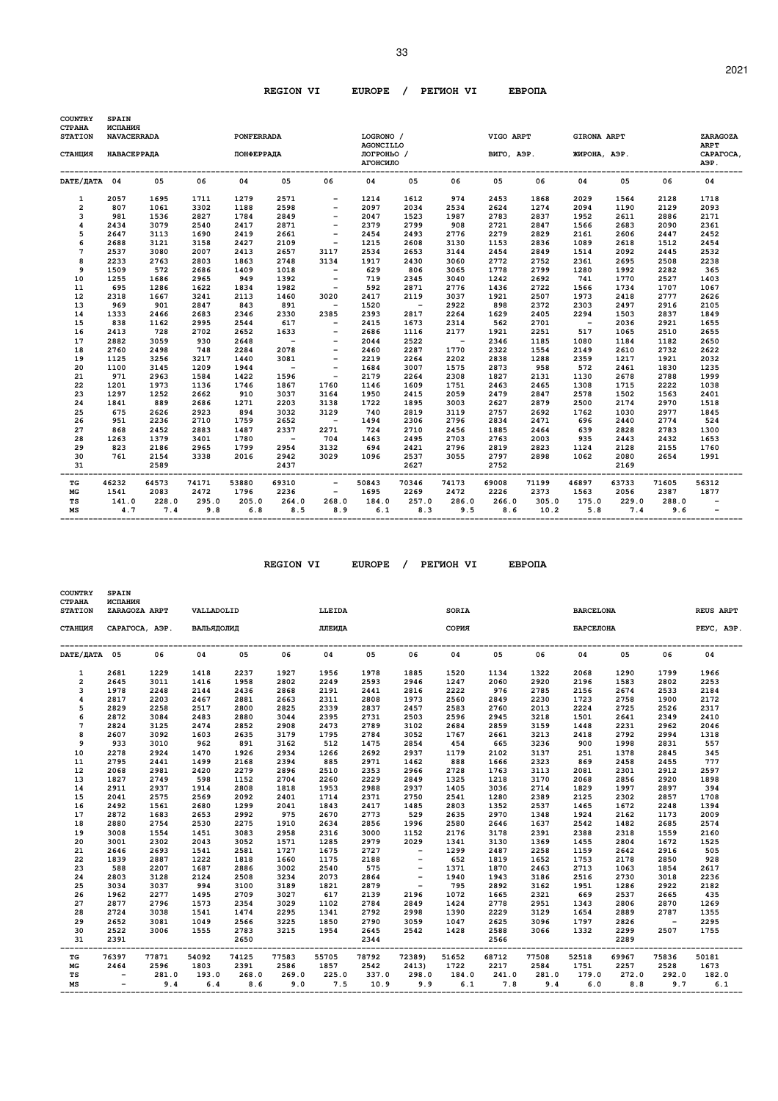| <b>COUNTRY</b><br><b>CTPAHA</b> | <b>SPAIN</b><br>ИСПАНИЯ |       |       |                   |        |                          |                               |        |        |            |       |                    |       |       |                          |
|---------------------------------|-------------------------|-------|-------|-------------------|--------|--------------------------|-------------------------------|--------|--------|------------|-------|--------------------|-------|-------|--------------------------|
| <b>STATION</b>                  | <b>NAVACERRADA</b>      |       |       | <b>PONFERRADA</b> |        |                          | LOGRONO /<br><b>AGONCILLO</b> |        |        | VIGO ARPT  |       | <b>GIRONA ARPT</b> |       |       | ZARAGOZA<br><b>ARPT</b>  |
| СТАНЦИЯ                         | НАВАСЕРРАДА             |       |       | <b>ПОНФЕРРАДА</b> |        |                          | ЛОГРОНЬО /<br>АГОНСИЛО        |        |        | ВИГО, АЭР. |       | ЖИРОНА, АЭР.       |       |       | CAPATOCA,<br>АЭР.        |
|                                 |                         |       |       |                   |        |                          |                               |        |        |            |       |                    |       |       |                          |
| DATE/IATA 04                    |                         | 05    | 06    | 04                | 05     | 06                       | 04                            | 05     | 06     | 05         | 06    | 04                 | 05    | 06    | 04                       |
| 1                               | 2057                    | 1695  | 1711  | 1279              | 2571   |                          | 1214                          | 1612   | 974    | 2453       | 1868  | 2029               | 1564  | 2128  | 1718                     |
| 2                               | 807                     | 1061  | 3302  | 1188              | 2598   | $\overline{\phantom{a}}$ | 2097                          | 2034   | 2534   | 2624       | 1274  | 2094               | 1190  | 2129  | 2093                     |
| 3                               | 981                     | 1536  | 2827  | 1784              | 2849   |                          | 2047                          | 1523   | 1987   | 2783       | 2837  | 1952               | 2611  | 2886  | 2171                     |
| $\overline{\mathbf{4}}$         | 2434                    | 3079  | 2540  | 2417              | 2871   | $\overline{\phantom{a}}$ | 2379                          | 2799   | 908    | 2721       | 2847  | 1566               | 2683  | 2090  | 2361                     |
| 5                               | 2647                    | 3113  | 1690  | 2419              | 2661   | $\overline{\phantom{m}}$ | 2454                          | 2493   | 2776   | 2279       | 2829  | 2161               | 2606  | 2447  | 2452                     |
| 6                               | 2688                    | 3121  | 3158  | 2427              | 2109   | $\overline{\phantom{a}}$ | 1215                          | 2608   | 3130   | 1153       | 2836  | 1089               | 2618  | 1512  | 2454                     |
| 7                               | 2537                    | 3080  | 2007  | 2413              | 2657   | 3117                     | 2534                          | 2653   | 3144   | 2454       | 2849  | 1514               | 2092  | 2445  | 2532                     |
| 8                               | 2233                    | 2763  | 2803  | 1863              | 2748   | 3134                     | 1917                          | 2430   | 3060   | 2772       | 2752  | 2361               | 2695  | 2508  | 2238                     |
| 9                               | 1509                    | 572   | 2686  | 1409              | 1018   | $\overline{\phantom{a}}$ | 629                           | 806    | 3065   | 1778       | 2799  | 1280               | 1992  | 2282  | 365                      |
| 10                              | 1255                    | 1686  | 2965  | 949               | 1392   | $\overline{\phantom{a}}$ | 719                           | 2345   | 3040   | 1242       | 2692  | 741                | 1770  | 2527  | 1403                     |
| 11                              | 695                     | 1286  | 1622  | 1834              | 1982   | $\overline{\phantom{a}}$ | 592                           | 2871   | 2776   | 1436       | 2722  | 1566               | 1734  | 1707  | 1067                     |
| 12                              | 2318                    | 1667  | 3241  | 2113              | 1460   | 3020                     | 2417                          | 2119   | 3037   | 1921       | 2507  | 1973               | 2418  | 2777  | 2626                     |
| 13                              | 969                     | 901   | 2847  | 843               | 891    | $\overline{\phantom{a}}$ | 1520                          | $\sim$ | 2922   | 898        | 2372  | 2303               | 2497  | 2916  | 2105                     |
| 14                              | 1333                    | 2466  | 2683  | 2346              | 2330   | 2385                     | 2393                          | 2817   | 2264   | 1629       | 2405  | 2294               | 1503  | 2837  | 1849                     |
| 15                              | 838                     | 1162  | 2995  | 2544              | 617    | $\overline{\phantom{a}}$ | 2415                          | 1673   | 2314   | 562        | 2701  | $\sim$             | 2036  | 2921  | 1655                     |
| 16                              | 2413                    | 728   | 2702  | 2652              | 1633   | $-$                      | 2686                          | 1116   | 2177   | 1921       | 2251  | 517                | 1065  | 2510  | 2655                     |
| 17                              | 2882                    | 3059  | 930   | 2648              | $\sim$ |                          | 2044                          | 2522   | $\sim$ | 2346       | 1185  | 1080               | 1184  | 1182  | 2650                     |
| 18                              | 2760                    | 2498  | 748   | 2284              | 2078   | $\qquad \qquad$          | 2460                          | 2287   | 1770   | 2322       | 1554  | 2149               | 2610  | 2732  | 2622                     |
| 19                              | 1125                    | 3256  | 3217  | 1440              | 3081   | $\overline{\phantom{a}}$ | 2219                          | 2264   | 2202   | 2838       | 1288  | 2359               | 1217  | 1921  | 2032                     |
| 20                              | 1100                    | 3145  | 1209  | 1944              | $\sim$ | $\overline{\phantom{a}}$ | 1684                          | 3007   | 1575   | 2873       | 958   | 572                | 2461  | 1830  | 1235                     |
| 21                              | 971                     | 2963  | 1584  | 1422              | 1596   | $\overline{\phantom{a}}$ | 2179                          | 2264   | 2308   | 1827       | 2131  | 1130               | 2678  | 2788  | 1999                     |
| 22                              | 1201                    | 1973  | 1136  | 1746              | 1867   | 1760                     | 1146                          | 1609   | 1751   | 2463       | 2465  | 1308               | 1715  | 2222  | 1038                     |
| 23                              | 1297                    | 1252  | 2662  | 910               | 3037   | 3164                     | 1950                          | 2415   | 2059   | 2479       | 2847  | 2578               | 1502  | 1563  | 2401                     |
| 24                              | 1841                    | 889   | 2686  | 1271              | 2203   | 3138                     | 1722                          | 1895   | 3003   | 2627       | 2879  | 2500               | 2174  | 2970  | 1518                     |
| 25                              | 675                     | 2626  | 2923  | 894               | 3032   | 3129                     | 740                           | 2819   | 3119   | 2757       | 2692  | 1762               | 1030  | 2977  | 1845                     |
| 26                              | 951                     | 2236  | 2710  | 1759              | 2652   | $\sim$                   | 1494                          | 2306   | 2796   | 2834       | 2471  | 696                | 2440  | 2774  | 524                      |
| 27                              | 868                     | 2452  | 2883  | 1487              | 2337   | 2271                     | 724                           | 2710   | 2456   | 1885       | 2464  | 639                | 2828  | 2783  | 1300                     |
| 28                              | 1263                    | 1379  | 3401  | 1780              | $\sim$ | 704                      | 1463                          | 2495   | 2703   | 2763       | 2003  | 935                | 2443  | 2432  | 1653                     |
| 29                              | 823                     | 2186  | 2965  | 1799              | 2954   | 3132                     | 694                           | 2421   | 2796   | 2819       | 2823  | 1124               | 2128  | 2155  | 1760                     |
| 30                              | 761                     | 2154  | 3338  | 2016              | 2942   | 3029                     | 1096                          | 2537   | 3055   | 2797       | 2898  | 1062               | 2080  | 2654  | 1991                     |
| 31                              |                         | 2589  |       |                   | 2437   |                          |                               | 2627   |        | 2752       |       |                    | 2169  |       |                          |
| TG                              | 46232                   | 64573 | 74171 | 53880             | 69310  | $\overline{\phantom{a}}$ | 50843                         | 70346  | 74173  | 69008      | 71199 | 46897              | 63733 | 71605 | 56312                    |
| MG                              | 1541                    | 2083  | 2472  | 1796              | 2236   | $\overline{\phantom{a}}$ | 1695                          | 2269   | 2472   | 2226       | 2373  | 1563               | 2056  | 2387  | 1877                     |
| <b>TS</b>                       | 141.0                   | 228.0 | 295.0 | 205.0             | 264.0  | 268.0                    | 184.0                         | 257.0  | 286.0  | 266.0      | 305.0 | 175.0              | 229.0 | 288.0 | $\overline{\phantom{a}}$ |
| MS                              | 4.7                     | 7.4   | 9.8   | 6.8               | 8.5    | 8.9                      | 6.1                           | 8.3    | 9.5    | 8.6        | 10.2  | 5.8                | 7.4   | 9.6   |                          |
|                                 |                         |       |       |                   |        |                          |                               |        |        |            |       |                    |       |       |                          |

 **REGION VI EUROPE / PEГИOH VI EBPOПA** 

 **COUNTRY SPAIN** 

| <b>CTPAHA</b><br><b>STATION</b> | ИСПАНИЯ                  | ZARAGOZA ARPT  | VALLADOLID   |              |              | LLEIDA      |              |                          | SORIA        |              |              | <b>BARCELONA</b> |              |                          | <b>REUS ARPT</b> |
|---------------------------------|--------------------------|----------------|--------------|--------------|--------------|-------------|--------------|--------------------------|--------------|--------------|--------------|------------------|--------------|--------------------------|------------------|
| СТАНЦИЯ                         |                          | CAPATOCA, AGP. | ВАЛЬЯДОЛИД   |              |              | ЛЛЕИДА      |              |                          | СОРИЯ        |              |              | БАРСЕЛОНА        |              |                          | PEYC, AGP.       |
| DATE/JATA 05                    |                          | 06             | 04           | 05           | 06           | 04          | 05           | 06                       | 04           | 05           | 06           | 04               | 05           | 06                       | 04               |
| 1                               | 2681                     | 1229           | 1418         | 2237         | 1927         | 1956        | 1978         | 1885                     | 1520         | 1134         | 1322         | 2068             | 1290         | 1799                     | 1966             |
| $\overline{2}$                  | 2645                     | 3011           | 1416         | 1958         | 2802         | 2249        | 2593         | 2946                     | 1247         | 2060         | 2920         | 2196             | 1583         | 2802                     | 2253             |
| 3                               | 1978                     | 2248           | 2144         | 2436         | 2868         | 2191        | 2441         | 2816                     | 2222         | 976          | 2785         | 2156             | 2674         | 2533                     | 2184             |
| $\overline{\mathbf{4}}$         | 2817                     | 2203           | 2467         | 2881         | 2663         | 2311        | 2808         | 1973                     | 2560         | 2849         | 2230         | 1723             | 2758         | 1900                     | 2172             |
| 5                               | 2829                     | 2258           | 2517         | 2800         | 2825         | 2339        | 2837         | 2457                     | 2583         | 2760         | 2013         | 2224             | 2725         | 2526                     | 2317             |
| 6                               | 2872                     | 3084           | 2483         | 2880         | 3044         | 2395        | 2731         | 2503                     | 2596         | 2945         | 3218         | 1501             | 2641         | 2349                     | 2410             |
| 7                               | 2824                     | 3125           | 2474         | 2852         | 2908         | 2473        | 2789         | 3102                     | 2684         | 2859         | 3159         | 1448             | 2231         | 2962                     | 2046             |
| 8                               | 2607                     | 3092           | 1603         | 2635         | 3179         | 1795        | 2784         | 3052                     | 1767         | 2661         | 3213         | 2418             | 2792         | 2994                     | 1318             |
| 9                               | 933                      | 3010           | 962          | 891          | 3162         | 512         | 1475         | 2854                     | 454          | 665          | 3236         | 900              | 1998         | 2831                     | 557              |
| 10                              | 2278                     | 2924           | 1470         | 1926         | 2934         | 1266        | 2692         | 2937                     | 1179         | 2102         | 3137         | 251              | 1378         | 2845                     | 345              |
| 11                              | 2795                     | 2441           | 1499         | 2168         | 2394         | 885         | 2971         | 1462                     | 888          | 1666         | 2323         | 869              | 2458         | 2455                     | 777              |
| 12                              | 2068                     | 2981           | 2420         | 2279         | 2896         | 2510        | 2353         | 2966                     | 2728         | 1763         | 3113         | 2081             | 2301         | 2912                     | 2597             |
| 13                              | 1827                     | 2749           | 598          | 1152         | 2704         | 2260        | 2229         | 2849                     | 1325         | 1218         | 3170         | 2068             | 2856         | 2920                     | 1898             |
| 14                              | 2911                     | 2937           | 1914         | 2808         | 1818         | 1953        | 2988         | 2937                     | 1405         | 3036         | 2714         | 1829             | 1997         | 2897                     | 394              |
| 15                              | 2041                     | 2575           | 2569         | 2092         | 2401         | 1714        | 2371         | 2750                     | 2541         | 1280         | 2389         | 2125             | 2302         | 2857                     | 1708             |
| 16                              | 2492                     | 1561           | 2680         | 1299         | 2041         | 1843        | 2417         | 1485                     | 2803         | 1352         | 2537         | 1465             | 1672         | 2248                     | 1394             |
| 17                              | 2872                     | 1683           | 2653         | 2992         | 975          | 2670        | 2773         | 529                      | 2635         | 2970         | 1348         | 1924             | 2162         | 1173                     | 2009             |
| 18                              | 2880                     | 2754           | 2530         | 2275         | 1910         | 2634        | 2856         | 1996                     | 2580         | 2646         | 1637         | 2542             | 1482         | 2685                     | 2574             |
| 19                              | 3008                     | 1554           | 1451         | 3083         | 2958         | 2316        | 3000         | 1152                     | 2176         | 3178         | 2391         | 2388             | 2318         | 1559                     | 2160             |
| 20                              | 3001                     | 2302           | 2043         | 3052         | 1571         | 1285        | 2979         | 2029                     | 1341         | 3130         | 1369         | 1455             | 2804         | 1672                     | 1525             |
| 21                              | 2646                     | 2693           | 1541         | 2581         | 1727         | 1675        | 2727         | $\overline{\phantom{a}}$ | 1299         | 2487         | 2258         | 1159             | 2642         | 2916                     | 505              |
| 22                              | 1839                     | 2887           | 1222         | 1818         | 1660         | 1175        | 2188         |                          | 652          | 1819         | 1652         | 1753             | 2178         | 2850                     | 928              |
| 23                              | 588                      | 2207           | 1687         | 2886         | 3002         | 2540        | 575          | $\overline{\phantom{a}}$ | 1371         | 1870         | 2463         | 2713             | 1063<br>2730 | 1854                     | 2617             |
| 24                              | 2803                     | 3128           | 2124         | 2508         | 3234         | 2073        | 2864         | $\overline{\phantom{a}}$ | 1940<br>795  | 1943         | 3186         | 2516             |              | 3018                     | 2236             |
| 25                              | 3034                     | 3037<br>2277   | 994          | 3100         | 3189         | 1821<br>617 | 2879         | $\overline{\phantom{a}}$ |              | 2892         | 3162         | 1951<br>669      | 1286<br>2537 | 2922                     | 2182             |
| 26                              | 1962<br>2877             | 2796           | 1495<br>1573 | 2709         | 3027<br>3029 | 1102        | 2139<br>2784 | 2196                     | 1072         | 1665<br>2778 | 2321         |                  | 2806         | 2665                     | 435<br>1269      |
| 27<br>28                        | 2724                     | 3038           | 1541         | 2354<br>1474 | 2295         | 1341        | 2792         | 2849<br>2998             | 1424<br>1390 | 2229         | 2951<br>3129 | 1343<br>1654     | 2889         | 2870<br>2787             | 1355             |
| 29                              | 2652                     | 3081           | 1049         | 2566         | 3225         | 1850        | 2790         | 3059                     | 1047         | 2625         | 3096         | 1797             | 2826         | $\overline{\phantom{a}}$ | 2295             |
| 30                              | 2522                     | 3006           | 1555         | 2783         | 3215         | 1954        | 2645         | 2542                     | 1428         | 2588         | 3066         | 1332             | 2299         | 2507                     | 1755             |
| 31                              | 2391                     |                |              | 2650         |              |             | 2344         |                          |              | 2566         |              |                  | 2289         |                          |                  |
| TG                              | 76397                    | 77871          | 54092        | 74125        | 77583        | 55705       | 78792        | 72389)                   | 51652        | 68712        | 77508        | 52518            | 69967        | 75836                    | 50181            |
| MG                              | 2464                     | 2596           | 1803         | 2391         | 2586         | 1857        | 2542         | 2413)                    | 1722         | 2217         | 2584         | 1751             | 2257         | 2528                     | 1673             |
| TS                              | $\overline{\phantom{a}}$ | 281.0          | 193.0        | 268.0        | 269.0        | 225.0       | 337.0        | 298.0                    | 184.0        | 241.0        | 281.0        | 179.0            | 272.0        | 292.0                    | 182.0            |
| MS                              | $\overline{\phantom{a}}$ | 9.4            | 6.4          | 8.6          | 9.0          | 7.5         | 10.9         | 9.9                      | 6.1          | 7.8          | 9.4          | $6.0$            | 8.8          | 9.7                      | 6.1              |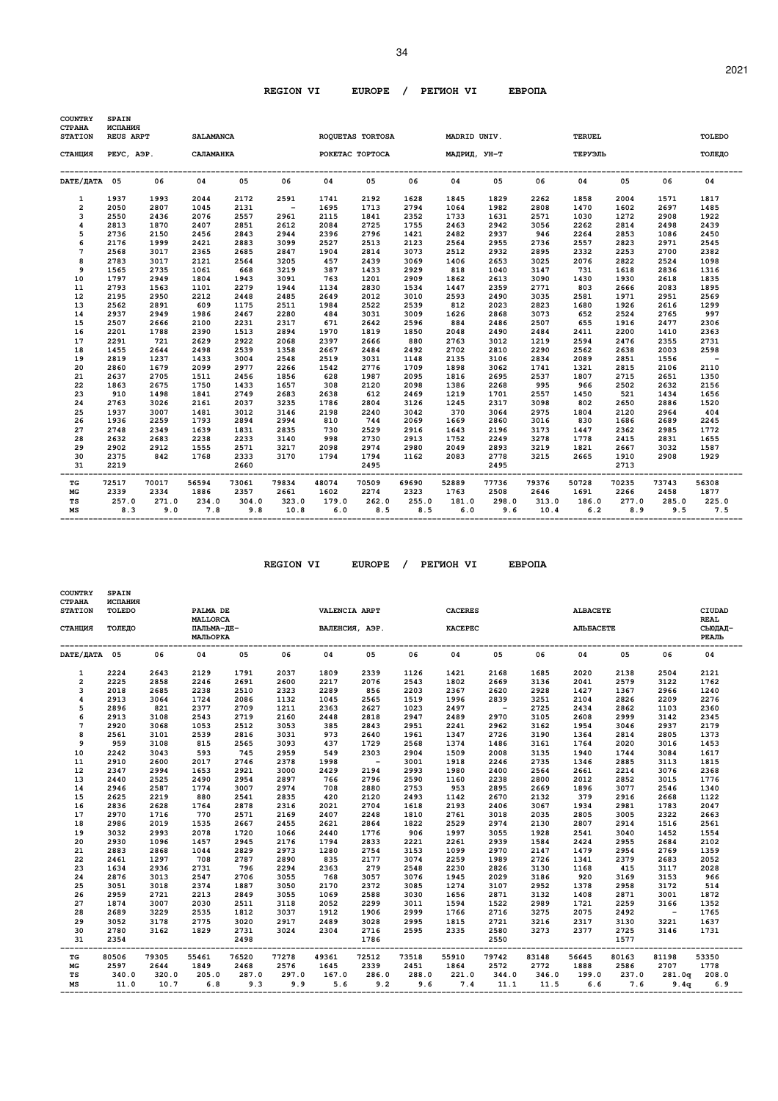| ROQUETAS TORTOSA<br>05<br>2192<br>1713<br>1841<br>2725<br>2796<br>2513<br>2814<br>2439<br>1433<br>1201<br>2830<br>2012<br>2522<br>3031<br>2642<br>1819<br>2666<br>2484 | 06<br>1628<br>2794<br>2352<br>1755<br>1421<br>2123<br>3073<br>3069<br>2929<br>2909<br>1534<br>3010<br>2539<br>3009<br>2596<br>1850<br>880<br>2492 | MADRID UNIV.<br>РОКЕТАС ТОРТОСА МАДРИД, УН-Т<br>04<br>1845<br>1064<br>1733<br>2463<br>2482<br>2564<br>2512<br>1406<br>818<br>1862<br>1447<br>2593<br>812<br>1626<br>884<br>2048<br>2763<br>2702 | 0.5<br>1829<br>1982<br>1631<br>2942<br>2937<br>2955<br>2932<br>2653<br>1040<br>2613<br>2359<br>2490<br>2023<br>2868<br>2486<br>2490<br>3012 | 06<br>2262<br>2808<br>2571<br>3056<br>946<br>2736<br>2895<br>3025<br>3147<br>3090<br>2771<br>3035<br>2823<br>3073<br>2507<br>2484 | <b>TERUEL</b><br>ТЕРУЭЛЬ<br>04<br>1858<br>1470<br>1030<br>2262<br>2264<br>2557<br>2332<br>2076<br>731<br>1430<br>803<br>2581<br>1680<br>652<br>655<br>2411 | 0.5<br>2004<br>1602<br>1272<br>2814<br>2853<br>2823<br>2253<br>2822<br>1618<br>1930<br>2666<br>1971<br>1926<br>2524<br>1916<br>2200 | 06<br>1571<br>2697<br>2908<br>2498<br>1086<br>2971<br>2700<br>2524<br>2836<br>2618<br>2083<br>2951<br>2616<br>2765<br>2477<br>1410 | TOLEDO<br>ТОЛЕДО<br>04<br>1817<br>1485<br>1922<br>2439<br>2450<br>2545<br>2382<br>1098<br>1316<br>1835<br>1895<br>2569<br>1299<br>997<br>2306 |
|------------------------------------------------------------------------------------------------------------------------------------------------------------------------|---------------------------------------------------------------------------------------------------------------------------------------------------|-------------------------------------------------------------------------------------------------------------------------------------------------------------------------------------------------|---------------------------------------------------------------------------------------------------------------------------------------------|-----------------------------------------------------------------------------------------------------------------------------------|------------------------------------------------------------------------------------------------------------------------------------------------------------|-------------------------------------------------------------------------------------------------------------------------------------|------------------------------------------------------------------------------------------------------------------------------------|-----------------------------------------------------------------------------------------------------------------------------------------------|
|                                                                                                                                                                        |                                                                                                                                                   |                                                                                                                                                                                                 |                                                                                                                                             |                                                                                                                                   |                                                                                                                                                            |                                                                                                                                     |                                                                                                                                    |                                                                                                                                               |
|                                                                                                                                                                        |                                                                                                                                                   |                                                                                                                                                                                                 |                                                                                                                                             |                                                                                                                                   |                                                                                                                                                            |                                                                                                                                     |                                                                                                                                    |                                                                                                                                               |
|                                                                                                                                                                        |                                                                                                                                                   |                                                                                                                                                                                                 |                                                                                                                                             |                                                                                                                                   |                                                                                                                                                            |                                                                                                                                     |                                                                                                                                    |                                                                                                                                               |
|                                                                                                                                                                        |                                                                                                                                                   |                                                                                                                                                                                                 |                                                                                                                                             |                                                                                                                                   |                                                                                                                                                            |                                                                                                                                     |                                                                                                                                    |                                                                                                                                               |
|                                                                                                                                                                        |                                                                                                                                                   |                                                                                                                                                                                                 |                                                                                                                                             |                                                                                                                                   |                                                                                                                                                            |                                                                                                                                     |                                                                                                                                    |                                                                                                                                               |
|                                                                                                                                                                        |                                                                                                                                                   |                                                                                                                                                                                                 |                                                                                                                                             |                                                                                                                                   |                                                                                                                                                            |                                                                                                                                     |                                                                                                                                    |                                                                                                                                               |
|                                                                                                                                                                        |                                                                                                                                                   |                                                                                                                                                                                                 |                                                                                                                                             |                                                                                                                                   |                                                                                                                                                            |                                                                                                                                     |                                                                                                                                    |                                                                                                                                               |
|                                                                                                                                                                        |                                                                                                                                                   |                                                                                                                                                                                                 |                                                                                                                                             |                                                                                                                                   |                                                                                                                                                            |                                                                                                                                     |                                                                                                                                    |                                                                                                                                               |
|                                                                                                                                                                        |                                                                                                                                                   |                                                                                                                                                                                                 |                                                                                                                                             |                                                                                                                                   |                                                                                                                                                            |                                                                                                                                     |                                                                                                                                    |                                                                                                                                               |
|                                                                                                                                                                        |                                                                                                                                                   |                                                                                                                                                                                                 |                                                                                                                                             |                                                                                                                                   |                                                                                                                                                            |                                                                                                                                     |                                                                                                                                    |                                                                                                                                               |
|                                                                                                                                                                        |                                                                                                                                                   |                                                                                                                                                                                                 |                                                                                                                                             |                                                                                                                                   |                                                                                                                                                            |                                                                                                                                     |                                                                                                                                    |                                                                                                                                               |
|                                                                                                                                                                        |                                                                                                                                                   |                                                                                                                                                                                                 |                                                                                                                                             |                                                                                                                                   |                                                                                                                                                            |                                                                                                                                     |                                                                                                                                    |                                                                                                                                               |
|                                                                                                                                                                        |                                                                                                                                                   |                                                                                                                                                                                                 |                                                                                                                                             |                                                                                                                                   |                                                                                                                                                            |                                                                                                                                     |                                                                                                                                    |                                                                                                                                               |
|                                                                                                                                                                        |                                                                                                                                                   |                                                                                                                                                                                                 |                                                                                                                                             |                                                                                                                                   |                                                                                                                                                            |                                                                                                                                     |                                                                                                                                    |                                                                                                                                               |
|                                                                                                                                                                        |                                                                                                                                                   |                                                                                                                                                                                                 |                                                                                                                                             |                                                                                                                                   |                                                                                                                                                            |                                                                                                                                     |                                                                                                                                    |                                                                                                                                               |
|                                                                                                                                                                        |                                                                                                                                                   |                                                                                                                                                                                                 |                                                                                                                                             |                                                                                                                                   |                                                                                                                                                            |                                                                                                                                     |                                                                                                                                    |                                                                                                                                               |
|                                                                                                                                                                        |                                                                                                                                                   |                                                                                                                                                                                                 |                                                                                                                                             |                                                                                                                                   |                                                                                                                                                            |                                                                                                                                     |                                                                                                                                    |                                                                                                                                               |
|                                                                                                                                                                        |                                                                                                                                                   |                                                                                                                                                                                                 |                                                                                                                                             |                                                                                                                                   |                                                                                                                                                            |                                                                                                                                     |                                                                                                                                    |                                                                                                                                               |
|                                                                                                                                                                        |                                                                                                                                                   |                                                                                                                                                                                                 |                                                                                                                                             |                                                                                                                                   |                                                                                                                                                            |                                                                                                                                     |                                                                                                                                    |                                                                                                                                               |
|                                                                                                                                                                        |                                                                                                                                                   |                                                                                                                                                                                                 |                                                                                                                                             |                                                                                                                                   |                                                                                                                                                            |                                                                                                                                     |                                                                                                                                    | 2363                                                                                                                                          |
|                                                                                                                                                                        |                                                                                                                                                   |                                                                                                                                                                                                 |                                                                                                                                             | 1219                                                                                                                              | 2594                                                                                                                                                       | 2476                                                                                                                                | 2355                                                                                                                               | 2731                                                                                                                                          |
|                                                                                                                                                                        |                                                                                                                                                   |                                                                                                                                                                                                 | 2810                                                                                                                                        | 2290                                                                                                                              | 2562                                                                                                                                                       | 2638                                                                                                                                | 2003                                                                                                                               | 2598                                                                                                                                          |
| 3031                                                                                                                                                                   | 1148                                                                                                                                              | 2135                                                                                                                                                                                            | 3106                                                                                                                                        | 2834                                                                                                                              | 2089                                                                                                                                                       | 2851                                                                                                                                | 1556                                                                                                                               | $\sim$                                                                                                                                        |
| 2776                                                                                                                                                                   | 1709                                                                                                                                              | 1898                                                                                                                                                                                            | 3062                                                                                                                                        | 1741                                                                                                                              | 1321                                                                                                                                                       | 2815                                                                                                                                | 2106                                                                                                                               | 2110                                                                                                                                          |
| 1987                                                                                                                                                                   | 2095                                                                                                                                              | 1816                                                                                                                                                                                            | 2695                                                                                                                                        | 2537                                                                                                                              | 1807                                                                                                                                                       | 2715                                                                                                                                | 2651                                                                                                                               | 1350                                                                                                                                          |
| 2120                                                                                                                                                                   | 2098                                                                                                                                              | 1386                                                                                                                                                                                            | 2268                                                                                                                                        | 995                                                                                                                               | 966                                                                                                                                                        | 2502                                                                                                                                | 2632                                                                                                                               | 2156                                                                                                                                          |
| 612                                                                                                                                                                    | 2469                                                                                                                                              | 1219                                                                                                                                                                                            | 1701                                                                                                                                        | 2557                                                                                                                              | 1450                                                                                                                                                       | 521                                                                                                                                 | 1434                                                                                                                               | 1656                                                                                                                                          |
| 2804                                                                                                                                                                   | 3126                                                                                                                                              | 1245                                                                                                                                                                                            | 2317                                                                                                                                        | 3098                                                                                                                              | 802                                                                                                                                                        | 2650                                                                                                                                | 2886                                                                                                                               | 1520                                                                                                                                          |
| 2240                                                                                                                                                                   | 3042                                                                                                                                              | 370                                                                                                                                                                                             | 3064                                                                                                                                        | 2975                                                                                                                              | 1804                                                                                                                                                       | 2120                                                                                                                                | 2964                                                                                                                               | 404                                                                                                                                           |
| 744                                                                                                                                                                    | 2069                                                                                                                                              | 1669                                                                                                                                                                                            | 2860                                                                                                                                        | 3016                                                                                                                              | 830                                                                                                                                                        | 1686                                                                                                                                | 2689                                                                                                                               | 2245                                                                                                                                          |
| 2529                                                                                                                                                                   | 2916                                                                                                                                              | 1643                                                                                                                                                                                            | 2196                                                                                                                                        | 3173                                                                                                                              | 1447                                                                                                                                                       | 2362                                                                                                                                | 2985                                                                                                                               | 1772                                                                                                                                          |
| 2730                                                                                                                                                                   | 2913                                                                                                                                              | 1752                                                                                                                                                                                            | 2249                                                                                                                                        | 3278                                                                                                                              | 1778                                                                                                                                                       | 2415                                                                                                                                | 2831                                                                                                                               | 1655                                                                                                                                          |
| 2974                                                                                                                                                                   | 2980                                                                                                                                              | 2049                                                                                                                                                                                            | 2893                                                                                                                                        | 3219                                                                                                                              | 1821                                                                                                                                                       | 2667                                                                                                                                | 3032                                                                                                                               | 1587                                                                                                                                          |
| 1794                                                                                                                                                                   | 1162                                                                                                                                              | 2083                                                                                                                                                                                            | 2778                                                                                                                                        | 3215                                                                                                                              | 2665                                                                                                                                                       | 1910                                                                                                                                | 2908                                                                                                                               | 1929                                                                                                                                          |
| 2495                                                                                                                                                                   |                                                                                                                                                   |                                                                                                                                                                                                 | 2495                                                                                                                                        |                                                                                                                                   |                                                                                                                                                            | 2713                                                                                                                                |                                                                                                                                    |                                                                                                                                               |
| 70509                                                                                                                                                                  | 69690                                                                                                                                             | 52889                                                                                                                                                                                           | 77736                                                                                                                                       | 79376                                                                                                                             | 50728                                                                                                                                                      | 70235                                                                                                                               | 73743                                                                                                                              | 56308                                                                                                                                         |
| 2274                                                                                                                                                                   | 2323                                                                                                                                              | 1763                                                                                                                                                                                            | 2508                                                                                                                                        | 2646                                                                                                                              | 1691                                                                                                                                                       | 2266                                                                                                                                | 2458                                                                                                                               | 1877                                                                                                                                          |
|                                                                                                                                                                        |                                                                                                                                                   |                                                                                                                                                                                                 |                                                                                                                                             |                                                                                                                                   |                                                                                                                                                            |                                                                                                                                     |                                                                                                                                    | 285.0 225.0                                                                                                                                   |
|                                                                                                                                                                        |                                                                                                                                                   |                                                                                                                                                                                                 |                                                                                                                                             |                                                                                                                                   |                                                                                                                                                            |                                                                                                                                     |                                                                                                                                    |                                                                                                                                               |
|                                                                                                                                                                        |                                                                                                                                                   |                                                                                                                                                                                                 | 262.0 255.0<br>6.0<br>8.5<br>8.5                                                                                                            | 181.0                                                                                                                             | 298.0                                                                                                                                                      |                                                                                                                                     | $6.2$ $8.9$<br>9.6<br>10.4                                                                                                         | 313.0 186.0 277.0<br>$9.5$ 7.5                                                                                                                |

| <b>COUNTRY</b><br><b>CTPAHA</b><br><b>STATION</b> | <b>SPAIN</b><br>ИСПАНИЯ<br>TOLEDO |       | PALMA DE                                  |              |       | VALENCIA ARPT                                   |                |       | <b>CACERES</b> |            |       | <b>ALBACETE</b>   |       |                          | CIUDAD                          |
|---------------------------------------------------|-----------------------------------|-------|-------------------------------------------|--------------|-------|-------------------------------------------------|----------------|-------|----------------|------------|-------|-------------------|-------|--------------------------|---------------------------------|
| СТАНЦИЯ                                           | TOJEIO                            |       | <b>MALLORCA</b><br>ПАЛЬМА-ЛЕ-<br>МАЛЬОРКА |              |       |                                                 | ВАЛЕНСИЯ, АЭР. |       | <b>KACEPEC</b> |            |       | <b>AJILEACETE</b> |       |                          | <b>REAL</b><br>СЫ0ДАД-<br>РЕАЛЬ |
| DATE/HATA 05                                      |                                   | 06    | 04                                        | 05           | 06    | 04                                              | 05             | 06    | 04             | 05         | 06    | 04                | 05    | 06                       | 04                              |
| $\mathbf{1}$                                      | 2224                              | 2643  | 2129                                      | 1791         | 2037  | 1809                                            | 2339           | 1126  | 1421           | 2168       | 1685  | 2020              | 2138  | 2504                     | 2121                            |
| $\overline{2}$                                    | 2225                              | 2858  | 2246                                      | 2691         | 2600  | 2217                                            | 2076           | 2543  | 1802           | 2669       | 3136  | 2041              | 2579  | 3122                     | 1762                            |
| 3                                                 | 2018                              | 2685  | 2238                                      | 2510         | 2323  | 2289                                            | 856            | 2203  | 2367           | 2620       | 2928  | 1427              | 1367  | 2966                     | 1240                            |
| 4                                                 | 2913                              | 3064  | 1724                                      | 2086         | 1132  | 1045                                            | 2565           | 1519  | 1996           | 2839       | 3251  | 2104              | 2826  | 2209                     | 2276                            |
| 5                                                 | 2896                              | 821   | 2377                                      | 2709         | 1211  | 2363                                            | 2627           | 1023  | 2497           | $\sim$ $-$ | 2725  | 2434              | 2862  | 1103                     | 2360                            |
| 6                                                 | 2913                              | 3108  | 2543                                      | 2719         | 2160  | 2448                                            | 2818           | 2947  | 2489           | 2970       | 3105  | 2608              | 2999  | 3142                     | 2345                            |
| $\overline{7}$                                    | 2920                              | 3068  | 1053                                      | 2512         | 3053  | 385                                             | 2843           | 2951  | 2241           | 2962       | 3162  | 1954              | 3046  | 2937                     | 2179                            |
| 8                                                 | 2561                              | 3101  | 2539                                      | 2816         | 3031  | 973                                             | 2640           | 1961  | 1347           | 2726       | 3190  | 1364              | 2814  | 2805                     | 1373                            |
| 9                                                 | 959                               | 3108  | 815                                       | 2565         | 3093  | 437                                             | 1729           | 2568  | 1374           | 1486       | 3161  | 1764              | 2020  | 3016                     | 1453                            |
| 10                                                | 2242                              | 3043  | 593                                       | 745          | 2959  | 549                                             | 2303           | 2904  | 1509           | 2008       | 3135  | 1940              | 1744  | 3084                     | 1617                            |
| 11                                                | 2910                              | 2600  | 2017                                      | 2746         | 2378  | 1998                                            | $\sim$ $-$     | 3001  | 1918           | 2246       | 2735  | 1346              | 2885  | 3113                     | 1815                            |
| 12                                                | 2347                              | 2994  | 1653                                      | 2921         | 3000  | 2429                                            | 2194           | 2993  | 1980           | 2400       | 2564  | 2661              | 2214  | 3076                     | 2368                            |
| 13                                                | 2440                              | 2525  | 2490                                      | 2954         | 2897  | 766                                             | 2796           | 2590  | 1160           | 2238       | 2800  | 2012              | 2852  | 3015                     | 1776                            |
| 14                                                | 2946                              | 2587  | 1774                                      | 3007         | 2974  | 708                                             | 2880           | 2753  | 953            | 2895       | 2669  | 1896              | 3077  | 2546                     | 1340                            |
| 15                                                | 2625                              | 2219  | 880                                       | 2541         | 2835  | 420                                             | 2120           | 2493  | 1142           | 2670       | 2132  | 379               | 2916  | 2668                     | 1122                            |
| 16                                                | 2836                              | 2628  | 1764                                      | 2878         | 2316  | 2021                                            | 2704           | 1618  | 2193           | 2406       | 3067  | 1934              | 2981  | 1783                     | 2047                            |
| 17                                                | 2970                              | 1716  | 770                                       | 2571         | 2169  | 2407                                            | 2248           | 1810  | 2761           | 3018       | 2035  | 2805              | 3005  | 2322                     | 2663                            |
| 18                                                | 2986                              | 2019  | 1535                                      | 2667         | 2455  | 2621                                            | 2864           | 1822  | 2529           | 2974       | 2130  | 2807              | 2914  | 1516                     | 2561                            |
| 19                                                | 3032                              | 2993  | 2078                                      | 1720         | 1066  | 2440                                            | 1776           | 906   | 1997           | 3055       | 1928  | 2541              | 3040  | 1452                     | 1554                            |
| 20                                                | 2930                              | 1096  | 1457                                      | 2945         | 2176  | 1794                                            | 2833           | 2221  | 2261           | 2939       | 1584  | 2424              | 2955  | 2684                     | 2102                            |
| 21                                                | 2883                              | 2868  | 1044                                      | 2829         | 2973  | 1280                                            | 2754           | 3153  | 1099           | 2970       | 2147  | 1479              | 2954  | 2769                     | 1359                            |
| 22                                                | 2461                              | 1297  | 708                                       | 2787         | 2890  | 835                                             | 2177           | 3074  | 2259           | 1989       | 2726  | 1341              | 2379  | 2683                     | 2052                            |
| 23                                                | 1634                              | 2936  | 2731                                      | 796          | 2294  | 2363                                            | 279            | 2548  | 2230           | 2826       | 3130  | 1168              | 415   | 3117                     | 2028                            |
| 24                                                | 2876                              | 3013  | 2547                                      | 2706         | 3055  | 768                                             | 3057           | 3076  | 1945           | 2029       | 3186  | 920               | 3169  | 3153                     | 966                             |
| 25                                                | 3051                              | 3018  | 2374                                      | 1887         | 3050  | 2170                                            | 2372           | 3085  | 1274           | 3107       | 2952  | 1378              | 2958  | 3172                     | 514                             |
| 26                                                | 2959                              | 2721  | 2213                                      | 2849         | 3055  | 1069                                            | 2588           | 3030  | 1656           | 2871       | 3132  | 1408              | 2871  | 3001                     | 1872                            |
| 27                                                | 1874                              | 3007  | 2030                                      | 2511         | 3118  | 2052                                            | 2299           | 3011  | 1594           | 1522       | 2989  | 1721              | 2259  | 3166                     | 1352                            |
| 28                                                | 2689                              | 3229  | 2535                                      | 1812         | 3037  | 1912                                            | 1906           | 2999  | 1766           | 2716       | 3275  | 2075              | 2492  | $\sim$                   | 1765                            |
| 29                                                | 3052                              | 3178  | 2775                                      | 3020         | 2917  | 2489                                            | 3028           | 2995  | 1815           | 2721       | 3216  | 2317              | 3130  | 3221                     | 1637                            |
|                                                   |                                   | 3162  | 1829                                      |              | 3024  | 2304                                            |                | 2595  | 2335           | 2580       |       | 2377              | 2725  | 3146                     |                                 |
| 30<br>31                                          | 2780<br>2354                      |       |                                           | 2731<br>2498 |       |                                                 | 2716<br>1786   |       |                | 2550       | 3273  |                   | 1577  |                          | 1731                            |
| TG                                                | 80506                             | 79305 | 55461                                     | 76520        | 77278 | --------------------------------------<br>49361 | 72512          | 73518 | 55910          | 79742      | 83148 | 56645             | 80163 | 81198                    | 53350                           |
| МG                                                | 2597                              | 2644  | 1849                                      | 2468         | 2576  | 1645                                            | 2339           | 2451  | 1864           | 2572       | 2772  | 1888              | 2586  | 2707                     | 1778                            |
| TS                                                | 340.0                             | 320.0 | 205.0                                     | 287.0        | 297.0 | 167.0                                           | 286.0          | 288.0 | 221.0          | 344.0      | 346.0 |                   |       | 199.0 237.0 281.0q 208.0 |                                 |
| MS                                                | 11.0                              | 10.7  | 6.8                                       | 9.3          | 9.9   | 5.6                                             | 9.2            | 9.6   | 7.4            | 11.1       | 11.5  | 6.6               | 7.6   | 9.4q                     | 6.9                             |
|                                                   |                                   |       |                                           |              |       |                                                 |                |       |                |            |       |                   |       |                          |                                 |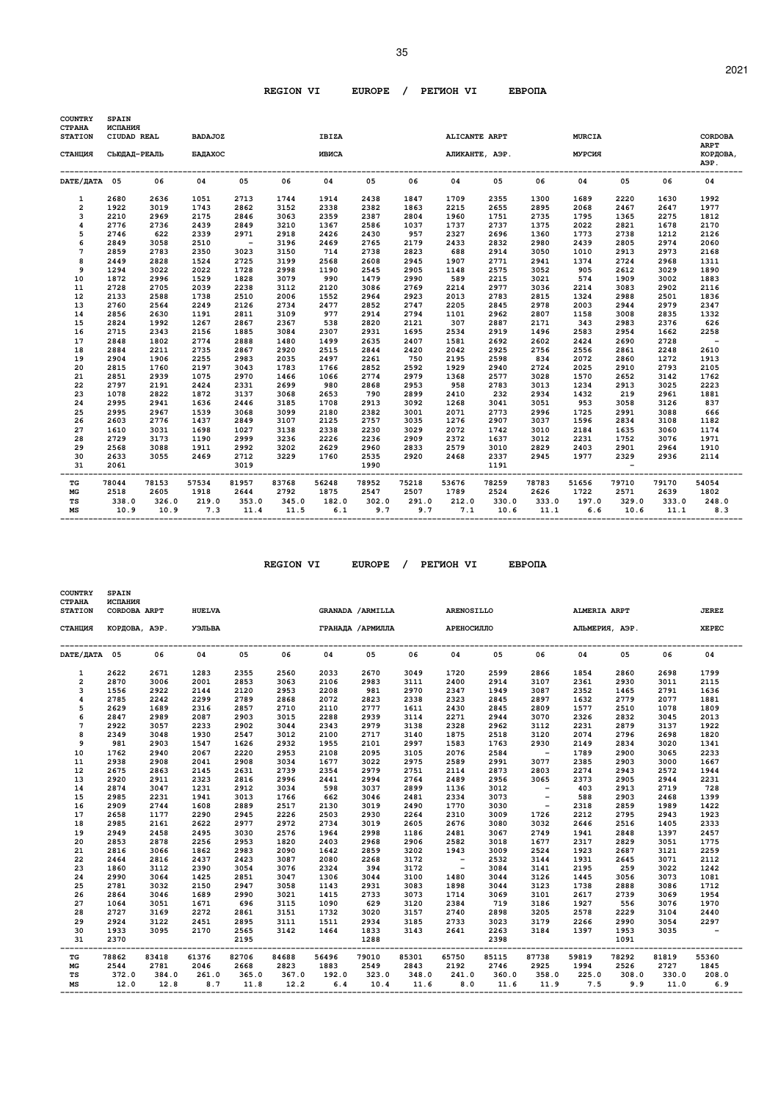| <b>COUNTRY</b><br><b>CTPAHA</b> | <b>SPAIN</b><br>ИСПАНИЯ     |       |                                  |            |       |                       |       |       |               |                         |       |                                |       |       |                               |
|---------------------------------|-----------------------------|-------|----------------------------------|------------|-------|-----------------------|-------|-------|---------------|-------------------------|-------|--------------------------------|-------|-------|-------------------------------|
| <b>STATION</b><br>СТАНЦИЯ       | CIUDAD REAL<br>СЬЮДАД-РЕАЛЬ |       | <b>BADAJOZ</b><br><b>EAIAXOC</b> |            |       | <b>IBIZA</b><br>ИВИСА |       |       | ALICANTE ARPT | АЛИКАНТЕ, АЭР.          |       | <b>MURCIA</b><br><b>MYPCMR</b> |       |       | <b>CORDOBA</b><br><b>ARPT</b> |
|                                 |                             |       |                                  |            |       |                       |       |       |               |                         |       |                                |       |       | КОРДОВА,<br>АЭР.              |
| DATE/ДАТА 05                    |                             | 06    | 04                               | 05         | 06    | 04                    | 05    | 06    | 04            | 05                      | 06    | 04                             | 05    | 06    | 04                            |
| $\mathbf{1}$                    | 2680                        | 2636  | 1051                             | 2713       | 1744  | 1914                  | 2438  | 1847  | 1709          | 2355                    | 1300  | 1689                           | 2220  | 1630  | 1992                          |
| 2                               | 1922                        | 3019  | 1743                             | 2862       | 3152  | 2338                  | 2382  | 1863  | 2215          | 2655                    | 2895  | 2068                           | 2467  | 2647  | 1977                          |
| 3                               | 2210                        | 2969  | 2175                             | 2846       | 3063  | 2359                  | 2387  | 2804  | 1960          | 1751                    | 2735  | 1795                           | 1365  | 2275  | 1812                          |
| 4                               | 2776                        | 2736  | 2439                             | 2849       | 3210  | 1367                  | 2586  | 1037  | 1737          | 2737                    | 1375  | 2022                           | 2821  | 1678  | 2170                          |
| 5                               | 2746                        | 622   | 2339                             | 2971       | 2918  | 2426                  | 2430  | 957   | 2327          | 2696                    | 1360  | 1773                           | 2738  | 1212  | 2126                          |
| 6                               | 2849                        | 3058  | 2510                             | $\sim$ $-$ | 3196  | 2469                  | 2765  | 2179  | 2433          | 2832                    | 2980  | 2439                           | 2805  | 2974  | 2060                          |
| 7                               | 2859                        | 2783  | 2350                             | 3023       | 3150  | 714                   | 2738  | 2823  | 688           | 2914                    | 3050  | 1010                           | 2913  | 2973  | 2168                          |
| 8                               | 2449                        | 2828  | 1524                             | 2725       | 3199  | 2568                  | 2608  | 2945  | 1907          | 2771                    | 2941  | 1374                           | 2724  | 2968  | 1311                          |
| 9                               | 1294                        | 3022  | 2022                             | 1728       | 2998  | 1190                  | 2545  | 2905  | 1148          | 2575                    | 3052  | 905                            | 2612  | 3029  | 1890                          |
| 10                              | 1872                        | 2996  | 1529                             | 1828       | 3079  | 990                   | 1479  | 2990  | 589           | 2215                    | 3021  | 574                            | 1909  | 3002  | 1883                          |
| 11                              | 2728                        | 2705  | 2039                             | 2238       | 3112  | 2120                  | 3086  | 2769  | 2214          | 2977                    | 3036  | 2214                           | 3083  | 2902  | 2116                          |
| 12                              | 2133                        | 2588  | 1738                             | 2510       | 2006  | 1552                  | 2964  | 2923  | 2013          | 2783                    | 2815  | 1324                           | 2988  | 2501  | 1836                          |
| 13                              | 2760                        | 2564  | 2249                             | 2126       | 2734  | 2477                  | 2852  | 2747  | 2205          | 2845                    | 2978  | 2003                           | 2944  | 2979  | 2347                          |
| 14                              | 2856                        | 2630  | 1191                             | 2811       | 3109  | 977                   | 2914  | 2794  | 1101          | 2962                    | 2807  | 1158                           | 3008  | 2835  | 1332                          |
| 15                              | 2824                        | 1992  | 1267                             | 2867       | 2367  | 538                   | 2820  | 2121  | 307           | 2887                    | 2171  | 343                            | 2983  | 2376  | 626                           |
| 16                              | 2715                        | 2343  | 2156                             | 1885       | 3084  | 2307                  | 2931  | 1695  | 2534          | 2919                    | 1496  | 2583                           | 2954  | 1662  | 2258                          |
| 17                              | 2848                        | 1802  | 2774                             | 2888       | 1480  | 1499                  | 2635  | 2407  | 1581          | 2692                    | 2602  | 2424                           | 2690  | 2728  | $\overline{\phantom{0}}$      |
| 18                              | 2884                        | 2211  | 2735                             | 2867       | 2920  | 2515                  | 2844  | 2420  | 2042          | 2925                    | 2756  | 2556                           | 2861  | 2248  | 2610                          |
| 19                              | 2904                        | 1906  | 2255                             | 2983       | 2035  | 2497                  | 2261  | 750   | 2195          | 2598                    | 834   | 2072                           | 2860  | 1272  | 1913                          |
| 20                              | 2815                        | 1760  | 2197                             | 3043       | 1783  | 1766                  | 2852  | 2592  | 1929          | 2940                    | 2724  | 2025                           | 2910  | 2793  | 2105                          |
| 21                              | 2851                        | 2939  | 1075                             | 2970       | 1466  | 1066                  | 2774  | 2979  | 1368          | 2577                    | 3028  | 1570                           | 2652  | 3142  | 1762                          |
| 22                              | 2797                        | 2191  | 2424                             | 2331       | 2699  | 980                   | 2868  | 2953  | 958           | 2783                    | 3013  | 1234                           | 2913  | 3025  | 2223                          |
| 23                              | 1078                        | 2822  | 1872                             | 3137       | 3068  | 2653                  | 790   | 2899  | 2410          | 232                     | 2934  | 1432                           | 219   | 2961  | 1881                          |
| 24                              | 2995                        | 2941  | 1636                             | 2446       | 3185  | 1708                  | 2913  | 3092  | 1268          | 3041                    | 3051  | 953                            | 3058  | 3126  | 837                           |
| 25                              | 2995                        | 2967  | 1539                             | 3068       | 3099  | 2180                  | 2382  | 3001  | 2071          | 2773                    | 2996  | 1725                           | 2991  | 3088  | 666                           |
| 26                              | 2603                        | 2776  | 1437                             | 2849       | 3107  | 2125                  | 2757  | 3035  | 1276          | 2907                    | 3037  | 1596                           | 2834  | 3108  | 1182                          |
| 27                              | 1610                        | 3031  | 1698                             | 1027       | 3138  | 2338                  | 2230  | 3029  | 2072          | 1742                    | 3010  | 2184                           | 1635  | 3060  | 1174                          |
| 28                              | 2729                        | 3173  | 1190                             | 2999       | 3236  | 2226                  | 2236  | 2909  | 2372          | 1637                    | 3012  | 2231                           | 1752  | 3076  | 1971                          |
| 29                              | 2568                        | 3088  | 1911                             | 2992       | 3202  | 2629                  | 2960  | 2833  | 2579          | 3010                    | 2829  | 2403                           | 2901  | 2964  | 1910                          |
| 30                              | 2633                        | 3055  | 2469                             | 2712       | 3229  | 1760                  | 2535  | 2920  | 2468          | 2337                    | 2945  | 1977                           | 2329  | 2936  | 2114                          |
| 31                              | 2061                        |       |                                  | 3019       |       |                       | 1990  |       |               | 1191                    |       |                                |       |       |                               |
| TG                              | 78044                       | 78153 | 57534                            | 81957      | 83768 | 56248                 | 78952 | 75218 | 53676         | --------------<br>78259 | 78783 | 51656                          | 79710 | 79170 | 54054                         |
| MG                              | 2518                        | 2605  | 1918                             | 2644       | 2792  | 1875                  | 2547  | 2507  | 1789          | 2524                    | 2626  | 1722                           | 2571  | 2639  | 1802                          |
| TS                              | 338.0                       | 326.0 | 219.0                            | 353.0      | 345.0 | 182.0                 | 302.0 | 291.0 | 212.0         | 330.0                   | 333.0 | 197.0                          | 329.0 | 333.0 | 248.0                         |
| MS                              | 10.9                        | 10.9  | 7.3                              | 11.4       | 11.5  | 6.1                   | 9.7   | 9.7   | 7.1           | 10.6                    | 11.1  | 6.6                            | 10.6  | 11.1  | 8.3                           |

| <b>COUNTRY</b><br><b>CTPAHA</b><br><b>STATION</b> | <b>SPAIN</b><br>ИСПАНИЯ<br>CORDOBA ARPT |       | <b>HUELVA</b> |       |       |                             | GRANADA / ARMILLA |       | <b>ARENOSILLO</b> |            |                | ALMERIA ARPT |             |       | <b>JEREZ</b>  |
|---------------------------------------------------|-----------------------------------------|-------|---------------|-------|-------|-----------------------------|-------------------|-------|-------------------|------------|----------------|--------------|-------------|-------|---------------|
| СТАНЦИЯ                                           | КОРДОВА, АЭР.                           |       | УЭЛЬВА        |       |       |                             | ГРАНАДА /АРМИЛЛА  |       | АРЕНОСИЛЛО        |            | АЛЬМЕРИЯ, АЭР. |              |             |       | <b>XEPEC</b>  |
| DATE/HATA 05                                      |                                         | 06    | 04            | 05    | 06    | 04                          | 05                | 06    | 04                | 05         | 06             | 04           | 05          | 06    | 04            |
| $\mathbf{1}$                                      | 2622                                    | 2671  | 1283          | 2355  | 2560  | 2033                        | 2670              | 3049  | 1720              | 2599       | 2866           | 1854         | 2860        | 2698  | 1799          |
| $\overline{2}$                                    | 2870                                    | 3006  | 2001          | 2853  | 3063  | 2106                        | 2983              | 3111  | 2400              | 2914       | 3107           | 2361         | 2930        | 3011  | 2115          |
| 3                                                 | 1556                                    | 2922  | 2144          | 2120  | 2953  | 2208                        | 981               | 2970  | 2347              | 1949       | 3087           | 2352         | 1465        | 2791  | 1636          |
| 4                                                 | 2785                                    | 2242  | 2299          | 2789  | 2868  | 2072                        | 2823              | 2338  | 2323              | 2845       | 2897           | 1632         | 2779        | 2077  | 1881          |
| 5                                                 | 2629                                    | 1689  | 2316          | 2857  | 2710  | 2110                        | 2777              | 1611  | 2430              | 2845       | 2809           | 1577         | 2510        | 1078  | 1809          |
| 6                                                 | 2847                                    | 2989  | 2087          | 2903  | 3015  | 2288                        | 2939              | 3114  | 2271              | 2944       | 3070           | 2326         | 2832        | 3045  | 2013          |
| $\overline{7}$                                    | 2922                                    | 3057  | 2233          | 2902  | 3044  | 2343                        | 2979              | 3138  | 2328              | 2962       | 3112           | 2231         | 2879        | 3137  | 1922          |
| 8                                                 | 2349                                    | 3048  | 1930          | 2547  | 3012  | 2100                        | 2717              | 3140  | 1875              | 2518       | 3120           | 2074         | 2796        | 2698  | 1820          |
| 9                                                 | 981                                     | 2903  | 1547          | 1626  | 2932  | 1955                        | 2101              | 2997  | 1583              | 1763       | 2930           | 2149         | 2834        | 3020  | 1341          |
| 10                                                | 1762                                    | 2940  | 2067          | 2220  | 2953  | 2108                        | 2095              | 3105  | 2076              | 2584       | $\sim$         | 1789         | 2900        | 3065  | 2233          |
| 11                                                | 2938                                    | 2908  | 2041          | 2908  | 3034  | 1677                        | 3022              | 2975  | 2589              | 2991       | 3077           | 2385         | 2903        | 3000  | 1667          |
| 12                                                | 2675                                    | 2863  | 2145          | 2631  | 2739  | 2354                        | 2979              | 2751  | 2114              | 2873       | 2803           | 2274         | 2943        | 2572  | 1944          |
| 13                                                | 2920                                    | 2911  | 2323          | 2816  | 2996  | 2441                        | 2994              | 2764  | 2489              | 2956       | 3065           | 2373         | 2905        | 2944  | 2231          |
| 14                                                | 2874                                    | 3047  | 1231          | 2912  | 3034  | 598                         | 3037              | 2899  | 1136              | 3012       | $\sim$ $-$     | 403          | 2913        | 2719  | 728           |
| 15                                                | 2985                                    | 2231  | 1941          | 3013  | 1766  | 662                         | 3046              | 2481  | 2334              | 3073       | $\sim$ $-$     | 588          | 2903        | 2468  | 1399          |
| 16                                                | 2909                                    | 2744  | 1608          | 2889  | 2517  | 2130                        | 3019              | 2490  | 1770              | 3030       | $\sim$ $-$     | 2318         | 2859        | 1989  | 1422          |
| 17                                                | 2658                                    | 1177  | 2290          | 2945  | 2226  | 2503                        | 2930              | 2264  | 2310              | 3009       | 1726           | 2212         | 2795        | 2943  | 1923          |
| 18                                                | 2985                                    | 2161  | 2622          | 2977  | 2972  | 2734                        | 3019              | 2605  | 2676              | 3080       | 3032           | 2646         | 2516        | 1405  | 2333          |
| 19                                                | 2949                                    | 2458  | 2495          | 3030  | 2576  | 1964                        | 2998              | 1186  | 2481              | 3067       | 2749           | 1941         | 2848        | 1397  | 2457          |
| 20                                                | 2853                                    | 2878  | 2256          | 2953  | 1820  | 2403                        | 2968              | 2906  | 2582              | 3018       | 1677           | 2317         | 2829        | 3051  | 1775          |
| 21                                                | 2816                                    | 3066  | 1862          | 2983  | 2090  | 1642                        | 2859              | 3202  | 1943              | 3009       | 2524           | 1923         | 2687        | 3121  | 2259          |
| 22                                                | 2464                                    | 2816  | 2437          | 2423  | 3087  | 2080                        | 2268              | 3172  | $\sim$ $ -$       | 2532       | 3144           | 1931         | 2645        | 3071  | 2112          |
| 23                                                | 1860                                    | 3112  | 2390          | 3054  | 3076  | 2324                        | 394               | 3172  | $\sim$ $-$        | 3084       | 3141           | 2195         | 259         | 3022  | 1242          |
| 24                                                | 2990                                    | 3064  | 1425          | 2851  | 3047  | 1306                        | 3044              | 3100  | 1480              | 3044       | 3126           | 1445         | 3056        | 3073  | 1081          |
| 25                                                | 2781                                    | 3032  | 2150          | 2947  | 3058  | 1143                        | 2931              | 3083  | 1898              | 3044       | 3123           | 1738         | 2888        | 3086  | 1712          |
| 26                                                | 2864                                    | 3046  | 1689          | 2990  | 3021  | 1415                        | 2733              | 3073  | 1714              | 3069       | 3101           | 2617         | 2739        | 3069  | 1954          |
| 27                                                | 1064                                    | 3051  | 1671          | 696   | 3115  | 1090                        | 629               | 3120  | 2384              | 719        | 3186           | 1927         | 556         | 3076  | 1970          |
| 28                                                | 2727                                    | 3169  | 2272          | 2861  | 3151  | 1732                        | 3020              | 3157  | 2740              | 2898       | 3205           | 2578         | 2229        | 3104  | 2440          |
| 29                                                | 2924                                    | 3122  | 2451          | 2895  | 3111  | 1511                        | 2934              | 3185  | 2733              | 3023       | 3179           | 2266         | 2990        | 3054  | 2297          |
| 30                                                | 1933                                    | 3095  | 2170          | 2565  | 3142  | 1464                        | 1833              | 3143  | 2641              | 2263       | 3184           | 1397         | 1953        | 3035  | $\sim$ $\sim$ |
| 31<br>------                                      | 2370                                    |       |               | 2195  |       | --------------------------- | 1288              |       |                   | 2398       |                |              | 1091        |       |               |
| TG                                                | 78862                                   | 83418 | 61376         | 82706 | 84688 | 56496                       | 79010             | 85301 | 65750             | 85115      | 87738          | 59819        | 78292       | 81819 | 55360         |
| МG                                                | 2544                                    | 2781  | 2046          | 2668  | 2823  | 1883                        | 2549              | 2843  | 2192              | 2746       | 2925           | 1994         | 2526        | 2727  | 1845          |
| TS                                                | 372.0                                   | 384.0 | 261.0         | 365.0 | 367.0 | 192.0                       | 323.0             | 348.0 | 241.0             | 360.0      | 358.0          |              | 225.0 308.0 | 330.0 | 208.0         |
| MS                                                | 12.0                                    | 12.8  | $8.7$ 11.8    |       | 12.2  |                             | $6.4$ 10.4        | 11.6  |                   | $8.0$ 11.6 | 11.9           |              | 7.5 9.9     | 11.0  | 6.9           |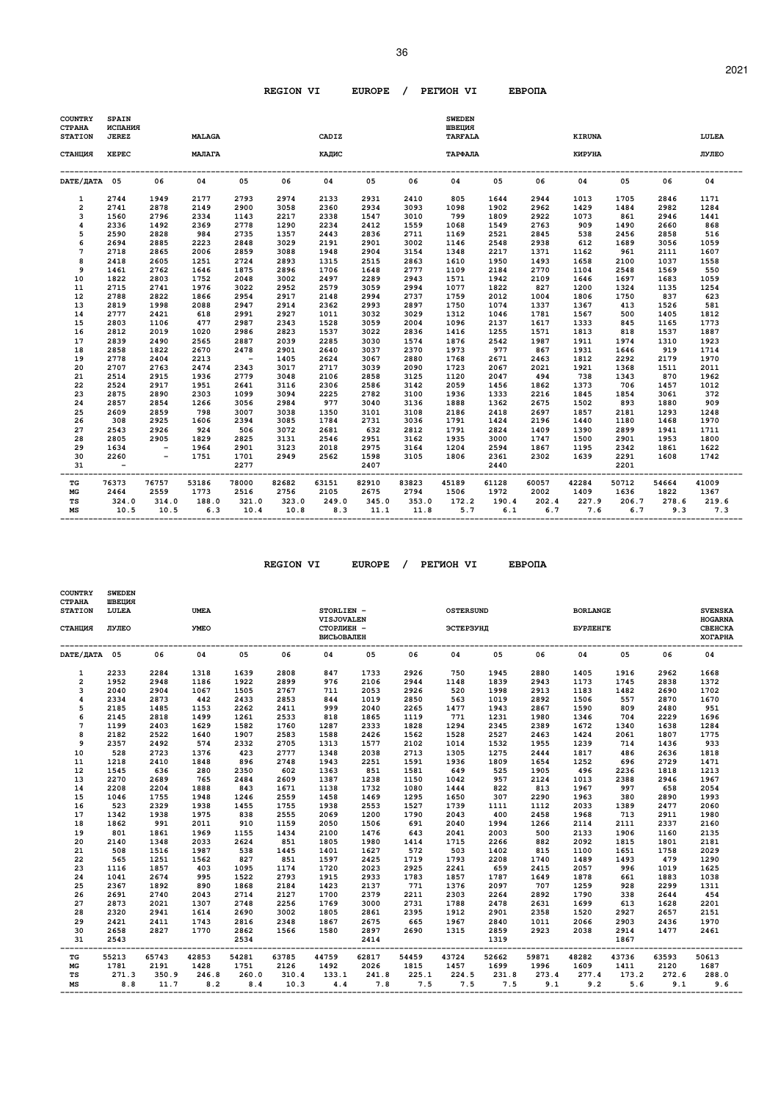| <b>COUNTRY</b><br><b>CTPAHA</b><br><b>STATION</b> | <b>SPAIN</b><br>ИСПАНИЯ<br><b>JEREZ</b> |               | <b>MALAGA</b> |                          |               | CADIZ        |                |               | <b>SWEDEN</b><br>ШВЕЦИЯ<br><b>TARFALA</b> |                 |              | <b>KIRUNA</b>    |                  |              | LULEA         |
|---------------------------------------------------|-----------------------------------------|---------------|---------------|--------------------------|---------------|--------------|----------------|---------------|-------------------------------------------|-----------------|--------------|------------------|------------------|--------------|---------------|
| СТАНЦИЯ                                           | <b>XEPEC</b>                            |               | МАЛАГА        |                          |               | КАДИС        |                |               | ТАРФАЛА                                   |                 |              | КИРУНА           |                  |              | <b>JIANEO</b> |
| DATE/ДАТА 05                                      |                                         | 06            | 04            | 05                       | 06            | 04           | 05             | 06            | 04                                        | 05              | 06           | 04               | 05               | 06           | 04            |
| 1                                                 | 2744                                    | 1949          | 2177          | 2793                     | 2974          | 2133         | 2931           | 2410          | 805                                       | 1644            | 2944         | 1013             | 1705             | 2846         | 1171          |
| $\overline{2}$                                    | 2741                                    | 2878          | 2149          | 2900                     | 3058          | 2360         | 2934           | 3093          | 1098                                      | 1902            | 2962         | 1429             | 1484             | 2982         | 1284          |
| 3                                                 | 1560                                    | 2796          | 2334          | 1143                     | 2217          | 2338         | 1547           | 3010          | 799                                       | 1809            | 2922         | 1073             | 861              | 2946         | 1441          |
| 4                                                 | 2336                                    | 1492          | 2369          | 2778                     | 1290          | 2234         | 2412           | 1559          | 1068                                      | 1549            | 2763         | 909              | 1490             | 2660         | 868           |
| 5                                                 | 2590                                    | 2828          | 984           | 2735                     | 1357          | 2443         | 2836           | 2711          | 1169                                      | 2521            | 2845         | 538              | 2456             | 2858         | 516           |
| 6                                                 | 2694                                    | 2885          | 2223          | 2848                     | 3029          | 2191         | 2901           | 3002          | 1146                                      | 2548            | 2938         | 612              | 1689             | 3056         | 1059          |
| $\overline{7}$                                    | 2718                                    | 2865          | 2006          | 2859                     | 3088          | 1948         | 2904           | 3154          | 1348                                      | 2217            | 1371         | 1162             | 961              | 2111         | 1607          |
| 8                                                 | 2418                                    | 2605          | 1251          | 2724                     | 2893          | 1315         | 2515           | 2863          | 1610                                      | 1950            | 1493         | 1658             | 2100             | 1037         | 1558          |
| 9                                                 | 1461                                    | 2762          | 1646          | 1875                     | 2896          | 1706         | 1648           | 2777          | 1109                                      | 2184            | 2770         | 1104             | 2548             | 1569         | 550           |
| 10                                                | 1822                                    | 2803          | 1752          | 2048                     | 3002          | 2497         | 2289           | 2943          | 1571                                      | 1942            | 2109         | 1646             | 1697             | 1683         | 1059          |
| 11                                                | 2715                                    | 2741          | 1976          | 3022                     | 2952          | 2579         | 3059           | 2994          | 1077                                      | 1822            | 827          | 1200             | 1324             | 1135         | 1254          |
| 12                                                | 2788                                    | 2822          | 1866          | 2954                     | 2917          | 2148         | 2994           | 2737          | 1759                                      | 2012            | 1004         | 1806             | 1750             | 837          | 623           |
| 13                                                | 2819                                    | 1998          | 2088          | 2947                     | 2914          | 2362         | 2993           | 2897          | 1750                                      | 1074            | 1337         | 1367             | 413              | 1526         | 581           |
| 14                                                | 2777                                    | 2421          | 618           | 2991                     | 2927          | 1011         | 3032           | 3029          | 1312                                      | 1046            | 1781         | 1567             | 500              | 1405         | 1812          |
| 15                                                | 2803                                    | 1106          | 477           | 2987                     | 2343          | 1528         | 3059           | 2004          | 1096                                      | 2137            | 1617         | 1333             | 845              | 1165         | 1773          |
| 16                                                | 2812                                    | 2019          | 1020          | 2986                     | 2823          | 1537         | 3022           | 2836          | 1416                                      | 1255            | 1571         | 1813             | 818              | 1537         | 1887          |
| 17                                                | 2839                                    | 2490          | 2565          | 2887                     | 2039          | 2285         | 3030           | 1574          | 1876                                      | 2542            | 1987         | 1911             | 1974             | 1310         | 1923          |
| 18                                                | 2858                                    | 1822          | 2670          | 2478                     | 2901          | 2640         | 3037           | 2370          | 1973                                      | 977             | 867          | 1931             | 1646             | 919          | 1714          |
| 19                                                | 2778                                    | 2404          | 2213          | $\overline{\phantom{a}}$ | 1405          | 2624         | 3067           | 2880          | 1768                                      | 2671            | 2463         | 1812             | 2292             | 2179         | 1970          |
| 20                                                | 2707                                    | 2763          | 2474          | 2343                     | 3017          | 2717         | 3039           | 2090          | 1723                                      | 2067            | 2021         | 1921             | 1368             | 1511         | 2011          |
| 21                                                | 2514                                    | 2915          | 1936          | 2779                     | 3048          | 2106         | 2858           | 3125          | 1120                                      | 2047            | 494          | 738              | 1343             | 870          | 1962          |
| 22                                                | 2524                                    | 2917          | 1951          | 2641                     | 3116          | 2306         | 2586           | 3142          | 2059                                      | 1456            | 1862         | 1373             | 706              | 1457         | 1012          |
| 23                                                | 2875                                    | 2890          | 2303          | 1099                     | 3094          | 2225         | 2782           | 3100          | 1936                                      | 1333            | 2216         | 1845             | 1854             | 3061         | 372           |
| 24                                                | 2857                                    | 2854          | 1266          | 3056                     | 2984          | 977          | 3040           | 3136          | 1888                                      | 1362            | 2675         | 1502             | 893              | 1880         | 909           |
| 25                                                | 2609                                    | 2859          | 798           | 3007                     | 3038          | 1350         | 3101           | 3108          | 2186                                      | 2418            | 2697         | 1857             | 2181             | 1293         | 1248          |
| 26                                                | 308                                     | 2925          | 1606          | 2394                     | 3085          | 1784         | 2731           | 3036          | 1791                                      | 1424            | 2196         | 1440             | 1180             | 1468         | 1970          |
| 27                                                | 2543                                    | 2926          | 924           | 506                      | 3072          | 2681         | 632            | 2812          | 1791                                      | 2824            | 1409         | 1390             | 2899             | 1941         | 1711          |
| 28                                                | 2805                                    | 2905          | 1829          | 2825                     | 3131          | 2546         | 2951           | 3162          | 1935                                      | 3000            | 1747         | 1500             | 2901             | 1953         | 1800          |
| 29                                                | 1634                                    | $\sim$        | 1964          | 2901                     | 3123          | 2018         | 2975           | 3164          | 1204                                      | 2594            | 1867         | 1195             | 2342             | 1861         | 1622          |
| 30<br>31                                          | 2260<br>$\overline{\phantom{a}}$        | $-$           | 1751          | 1701<br>2277             | 2949          | 2562         | 1598<br>2407   | 3105          | 1806                                      | 2361<br>2440    | 2302         | 1639             | 2291<br>2201     | 1608         | 1742          |
| $_{\rm TG}$                                       | 76373                                   | 76757         | 53186         | 78000                    | 82682         | 63151        | -----<br>82910 | 83823         | 45189                                     | ------<br>61128 | 60057        | -------<br>42284 | -------<br>50712 | 54664        | 41009         |
| МG                                                | 2464                                    | 2559          | 1773          | 2516                     | 2756          | 2105         | 2675           | 2794          | 1506                                      | 1972            | 2002         | 1409             | 1636             | 1822         | 1367          |
| TS<br>MS                                          | 324.0<br>10.5                           | 314.0<br>10.5 | 188.0<br>6.3  | 321.0<br>10.4            | 323.0<br>10.8 | 249.0<br>8.3 | 345.0<br>11.1  | 353.0<br>11.8 | 172.2<br>5.7                              | 190.4<br>6.1    | 202.4<br>6.7 | 227.9<br>7.6     | 206.7<br>6.7     | 278.6<br>9.3 | 219.6<br>7.3  |

| <b>COUNTRY</b><br><b>CTPAHA</b><br><b>STATION</b><br>СТАНЦИЯ | <b>SWEDEN</b><br>ШВЕЦИЯ<br>LULEA<br>ЛУЛЕО |       | <b>UMEA</b><br><b>YMEO</b> |                   |       | STORLIEN -<br><b>VISJOVALEN</b><br>СТОРЛИЕН - |       |                             | <b>OSTERSUND</b><br>ЭСТЕРЗУНД |                                              |       | <b>BORLANGE</b><br><b><i>EYPJIEHTE</i></b> |       |                    | <b>SVENSKA</b><br><b>HOGARNA</b><br>CBEHCKA |
|--------------------------------------------------------------|-------------------------------------------|-------|----------------------------|-------------------|-------|-----------------------------------------------|-------|-----------------------------|-------------------------------|----------------------------------------------|-------|--------------------------------------------|-------|--------------------|---------------------------------------------|
|                                                              |                                           |       |                            |                   |       | <b>ВИСЬОВАЛЕН</b>                             |       |                             |                               |                                              |       |                                            |       |                    | <b>XOTAPHA</b>                              |
| DATE/ДАТА 05                                                 |                                           | 06    | 04                         | 05                | 06    | 04                                            | 05    | 06                          | 04                            | 05                                           | 06    | 04                                         | 05    | 06                 | 04                                          |
| $\mathbf{1}$                                                 | 2233                                      | 2284  | 1318                       | 1639              | 2808  | 847                                           | 1733  | 2926                        | 750                           | 1945                                         | 2880  | 1405                                       | 1916  | 2962               | 1668                                        |
| $\overline{a}$                                               | 1952                                      | 2948  | 1186                       | 1922              | 2899  | 976                                           | 2106  | 2944                        | 1148                          | 1839                                         | 2943  | 1173                                       | 1745  | 2838               | 1372                                        |
| 3                                                            | 2040                                      | 2904  | 1067                       | 1505              | 2767  | 711                                           | 2053  | 2926                        | 520                           | 1998                                         | 2913  | 1183                                       | 1482  | 2690               | 1702                                        |
| 4                                                            | 2334                                      | 2873  | 442                        | 2433              | 2853  | 844                                           | 1019  | 2850                        | 563                           | 1019                                         | 2892  | 1506                                       | 557   | 2870               | 1670                                        |
| 5                                                            | 2185                                      | 1485  | 1153                       | 2262              | 2411  | 999                                           | 2040  | 2265                        | 1477                          | 1943                                         | 2867  | 1590                                       | 809   | 2480               | 951                                         |
| 6                                                            | 2145                                      | 2818  | 1499                       | 1261              | 2533  | 818                                           | 1865  | 1119                        | 771                           | 1231                                         | 1980  | 1346                                       | 704   | 2229               | 1696                                        |
| $\overline{7}$                                               | 1199                                      | 2403  | 1629                       | 1582              | 1760  | 1287                                          | 2333  | 1828                        | 1294                          | 2345                                         | 2389  | 1672                                       | 1340  | 1638               | 1284                                        |
| 8                                                            | 2182                                      | 2522  | 1640                       | 1907              | 2583  | 1588                                          | 2426  | 1562                        | 1528                          | 2527                                         | 2463  | 1424                                       | 2061  | 1807               | 1775                                        |
| 9                                                            | 2357                                      | 2492  | 574                        | 2332              | 2705  | 1313                                          | 1577  | 2102                        | 1014                          | 1532                                         | 1955  | 1239                                       | 714   | 1436               | 933                                         |
| 10                                                           | 528                                       | 2723  | 1376                       | 423               | 2777  | 1348                                          | 2038  | 2713                        | 1305                          | 1275                                         | 2444  | 1817                                       | 486   | 2636               | 1818                                        |
| 11                                                           | 1218                                      | 2410  | 1848                       | 896               | 2748  | 1943                                          | 2251  | 1591                        | 1936                          | 1809                                         | 1654  | 1252                                       | 696   | 2729               | 1471                                        |
| 12                                                           | 1545                                      | 636   | 280                        | 2350              | 602   | 1363                                          | 851   | 1581                        | 649                           | 525                                          | 1905  | 496                                        | 2236  | 1818               | 1213                                        |
| 13                                                           | 2270                                      | 2689  | 765                        | 2484              | 2609  | 1387                                          | 1238  | 1150                        | 1042                          | 957                                          | 2124  | 1013                                       | 2388  | 2946               | 1967                                        |
| 14                                                           | 2208                                      | 2204  | 1888                       | 843               | 1671  | 1138                                          | 1732  | 1080                        | 1444                          | 822                                          | 813   | 1967                                       | 997   | 658                | 2054                                        |
| 15                                                           | 1046                                      | 1755  | 1948                       | 1246              | 2559  | 1458                                          | 1469  | 1295                        | 1650                          | 307                                          | 2290  | 1963                                       | 380   | 2890               | 1993                                        |
| 16                                                           | 523                                       | 2329  | 1938                       | 1455              | 1755  | 1938                                          | 2553  | 1527                        | 1739                          | 1111                                         | 1112  | 2033                                       | 1389  | 2477               | 2060                                        |
| 17                                                           | 1342                                      | 1938  | 1975                       | 838               | 2555  | 2069                                          | 1200  | 1790                        | 2043                          | 400                                          | 2458  | 1968                                       | 713   | 2911               | 1980                                        |
| 18                                                           | 1862                                      | 991   | 2011                       | 910               | 1159  | 2050                                          | 1506  | 691                         | 2040                          | 1994                                         | 1266  | 2114                                       | 2111  | 2337               | 2160                                        |
| 19                                                           | 801                                       | 1861  | 1969                       | 1155              | 1434  | 2100                                          | 1476  | 643                         | 2041                          | 2003                                         | 500   | 2133                                       | 1906  | 1160               | 2135                                        |
| 20                                                           | 2140                                      | 1348  | 2033                       | 2624              | 851   | 1805                                          | 1980  | 1414                        | 1715                          | 2266                                         | 882   | 2092                                       | 1815  | 1801               | 2181                                        |
| 21                                                           | 508                                       | 1516  | 1987                       | 538               | 1445  | 1401                                          | 1627  | 572                         | 503                           | 1402                                         | 815   | 1100                                       | 1651  | 1758               | 2029                                        |
| 22                                                           | 565                                       | 1251  | 1562                       | 827               | 851   | 1597                                          | 2425  | 1719                        | 1793                          | 2208                                         | 1740  | 1489                                       | 1493  | 479                | 1290                                        |
| 23                                                           | 1116                                      | 1857  | 403                        | 1095              | 1174  | 1720                                          | 2023  | 2925                        | 2241                          | 659                                          | 2415  | 2057                                       | 996   | 1019               | 1625                                        |
| 24                                                           | 1041                                      | 2674  | 995                        | 1522              | 2793  | 1915                                          | 2933  | 1783                        | 1857                          | 1787                                         | 1649  | 1878                                       | 661   | 1883               | 1038                                        |
| 25                                                           | 2367                                      | 1892  | 890                        | 1868              | 2184  | 1423                                          | 2137  | 771                         | 1376                          | 2097                                         | 707   | 1259                                       | 928   | 2299               | 1311                                        |
| 26                                                           | 2691                                      | 2740  | 2043                       | 2714              | 2127  | 1700                                          | 2379  | 2211                        | 2303                          | 2264                                         | 2892  | 1790                                       | 338   | 2644               | 454                                         |
| 27                                                           | 2873                                      | 2021  | 1307                       | 2748              | 2256  | 1769                                          | 3000  | 2731                        | 1788                          | 2478                                         | 2631  | 1699                                       | 613   | 1628               | 2201                                        |
| 28                                                           | 2320                                      | 2941  | 1614                       | 2690              | 3002  | 1805                                          | 2861  | 2395                        | 1912                          | 2901                                         | 2358  | 1520                                       | 2927  | 2657               | 2151                                        |
| 29                                                           | 2421                                      | 2411  | 1743                       | 2816              | 2348  | 1867                                          | 2675  | 665                         | 1967                          | 2840                                         | 1011  | 2066                                       | 2903  | 2436               | 1970                                        |
| 30                                                           | 2658                                      | 2827  | 1770                       | 2862              | 1566  | 1580                                          | 2897  | 2690                        | 1315                          | 2859                                         | 2923  | 2038                                       | 2914  | 1477               | 2461                                        |
| 31<br>---                                                    | 2543                                      |       | ------------------         | 2534<br>--------- |       |                                               | 2414  | --------------------------- |                               | 1319<br>------------------------------------ |       |                                            | 1867  | ------------------ |                                             |
| TG                                                           | 55213                                     | 65743 | 42853                      | 54281             | 63785 | 44759                                         | 62817 | 54459                       | 43724                         | 52662                                        | 59871 | 48282                                      | 43736 | 63593              | 50613                                       |
| МG                                                           | 1781                                      | 2191  | 1428                       | 1751              | 2126  | 1492                                          | 2026  | 1815                        | 1457                          | 1699                                         | 1996  | 1609                                       | 1411  | 2120               | 1687                                        |
| TS                                                           | 271.3                                     | 350.9 | 246.8                      | 260.0             | 310.4 | 133.1                                         | 241.8 | 225.1                       | 224.5                         | 231.8                                        | 273.4 | 277.4                                      | 173.2 | 272.6              | 288.0                                       |
| MS                                                           | 8.8                                       | 11.7  | 8.2                        | 8.4               | 10.3  | 4.4                                           | 7.8   | 7.5                         |                               | 7.5 7.5                                      | 9.1   | 9.2                                        | 5.6   | 9.1                | 9.6                                         |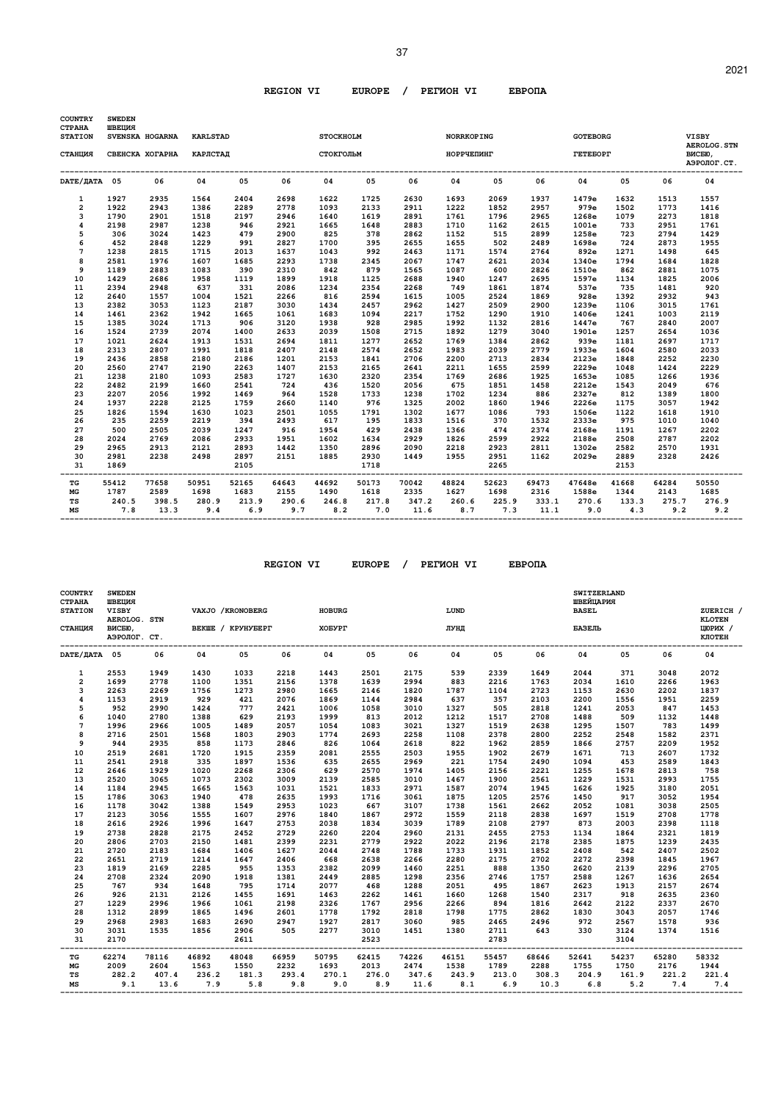| <b>COUNTRY</b><br><b>CTPAHA</b><br><b>STATION</b> | <b>SWEDEN</b><br>ШВЕЦИЯ | SVENSKA HOGARNA | <b>KARLSTAD</b>          |                                       |       | <b>STOCKHOLM</b> |                                               |       | <b>NORRKOPING</b> |              |       | <b>GOTEBORG</b> |                                     |       | <b>VISBY</b>                                 |
|---------------------------------------------------|-------------------------|-----------------|--------------------------|---------------------------------------|-------|------------------|-----------------------------------------------|-------|-------------------|--------------|-------|-----------------|-------------------------------------|-------|----------------------------------------------|
| СТАНЦИЯ                                           |                         |                 | СВЕНСКА ХОГАРНА КАРЛСТАЛ |                                       |       | СТОКГОЛЬМ        |                                               |       | НОРРЧЕПИНГ        |              |       | <b>TETEBOPT</b> |                                     |       | <b>AEROLOG. STN</b><br>ВИСБЮ,<br>АЭРОЛОГ.СТ. |
| DATE/HATA 05                                      |                         | 06              | 04                       | 05                                    | 06    | 04               | 05                                            | 06    | 04                | 05           | 06    | 04              | 05                                  | 06    | 04                                           |
| $\mathbf{1}$                                      | 1927                    | 2935            | 1564                     | 2404                                  | 2698  | 1622             | 1725                                          | 2630  | 1693              | 2069         | 1937  | 1479e           | 1632                                | 1513  | 1557                                         |
| 2                                                 | 1922                    | 2943            | 1386                     | 2289                                  | 2778  | 1093             | 2133                                          | 2911  | 1222              | 1852         | 2957  | 979e            | 1502                                | 1773  | 1416                                         |
| 3                                                 | 1790                    | 2901            | 1518                     | 2197                                  | 2946  | 1640             | 1619                                          | 2891  | 1761              | 1796         | 2965  | 1268e           | 1079                                | 2273  | 1818                                         |
| 4                                                 | 2198                    | 2987            | 1238                     | 946                                   | 2921  | 1665             | 1648                                          | 2883  | 1710              | 1162         | 2615  | 1001e           | 733                                 | 2951  | 1761                                         |
| 5                                                 | 306                     | 3024            | 1423                     | 479                                   | 2900  | 825              | 378                                           | 2862  | 1152              | 515          | 2899  | 1258e           | 723                                 | 2794  | 1429                                         |
| 6                                                 | 452                     | 2848            | 1229                     | 991                                   | 2827  | 1700             | 395                                           | 2655  | 1655              | 502          | 2489  | 1698e           | 724                                 | 2873  | 1955                                         |
| 7                                                 | 1238                    | 2815            | 1715                     | 2013                                  | 1637  | 1043             | 992                                           | 2463  | 1171              | 1574         | 2764  | 892e            | 1271                                | 1498  | 645                                          |
| 8                                                 | 2581                    | 1976            | 1607                     | 1685                                  | 2293  | 1738             | 2345                                          | 2067  | 1747              | 2621         | 2034  | 1340e           | 1794                                | 1684  | 1828                                         |
| 9                                                 | 1189                    | 2883            | 1083                     | 390                                   | 2310  | 842              | 879                                           | 1565  | 1087              | 600          | 2826  | 1510e           | 862                                 | 2881  | 1075                                         |
| 10                                                | 1429                    | 2686            | 1958                     | 1119                                  | 1899  | 1918             | 1125                                          | 2688  | 1940              | 1247         | 2695  | 1597e           | 1134                                | 1825  | 2006                                         |
| 11                                                | 2394                    | 2948            | 637                      | 331                                   | 2086  | 1234             | 2354                                          | 2268  | 749               | 1861         | 1874  | 537e            | 735                                 | 1481  | 920                                          |
| 12                                                | 2640                    | 1557            | 1004                     | 1521                                  | 2266  | 816              | 2594                                          | 1615  | 1005              | 2524         | 1869  | 928e            | 1392                                | 2932  | 943                                          |
| 13                                                | 2382                    | 3053            | 1123                     | 2187                                  | 3030  | 1434             | 2457                                          | 2962  | 1427              | 2509         | 2900  | 1239e           | 1106                                | 3015  | 1761                                         |
| 14                                                | 1461                    | 2362            | 1942                     | 1665                                  | 1061  | 1683             | 1094                                          | 2217  | 1752              | 1290         | 1910  | 1406e           | 1241                                | 1003  | 2119                                         |
| 15                                                | 1385                    | 3024            | 1713                     | 906                                   | 3120  | 1938             | 928                                           | 2985  | 1992              | 1132         | 2816  | 1447e           | 767                                 | 2840  | 2007                                         |
| 16                                                | 1524                    | 2739            | 2074                     | 1400                                  | 2633  | 2039             | 1508                                          | 2715  | 1892              | 1279         | 3040  | 1901e           | 1257                                | 2654  | 1036                                         |
| 17                                                | 1021                    | 2624            | 1913                     | 1531                                  | 2694  | 1811             | 1277                                          | 2652  | 1769              | 1384         | 2862  | 939e            | 1181                                | 2697  | 1717                                         |
| 18                                                | 2313                    | 2807            | 1991                     | 1818                                  | 2407  | 2148             | 2574                                          | 2652  | 1983              | 2039         | 2779  | 1933e           | 1604                                | 2580  | 2033                                         |
| 19                                                | 2436                    | 2858            | 2180                     | 2186                                  | 1201  | 2153             | 1841                                          | 2706  | 2200              | 2713         | 2834  | 2123e           | 1848                                | 2252  | 2230                                         |
| 20                                                | 2560                    | 2747            | 2190                     | 2263                                  | 1407  | 2153             | 2165                                          | 2641  | 2211              | 1655         | 2599  | 2229e           | 1048                                | 1424  | 2229                                         |
| 21                                                | 1238                    | 2180            | 1093                     | 2583                                  | 1727  | 1630             | 2320                                          | 2354  | 1769              | 2686         | 1925  | 1653e           | 1085                                | 1266  | 1936                                         |
| 22                                                | 2482                    | 2199            | 1660                     | 2541                                  | 724   | 436              | 1520                                          | 2056  | 675               | 1851         | 1458  | 2212e           | 1543                                | 2049  | 676                                          |
| 23                                                | 2207                    | 2056            | 1992                     | 1469                                  | 964   | 1528             | 1733                                          | 1238  | 1702              | 1234         | 886   | 2327e           | 812                                 | 1389  | 1800                                         |
| 24                                                | 1937                    | 2228            | 2125                     | 1759                                  | 2660  | 1140             | 976                                           | 1325  | 2002              | 1860         | 1946  | 2226e           | 1175                                | 3057  | 1942                                         |
| 25                                                | 1826                    | 1594            | 1630                     | 1023                                  | 2501  | 1055             | 1791                                          | 1302  | 1677              | 1086         | 793   | 1506e           | 1122                                | 1618  | 1910                                         |
| 26                                                | 235                     | 2259            | 2219                     | 394                                   | 2493  | 617              | 195                                           | 1833  | 1516              | 370          | 1532  | 2333e           | 975                                 | 1010  | 1040                                         |
| 27                                                | 500                     | 2505            | 2039                     | 1247                                  | 916   | 1954             | 429                                           | 2438  | 1366              | 474          | 2374  | 2168e           | 1191                                | 1267  | 2202                                         |
| 28                                                | 2024                    | 2769            | 2086                     | 2933                                  | 1951  | 1602             | 1634                                          | 2929  | 1826              | 2599         | 2922  | 2188e           | 2508                                | 2787  | 2202                                         |
| 29                                                | 2965                    | 2913            | 2121                     | 2893                                  | 1442  | 1350             | 2896                                          | 2090  | 2218              | 2923         | 2811  | 1302e           | 2582                                | 2570  | 1931                                         |
| 30                                                | 2981                    | 2238            | 2498                     | 2897                                  | 2151  | 1885             | 2930                                          | 1449  | 1955              | 2951         | 1162  | 2029e           | 2889                                | 2328  | 2426                                         |
| 31                                                | 1869                    |                 |                          | 2105<br>----------------------------- |       |                  | 1718<br>------------------------------------- |       |                   | 2265         |       |                 | 2153<br>--------------------------- |       |                                              |
| TG                                                | 55412                   | 77658           | 50951                    | 52165                                 | 64643 | 44692            | 50173                                         | 70042 | 48824             | 52623        | 69473 | 47648e          | 41668                               | 64284 | 50550                                        |
| MG                                                | 1787                    | 2589            | 1698                     | 1683                                  | 2155  | 1490             | 1618                                          | 2335  | 1627              | 1698         | 2316  | 1588e           | 1344                                | 2143  | 1685                                         |
| TS                                                | 240.5                   |                 | 398.5 280.9              | 213.9                                 | 290.6 | 246.8            |                                               |       | 217.8 347.2 260.6 | 225.9        |       | 333.1 270.6     | 133.3                               |       | 275.7 276.9                                  |
| МS                                                | 7.8                     | 13.3            | 9.4                      | 6.9                                   | 9.7   | 8.2              | 7.0                                           | 11.6  |                   | 8.7 7.3 11.1 |       | 9.0             | 4.3                                 | 9.2   | 9.2                                          |

 **REGION VI EUROPE / PEГИOH VI EBPOПA** 

| <b>COUNTRY</b><br><b>CTPAHA</b><br><b>STATION</b><br>СТАНЦИЯ | <b>SWEDEN</b><br>ШВЕЦИЯ<br><b>VISBY</b><br>AEROLOG. STN<br>ВИСБЮ, |       |       | VAXJO / KRONOBERG<br>BEKWE / KPYHYBEPT |       | <b>HOBURG</b><br>XOEYPT |       |       | LUND<br>ЛУНД |       |       | SWITZERLAND<br>ШВЕЙЦАРИЯ<br><b>BASEL</b><br>БАЗЕЛЬ |       |       | ZUERICH /<br><b>KLOTEN</b><br>ЦЮРИХ / |
|--------------------------------------------------------------|-------------------------------------------------------------------|-------|-------|----------------------------------------|-------|-------------------------|-------|-------|--------------|-------|-------|----------------------------------------------------|-------|-------|---------------------------------------|
|                                                              | АЭРОЛОГ. СТ.                                                      |       |       |                                        |       |                         |       |       |              |       |       |                                                    |       |       | КЛОТЕН                                |
| DATE/ JATA 05                                                |                                                                   | 06    | 04    | 05                                     | 06    | 04                      | 05    | 06    | 04           | 05    | 06    | 04                                                 | 05    | 06    | 04                                    |
| 1                                                            | 2553                                                              | 1949  | 1430  | 1033                                   | 2218  | 1443                    | 2501  | 2175  | 539          | 2339  | 1649  | 2044                                               | 371   | 3048  | 2072                                  |
| $\overline{2}$                                               | 1699                                                              | 2778  | 1100  | 1351                                   | 2156  | 1378                    | 1639  | 2994  | 883          | 2216  | 1763  | 2034                                               | 1610  | 2266  | 1963                                  |
| 3                                                            | 2263                                                              | 2269  | 1756  | 1273                                   | 2980  | 1665                    | 2146  | 1820  | 1787         | 1104  | 2723  | 1153                                               | 2630  | 2202  | 1837                                  |
| 4                                                            | 1153                                                              | 2919  | 929   | 421                                    | 2076  | 1869                    | 1144  | 2984  | 637          | 357   | 2103  | 2200                                               | 1556  | 1951  | 2259                                  |
| 5                                                            | 952                                                               | 2990  | 1424  | 777                                    | 2421  | 1006                    | 1058  | 3010  | 1327         | 505   | 2818  | 1241                                               | 2053  | 847   | 1453                                  |
| 6                                                            | 1040                                                              | 2780  | 1388  | 629                                    | 2193  | 1999                    | 813   | 2012  | 1212         | 1517  | 2708  | 1488                                               | 509   | 1132  | 1448                                  |
| $\overline{7}$                                               | 1996                                                              | 2966  | 1005  | 1489                                   | 2057  | 1054                    | 1083  | 3021  | 1327         | 1519  | 2638  | 1295                                               | 1507  | 783   | 1499                                  |
| 8                                                            | 2716                                                              | 2501  | 1568  | 1803                                   | 2903  | 1774                    | 2693  | 2258  | 1108         | 2378  | 2800  | 2252                                               | 2548  | 1582  | 2371                                  |
| 9                                                            | 944                                                               | 2935  | 858   | 1173                                   | 2846  | 826                     | 1064  | 2618  | 822          | 1962  | 2859  | 1866                                               | 2757  | 2209  | 1952                                  |
| 10                                                           | 2519                                                              | 2681  | 1720  | 1915                                   | 2359  | 2081                    | 2555  | 2503  | 1955         | 1902  | 2679  | 1671                                               | 713   | 2607  | 1732                                  |
| 11                                                           | 2541                                                              | 2918  | 335   | 1897                                   | 1536  | 635                     | 2655  | 2969  | 221          | 1754  | 2490  | 1094                                               | 453   | 2589  | 1843                                  |
| 12                                                           | 2646                                                              | 1929  | 1020  | 2268                                   | 2306  | 629                     | 2570  | 1974  | 1405         | 2156  | 2221  | 1255                                               | 1678  | 2813  | 758                                   |
| 13                                                           | 2520                                                              | 3065  | 1073  | 2302                                   | 3009  | 2139                    | 2585  | 3010  | 1467         | 1900  | 2561  | 1229                                               | 1531  | 2993  | 1755                                  |
| 14                                                           | 1184                                                              | 2945  | 1665  | 1563                                   | 1031  | 1521                    | 1833  | 2971  | 1587         | 2074  | 1945  | 1626                                               | 1925  | 3180  | 2051                                  |
| 15                                                           | 1786                                                              | 3063  | 1940  | 478                                    | 2635  | 1993                    | 1716  | 3061  | 1875         | 1205  | 2576  | 1450                                               | 917   | 3052  | 1954                                  |
| 16                                                           | 1178                                                              | 3042  | 1388  | 1549                                   | 2953  | 1023                    | 667   | 3107  | 1738         | 1561  | 2662  | 2052                                               | 1081  | 3038  | 2505                                  |
| 17                                                           | 2123                                                              | 3056  | 1555  | 1607                                   | 2976  | 1840                    | 1867  | 2972  | 1559         | 2118  | 2838  | 1697                                               | 1519  | 2708  | 1778                                  |
| 18                                                           | 2616                                                              | 2926  | 1996  | 1647                                   | 2753  | 2038                    | 1834  | 3039  | 1789         | 2108  | 2797  | 873                                                | 2003  | 2398  | 1118                                  |
| 19                                                           | 2738                                                              | 2828  | 2175  | 2452                                   | 2729  | 2260                    | 2204  | 2960  | 2131         | 2455  | 2753  | 1134                                               | 1864  | 2321  | 1819                                  |
| 20                                                           | 2806                                                              | 2703  | 2150  | 1481                                   | 2399  | 2231                    | 2779  | 2922  | 2022         | 2196  | 2178  | 2385                                               | 1875  | 1239  | 2435                                  |
| 21                                                           | 2720                                                              | 2183  | 1684  | 1406                                   | 1627  | 2044                    | 2748  | 1788  | 1733         | 1931  | 1852  | 2408                                               | 542   | 2407  | 2502                                  |
| 22                                                           | 2651                                                              | 2719  | 1214  | 1647                                   | 2406  | 668                     | 2638  | 2266  | 2280         | 2175  | 2702  | 2272                                               | 2398  | 1845  | 1967                                  |
| 23                                                           | 1819                                                              | 2169  | 2285  | 955                                    | 1353  | 2382                    | 2099  | 1460  | 2251         | 888   | 1350  | 2620                                               | 2139  | 2296  | 2705                                  |
| 24                                                           | 2708                                                              | 2324  | 2090  | 1918                                   | 1381  | 2449                    | 2885  | 1298  | 2356         | 2746  | 1757  | 2588                                               | 1267  | 1636  | 2654                                  |
| 25                                                           | 767                                                               | 934   | 1648  | 795                                    | 1714  | 2077                    | 468   | 1288  | 2051         | 495   | 1867  | 2623                                               | 1913  | 2157  | 2674                                  |
| 26                                                           | 926                                                               | 2131  | 2126  | 1455                                   | 1691  | 1463                    | 2262  | 1461  | 1660         | 1268  | 1540  | 2317                                               | 918   | 2635  | 2360                                  |
| 27                                                           | 1229                                                              | 2996  | 1966  | 1061                                   | 2198  | 2326                    | 1767  | 2956  | 2266         | 894   | 1816  | 2642                                               | 2122  | 2337  | 2670                                  |
| 28                                                           | 1312                                                              | 2899  | 1865  | 1496                                   | 2601  | 1778                    | 1792  | 2818  | 1798         | 1775  | 2862  | 1830                                               | 3043  | 2057  | 1746                                  |
| 29                                                           | 2968                                                              | 2983  | 1683  | 2690                                   | 2947  | 1927                    | 2817  | 3060  | 985          | 2465  | 2496  | 972                                                | 2567  | 1578  | 936                                   |
| 30                                                           | 3031                                                              | 1535  | 1856  | 2906                                   | 505   | 2277                    | 3010  | 1451  | 1380         | 2711  | 643   | 330                                                | 3124  | 1374  | 1516                                  |
| 31                                                           | 2170                                                              |       |       | 2611                                   |       |                         | 2523  |       |              | 2783  |       |                                                    | 3104  |       |                                       |
| TG                                                           | 62274                                                             | 78116 | 46892 | 48048                                  | 66959 | 50795                   | 62415 | 74226 | 46151        | 55457 | 68646 | 52641                                              | 54237 | 65280 | 58332                                 |
| МG                                                           | 2009                                                              | 2604  | 1563  | 1550                                   | 2232  | 1693                    | 2013  | 2474  | 1538         | 1789  | 2288  | 1755                                               | 1750  | 2176  | 1944                                  |
| TS                                                           | 282.2                                                             | 407.4 | 236.2 | 181.3                                  | 293.4 | 270.1                   | 276.0 | 347.6 | 243.9        | 213.0 | 308.3 | 204.9                                              | 161.9 | 221.2 | 221.4                                 |
| MS                                                           | 9.1                                                               | 13.6  | 7.9   | 5.8                                    | 9.8   | 9.0                     | 8.9   | 11.6  | 8.1          | 6.9   | 10.3  | 6.8                                                | 5.2   | 7.4   | 7.4                                   |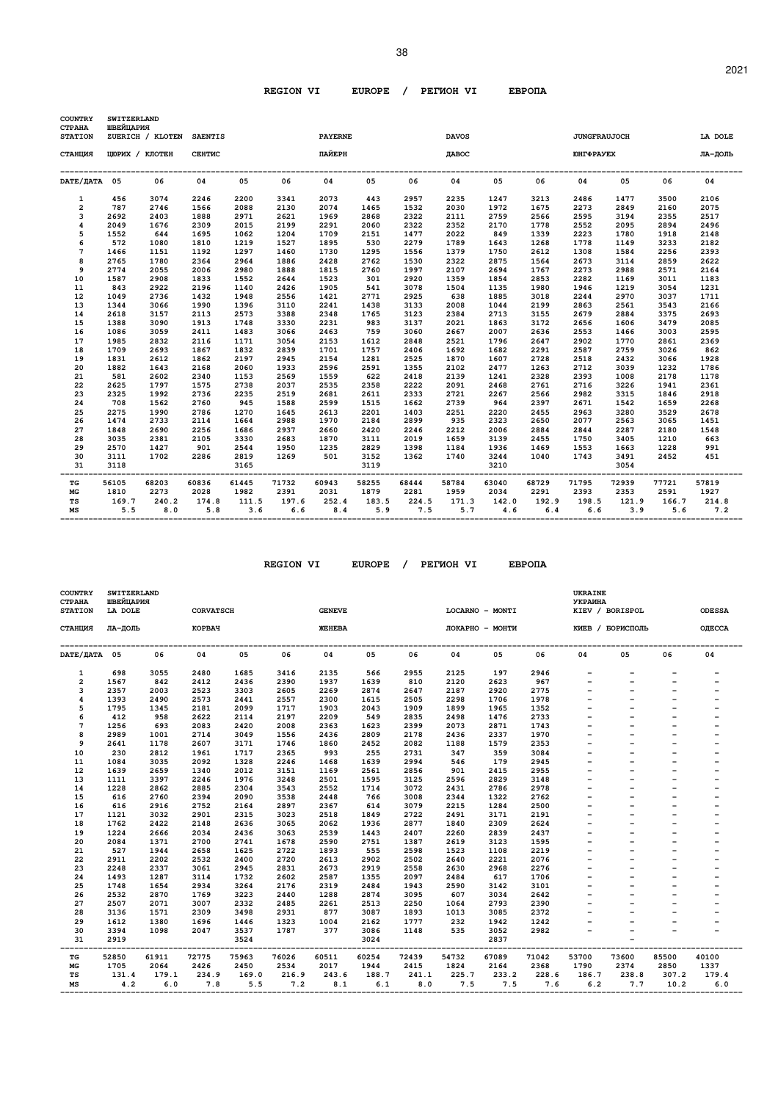| <b>COUNTRY</b>                  | SWITZERLAND<br>ШВЕЙЦАРИЯ |                  |                |       |       |                   |       |       |              |       |       |                     |       |       |         |
|---------------------------------|--------------------------|------------------|----------------|-------|-------|-------------------|-------|-------|--------------|-------|-------|---------------------|-------|-------|---------|
| <b>CTPAHA</b><br><b>STATION</b> |                          | ZUERICH / KLOTEN | <b>SAENTIS</b> |       |       | <b>PAYERNE</b>    |       |       | <b>DAVOS</b> |       |       | <b>JUNGFRAUJOCH</b> |       |       | LA DOLE |
| СТАНЦИЯ                         |                          | ЦЮРИХ / КЛОТЕН   | <b>CEHTMC</b>  |       |       | ПАЙЕРН            |       |       | ДАВОС        |       |       | <b>IOHTΦPAYEX</b>   |       |       | ЛА-ДОЛЬ |
| DATE/ДАТА 05                    |                          | 06               | 04             | 05    | 06    | 04                | 05    | 06    | 04           | 05    | 06    | 04                  | 05    | 06    | 04      |
| $\mathbf{1}$                    | 456                      | 3074             | 2246           | 2200  | 3341  | 2073              | 443   | 2957  | 2235         | 1247  | 3213  | 2486                | 1477  | 3500  | 2106    |
| $\overline{a}$                  | 787                      | 2746             | 1566           | 2088  | 2130  | 2074              | 1465  | 1532  | 2030         | 1972  | 1675  | 2273                | 2849  | 2160  | 2075    |
| 3                               | 2692                     | 2403             | 1888           | 2971  | 2621  | 1969              | 2868  | 2322  | 2111         | 2759  | 2566  | 2595                | 3194  | 2355  | 2517    |
| 4                               | 2049                     | 1676             | 2309           | 2015  | 2199  | 2291              | 2060  | 2322  | 2352         | 2170  | 1778  | 2552                | 2095  | 2894  | 2496    |
| 5                               | 1552                     | 644              | 1695           | 1062  | 1204  | 1709              | 2151  | 1477  | 2022         | 849   | 1339  | 2223                | 1780  | 1918  | 2148    |
| 6                               | 572                      | 1080             | 1810           | 1219  | 1527  | 1895              | 530   | 2279  | 1789         | 1643  | 1268  | 1778                | 1149  | 3233  | 2182    |
| 7                               | 1466                     | 1151             | 1192           | 1297  | 1460  | 1730              | 1295  | 1556  | 1379         | 1750  | 2612  | 1308                | 1584  | 2256  | 2393    |
| 8                               | 2765                     | 1780             | 2364           | 2964  | 1886  | 2428              | 2762  | 1530  | 2322         | 2875  | 1564  | 2673                | 3114  | 2859  | 2622    |
| 9                               | 2774                     | 2055             | 2006           | 2980  | 1888  | 1815              | 2760  | 1997  | 2107         | 2694  | 1767  | 2273                | 2988  | 2571  | 2164    |
| 10                              | 1587                     | 2908             | 1833           | 1552  | 2644  | 1523              | 301   | 2920  | 1359         | 1854  | 2853  | 2282                | 1169  | 3011  | 1183    |
| 11                              | 843                      | 2922             | 2196           | 1140  | 2426  | 1905              | 541   | 3078  | 1504         | 1135  | 1980  | 1946                | 1219  | 3054  | 1231    |
| 12                              | 1049                     | 2736             | 1432           | 1948  | 2556  | 1421              | 2771  | 2925  | 638          | 1885  | 3018  | 2244                | 2970  | 3037  | 1711    |
| 13                              | 1344                     | 3066             | 1990           | 1396  | 3110  | 2241              | 1438  | 3133  | 2008         | 1044  | 2199  | 2863                | 2561  | 3543  | 2166    |
| 14                              | 2618                     | 3157             | 2113           | 2573  | 3388  | 2348              | 1765  | 3123  | 2384         | 2713  | 3155  | 2679                | 2884  | 3375  | 2693    |
| 15                              | 1388                     | 3090             | 1913           | 1748  | 3330  | 2231              | 983   | 3137  | 2021         | 1863  | 3172  | 2656                | 1606  | 3479  | 2085    |
| 16                              | 1086                     | 3059             | 2411           | 1483  | 3066  | 2463              | 759   | 3060  | 2667         | 2007  | 2636  | 2553                | 1466  | 3003  | 2595    |
| 17                              | 1985                     | 2832             | 2116           | 1171  | 3054  | 2153              | 1612  | 2848  | 2521         | 1796  | 2647  | 2902                | 1770  | 2861  | 2369    |
| 18                              | 1709                     | 2693             | 1867           | 1832  | 2839  | 1701              | 1757  | 2406  | 1692         | 1682  | 2291  | 2587                | 2759  | 3026  | 862     |
| 19                              | 1831                     | 2612             | 1862           | 2197  | 2945  | 2154              | 1281  | 2525  | 1870         | 1607  | 2728  | 2518                | 2432  | 3066  | 1928    |
| 20                              | 1882                     | 1643             | 2168           | 2060  | 1933  | 2596              | 2591  | 1355  | 2102         | 2477  | 1263  | 2712                | 3039  | 1232  | 1786    |
| 21                              | 581                      | 2602             | 2340           | 1153  | 2569  | 1559              | 622   | 2418  | 2139         | 1241  | 2328  | 2393                | 1008  | 2178  | 1178    |
| 22                              | 2625                     | 1797             | 1575           | 2738  | 2037  | 2535              | 2358  | 2222  | 2091         | 2468  | 2761  | 2716                | 3226  | 1941  | 2361    |
| 23                              | 2325                     | 1992             | 2736           | 2235  | 2519  | 2681              | 2611  | 2333  | 2721         | 2267  | 2566  | 2982                | 3315  | 1846  | 2918    |
| 24                              | 708                      | 1562             | 2760           | 945   | 1588  | 2599              | 1515  | 1662  | 2739         | 964   | 2397  | 2671                | 1542  | 1659  | 2268    |
| 25                              | 2275                     | 1990             | 2786           | 1270  | 1645  | 2613              | 2201  | 1403  | 2251         | 2220  | 2455  | 2963                | 3280  | 3529  | 2678    |
| 26                              | 1474                     | 2733             | 2114           | 1664  | 2988  | 1970              | 2184  | 2899  | 935          | 2323  | 2650  | 2077                | 2563  | 3065  | 1451    |
| 27                              | 1848                     | 2690             | 2256           | 1686  | 2937  | 2660              | 2420  | 2246  | 2212         | 2006  | 2884  | 2844                | 2287  | 2180  | 1548    |
| 28                              | 3035                     | 2381             | 2105           | 3330  | 2683  | 1870              | 3111  | 2019  | 1659         | 3139  | 2455  | 1750                | 3405  | 1210  | 663     |
| 29                              | 2570                     | 1427             | 901            | 2544  | 1950  | 1235              | 2829  | 1398  | 1184         | 1936  | 1469  | 1553                | 1663  | 1228  | 991     |
| 30                              | 3111                     | 1702             | 2286           | 2819  | 1269  | 501               | 3152  | 1362  | 1740         | 3244  | 1040  | 1743                | 3491  | 2452  | 451     |
| 31                              | 3118                     |                  |                | 3165  |       |                   | 3119  |       |              | 3210  |       |                     | 3054  |       |         |
| TG                              | 56105                    | 68203            | 60836          | 61445 | 71732 | --------<br>60943 | 58255 | 68444 | 58784        | 63040 | 68729 | 71795               | 72939 | 77721 | 57819   |
| MG                              | 1810                     | 2273             | 2028           | 1982  | 2391  | 2031              | 1879  | 2281  | 1959         | 2034  | 2291  | 2393                | 2353  | 2591  | 1927    |
| TS                              | 169.7                    | 240.2            | 174.8          | 111.5 | 197.6 | 252.4             | 183.5 | 224.5 | 171.3        | 142.0 | 192.9 | 198.5               | 121.9 | 166.7 | 214.8   |
| МS                              | 5.5                      | 8.0              | 5.8            | 3.6   | 6.6   | 8.4               | 5.9   | 7.5   | 5.7          | 4.6   | 6.4   | 6.6                 | 3.9   | 5.6   | 7.2     |

 **REGION VI EUROPE / PEГИOH VI EBPOПA** 

| <b>COUNTRY</b><br><b>CTPAHA</b><br><b>STATION</b> | <b>SWITZERLAND</b><br>ШВЕЙЦАРИЯ<br>LA DOLE |       | <b>CORVATSCH</b> |              |       | <b>GENEVE</b>        |              |       |       | LOCARNO - MONTI |       | UKRAINE<br><b>УКРАИНА</b> | KIEV / BORISPOL          |       | <b>ODESSA</b>            |
|---------------------------------------------------|--------------------------------------------|-------|------------------|--------------|-------|----------------------|--------------|-------|-------|-----------------|-------|---------------------------|--------------------------|-------|--------------------------|
| СТАНЦИЯ                                           | ЛА-ДОЛЬ                                    |       | КОРВАЧ           |              |       | <b><i>ЖЕНЕВА</i></b> |              |       |       | ЛОКАРНО - МОНТИ |       |                           | КИЕВ / БОРИСПОЛЬ         |       | ОДЕССА                   |
| DATE/ДАТА 05                                      |                                            | 06    | 04               | 05           | 06    | 04                   | 05           | 06    | 04    | 05              | 06    | 04                        | 05                       | 06    | 04                       |
| 1                                                 | 698                                        | 3055  | 2480             | 1685         | 3416  | 2135                 | 566          | 2955  | 2125  | 197             | 2946  |                           | $\overline{\phantom{0}}$ |       |                          |
| $\overline{\mathbf{2}}$                           | 1567                                       | 842   | 2412             | 2436         | 2390  | 1937                 | 1639         | 810   | 2120  | 2623            | 967   |                           |                          |       |                          |
| 3                                                 | 2357                                       | 2003  | 2523             | 3303         | 2605  | 2269                 | 2874         | 2647  | 2187  | 2920            | 2775  |                           |                          |       |                          |
| 4                                                 | 1393                                       | 2490  | 2573             | 2441         | 2557  | 2300                 | 1615         | 2505  | 2298  | 1706            | 1978  |                           |                          |       |                          |
| 5                                                 | 1795                                       | 1345  | 2181             | 2099         | 1717  | 1903                 | 2043         | 1909  | 1899  | 1965            | 1352  |                           |                          |       |                          |
| 6                                                 | 412                                        | 958   | 2622             | 2114         | 2197  | 2209                 | 549          | 2835  | 2498  | 1476            | 2733  |                           |                          |       |                          |
| 7                                                 | 1256                                       | 693   | 2083             | 2420         | 2008  | 2363                 | 1623         | 2399  | 2073  | 2871            | 1743  |                           |                          |       |                          |
| 8                                                 | 2989                                       | 1001  | 2714             | 3049         | 1556  | 2436                 | 2809         | 2178  | 2436  | 2337            | 1970  |                           |                          |       |                          |
| 9                                                 | 2641                                       | 1178  | 2607             | 3171         | 1746  | 1860                 | 2452         | 2082  | 1188  | 1579            | 2353  |                           |                          |       |                          |
| 10                                                | 230                                        | 2812  | 1961             | 1717         | 2365  | 993                  | 255          | 2731  | 347   | 359             | 3084  |                           |                          |       |                          |
| 11                                                | 1084                                       | 3035  | 2092             | 1328         | 2246  | 1468                 | 1639         | 2994  | 546   | 179             | 2945  |                           |                          |       | -                        |
| 12                                                | 1639                                       | 2659  | 1340             | 2012         | 3151  | 1169                 | 2561         | 2856  | 901   | 2415            | 2955  |                           |                          |       |                          |
| 13                                                | 1111                                       | 3397  | 2246             | 1976         | 3248  | 2501                 | 1595         | 3125  | 2596  | 2829            | 3148  |                           |                          |       |                          |
| 14                                                | 1228                                       | 2862  | 2885             | 2304         | 3543  | 2552                 | 1714         | 3072  | 2431  | 2786            | 2978  |                           |                          |       |                          |
| 15                                                | 616                                        | 2760  | 2394             | 2090         | 3538  | 2448                 | 766          | 3008  | 2344  | 1322            | 2762  |                           |                          |       |                          |
| 16                                                | 616                                        | 2916  | 2752             | 2164         | 2897  | 2367                 | 614          | 3079  | 2215  | 1284            | 2500  |                           |                          |       |                          |
| 17                                                | 1121                                       | 3032  | 2901             | 2315         | 3023  | 2518                 | 1849         | 2722  | 2491  | 3171            | 2191  |                           |                          |       |                          |
| 18                                                | 1762                                       | 2422  | 2148             | 2636         | 3065  | 2062                 | 1936         | 2877  | 1840  | 2309            | 2624  |                           |                          |       |                          |
| 19                                                | 1224                                       | 2666  | 2034             | 2436         | 3063  | 2539                 | 1443         | 2407  | 2260  | 2839            | 2437  |                           |                          |       |                          |
| 20                                                | 2084                                       | 1371  | 2700             | 2741         | 1678  | 2590                 | 2751         | 1387  | 2619  | 3123            | 1595  |                           |                          |       |                          |
| 21                                                | 527                                        | 1944  | 2658             | 1625         | 2722  | 1893                 | 555          | 2598  | 1523  | 1108            | 2219  |                           |                          |       |                          |
| 22                                                | 2911                                       | 2202  | 2532             | 2400         | 2720  | 2613                 | 2902         | 2502  | 2640  | 2221            | 2076  |                           |                          |       |                          |
| 23                                                | 2248                                       | 2337  | 3061             | 2945         | 2831  | 2673                 | 2919         | 2558  | 2630  | 2968            | 2276  |                           |                          |       |                          |
| 24                                                | 1493                                       | 1287  | 3114             | 1732         | 2602  | 2587                 | 1355         | 2097  | 2484  | 617             | 1706  |                           |                          |       |                          |
| 25                                                | 1748                                       | 1654  | 2934             | 3264         | 2176  | 2319                 | 2484         | 1943  | 2590  | 3142            | 3101  |                           |                          |       |                          |
| 26                                                | 2532                                       | 2870  | 1769             | 3223         | 2440  | 1288                 | 2874         | 3095  | 607   | 3034            | 2642  |                           |                          |       | $\overline{\phantom{0}}$ |
| 27                                                | 2507                                       | 2071  | 3007             | 2332         | 2485  | 2261<br>877          | 2513         | 2250  | 1064  | 2793            | 2390  |                           |                          |       |                          |
| 28                                                | 3136                                       | 1571  | 2309             | 3498         | 2931  |                      | 3087         | 1893  | 1013  | 3085            | 2372  |                           |                          |       |                          |
| 29                                                | 1612                                       | 1380  | 1696             | 1446         | 1323  | 1004                 | 2162         | 1777  | 232   | 1942            | 1242  |                           |                          |       |                          |
| 30<br>31                                          | 3394<br>2919                               | 1098  | 2047             | 3537<br>3524 | 1787  | 377                  | 3086<br>3024 | 1148  | 535   | 3052<br>2837    | 2982  |                           |                          |       |                          |
| ТG                                                | 52850                                      | 61911 | 72775            | 75963        | 76026 | 60511                | 60254        | 72439 | 54732 | 67089           | 71042 | 53700                     | 73600                    | 85500 | 40100                    |
| $_{\rm MG}$                                       | 1705                                       | 2064  | 2426             | 2450         | 2534  | 2017                 | 1944         | 2415  | 1824  | 2164            | 2368  | 1790                      | 2374                     | 2850  | 1337                     |
| TS                                                | 131.4                                      | 179.1 | 234.9            | 169.0        | 216.9 | 243.6                | 188.7        | 241.1 | 225.7 | 233.2           | 228.6 | 186.7                     | 238.8                    | 307.2 | 179.4                    |
| МS                                                | 4.2                                        | 6.0   | 7.8              | 5.5          | 7.2   | 8.1                  | 6.1          | 8.0   | 7.5   | 7.5             | 7.6   | 6.2                       | 7.7                      | 10.2  | 6.0                      |

 **-------------------------------------------------------------------------------------------------------------------------------------------------**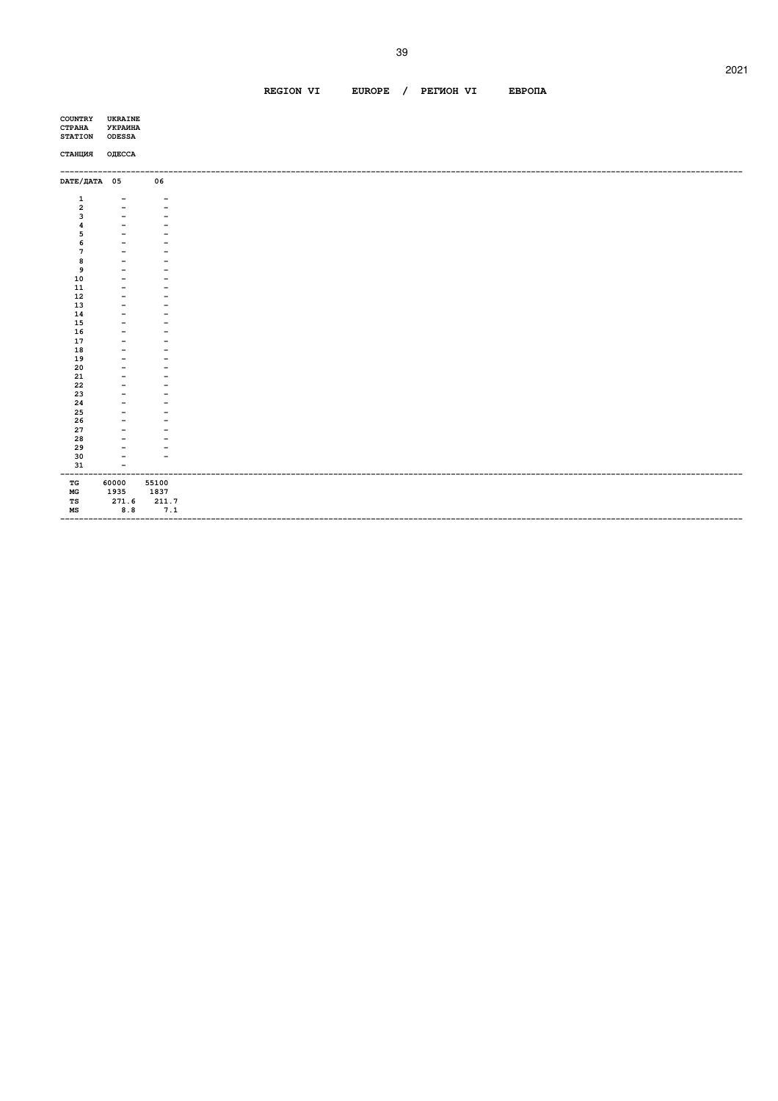#### REGION VI EUROPE / PETWOH VI **EBPONA**

| <b>COUNTRY</b><br><b>CTPAHA</b><br><b>STATION</b> | UKRAINE<br><b>УКРАИНА</b><br><b>ODESSA</b>        |                                                      |  |
|---------------------------------------------------|---------------------------------------------------|------------------------------------------------------|--|
| СТАНЦИЯ                                           | ОДЕССА                                            |                                                      |  |
| DATE/ДАТА 05                                      |                                                   | 06                                                   |  |
| $\mathbf{1}$                                      | $\overline{\phantom{a}}$                          | $\overline{\phantom{m}}$                             |  |
| $\overline{\mathbf{2}}$                           |                                                   | ۳                                                    |  |
| 3                                                 | $\qquad \qquad -$                                 | $\overline{\phantom{m}}$                             |  |
| 4<br>5                                            | $\qquad \qquad \blacksquare$<br>$\qquad \qquad -$ | $\overline{\phantom{a}}$<br>$\overline{\phantom{0}}$ |  |
| 6                                                 | $\qquad \qquad -$                                 | $\overline{\phantom{a}}$                             |  |
| $\overline{7}$                                    | $\qquad \qquad -$                                 |                                                      |  |
| 8                                                 | $\overline{\phantom{0}}$                          | $\overline{\phantom{a}}$                             |  |
| 9                                                 | $\overline{\phantom{a}}$                          | $\overline{\phantom{m}}$                             |  |
| 10                                                | $\qquad \qquad -$                                 | $\qquad \qquad -$                                    |  |
| 11                                                | $\overline{\phantom{a}}$                          | $\overline{\phantom{m}}$                             |  |
| 12                                                | $\overline{\phantom{a}}$                          | -                                                    |  |
| 13                                                | $\overline{\phantom{0}}$                          | $\qquad \qquad -$                                    |  |
| 14                                                | $\qquad \qquad$                                   | $\overline{\phantom{a}}$                             |  |
| 15                                                |                                                   |                                                      |  |
| 16                                                | $\overline{\phantom{a}}$                          | $\overline{\phantom{a}}$                             |  |
| 17<br>18                                          | $\qquad \qquad -$<br>$\overline{\phantom{a}}$     | $\qquad \qquad -$<br>-                               |  |
| 19                                                | $\overline{\phantom{a}}$                          | $\overline{\phantom{a}}$                             |  |
| 20                                                | $\qquad \qquad -$                                 | -                                                    |  |
| 21                                                | $\overline{\phantom{m}}$                          | $\overline{\phantom{a}}$                             |  |
| 22                                                | $\overline{\phantom{m}}$                          | $\overline{\phantom{a}}$                             |  |
| 23                                                | $\overline{\phantom{0}}$                          | $\qquad \qquad$                                      |  |
| 24                                                | $\overline{\phantom{a}}$                          | $\overline{\phantom{0}}$                             |  |
| 25                                                | $\overline{\phantom{a}}$                          | $\overline{\phantom{m}}$                             |  |
| 26                                                | $\overline{\phantom{m}}$                          | $\overline{\phantom{m}}$                             |  |
| 27                                                | $\overline{\phantom{a}}$                          | $\overline{\phantom{a}}$                             |  |
| 28                                                |                                                   |                                                      |  |
| 29<br>30                                          | $\qquad \qquad -$<br>$\overline{\phantom{a}}$     | -<br>$\overline{\phantom{0}}$                        |  |
| 31                                                | $\overline{\phantom{m}}$                          |                                                      |  |
| ------                                            |                                                   | ------------                                         |  |
| TG<br>$_{\rm MG}$                                 | 60000<br>1935                                     | 55100<br>1837                                        |  |
| TS                                                | 271.6                                             | 211.7                                                |  |
| $_{\rm MS}$                                       | $\bf 8.8$                                         | 7.1                                                  |  |
|                                                   | ------                                            | --------                                             |  |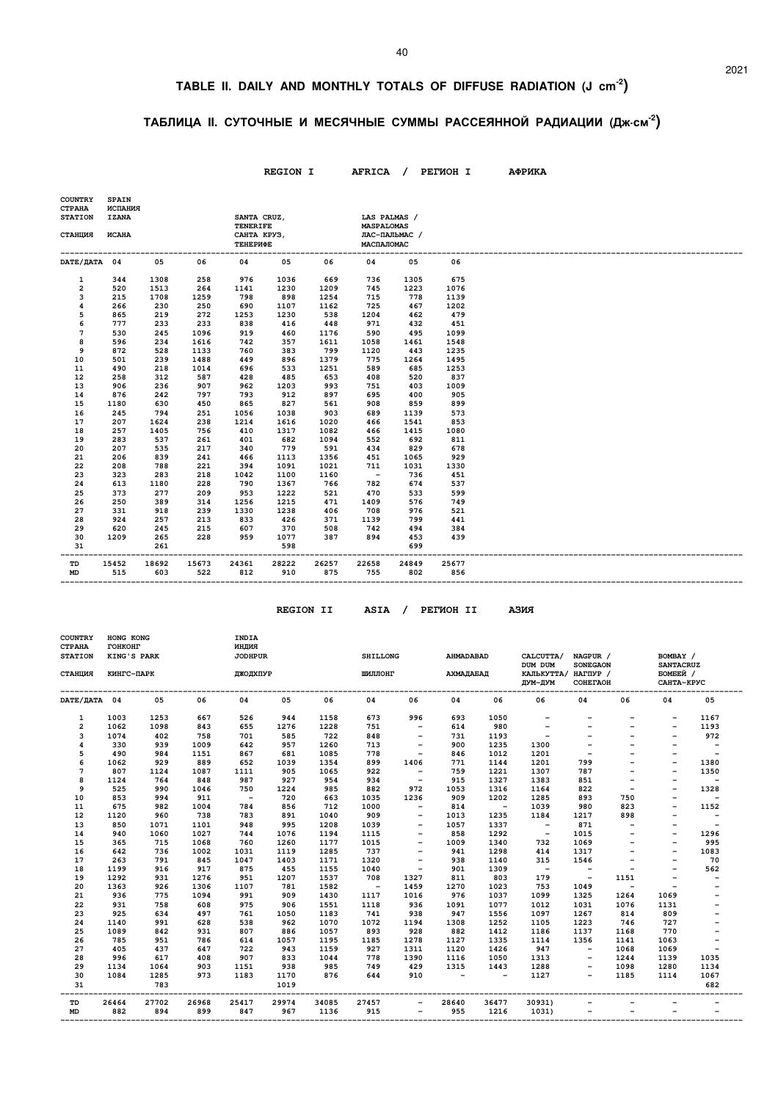## **TABLE II. DAILY AND MONTHLY TOTALS OF DIFFUSE RADIATION (J cm-2)**

### **ТАБЛИЦА II. СУТОЧНЫЕ И МЕСЯЧНЫЕ СУММЫ РАССЕЯННОЙ РАДИАЦИИ (Дж.см-2)**

|                                                                                                                                                                 |                                                                                                                                                                              |                                                                                                                                                                                   |                                                                                                                                                                                   |                                                                                                                                                                                  | <b>REGION I</b>                                                                                                                                                                          |                                                                                                                                                                                          |                                                                                                                                                                                   |                                                                                                                                                                                      | AFRICA / PETMOH I                                                                                                                                                                      | АФРИКА |
|-----------------------------------------------------------------------------------------------------------------------------------------------------------------|------------------------------------------------------------------------------------------------------------------------------------------------------------------------------|-----------------------------------------------------------------------------------------------------------------------------------------------------------------------------------|-----------------------------------------------------------------------------------------------------------------------------------------------------------------------------------|----------------------------------------------------------------------------------------------------------------------------------------------------------------------------------|------------------------------------------------------------------------------------------------------------------------------------------------------------------------------------------|------------------------------------------------------------------------------------------------------------------------------------------------------------------------------------------|-----------------------------------------------------------------------------------------------------------------------------------------------------------------------------------|--------------------------------------------------------------------------------------------------------------------------------------------------------------------------------------|----------------------------------------------------------------------------------------------------------------------------------------------------------------------------------------|--------|
| <b>COUNTRY</b><br><b>CTPAHA</b><br><b>STATION</b><br>СТАНЦИЯ                                                                                                    | <b>SPAIN</b><br>ИСПАНИЯ<br><b>IZANA</b><br><b><i>UCAHA</i></b>                                                                                                               |                                                                                                                                                                                   |                                                                                                                                                                                   | SANTA CRUZ,<br><b>TENERIFE</b><br>САНТА КРУЗ,<br>ТЕНЕРИФЕ                                                                                                                        |                                                                                                                                                                                          |                                                                                                                                                                                          | LAS PALMAS /<br><b>MASPALOMAS</b><br>МАСПАЛОМАС                                                                                                                                   | ЛАС-ПАЛЬМАС /                                                                                                                                                                        |                                                                                                                                                                                        |        |
| DATE/ДАТА 04                                                                                                                                                    |                                                                                                                                                                              | 05                                                                                                                                                                                | 06                                                                                                                                                                                | 04                                                                                                                                                                               | 05                                                                                                                                                                                       | 06                                                                                                                                                                                       | 04                                                                                                                                                                                | 05                                                                                                                                                                                   | 06                                                                                                                                                                                     |        |
| 1<br>$\overline{\mathbf{2}}$<br>3<br>4<br>5<br>6<br>7<br>8<br>9<br>10<br>11<br>12<br>13<br>14<br>15<br>16<br>17<br>18<br>19<br>20<br>21<br>22<br>23<br>24<br>25 | 344<br>520<br>215<br>266<br>865<br>777<br>530<br>596<br>872<br>501<br>490<br>258<br>906<br>876<br>1180<br>245<br>207<br>257<br>283<br>207<br>206<br>208<br>323<br>613<br>373 | 1308<br>1513<br>1708<br>230<br>219<br>233<br>245<br>234<br>528<br>239<br>218<br>312<br>236<br>242<br>630<br>794<br>1624<br>1405<br>537<br>535<br>839<br>788<br>283<br>1180<br>277 | 258<br>264<br>1259<br>250<br>272<br>233<br>1096<br>1616<br>1133<br>1488<br>1014<br>587<br>907<br>797<br>450<br>251<br>238<br>756<br>261<br>217<br>241<br>221<br>218<br>228<br>209 | 976<br>1141<br>798<br>690<br>1253<br>838<br>919<br>742<br>760<br>449<br>696<br>428<br>962<br>793<br>865<br>1056<br>1214<br>410<br>401<br>340<br>466<br>394<br>1042<br>790<br>953 | 1036<br>1230<br>898<br>1107<br>1230<br>416<br>460<br>357<br>383<br>896<br>533<br>485<br>1203<br>912<br>827<br>1038<br>1616<br>1317<br>682<br>779<br>1113<br>1091<br>1100<br>1367<br>1222 | 669<br>1209<br>1254<br>1162<br>538<br>448<br>1176<br>1611<br>799<br>1379<br>1251<br>653<br>993<br>897<br>561<br>903<br>1020<br>1082<br>1094<br>591<br>1356<br>1021<br>1160<br>766<br>521 | 736<br>745<br>715<br>725<br>1204<br>971<br>590<br>1058<br>1120<br>775<br>589<br>408<br>751<br>695<br>908<br>689<br>466<br>466<br>552<br>434<br>451<br>711<br>$\sim$<br>782<br>470 | 1305<br>1223<br>778<br>467<br>462<br>432<br>495<br>1461<br>443<br>1264<br>685<br>520<br>403<br>400<br>859<br>1139<br>1541<br>1415<br>692<br>829<br>1065<br>1031<br>736<br>674<br>533 | 675<br>1076<br>1139<br>1202<br>479<br>451<br>1099<br>1548<br>1235<br>1495<br>1253<br>837<br>1009<br>905<br>899<br>573<br>853<br>1080<br>811<br>678<br>929<br>1330<br>451<br>537<br>599 |        |
| 26<br>27<br>28<br>29<br>30<br>31                                                                                                                                | 250<br>331<br>924<br>620<br>1209                                                                                                                                             | 389<br>918<br>257<br>245<br>265<br>261                                                                                                                                            | 314<br>239<br>213<br>215<br>228                                                                                                                                                   | 1256<br>1330<br>833<br>607<br>959                                                                                                                                                | 1215<br>1238<br>426<br>370<br>1077<br>598                                                                                                                                                | 471<br>406<br>371<br>508<br>387                                                                                                                                                          | 1409<br>708<br>1139<br>742<br>894                                                                                                                                                 | 576<br>976<br>799<br>494<br>453<br>699                                                                                                                                               | 749<br>521<br>441<br>384<br>439                                                                                                                                                        |        |
| TD<br><b>MD</b>                                                                                                                                                 | 15452<br>515                                                                                                                                                                 | 18692<br>603                                                                                                                                                                      | 15673<br>522                                                                                                                                                                      | 24361<br>812                                                                                                                                                                     | 28222<br>910                                                                                                                                                                             | 26257<br>875                                                                                                                                                                             | 22658<br>755                                                                                                                                                                      | 24849<br>802                                                                                                                                                                         | 25677<br>856                                                                                                                                                                           |        |

 **REGION II ASIA / PEГИOH II AЗИЯ**

| <b>COUNTRY</b><br><b>CTPAHA</b><br><b>STATION</b> | HONG KONG<br><b>TOHKOHT</b><br>KING'S PARK |            |            | INDIA<br>индия<br><b>JODHPUR</b> |             |              | <b>SHILLONG</b>          |                          | <b>AHMADABAD</b>         |                          | CALCUTTA/<br>DUM DUM           | NAGPUR /<br><b>SONEGAON</b> |                          | BOMBAY /                                   |                          |
|---------------------------------------------------|--------------------------------------------|------------|------------|----------------------------------|-------------|--------------|--------------------------|--------------------------|--------------------------|--------------------------|--------------------------------|-----------------------------|--------------------------|--------------------------------------------|--------------------------|
| СТАНЦИЯ                                           | КИНГС-ПАРК                                 |            |            | <b>ДЖОДХПУР</b>                  |             |              | ШИЛЛОНГ                  |                          | АХМАЛАБАЛ                |                          | КАЛЬКУТТА/ НАГПУР /<br>ДУМ-ДУМ | COHETAOH                    |                          | <b>SANTACRUZ</b><br>БОМБЕЙ /<br>САНТА-КРУС |                          |
| DATE/ДАТА 04                                      |                                            | 05         | 06         | 04                               | 05          | 06           | 04                       | 06                       | 04                       | 06                       | 06                             | 04                          | 06                       | 04                                         | 05                       |
| 1                                                 | 1003                                       | 1253       | 667        | 526                              | 944         | 1158         | 673                      | 996                      | 693                      | 1050                     |                                |                             |                          |                                            | 1167                     |
| $\overline{a}$                                    | 1062                                       | 1098       | 843        | 655                              | 1276        | 1228         | 751                      | $\overline{\phantom{a}}$ | 614                      | 980                      | $\overline{\phantom{a}}$       | $\overline{\phantom{0}}$    | $\overline{\phantom{0}}$ | $\overline{\phantom{a}}$                   | 1193                     |
| 3                                                 | 1074                                       | 402        | 758        | 701                              | 585         | 722          | 848                      | $\qquad \qquad -$        | 731                      | 1193                     | $\qquad \qquad -$              |                             |                          |                                            | 972                      |
| 4                                                 | 330                                        | 939        | 1009       | 642                              | 957         | 1260         | 713                      |                          | 900                      | 1235                     | 1300                           |                             |                          |                                            | $\overline{\phantom{a}}$ |
| 5                                                 | 490                                        | 984        | 1151       | 867                              | 681         | 1085         | 778                      | $\qquad \qquad -$        | 846                      | 1012                     | 1201                           |                             |                          |                                            | $\overline{\phantom{0}}$ |
| 6                                                 | 1062                                       | 929        | 889        | 652                              | 1039        | 1354         | 899                      | 1406                     | 771                      | 1144                     | 1201                           | 799                         |                          | $\overline{\phantom{m}}$                   | 1380                     |
| 7                                                 | 807                                        | 1124       | 1087       | 1111                             | 905         | 1065         | 922                      | $\overline{\phantom{a}}$ | 759                      | 1221                     | 1307                           | 787                         |                          | $\overline{\phantom{a}}$                   | 1350                     |
| 8                                                 | 1124                                       | 764        | 848        | 987                              | 927         | 954          | 934                      | $\overline{\phantom{a}}$ | 915                      | 1327                     | 1383                           | 851                         |                          |                                            | $\overline{\phantom{a}}$ |
| 9                                                 | 525                                        | 990        | 1046       | 750                              | 1224        | 985          | 882                      | 972                      | 1053                     | 1316                     | 1164                           | 822                         | $\overline{\phantom{a}}$ | $\overline{\phantom{a}}$                   | 1328                     |
| 10                                                | 853                                        | 994        | 911        | $\overline{\phantom{a}}$         | 720         | 663          | 1035                     | 1236                     | 909                      | 1202                     | 1285                           | 893                         | 750                      |                                            | $\overline{\phantom{0}}$ |
| 11                                                | 675                                        | 982        | 1004       | 784                              | 856         | 712          | 1000                     | $\overline{\phantom{0}}$ | 814                      | $\sim$ $-$               | 1039                           | 980                         | 823                      |                                            | 1152                     |
| 12                                                | 1120                                       | 960        | 738        | 783                              | 891         | 1040         | 909                      | $\overline{\phantom{0}}$ | 1013                     | 1235                     | 1184                           | 1217                        | 898                      |                                            | $\overline{\phantom{a}}$ |
| 13                                                | 850                                        | 1071       | 1101       | 948                              | 995         | 1208         | 1039                     |                          | 1057                     | 1337                     | $\overline{\phantom{a}}$       | 871                         |                          |                                            | $\overline{\phantom{a}}$ |
| 14                                                | 940                                        | 1060       | 1027       | 744                              | 1076        | 1194         | 1115                     |                          | 858                      | 1292                     | $\overline{\phantom{a}}$       | 1015                        |                          | $\overline{\phantom{a}}$                   | 1296                     |
| 15                                                | 365                                        | 715        | 1068       | 760                              | 1260        | 1177         | 1015                     | $\qquad \qquad -$        | 1009                     | 1340                     | 732                            | 1069                        | $\qquad \qquad -$        | $\overline{\phantom{a}}$                   | 995                      |
| 16                                                | 642                                        | 736        | 1002       | 1031                             | 1119        | 1285         | 737                      |                          | 941                      | 1298                     | 414                            | 1317                        |                          |                                            | 1083                     |
| 17                                                | 263                                        | 791        | 845        | 1047                             | 1403        | 1171         | 1320                     |                          | 938                      | 1140                     | 315                            | 1546                        |                          |                                            | 70                       |
| 18                                                | 1199                                       | 916        | 917        | 875                              | 455         | 1155         | 1040                     | $\overline{\phantom{a}}$ | 901                      | 1309                     | $\overline{\phantom{a}}$       | $\overline{\phantom{a}}$    | $\overline{\phantom{a}}$ | $\overline{\phantom{a}}$                   | 562                      |
| 19                                                | 1292                                       | 931        | 1276       | 951                              | 1207        | 1537         | 708                      | 1327                     | 811                      | 803                      | 179                            | $\overline{\phantom{a}}$    | 1151                     |                                            | $\overline{\phantom{0}}$ |
| 20                                                | 1363                                       | 926        | 1306       | 1107                             | 781         | 1582         | $\overline{\phantom{a}}$ | 1459                     | 1270                     | 1023                     | 753                            | 1049                        | $\qquad \qquad -$        | $\overline{\phantom{a}}$                   |                          |
| 21                                                | 936                                        | 775        | 1094       | 991                              | 909         | 1430         | 1117                     | 1016                     | 976                      | 1037                     | 1099                           | 1325                        | 1264<br>1076             | 1069                                       |                          |
| 22                                                | 931<br>925                                 | 758<br>634 | 608<br>497 | 975<br>761                       | 906         | 1551<br>1183 | 1118<br>741              | 936<br>938               | 1091<br>947              | 1077<br>1556             | 1012                           | 1031<br>1267                | 814                      | 1131<br>809                                |                          |
| 23<br>24                                          |                                            | 991        | 628        | 538                              | 1050<br>962 | 1070         | 1072                     |                          | 1308                     | 1252                     | 1097                           | 1223                        | 746                      | 727                                        |                          |
| 25                                                | 1140<br>1089                               | 842        | 931        | 807                              | 886         | 1057         | 893                      | 1194<br>928              | 882                      | 1412                     | 1105                           | 1137                        | 1168                     | 770                                        |                          |
| 26                                                | 785                                        | 951        | 786        | 614                              | 1057        | 1195         | 1185                     | 1278                     | 1127                     | 1335                     | 1186<br>1114                   | 1356                        | 1141                     | 1063                                       |                          |
| 27                                                | 405                                        | 437        | 647        | 722                              | 943         | 1159         | 927                      | 1311                     | 1120                     | 1426                     | 947                            | $\overline{\phantom{a}}$    | 1068                     | 1069                                       | $\overline{\phantom{0}}$ |
| 28                                                | 996                                        | 617        | 408        | 907                              | 833         | 1044         | 778                      | 1390                     | 1116                     | 1050                     | 1313                           |                             | 1244                     | 1139                                       | 1035                     |
| 29                                                | 1134                                       | 1064       | 903        | 1151                             | 938         | 985          | 749                      | 429                      | 1315                     | 1443                     | 1288                           |                             | 1098                     | 1280                                       | 1134                     |
| 30                                                | 1084                                       | 1285       | 973        | 1183                             | 1170        | 876          | 644                      | 910                      | $\overline{\phantom{a}}$ | $\overline{\phantom{a}}$ | 1127                           | $\overline{\phantom{a}}$    | 1185                     | 1114                                       | 1067                     |
| 31                                                |                                            | 783        |            |                                  | 1019        |              |                          |                          |                          |                          |                                |                             |                          |                                            | 682                      |
| TD                                                | 26464                                      | 27702      | 26968      | 25417                            | 29974       | 34085        | 27457                    |                          | 28640                    | 36477                    | 30931)                         |                             |                          |                                            |                          |
| <b>MD</b>                                         | 882                                        | 894        | 899        | 847                              | 967         | 1136         | 915                      |                          | 955                      | 1216                     | 1031)                          |                             |                          |                                            |                          |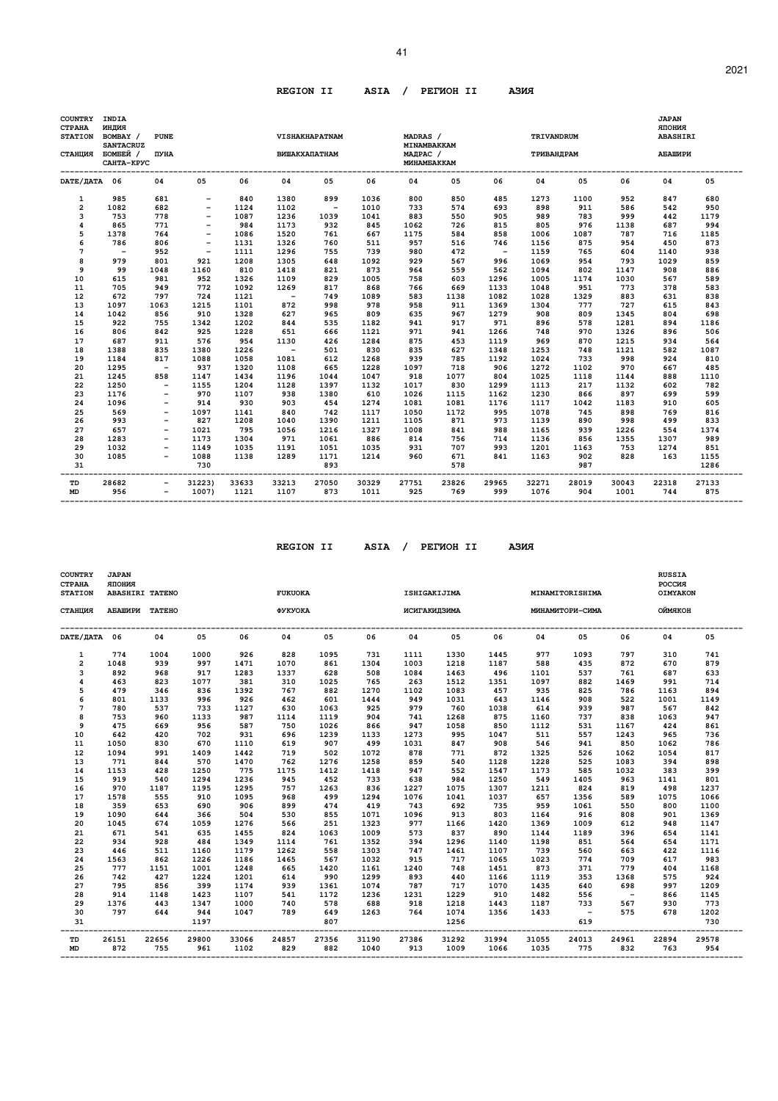#### **REGION II ASIA / PEГИOH II AЗИЯ**

| <b>COUNTRY</b><br><b>CTPAHA</b><br><b>STATION</b><br>СТАНЦИЯ | INDIA<br>индия<br>BOMBAY /<br><b>SANTACRUZ</b><br>БОМБЕЙ /<br>САНТА-КРУС | <b>PUNE</b><br>ПУНА      |                          |               |               | VISHAKHAPATNAM<br><b>ВИШАКХАПАТНАМ</b> |               | MADRAS /<br>MINAMBAKKAM<br>МАДРАС /<br><b>MUHAMEAKKAM</b> |              |                          | TRIVANDRUM<br>ТРИВАНДРАМ |              |               | <b>JAPAN</b><br>RNHOILR<br><b>ABASHIRI</b><br>АБАШИРИ |              |
|--------------------------------------------------------------|--------------------------------------------------------------------------|--------------------------|--------------------------|---------------|---------------|----------------------------------------|---------------|-----------------------------------------------------------|--------------|--------------------------|--------------------------|--------------|---------------|-------------------------------------------------------|--------------|
| DATE/ JATA 06                                                |                                                                          | 04                       | 05                       | 06            | 04            | 05                                     | 06            | 04                                                        | 05           | 06                       | 04                       | 05           | 06            | 04                                                    | 05           |
| 1                                                            | 985                                                                      | 681                      |                          | 840           | 1380          | 899                                    | 1036          | 800                                                       | 850          | 485                      | 1273                     | 1100         | 952           | 847                                                   | 680          |
| $\overline{\mathbf{c}}$                                      | 1082                                                                     | 682                      | $\qquad \qquad -$        | 1124          | 1102          | $\overline{\phantom{a}}$               | 1010          | 733                                                       | 574          | 693                      | 898                      | 911          | 586           | 542                                                   | 950          |
| 3                                                            | 753                                                                      | 778                      |                          | 1087          | 1236          | 1039                                   | 1041          | 883                                                       | 550          | 905                      | 989                      | 783          | 999           | 442                                                   | 1179         |
| 4                                                            | 865                                                                      | 771                      |                          | 984           | 1173          | 932                                    | 845           | 1062                                                      | 726          | 815                      | 805                      | 976          | 1138          | 687                                                   | 994          |
| 5                                                            | 1378                                                                     | 764                      |                          | 1086          | 1520          | 761                                    | 667           | 1175                                                      | 584          | 858                      | 1006                     | 1087         | 787           | 716                                                   | 1185         |
| 6                                                            | 786                                                                      | 806                      | $\overline{\phantom{a}}$ | 1131          | 1326          | 760                                    | 511           | 957                                                       | 516          | 746                      | 1156                     | 875          | 954           | 450                                                   | 873          |
| 7                                                            | $\overline{\phantom{a}}$                                                 | 952                      | $\qquad \qquad -$        | 1111          | 1296          | 755                                    | 739           | 980                                                       | 472          | $\overline{\phantom{a}}$ | 1159                     | 765          | 604           | 1140                                                  | 938          |
| 8                                                            | 979                                                                      | 801                      | 921                      | 1208          | 1305          | 648                                    | 1092          | 929                                                       | 567          | 996                      | 1069                     | 954          | 793           | 1029                                                  | 859          |
| 9                                                            | 99                                                                       | 1048                     | 1160                     | 810           | 1418          | 821                                    | 873           | 964                                                       | 559          | 562                      | 1094                     | 802          | 1147          | 908                                                   | 886          |
| 10                                                           | 615                                                                      | 981                      | 952                      | 1326          | 1109          | 829                                    | 1005          | 758                                                       | 603          | 1296                     | 1005                     | 1174         | 1030          | 567                                                   | 589          |
| 11                                                           | 705                                                                      | 949                      | 772                      | 1092          | 1269          | 817                                    | 868           | 766                                                       | 669          | 1133                     | 1048                     | 951          | 773           | 378                                                   | 583          |
| 12                                                           | 672                                                                      | 797                      | 724                      | 1121          | $\sim$        | 749                                    | 1089          | 583<br>958                                                | 1138<br>911  | 1082                     | 1028                     | 1329<br>777  | 883           | 631                                                   | 838<br>843   |
| 13                                                           | 1097                                                                     | 1063                     | 1215<br>910              | 1101          | 872           | 998                                    | 978           |                                                           | 967          | 1369                     | 1304                     |              | 727           | 615                                                   |              |
| 14                                                           | 1042                                                                     | 856<br>755               |                          | 1328          | 627<br>844    | 965                                    | 809           | 635<br>941                                                | 917          | 1279<br>971              | 908                      | 809<br>578   | 1345<br>1281  | 804                                                   | 698          |
| 15<br>16                                                     | 922<br>806                                                               | 842                      | 1342<br>925              | 1202<br>1228  | 651           | 535                                    | 1182          | 971                                                       | 941          | 1266                     | 896                      | 970          | 1326          | 894<br>896                                            | 1186<br>506  |
| 17                                                           | 687                                                                      | 911                      | 576                      | 954           | 1130          | 666<br>426                             | 1121<br>1284  | 875                                                       | 453          | 1119                     | 748<br>969               | 870          | 1215          | 934                                                   | 564          |
| 18                                                           | 1388                                                                     | 835                      | 1380                     | 1226          | $\sim$        | 501                                    | 830           | 835                                                       | 627          | 1348                     | 1253                     | 748          | 1121          | 582                                                   | 1087         |
| 19                                                           | 1184                                                                     | 817                      | 1088                     | 1058          | 1081          | 612                                    | 1268          | 939                                                       | 785          | 1192                     | 1024                     | 733          | 998           | 924                                                   | 810          |
| 20                                                           | 1295                                                                     | $\overline{\phantom{a}}$ | 937                      | 1320          | 1108          | 665                                    | 1228          | 1097                                                      | 718          | 906                      | 1272                     | 1102         | 970           | 667                                                   | 485          |
| 21                                                           | 1245                                                                     | 858                      | 1147                     | 1434          | 1196          | 1044                                   | 1047          | 918                                                       | 1077         | 804                      | 1025                     | 1118         | 1144          | 888                                                   | 1110         |
| 22                                                           | 1250                                                                     | $\overline{\phantom{a}}$ | 1155                     | 1204          | 1128          | 1397                                   | 1132          | 1017                                                      | 830          | 1299                     | 1113                     | 217          | 1132          | 602                                                   | 782          |
| 23                                                           | 1176                                                                     | $\overline{\phantom{a}}$ | 970                      | 1107          | 938           | 1380                                   | 610           | 1026                                                      | 1115         | 1162                     | 1230                     | 866          | 897           | 699                                                   | 599          |
| 24                                                           | 1096                                                                     |                          | 914                      | 930           | 903           | 454                                    | 1274          | 1081                                                      | 1081         | 1176                     | 1117                     | 1042         | 1183          | 910                                                   | 605          |
| 25                                                           | 569                                                                      | $\overline{\phantom{m}}$ | 1097                     | 1141          | 840           | 742                                    | 1117          | 1050                                                      | 1172         | 995                      | 1078                     | 745          | 898           | 769                                                   | 816          |
| 26                                                           | 993                                                                      | $\overline{\phantom{a}}$ | 827                      | 1208          | 1040          | 1390                                   | 1211          | 1105                                                      | 871          | 973                      | 1139                     | 890          | 998           | 499                                                   | 833          |
| 27                                                           | 657                                                                      | $\overline{\phantom{m}}$ | 1021                     | 795           | 1056          | 1216                                   | 1327          | 1008                                                      | 841          | 988                      | 1165                     | 939          | 1226          | 554                                                   | 1374         |
| 28                                                           | 1283                                                                     |                          | 1173                     | 1304          | 971           | 1061                                   | 886           | 814                                                       | 756          | 714                      | 1136                     | 856          | 1355          | 1307                                                  | 989          |
| 29                                                           | 1032                                                                     |                          | 1149                     | 1035          | 1191          | 1051                                   | 1035          | 931                                                       | 707          | 993                      | 1201                     | 1163         | 753           | 1274                                                  | 851          |
| 30                                                           | 1085                                                                     | $\overline{\phantom{a}}$ | 1088                     | 1138          | 1289          | 1171                                   | 1214          | 960                                                       | 671          | 841                      | 1163                     | 902          | 828           | 163                                                   | 1155         |
| 31                                                           |                                                                          |                          | 730                      |               |               | 893                                    |               |                                                           | 578          |                          |                          | 987          |               |                                                       | 1286         |
| TD<br><b>MD</b>                                              | 28682<br>956                                                             | $\overline{\phantom{a}}$ | 31223)<br>1007)          | 33633<br>1121 | 33213<br>1107 | 27050<br>873                           | 30329<br>1011 | 27751<br>925                                              | 23826<br>769 | 29965<br>999             | 32271<br>1076            | 28019<br>904 | 30043<br>1001 | 22318<br>744                                          | 27133<br>875 |

 **REGION II ASIA / PEГИOH II AЗИЯ**

| <b>COUNTRY</b><br><b>CTPAHA</b><br><b>STATION</b> | <b>JAPAN</b><br><b>RNHOIIR</b><br><b>ABASHIRI TATENO</b> |       |             |       | <b>FUKUOKA</b> |            |       |       | ISHIGAKIJIMA |       |                            | MINAMITORISHIMA |        | <b>RUSSIA</b><br><b>POCCMA</b><br><b>OIMYAKON</b> |             |
|---------------------------------------------------|----------------------------------------------------------|-------|-------------|-------|----------------|------------|-------|-------|--------------|-------|----------------------------|-----------------|--------|---------------------------------------------------|-------------|
| СТАНЦИЯ                                           | АБАШИРИ ТАТЕНО                                           |       |             |       | ФУКУОКА        |            |       |       | ИСИГАКИДЗИМА |       |                            | МИНАМИТОРИ-СИМА |        | ОЙМЯКОН                                           |             |
| DATE/HATA 06                                      |                                                          | 04    | 05          | 06    | 04             | 05         | 06    | 04    | 05           | 06    | 04                         | 05              | 06     | 04                                                | 05          |
| 1                                                 | 774                                                      | 1004  | 1000        | 926   | 828            | 1095       | 731   | 1111  | 1330         | 1445  | 977                        | 1093            | 797    | 310                                               | 741         |
| $\overline{2}$                                    | 1048                                                     | 939   | 997         | 1471  | 1070           | 861        | 1304  | 1003  | 1218         | 1187  | 588                        | 435             | 872    | 670                                               | 879         |
| 3                                                 | 892                                                      | 968   | 917         | 1283  | 1337           | 628        | 508   | 1084  | 1463         | 496   | 1101                       | 537             | 761    | 687                                               | 633         |
| 4                                                 | 463                                                      | 823   | 1077        | 381   | 310            | 1025       | 765   | 263   | 1512         | 1351  | 1097                       | 882             | 1469   | 991                                               | 714         |
| 5                                                 | 479                                                      | 346   | 836         | 1392  | 767            | 882        | 1270  | 1102  | 1083         | 457   | 935                        | 825             | 786    | 1163                                              | 894         |
| 6                                                 | 801                                                      | 1133  | 996         | 926   | 462            | 601        | 1444  | 949   | 1031         | 643   | 1146                       | 908             | 522    | 1001                                              | 1149        |
| 7                                                 | 780                                                      | 537   | 733         | 1127  | 630            | 1063       | 925   | 979   | 760          | 1038  | 614                        | 939             | 987    | 567                                               | 842         |
| 8                                                 | 753                                                      | 960   | 1133        | 987   | 1114           | 1119       | 904   | 741   | 1268         | 875   | 1160                       | 737             | 838    | 1063                                              | 947         |
| 9                                                 | 475                                                      | 669   | 956         | 587   | 750            | 1026       | 866   | 947   | 1058         | 850   | 1112                       | 531             | 1167   | 424                                               | 861         |
| 10                                                | 642                                                      | 420   | 702         | 931   | 696            | 1239       | 1133  | 1273  | 995          | 1047  | 511                        | 557             | 1243   | 965                                               | 736         |
| 11                                                | 1050                                                     | 830   | 670         | 1110  | 619            | 907        | 499   | 1031  | 847          | 908   | 546                        | 941             | 850    | 1062                                              | 786         |
| 12                                                | 1094                                                     | 991   | 1409        | 1442  | 719            | 502        | 1072  | 878   | 771          | 872   | 1325                       | 526             | 1062   | 1054                                              | 817         |
| 13                                                | 771                                                      | 844   | 570         | 1470  | 762            | 1276       | 1258  | 859   | 540          | 1128  | 1228                       | 525             | 1083   | 394                                               | 898         |
| 14                                                | 1153                                                     | 428   | 1250        | 775   | 1175           | 1412       | 1418  | 947   | 552          | 1547  | 1173                       | 585             | 1032   | 383                                               | 399         |
| 15                                                | 919                                                      | 540   | 1294        | 1236  | 945            | 452        | 733   | 638   | 984          | 1250  | 549                        | 1405            | 963    | 1141                                              | 801         |
| 16                                                | 970                                                      | 1187  | 1195        | 1295  | 757            | 1263       | 836   | 1227  | 1075         | 1307  | 1211                       | 824             | 819    | 498                                               | 1237        |
| 17                                                | 1578                                                     | 555   | 910         | 1095  | 968            | 499        | 1294  | 1076  | 1041         | 1037  | 657                        | 1356            | 589    | 1075                                              | 1066        |
| 18                                                | 359                                                      | 653   | 690         | 906   | 899            | 474        | 419   | 743   | 692          | 735   | 959                        | 1061            | 550    | 800                                               | 1100        |
| 19                                                | 1090                                                     | 644   | 366         | 504   | 530            | 855        | 1071  | 1096  | 913          | 803   | 1164                       | 916             | 808    | 901                                               | 1369        |
| 20                                                | 1045                                                     | 674   | 1059        | 1276  | 566            | 251        | 1323  | 977   | 1166         | 1420  | 1369                       | 1009            | 612    | 948                                               | 1147        |
| 21                                                | 671                                                      | 541   | 635         | 1455  | 824            | 1063       | 1009  | 573   | 837          | 890   | 1144                       | 1189            | 396    | 654                                               | 1141        |
| 22                                                | 934                                                      | 928   | 484         | 1349  | 1114           | 761        | 1352  | 394   | 1296         | 1140  | 1198                       | 851             | 564    | 654                                               | 1171        |
| 23                                                | 446                                                      | 511   | 1160        | 1179  | 1262           | 558        | 1303  | 747   | 1461         | 1107  | 739                        | 560             | 663    | 422                                               | 1116        |
| 24                                                | 1563                                                     | 862   | 1226        | 1186  | 1465           | 567        | 1032  | 915   | 717          | 1065  | 1023                       | 774             | 709    | 617                                               | 983         |
| 25                                                | 777                                                      | 1151  | 1001        | 1248  | 665            | 1420       | 1161  | 1240  | 748          | 1451  | 873                        | 371             | 779    | 404                                               | 1168        |
| 26                                                | 742                                                      | 427   | 1224        | 1201  | 614            | 990        | 1299  | 893   | 440          | 1166  | 1119                       | 353             | 1368   | 575                                               | 924         |
| 27                                                | 795                                                      | 856   | 399         | 1174  | 939            | 1361       | 1074  | 787   | 717          | 1070  | 1435                       | 640             | 698    | 997                                               | 1209        |
| 28                                                | 914                                                      | 1148  | 1423        | 1107  | 541            | 1172       | 1236  | 1231  | 1229         | 910   | 1482                       | 556             | $\sim$ | 866                                               | 1145        |
| 29                                                | 1376                                                     | 443   | 1347        | 1000  | 740            | 578        | 688   | 918   | 1218         | 1443  | 1187                       | 733             | 567    | 930                                               | 773         |
| 30<br>31                                          | 797                                                      | 644   | 944<br>1197 | 1047  | 789            | 649<br>807 | 1263  | 764   | 1074<br>1256 | 1356  | 1433                       | $\sim$<br>619   | 575    | 678                                               | 1202<br>730 |
| TD                                                | 26151                                                    | 22656 | 29800       | 33066 | 24857          | 27356      | 31190 | 27386 | 31292        | 31994 | -----------------<br>31055 | 24013           | 24961  | 22894                                             | 29578       |
| MD                                                | 872                                                      | 755   | 961         | 1102  | 829            | 882        | 1040  | 913   | 1009         | 1066  | 1035                       | 775             | 832    | 763                                               | 954         |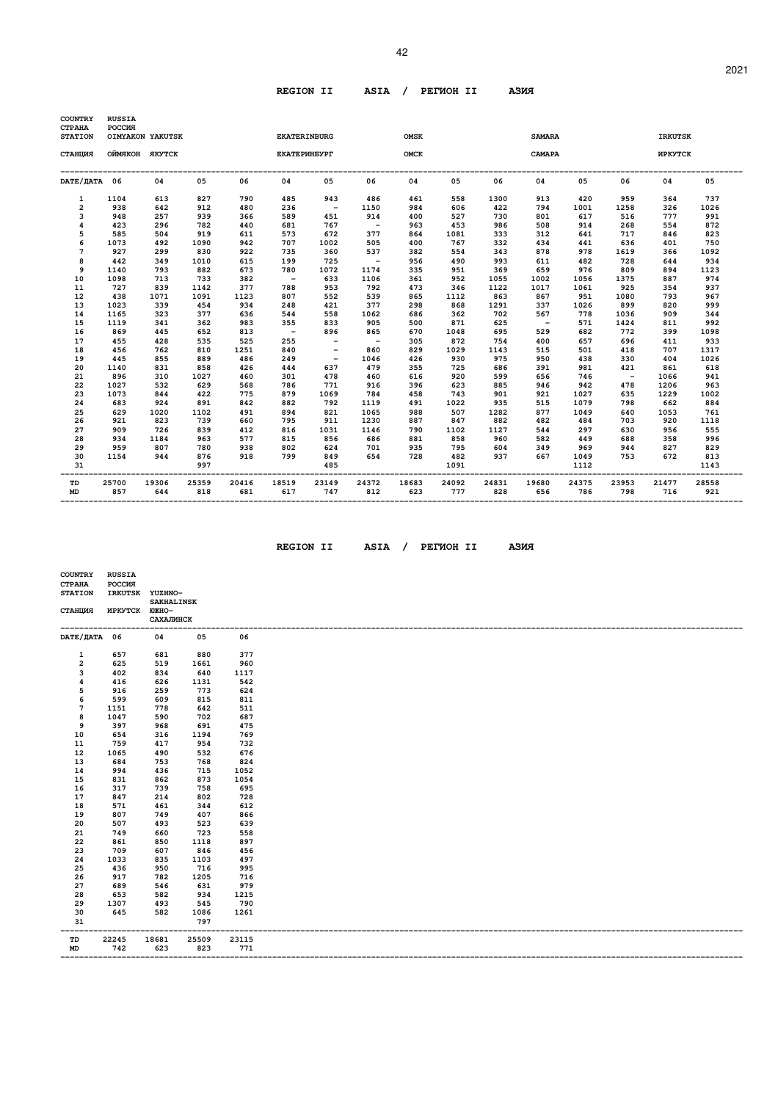### **REGION II ASIA / PEГИOH II AЗИЯ**

| <b>COUNTRY</b><br><b>CTPAHA</b><br><b>STATION</b> | <b>RUSSIA</b><br>РОССИЯ | OIMYAKON YAKUTSK |              |              | <b>EKATERINBURG</b> |                          |                          | <b>OMSK</b>  |              |              | <b>SAMARA</b> |              |              | <b>IRKUTSK</b> |              |
|---------------------------------------------------|-------------------------|------------------|--------------|--------------|---------------------|--------------------------|--------------------------|--------------|--------------|--------------|---------------|--------------|--------------|----------------|--------------|
|                                                   |                         |                  |              |              |                     |                          |                          |              |              |              |               |              |              |                |              |
| СТАНЦИЯ                                           | ОЙМЯКОН ЯКУТСК          |                  |              |              | <b>EKATEPMHEYPT</b> |                          |                          | <b>OMCK</b>  |              |              | CAMAPA        |              |              | <b>MPKYTCK</b> |              |
| DATE/ JATA 06                                     |                         | 04               | 05           | 06           | 04                  | 05                       | 06                       | 04           | 05           | 06           | 04            | 05           | 06           | 04             | 05           |
| 1                                                 | 1104                    | 613              | 827          | 790          | 485                 | 943                      | 486                      | 461          | 558          | 1300         | 913           | 420          | 959          | 364            | 737          |
| $\overline{a}$                                    | 938                     | 642              | 912          | 480          | 236                 | $\sim$                   | 1150                     | 984          | 606          | 422          | 794           | 1001         | 1258         | 326            | 1026         |
| 3                                                 | 948                     | 257              | 939          | 366          | 589                 | 451                      | 914                      | 400          | 527          | 730          | 801           | 617          | 516          | 777            | 991          |
| 4                                                 | 423                     | 296              | 782          | 440          | 681                 | 767                      | $\overline{\phantom{0}}$ | 963          | 453          | 986          | 508           | 914          | 268          | 554            | 872          |
| 5                                                 | 585                     | 504              | 919          | 611          | 573                 | 672                      | 377                      | 864          | 1081         | 333          | 312           | 641          | 717          | 846            | 823          |
| 6                                                 | 1073                    | 492              | 1090         | 942          | 707                 | 1002                     | 505                      | 400          | 767          | 332          | 434           | 441          | 636          | 401            | 750          |
| 7                                                 | 927                     | 299              | 830          | 922          | 735                 | 360                      | 537                      | 382          | 554          | 343          | 878           | 978          | 1619         | 366            | 1092         |
| 8                                                 | 442                     | 349              | 1010         | 615          | 199                 | 725                      | $\sim$ $-$               | 956          | 490          | 993          | 611           | 482          | 728          | 644            | 934          |
| 9                                                 | 1140                    | 793              | 882          | 673          | 780                 | 1072                     | 1174                     | 335          | 951          | 369          | 659           | 976          | 809          | 894            | 1123         |
| 10                                                | 1098                    | 713              | 733          | 382          | $\sim$ $-$          | 633                      | 1106                     | 361          | 952          | 1055         | 1002          | 1056         | 1375         | 887            | 974          |
| 11                                                | 727                     | 839              | 1142         | 377          | 788                 | 953                      | 792                      | 473          | 346          | 1122         | 1017          | 1061         | 925          | 354            | 937          |
| 12                                                | 438                     | 1071             | 1091         | 1123         | 807                 | 552                      | 539                      | 865          | 1112         | 863          | 867           | 951          | 1080         | 793            | 967          |
| 13                                                | 1023                    | 339              | 454          | 934          | 248                 | 421                      | 377                      | 298          | 868          | 1291         | 337           | 1026         | 899          | 820            | 999          |
| 14                                                | 1165                    | 323              | 377          | 636          | 544                 | 558                      | 1062                     | 686          | 362          | 702          | 567           | 778          | 1036         | 909            | 344          |
| 15                                                | 1119                    | 341              | 362          | 983          | 355                 | 833                      | 905                      | 500          | 871          | 625          | $\sim$        | 571          | 1424         | 811            | 992          |
| 16                                                | 869                     | 445              | 652          | 813          | $\sim$              | 896                      | 865                      | 670          | 1048         | 695          | 529           | 682          | 772          | 399            | 1098         |
| 17                                                | 455                     | 428              | 535          | 525          | 255                 | $\overline{\phantom{a}}$ | $\sim$                   | 305          | 872          | 754          | 400           | 657          | 696          | 411            | 933          |
| 18                                                | 456                     | 762              | 810          | 1251         | 840                 | $\overline{\phantom{a}}$ | 860                      | 829          | 1029         | 1143         | 515           | 501          | 418          | 707            | 1317         |
| 19                                                | 445                     | 855              | 889          | 486          | 249                 | $\overline{\phantom{a}}$ | 1046                     | 426          | 930          | 975          | 950           | 438          | 330          | 404            | 1026         |
| 20                                                | 1140                    | 831              | 858          | 426          | 444                 | 637                      | 479                      | 355          | 725          | 686          | 391           | 981          | 421          | 861            | 618          |
| 21                                                | 896                     | 310              | 1027         | 460          | 301                 | 478                      | 460                      | 616          | 920          | 599          | 656           | 746          | $\sim$ $-$   | 1066           | 941          |
| 22                                                | 1027                    | 532              | 629          | 568          | 786                 | 771                      | 916                      | 396          | 623          | 885          | 946           | 942          | 478          | 1206           | 963          |
| 23                                                | 1073                    | 844<br>924       | 422          | 775<br>842   | 879<br>882          | 1069<br>792              | 784                      | 458<br>491   | 743<br>1022  | 901<br>935   | 921<br>515    | 1027<br>1079 | 635          | 1229           | 1002         |
| 24<br>25                                          | 683<br>629              | 1020             | 891<br>1102  | 491          | 894                 | 821                      | 1119<br>1065             | 988          | 507          | 1282         | 877           | 1049         | 798<br>640   | 662<br>1053    | 884<br>761   |
| 26                                                | 921                     | 823              | 739          | 660          | 795                 | 911                      | 1230                     | 887          | 847          | 882          | 482           | 484          | 703          | 920            | 1118         |
| 27                                                | 909                     | 726              | 839          | 412          | 816                 | 1031                     | 1146                     | 790          | 1102         | 1127         | 544           | 297          | 630          | 956            | 555          |
| 28                                                | 934                     | 1184             | 963          | 577          | 815                 | 856                      | 686                      | 881          | 858          | 960          | 582           | 449          | 688          | 358            | 996          |
| 29                                                | 959                     | 807              | 780          | 938          | 802                 | 624                      | 701                      | 935          | 795          | 604          | 349           | 969          | 944          | 827            | 829          |
| 30                                                | 1154                    | 944              | 876          | 918          | 799                 | 849                      | 654                      | 728          | 482          | 937          | 667           | 1049         | 753          | 672            | 813          |
| 31                                                |                         |                  | 997          |              |                     | 485                      |                          |              | 1091         |              |               | 1112         |              |                | 1143         |
| TD<br><b>MD</b>                                   | 25700<br>857            | 19306<br>644     | 25359<br>818 | 20416<br>681 | 18519<br>617        | 23149<br>747             | 24372<br>812             | 18683<br>623 | 24092<br>777 | 24831<br>828 | 19680<br>656  | 24375<br>786 | 23953<br>798 | 21477<br>716   | 28558<br>921 |

 **REGION II ASIA / PEГИOH II AЗИЯ**

| 'MOH II | A. |
|---------|----|
|         |    |

| <b>COUNTRY</b><br><b>CTPAHA</b><br><b>STATION</b> | <b>RUSSIA</b><br>POCCMR<br>IRKUTSK YUZHNO- |                                       |                       |       |
|---------------------------------------------------|--------------------------------------------|---------------------------------------|-----------------------|-------|
| СТАНЦИЯ                                           | ИРКУТСК ЮЖНО-                              | <b>SAKHALINSK</b><br><b>САХАЛИНСК</b> |                       |       |
| DATE/ДАТА 06                                      |                                            | 04                                    | 05                    | 06    |
| 1                                                 | 657                                        | 681                                   | 880                   | 377   |
| 2                                                 | 625                                        | 519                                   | 1661                  | 960   |
| 3                                                 | 402                                        | 834                                   | 640                   | 1117  |
| 4                                                 | 416                                        | 626                                   | 1131                  | 542   |
| 5                                                 | 916                                        | 259                                   | 773                   | 624   |
| 6                                                 | 599                                        | 609                                   | 815                   | 811   |
| 7                                                 | 1151                                       | 778                                   | 642                   | 511   |
| 8                                                 | 1047                                       | 590                                   | 702                   | 687   |
| 9                                                 | 397                                        | 968                                   | 691                   | 475   |
| 10                                                | 654                                        | 316                                   | 1194                  | 769   |
| 11                                                | 759                                        | 417                                   | 954                   | 732   |
| 12                                                | 1065                                       | 490                                   | 532                   | 676   |
| 13                                                | 684                                        | 753                                   | 768                   | 824   |
| 14                                                | 994                                        | 436                                   | 715                   | 1052  |
| 15                                                | 831                                        | 862                                   | 873                   | 1054  |
| 16                                                | 317                                        | 739                                   | 758                   | 695   |
| 17                                                | 847                                        | 214                                   | 802                   | 728   |
| 18                                                | 571                                        | 461                                   | 344                   | 612   |
| 19                                                | 807                                        | 749                                   | 407                   | 866   |
| 20                                                | 507                                        | 493                                   | 523                   | 639   |
| 21                                                | 749                                        | 660                                   | 723                   | 558   |
| 22                                                | 861                                        | 850                                   | 1118                  | 897   |
| 23                                                | 709                                        | 607                                   | 846                   | 456   |
| 24                                                | 1033                                       | 835                                   | 1103                  | 497   |
| 25                                                | 436                                        | 950                                   | 716                   | 995   |
| 26                                                | 917                                        | 782                                   | 1205                  | 716   |
| 27                                                | 689                                        | 546                                   | 631                   | 979   |
| 28                                                | 653                                        | 582                                   | 934                   | 1215  |
| 29                                                | 1307                                       | 493                                   | 545                   | 790   |
| 30                                                | 645                                        | 582                                   | 1086                  | 1261  |
| 31<br>---                                         |                                            |                                       | 797<br>-------------- |       |
| TD                                                | 22245                                      | 18681                                 | 25509                 | 23115 |
| MD                                                | 742                                        | 623                                   | 823                   | 771   |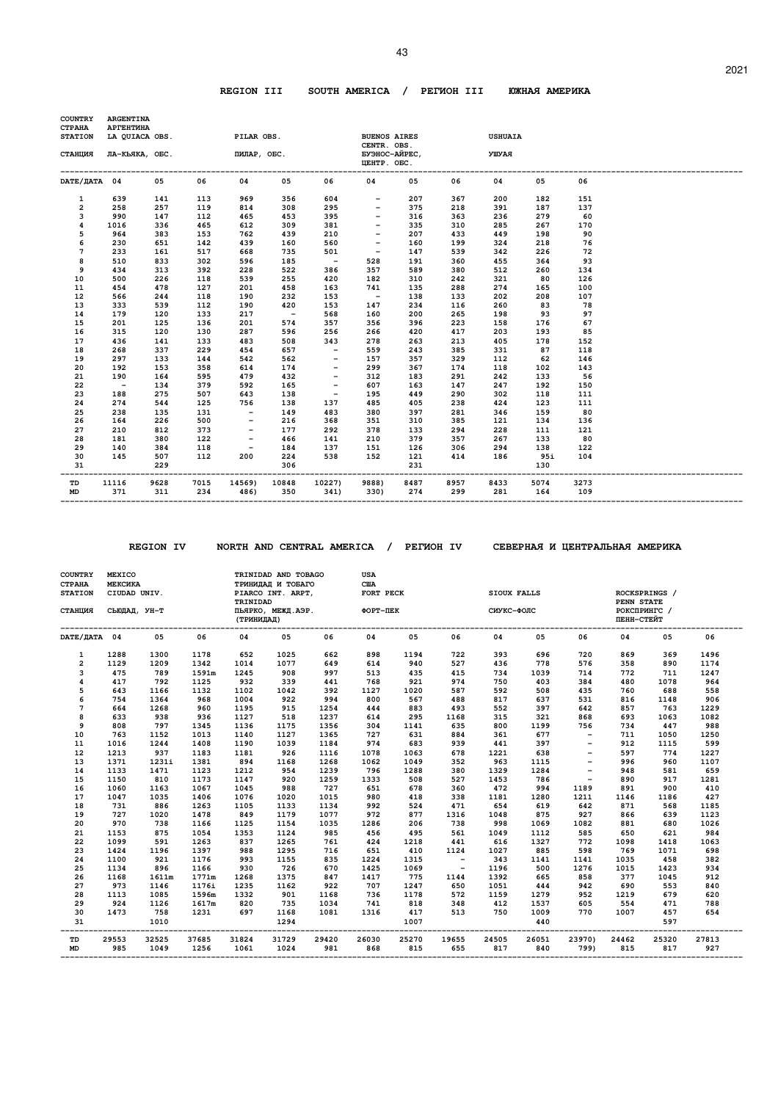#### **REGION III SOUTH AMERICA / PEГИOH III ЮЖHAЯ AMEPИKA**

| <b>COUNTRY</b><br><b>CTPAHA</b> | <b>ARGENTINA</b><br>АРГЕНТИНА |                       |            |                                          |            |                          |                                                    |            |            |                                    |            |           |  |
|---------------------------------|-------------------------------|-----------------------|------------|------------------------------------------|------------|--------------------------|----------------------------------------------------|------------|------------|------------------------------------|------------|-----------|--|
| <b>STATION</b>                  |                               | LA QUIACA OBS.        |            | PILAR OBS.                               |            |                          | <b>BUENOS AIRES</b>                                |            |            | <b>USHUAIA</b>                     |            |           |  |
| СТАНЦИЯ                         |                               | ЛА-КЬЯКА, ОБС.        |            | ПИЛАР, ОБС.                              |            |                          | CENTR. OBS.<br>БУЭНОС-АЙРЕС,<br><b>ЦЕНТР. ОБС.</b> |            |            | УШУАЯ                              |            |           |  |
| DATE/HATA 04                    |                               | 05                    | 06         | 04                                       | 05         | 06                       | 04                                                 | 05         | 06         | 04                                 | 05         | 06        |  |
| 1                               | 639                           | 141                   | 113        | 969                                      | 356        | 604                      | $-$                                                | 207        | 367        | 200                                | 182        | 151       |  |
| 2                               | 258                           | 257                   | 119        | 814                                      | 308        | 295                      | $ \,$                                              | 375        | 218        | 391                                | 187        | 137       |  |
| 3                               | 990                           | 147                   | 112        | 465                                      | 453        | 395                      | $ \,$                                              | 316        | 363        | 236                                | 279        | 60        |  |
| 4                               | 1016                          | 336                   | 465        | 612                                      | 309        | 381                      | $\sim$ $\sim$                                      | 335        | 310        | 285                                | 267        | 170       |  |
| 5                               | 964                           | 383                   | 153        | 762                                      | 439        | 210                      | $\overline{\phantom{0}}$                           | 207        | 433        | 449                                | 198        | 90        |  |
| 6                               | 230                           | 651                   | 142        | 439                                      | 160        | 560                      | $\overline{a}$                                     | 160        | 199        | 324                                | 218        | 76        |  |
| 7                               | 233                           | 161                   | 517        | 668                                      | 735        | 501                      | $\sim$                                             | 147        | 539        | 342                                | 226        | 72        |  |
| 8                               | 510                           | 833                   | 302        | 596                                      | 185        | $\sim$                   | 528                                                | 191        | 360        | 455                                | 364        | 93        |  |
| 9                               | 434                           | 313                   | 392        | 228                                      | 522        | 386                      | 357                                                | 589        | 380        | 512                                | 260        | 134       |  |
| 10                              | 500                           | 226                   | 118        | 539                                      | 255        | 420                      | 182                                                | 310        | 242        | 321                                | 80         | 126       |  |
| 11                              | 454                           | 478                   | 127        | 201                                      | 458        | 163                      | 741                                                | 135        | 288        | 274                                | 165        | 100       |  |
| 12                              | 566                           | 244                   | 118        | 190                                      | 232        | 153                      | $\sim$ $-$                                         | 138        | 133        | 202                                | 208        | 107       |  |
| 13                              | 333                           | 539                   | 112        | 190                                      | 420        | 153                      | 147                                                | 234        | 116        | 260                                | 83         | 78        |  |
| 14                              | 179                           | 120                   | 133        | 217                                      | $\sim$ $-$ | 568                      | 160                                                | 200        | 265        | 198                                | 93         | 97        |  |
| 15                              | 201                           | 125                   | 136        | 201                                      | 574        | 357                      | 356                                                | 396        | 223        | 158                                | 176        | 67        |  |
| 16                              | 315                           | 120                   | 130        | 287                                      | 596        | 256                      | 266                                                | 420        | 417        | 203                                | 193        | 85        |  |
| 17                              | 436                           | 141                   | 133        | 483                                      | 508        | 343                      | 278                                                | 263        | 213        | 405                                | 178        | 152       |  |
| 18                              | 268                           | 337                   | 229        | 454                                      | 657        | $\overline{\phantom{m}}$ | 559                                                | 243        | 385        | 331                                | 87         | 118       |  |
| 19                              | 297                           | 133                   | 144        | 542                                      | 562        | $\overline{\phantom{a}}$ | 157                                                | 357        | 329        | 112                                | 62         | 146       |  |
| 20                              | 192                           | 153                   | 358        | 614                                      | 174        | $\overline{\phantom{a}}$ | 299                                                | 367        | 174        | 118                                | 102        | 143       |  |
| 21                              | 190                           | 164                   | 595        | 479                                      | 432        | $\overline{\phantom{a}}$ | 312                                                | 183        | 291        | 242                                | 133        | 56        |  |
| 22                              | $\sim$ $-$                    | 134                   | 379        | 592                                      | 165        | $\overline{\phantom{m}}$ | 607                                                | 163        | 147        | 247                                | 192        | 150       |  |
| 23                              | 188                           | 275                   | 507        | 643                                      | 138        | $\sim$ $-$               | 195                                                | 449        | 290        | 302                                | 118        | 111       |  |
| 24                              | 274<br>238                    | 544<br>135            | 125        | 756                                      | 138        | 137<br>483               | 485                                                | 405<br>397 | 238<br>281 | 424                                | 123        | 111<br>80 |  |
| 25<br>26                        | 164                           | 226                   | 131<br>500 | $\sim$ $-$<br>$-$                        | 149<br>216 | 368                      | 380<br>351                                         | 310        | 385        | 346<br>121                         | 159        | 136       |  |
| 27                              | 210                           | 812                   | 373        | $\overline{\phantom{a}}$                 | 177        | 292                      | 378                                                | 133        | 294        | 228                                | 134<br>111 | 121       |  |
| 28                              | 181                           | 380                   | 122        | $-$                                      | 466        | 141                      | 210                                                | 379        | 357        | 267                                | 133        | 80        |  |
| 29                              | 140                           | 384                   | 118        | $\sim$ $-$                               | 184        | 137                      | 151                                                | 126        | 306        | 294                                | 138        | 122       |  |
| 30                              | 145                           | 507                   | 112        | 200                                      | 224        | 538                      | 152                                                | 121        | 414        | 186                                | 95i        | 104       |  |
| 31                              |                               | 229                   |            |                                          | 306        |                          |                                                    | 231        |            |                                    | 130        |           |  |
| TD                              | 11116                         | -------------<br>9628 | 7015       | ------------------------------<br>14569) | 10848      | 10227)                   | -----------------------------<br>9888)             | 8487       | 8957       | --------------------------<br>8433 | 5074       | 3273      |  |
| <b>MD</b>                       | 371                           | 311                   | 234        | 486)                                     | 350        | 341)                     | 330)                                               | 274        | 299        | 281                                | 164        | 109       |  |

 **REGION IV NORTH AND CENTRAL AMERICA / PEГИOH IV CEBEPHAЯ И ЦEHTPAЛЬHAЯ AMEPИKA** 

| COUNTRY<br>СТРАНА<br><b>STATION</b> | MEXICO<br><b>МЕКСИКА</b><br>CIUDAD UNIV. |               |               | TRINIDAD      | TRINIDAD AND TOBAGO<br>ТРИНИДАД И ТОБАГО<br>PIARCO INT. ARPT, |              | USA<br><b>CIIIA</b><br>FORT PECK |              |                          | SIOUX FALLS  |              |                          | PENN STATE   | ROCKSPRINGS / |              |
|-------------------------------------|------------------------------------------|---------------|---------------|---------------|---------------------------------------------------------------|--------------|----------------------------------|--------------|--------------------------|--------------|--------------|--------------------------|--------------|---------------|--------------|
| СТАНЦИЯ                             | СЬЮДАД, УН-Т                             |               |               | (ТРИНИДАД)    | ПЬЯРКО, МЕЖД.АЭР.                                             |              | ФОРТ-ПЕК                         |              |                          | СИУКС-ФОЛС   |              |                          | ПЕНН-СТЕЙТ   | РОКСПРИНГС /  |              |
| DATE/ JATA 04                       |                                          | 05            | 06            | 04            | 05                                                            | 06           | 04                               | 05           | 06                       | 04           | 05           | 06                       | 04           | 05            | 06           |
| 1                                   | 1288                                     | 1300          | 1178          | 652           | 1025                                                          | 662          | 898                              | 1194         | 722<br>527               | 393          | 696<br>778   | 720<br>576               | 869          | 369           | 1496         |
| $\overline{a}$                      | 1129                                     | 1209          | 1342          | 1014          | 1077                                                          | 649          | 614                              | 940          |                          | 436          |              |                          | 358          | 890           | 1174         |
| 3                                   | 475                                      | 789           | 1591m         | 1245          | 908                                                           | 997          | 513                              | 435          | 415<br>974               | 734          | 1039         | 714                      | 772          | 711           | 1247         |
| 4<br>5                              | 417                                      | 792           | 1125          | 932           | 339                                                           | 441          | 768                              | 921          |                          | 750          | 403          | 384                      | 480          | 1078          | 964<br>558   |
| 6                                   | 643<br>754                               | 1166<br>1364  | 1132<br>968   | 1102<br>1004  | 1042<br>922                                                   | 392<br>994   | 1127<br>800                      | 1020<br>567  | 587<br>488               | 592<br>817   | 508<br>637   | 435<br>531               | 760<br>816   | 688<br>1148   | 906          |
| 7                                   | 664                                      | 1268          | 960           | 1195          | 915                                                           | 1254         | 444                              | 883          | 493                      | 552          | 397          | 642                      | 857          | 763           | 1229         |
| 8                                   | 633                                      | 938           | 936           | 1127          | 518                                                           | 1237         | 614                              | 295          | 1168                     | 315          | 321          | 868                      | 693          | 1063          | 1082         |
| 9                                   | 808                                      | 797           | 1345          | 1136          | 1175                                                          | 1356         | 304                              | 1141         | 635                      | 800          | 1199         | 756                      | 734          | 447           | 988          |
| 10                                  | 763                                      | 1152          | 1013          | 1140          | 1127                                                          | 1365         | 727                              | 631          | 884                      | 361          | 677          | $\overline{\phantom{a}}$ | 711          | 1050          | 1250         |
| 11                                  | 1016                                     | 1244          | 1408          | 1190          | 1039                                                          | 1184         | 974                              | 683          | 939                      | 441          | 397          | $\overline{\phantom{a}}$ | 912          | 1115          | 599          |
| 12                                  | 1213                                     | 937           | 1183          | 1181          | 926                                                           | 1116         | 1078                             | 1063         | 678                      | 1221         | 638          |                          | 597          | 774           | 1227         |
| 13                                  | 1371                                     | 1231i         | 1381          | 894           | 1168                                                          | 1268         | 1062                             | 1049         | 352                      | 963          | 1115         |                          | 996          | 960           | 1107         |
| 14                                  | 1133                                     | 1471          | 1123          | 1212          | 954                                                           | 1239         | 796                              | 1288         | 380                      | 1329         | 1284         | $\overline{\phantom{a}}$ | 948          | 581           | 659          |
| 15                                  | 1150                                     | 810           | 1173          | 1147          | 920                                                           | 1259         | 1333                             | 508          | 527                      | 1453         | 786          | $\overline{\phantom{a}}$ | 890          | 917           | 1281         |
| 16                                  | 1060                                     | 1163          | 1067          | 1045          | 988                                                           | 727          | 651                              | 678          | 360                      | 472          | 994          | 1189                     | 891          | 900           | 410          |
| 17                                  | 1047                                     | 1035          | 1406          | 1076          | 1020                                                          | 1015         | 980                              | 418          | 338                      | 1181         | 1280         | 1211                     | 1146         | 1186          | 427          |
| 18                                  | 731                                      | 886           | 1263          | 1105          | 1133                                                          | 1134         | 992                              | 524          | 471                      | 654          | 619          | 642                      | 871          | 568           | 1185         |
| 19                                  | 727                                      | 1020          | 1478          | 849           | 1179                                                          | 1077         | 972                              | 877          | 1316                     | 1048         | 875          | 927                      | 866          | 639           | 1123         |
| 20                                  | 970                                      | 738           | 1166          | 1125          | 1154                                                          | 1035         | 1286                             | 206          | 738                      | 998          | 1069         | 1082                     | 881          | 680           | 1026         |
| 21                                  | 1153                                     | 875           | 1054          | 1353          | 1124                                                          | 985          | 456                              | 495          | 561                      | 1049         | 1112         | 585                      | 650          | 621           | 984          |
| 22                                  | 1099                                     | 591           | 1263          | 837           | 1265                                                          | 761          | 424                              | 1218         | 441                      | 616          | 1327         | 772                      | 1098         | 1418          | 1063         |
| 23                                  | 1424                                     | 1196          | 1397          | 988           | 1295                                                          | 716          | 651                              | 410          | 1124                     | 1027         | 885          | 598                      | 769          | 1071          | 698          |
| 24                                  | 1100                                     | 921           | 1176          | 993           | 1155                                                          | 835          | 1224                             | 1315         | $\sim$                   | 343          | 1141         | 1141                     | 1035         | 458           | 382          |
| 25                                  | 1134                                     | 896           | 1166          | 930           | 726                                                           | 670          | 1425                             | 1069         | $\overline{\phantom{0}}$ | 1196         | 500          | 1276                     | 1015         | 1423          | 934          |
| 26                                  | 1168                                     | 1611m         | 1771m         | 1268          | 1375                                                          | 847          | 1417                             | 775          | 1144                     | 1392         | 665          | 858                      | 377          | 1045          | 912          |
| 27                                  | 973                                      | 1146          | 1176i         | 1235          | 1162                                                          | 922          | 707                              | 1247         | 650                      | 1051         | 444          | 942                      | 690          | 553           | 840          |
| 28                                  | 1113                                     | 1085          | 1596m         | 1332          | 901                                                           | 1168         | 736                              | 1178         | 572                      | 1159         | 1279         | 952                      | 1219         | 679           | 620          |
| 29                                  | 924                                      | 1126          | 1617m         | 820           | 735                                                           | 1034         | 741                              | 818          | 348                      | 412          | 1537         | 605                      | 554          | 471           | 788          |
| 30<br>31                            | 1473                                     | 758<br>1010   | 1231          | 697           | 1168<br>1294                                                  | 1081         | 1316                             | 417<br>1007  | 513                      | 750          | 1009<br>440  | 770                      | 1007         | 457<br>597    | 654          |
| TD<br><b>MD</b>                     | 29553<br>985                             | 32525<br>1049 | 37685<br>1256 | 31824<br>1061 | 31729<br>1024                                                 | 29420<br>981 | 26030<br>868                     | 25270<br>815 | 19655<br>655             | 24505<br>817 | 26051<br>840 | 23970)<br>799)           | 24462<br>815 | 25320<br>817  | 27813<br>927 |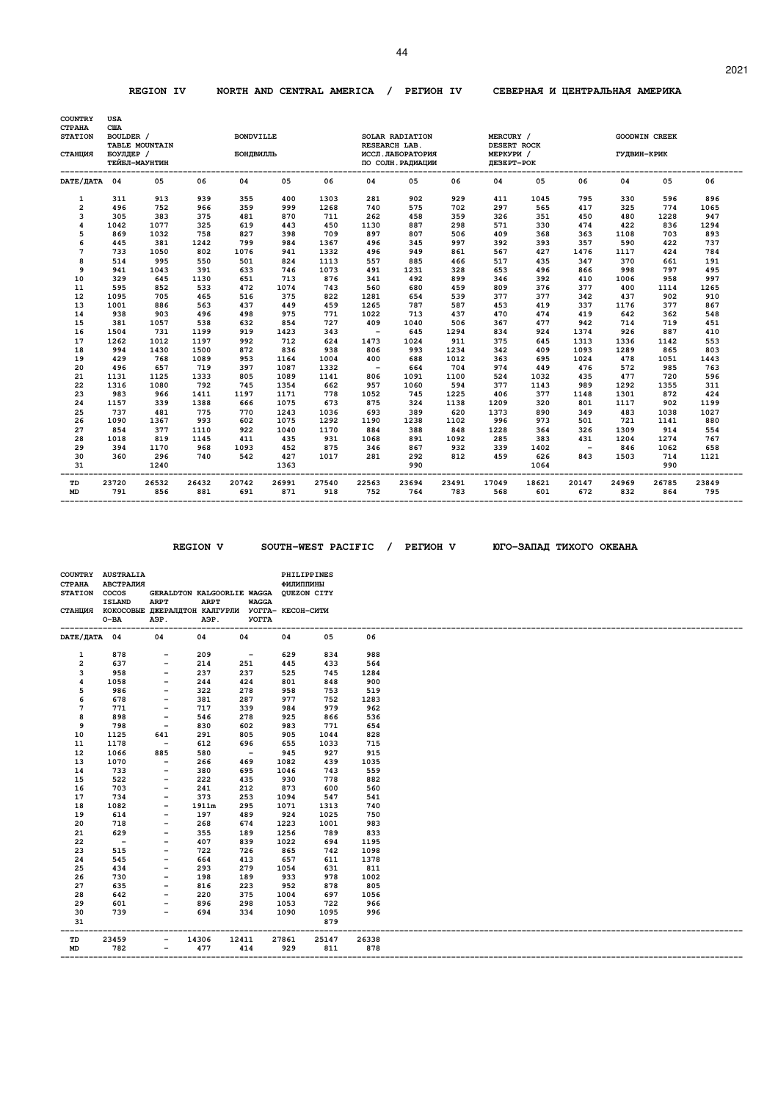#### **REGION IV NORTH AND CENTRAL AMERICA / PEГИOH IV CEBEPHAЯ И ЦEHTPAЛЬHAЯ AMEPИKA**

| <b>COUNTRY</b>                             | <b>USA</b>                            |                                 |              |                               |              |              |                          |                                                                            |              |                                                     |              |                          |              |                      |              |
|--------------------------------------------|---------------------------------------|---------------------------------|--------------|-------------------------------|--------------|--------------|--------------------------|----------------------------------------------------------------------------|--------------|-----------------------------------------------------|--------------|--------------------------|--------------|----------------------|--------------|
| <b>CTPAHA</b><br><b>STATION</b><br>СТАНЦИЯ | <b>CIIA</b><br>BOULDER /<br>БОУЛДЕР / | TABLE MOUNTAIN<br>ТЕЙБЛ-МАУНТИН |              | <b>BONDVILLE</b><br>БОНДВИЛЛЬ |              |              |                          | SOLAR RADIATION<br>RESEARCH LAB.<br>ИССЛ. ЛАБОРАТОРИЯ<br>ПО СОЛН. РАДИАЦИИ |              | MERCURY /<br>DESERT ROCK<br>МЕРКУРИ /<br>ДЕЗЕРТ-РОК |              |                          | ГУДВИН-КРИК  | <b>GOODWIN CREEK</b> |              |
| DATE/ JATA 04                              |                                       | 05                              | 06           | 04                            | 05           | 06           | 04                       | 05                                                                         | 06           | 04                                                  | 05           | 06                       | 04           | 05                   | 06           |
| 1                                          | 311                                   | 913                             | 939          | 355                           | 400          | 1303         | 281                      | 902                                                                        | 929          | 411                                                 | 1045         | 795                      | 330          | 596                  | 896          |
| $\overline{\mathbf{c}}$                    | 496                                   | 752                             | 966          | 359                           | 999          | 1268         | 740                      | 575                                                                        | 702          | 297                                                 | 565          | 417                      | 325          | 774                  | 1065         |
| 3                                          | 305                                   | 383                             | 375          | 481                           | 870          | 711          | 262                      | 458                                                                        | 359          | 326                                                 | 351          | 450                      | 480          | 1228                 | 947          |
| 4                                          | 1042                                  | 1077                            | 325          | 619                           | 443          | 450          | 1130                     | 887                                                                        | 298          | 571                                                 | 330          | 474                      | 422          | 836                  | 1294         |
| 5                                          | 869                                   | 1032                            | 758          | 827                           | 398          | 709          | 897                      | 807                                                                        | 506          | 409                                                 | 368          | 363                      | 1108         | 703                  | 893          |
| 6                                          | 445                                   | 381                             | 1242         | 799                           | 984          | 1367         | 496                      | 345                                                                        | 997          | 392                                                 | 393          | 357                      | 590          | 422                  | 737          |
| 7                                          | 733                                   | 1050                            | 802          | 1076                          | 941          | 1332         | 496                      | 949                                                                        | 861          | 567                                                 | 427          | 1476                     | 1117         | 424                  | 784          |
| 8                                          | 514                                   | 995                             | 550          | 501                           | 824          | 1113         | 557                      | 885                                                                        | 466          | 517                                                 | 435          | 347                      | 370          | 661                  | 191          |
| 9                                          | 941                                   | 1043                            | 391          | 633                           | 746          | 1073         | 491                      | 1231                                                                       | 328          | 653                                                 | 496          | 866                      | 998          | 797                  | 495          |
| 10                                         | 329                                   | 645                             | 1130         | 651                           | 713          | 876          | 341                      | 492                                                                        | 899          | 346                                                 | 392          | 410                      | 1006         | 958                  | 997          |
| 11                                         | 595                                   | 852                             | 533          | 472                           | 1074         | 743          | 560                      | 680                                                                        | 459          | 809                                                 | 376          | 377                      | 400          | 1114                 | 1265         |
| 12                                         | 1095                                  | 705                             | 465          | 516                           | 375          | 822          | 1281                     | 654                                                                        | 539          | 377                                                 | 377          | 342                      | 437          | 902                  | 910          |
| 13                                         | 1001                                  | 886                             | 563          | 437                           | 449          | 459          | 1265                     | 787                                                                        | 587          | 453                                                 | 419          | 337                      | 1176         | 377                  | 867          |
| 14                                         | 938                                   | 903                             | 496          | 498                           | 975          | 771          | 1022                     | 713                                                                        | 437          | 470                                                 | 474          | 419                      | 642          | 362                  | 548          |
| 15                                         | 381                                   | 1057                            | 538          | 632                           | 854          | 727          | 409                      | 1040                                                                       | 506          | 367                                                 | 477          | 942                      | 714          | 719                  | 451          |
| 16                                         | 1504                                  | 731                             | 1199         | 919                           | 1423         | 343          | $\overline{\phantom{a}}$ | 645                                                                        | 1294         | 834                                                 | 924          | 1374                     | 926          | 887                  | 410          |
| 17                                         | 1262                                  | 1012                            | 1197         | 992                           | 712          | 624          | 1473                     | 1024                                                                       | 911          | 375                                                 | 645          | 1313                     | 1336         | 1142                 | 553          |
| 18                                         | 994                                   | 1430                            | 1500         | 872                           | 836          | 938          | 806                      | 993                                                                        | 1234         | 342                                                 | 409          | 1093                     | 1289         | 865                  | 803          |
| 19                                         | 429                                   | 768                             | 1089         | 953                           | 1164         | 1004         | 400                      | 688                                                                        | 1012         | 363                                                 | 695          | 1024                     | 478          | 1051                 | 1443         |
| 20                                         | 496                                   | 657                             | 719          | 397                           | 1087         | 1332         | $\overline{\phantom{0}}$ | 664                                                                        | 704          | 974                                                 | 449          | 476                      | 572          | 985                  | 763          |
| 21                                         | 1131                                  | 1125                            | 1333         | 805                           | 1089         | 1141         | 806                      | 1091                                                                       | 1100         | 524                                                 | 1032         | 435                      | 477          | 720                  | 596          |
| 22                                         | 1316                                  | 1080                            | 792          | 745                           | 1354         | 662          | 957                      | 1060                                                                       | 594          | 377                                                 | 1143         | 989                      | 1292         | 1355                 | 311          |
| 23                                         | 983                                   | 966                             | 1411         | 1197                          | 1171         | 778          | 1052                     | 745                                                                        | 1225         | 406                                                 | 377          | 1148                     | 1301         | 872                  | 424          |
| 24                                         | 1157                                  | 339                             | 1388         | 666                           | 1075         | 673          | 875                      | 324                                                                        | 1138         | 1209                                                | 320          | 801                      | 1117         | 902                  | 1199         |
| 25                                         | 737                                   | 481                             | 775          | 770                           | 1243         | 1036         | 693                      | 389                                                                        | 620          | 1373                                                | 890          | 349                      | 483          | 1038                 | 1027         |
| 26                                         | 1090                                  | 1367                            | 993          | 602                           | 1075         | 1292         | 1190                     | 1238                                                                       | 1102         | 996                                                 | 973          | 501                      | 721          | 1141                 | 880          |
| 27                                         | 854                                   | 377                             | 1110         | 922                           | 1040         | 1170         | 884                      | 388                                                                        | 848          | 1228                                                | 364          | 326                      | 1309         | 914                  | 554          |
| 28                                         | 1018                                  | 819                             | 1145         | 411                           | 435          | 931          | 1068                     | 891                                                                        | 1092         | 285                                                 | 383          | 431                      | 1204         | 1274                 | 767          |
| 29                                         | 394                                   | 1170                            | 968          | 1093                          | 452          | 875          | 346                      | 867                                                                        | 932          | 339                                                 | 1402         | $\overline{\phantom{0}}$ | 846          | 1062                 | 658          |
| 30                                         | 360                                   | 296                             | 740          | 542                           | 427          | 1017         | 281                      | 292                                                                        | 812          | 459                                                 | 626          | 843                      | 1503         | 714                  | 1121         |
| 31                                         |                                       | 1240                            |              |                               | 1363         |              |                          | 990                                                                        |              |                                                     | 1064         |                          |              | 990                  |              |
| TD<br><b>MD</b>                            | 23720<br>791                          | 26532<br>856                    | 26432<br>881 | 20742<br>691                  | 26991<br>871 | 27540<br>918 | 22563<br>752             | 23694<br>764                                                               | 23491<br>783 | 17049<br>568                                        | 18621<br>601 | 20147<br>672             | 24969<br>832 | 26785<br>864         | 23849<br>795 |

 **REGION V SOUTH-WEST PACIFIC / PEГИOH V ЮГO-ЗAПAД TИXOГO OKEAHA** 

|                | COUNTRY AUSTRALIA |                                                         |             |              |           | PHILIPPINES |       |
|----------------|-------------------|---------------------------------------------------------|-------------|--------------|-----------|-------------|-------|
| <b>CTPAHA</b>  | АВСТРАЛИЯ         |                                                         |             |              | ФИЛИППИНЫ |             |       |
| <b>STATION</b> | cocos             | GERALDTON KALGOORLIE WAGGA QUEZON CITY                  |             |              |           |             |       |
|                | <b>ISLAND</b>     | <b>ARPT</b>                                             | <b>ARPT</b> | <b>WAGGA</b> |           |             |       |
|                |                   | СТАНЦИЯ КОКОСОВЫЕ ДЖЕРАЛДТОН КАЛГУРЛИ УОГГА- КЕСОН-СИТИ |             |              |           |             |       |
|                | $O-BA$            | АЭР.                                                    | АЭР.        | <b>YOTTA</b> |           |             |       |
|                |                   |                                                         |             |              |           |             |       |
| DATE/IATA 04   |                   | 04                                                      | 04          | 04           | 04        | 05          | 06    |
|                |                   |                                                         |             |              |           |             |       |
| 1              | 878               | $\overline{\phantom{a}}$                                | 209         | $\sim$ $-$   | 629       | 834         | 988   |
| $\overline{2}$ | 637               | $\overline{\phantom{a}}$                                | 214         | 251          | 445       | 433         | 564   |
| 3              | 958               | $\overline{\phantom{a}}$                                | 237         | 237          | 525       | 745         | 1284  |
| 4              | 1058              | $\overline{\phantom{m}}$                                | 244         | 424          | 801       | 848         | 900   |
| 5              | 986               | $\qquad \qquad -$                                       | 322         | 278          | 958       | 753         | 519   |
| 6              | 678               | $\overline{\phantom{a}}$                                | 381         | 287          | 977       | 752         | 1283  |
| 7              | 771               | $\overline{\phantom{a}}$                                | 717         | 339          | 984       | 979         | 962   |
| 8              | 898               | $\overline{\phantom{a}}$                                | 546         | 278          | 925       | 866         | 536   |
| 9              | 798               | $\overline{\phantom{a}}$                                | 830         | 602          | 983       | 771         | 654   |
| 10             | 1125              | 641                                                     | 291         | 805          | 905       | 1044        | 828   |
| 11             | 1178              | $\overline{\phantom{a}}$                                | 612         | 696          | 655       | 1033        | 715   |
| 12             | 1066              | 885                                                     | 580         | $\sim$       | 945       | 927         | 915   |
| 13             | 1070              | $\overline{\phantom{a}}$                                | 266         | 469          | 1082      | 439         | 1035  |
| 14             | 733               | $\overline{\phantom{a}}$                                | 380         | 695          | 1046      | 743         | 559   |
| 15             | 522               | $\overline{\phantom{a}}$                                | 222         | 435          | 930       | 778         | 882   |
| 16             | 703               | $\overline{\phantom{m}}$                                | 241         | 212          | 873       | 600         | 560   |
| 17             | 734               | $\overline{\phantom{a}}$                                | 373         | 253          | 1094      | 547         | 541   |
| 18             | 1082              | $\overline{\phantom{0}}$                                | 1911m       | 295          | 1071      | 1313        | 740   |
| 19             | 614               | $\overline{\phantom{a}}$                                | 197         | 489          | 924       | 1025        | 750   |
| 20             | 718               |                                                         | 268         |              | 1223      | 1001        | 983   |
|                |                   | $\overline{\phantom{a}}$                                |             | 674          |           |             |       |
| 21             | 629               | $\overline{\phantom{m}}$                                | 355         | 189          | 1256      | 789         | 833   |
| 22             | $\sim$ $-$        | $\qquad \qquad -$                                       | 407         | 839          | 1022      | 694         | 1195  |
| 23             | 515               | $\overline{\phantom{m}}$                                | 722         | 726          | 865       | 742         | 1098  |
| 24             | 545               | $\overline{\phantom{m}}$                                | 664         | 413          | 657       | 611         | 1378  |
| 25             | 434               |                                                         | 293         | 279          | 1054      | 631         | 811   |
| 26             | 730               | $\overline{\phantom{a}}$                                | 198         | 189          | 933       | 978         | 1002  |
| 27             | 635               | $\overline{\phantom{a}}$                                | 816         | 223          | 952       | 878         | 805   |
| 28             | 642               |                                                         | 220         | 375          | 1004      | 697         | 1056  |
| 29             | 601               | -                                                       | 896         | 298          | 1053      | 722         | 966   |
| 30             | 739               | $\overline{\phantom{0}}$                                | 694         | 334          | 1090      | 1095        | 996   |
| 31             |                   |                                                         |             |              |           | 879         |       |
| ----           |                   |                                                         |             |              |           |             |       |
| TD             | 23459             | $\overline{\phantom{a}}$                                | 14306       | 12411        | 27861     | 25147       | 26338 |
| <b>MD</b>      | 782               | $\overline{\phantom{0}}$                                | 477         | 414          | 929       | 811         | 878   |
|                |                   |                                                         |             |              |           |             |       |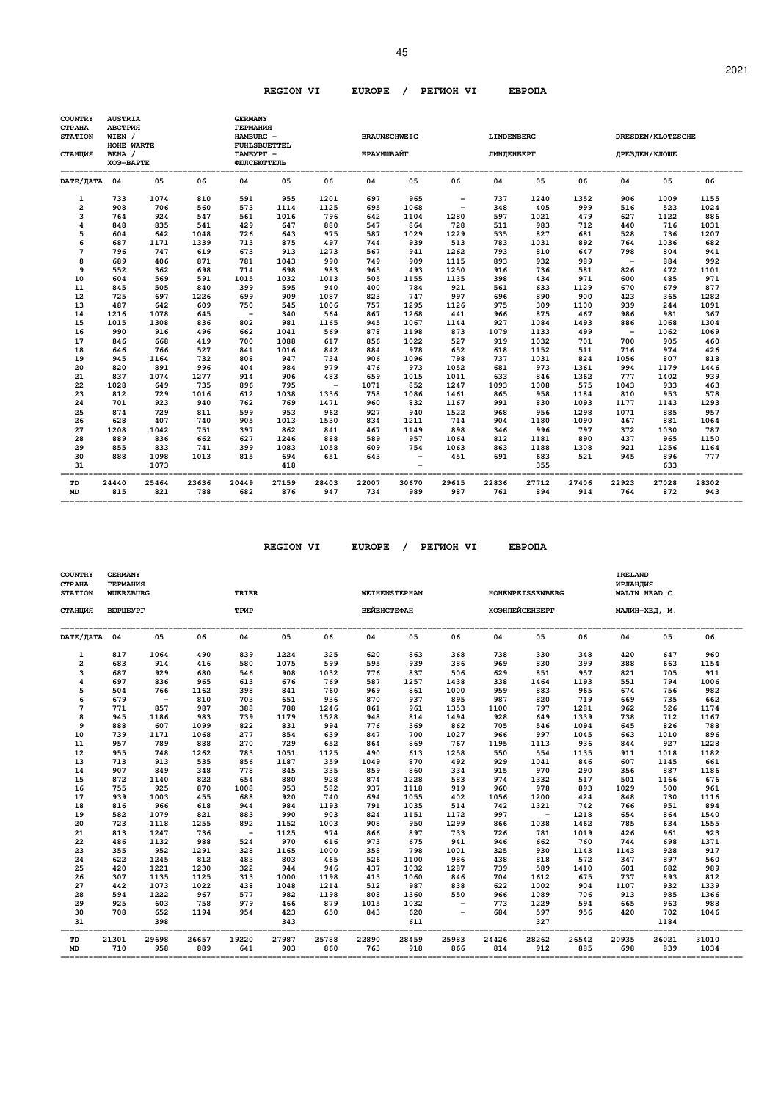| COUNTRY<br><b>CTPAHA</b><br><b>STATION</b> | <b>AUSTRIA</b><br>АВСТРИЯ<br>WIEN / |              |              | <b>GERMANY</b><br>ГЕРМАНИЯ<br>HAMBURG - |                     |              |                   | <b>BRAUNSCHWEIG</b>      |                          | LINDENBERG   |              |              |                          | DRESDEN/KLOTZSCHE |              |
|--------------------------------------------|-------------------------------------|--------------|--------------|-----------------------------------------|---------------------|--------------|-------------------|--------------------------|--------------------------|--------------|--------------|--------------|--------------------------|-------------------|--------------|
| СТАНЦИЯ                                    | HOHE WARTE<br>BEHA /<br>XO9-BAPTE   |              |              | TAMEYPT -<br>ФЮЛСБЮТТЕЛЬ                | <b>FUHLSBUETTEL</b> |              | <b>БРАУНШВАЙГ</b> |                          |                          | ЛИНДЕНБЕРГ   |              |              |                          | ДРЕЗДЕН/КЛОЩЕ     |              |
| DATE/ JATA 04                              |                                     | 05           | 06           | 04                                      | 05                  | 06           | 04                | 05                       | 06                       | 04           | 05           | 06           | 04                       | 05                | 06           |
| 1                                          | 733                                 | 1074         | 810          | 591                                     | 955                 | 1201         | 697               | 965                      | $\overline{\phantom{a}}$ | 737          | 1240         | 1352         | 906                      | 1009              | 1155         |
| $\overline{\mathbf{2}}$                    | 908                                 | 706          | 560          | 573                                     | 1114                | 1125         | 695               | 1068                     | $\overline{\phantom{a}}$ | 348          | 405          | 999          | 516                      | 523               | 1024         |
| 3                                          | 764                                 | 924          | 547          | 561                                     | 1016                | 796          | 642               | 1104                     | 1280                     | 597          | 1021         | 479          | 627                      | 1122              | 886          |
| 4                                          | 848                                 | 835          | 541          | 429                                     | 647                 | 880          | 547               | 864                      | 728                      | 511          | 983          | 712          | 440                      | 716               | 1031         |
| 5                                          | 604                                 | 642          | 1048         | 726                                     | 643                 | 975          | 587               | 1029                     | 1229                     | 535          | 827          | 681          | 528                      | 736               | 1207         |
| 6                                          | 687                                 | 1171         | 1339         | 713                                     | 875                 | 497          | 744               | 939                      | 513                      | 783          | 1031         | 892          | 764                      | 1036              | 682          |
| 7                                          | 796                                 | 747          | 619          | 673                                     | 913                 | 1273         | 567               | 941                      | 1262                     | 793          | 810          | 647          | 798                      | 804               | 941          |
| 8                                          | 689                                 | 406          | 871          | 781                                     | 1043                | 990          | 749               | 909                      | 1115                     | 893          | 932          | 989          | $\overline{\phantom{a}}$ | 884               | 992          |
| 9                                          | 552                                 | 362          | 698          | 714                                     | 698                 | 983          | 965               | 493                      | 1250                     | 916          | 736          | 581          | 826                      | 472               | 1101         |
| 10                                         | 604                                 | 569          | 591          | 1015                                    | 1032                | 1013         | 505               | 1155                     | 1135                     | 398          | 434          | 971          | 600                      | 485               | 971          |
| 11                                         | 845                                 | 505          | 840          | 399                                     | 595                 | 940          | 400               | 784                      | 921                      | 561          | 633          | 1129         | 670                      | 679               | 877          |
| 12                                         | 725                                 | 697          | 1226         | 699                                     | 909                 | 1087         | 823               | 747                      | 997                      | 696          | 890          | 900          | 423                      | 365               | 1282         |
| 13                                         | 487                                 | 642          | 609          | 750                                     | 545                 | 1006         | 757               | 1295                     | 1126                     | 975          | 309          | 1100         | 939                      | 244               | 1091         |
| 14                                         | 1216                                | 1078         | 645          | $\overline{a}$                          | 340                 | 564          | 867               | 1268                     | 441                      | 966          | 875          | 467          | 986                      | 981               | 367          |
| 15                                         | 1015                                | 1308         | 836          | 802                                     | 981                 | 1165         | 945               | 1067                     | 1144                     | 927          | 1084         | 1493         | 886                      | 1068              | 1304         |
| 16                                         | 990                                 | 916          | 496          | 662                                     | 1041                | 569          | 878               | 1198                     | 873                      | 1079         | 1133         | 499          | $\sim$                   | 1062              | 1069         |
| 17                                         | 846                                 | 668          | 419          | 700                                     | 1088                | 617          | 856               | 1022                     | 527                      | 919          | 1032         | 701          | 700                      | 905               | 460          |
| 18                                         | 646                                 | 766          | 527          | 841                                     | 1016                | 842          | 884               | 978                      | 652                      | 618          | 1152         | 511          | 716                      | 974               | 426          |
| 19                                         | 945                                 | 1164         | 732          | 808                                     | 947                 | 734          | 906               | 1096                     | 798                      | 737          | 1031         | 824          | 1056                     | 807               | 818          |
| 20                                         | 820                                 | 891          | 996          | 404                                     | 984                 | 979          | 476               | 973                      | 1052                     | 681          | 973          | 1361         | 994                      | 1179              | 1446         |
| 21                                         | 837                                 | 1074         | 1277         | 914                                     | 906                 | 483          | 659               | 1015                     | 1011                     | 633          | 846          | 1362         | 777                      | 1402              | 939          |
| 22                                         | 1028                                | 649          | 735          | 896                                     | 795                 | $\sim$       | 1071              | 852                      | 1247                     | 1093         | 1008         | 575          | 1043                     | 933               | 463          |
| 23                                         | 812                                 | 729          | 1016         | 612                                     | 1038                | 1336         | 758               | 1086                     | 1461                     | 865          | 958          | 1184         | 810                      | 953               | 578          |
| 24                                         | 701                                 | 923          | 940          | 762                                     | 769                 | 1471         | 960               | 832                      | 1167                     | 991          | 830          | 1093         | 1177                     | 1143              | 1293         |
| 25                                         | 874                                 | 729          | 811          | 599                                     | 953                 | 962          | 927               | 940                      | 1522                     | 968          | 956          | 1298         | 1071                     | 885               | 957          |
| 26                                         | 628                                 | 407          | 740          | 905                                     | 1013                | 1530         | 834               | 1211                     | 714                      | 904          | 1180         | 1090         | 467                      | 881               | 1064         |
| 27                                         | 1208                                | 1042         | 751          | 397                                     | 862                 | 841          | 467               | 1149                     | 898                      | 346          | 996          | 797          | 372                      | 1030              | 787          |
| 28                                         | 889                                 | 836          | 662          | 627                                     | 1246                | 888          | 589               | 957                      | 1064                     | 812          | 1181         | 890          | 437                      | 965               | 1150         |
| 29                                         | 855                                 | 833          | 741          | 399                                     | 1083                | 1058         | 609               | 754                      | 1063                     | 863          | 1188         | 1308         | 921                      | 1256              | 1164         |
| 30                                         | 888                                 | 1098         | 1013         | 815                                     | 694                 | 651          | 643               | $\overline{\phantom{a}}$ | 451                      | 691          | 683          | 521          | 945                      | 896               | 777          |
| 31                                         |                                     | 1073         |              |                                         | 418                 |              |                   |                          |                          |              | 355          |              |                          | 633               |              |
| TD<br><b>MD</b>                            | 24440<br>815                        | 25464<br>821 | 23636<br>788 | 20449<br>682                            | 27159<br>876        | 28403<br>947 | 22007<br>734      | 30670<br>989             | 29615<br>987             | 22836<br>761 | 27712<br>894 | 27406<br>914 | 22923<br>764             | 27028<br>872      | 28302<br>943 |

 **REGION VI EUROPE / PEГИOH VI EBPOПA** 

| <b>COUNTRY</b><br>СТРАНА<br><b>STATION</b> | <b>GERMANY</b><br>ГЕРМАНИЯ<br><b>WUERZBURG</b> |             |             | TRIER                    |             |              |                    | WEIHENSTEPHAN |              |             | <b>HOHENPEISSENBERG</b> |              | IRELAND<br>ИРЛАНДИЯ | MALIN HEAD C. |             |
|--------------------------------------------|------------------------------------------------|-------------|-------------|--------------------------|-------------|--------------|--------------------|---------------|--------------|-------------|-------------------------|--------------|---------------------|---------------|-------------|
| СТАНЦИЯ                                    | ВЮРЦБУРГ                                       |             |             | ТРИР                     |             |              | <b>ВЕЙЕНСТЕФАН</b> |               |              |             | ХОЭНПЕЙСЕНБЕРГ          |              |                     | МАЛИН-ХЕД, М. |             |
| DATE/ДАТА 04                               |                                                | 05          | 06          | 04                       | 05          | 06           | 04                 | 05            | 06           | 04          | 05                      | 06           | 04                  | 05            | 06          |
| 1                                          | 817                                            | 1064        | 490         | 839                      | 1224        | 325          | 620                | 863           | 368          | 738         | 330                     | 348          | 420                 | 647           | 960         |
| $\overline{a}$                             | 683                                            | 914         | 416         | 580                      | 1075        | 599          | 595                | 939           | 386          | 969         | 830                     | 399          | 388                 | 663           | 1154        |
| 3                                          | 687                                            | 929         | 680         | 546                      | 908         | 1032         | 776                | 837           | 506          | 629         | 851                     | 957          | 821                 | 705           | 911         |
| 4                                          | 697                                            | 836         | 965         | 613                      | 676         | 769          | 587                | 1257          | 1438         | 338         | 1464                    | 1193         | 551                 | 794           | 1006        |
| 5                                          | 504                                            | 766         | 1162        | 398                      | 841         | 760          | 969                | 861           | 1000         | 959         | 883                     | 965          | 674                 | 756           | 982         |
| 6                                          | 679                                            | $\sim$      | 810         | 703                      | 651         | 936          | 870                | 937           | 895          | 987         | 820                     | 719          | 669                 | 735           | 662         |
| 7<br>8                                     | 771                                            | 857         | 987         | 388<br>739               | 788         | 1246<br>1528 | 861                | 961           | 1353<br>1494 | 1100<br>928 | 797                     | 1281<br>1339 | 962                 | 526<br>712    | 1174        |
|                                            | 945                                            | 1186<br>607 | 983         | 822                      | 1179<br>831 | 994          | 948                | 814<br>369    | 862          |             | 649<br>546              | 1094         | 738                 | 826           | 1167<br>788 |
| 9                                          | 888                                            |             | 1099        |                          |             |              | 776                |               |              | 705         |                         |              | 645                 |               |             |
| 10<br>11                                   | 739<br>957                                     | 1171<br>789 | 1068<br>888 | 277<br>270               | 854<br>729  | 639<br>652   | 847<br>864         | 700<br>869    | 1027<br>767  | 966<br>1195 | 997<br>1113             | 1045<br>936  | 663<br>844          | 1010<br>927   | 896<br>1228 |
| 12                                         | 955                                            | 748         | 1262        | 783                      | 1051        | 1125         | 490                | 613           | 1258         | 550         | 554                     | 1135         | 911                 | 1018          | 1182        |
| 13                                         | 713                                            | 913         | 535         | 856                      | 1187        | 359          | 1049               | 870           | 492          | 929         | 1041                    | 846          | 607                 | 1145          | 661         |
| 14                                         | 907                                            | 849         | 348         | 778                      | 845         | 335          | 859                | 860           | 334          | 915         | 970                     | 290          | 356                 | 887           | 1186        |
| 15                                         | 872                                            | 1140        | 822         | 654                      | 880         | 928          | 874                | 1228          | 583          | 974         | 1332                    | 517          | 501                 | 1166          | 676         |
| 16                                         | 755                                            | 925         | 870         | 1008                     | 953         | 582          | 937                | 1118          | 919          | 960         | 978                     | 893          | 1029                | 500           | 961         |
| 17                                         | 939                                            | 1003        | 455         | 688                      | 920         | 740          | 694                | 1055          | 402          | 1056        | 1200                    | 424          | 848                 | 730           | 1116        |
| 18                                         | 816                                            | 966         | 618         | 944                      | 984         | 1193         | 791                | 1035          | 514          | 742         | 1321                    | 742          | 766                 | 951           | 894         |
| 19                                         | 582                                            | 1079        | 821         | 883                      | 990         | 903          | 824                | 1151          | 1172         | 997         | $\sim$                  | 1218         | 654                 | 864           | 1540        |
| 20                                         | 723                                            | 1118        | 1255        | 892                      | 1152        | 1003         | 908                | 950           | 1299         | 866         | 1038                    | 1462         | 785                 | 634           | 1555        |
| 21                                         | 813                                            | 1247        | 736         | $\overline{\phantom{0}}$ | 1125        | 974          | 866                | 897           | 733          | 726         | 781                     | 1019         | 426                 | 961           | 923         |
| 22                                         | 486                                            | 1132        | 988         | 524                      | 970         | 616          | 973                | 675           | 941          | 946         | 662                     | 760          | 744                 | 698           | 1371        |
| 23                                         | 355                                            | 952         | 1291        | 328                      | 1165        | 1000         | 358                | 798           | 1001         | 325         | 930                     | 1143         | 1143                | 928           | 917         |
| 24                                         | 622                                            | 1245        | 812         | 483                      | 803         | 465          | 526                | 1100          | 986          | 438         | 818                     | 572          | 347                 | 897           | 560         |
| 25                                         | 420                                            | 1221        | 1230        | 322                      | 944         | 946          | 437                | 1032          | 1287         | 739         | 589                     | 1410         | 601                 | 682           | 989         |
| 26                                         | 307                                            | 1135        | 1125        | 313                      | 1000        | 1198         | 413                | 1060          | 846          | 704         | 1612                    | 675          | 737                 | 893           | 812         |
| 27                                         | 442                                            | 1073        | 1022        | 438                      | 1048        | 1214         | 512                | 987           | 838          | 622         | 1002                    | 904          | 1107                | 932           | 1339        |
| 28                                         | 594                                            | 1222        | 967         | 577                      | 982         | 1198         | 808                | 1360          | 550          | 966         | 1089                    | 706          | 913                 | 985           | 1366        |
| 29                                         | 925                                            | 603         | 758         | 979                      | 466         | 879          | 1015               | 1032          |              | 773         | 1229                    | 594          | 665                 | 963           | 988         |
| 30                                         | 708                                            | 652         | 1194        | 954                      | 423         | 650          | 843                | 620           |              | 684         | 597                     | 956          | 420                 | 702           | 1046        |
| 31                                         |                                                | 398         |             |                          | 343         |              |                    | 611           |              |             | 327                     |              |                     | 1184          |             |
| TD                                         | 21301                                          | 29698       | 26657       | 19220                    | 27987       | 25788        | 22890              | 28459         | 25983        | 24426       | 28262                   | 26542        | 20935               | 26021         | 31010       |
| <b>MD</b>                                  | 710                                            | 958         | 889         | 641                      | 903         | 860          | 763                | 918           | 866          | 814         | 912                     | 885          | 698                 | 839           | 1034        |

 **-------------------------------------------------------------------------------------------------------------------------------------------------**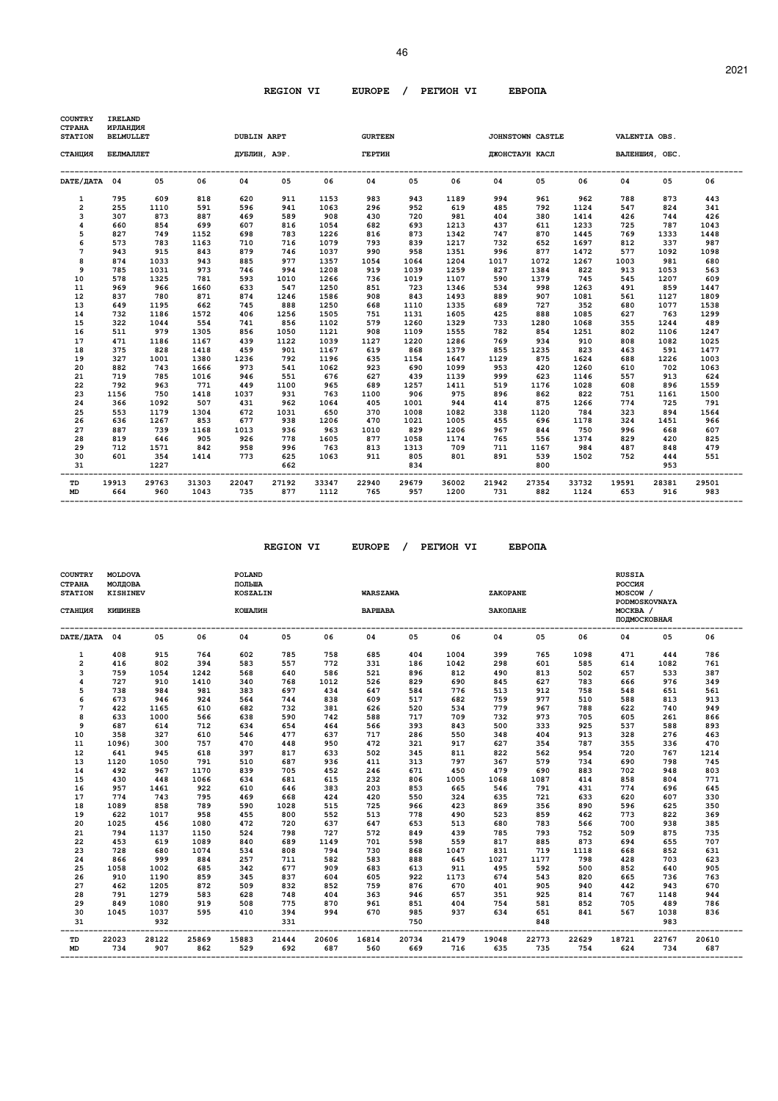| <b>COUNTRY</b><br>СТРАНА<br><b>STATION</b> | <b>IRELAND</b><br>ИРЛАНДИЯ<br><b>BELMULLET</b> |              |               | <b>DUBLIN ARPT</b> |              |               | <b>GURTEEN</b> |              |               |              | JOHNSTOWN CASTLE |               |              | VALENTIA OBS.  |              |
|--------------------------------------------|------------------------------------------------|--------------|---------------|--------------------|--------------|---------------|----------------|--------------|---------------|--------------|------------------|---------------|--------------|----------------|--------------|
| СТАНЦИЯ                                    | <b><i>BEJIMAJIJIET</i></b>                     |              |               |                    | ДУБЛИН, АЭР. |               | ГЕРТИН         |              |               |              | ДЖОНСТАУН КАСЛ   |               |              | ВАЛЕНШИЯ, ОБС. |              |
| DATE/ JATA 04                              |                                                | 05           | 06            | 04                 | 05           | 06            | 04             | 05           | 06            | 04           | 05               | 06            | 04           | 0.5            | 06           |
| 1                                          | 795                                            | 609          | 818           | 620                | 911          | 1153          | 983            | 943          | 1189          | 994          | 961              | 962           | 788          | 873            | 443          |
| $\overline{a}$                             | 255                                            | 1110         | 591           | 596                | 941          | 1063          | 296            | 952          | 619           | 485          | 792              | 1124          | 547          | 824            | 341          |
| 3                                          | 307                                            | 873          | 887           | 469                | 589          | 908           | 430            | 720          | 981           | 404          | 380              | 1414          | 426          | 744            | 426          |
| 4                                          | 660                                            | 854          | 699           | 607                | 816          | 1054          | 682            | 693          | 1213          | 437          | 611              | 1233          | 725          | 787            | 1043         |
| 5                                          | 827                                            | 749          | 1152          | 698                | 783          | 1226          | 816            | 873          | 1342          | 747          | 870              | 1445          | 769          | 1333           | 1448         |
| 6                                          | 573                                            | 783          | 1163          | 710                | 716          | 1079          | 793            | 839          | 1217          | 732          | 652              | 1697          | 812          | 337            | 987          |
| 7                                          | 943                                            | 915          | 843           | 879                | 746          | 1037          | 990            | 958          | 1351          | 996          | 877              | 1472          | 577          | 1092           | 1098         |
| 8                                          | 874                                            | 1033         | 943           | 885                | 977          | 1357          | 1054           | 1064         | 1204          | 1017         | 1072             | 1267          | 1003         | 981            | 680          |
| 9                                          | 785                                            | 1031         | 973           | 746                | 994          | 1208          | 919            | 1039         | 1259          | 827          | 1384             | 822           | 913          | 1053           | 563          |
| 10                                         | 578                                            | 1325         | 781           | 593                | 1010         | 1266          | 736            | 1019         | 1107          | 590          | 1379             | 745           | 545          | 1207           | 609          |
| 11                                         | 969                                            | 966          | 1660          | 633                | 547          | 1250          | 851            | 723          | 1346<br>1493  | 534          | 998              | 1263          | 491          | 859            | 1447         |
| 12<br>13                                   | 837<br>649                                     | 780<br>1195  | 871<br>662    | 874<br>745         | 1246<br>888  | 1586<br>1250  | 908<br>668     | 843<br>1110  | 1335          | 889<br>689   | 907<br>727       | 1081<br>352   | 561<br>680   | 1127<br>1077   | 1809<br>1538 |
|                                            |                                                |              |               |                    |              | 1505          |                |              | 1605          |              |                  | 1085          |              |                |              |
| 14                                         | 732                                            | 1186         | 1572          | 406                | 1256         |               | 751            | 1131         |               | 425          | 888              |               | 627          | 763            | 1299         |
| 15<br>16                                   | 322                                            | 1044<br>979  | 554<br>1305   | 741<br>856         | 856<br>1050  | 1102<br>1121  | 579<br>908     | 1260<br>1109 | 1329<br>1555  | 733<br>782   | 1280<br>854      | 1068<br>1251  | 355<br>802   | 1244<br>1106   | 489<br>1247  |
| 17                                         | 511<br>471                                     | 1186         | 1167          | 439                | 1122         | 1039          | 1127           | 1220         | 1286          | 769          | 934              | 910           | 808          | 1082           | 1025         |
| 18                                         | 375                                            | 828          | 1418          | 459                | 901          | 1167          | 619            | 868          | 1379          | 855          | 1235             | 823           | 463          | 591            | 1477         |
| 19                                         | 327                                            | 1001         | 1380          | 1236               | 792          | 1196          | 635            | 1154         | 1647          | 1129         | 875              | 1624          | 688          | 1226           | 1003         |
| 20                                         | 882                                            | 743          | 1666          | 973                | 541          | 1062          | 923            | 690          | 1099          | 953          | 420              | 1260          | 610          | 702            | 1063         |
| 21                                         | 719                                            | 785          | 1016          | 946                | 551          | 676           | 627            | 439          | 1139          | 999          | 623              | 1146          | 557          | 913            | 624          |
| 22                                         | 792                                            | 963          | 771           | 449                | 1100         | 965           | 689            | 1257         | 1411          | 519          | 1176             | 1028          | 608          | 896            | 1559         |
| 23                                         | 1156                                           | 750          | 1418          | 1037               | 931          | 763           | 1100           | 906          | 975           | 896          | 862              | 822           | 751          | 1161           | 1500         |
| 24                                         | 366                                            | 1092         | 507           | 431                | 962          | 1064          | 405            | 1001         | 944           | 414          | 875              | 1266          | 774          | 725            | 791          |
| 25                                         | 553                                            | 1179         | 1304          | 672                | 1031         | 650           | 370            | 1008         | 1082          | 338          | 1120             | 784           | 323          | 894            | 1564         |
| 26                                         | 636                                            | 1267         | 853           | 677                | 938          | 1206          | 470            | 1021         | 1005          | 455          | 696              | 1178          | 324          | 1451           | 966          |
| 27                                         | 887                                            | 739          | 1168          | 1013               | 936          | 963           | 1010           | 829          | 1206          | 967          | 844              | 750           | 996          | 668            | 607          |
| 28                                         | 819                                            | 646          | 905           | 926                | 778          | 1605          | 877            | 1058         | 1174          | 765          | 556              | 1374          | 829          | 420            | 825          |
| 29                                         | 712                                            | 1571         | 842           | 958                | 996          | 763           | 813            | 1313         | 709           | 711          | 1167             | 984           | 487          | 848            | 479          |
| 30                                         | 601                                            | 354          | 1414          | 773                | 625          | 1063          | 911            | 805          | 801           | 891          | 539              | 1502          | 752          | 444            | 551          |
| 31                                         |                                                | 1227         |               |                    | 662          |               |                | 834          |               |              | 800              |               |              | 953            |              |
| TD<br><b>MD</b>                            | 19913<br>664                                   | 29763<br>960 | 31303<br>1043 | 22047<br>735       | 27192<br>877 | 33347<br>1112 | 22940<br>765   | 29679<br>957 | 36002<br>1200 | 21942<br>731 | 27354<br>882     | 33732<br>1124 | 19591<br>653 | 28381<br>916   | 29501<br>983 |

| <b>COUNTRY</b><br><b>CTPAHA</b><br><b>STATION</b><br>СТАНЦИЯ | <b>MOLDOVA</b><br>МОЛДОВА<br><b>KISHINEV</b><br>КИШИНЕВ |       |       | POLAND<br>ПОЛЬША<br><b>KOSZALIN</b><br>КОШАЛИН |       |       | <b>WARSZAWA</b><br><b>BAPIIABA</b> |       |       | <b>ZAKOPANE</b><br>ЗАКОПАНЕ |       |       | <b>RUSSIA</b><br>РОССИЯ<br>MOSCOW /<br>MOCKBA / | PODMOSKOVNAYA |       |
|--------------------------------------------------------------|---------------------------------------------------------|-------|-------|------------------------------------------------|-------|-------|------------------------------------|-------|-------|-----------------------------|-------|-------|-------------------------------------------------|---------------|-------|
|                                                              |                                                         |       |       |                                                |       |       |                                    |       |       |                             |       |       |                                                 | ПОДМОСКОВНАЯ  |       |
| <b>DATE/ДАТА</b>                                             | 04                                                      | 05    | 06    | 04                                             | 05    | 06    | 04                                 | 05    | 06    | 04                          | 05    | 06    | 04                                              | 05            | 06    |
| 1                                                            | 408                                                     | 915   | 764   | 602                                            | 785   | 758   | 685                                | 404   | 1004  | 399                         | 765   | 1098  | 471                                             | 444           | 786   |
| $\overline{2}$                                               | 416                                                     | 802   | 394   | 583                                            | 557   | 772   | 331                                | 186   | 1042  | 298                         | 601   | 585   | 614                                             | 1082          | 761   |
| 3                                                            | 759                                                     | 1054  | 1242  | 568                                            | 640   | 586   | 521                                | 896   | 812   | 490                         | 813   | 502   | 657                                             | 533           | 387   |
| 4                                                            | 727                                                     | 910   | 1410  | 340                                            | 768   | 1012  | 526                                | 829   | 690   | 845                         | 627   | 783   | 666                                             | 976           | 349   |
| 5                                                            | 738                                                     | 984   | 981   | 383                                            | 697   | 434   | 647                                | 584   | 776   | 513                         | 912   | 758   | 548                                             | 651           | 561   |
| 6                                                            | 673                                                     | 946   | 924   | 564                                            | 744   | 838   | 609                                | 517   | 682   | 759                         | 977   | 510   | 588                                             | 813           | 913   |
| $\overline{7}$                                               | 422                                                     | 1165  | 610   | 682                                            | 732   | 381   | 626                                | 520   | 534   | 779                         | 967   | 788   | 622                                             | 740           | 949   |
| 8                                                            | 633                                                     | 1000  | 566   | 638                                            | 590   | 742   | 588                                | 717   | 709   | 732                         | 973   | 705   | 605                                             | 261           | 866   |
| 9                                                            | 687                                                     | 614   | 712   | 634                                            | 654   | 464   | 566                                | 393   | 843   | 500                         | 333   | 925   | 537                                             | 588           | 893   |
| 10                                                           | 358                                                     | 327   | 610   | 546                                            | 477   | 637   | 717                                | 286   | 550   | 348                         | 404   | 913   | 328                                             | 276           | 463   |
| 11                                                           | 1096)                                                   | 300   | 757   | 470                                            | 448   | 950   | 472                                | 321   | 917   | 627                         | 354   | 787   | 355                                             | 336           | 470   |
| 12                                                           | 641                                                     | 945   | 618   | 397                                            | 817   | 633   | 502                                | 345   | 811   | 822                         | 562   | 954   | 720                                             | 767           | 1214  |
| 13                                                           | 1120                                                    | 1050  | 791   | 510                                            | 687   | 936   | 411                                | 313   | 797   | 367                         | 579   | 734   | 690                                             | 798           | 745   |
| 14                                                           | 492                                                     | 967   | 1170  | 839                                            | 705   | 452   | 246                                | 671   | 450   | 479                         | 690   | 883   | 702                                             | 948           | 803   |
| 15                                                           | 430                                                     | 448   | 1066  | 634                                            | 681   | 615   | 232                                | 806   | 1005  | 1068                        | 1087  | 414   | 858                                             | 804           | 771   |
| 16                                                           | 957                                                     | 1461  | 922   | 610                                            | 646   | 383   | 203                                | 853   | 665   | 546                         | 791   | 431   | 774                                             | 696           | 645   |
| 17                                                           | 774                                                     | 743   | 795   | 469                                            | 668   | 424   | 420                                | 550   | 324   | 635                         | 721   | 633   | 620                                             | 607           | 330   |
| 18                                                           | 1089                                                    | 858   | 789   | 590                                            | 1028  | 515   | 725                                | 966   | 423   | 869                         | 356   | 890   | 596                                             | 625           | 350   |
| 19                                                           | 622                                                     | 1017  | 958   | 455                                            | 800   | 552   | 513                                | 778   | 490   | 523                         | 859   | 462   | 773                                             | 822           | 369   |
| 20                                                           | 1025                                                    | 456   | 1080  | 472                                            | 720   | 637   | 647                                | 653   | 513   | 680                         | 783   | 566   | 700                                             | 938           | 385   |
| 21                                                           | 794                                                     | 1137  | 1150  | 524                                            | 798   | 727   | 572                                | 849   | 439   | 785                         | 793   | 752   | 509                                             | 875           | 735   |
| 22                                                           | 453                                                     | 619   | 1089  | 840                                            | 689   | 1149  | 701                                | 598   | 559   | 817                         | 885   | 873   | 694                                             | 655           | 707   |
| 23                                                           | 728                                                     | 680   | 1074  | 534                                            | 808   | 794   | 730                                | 868   | 1047  | 831                         | 719   | 1118  | 668                                             | 852           | 631   |
| 24                                                           | 866                                                     | 999   | 884   | 257                                            | 711   | 582   | 583                                | 888   | 645   | 1027                        | 1177  | 798   | 428                                             | 703           | 623   |
| 25                                                           | 1058                                                    | 1002  | 685   | 342                                            | 677   | 909   | 683                                | 613   | 911   | 495                         | 592   | 500   | 852                                             | 640           | 905   |
| 26                                                           | 910                                                     | 1190  | 859   | 345                                            | 837   | 604   | 605                                | 922   | 1173  | 674                         | 543   | 820   | 665                                             | 736           | 763   |
| 27                                                           | 462                                                     | 1205  | 872   | 509                                            | 832   | 852   | 759                                | 876   | 670   | 401                         | 905   | 940   | 442                                             | 943           | 670   |
| 28                                                           | 791                                                     | 1279  | 583   | 628                                            | 748   | 404   | 363                                | 946   | 657   | 351                         | 925   | 814   | 767                                             | 1148          | 944   |
| 29                                                           | 849                                                     | 1080  | 919   | 508                                            | 775   | 870   | 961                                | 851   | 404   | 754                         | 581   | 852   | 705                                             | 489           | 786   |
| 30                                                           | 1045                                                    | 1037  | 595   | 410                                            | 394   | 994   | 670                                | 985   | 937   | 634                         | 651   | 841   | 567                                             | 1038          | 836   |
| 31                                                           |                                                         | 932   |       |                                                | 331   |       |                                    | 750   |       |                             | 848   |       |                                                 | 983           |       |
| TD                                                           | 22023                                                   | 28122 | 25869 | 15883                                          | 21444 | 20606 | 16814                              | 20734 | 21479 | 19048                       | 22773 | 22629 | 18721                                           | 22767         | 20610 |
| <b>MD</b>                                                    | 734                                                     | 907   | 862   | 529                                            | 692   | 687   | 560                                | 669   | 716   | 635                         | 735   | 754   | 624                                             | 734           | 687   |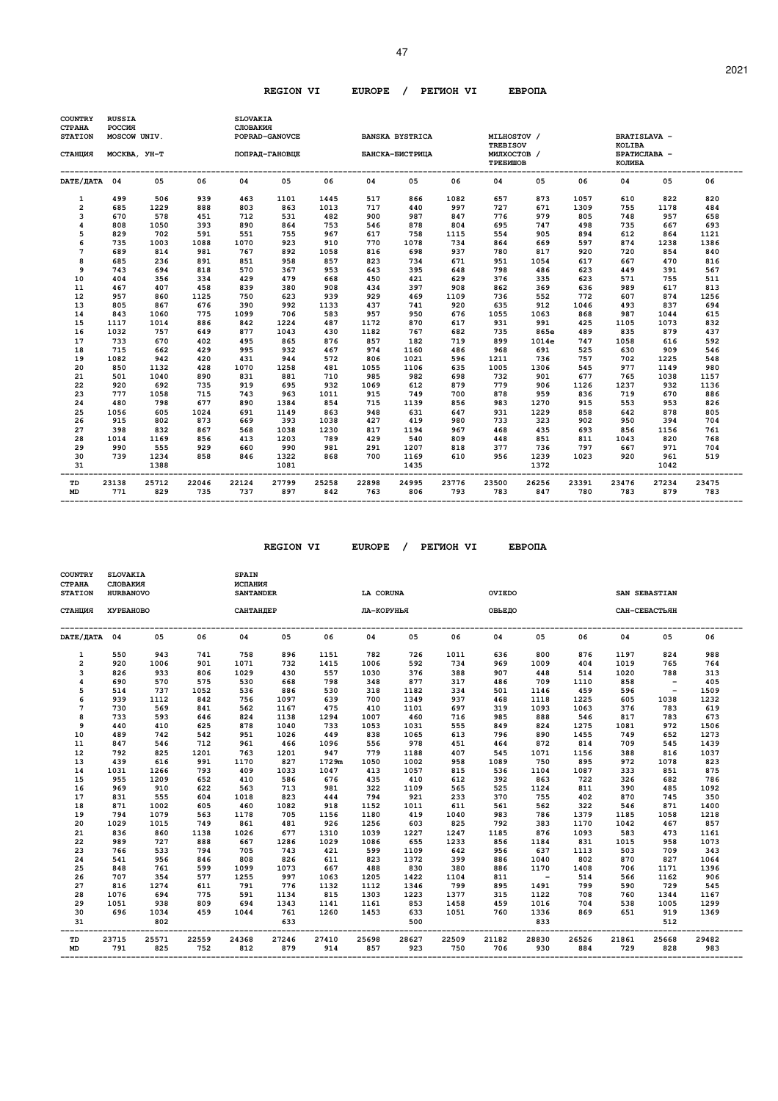| <b>STATION</b><br>СТАНЦИЯ<br>DATE/ДАТА 04<br>1<br>$\overline{a}$<br>3<br>4<br>5<br>6<br>7<br>8<br>9 | MOSCOW UNIV.<br>MOCKBA, YH-T<br>499<br>685<br>670<br>808<br>829<br>735<br>689<br>685<br>743 | 05<br>506<br>1229<br>578<br>1050<br>702<br>1003<br>814 | 06<br>939<br>888<br>451<br>393<br>591<br>1088 | 04<br>463<br>803<br>712<br>890<br>551 | POPRAD-GANOVCE<br>ПОПРАД-ГАНОВЦЕ<br>05<br>1101<br>863<br>531 | 06<br>1445<br>1013 | 04<br>517    | <b>BANSKA BYSTRICA</b><br>БАНСКА-БИСТРИЦА<br>05 | 06           | MILHOSTOV /<br><b>TREBISOV</b><br>МИЛХОСТОВ /<br>ТРЕБИШОВ<br>04 | 05           | 06           | <b>BRATISLAVA -</b><br><b>KOLIBA</b><br>БРАТИСЛАВА -<br>КОЛИБА<br>04 | 05           | 06           |
|-----------------------------------------------------------------------------------------------------|---------------------------------------------------------------------------------------------|--------------------------------------------------------|-----------------------------------------------|---------------------------------------|--------------------------------------------------------------|--------------------|--------------|-------------------------------------------------|--------------|-----------------------------------------------------------------|--------------|--------------|----------------------------------------------------------------------|--------------|--------------|
|                                                                                                     |                                                                                             |                                                        |                                               |                                       |                                                              |                    |              |                                                 |              |                                                                 |              |              |                                                                      |              |              |
|                                                                                                     |                                                                                             |                                                        |                                               |                                       |                                                              |                    |              |                                                 |              |                                                                 |              |              |                                                                      |              |              |
|                                                                                                     |                                                                                             |                                                        |                                               |                                       |                                                              |                    |              |                                                 |              |                                                                 |              |              |                                                                      |              |              |
|                                                                                                     |                                                                                             |                                                        |                                               |                                       |                                                              |                    |              | 866                                             | 1082         | 657                                                             | 873          | 1057         | 610                                                                  | 822          | 820          |
|                                                                                                     |                                                                                             |                                                        |                                               |                                       |                                                              |                    | 717          | 440                                             | 997          | 727                                                             | 671          | 1309         | 755                                                                  | 1178         | 484          |
|                                                                                                     |                                                                                             |                                                        |                                               |                                       |                                                              | 482                | 900          | 987                                             | 847          | 776                                                             | 979          | 805          | 748                                                                  | 957          | 658          |
|                                                                                                     |                                                                                             |                                                        |                                               |                                       | 864                                                          | 753                | 546          | 878                                             | 804          | 695                                                             | 747          | 498          | 735                                                                  | 667          | 693          |
|                                                                                                     |                                                                                             |                                                        |                                               |                                       | 755                                                          | 967                | 617          | 758                                             | 1115         | 554                                                             | 905          | 894          | 612                                                                  | 864          | 1121         |
|                                                                                                     |                                                                                             |                                                        |                                               | 1070                                  | 923                                                          | 910                | 770          | 1078                                            | 734          | 864                                                             | 669          | 597          | 874                                                                  | 1238         | 1386         |
|                                                                                                     |                                                                                             |                                                        | 981                                           | 767                                   | 892                                                          | 1058               | 816          | 698                                             | 937          | 780                                                             | 817          | 920          | 720                                                                  | 854          | 840          |
|                                                                                                     |                                                                                             | 236                                                    | 891                                           | 851                                   | 958                                                          | 857                | 823          | 734                                             | 671          | 951                                                             | 1054         | 617          | 667                                                                  | 470          | 816          |
|                                                                                                     |                                                                                             | 694                                                    | 818                                           | 570                                   | 367                                                          | 953                | 643          | 395                                             | 648          | 798                                                             | 486          | 623          | 449                                                                  | 391          | 567          |
| 10                                                                                                  | 404                                                                                         | 356                                                    | 334                                           | 429                                   | 479                                                          | 668                | 450          | 421                                             | 629          | 376                                                             | 335          | 623          | 571                                                                  | 755          | 511          |
| 11                                                                                                  | 467                                                                                         | 407                                                    | 458                                           | 839                                   | 380                                                          | 908                | 434          | 397                                             | 908          | 862                                                             | 369          | 636          | 989                                                                  | 617          | 813          |
| 12                                                                                                  | 957                                                                                         | 860                                                    | 1125                                          | 750                                   | 623                                                          | 939                | 929          | 469                                             | 1109         | 736                                                             | 552          | 772          | 607                                                                  | 874          | 1256         |
| 13                                                                                                  | 805                                                                                         | 867                                                    | 676                                           | 390                                   | 992                                                          | 1133               | 437          | 741                                             | 920          | 635                                                             | 912          | 1046         | 493                                                                  | 837          | 694          |
| 14                                                                                                  | 843                                                                                         | 1060                                                   | 775                                           | 1099                                  | 706                                                          | 583                | 957          | 950                                             | 676          | 1055                                                            | 1063         | 868          | 987                                                                  | 1044         | 615          |
| 15                                                                                                  | 1117                                                                                        | 1014                                                   | 886                                           | 842                                   | 1224                                                         | 487                | 1172         | 870                                             | 617          | 931                                                             | 991          | 425          | 1105                                                                 | 1073         | 832          |
| 16                                                                                                  | 1032                                                                                        | 757                                                    | 649                                           | 877                                   | 1043                                                         | 430                | 1182         | 767                                             | 682          | 735                                                             | 865e         | 489          | 835                                                                  | 879          | 437          |
| 17                                                                                                  | 733                                                                                         | 670                                                    | 402                                           | 495                                   | 865                                                          | 876                | 857          | 182                                             | 719          | 899                                                             | 1014e        | 747          | 1058                                                                 | 616          | 592          |
| 18                                                                                                  | 715                                                                                         | 662                                                    | 429                                           | 995                                   | 932                                                          | 467                | 974          | 1160                                            | 486          | 968                                                             | 691          | 525          | 630                                                                  | 909          | 546          |
| 19                                                                                                  | 1082                                                                                        | 942                                                    | 420                                           | 431                                   | 944                                                          | 572                | 806          | 1021                                            | 596          | 1211                                                            | 736          | 757          | 702                                                                  | 1225         | 548          |
| 20                                                                                                  | 850                                                                                         | 1132                                                   | 428                                           | 1070                                  | 1258                                                         | 481                | 1055         | 1106                                            | 635          | 1005                                                            | 1306         | 545          | 977                                                                  | 1149         | 980          |
| 21                                                                                                  | 501                                                                                         | 1040                                                   | 890                                           | 831                                   | 881                                                          | 710                | 985          | 982                                             | 698          | 732                                                             | 901          | 677          | 765                                                                  | 1038         | 1157         |
| 22                                                                                                  | 920                                                                                         | 692                                                    | 735                                           | 919                                   | 695                                                          | 932                | 1069         | 612                                             | 879          | 779                                                             | 906          | 1126         | 1237                                                                 | 932          | 1136         |
| 23                                                                                                  | 777                                                                                         | 1058                                                   | 715                                           | 743                                   | 963                                                          | 1011               | 915          | 749                                             | 700          | 878                                                             | 959          | 836          | 719                                                                  | 670          | 886          |
| 24                                                                                                  | 480                                                                                         | 798                                                    | 677                                           | 890                                   | 1384                                                         | 854                | 715          | 1139                                            | 856          | 983                                                             | 1270         | 915          | 553                                                                  | 953          | 826          |
| 25                                                                                                  | 1056                                                                                        | 605                                                    | 1024                                          | 691                                   | 1149                                                         | 863                | 948          | 631                                             | 647          | 931                                                             | 1229         | 858          | 642                                                                  | 878          | 805          |
| 26                                                                                                  | 915                                                                                         | 802                                                    | 873                                           | 669                                   | 393                                                          | 1038               | 427          | 419                                             | 980          | 733                                                             | 323          | 902          | 950                                                                  | 394          | 704          |
| 27                                                                                                  | 398                                                                                         | 832                                                    | 867                                           | 568                                   | 1038                                                         | 1230               | 817          | 1194                                            | 967          | 468                                                             | 435          | 693          | 856                                                                  | 1156         | 761          |
| 28                                                                                                  | 1014                                                                                        | 1169                                                   | 856                                           | 413                                   | 1203                                                         | 789                | 429          | 540                                             | 809          | 448                                                             | 851          | 811          | 1043                                                                 | 820          | 768          |
| 29                                                                                                  | 990                                                                                         | 555                                                    | 929                                           | 660                                   | 990                                                          | 981                | 291          | 1207                                            | 818          | 377                                                             | 736          | 797          | 667                                                                  | 971          | 704          |
| 30                                                                                                  | 739                                                                                         | 1234                                                   | 858                                           | 846                                   | 1322                                                         | 868                | 700          | 1169                                            | 610          | 956                                                             | 1239         | 1023         | 920                                                                  | 961          | 519          |
| 31                                                                                                  |                                                                                             | 1388                                                   |                                               |                                       | 1081                                                         |                    |              | 1435                                            |              |                                                                 | 1372         |              |                                                                      | 1042         |              |
| TD<br><b>MD</b>                                                                                     | 23138<br>771                                                                                | 25712<br>829                                           | 22046<br>735                                  | 22124<br>737                          | 27799<br>897                                                 | 25258<br>842       | 22898<br>763 | 24995<br>806                                    | 23776<br>793 | 23500<br>783                                                    | 26256<br>847 | 23391<br>780 | 23476<br>783                                                         | 27234<br>879 | 23475<br>783 |

 **REGION VI EUROPE / PEГИOH VI EBPOПA** 

| <b>COUNTRY</b><br>СТРАНА<br><b>STATION</b> | <b>SLOVAKIA</b><br>СЛОВАКИЯ<br><b>HURBANOVO</b> |       |       | <b>SPAIN</b><br>ИСПАНИЯ<br><b>SANTANDER</b> |       |       | <b>LA CORUNA</b> |       |       | OVIEDO |        |       |       | SAN SEBASTIAN            |       |
|--------------------------------------------|-------------------------------------------------|-------|-------|---------------------------------------------|-------|-------|------------------|-------|-------|--------|--------|-------|-------|--------------------------|-------|
| СТАНЦИЯ                                    | ХУРБАНОВО                                       |       |       | САНТАНДЕР                                   |       |       | ЛА-КОРУНЬЯ       |       |       | ОВЬЕДО |        |       |       | САН-СЕБАСТЬЯН            |       |
| DATE/ДАТА 04                               |                                                 | 05    | 06    | 04                                          | 05    | 06    | 04               | 05    | 06    | 04     | 05     | 06    | 04    | 05                       | 06    |
| 1                                          | 550                                             | 943   | 741   | 758                                         | 896   | 1151  | 782              | 726   | 1011  | 636    | 800    | 876   | 1197  | 824                      | 988   |
| $\overline{a}$                             | 920                                             | 1006  | 901   | 1071                                        | 732   | 1415  | 1006             | 592   | 734   | 969    | 1009   | 404   | 1019  | 765                      | 764   |
| 3                                          | 826                                             | 933   | 806   | 1029                                        | 430   | 557   | 1030             | 376   | 388   | 907    | 448    | 514   | 1020  | 788                      | 313   |
| 4                                          | 690                                             | 570   | 575   | 530                                         | 668   | 798   | 348              | 877   | 317   | 486    | 709    | 1110  | 858   | $\overline{\phantom{0}}$ | 405   |
| 5                                          | 514                                             | 737   | 1052  | 536                                         | 886   | 530   | 318              | 1182  | 334   | 501    | 1146   | 459   | 596   | $\sim$ $-$               | 1509  |
| 6                                          | 939                                             | 1112  | 842   | 756                                         | 1097  | 639   | 700              | 1349  | 937   | 468    | 1118   | 1225  | 605   | 1038                     | 1232  |
| 7                                          | 730                                             | 569   | 841   | 562                                         | 1167  | 475   | 410              | 1101  | 697   | 319    | 1093   | 1063  | 376   | 783                      | 619   |
| 8                                          | 733                                             | 593   | 646   | 824                                         | 1138  | 1294  | 1007             | 460   | 716   | 985    | 888    | 546   | 817   | 783                      | 673   |
| 9                                          | 440                                             | 410   | 625   | 878                                         | 1040  | 733   | 1053             | 1031  | 555   | 849    | 824    | 1275  | 1081  | 972                      | 1506  |
| 10                                         | 489                                             | 742   | 542   | 951                                         | 1026  | 449   | 838              | 1065  | 613   | 796    | 890    | 1455  | 749   | 652                      | 1273  |
| 11                                         | 847                                             | 546   | 712   | 961                                         | 466   | 1096  | 556              | 978   | 451   | 464    | 872    | 814   | 709   | 545                      | 1439  |
| 12                                         | 792                                             | 825   | 1201  | 763                                         | 1201  | 947   | 779              | 1188  | 407   | 545    | 1071   | 1156  | 388   | 816                      | 1037  |
| 13                                         | 439                                             | 616   | 991   | 1170                                        | 827   | 1729m | 1050             | 1002  | 958   | 1089   | 750    | 895   | 972   | 1078                     | 823   |
| 14                                         | 1031                                            | 1266  | 793   | 409                                         | 1033  | 1047  | 413              | 1057  | 815   | 536    | 1104   | 1087  | 333   | 851                      | 875   |
| 15                                         | 955                                             | 1209  | 652   | 410                                         | 586   | 676   | 435              | 410   | 612   | 392    | 863    | 722   | 326   | 682                      | 786   |
| 16                                         | 969                                             | 910   | 622   | 563                                         | 713   | 981   | 322              | 1109  | 565   | 525    | 1124   | 811   | 390   | 485                      | 1092  |
| 17                                         | 831                                             | 555   | 604   | 1018                                        | 823   | 444   | 794              | 921   | 233   | 370    | 755    | 402   | 870   | 745                      | 350   |
| 18                                         | 871                                             | 1002  | 605   | 460                                         | 1082  | 918   | 1152             | 1011  | 611   | 561    | 562    | 322   | 546   | 871                      | 1400  |
| 19                                         | 794                                             | 1079  | 563   | 1178                                        | 705   | 1156  | 1180             | 419   | 1040  | 983    | 786    | 1379  | 1185  | 1058                     | 1218  |
| 20                                         | 1029                                            | 1015  | 749   | 861                                         | 481   | 926   | 1256             | 603   | 825   | 792    | 383    | 1170  | 1042  | 467                      | 857   |
| 21                                         | 836                                             | 860   | 1138  | 1026                                        | 677   | 1310  | 1039             | 1227  | 1247  | 1185   | 876    | 1093  | 583   | 473                      | 1161  |
| 22                                         | 989                                             | 727   | 888   | 667                                         | 1286  | 1029  | 1086             | 655   | 1233  | 856    | 1184   | 831   | 1015  | 958                      | 1073  |
| 23                                         | 766                                             | 533   | 794   | 705                                         | 743   | 421   | 599              | 1109  | 642   | 956    | 637    | 1113  | 503   | 709                      | 343   |
| 24                                         | 541                                             | 956   | 846   | 808                                         | 826   | 611   | 823              | 1372  | 399   | 886    | 1040   | 802   | 870   | 827                      | 1064  |
| 25                                         | 848                                             | 761   | 599   | 1099                                        | 1073  | 667   | 488              | 830   | 380   | 886    | 1170   | 1408  | 706   | 1171                     | 1396  |
| 26                                         | 707                                             | 354   | 577   | 1255                                        | 997   | 1063  | 1205             | 1422  | 1104  | 811    | $\sim$ | 514   | 566   | 1162                     | 906   |
| 27                                         | 816                                             | 1274  | 611   | 791                                         | 776   | 1132  | 1112             | 1346  | 799   | 895    | 1491   | 799   | 590   | 729                      | 545   |
| 28                                         | 1076                                            | 694   | 775   | 591                                         | 1134  | 815   | 1303             | 1223  | 1377  | 315    | 1122   | 708   | 760   | 1344                     | 1167  |
| 29                                         | 1051                                            | 938   | 809   | 694                                         | 1343  | 1141  | 1161             | 853   | 1458  | 459    | 1016   | 704   | 538   | 1005                     | 1299  |
| 30                                         | 696                                             | 1034  | 459   | 1044                                        | 761   | 1260  | 1453             | 633   | 1051  | 760    | 1336   | 869   | 651   | 919                      | 1369  |
| 31                                         |                                                 | 802   |       |                                             | 633   |       |                  | 500   |       |        | 833    |       |       | 512                      |       |
| TD                                         | 23715                                           | 25571 | 22559 | 24368                                       | 27246 | 27410 | 25698            | 28627 | 22509 | 21182  | 28830  | 26526 | 21861 | 25668                    | 29482 |
| <b>MD</b>                                  | 791                                             | 825   | 752   | 812                                         | 879   | 914   | 857              | 923   | 750   | 706    | 930    | 884   | 729   | 828                      | 983   |

 **-------------------------------------------------------------------------------------------------------------------------------------------------**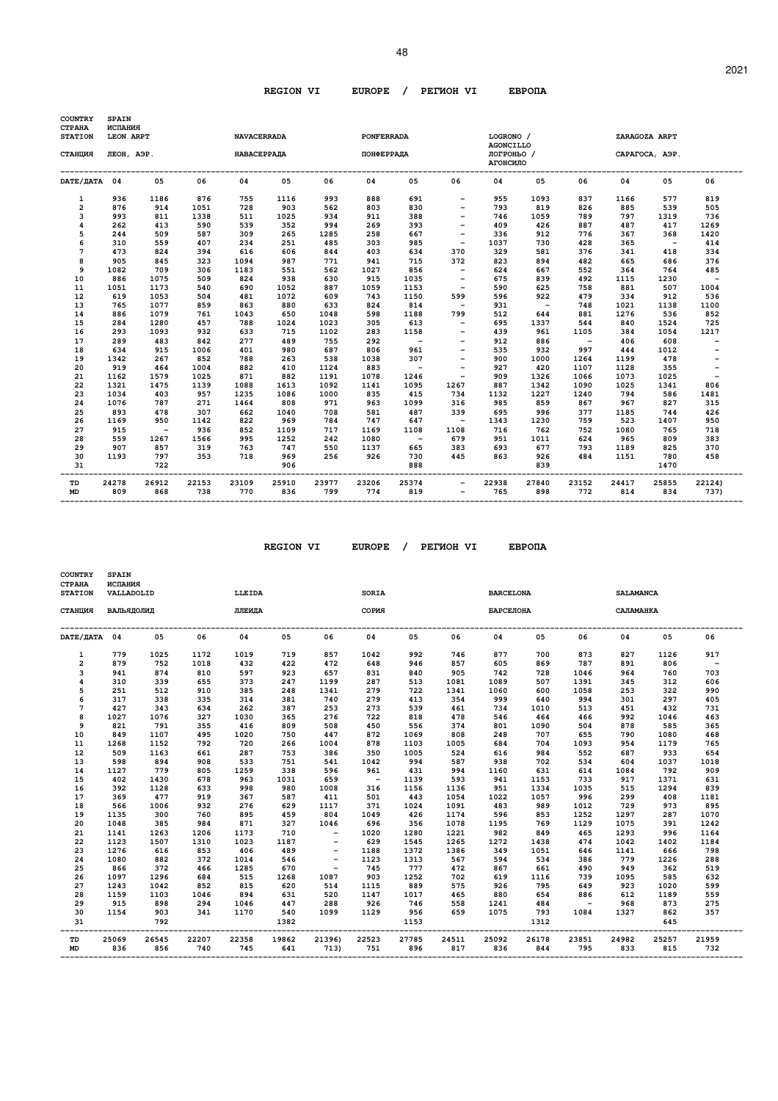| <b>COUNTRY</b><br>СТРАНА | <b>SPAIN</b><br>ИСПАНИЯ |              |              |                    |              |              |                   |              |                          |                               |              |              |              |                          |                          |
|--------------------------|-------------------------|--------------|--------------|--------------------|--------------|--------------|-------------------|--------------|--------------------------|-------------------------------|--------------|--------------|--------------|--------------------------|--------------------------|
| <b>STATION</b>           | LEON ARPT               |              |              | <b>NAVACERRADA</b> |              |              | <b>PONFERRADA</b> |              |                          | LOGRONO /<br><b>AGONCILLO</b> |              |              |              | ZARAGOZA ARPT            |                          |
| СТАНЦИЯ                  | ЛЕОН, АЭР.              |              |              | <b>НАВАСЕРРАДА</b> |              |              | ПОНФЕРРАДА        |              |                          | ЛОГРОНЬО /<br>АГОНСИЛО        |              |              |              | CAPATOCA, AGP.           |                          |
| DATE/ JATA 04            |                         | 05           | 06           | 04                 | 05           | 06           | 04                | 0.5          | 06                       | 04                            | 05           | 06           | 04           | 05                       | 06                       |
| 1                        | 936                     | 1186         | 876          | 755                | 1116         | 993          | 888               | 691          |                          | 955                           | 1093         | 837          | 1166         | 577                      | 819                      |
| $\overline{a}$           | 876                     | 914          | 1051         | 728                | 903          | 562          | 803               | 830          |                          | 793                           | 819          | 826          | 885          | 539                      | 505                      |
| 3                        | 993                     | 811          | 1338         | 511                | 1025         | 934          | 911               | 388          |                          | 746                           | 1059         | 789          | 797          | 1319                     | 736                      |
| 4                        | 262                     | 413          | 590          | 539                | 352          | 994          | 269               | 393          |                          | 409                           | 426          | 887          | 487          | 417                      | 1269                     |
| 5                        | 244                     | 509          | 587          | 309                | 265          | 1285         | 258               | 667          |                          | 336                           | 912          | 776          | 367          | 368                      | 1420                     |
| 6                        | 310                     | 559          | 407          | 234                | 251          | 485          | 303               | 985          | $\overline{\phantom{a}}$ | 1037                          | 730          | 428          | 365          | $\overline{\phantom{0}}$ | 414                      |
| 7                        | 473                     | 824          | 394          | 616                | 606          | 844          | 403               | 634          | 370                      | 329                           | 581          | 376          | 341          | 418                      | 334                      |
| 8                        | 905                     | 845          | 323          | 1094               | 987          | 771          | 941               | 715          | 372                      | 823                           | 894          | 482          | 665          | 686                      | 376                      |
| 9                        | 1082                    | 709          | 306          | 1183               | 551          | 562          | 1027              | 856          |                          | 624                           | 667          | 552          | 364          | 764                      | 485                      |
| 10                       | 886                     | 1075         | 509          | 824                | 938          | 630          | 915               | 1035         | $\overline{\phantom{a}}$ | 675                           | 839          | 492          | 1115         | 1230                     | $\overline{\phantom{a}}$ |
| 11                       | 1051                    | 1173         | 540          | 690                | 1052         | 887          | 1059              | 1153         | $\overline{\phantom{a}}$ | 590                           | 625          | 758          | 881          | 507                      | 1004                     |
| 12                       | 619                     | 1053         | 504          | 481                | 1072         | 609          | 743               | 1150         | 599                      | 596                           | 922          | 479          | 334          | 912                      | 536                      |
| 13                       | 765                     | 1077         | 859          | 863                | 880          | 633          | 824               | 814          | $\overline{\phantom{0}}$ | 931                           | $\sim$       | 748          | 1021         | 1138                     | 1100                     |
| 14                       | 886                     | 1079         | 761          | 1043               | 650          | 1048         | 598               | 1188         | 799                      | 512                           | 644          | 881          | 1276         | 536                      | 852                      |
| 15                       | 284                     | 1280         | 457          | 788                | 1024         | 1023         | 305               | 613          |                          | 695                           | 1337         | 544          | 840          | 1524                     | 725                      |
| 16                       | 293                     | 1093         | 932          | 633                | 715          | 1102         | 283               | 1158         |                          | 439                           | 961          | 1105         | 384          | 1054                     | 1217                     |
| 17                       | 289                     | 483          | 842          | 277                | 489          | 755          | 292               | $\sim$ $-$   |                          | 912                           | 886          | $\sim$ $-$   | 406          | 608                      |                          |
| 18                       | 634                     | 915          | 1006         | 401                | 980          | 687          | 806               | 961          |                          | 535                           | 932          | 997          | 444          | 1012                     |                          |
| 19                       | 1342                    | 267          | 852          | 788                | 263          | 538          | 1038              | 307          |                          | 900                           | 1000         | 1264         | 1199         | 478                      |                          |
| 20                       | 919                     | 464          | 1004         | 882                | 410          | 1124         | 883               | $\sim$ $-$   |                          | 927                           | 420          | 1107         | 1128         | 355                      | $\qquad \qquad -$        |
| 21                       | 1162                    | 1579         | 1025         | 871                | 882          | 1191         | 1078              | 1246         |                          | 909                           | 1326         | 1066         | 1073         | 1025                     | $\overline{\phantom{a}}$ |
| 22                       | 1321                    | 1475         | 1139         | 1088               | 1613         | 1092         | 1141              | 1095         | 1267                     | 887                           | 1342         | 1090         | 1025         | 1341                     | 806                      |
| 23                       | 1034                    | 403          | 957          | 1235               | 1086         | 1000         | 835               | 415          | 734                      | 1132                          | 1227         | 1240         | 794          | 586                      | 1481                     |
| 24                       | 1076                    | 787          | 271          | 1464               | 808          | 971          | 963               | 1099         | 316                      | 985                           | 859          | 867          | 967          | 827                      | 315                      |
| 25                       | 893                     | 478          | 307          | 662                | 1040         | 708          | 581               | 487          | 339                      | 695                           | 996          | 377          | 1185         | 744                      | 426                      |
| 26                       | 1169                    | 950          | 1142         | 822                | 969          | 784          | 747               | 647          | $\sim$ $-$               | 1343                          | 1230         | 759          | 523          | 1407                     | 950                      |
| 27                       | 915                     | $\sim$ $-$   | 936          | 852                | 1109         | 717          | 1169              | 1108         | 1108                     | 716                           | 762          | 752          | 1080         | 765                      | 718                      |
| 28                       | 559                     | 1267         | 1566         | 995                | 1252         | 242          | 1080              | $\sim$ $-$   | 679                      | 951                           | 1011         | 624          | 965          | 809                      | 383                      |
| 29                       | 907                     | 857          | 319          | 763                | 747          | 550          | 1137              | 665          | 383                      | 693                           | 677          | 793          | 1189         | 825                      | 370                      |
| 30                       | 1193                    | 797          | 353          | 718                | 969          | 256          | 926               | 730          | 445                      | 863                           | 926          | 484          | 1151         | 780                      | 458                      |
| 31                       |                         | 722          |              |                    | 906          |              |                   | 888          |                          |                               | 839          |              |              | 1470                     |                          |
| TD<br><b>MD</b>          | 24278<br>809            | 26912<br>868 | 22153<br>738 | 23109<br>770       | 25910<br>836 | 23977<br>799 | 23206<br>774      | 25374<br>819 | $\qquad \qquad -$        | 22938<br>765                  | 27840<br>898 | 23152<br>772 | 24417<br>814 | 25855<br>834             | 22124)<br>737)           |

 **REGION VI EUROPE / PEГИOH VI EBPOПA** 

| <b>COUNTRY</b><br>СТРАНА<br><b>STATION</b> | <b>SPAIN</b><br>ИСПАНИЯ<br>VALLADOLID |       |       | LLEIDA |       |                          | <b>SORIA</b> |       |       | <b>BARCELONA</b> |       |        | <b>SALAMANCA</b> |       |                          |
|--------------------------------------------|---------------------------------------|-------|-------|--------|-------|--------------------------|--------------|-------|-------|------------------|-------|--------|------------------|-------|--------------------------|
| СТАНЦИЯ                                    | ВАЛЬЯДОЛИД                            |       |       | ЛЛЕИДА |       |                          | СОРИЯ        |       |       | <b>БАРСЕЛОНА</b> |       |        | САЛАМАНКА        |       |                          |
| DATE/ JATA 04                              |                                       | 05    | 06    | 04     | 05    | 06                       | 04           | 05    | 06    | 04               | 05    | 06     | 04               | 05    | 06                       |
| 1                                          | 779                                   | 1025  | 1172  | 1019   | 719   | 857                      | 1042         | 992   | 746   | 877              | 700   | 873    | 827              | 1126  | 917                      |
| $\overline{2}$                             | 879                                   | 752   | 1018  | 432    | 422   | 472                      | 648          | 946   | 857   | 605              | 869   | 787    | 891              | 806   | $\overline{\phantom{a}}$ |
| 3                                          | 941                                   | 874   | 810   | 597    | 923   | 657                      | 831          | 840   | 905   | 742              | 728   | 1046   | 964              | 760   | 703                      |
| 4                                          | 310                                   | 339   | 655   | 373    | 247   | 1199                     | 287          | 513   | 1081  | 1089             | 507   | 1391   | 345              | 312   | 606                      |
| 5                                          | 251                                   | 512   | 910   | 385    | 248   | 1341                     | 279          | 722   | 1341  | 1060             | 600   | 1058   | 253              | 322   | 990                      |
| 6                                          | 317                                   | 338   | 335   | 314    | 381   | 740                      | 279          | 413   | 354   | 999              | 640   | 994    | 301              | 297   | 405                      |
| 7                                          | 427                                   | 343   | 634   | 262    | 387   | 253                      | 273          | 539   | 461   | 734              | 1010  | 513    | 451              | 432   | 731                      |
| 8                                          | 1027                                  | 1076  | 327   | 1030   | 365   | 276                      | 722          | 818   | 478   | 546              | 464   | 466    | 992              | 1046  | 463                      |
| 9                                          | 821                                   | 791   | 355   | 416    | 809   | 508                      | 450          | 556   | 374   | 801              | 1090  | 504    | 878              | 585   | 365                      |
| 10                                         | 849                                   | 1107  | 495   | 1020   | 750   | 447                      | 872          | 1069  | 808   | 248              | 707   | 655    | 790              | 1080  | 468                      |
| 11                                         | 1268                                  | 1152  | 792   | 720    | 266   | 1004                     | 878          | 1103  | 1005  | 684              | 704   | 1093   | 954              | 1179  | 765                      |
| 12                                         | 509                                   | 1163  | 661   | 287    | 753   | 386                      | 350          | 1005  | 524   | 616              | 984   | 552    | 687              | 933   | 654                      |
| 13                                         | 598                                   | 894   | 908   | 533    | 751   | 541                      | 1042         | 994   | 587   | 938              | 702   | 534    | 604              | 1037  | 1018                     |
| 14                                         | 1127                                  | 779   | 805   | 1259   | 338   | 596                      | 961          | 431   | 994   | 1160             | 631   | 614    | 1084             | 792   | 909                      |
| 15                                         | 402                                   | 1430  | 678   | 963    | 1031  | 659                      | $\sim$       | 1139  | 593   | 941              | 1153  | 733    | 917              | 1371  | 631                      |
| 16                                         | 392                                   | 1128  | 633   | 998    | 980   | 1008                     | 316          | 1156  | 1136  | 951              | 1334  | 1035   | 515              | 1294  | 839                      |
| 17                                         | 369                                   | 477   | 919   | 367    | 587   | 411                      | 501          | 443   | 1054  | 1022             | 1057  | 996    | 299              | 408   | 1181                     |
| 18                                         | 566                                   | 1006  | 932   | 276    | 629   | 1117                     | 371          | 1024  | 1091  | 483              | 989   | 1012   | 729              | 973   | 895                      |
| 19                                         | 1135                                  | 300   | 760   | 895    | 459   | 804                      | 1049         | 426   | 1174  | 596              | 853   | 1252   | 1297             | 287   | 1070                     |
| 20                                         | 1048                                  | 385   | 984   | 871    | 327   | 1046                     | 696          | 356   | 1078  | 1195             | 769   | 1129   | 1075             | 391   | 1242                     |
| 21                                         | 1141                                  | 1263  | 1206  | 1173   | 710   | $\overline{\phantom{a}}$ | 1020         | 1280  | 1221  | 982              | 849   | 465    | 1293             | 996   | 1164                     |
| 22                                         | 1123                                  | 1507  | 1310  | 1023   | 1187  |                          | 629          | 1545  | 1265  | 1272             | 1438  | 474    | 1042             | 1402  | 1184                     |
| 23                                         | 1276                                  | 616   | 853   | 406    | 489   | $\overline{\phantom{a}}$ | 1188         | 1372  | 1386  | 349              | 1051  | 646    | 1141             | 666   | 798                      |
| 24                                         | 1080                                  | 882   | 372   | 1014   | 546   | $\overline{\phantom{a}}$ | 1123         | 1313  | 567   | 594              | 534   | 386    | 779              | 1226  | 288                      |
| 25                                         | 866                                   | 372   | 466   | 1285   | 670   | $\overline{\phantom{a}}$ | 745          | 777   | 472   | 867              | 661   | 490    | 949              | 362   | 519                      |
| 26                                         | 1097                                  | 1296  | 684   | 515    | 1268  | 1087                     | 903          | 1252  | 702   | 619              | 1116  | 739    | 1095             | 585   | 632                      |
| 27                                         | 1243                                  | 1042  | 852   | 815    | 620   | 514                      | 1115         | 889   | 575   | 926              | 795   | 649    | 923              | 1020  | 599                      |
| 28                                         | 1159                                  | 1103  | 1046  | 894    | 631   | 520                      | 1147         | 1017  | 465   | 880              | 654   | 886    | 612              | 1189  | 559                      |
| 29                                         | 915                                   | 898   | 294   | 1046   | 447   | 288                      | 926          | 746   | 558   | 1241             | 484   | $\sim$ | 968              | 873   | 275                      |
| 30                                         | 1154                                  | 903   | 341   | 1170   | 540   | 1099                     | 1129         | 956   | 659   | 1075             | 793   | 1084   | 1327             | 862   | 357                      |
| 31                                         |                                       | 792   |       |        | 1382  |                          |              | 1153  |       |                  | 1312  |        |                  | 645   |                          |
| TD                                         | 25069                                 | 26545 | 22207 | 22358  | 19862 | 21396)                   | 22523        | 27785 | 24511 | 25092            | 26178 | 23851  | 24982            | 25257 | 21959                    |
| <b>MD</b>                                  | 836                                   | 856   | 740   | 745    | 641   | 713)                     | 751          | 896   | 817   | 836              | 844   | 795    | 833              | 815   | 732                      |

 **-------------------------------------------------------------------------------------------------------------------------------------------------**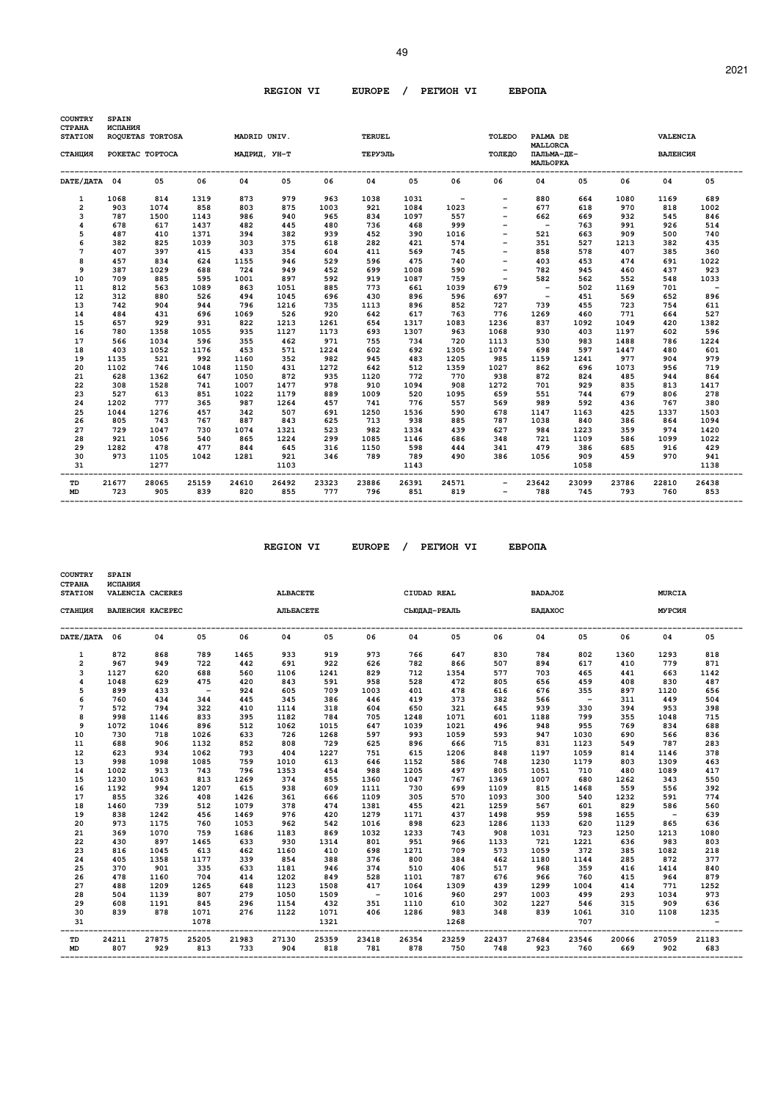| <b>COUNTRY</b><br><b>CTPAHA</b> | <b>SPAIN</b><br>ИСПАНИЯ |                  |              |              |              |              |               |              |              |                                                      |                               |              |              |              |                                  |
|---------------------------------|-------------------------|------------------|--------------|--------------|--------------|--------------|---------------|--------------|--------------|------------------------------------------------------|-------------------------------|--------------|--------------|--------------|----------------------------------|
| <b>STATION</b>                  |                         | ROQUETAS TORTOSA |              | MADRID UNIV. |              |              | <b>TERUEL</b> |              |              | TOLEDO                                               | PALMA DE<br><b>MALLORCA</b>   |              |              | VALENCIA     |                                  |
| СТАНЦИЯ                         |                         | POKETAC TOPTOCA  |              | МАДРИД, УН-Т |              |              | ТЕРУЭЛЬ       |              |              | ТОЛЕДО                                               | ПАЛЬМА-ДЕ-<br><b>МАЛЬОРКА</b> |              |              | ВАЛЕНСИЯ     |                                  |
| DATE/ JATA 04                   |                         | 05               | 06           | 04           | 05           | 06           | 04            | 05           | 06           | 06                                                   | 04                            | 05           | 06           | 04           | 05                               |
| 1                               | 1068                    | 814              | 1319         | 873          | 979          | 963          | 1038          | 1031         | $\sim$ $-$   | $\overline{\phantom{a}}$                             | 880                           | 664          | 1080         | 1169         | 689                              |
| $\overline{2}$                  | 903                     | 1074             | 858          | 803          | 875          | 1003         | 921           | 1084         | 1023         |                                                      | 677                           | 618          | 970          | 818          | 1002                             |
| 3                               | 787                     | 1500             | 1143         | 986          | 940          | 965          | 834           | 1097         | 557          |                                                      | 662                           | 669          | 932          | 545          | 846                              |
| 4                               | 678                     | 617              | 1437         | 482          | 445          | 480          | 736           | 468          | 999          | $\overline{\phantom{0}}$                             | $\sim$                        | 763          | 991          | 926          | 514                              |
| 5                               | 487                     | 410              | 1371         | 394          | 382          | 939          | 452           | 390          | 1016         | $\qquad \qquad -$                                    | 521                           | 663          | 909          | 500          | 740                              |
| 6                               | 382                     | 825              | 1039         | 303          | 375          | 618          | 282           | 421          | 574          |                                                      | 351                           | 527          | 1213         | 382          | 435                              |
| 7                               | 407                     | 397              | 415          | 433          | 354          | 604          | 411           | 569          | 745          |                                                      | 858                           | 578          | 407          | 385          | 360                              |
| 8                               | 457                     | 834              | 624          | 1155         | 946          | 529          | 596           | 475          | 740          | $\overline{\phantom{a}}$                             | 403                           | 453          | 474          | 691          | 1022                             |
| 9                               | 387                     | 1029             | 688          | 724          | 949          | 452          | 699           | 1008         | 590          | $\overline{\phantom{0}}$<br>$\overline{\phantom{a}}$ | 782                           | 945<br>562   | 460          | 437          | 923                              |
| 10<br>11                        | 709<br>812              | 885<br>563       | 595<br>1089  | 1001<br>863  | 897<br>1051  | 592<br>885   | 919<br>773    | 1087<br>661  | 759<br>1039  | 679                                                  | 582<br>$\sim$                 | 502          | 552<br>1169  | 548<br>701   | 1033<br>$\overline{\phantom{a}}$ |
| 12                              | 312                     | 880              | 526          | 494          | 1045         | 696          | 430           | 896          | 596          | 697                                                  | $\overline{\phantom{a}}$      | 451          | 569          | 652          | 896                              |
| 13                              | 742                     | 904              | 944          | 796          | 1216         | 735          | 1113          | 896          | 852          | 727                                                  | 739                           | 455          | 723          | 754          | 611                              |
| 14                              | 484                     | 431              | 696          | 1069         | 526          | 920          | 642           | 617          | 763          | 776                                                  | 1269                          | 460          | 771          | 664          | 527                              |
| 15                              | 657                     | 929              | 931          | 822          | 1213         | 1261         | 654           | 1317         | 1083         | 1236                                                 | 837                           | 1092         | 1049         | 420          | 1382                             |
| 16                              | 780                     | 1358             | 1055         | 935          | 1127         | 1173         | 693           | 1307         | 963          | 1068                                                 | 930                           | 403          | 1197         | 602          | 596                              |
| 17                              | 566                     | 1034             | 596          | 355          | 462          | 971          | 755           | 734          | 720          | 1113                                                 | 530                           | 983          | 1488         | 786          | 1224                             |
| 18                              | 403                     | 1052             | 1176         | 453          | 571          | 1224         | 602           | 692          | 1305         | 1074                                                 | 698                           | 597          | 1447         | 480          | 601                              |
| 19                              | 1135                    | 521              | 992          | 1160         | 352          | 982          | 945           | 483          | 1205         | 985                                                  | 1159                          | 1241         | 977          | 904          | 979                              |
| 20                              | 1102                    | 746              | 1048         | 1150         | 431          | 1272         | 642           | 512          | 1359         | 1027                                                 | 862                           | 696          | 1073         | 956          | 719                              |
| 21                              | 628                     | 1362             | 647          | 1050         | 872          | 935          | 1120          | 772          | 770          | 938                                                  | 872                           | 824          | 485          | 944          | 864                              |
| 22                              | 308                     | 1528             | 741          | 1007         | 1477         | 978          | 910           | 1094         | 908          | 1272                                                 | 701                           | 929          | 835          | 813          | 1417                             |
| 23                              | 527                     | 613              | 851          | 1022         | 1179         | 889          | 1009          | 520          | 1095         | 659                                                  | 551                           | 744          | 679          | 806          | 278                              |
| 24                              | 1202                    | 777              | 365          | 987          | 1264         | 457          | 741           | 776          | 557          | 569                                                  | 989                           | 592          | 436          | 767          | 380                              |
| 25                              | 1044                    | 1276             | 457          | 342          | 507          | 691          | 1250          | 1536         | 590          | 678                                                  | 1147                          | 1163         | 425          | 1337         | 1503                             |
| 26                              | 805                     | 743              | 767          | 887          | 843          | 625          | 713           | 938          | 885          | 787                                                  | 1038                          | 840          | 386          | 864          | 1094                             |
| 27                              | 729                     | 1047             | 730          | 1074         | 1321         | 523          | 982           | 1334         | 439          | 627                                                  | 984                           | 1223         | 359          | 974          | 1420                             |
| 28                              | 921                     | 1056             | 540          | 865          | 1224         | 299          | 1085          | 1146         | 686          | 348                                                  | 721                           | 1109         | 586          | 1099         | 1022                             |
| 29                              | 1282                    | 478              | 477          | 844          | 645          | 316          | 1150          | 598          | 444          | 341                                                  | 479                           | 386          | 685          | 916          | 429                              |
| 30                              | 973                     | 1105             | 1042         | 1281         | 921          | 346          | 789           | 789          | 490          | 386                                                  | 1056                          | 909          | 459          | 970          | 941                              |
| 31                              |                         | 1277             |              |              | 1103         |              |               | 1143         |              |                                                      |                               | 1058         |              |              | 1138                             |
| TD<br><b>MD</b>                 | 21677<br>723            | 28065<br>905     | 25159<br>839 | 24610<br>820 | 26492<br>855 | 23323<br>777 | 23886<br>796  | 26391<br>851 | 24571<br>819 | $\qquad \qquad -$                                    | 23642<br>788                  | 23099<br>745 | 23786<br>793 | 22810<br>760 | 26438<br>853                     |

 $REGION VI$  EUROPE / PETWOH VI

| <b>EBPO∏A</b> |
|---------------|
|---------------|

| СТАНЦИЯ<br>DATE/ JATA 06<br>1<br>$\overline{a}$<br>3<br>4<br>5<br>6<br>$7\phantom{.0}$ | 872<br>967<br>1127 | ВАЛЕНСИЯ КАСЕРЕС<br>04<br>868 | 05           | 06           | AJILEACETE   |              |                          |              |              |              |              |              |              |              |              |
|----------------------------------------------------------------------------------------|--------------------|-------------------------------|--------------|--------------|--------------|--------------|--------------------------|--------------|--------------|--------------|--------------|--------------|--------------|--------------|--------------|
|                                                                                        |                    |                               |              |              |              |              |                          |              | СЬЮДАД-РЕАЛЬ |              | БАДАХОС      |              |              | МУРСИЯ       |              |
|                                                                                        |                    |                               |              |              | 04           | 05           | 06                       | 04           | 05           | 06           | 04           | 05           | 06           | 04           | 05           |
|                                                                                        |                    |                               | 789          | 1465         | 933          | 919          | 973                      | 766          | 647          | 830          | 784          | 802          | 1360         | 1293         | 818          |
|                                                                                        |                    | 949                           | 722          | 442          | 691          | 922          | 626                      | 782          | 866          | 507          | 894          | 617          | 410          | 779          | 871          |
|                                                                                        |                    | 620                           | 688          | 560          | 1106         | 1241         | 829                      | 712          | 1354         | 577          | 703          | 465          | 441          | 663          | 1142         |
|                                                                                        | 1048               | 629                           | 475          | 420          | 843          | 591          | 958                      | 528          | 472          | 805          | 656          | 459          | 408          | 830          | 487          |
|                                                                                        | 899                | 433                           | $\sim$       | 924          | 605          | 709          | 1003                     | 401          | 478          | 616          | 676          | 355          | 897          | 1120         | 656          |
|                                                                                        | 760                | 434                           | 344          | 445          | 345          | 386          | 446                      | 419          | 373          | 382          | 566          | $\sim$ $-$   | 311          | 449          | 504          |
|                                                                                        | 572                | 794                           | 322          | 410          | 1114         | 318          | 604                      | 650          | 321          | 645          | 939          | 330          | 394          | 953          | 398          |
| 8                                                                                      | 998                | 1146                          | 833          | 395          | 1182         | 784          | 705                      | 1248         | 1071         | 601          | 1188         | 799          | 355          | 1048         | 715          |
| 9                                                                                      | 1072               | 1046                          | 896          | 512          | 1062         | 1015         | 647                      | 1039         | 1021         | 496          | 948          | 955          | 769          | 834          | 688          |
| 10                                                                                     | 730                | 718                           | 1026         | 633          | 726          | 1268         | 597                      | 993          | 1059         | 593          | 947          | 1030         | 690          | 566          | 836          |
| 11                                                                                     | 688                | 906                           | 1132         | 852          | 808          | 729          | 625                      | 896          | 666          | 715          | 831          | 1123         | 549          | 787          | 283          |
| 12                                                                                     | 623                | 934                           | 1062         | 793          | 404          | 1227         | 751                      | 615          | 1206         | 848          | 1197         | 1059         | 814          | 1146         | 378          |
| 13                                                                                     | 998                | 1098                          | 1085         | 759          | 1010         | 613          | 646                      | 1152         | 586          | 748          | 1230         | 1179         | 803          | 1309         | 463          |
| 14                                                                                     | 1002               | 913                           | 743          | 796          | 1353         | 454          | 988                      | 1205         | 497          | 805          | 1051         | 710          | 480          | 1089         | 417          |
| 15                                                                                     | 1230               | 1063                          | 813          | 1269         | 374          | 855          | 1360                     | 1047         | 767          | 1369         | 1007         | 680          | 1262         | 343          | 550          |
| 16                                                                                     | 1192               | 994                           | 1207         | 615          | 938          | 609          | 1111                     | 730          | 699          | 1109         | 815          | 1468         | 559          | 556          | 392          |
| 17                                                                                     | 855                | 326                           | 408          | 1426         | 361          | 666          | 1109                     | 305          | 570          | 1093         | 300          | 540          | 1232         | 591          | 774          |
| 18                                                                                     | 1460               | 739                           | 512          | 1079         | 378          | 474          | 1381                     | 455          | 421          | 1259         | 567          | 601          | 829          | 586          | 560          |
| 19                                                                                     | 838                | 1242                          | 456          | 1469         | 976          | 420          | 1279                     | 1171         | 437          | 1498         | 959          | 598          | 1655         | $\sim$       | 639          |
| 20                                                                                     | 973                | 1175                          | 760          | 1053         | 962          | 542          | 1016                     | 898          | 623          | 1286         | 1133         | 620          | 1129         | 865          | 636          |
| 21                                                                                     | 369                | 1070                          | 759          | 1686         | 1183         | 869          | 1032                     | 1233         | 743          | 908          | 1031         | 723          | 1250         | 1213         | 1080         |
| 22                                                                                     | 430                | 897                           | 1465         | 633          | 930          | 1314         | 801                      | 951          | 966          | 1133         | 721          | 1221         | 636          | 983          | 803          |
| 23                                                                                     | 816                | 1045                          | 613          | 462          | 1160         | 410          | 698                      | 1271         | 709          | 573          | 1059         | 372          | 385          | 1082         | 218          |
| 24                                                                                     | 405                | 1358                          | 1177         | 339          | 854          | 388          | 376                      | 800          | 384          | 462          | 1180         | 1144         | 285          | 872          | 377          |
| 25                                                                                     | 370                | 901                           | 335          | 633          | 1181         | 946          | 374                      | 510          | 406          | 517          | 968          | 359          | 416          | 1414         | 840          |
| 26                                                                                     | 478                | 1160                          | 704          | 414          | 1202         | 849          | 528                      | 1101         | 787          | 676          | 966          | 760          | 415          | 964          | 879          |
| 27                                                                                     | 488                | 1209                          | 1265         | 648          | 1123         | 1508         | 417                      | 1064         | 1309         | 439          | 1299         | 1004         | 414          | 771          | 1252         |
| 28                                                                                     | 504                | 1139                          | 807          | 279          | 1050         | 1509         | $\overline{\phantom{0}}$ | 1016         | 960          | 297          | 1003         | 499          | 293          | 1034         | 973          |
| 29                                                                                     | 608                | 1191                          | 845          | 296          | 1154         | 432          | 351                      | 1110         | 610          | 302          | 1227         | 546          | 315          | 909          | 636          |
| 30<br>31                                                                               | 839                | 878                           | 1071<br>1078 | 276          | 1122         | 1071<br>1321 | 406                      | 1286         | 983<br>1268  | 348          | 839          | 1061<br>707  | 310          | 1108         | 1235         |
| TD<br><b>MD</b>                                                                        | 24211<br>807       | 27875<br>929                  | 25205<br>813 | 21983<br>733 | 27130<br>904 | 25359<br>818 | 23418<br>781             | 26354<br>878 | 23259<br>750 | 22437<br>748 | 27684<br>923 | 23546<br>760 | 20066<br>669 | 27059<br>902 | 21183<br>683 |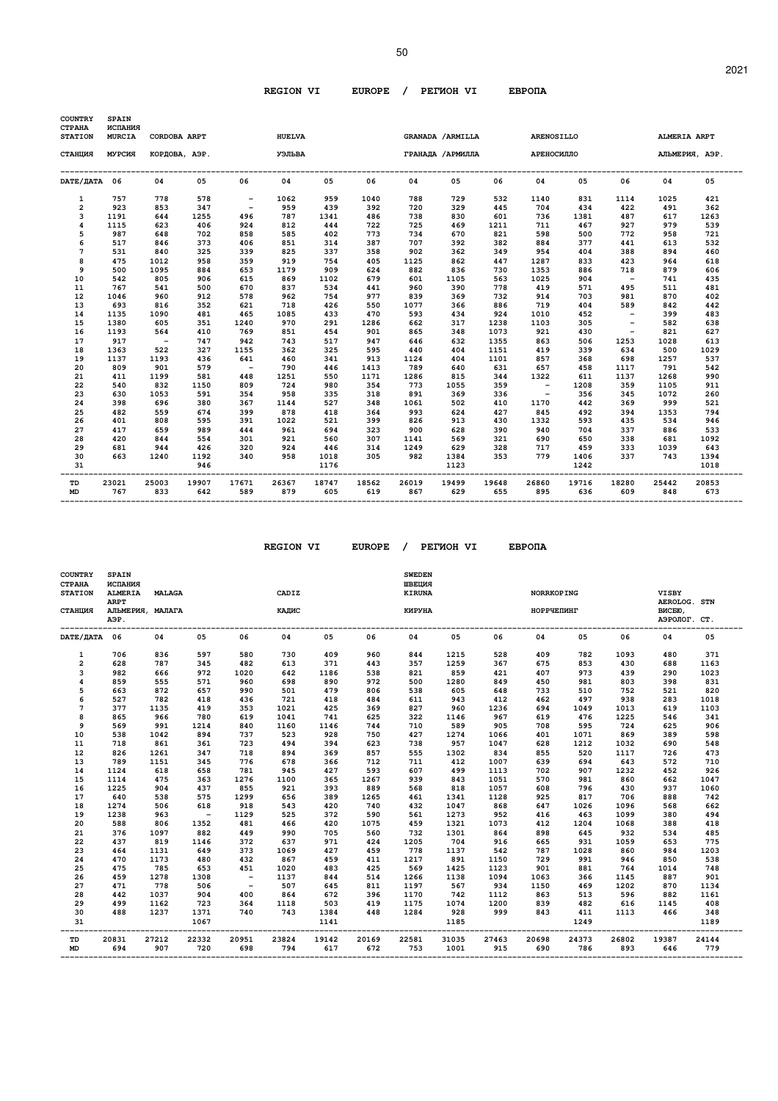50

| COUNTRY<br>СТРАНА       | SPAIN<br>ИСПАНИЯ |               |       |                          |               |       |       |       |                   |       |                   |       |                          |       |                |
|-------------------------|------------------|---------------|-------|--------------------------|---------------|-------|-------|-------|-------------------|-------|-------------------|-------|--------------------------|-------|----------------|
| <b>STATION</b>          | <b>MURCIA</b>    | CORDOBA ARPT  |       |                          | <b>HUELVA</b> |       |       |       | GRANADA / ARMILLA |       | <b>ARENOSILLO</b> |       |                          |       | ALMERIA ARPT   |
| СТАНЦИЯ                 | МУРСИЯ           | КОРДОВА, АЭР. |       |                          | УЭЛЬВА        |       |       |       | ГРАНАДА / АРМИЛЛА |       | АРЕНОСИЛЛО        |       |                          |       | АЛЬМЕРИЯ, АЭР. |
| DATE/ДАТА 06            |                  | 04            | 05    | 06                       | 04            | 05    | 06    | 04    | 05                | 06    | 04                | 05    | 06                       | 04    | 05             |
| 1                       | 757              | 778           | 578   | $\overline{\phantom{m}}$ | 1062          | 959   | 1040  | 788   | 729               | 532   | 1140              | 831   | 1114                     | 1025  | 421            |
| $\overline{\mathbf{2}}$ | 923              | 853           | 347   | $\overline{\phantom{a}}$ | 959           | 439   | 392   | 720   | 329               | 445   | 704               | 434   | 422                      | 491   | 362            |
| 3                       | 1191             | 644           | 1255  | 496                      | 787           | 1341  | 486   | 738   | 830               | 601   | 736               | 1381  | 487                      | 617   | 1263           |
| 4                       | 1115             | 623           | 406   | 924                      | 812           | 444   | 722   | 725   | 469               | 1211  | 711               | 467   | 927                      | 979   | 539            |
| 5                       | 987              | 648           | 702   | 858                      | 585           | 402   | 773   | 734   | 670               | 821   | 598               | 500   | 772                      | 958   | 721            |
| 6                       | 517              | 846           | 373   | 406                      | 851           | 314   | 387   | 707   | 392               | 382   | 884               | 377   | 441                      | 613   | 532            |
| 7                       | 531              | 840           | 325   | 339                      | 825           | 337   | 358   | 902   | 362               | 349   | 954               | 404   | 388                      | 894   | 460            |
| 8                       | 475              | 1012          | 958   | 359                      | 919           | 754   | 405   | 1125  | 862               | 447   | 1287              | 833   | 423                      | 964   | 618            |
| 9                       | 500              | 1095          | 884   | 653                      | 1179          | 909   | 624   | 882   | 836               | 730   | 1353              | 886   | 718                      | 879   | 606            |
| 10                      | 542              | 805           | 906   | 615                      | 869           | 1102  | 679   | 601   | 1105              | 563   | 1025              | 904   | $\sim$                   | 741   | 435            |
| 11                      | 767              | 541           | 500   | 670                      | 837           | 534   | 441   | 960   | 390               | 778   | 419               | 571   | 495                      | 511   | 481            |
| 12                      | 1046             | 960           | 912   | 578                      | 962           | 754   | 977   | 839   | 369               | 732   | 914               | 703   | 981                      | 870   | 402            |
| 13                      | 693              | 816           | 352   | 621                      | 718           | 426   | 550   | 1077  | 366               | 886   | 719               | 404   | 589                      | 842   | 442            |
| 14                      | 1135             | 1090          | 481   | 465                      | 1085          | 433   | 470   | 593   | 434               | 924   | 1010              | 452   | $-$                      | 399   | 483            |
| 15                      | 1380             | 605           | 351   | 1240                     | 970           | 291   | 1286  | 662   | 317               | 1238  | 1103              | 305   |                          | 582   | 638            |
| 16                      | 1193             | 564           | 410   | 769                      | 851           | 454   | 901   | 865   | 348               | 1073  | 921               | 430   | $\overline{\phantom{a}}$ | 821   | 627            |
| 17                      | 917              | $\sim$        | 747   | 942                      | 743           | 517   | 947   | 646   | 632               | 1355  | 863               | 506   | 1253                     | 1028  | 613            |
| 18                      | 1363             | 522           | 327   | 1155                     | 362           | 325   | 595   | 440   | 404               | 1151  | 419               | 339   | 634                      | 500   | 1029           |
| 19                      | 1137             | 1193          | 436   | 641                      | 460           | 341   | 913   | 1124  | 404               | 1101  | 857               | 368   | 698                      | 1257  | 537            |
| 20                      | 809              | 901           | 579   | $\overline{\phantom{0}}$ | 790           | 446   | 1413  | 789   | 640               | 631   | 657               | 458   | 1117                     | 791   | 542            |
| 21                      | 411              | 1199          | 581   | 448                      | 1251          | 550   | 1171  | 1286  | 815               | 344   | 1322              | 611   | 1137                     | 1268  | 990            |
| 22                      | 540              | 832           | 1150  | 809                      | 724           | 980   | 354   | 773   | 1055              | 359   | $\sim$            | 1208  | 359                      | 1105  | 911            |
| 23                      | 630              | 1053          | 591   | 354                      | 958           | 335   | 318   | 891   | 369               | 336   | $\sim$            | 356   | 345                      | 1072  | 260            |
| 24                      | 398              | 696           | 380   | 367                      | 1144          | 527   | 348   | 1061  | 502               | 410   | 1170              | 442   | 369                      | 999   | 521            |
| 25                      | 482              | 559           | 674   | 399                      | 878           | 418   | 364   | 993   | 624               | 427   | 845               | 492   | 394                      | 1353  | 794            |
| 26                      | 401              | 808           | 595   | 391                      | 1022          | 521   | 399   | 826   | 913               | 430   | 1332              | 593   | 435                      | 534   | 946            |
| 27                      | 417              | 659           | 989   | 444                      | 961           | 694   | 323   | 900   | 628               | 390   | 940               | 704   | 337                      | 886   | 533            |
| 28                      | 420              | 844           | 554   | 301                      | 921           | 560   | 307   | 1141  | 569               | 321   | 690               | 650   | 338                      | 681   | 1092           |
| 29                      | 681              | 944           | 426   | 320                      | 924           | 446   | 314   | 1249  | 629               | 328   | 717               | 459   | 333                      | 1039  | 643            |
| 30                      | 663              | 1240          | 1192  | 340                      | 958           | 1018  | 305   | 982   | 1384              | 353   | 779               | 1406  | 337                      | 743   | 1394           |
| 31                      |                  |               | 946   |                          |               | 1176  |       |       | 1123              |       |                   | 1242  |                          |       | 1018           |
| TD                      | 23021            | 25003         | 19907 | 17671                    | 26367         | 18747 | 18562 | 26019 | 19499             | 19648 | 26860             | 19716 | 18280                    | 25442 | 20853          |
| <b>MD</b>               | 767              | 833           | 642   | 589                      | 879           | 605   | 619   | 867   | 629               | 655   | 895               | 636   | 609                      | 848   | 673            |

 $REGION VI$  EUROPE / PETWOH VI

| <b>EBPOTA</b> |
|---------------|
|---------------|

| <b>ARPT</b><br>СТАНЦИЯ<br>АЛЬМЕРИЯ, МАЛАГА<br>АЭР.<br>DATE/ДАТА 06<br>06<br>04<br>05<br>836<br>1<br>706<br>597<br>580<br>$\overline{\mathbf{c}}$<br>628<br>787<br>345<br>482<br>982<br>666<br>3<br>972<br>1020<br>4<br>859<br>555<br>571<br>960<br>5<br>663<br>872<br>657<br>990<br>6<br>527<br>782<br>418<br>436<br>7<br>377<br>1135<br>353<br>419<br>8<br>865<br>966<br>780<br>619<br>9<br>569<br>991<br>1214<br>840<br>10<br>538<br>1042<br>894<br>737<br>861<br>361<br>723<br>11<br>718 |                                 |                                   |                                  |                                        |
|---------------------------------------------------------------------------------------------------------------------------------------------------------------------------------------------------------------------------------------------------------------------------------------------------------------------------------------------------------------------------------------------------------------------------------------------------------------------------------------------|---------------------------------|-----------------------------------|----------------------------------|----------------------------------------|
|                                                                                                                                                                                                                                                                                                                                                                                                                                                                                             | КАЛИС                           | КИРУНА                            | НОРРЧЕПИНГ                       | AEROLOG. STN<br>ВИСБЮ,<br>АЭРОЛОГ. СТ. |
|                                                                                                                                                                                                                                                                                                                                                                                                                                                                                             | 04<br>05<br>06                  | 04<br>05<br>06                    | 04<br>05<br>06                   | 04<br>05                               |
|                                                                                                                                                                                                                                                                                                                                                                                                                                                                                             | 730<br>409<br>960               | 1215<br>844<br>528                | 409<br>782<br>1093               | 371<br>480                             |
|                                                                                                                                                                                                                                                                                                                                                                                                                                                                                             | 613<br>371<br>443               | 1259<br>357<br>367                | 675<br>853<br>430                | 688<br>1163                            |
|                                                                                                                                                                                                                                                                                                                                                                                                                                                                                             | 642<br>538<br>1186              | 859<br>821<br>421                 | 407<br>973<br>439                | 290<br>1023                            |
|                                                                                                                                                                                                                                                                                                                                                                                                                                                                                             | 698<br>890<br>972               | 500<br>1280<br>849                | 450<br>981<br>803                | 398<br>831                             |
|                                                                                                                                                                                                                                                                                                                                                                                                                                                                                             | 501<br>479<br>806               | 538<br>605<br>648                 | 733<br>510<br>752                | 820<br>521                             |
|                                                                                                                                                                                                                                                                                                                                                                                                                                                                                             | 721<br>418<br>484               | 611<br>943<br>412                 | 497<br>938<br>462                | 283<br>1018                            |
|                                                                                                                                                                                                                                                                                                                                                                                                                                                                                             | 1021<br>425<br>369              | 827<br>960<br>1236                | 694<br>1013<br>1049              | 619<br>1103                            |
|                                                                                                                                                                                                                                                                                                                                                                                                                                                                                             | 625<br>1041<br>741              | 322<br>1146<br>967                | 619<br>476<br>1225               | 341<br>546                             |
|                                                                                                                                                                                                                                                                                                                                                                                                                                                                                             | 1160<br>1146<br>744             | 710<br>589<br>905                 | 595<br>724<br>708                | 906<br>625                             |
|                                                                                                                                                                                                                                                                                                                                                                                                                                                                                             | 523<br>928<br>750               | 427<br>1274<br>1066               | 869<br>401<br>1071               | 598<br>389                             |
|                                                                                                                                                                                                                                                                                                                                                                                                                                                                                             | 494<br>394<br>623               | 738<br>957<br>1047                | 628<br>1212<br>1032              | 548<br>690                             |
| 12<br>826<br>1261<br>347<br>718                                                                                                                                                                                                                                                                                                                                                                                                                                                             | 894<br>369<br>857               | 555<br>834<br>1302                | 855<br>520<br>1117<br>694        | 473<br>726                             |
| 13<br>789<br>345<br>776<br>1151                                                                                                                                                                                                                                                                                                                                                                                                                                                             | 678<br>366<br>712<br>945<br>593 | 711<br>412<br>1007<br>499         | 639<br>643<br>907                | 572<br>710<br>452<br>926               |
| 618<br>1124<br>658<br>781<br>14<br>15<br>1114<br>475<br>1276<br>363                                                                                                                                                                                                                                                                                                                                                                                                                         | 427<br>365<br>1267<br>1100      | 607<br>1113<br>939<br>843<br>1051 | 702<br>1232<br>570<br>981<br>860 | 662<br>1047                            |
| 16<br>1225<br>904<br>437<br>855                                                                                                                                                                                                                                                                                                                                                                                                                                                             | 921<br>393<br>889               | 568<br>818<br>1057                | 796<br>430<br>608                | 937<br>1060                            |
| 17<br>640<br>538<br>575<br>1299                                                                                                                                                                                                                                                                                                                                                                                                                                                             | 656<br>389<br>1265              | 461<br>1341<br>1128               | 817<br>925<br>706                | 742<br>888                             |
| 918<br>18<br>1274<br>506<br>618                                                                                                                                                                                                                                                                                                                                                                                                                                                             | 543<br>420<br>740               | 432<br>1047<br>868                | 647<br>1026<br>1096              | 662<br>568                             |
| 19<br>1238<br>963<br>1129<br>$\sim$ $-$                                                                                                                                                                                                                                                                                                                                                                                                                                                     | 525<br>372<br>590               | 561<br>1273<br>952                | 416<br>463<br>1099               | 494<br>380                             |
| 588<br>806<br>1352<br>481<br>20                                                                                                                                                                                                                                                                                                                                                                                                                                                             | 466<br>420<br>1075              | 459<br>1321<br>1073               | 412<br>1204<br>1068              | 418<br>388                             |
| 376<br>1097<br>882<br>449<br>21                                                                                                                                                                                                                                                                                                                                                                                                                                                             | 990<br>705<br>560               | 732<br>1301<br>864                | 645<br>898<br>932                | 534<br>485                             |
| 819<br>22<br>437<br>1146<br>372                                                                                                                                                                                                                                                                                                                                                                                                                                                             | 637<br>971<br>424               | 704<br>1205<br>916                | 931<br>665<br>1059               | 775<br>653                             |
| 464<br>1131<br>649<br>373<br>23                                                                                                                                                                                                                                                                                                                                                                                                                                                             | 1069<br>427<br>459              | 778<br>542<br>1137                | 860<br>787<br>1028               | 984<br>1203                            |
| 470<br>1173<br>24<br>480<br>432                                                                                                                                                                                                                                                                                                                                                                                                                                                             | 867<br>459<br>411               | 1217<br>891<br>1150               | 729<br>991<br>946                | 538<br>850                             |
| 25<br>475<br>785<br>653<br>451                                                                                                                                                                                                                                                                                                                                                                                                                                                              | 483<br>425<br>1020              | 569<br>1425<br>1123               | 901<br>881<br>764                | 748<br>1014                            |
| 26<br>459<br>1278<br>1308<br>$\overline{\phantom{0}}$                                                                                                                                                                                                                                                                                                                                                                                                                                       | 844<br>514<br>1137              | 1138<br>1266<br>1094              | 366<br>1063<br>1145              | 901<br>887                             |
| 778<br>27<br>471<br>506<br>$\overline{\phantom{0}}$                                                                                                                                                                                                                                                                                                                                                                                                                                         | 507<br>645<br>811               | 567<br>1197<br>934                | 1150<br>469<br>1202              | 870<br>1134                            |
| 28<br>442<br>1037<br>904<br>400                                                                                                                                                                                                                                                                                                                                                                                                                                                             | 864<br>672<br>396               | 1170<br>742<br>1112               | 863<br>513<br>596                | 882<br>1161                            |
| 29<br>499<br>1162<br>723<br>364                                                                                                                                                                                                                                                                                                                                                                                                                                                             | 1118<br>503<br>419              | 1175<br>1074<br>1200              | 839<br>482<br>616                | 408<br>1145                            |
| 488<br>1237<br>1371<br>740<br>30                                                                                                                                                                                                                                                                                                                                                                                                                                                            | 743<br>1384<br>448              | 1284<br>928<br>999                | 843<br>411<br>1113               | 466<br>348                             |
| 31<br>1067                                                                                                                                                                                                                                                                                                                                                                                                                                                                                  | 1141                            | 1185                              | 1249                             |                                        |
| 20831<br>27212<br>22332<br>20951<br>23824<br>TD<br>694<br>907<br>720<br>698<br>794<br><b>MD</b>                                                                                                                                                                                                                                                                                                                                                                                             |                                 |                                   |                                  | 1189                                   |

 **-------------------------------------------------------------------------------------------------------------------------------------------------**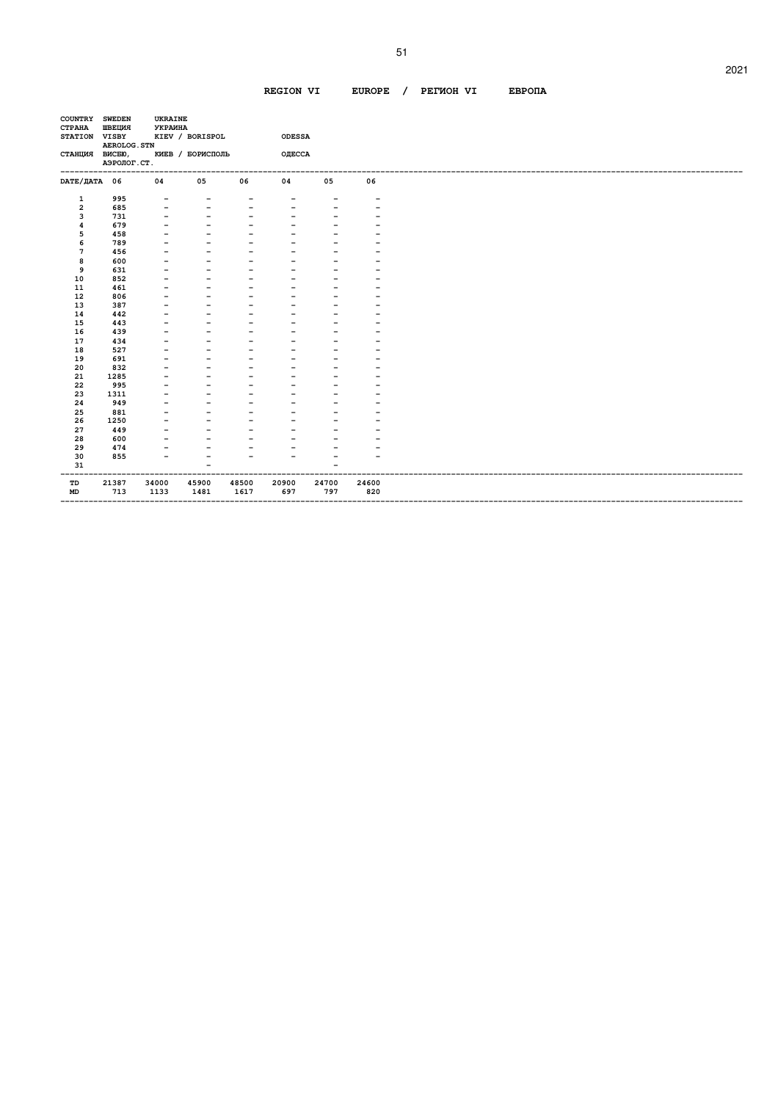| <b>CTPAHA</b><br>STATION VISBY | ШВЕЦИЯ<br>AEROLOG. STN | <b>УКРАИНА</b> | UKRAINE<br>KIEV / BORISPOL |                          | <b>ODESSA</b>            |       |       |
|--------------------------------|------------------------|----------------|----------------------------|--------------------------|--------------------------|-------|-------|
| СТАНЦИЯ ВИСБЮ,                 | АЭРОЛОГ. СТ.           |                | КИЕВ / БОРИСПОЛЬ           |                          | ОДЕССА                   |       |       |
| DATE/ДАТА 06                   |                        | 04             | 05                         | 06                       | 04                       | 05    | 06    |
| 1                              | 995                    |                |                            |                          |                          |       |       |
| $\overline{\mathbf{2}}$        | 685                    |                |                            |                          |                          |       |       |
| 3                              | 731                    |                | $\qquad \qquad$            |                          | $\qquad \qquad$          |       |       |
| 4                              | 679                    |                |                            |                          |                          |       |       |
| 5                              | 458                    |                |                            |                          |                          |       |       |
| 6                              | 789                    |                |                            |                          |                          |       |       |
| 7                              | 456                    |                |                            |                          |                          |       |       |
| 8                              | 600                    |                |                            |                          |                          |       |       |
| 9                              | 631                    |                |                            |                          | $\overline{\phantom{0}}$ |       |       |
| 10                             | 852                    |                |                            |                          |                          |       |       |
| ${\bf 11}$                     | 461                    |                |                            |                          |                          |       |       |
| 12                             | 806                    |                |                            |                          | $\overline{\phantom{0}}$ |       |       |
| 13                             | 387                    |                |                            |                          |                          |       |       |
| 14                             | 442                    |                |                            |                          |                          |       |       |
| 15                             | 443                    |                |                            |                          |                          |       |       |
| 16                             | 439                    |                |                            |                          |                          |       |       |
| 17                             | 434                    |                |                            |                          |                          |       |       |
| 18                             | 527                    |                |                            |                          |                          |       |       |
| 19                             | 691                    |                |                            |                          |                          |       |       |
| 20                             | 832                    |                |                            |                          |                          |       |       |
| 21                             | 1285                   |                |                            |                          |                          |       |       |
| 22                             | 995                    |                |                            |                          |                          |       |       |
| 23                             | 1311                   |                |                            |                          |                          |       |       |
| 24                             | 949                    |                |                            |                          |                          |       |       |
| 25                             | 881                    |                |                            |                          |                          |       |       |
| 26                             | 1250                   |                |                            |                          |                          |       |       |
| 27                             | 449                    |                |                            |                          |                          |       |       |
| 28                             | 600                    |                |                            |                          |                          |       |       |
| 29                             | 474                    |                |                            |                          |                          |       |       |
| 30                             | 855                    |                |                            | $\overline{\phantom{0}}$ | $\overline{\phantom{0}}$ |       |       |
| 31                             |                        |                |                            |                          |                          |       |       |
| TD                             | 21387                  | 34000          | 45900                      | 48500                    | 20900                    | 24700 | 24600 |
| MD                             | 713                    | 1133           | 1481                       | 1617                     | 697                      | 797   | 820   |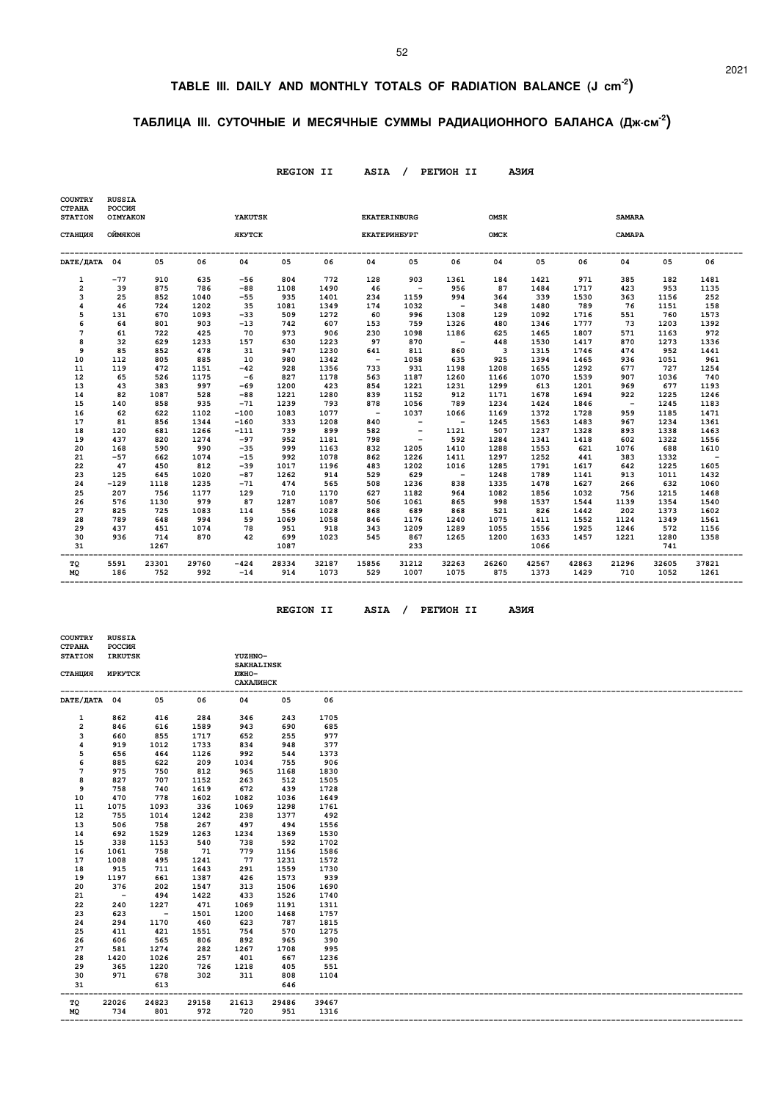### **TABLE III. DAILY AND MONTHLY TOTALS OF RADIATION BALANCE (J cm-2)**

### **ТАБЛИЦА III. СУТОЧНЫЕ И МЕСЯЧНЫЕ СУММЫ РАДИАЦИОННОГО БАЛАНСА (Дж.см-2)**

 **REGION II ASIA / PEГИOH II AЗИЯ** 

| <b>COUNTRY</b><br><b>CTPAHA</b><br><b>STATION</b> | <b>RUSSIA</b><br>POCCMR<br>OIMYAKON |              |              | YAKUTSK         |              |               |              | <b>EKATERINBURG</b>      |               | <b>OMSK</b>              |               |               | <b>SAMARA</b> |               |               |
|---------------------------------------------------|-------------------------------------|--------------|--------------|-----------------|--------------|---------------|--------------|--------------------------|---------------|--------------------------|---------------|---------------|---------------|---------------|---------------|
| СТАНЦИЯ                                           | ОЙМЯКОН                             |              |              | <b>ЯКУТСК</b>   |              |               |              | ЕКАТЕРИНБУРГ             |               | <b>OMCK</b>              |               |               | CAMAPA        |               |               |
| DATE/ JATA 04                                     |                                     | 05           | 06           | 04              | 05           | 06            | 04           | 05                       | 06            | 04                       | 05            | 06            | 04            | 05            | 06            |
| $\mathbf{1}$                                      | $-77$                               | 910          | 635          | $-56$           | 804          | 772           | 128          | 903                      | 1361          | 184                      | 1421          | 971           | 385           | 182           | 1481          |
| $\overline{2}$                                    | 39                                  | 875          | 786          | $-88$           | 1108         | 1490          | 46           | $\sim$ $-$               | 956           | 87                       | 1484          | 1717          | 423           | 953           | 1135          |
| 3                                                 | 25                                  | 852          | 1040         | $-55$           | 935          | 1401          | 234          | 1159                     | 994           | 364                      | 339           | 1530          | 363           | 1156          | 252           |
| 4                                                 | 46                                  | 724          | 1202         | 35              | 1081         | 1349          | 174          | 1032                     | $\sim$ $-$    | 348                      | 1480          | 789           | 76            | 1151          | 158           |
| 5                                                 | 131                                 | 670          | 1093         | $-33$           | 509          | 1272          | 60           | 996                      | 1308          | 129                      | 1092          | 1716          | 551           | 760           | 1573          |
| 6                                                 | 64                                  | 801          | 903          | $-13$           | 742          | 607           | 153          | 759                      | 1326          | 480                      | 1346          | 1777          | 73            | 1203          | 1392          |
| $7\phantom{.0}$                                   | 61                                  | 722          | 425          | 70              | 973          | 906           | 230          | 1098                     | 1186          | 625                      | 1465          | 1807          | 571           | 1163          | 972           |
| 8                                                 | 32                                  | 629          | 1233         | 157             | 630          | 1223          | 97           | 870                      | $\sim$ $-$    | 448                      | 1530          | 1417          | 870           | 1273          | 1336          |
| 9                                                 | 85                                  | 852          | 478          | 31              | 947          | 1230          | 641          | 811                      | 860           | $\overline{\phantom{a}}$ | 1315          | 1746          | 474           | 952           | 1441          |
| 10                                                | 112                                 | 805          | 885          | 10              | 980          | 1342          | $\sim$ $-$   | 1058                     | 635           | 925                      | 1394          | 1465          | 936           | 1051          | 961           |
| 11                                                | 119                                 | 472          | 1151         | $-42$           | 928          | 1356          | 733          | 931                      | 1198          | 1208                     | 1655          | 1292          | 677           | 727           | 1254          |
| 12                                                | 65                                  | 526          | 1175         | $-6$            | 827          | 1178          | 563          | 1187                     | 1260          | 1166                     | 1070          | 1539          | 907           | 1036          | 740           |
| 13                                                | 43                                  | 383          | 997          | $-69$           | 1200         | 423           | 854          | 1221                     | 1231          | 1299                     | 613           | 1201          | 969           | 677           | 1193          |
| 14                                                | 82                                  | 1087         | 528          | $-88$           | 1221         | 1280          | 839          | 1152                     | 912           | 1171                     | 1678          | 1694          | 922           | 1225          | 1246          |
| 15                                                | 140                                 | 858          | 935          | $-71$           | 1239         | 793           | 878          | 1056                     | 789           | 1234                     | 1424          | 1846          | $\sim$        | 1245          | 1183          |
| 16                                                | 62                                  | 622          | 1102         | $-100$          | 1083         | 1077          | $\sim$       | 1037                     | 1066          | 1169                     | 1372          | 1728          | 959           | 1185          | 1471          |
| 17                                                | 81                                  | 856          | 1344         | $-160$          | 333          | 1208          | 840          | $\sim$ $-$               | $\sim$ $-$    | 1245                     | 1563          | 1483          | 967           | 1234          | 1361          |
| 18                                                | 120                                 | 681          | 1266         | $-111$          | 739          | 899           | 582          | $\overline{\phantom{a}}$ | 1121          | 507                      | 1237          | 1328          | 893           | 1338          | 1463          |
| 19                                                | 437                                 | 820          | 1274         | $-97$           | 952          | 1181          | 798          | $\sim$ $-$               | 592           | 1284                     | 1341          | 1418          | 602           | 1322          | 1556          |
| 20                                                | 168                                 | 590          | 990          | $-35$           | 999          | 1163          | 832          | 1205                     | 1410          | 1288                     | 1553          | 621           | 1076          | 688           | 1610          |
| 21                                                | $-57$                               | 662          | 1074         | $-15$           | 992          | 1078          | 862          | 1226                     | 1411          | 1297                     | 1252          | 441           | 383           | 1332          | $\sim$ $-$    |
| 22                                                | 47                                  | 450          | 812          | $-39$           | 1017         | 1196          | 483          | 1202                     | 1016          | 1285                     | 1791          | 1617          | 642           | 1225          | 1605          |
| 23                                                | 125                                 | 645          | 1020         | $-87$           | 1262         | 914           | 529          | 629                      | $\sim$ $-$    | 1248                     | 1789          | 1141          | 913           | 1011          | 1432          |
| 24                                                | $-129$                              | 1118         | 1235         | $-71$           | 474          | 565           | 508          | 1236                     | 838           | 1335                     | 1478          | 1627          | 266           | 632           | 1060          |
| 25                                                | 207                                 | 756          | 1177         | 129             | 710          | 1170          | 627          | 1182                     | 964           | 1082                     | 1856          | 1032          | 756           | 1215          | 1468          |
| 26                                                | 576                                 | 1130         | 979          | 87              | 1287         | 1087          | 506          | 1061                     | 865           | 998                      | 1537          | 1544          | 1139          | 1354          | 1540          |
| 27                                                | 825                                 | 725          | 1083         | 114             | 556          | 1028          | 868          | 689                      | 868           | 521                      | 826           | 1442          | 202           | 1373          | 1602          |
| 28                                                | 789                                 | 648          | 994          | 59              | 1069         | 1058          | 846          | 1176                     | 1240          | 1075                     | 1411          | 1552          | 1124          | 1349          | 1561          |
| 29                                                | 437                                 | 451          | 1074         | 78              | 951          | 918           | 343          | 1209                     | 1289          | 1055                     | 1556          | 1925          | 1246          | 572           | 1156          |
| 30<br>31                                          | 936                                 | 714<br>1267  | 870          | 42              | 699<br>1087  | 1023          | 545          | 867<br>233               | 1265          | 1200                     | 1633<br>1066  | 1457          | 1221          | 1280<br>741   | 1358          |
| тQ<br><b>MQ</b>                                   | 5591<br>186                         | 23301<br>752 | 29760<br>992 | $-424$<br>$-14$ | 28334<br>914 | 32187<br>1073 | 15856<br>529 | 31212<br>1007            | 32263<br>1075 | 26260<br>875             | 42567<br>1373 | 42863<br>1429 | 21296<br>710  | 32605<br>1052 | 37821<br>1261 |

 **COUNTRY RUSSIA** 

 $REGION II$  ASIA / PETWOH II A

| азия |  |
|------|--|
|------|--|

| <b>POCCMA</b> |                                                                                |                            |                            |                                           |                                                                        |
|---------------|--------------------------------------------------------------------------------|----------------------------|----------------------------|-------------------------------------------|------------------------------------------------------------------------|
|               |                                                                                |                            |                            |                                           |                                                                        |
|               |                                                                                |                            |                            |                                           |                                                                        |
|               |                                                                                |                            |                            |                                           |                                                                        |
|               |                                                                                |                            |                            |                                           |                                                                        |
|               |                                                                                |                            |                            |                                           | 06                                                                     |
|               |                                                                                |                            |                            |                                           |                                                                        |
| 862           | 416                                                                            | 284                        | 346                        | 243                                       | 1705                                                                   |
| 846           | 616                                                                            | 1589                       | 943                        | 690                                       | 685                                                                    |
| 660           | 855                                                                            | 1717                       | 652                        | 255                                       | 977                                                                    |
| 919           | 1012                                                                           | 1733                       | 834                        | 948                                       | 377                                                                    |
| 656           | 464                                                                            | 1126                       | 992                        | 544                                       | 1373                                                                   |
| 885           | 622                                                                            | 209                        | 1034                       | 755                                       | 906                                                                    |
| 975           | 750                                                                            | 812                        | 965                        | 1168                                      | 1830                                                                   |
| 827           | 707                                                                            | 1152                       | 263                        | 512                                       | 1505                                                                   |
| 758           | 740                                                                            | 1619                       | 672                        | 439                                       | 1728                                                                   |
| 470           | 778                                                                            | 1602                       | 1082                       | 1036                                      | 1649                                                                   |
| 1075          | 1093                                                                           | 336                        | 1069                       | 1298                                      | 1761                                                                   |
|               |                                                                                |                            |                            | 1377                                      | 492                                                                    |
| 506           | 758                                                                            | 267                        | 497                        | 494                                       | 1556                                                                   |
| 692           | 1529                                                                           | 1263                       | 1234                       | 1369                                      | 1530                                                                   |
| 338           | 1153                                                                           | 540                        | 738                        | 592                                       | 1702                                                                   |
| 1061          | 758                                                                            | 71                         | 779                        | 1156                                      | 1586                                                                   |
| 1008          | 495                                                                            | 1241                       | 77                         | 1231                                      | 1572                                                                   |
| 915           | 711                                                                            | 1643                       | 291                        | 1559                                      | 1730                                                                   |
| 1197          | 661                                                                            | 1387                       | 426                        | 1573                                      | 939                                                                    |
| 376           | 202                                                                            | 1547                       | 313                        | 1506                                      | 1690                                                                   |
| $\sim$        | 494                                                                            | 1422                       | 433                        | 1526                                      | 1740                                                                   |
| 240           | 1227                                                                           | 471                        | 1069                       | 1191                                      | 1311                                                                   |
| 623           | $\sim$ $-$                                                                     | 1501                       | 1200                       | 1468                                      | 1757                                                                   |
| 294           | 1170                                                                           | 460                        | 623                        | 787                                       | 1815                                                                   |
| 411           | 421                                                                            | 1551                       | 754                        | 570                                       | 1275                                                                   |
| 606           | 565                                                                            | 806                        | 892                        | 965                                       | 390                                                                    |
| 581           | 1274                                                                           | 282                        | 1267                       | 1708                                      | 995                                                                    |
| 1420          | 1026                                                                           | 257                        | 401                        | 667                                       | 1236                                                                   |
| 365           | 1220                                                                           | 726                        | 1218                       | 405                                       | 551                                                                    |
| 971           | 678                                                                            | 302                        | 311                        | 808                                       | 1104                                                                   |
|               | 613                                                                            |                            |                            | 646                                       |                                                                        |
|               |                                                                                |                            |                            |                                           |                                                                        |
|               |                                                                                |                            |                            |                                           | 39467                                                                  |
|               |                                                                                |                            |                            |                                           | 1316                                                                   |
|               | <b>IRKUTSK</b><br><b><i>MPKYTCK</i></b><br>DATE/ДАТА 04<br>755<br>22026<br>734 | 05<br>1014<br>24823<br>801 | 06<br>1242<br>29158<br>972 | <b>ЮЖНО-</b><br>04<br>238<br>21613<br>720 | YUZHNO-<br><b>SAKHALINSK</b><br><b>САХАЛИНСК</b><br>05<br>29486<br>951 |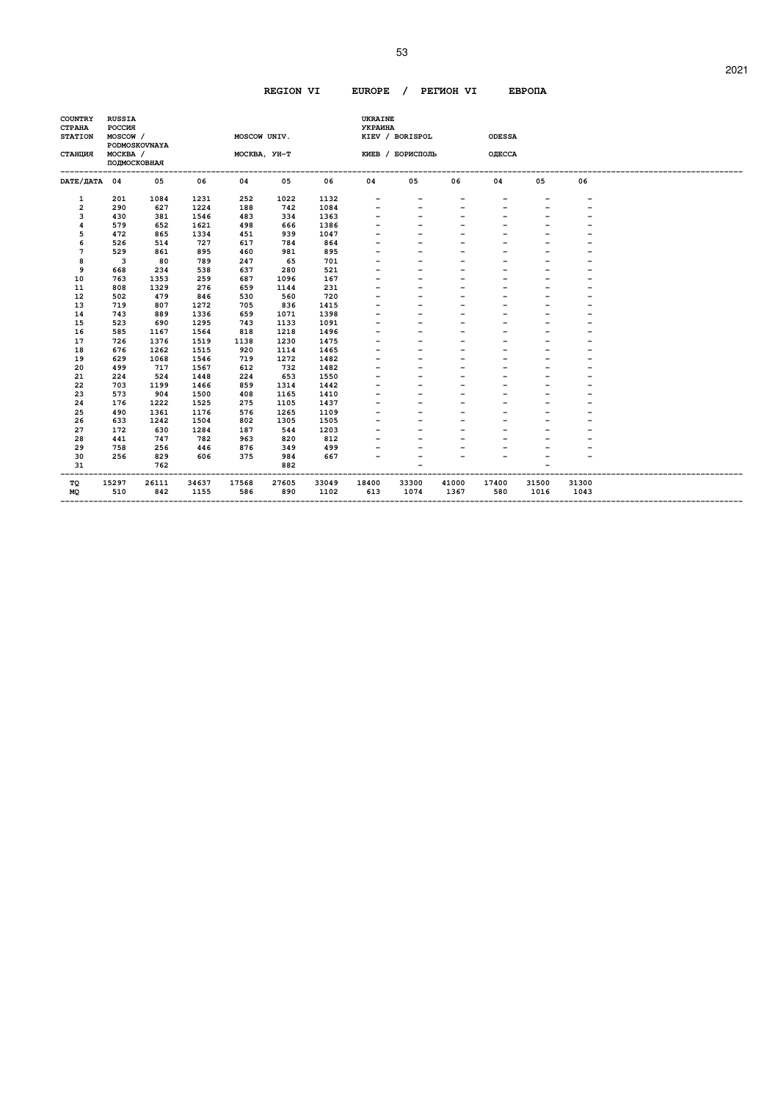| <b>COUNTRY</b><br><b>CTPAHA</b><br><b>STATION</b> | <b>RUSSIA</b><br><b>POCCMA</b><br>MOSCOW / | PODMOSKOVNAYA |       | MOSCOW UNIV. |              |       | <b>UKRAINE</b><br><b>УКРАИНА</b> | KIEV / BORISPOL  |       | <b>ODESSA</b>            |       |       |  |
|---------------------------------------------------|--------------------------------------------|---------------|-------|--------------|--------------|-------|----------------------------------|------------------|-------|--------------------------|-------|-------|--|
| <b>СТАНЦИЯ</b>                                    | MOCKBA /<br>ПОДМОСКОВНАЯ                   |               |       |              | MOCKBA, YH-T |       |                                  | КИЕВ / БОРИСПОЛЬ |       | ОДЕССА                   |       |       |  |
| <b>DATE/ДАТА</b>                                  | 04                                         | 05            | 06    | 04           | 05           | 06    | 04                               | 05               | 06    | 04                       | 05    | 06    |  |
| 1                                                 | 201                                        | 1084          | 1231  | 252          | 1022         | 1132  |                                  |                  |       | -                        |       |       |  |
| 2                                                 | 290                                        | 627           | 1224  | 188          | 742          | 1084  |                                  |                  |       | -                        |       |       |  |
| 3                                                 | 430                                        | 381           | 1546  | 483          | 334          | 1363  |                                  |                  |       |                          |       |       |  |
| 4                                                 | 579                                        | 652           | 1621  | 498          | 666          | 1386  |                                  |                  |       |                          |       |       |  |
| 5                                                 | 472                                        | 865           | 1334  | 451          | 939          | 1047  |                                  |                  |       |                          |       |       |  |
| 6                                                 | 526                                        | 514           | 727   | 617          | 784          | 864   |                                  |                  |       |                          |       |       |  |
| 7                                                 | 529                                        | 861           | 895   | 460          | 981          | 895   |                                  |                  |       |                          |       |       |  |
| 8                                                 | 3                                          | 80            | 789   | 247          | 65           | 701   |                                  |                  |       |                          |       |       |  |
| 9                                                 | 668                                        | 234           | 538   | 637          | 280          | 521   |                                  |                  |       |                          |       |       |  |
| 10                                                | 763                                        | 1353          | 259   | 687          | 1096         | 167   |                                  |                  |       | $\overline{\phantom{0}}$ |       |       |  |
| 11                                                | 808                                        | 1329          | 276   | 659          | 1144         | 231   |                                  |                  |       |                          |       |       |  |
| 12                                                | 502                                        | 479           | 846   | 530          | 560          | 720   |                                  |                  |       |                          |       |       |  |
| 13                                                | 719                                        | 807           | 1272  | 705          | 836          | 1415  |                                  |                  |       | $\overline{\phantom{0}}$ |       |       |  |
| 14                                                | 743                                        | 889           | 1336  | 659          | 1071         | 1398  |                                  |                  |       |                          |       |       |  |
| 15                                                | 523                                        | 690           | 1295  | 743          | 1133         | 1091  |                                  |                  |       |                          |       |       |  |
| 16                                                | 585                                        | 1167          | 1564  | 818          | 1218         | 1496  |                                  |                  |       |                          |       |       |  |
| 17                                                | 726                                        | 1376          | 1519  | 1138         | 1230         | 1475  |                                  |                  |       |                          |       |       |  |
| 18                                                | 676                                        | 1262          | 1515  | 920          | 1114         | 1465  |                                  |                  |       |                          |       |       |  |
| 19                                                | 629                                        | 1068          | 1546  | 719          | 1272         | 1482  |                                  |                  |       |                          |       |       |  |
| 20                                                | 499                                        | 717           | 1567  | 612          | 732          | 1482  |                                  |                  |       |                          |       |       |  |
| 21                                                | 224                                        | 524           | 1448  | 224          | 653          | 1550  |                                  |                  |       |                          |       |       |  |
| 22                                                | 703                                        | 1199          | 1466  | 859          | 1314         | 1442  |                                  |                  |       |                          |       |       |  |
| 23                                                | 573                                        | 904           | 1500  | 408          | 1165         | 1410  |                                  |                  |       |                          |       |       |  |
| 24                                                | 176                                        | 1222          | 1525  | 275          | 1105         | 1437  |                                  |                  |       |                          |       |       |  |
| 25                                                | 490                                        | 1361          | 1176  | 576          | 1265         | 1109  |                                  |                  |       |                          |       |       |  |
| 26                                                | 633                                        | 1242          | 1504  | 802          | 1305         | 1505  |                                  |                  |       |                          |       |       |  |
| 27                                                | 172                                        | 630           | 1284  | 187          | 544          | 1203  |                                  |                  |       |                          |       |       |  |
| 28                                                | 441                                        | 747           | 782   | 963          | 820          | 812   |                                  |                  |       |                          |       |       |  |
| 29                                                | 758                                        | 256           | 446   | 876          | 349          | 499   |                                  |                  |       |                          |       |       |  |
| 30                                                | 256                                        | 829           | 606   | 375          | 984          | 667   |                                  |                  |       | $\overline{a}$           |       |       |  |
| 31                                                |                                            | 762           |       |              | 882          |       |                                  |                  |       |                          |       |       |  |
| тQ                                                | 15297                                      | 26111         | 34637 | 17568        | 27605        | 33049 | 18400                            | 33300            | 41000 | 17400                    | 31500 | 31300 |  |
| <b>MQ</b>                                         | 510                                        | 842           | 1155  | 586          | 890          | 1102  | 613                              | 1074             | 1367  | 580                      | 1016  | 1043  |  |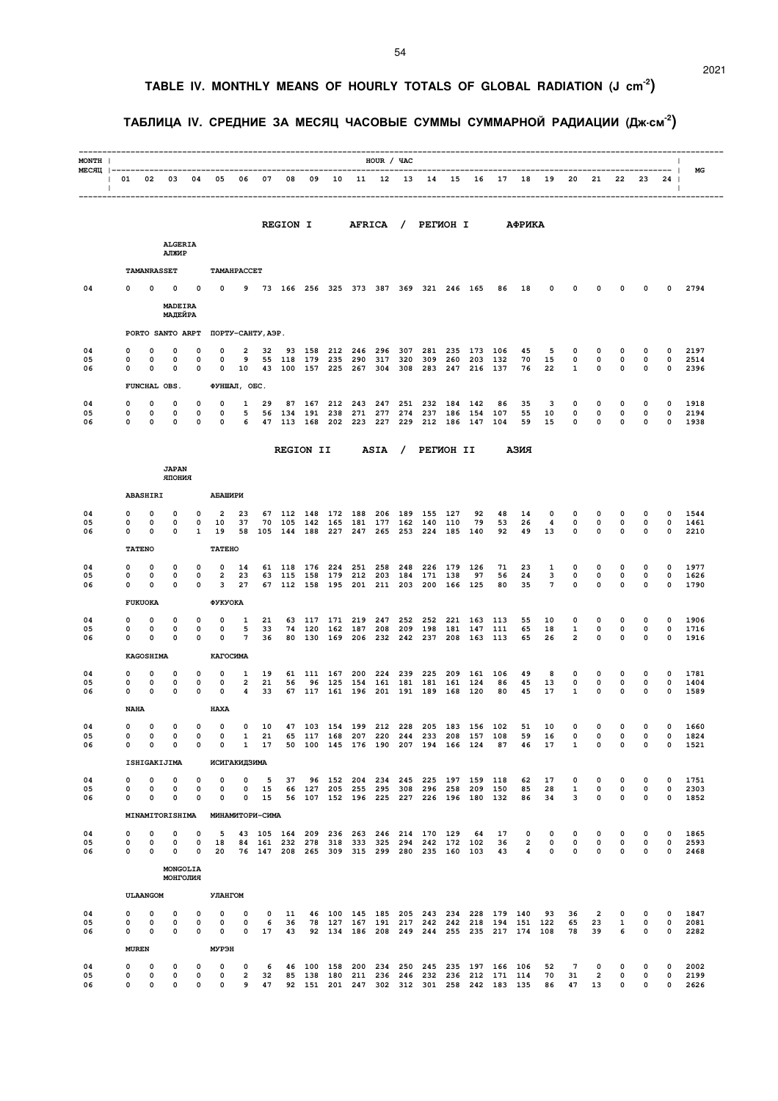# **TABLE IV. MONTHLY MEANS OF HOURLY TOTALS OF GLOBAL RADIATION (J cm-2)**

### **ТАБЛИЦА IV. СРЕДНИЕ ЗА МЕСЯЦ ЧАСОВЫЕ СУММЫ СУММАРНОЙ РАДИАЦИИ (Дж.см-2)**

| MONTH                           |                                |                    |                            |                            |                                      |                                   |                   |                                  |            |                   |                                   | HOUR / ЧАС      |                   |                                            |                    |                                                                                          |                 |                                           |                                               |                          |                            |                            |                  | $\mathbf{I}$                     |                      |
|---------------------------------|--------------------------------|--------------------|----------------------------|----------------------------|--------------------------------------|-----------------------------------|-------------------|----------------------------------|------------|-------------------|-----------------------------------|-----------------|-------------------|--------------------------------------------|--------------------|------------------------------------------------------------------------------------------|-----------------|-------------------------------------------|-----------------------------------------------|--------------------------|----------------------------|----------------------------|------------------|----------------------------------|----------------------|
| MECAII  ----------------------- | 01 02 03 04 05<br>$\mathbf{1}$ |                    |                            |                            |                                      | 06                                | 07                | 08                               | 09         |                   | 10 11 12 13                       | --------------- |                   | 14 15                                      |                    |                                                                                          | 16 17           | 18                                        | 19                                            |                          | 20 21                      | 22                         | 23               | --------  <br>24<br>$\Box$       | МG                   |
|                                 |                                |                    |                            |                            |                                      |                                   |                   |                                  |            |                   |                                   |                 |                   |                                            |                    |                                                                                          |                 |                                           |                                               |                          |                            |                            |                  |                                  | -------------        |
|                                 |                                |                    |                            |                            |                                      |                                   |                   | <b>REGION I</b>                  |            |                   | <b>AFRICA</b>                     |                 | $\sqrt{2}$        | <b>PETMOH I</b>                            |                    |                                                                                          |                 | АФРИКА                                    |                                               |                          |                            |                            |                  |                                  |                      |
|                                 |                                |                    | <b>ALGERIA</b><br>АЛЖИР    |                            |                                      |                                   |                   |                                  |            |                   |                                   |                 |                   |                                            |                    |                                                                                          |                 |                                           |                                               |                          |                            |                            |                  |                                  |                      |
|                                 |                                | <b>TAMANRASSET</b> |                            |                            |                                      | TAMAHPACCET                       |                   |                                  |            |                   |                                   |                 |                   |                                            |                    |                                                                                          |                 |                                           |                                               |                          |                            |                            |                  |                                  |                      |
| 04                              |                                | 0                  | 0                          | 0                          | 0                                    |                                   |                   |                                  |            |                   |                                   |                 |                   | 9 73 166 256 325 373 387 369 321 246 165   |                    |                                                                                          | 86              | 18                                        | 0                                             | 0                        | 0                          | 0                          | 0                | 0                                | 2794                 |
|                                 |                                |                    | MADEIRA<br>МАДЕЙРА         |                            |                                      |                                   |                   |                                  |            |                   |                                   |                 |                   |                                            |                    |                                                                                          |                 |                                           |                                               |                          |                            |                            |                  |                                  |                      |
|                                 |                                |                    | PORTO SANTO ARPT           |                            |                                      |                                   | ПОРТУ-САНТУ, АЭР. |                                  |            |                   |                                   |                 |                   |                                            |                    |                                                                                          |                 |                                           |                                               |                          |                            |                            |                  |                                  |                      |
| 04<br>05                        | 0                              | 0                  | 0                          | 0                          | 0                                    | 2<br>9                            | 32<br>55          |                                  | 93 158     | 212               | 246                               | 296             | 307               | 281                                        | 235                | 173                                                                                      | 106             | 45<br>70                                  | 5                                             | 0                        | 0                          | 0                          | 0                | 0                                | 2197                 |
| 06                              | 0<br>0                         | 0<br>0             | 0<br>0                     | 0<br>0                     | 0<br>0                               | 10                                |                   | 118 179                          |            |                   | 235 290<br>43 100 157 225 267 304 | 317             | 320               | 309                                        | 260                | 203<br>308 283 247 216 137                                                               | 132             | 76                                        | 15<br>22                                      | 0<br>1                   | $\mathbf 0$<br>$\mathbf 0$ | $\mathbf 0$<br>$\mathbf 0$ | 0<br>0           | $\mathbf 0$<br>$\mathbf 0$       | 2514<br>2396         |
|                                 |                                |                    | FUNCHAL OBS.               |                            |                                      | ФУНШАЛ, ОБС.                      |                   |                                  |            |                   |                                   |                 |                   |                                            |                    |                                                                                          |                 |                                           |                                               |                          |                            |                            |                  |                                  |                      |
| 04<br>05                        | 0<br>0                         | 0<br>0             | 0<br>0                     | 0<br>0                     | 0<br>0                               | 1<br>5                            | 29                | 87<br>56 134                     | 167<br>191 | 238               | 212 243<br>271                    | 247<br>277      | 251<br>274        | 237                                        | 232 184 142<br>186 | 154                                                                                      | 86<br>107       | 35<br>55                                  | 3<br>10                                       | 0<br>0                   | 0<br>0                     | 0<br>0                     | 0<br>0           | 0<br>0                           | 1918<br>2194         |
| 06                              | 0                              | 0                  | 0                          | 0                          | 0                                    | 6                                 | 47                | 113                              | 168        | 202               | 223                               | 227             | 229               | 212                                        |                    | 186 147 104                                                                              |                 | 59                                        | 15                                            | 0                        | 0                          | 0                          | 0                | 0                                | 1938                 |
|                                 |                                |                    |                            |                            |                                      |                                   |                   | <b>REGION II</b>                 |            |                   |                                   | <b>ASIA</b>     | $\prime$          | <b>PETWOH II</b>                           |                    |                                                                                          |                 | АЗИЯ                                      |                                               |                          |                            |                            |                  |                                  |                      |
|                                 |                                |                    | <b>JAPAN</b><br>RNHOIR     |                            |                                      |                                   |                   |                                  |            |                   |                                   |                 |                   |                                            |                    |                                                                                          |                 |                                           |                                               |                          |                            |                            |                  |                                  |                      |
|                                 |                                | ABASHIRI           |                            |                            | АБАШИРИ                              |                                   |                   |                                  |            |                   |                                   |                 |                   |                                            |                    |                                                                                          |                 |                                           |                                               |                          |                            |                            |                  |                                  |                      |
| 04<br>05                        | 0<br>0                         | 0<br>0             | 0<br>0                     | 0<br>0                     | $\overline{\mathbf{2}}$<br>10        | 23<br>37                          |                   | 67 112 148 172 188<br>70 105 142 |            | 165               | 181                               | 206<br>177      |                   | 189 155<br>162 140                         | 127<br>110         | 92<br>79                                                                                 | 48<br>53        | 14<br>26                                  | 0<br>4                                        | 0<br>0                   | 0<br>0                     | 0<br>0                     | 0<br>0           | 0<br>0                           | 1544<br>1461         |
| 06                              | 0                              | 0                  | 0                          | $\mathbf{1}$               | 19                                   | 58                                |                   | 105 144 188                      |            | 227               | 247                               | 265             | 253               | 224                                        | 185                | 140                                                                                      | 92              | 49                                        | 13                                            | 0                        | 0                          | 0                          | 0                | 0                                | 2210                 |
| 04                              | 0                              | <b>TATENO</b><br>0 | 0                          | 0                          | <b>TATEHO</b><br>0                   | 14                                |                   | 61 118 176                       |            | 224               | 251                               | 258             | 248               | 226                                        | 179                | 126                                                                                      | 71              | 23                                        | 1                                             | 0                        | 0                          |                            | 0                | 0                                | 1977                 |
| 05<br>06                        | 0<br>0                         | 0<br>0             | 0<br>0                     | 0<br>0                     | $\overline{2}$<br>3                  | 23<br>27                          |                   | 63 115<br>67 112 158             | 158        | 179<br>195        | 212<br>201 211                    | 203             | 184<br>203        | 200                                        | 171 138<br>166     | 97<br>125                                                                                | 56<br>80        | 24<br>35                                  | 3<br>$7\overline{ }$                          | 0<br>0                   | $\mathbf 0$<br>$\mathbf 0$ | 0<br>$\mathbf 0$<br>0      | $\mathbf 0$<br>0 | $\mathbf 0$<br>0                 | 1626<br>1790         |
|                                 |                                | <b>FUKUOKA</b>     |                            |                            | ФУКУОКА                              |                                   |                   |                                  |            |                   |                                   |                 |                   |                                            |                    |                                                                                          |                 |                                           |                                               |                          |                            |                            |                  |                                  |                      |
| 04<br>05                        | 0<br>0                         | 0<br>0             | 0<br>0                     | 0<br>0                     | 0<br>0                               | 1<br>5                            | 21<br>33          | 63<br>74                         | 117<br>120 | 171               | 219<br>162 187                    | 247<br>208      | 252<br>209        | 252<br>198                                 | 221<br>181         | 163<br>147                                                                               | 113<br>111      | 55<br>65                                  | 10<br>18                                      | 0<br>1                   | 0<br>0                     | 0<br>0                     | 0<br>0           | 0<br>0                           | 1906<br>1716         |
| 06                              | 0                              | 0                  | 0                          | 0                          | 0                                    | $7\phantom{.0}$                   | 36                |                                  | 80 130     |                   | 169 206                           | 232             |                   | 242 237                                    | 208                | 163 113                                                                                  |                 | 65                                        | 26                                            | $\overline{2}$           | 0                          | 0                          | 0                | $\mathbf 0$                      | 1916                 |
|                                 |                                | <b>KAGOSHIMA</b>   |                            |                            | КАГОСИМА                             |                                   |                   |                                  |            |                   |                                   |                 |                   |                                            |                    |                                                                                          |                 |                                           |                                               |                          |                            |                            |                  |                                  |                      |
| 04<br>05<br>06                  | 0<br>0<br>0                    | 0<br>0<br>0        | 0<br>0<br>0                | 0<br>0<br>$\mathbf 0$      | 0<br>0<br>$\mathbf 0$                | 1<br>$\overline{\mathbf{2}}$<br>4 | 19<br>21<br>33    | 56                               | 96         | 61 111 167<br>125 | 200<br>154<br>67 117 161 196 201  | 224<br>161      | 239<br>181<br>191 | 225<br>181<br>189                          | 209<br>161<br>168  | 161<br>124<br>120                                                                        | 106<br>86<br>80 | 49<br>45<br>45                            | 8<br>13<br>17                                 | 0<br>0<br>1              | $\mathbf 0$<br>0<br>0      | 0<br>0<br>$\mathbf 0$      | 0<br>0<br>0      | $\mathbf 0$<br>0<br>$\mathbf{o}$ | 1781<br>1404<br>1589 |
|                                 | <b>NAHA</b>                    |                    |                            |                            | <b>HAXA</b>                          |                                   |                   |                                  |            |                   |                                   |                 |                   |                                            |                    |                                                                                          |                 |                                           |                                               |                          |                            |                            |                  |                                  |                      |
| 04                              | O                              | $\Omega$           | $\Omega$                   | $\Omega$                   | $\Omega$                             | 0                                 | 10                |                                  |            |                   | 47 103 154 199 212 228            |                 |                   |                                            |                    | 205 183 156 102                                                                          |                 | 51                                        | 10                                            | $\Omega$                 | $\Omega$                   | $\Omega$                   | O                | O                                | 1660                 |
| 05<br>06                        | 0<br>0                         | 0<br>0             | 0<br>0                     | 0<br>$\mathbf 0$           | 0<br>$\mathbf 0$                     | $\mathbf{1}$<br>$\mathbf{1}$      | 21<br>17          |                                  |            |                   |                                   |                 |                   |                                            |                    | 65 117 168 207 220 244 233 208 157 108<br>50 100 145 176 190 207 194 166 124             | 87              | 59<br>46                                  | 16<br>17                                      | 0<br>1                   | 0<br>$\mathbf 0$           | 0<br>$\mathbf 0$           | 0<br>0           | 0<br>0                           | 1824<br>1521         |
|                                 |                                |                    | ISHIGAKIJIMA               |                            | ИСИГАКИДЗИМА                         |                                   |                   |                                  |            |                   |                                   |                 |                   |                                            |                    |                                                                                          |                 |                                           |                                               |                          |                            |                            |                  |                                  |                      |
| 04<br>05                        | 0<br>0                         | $\mathbf 0$<br>0   | 0<br>0                     | 0<br>0                     | $\mathsf{o}$<br>0                    | 0<br>0                            | 5<br>15           | 37                               |            |                   |                                   |                 |                   |                                            |                    | 96 152 204 234 245 225 197 159 118<br>66 127 205 255 295 308 296 258 209 150             |                 | 62<br>85                                  | 17<br>28                                      | 0<br>1                   | 0<br>$\mathsf{o}\,$        | 0<br>0                     | 0<br>0           | 0<br>$\mathbf 0$                 | 1751<br>2303         |
| 06                              | 0                              | 0                  | 0                          | 0                          | 0<br>MINAMITORISHIMA МИНАМИТОРИ-СИМА | $\mathbf 0$                       |                   |                                  |            |                   |                                   |                 |                   |                                            |                    | 15 56 107 152 196 225 227 226 196 180 132                                                |                 | 86                                        | 34                                            | 3                        | 0                          | $\mathbf 0$                | 0                | $\mathbf 0$                      | 1852                 |
| 04                              | 0                              | 0                  | 0                          | $\mathbf 0$                | 5                                    |                                   |                   |                                  |            |                   |                                   |                 |                   | 43 105 164 209 236 263 246 214 170 129     |                    | 64                                                                                       | 17              | 0                                         | $\mathbf 0$                                   | 0                        | 0                          | 0                          | $\mathsf{o}\,$   | 0                                | 1865                 |
| 05<br>06                        | 0<br>0                         | $\Omega$<br>0      | $\mathbf 0$<br>$\mathbf 0$ | $\mathbf 0$<br>$\circ$     | 18<br>20                             |                                   |                   |                                  |            |                   |                                   |                 |                   | 84 161 232 278 318 333 325 294 242 172 102 |                    | 76 147 208 265 309 315 299 280 235 160 103                                               | 36<br>43        | $\overline{\mathbf{2}}$<br>$\overline{4}$ | $\mathbf 0$<br>$\mathbf 0$                    | $\mathbf{o}$<br>$\Omega$ | $\mathbf 0$<br>$\mathbf 0$ | $\mathbf 0$<br>$\mathbf 0$ | $\mathbf 0$<br>0 | $\mathbf 0$<br>$\mathbf 0$       | 2593<br>2468         |
|                                 |                                |                    | MONGOLIA<br>МОНГОЛИЯ       |                            |                                      |                                   |                   |                                  |            |                   |                                   |                 |                   |                                            |                    |                                                                                          |                 |                                           |                                               |                          |                            |                            |                  |                                  |                      |
|                                 |                                |                    | ULAANGOM                   |                            | УЛАНГОМ                              |                                   |                   |                                  |            |                   |                                   |                 |                   |                                            |                    |                                                                                          |                 |                                           |                                               |                          |                            |                            |                  |                                  |                      |
| 04                              | 0                              | 0                  | 0                          | 0                          | 0                                    | 0                                 | 0                 | 11                               |            |                   |                                   |                 |                   |                                            |                    | 46 100 145 185 205 243 234 228 179 140                                                   |                 |                                           | 93                                            | 36                       | $\overline{\mathbf{2}}$    | $\mathbf 0$                | 0                | $\mathbf 0$                      | 1847                 |
| 05<br>06                        | 0<br>0                         | 0<br>0             | 0<br>0                     | $\mathbf 0$<br>$\mathbf 0$ | $\mathbf 0$<br>0                     | 0<br>$\mathbf 0$                  | 6<br>17           | 36<br>43                         |            |                   |                                   |                 |                   |                                            |                    | 92 134 186 208 249 244 255 235 217 174 108                                               |                 |                                           | 78 127 167 191 217 242 242 218 194 151 122 65 | 78                       | 23<br>39                   | $\mathbf{1}$<br>6          | $\mathbf 0$<br>0 | 0<br>$\mathbf 0$                 | 2081<br>2282         |
|                                 | <b>MUREN</b>                   |                    |                            |                            | МУРЭН                                |                                   |                   |                                  |            |                   |                                   |                 |                   |                                            |                    |                                                                                          |                 |                                           |                                               |                          |                            |                            |                  |                                  |                      |
| 04<br>05                        | 0<br>0                         | 0<br>$\mathbf 0$   | 0<br>0                     | 0<br>$\mathbf 0$           | 0<br>0                               | 0<br>$\overline{\mathbf{2}}$      | 6<br>32           |                                  |            |                   |                                   |                 |                   |                                            |                    | 46 100 158 200 234 250 245 235 197 166 106<br>85 138 180 211 236 246 232 236 212 171 114 |                 |                                           | 52<br>70                                      | $7\phantom{.0}$<br>31    | 0<br>$\overline{2}$        | 0<br>$\mathbf 0$           | 0<br>$\mathbf 0$ | 0<br>$\mathbf 0$                 | 2002<br>2199         |
| 06                              | 0                              | $\mathbf 0$        | 0                          | $\mathbf 0$                | 0                                    | 9                                 | 47                |                                  |            |                   |                                   |                 |                   |                                            |                    | 92 151 201 247 302 312 301 258 242 183 135                                               |                 |                                           | 86                                            | 47                       | 13                         | $\mathbf 0$                | $\mathbf 0$      | 0                                | 2626                 |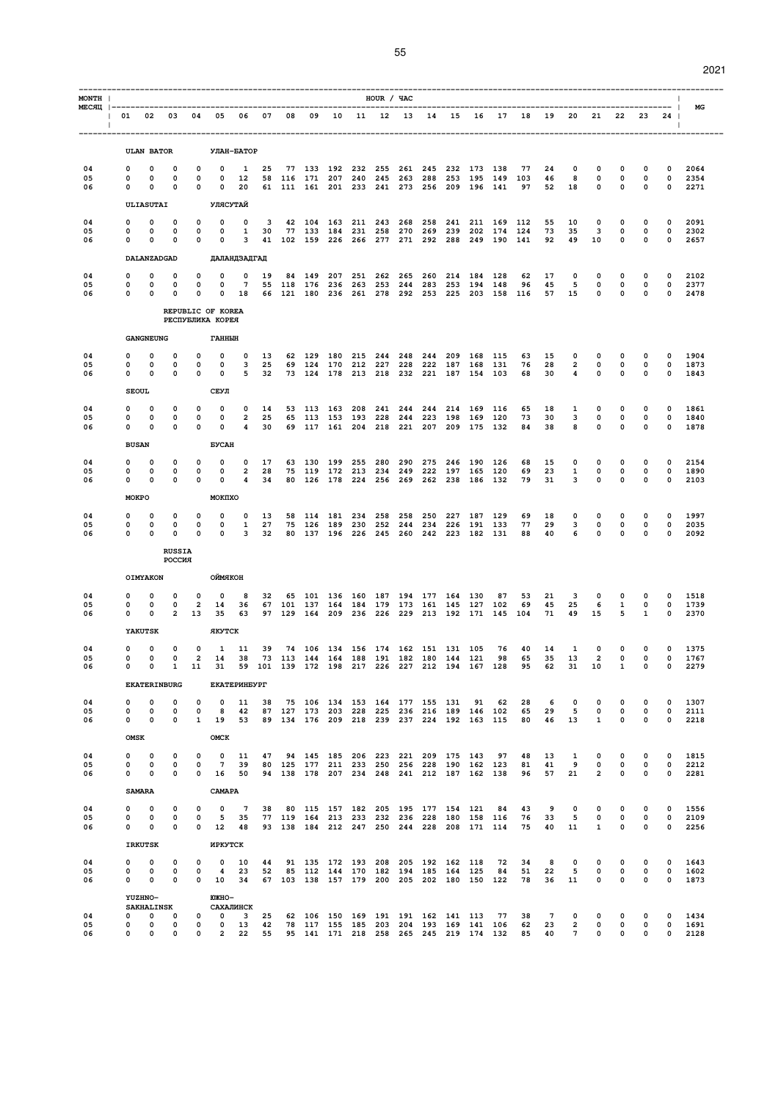| MONTH          |                                             |                                                      |                                  |                                           |                                                                         |                                                |                |                      |     |                                                                                                                                  | HOUR / YAC |            |     |                                            |     |                                                                                                |                 |                             |                                                  |                                              |                                  |                                           | $\mathbf{I}$                           |                      |
|----------------|---------------------------------------------|------------------------------------------------------|----------------------------------|-------------------------------------------|-------------------------------------------------------------------------|------------------------------------------------|----------------|----------------------|-----|----------------------------------------------------------------------------------------------------------------------------------|------------|------------|-----|--------------------------------------------|-----|------------------------------------------------------------------------------------------------|-----------------|-----------------------------|--------------------------------------------------|----------------------------------------------|----------------------------------|-------------------------------------------|----------------------------------------|----------------------|
| $\blacksquare$ | 01 02 03 04 05 06 07 08                     |                                                      |                                  |                                           |                                                                         |                                                |                |                      |     |                                                                                                                                  |            |            |     |                                            |     | 09 10 11 12 13 14 15 16 17 18                                                                  |                 | 19                          | 20                                               |                                              | 21  22  23                       |                                           | 24<br>$\overline{1}$                   | МG                   |
|                |                                             | <b>ULAN BATOR</b>                                    |                                  |                                           |                                                                         | УЛАН-БАТОР                                     |                |                      |     |                                                                                                                                  |            |            |     |                                            |     |                                                                                                |                 |                             |                                                  |                                              |                                  |                                           |                                        |                      |
| 04<br>05<br>06 | 0<br>0<br>$\Omega$                          | 0<br>$\mathbf 0$<br>$\Omega$                         | 0<br>0<br>$\Omega$               | $\Omega$<br>$\mathbf 0$<br>$\Omega$       | 0<br>0<br>$\mathbf 0$                                                   | 1<br>12<br>20                                  | 25             | 58 116 171 207 240   |     | 77 133 192 232 255<br>61 111 161 201 233 241 273 256 209 196 141                                                                 | 245        |            |     | 261 245 232 173 138<br>263 288 253 195 149 |     |                                                                                                | 77<br>103<br>97 | 24<br>46<br>52              | $\mathbf 0$<br>8<br>18                           | $\mathbf 0$<br>0<br>$\Omega$                 | 0<br>$\mathbf 0$<br>$\mathbf 0$  | 0<br>0<br>$\mathbf 0$                     | 0<br>$\mathbf 0$<br>$^{\circ}$         | 2064<br>2354<br>2271 |
|                |                                             | ULIASUTAI                                            |                                  |                                           | УЛЯСУТАЙ                                                                |                                                |                |                      |     |                                                                                                                                  |            |            |     |                                            |     |                                                                                                |                 |                             |                                                  |                                              |                                  |                                           |                                        |                      |
| 04<br>05<br>06 | 0<br>0<br>0                                 | $\mathbf 0$<br>0<br>0                                | 0<br>0<br>0                      | 0<br>0<br>$\mathbf 0$                     | 0<br>0<br>0                                                             | 0<br>1<br>3                                    | 3<br>30        |                      |     | 77 133 184 231 258<br>41 102 159 226 266 277 271 292 288                                                                         |            |            |     |                                            |     | 42 104 163 211 243 268 258 241 211 169 112<br>270 269 239 202 174 124<br>249 190 141           |                 | 55<br>73<br>92              | 10<br>35<br>49                                   | $\mathbf 0$<br>3<br>10                       | 0<br>$\mathbf 0$<br>$\mathbf 0$  | 0<br>$\mathbf 0$<br>$\mathbf 0$           | 0<br>$\mathbf 0$<br>$\mathbf 0$        | 2091<br>2302<br>2657 |
|                |                                             | DALANZADGAD                                          |                                  |                                           |                                                                         | ДАЛАНДЗАДГАД                                   |                |                      |     |                                                                                                                                  |            |            |     |                                            |     |                                                                                                |                 |                             |                                                  |                                              |                                  |                                           |                                        |                      |
| 04<br>05<br>06 | 0<br>$\Omega$<br>$\mathbf 0$                | 0<br>$\Omega$<br>$\overline{0}$                      | 0<br>$\Omega$<br>0               | 0<br>$\mathbf 0$<br>$\mathbf 0$           | 0<br>$^{\circ}$                                                         | 0<br>$7\overline{ }$<br>$0$ 18                 | 19             | 84 149<br>55 118 176 | 207 | 251<br>236 263 253                                                                                                               | 262        | 265<br>244 |     | 260 214 184<br>283 253 194 148             |     | 128<br>66 121 180 236 261 278 292 253 225 203 158 116                                          | 62<br>96        | 17<br>45                    | 0<br>5<br>57 15                                  | $\mathbf 0$<br>$\mathbf 0$<br>$\mathbf{0}$   | 0<br>$\mathbf 0$<br>$\mathbf 0$  | 0<br>0<br>0                               | 0<br>$^{\circ}$<br>$\mathbf 0$         | 2102<br>2377<br>2478 |
|                |                                             |                                                      |                                  |                                           | REPUBLIC OF KOREA                                                       |                                                |                |                      |     |                                                                                                                                  |            |            |     |                                            |     |                                                                                                |                 |                             |                                                  |                                              |                                  |                                           |                                        |                      |
|                |                                             | <b>GANGNEUNG</b>                                     |                                  |                                           | РЕСПУБЛИКА КОРЕЯ<br>ГАННЫН                                              |                                                |                |                      |     |                                                                                                                                  |            |            |     |                                            |     |                                                                                                |                 |                             |                                                  |                                              |                                  |                                           |                                        |                      |
| 04<br>05       | 0<br>0                                      | 0<br>0                                               | 0<br>0                           | 0<br>$\mathbf 0$                          | $\mathbf 0$<br>$\mathbf 0$                                              | $\mathbf 0$<br>3                               | 13<br>25       | 62 129 180 215       |     | 69 124 170 212 227                                                                                                               | 244        | 248        |     | 244 209 168 115<br>228 222 187 168 131     |     |                                                                                                | 63<br>76        | 15<br>28                    | 0<br>$\overline{2}$                              | $\mathbf 0$<br>$\mathbf 0$                   | 0<br>$\mathbf 0$                 | 0<br>$\mathbf 0$                          | $\mathbf 0$<br>$\mathbf 0$             | 1904<br>1873         |
| 06             | 0                                           | $^{\circ}$<br><b>SEOUL</b>                           | 0                                | $\mathbf 0$                               | $\mathbf 0$<br>СЕУЛ                                                     | 5                                              | 32             |                      |     | 73 124 178 213 218 232 221 187 154 103                                                                                           |            |            |     |                                            |     |                                                                                                | 68              | 30                          | 4                                                | $\mathbf 0$                                  | $\mathbf 0$                      | $\mathbf 0$                               | $\mathbf 0$                            | 1843                 |
| 04<br>05<br>06 | 0<br>O<br>0                                 | 0<br>$\mathbf 0$<br>0                                | 0<br>$\Omega$<br>0               | $\mathbf 0$<br>$\mathbf 0$<br>$\mathbf 0$ | 0<br>$\mathbf 0$<br>0                                                   | 0<br>$\overline{2}$<br>4                       | 14<br>25<br>30 |                      |     | 53 113 163 208<br>65 113 153 193 228 244 223 198 169 120<br>69 117 161 204 218 221 207 209 175 132                               | 241        | 244        |     | 244 214 169 116                            |     |                                                                                                | 65<br>73<br>84  | 18<br>30<br>38              | 1<br>3<br>8                                      | 0<br>$\mathbf 0$<br>0                        | 0<br>$\mathbf 0$<br>$\mathbf 0$  | 0<br>0<br>$\mathbf 0$                     | 0<br>$\Omega$<br>$\mathbf 0$           | 1861<br>1840<br>1878 |
|                |                                             | <b>BUSAN</b>                                         |                                  |                                           | <b><i>EYCAH</i></b>                                                     |                                                |                |                      |     |                                                                                                                                  |            |            |     |                                            |     |                                                                                                |                 |                             |                                                  |                                              |                                  |                                           |                                        |                      |
| 04<br>05<br>06 | 0<br>0<br>$\mathbf 0$                       | 0<br>0<br>0                                          | 0<br>0<br>0                      | 0<br>0<br>$\mathbf 0$                     | 0<br>0<br>$\mathbf 0$                                                   | 0<br>$\overline{\mathbf{2}}$<br>$\overline{4}$ | 17<br>28<br>34 | 63 130<br>75 119     | 199 | 255<br>172 213<br>80 126 178 224 256 269 262 238 186 132                                                                         | 280<br>234 | 290<br>249 | 275 | 246<br>222 197 165 120                     | 190 | 126                                                                                            | 68<br>69<br>79  | 15<br>23<br>31              | 0<br>1<br>3                                      | 0<br>0<br>$\mathbf 0$                        | 0<br>0<br>$\mathbf 0$            | 0<br>0<br>$\mathbf 0$                     | 0<br>0<br>$\mathbf 0$                  | 2154<br>1890<br>2103 |
|                |                                             | MOKPO                                                |                                  |                                           | MOKIIXO                                                                 |                                                |                |                      |     |                                                                                                                                  |            |            |     |                                            |     |                                                                                                |                 |                             |                                                  |                                              |                                  |                                           |                                        |                      |
| 04<br>05<br>06 | 0<br>0<br>$\Omega$                          | 0<br>0<br>$\mathbf 0$                                | 0<br>0<br>$\Omega$               | 0<br>0<br>$\Omega$                        | 0<br>$\mathbf 0$<br>$\Omega$                                            | 0<br>1<br>$\mathbf{3}$                         | 13<br>27<br>32 |                      |     | 58 114 181 234 258<br>75 126 189 230 252<br>80 137 196 226 245 260 242 223 182 131                                               |            | 258        |     | 250 227 187 129<br>244 234 226 191 133     |     |                                                                                                | 69<br>77<br>88  | 18<br>29<br>40              | $\mathbf 0$<br>3<br>6                            | $\mathbf 0$<br>0<br>$\mathbf 0$              | $\mathbf 0$<br>0<br>0            | 0<br>0<br>0                               | $\mathbf 0$<br>$\mathbf 0$<br>$\Omega$ | 1997<br>2035<br>2092 |
|                |                                             |                                                      | <b>RUSSIA</b><br><b>POCCMA</b>   |                                           |                                                                         |                                                |                |                      |     |                                                                                                                                  |            |            |     |                                            |     |                                                                                                |                 |                             |                                                  |                                              |                                  |                                           |                                        |                      |
|                |                                             | OIMYAKON                                             |                                  |                                           | ОЙМЯКОН                                                                 |                                                |                |                      |     |                                                                                                                                  |            |            |     |                                            |     |                                                                                                |                 |                             |                                                  |                                              |                                  |                                           |                                        |                      |
| 04<br>05<br>06 | 0<br>0<br>0                                 | 0<br>0<br>0                                          | 0<br>0<br>$\overline{c}$         | 0<br>$\overline{a}$<br>13                 | $\mathbf 0$<br>14<br>35                                                 | 8<br>36<br>63                                  | 32             |                      |     | 65 101 136 160 187 194 177 164 130<br>67 101 137 164 184 179 173 161 145 127                                                     |            |            |     |                                            |     | 87<br>102<br>97 129 164 209 236 226 229 213 192 171 145 104                                    | 53<br>69        | 21<br>45<br>71              | 3<br>25<br>49                                    | $\mathbf 0$<br>6<br>15                       | 0<br>$\mathbf{1}$<br>5           | $\Omega$<br>0<br>1                        | 0<br>0<br>$\mathbf 0$                  | 1518<br>1739<br>2370 |
|                |                                             | YAKUTSK                                              |                                  |                                           | ЯКУТСК                                                                  |                                                |                |                      |     |                                                                                                                                  |            |            |     |                                            |     |                                                                                                |                 |                             |                                                  |                                              |                                  |                                           |                                        |                      |
| 04<br>05<br>06 | 0<br>0<br><sup>0</sup>                      | 0<br>$\mathbf 0$<br>$\Omega$                         | 0<br>$\mathbf 0$<br>$\mathbf{1}$ | $\mathbf 0$                               | 1<br>2 14 38<br>11 31 59 101 139 172 198 217 226 227 212 194 167 128 95 | 11                                             | 39             |                      |     | 74 106 134 156 174 162 151 131 105<br>73 113 144 164 188 191 182 180 144 121                                                     |            |            |     |                                            |     | 76<br>98                                                                                       | 40<br>65        | 14<br>35<br>62 31           | 1<br>13                                          | $\mathbf 0$<br>$\overline{2}$<br>10          | $\mathbf 0$<br>0<br>$\mathbf{1}$ | $\mathbf 0$<br>$\mathbf 0$<br>$\mathbf 0$ | $\mathbf 0$<br>$\mathbf 0$<br>$\circ$  | 1375<br>1767<br>2279 |
|                |                                             |                                                      | <b>EKATERINBURG</b>              |                                           |                                                                         | <b>EKATEPMHEYPT</b>                            |                |                      |     |                                                                                                                                  |            |            |     |                                            |     |                                                                                                |                 |                             |                                                  |                                              |                                  |                                           |                                        |                      |
| 04<br>05<br>06 | 0<br>0<br>$\Omega$                          | 0<br>$\mathbf 0$<br>$\Omega$                         | 0<br>0<br>0                      | 0<br>$\mathbf 0$<br>$\mathbf{1}$          | $\mathbf 0$<br>8<br>19                                                  | 11<br>42<br>53                                 | 38             |                      |     | 75 106 134 153 164 177 155 131 91 62<br>87 127 173 203 228 225 236 216 189 146 102<br>89 134 176 209 218 239 237 224 192 163 115 |            |            |     |                                            |     |                                                                                                | 28<br>65<br>80  | 6<br>29<br>46               | 0<br>5<br>13                                     | 0<br>0<br>$\mathbf{1}$                       | 0<br>0<br>$\mathbf{0}$           | 0<br>0<br>$\Omega$                        | 0<br>$\mathbf 0$<br>$\Omega$           | 1307<br>2111<br>2218 |
|                | OMSK                                        |                                                      |                                  |                                           | OMCK                                                                    |                                                |                |                      |     |                                                                                                                                  |            |            |     |                                            |     |                                                                                                |                 |                             |                                                  |                                              |                                  |                                           |                                        |                      |
| 04<br>05<br>06 | $\mathbf 0$<br>$\mathbf{0}$<br>0            | $\mathbf 0$<br>$\mathbf 0$<br>$\mathbf 0$            | $\mathbf 0$<br>0<br>$\mathbf 0$  | $\mathbf 0$<br>$\mathbf 0$                | $\mathbf{0}$<br>$\overline{7}$<br>$0 \t16 \t50$                         | 11<br>39                                       | 47             |                      |     | 94 145 185 206 223 221 209 175 143                                                                                               |            |            |     |                                            |     | 97<br>80 125 177 211 233 250 256 228 190 162 123<br>94 138 178 207 234 248 241 212 187 162 138 | 48<br>81<br>96  | 13<br>41<br>57              | $\mathbf{1}$<br>9<br>21                          | $\mathbf 0$<br>$\mathbf 0$<br>$\overline{a}$ | 0<br>$\mathbf 0$<br>$\mathbf 0$  | $\mathbf 0$<br>0<br>$\mathbf 0$           | 0<br>0<br>0                            | 1815<br>2212<br>2281 |
|                |                                             | <b>SAMARA</b>                                        |                                  |                                           | CAMAPA                                                                  |                                                |                |                      |     |                                                                                                                                  |            |            |     |                                            |     |                                                                                                |                 |                             |                                                  |                                              |                                  |                                           |                                        |                      |
| 04<br>05       | 0<br>$\Omega$                               | $\mathbf 0$<br>$\mathbf 0$                           | 0<br>0                           | $\mathbf 0$<br>$\mathbf 0$                | $\mathbf{o}$<br>5                                                       | $7\phantom{.0}$<br>35                          | 38             |                      |     | 80 115 157 182 205 195 177 154 121<br>77 119 164 213 233 232 236 228 180 158 116                                                 |            |            |     |                                            |     | 84                                                                                             | 43<br>76        | 9<br>33                     | 0<br>5                                           | 0<br>$\mathbf 0$                             | 0<br>$\mathbf 0$                 | 0<br>$\mathbf 0$                          | $\mathbf 0$<br>$\Omega$                | 1556<br>2109         |
| 06             | $\mathbf{0}$                                | $\mathbf 0$                                          | 0                                | $\mathbf 0$                               | 12                                                                      | 48                                             |                |                      |     | 93 138 184 212 247 250 244 228 208 171 114                                                                                       |            |            |     |                                            |     |                                                                                                | 75              | 40                          | 11                                               | $\mathbf{1}$                                 | $\mathbf 0$                      | 0                                         | 0                                      | 2256                 |
|                |                                             | <b>IRKUTSK</b>                                       |                                  |                                           | ИРКУТСК                                                                 |                                                |                |                      |     |                                                                                                                                  |            |            |     |                                            |     |                                                                                                |                 |                             |                                                  |                                              |                                  |                                           |                                        |                      |
| 04<br>05<br>06 | $\mathbf 0$<br>$\mathbf{O}$<br>$\mathbf{0}$ | 0<br>0<br>$\mathbf 0$                                | 0<br>0<br>0                      | 0<br>0<br>$\bullet$                       | $\mathbf 0$<br>4<br>10                                                  | 10<br>23<br>34                                 | 44             |                      |     | 91 135 172 193 208 205 192 162 118<br>52 85 112 144 170 182 194 185 164 125<br>67 103 138 157 179 200 205 202 180 150 122        |            |            |     |                                            |     | 72<br>84                                                                                       | 34<br>51<br>78  | 8<br>22<br>36               | 0<br>5<br>11                                     | 0<br>0<br>0                                  | 0<br>$\mathbf 0$<br>$\mathbf 0$  | 0<br>0<br>0                               | 0<br>0<br>0                            | 1643<br>1602<br>1873 |
|                |                                             | <b>YUZHNO-</b><br><b>SAKHALINSK</b>                  |                                  |                                           | <b>FOXKHO-</b>                                                          | САХАЛИНСК                                      |                |                      |     |                                                                                                                                  |            |            |     |                                            |     |                                                                                                |                 |                             |                                                  |                                              |                                  |                                           |                                        |                      |
| 04<br>05<br>06 | $\overline{0}$                              | $0\qquad 0\qquad 0$<br>$\overline{0}$<br>$0\qquad 0$ | $\mathbf 0$<br>$\Omega$          | $\circ$<br>0<br>$\Omega$                  | $0$ 13                                                                  | $0 \quad 3$<br>2 22                            | 25<br>42<br>55 |                      |     | 62 106 150 169 191 191 162 141 113                                                                                               |            |            |     |                                            |     | 77<br>78 117 155 185 203 204 193 169 141 106<br>95 141 171 218 258 265 245 219 174 132         | 38<br>62<br>85  | $7\overline{ }$<br>23<br>40 | $\mathbf 0$<br>$\overline{2}$<br>$7\overline{ }$ | $\mathbf 0$<br>$\mathbf 0$<br>$\mathbf 0$    | $\mathbf 0$<br>0<br>$\Omega$     | 0<br>0<br>0                               | 0<br>0<br>$\Omega$                     | 1434<br>1691<br>2128 |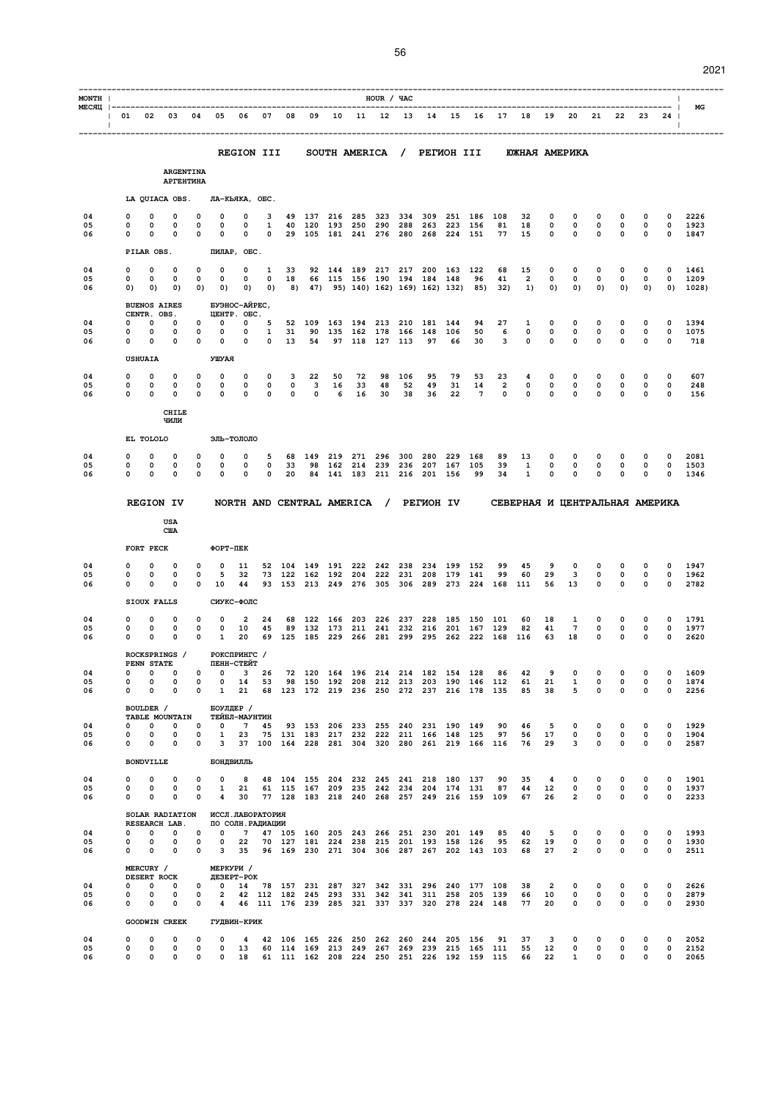| ×<br>۰. |  |
|---------|--|

| MONTH          |                                                       |                                    |                            |                                      |                                                                                                          |                                   |                   |                  |                                                                                  |         |                           | HOUR / YAC          |            |                                |                    |                                                                                            |            |                                                  |                               |                               |                                     |                             |                               | $\mathbf{I}$                                                    |                    |
|----------------|-------------------------------------------------------|------------------------------------|----------------------------|--------------------------------------|----------------------------------------------------------------------------------------------------------|-----------------------------------|-------------------|------------------|----------------------------------------------------------------------------------|---------|---------------------------|---------------------|------------|--------------------------------|--------------------|--------------------------------------------------------------------------------------------|------------|--------------------------------------------------|-------------------------------|-------------------------------|-------------------------------------|-----------------------------|-------------------------------|-----------------------------------------------------------------|--------------------|
| $\blacksquare$ | 01 02 03 04 05 06 07 08 09 10 11 12 13 14 15 16 17 18 |                                    |                            |                                      |                                                                                                          |                                   |                   |                  |                                                                                  |         |                           |                     |            |                                |                    |                                                                                            |            |                                                  | 19                            |                               |                                     |                             |                               | -----------------------  <br>20 21 22 23 24  <br>$\blacksquare$ | MG                 |
|                |                                                       |                                    |                            |                                      |                                                                                                          | <b>REGION III</b>                 |                   |                  |                                                                                  |         |                           |                     |            |                                |                    |                                                                                            |            | SOUTH AMERICA / PETWOH III WWHAR AMEPWKA         |                               |                               |                                     |                             |                               |                                                                 |                    |
|                |                                                       |                                    |                            | <b>ARGENTINA</b><br><b>АРГЕНТИНА</b> |                                                                                                          |                                   |                   |                  |                                                                                  |         |                           |                     |            |                                |                    |                                                                                            |            |                                                  |                               |                               |                                     |                             |                               |                                                                 |                    |
|                |                                                       |                                    |                            |                                      | LA QUIACA OBS. JIA-KLAKA, OEC.                                                                           |                                   |                   |                  |                                                                                  |         |                           |                     |            |                                |                    |                                                                                            |            |                                                  |                               |                               |                                     |                             |                               |                                                                 |                    |
| 04<br>05       | 0<br>0                                                | 0<br>0                             | 0<br>0                     | $\mathbf 0$<br>0                     | $\mathbf 0$<br>0                                                                                         | 0<br>0                            | 3<br>$\mathbf{1}$ |                  | 49 137<br>40 120 193 250                                                         |         | 216 285                   | 323<br>290          | 334<br>288 | 309<br>263                     | 251<br>223         | 186<br>156                                                                                 | 108<br>81  | 32<br>18                                         | $\mathbf 0$<br>0              | $\mathbf 0$<br>$\mathbf{o}$   | $\mathbf 0$<br>$\mathbf{o}$         | 0<br>$\mathbf 0$            | $\Omega$<br>0                 | $\Omega$<br>$\overline{\phantom{0}}$                            | 2226<br>1923       |
| 06             | 0                                                     | $\Omega$<br>PILAR OBS.             | 0                          | $\mathbf 0$                          | 0                                                                                                        | $\mathbf 0$<br>ПИЛАР, ОБС.        | $\circ$           |                  | 29 105 181 241 276                                                               |         |                           |                     |            | 280 268 224 151                |                    |                                                                                            | 77         | 15                                               | $\mathbf 0$                   | $\mathbf 0$                   | $\mathbf 0$                         | $\mathbf 0$                 | $\mathbf 0$                   | $\mathbf 0$                                                     | 1847               |
| 04             | n                                                     | 0                                  | $\Omega$                   | $\Omega$                             | 0                                                                                                        | $\mathbf 0$                       | $\mathbf{1}$      | 33               |                                                                                  |         |                           |                     |            | 92 144 189 217 217 200 163 122 |                    |                                                                                            | 68         | 15                                               | 0                             | $\mathbf 0$                   | $\mathbf 0$                         | 0                           | 0                             | 0                                                               | 1461               |
| 05<br>06       | 0<br>0)                                               | 0<br>$\circ$                       | 0<br>0)                    | $\mathbf 0$                          | 0<br>0) 0)                                                                                               | 0<br>0)                           | $\mathbf{0}$      | 18               | 0) 8) 47) 95) 140) 162) 169) 162) 132)                                           |         |                           |                     |            | 66 115 156 190 194 184 148     |                    | 96<br>85)                                                                                  | 41<br>32)  | 2<br>1)                                          | 0<br>0)                       | 0<br>0)                       | 0<br>0)                             | 0<br>0)                     | 0<br>0)                       | 0                                                               | 1209<br>$0)$ 1028) |
|                |                                                       | CENTR. OBS.                        | <b>BUENOS AIRES</b>        |                                      |                                                                                                          | БУЭНОС-АЙРЕС,<br>UEHTP. OBC.      |                   |                  |                                                                                  |         |                           |                     |            |                                |                    |                                                                                            |            |                                                  |                               |                               |                                     |                             |                               |                                                                 |                    |
| 04<br>05       | 0<br>0                                                | $\Omega$<br>0                      | $\Omega$<br>0              | 0<br>$\mathbf 0$                     | 0<br>0                                                                                                   | 0<br>0                            | 5<br>$\mathbf{1}$ | 31               | 52 109<br>90                                                                     | 163     | 194<br>135 162 178        | 213                 | 210<br>166 | 181<br>148                     | 144<br>106         | 94<br>50                                                                                   | 27<br>6    | 1<br>$\mathbf 0$                                 | 0<br>$\mathbf 0$              | 0<br>$\mathbf 0$              | 0<br>$\mathbf 0$                    | 0<br>$\mathbf 0$            | 0<br>0                        | 0<br>$\mathbf 0$                                                | 1394<br>1075       |
| 06             | 0                                                     | $\Omega$                           | 0                          | 0                                    | 0<br>УШУАЯ                                                                                               | 0                                 | $\mathbf{0}$      | 13               | 54                                                                               |         | 97 118 127                |                     | 113        | 97                             | 66                 | 30                                                                                         | 3          | $\mathbf 0$                                      | $\mathbf 0$                   | $\mathbf 0$                   | $\mathbf 0$                         | $\mathbf 0$                 | 0                             | $\mathbf 0$                                                     | 718                |
| 04             | 0                                                     | <b>USHUAIA</b><br>0                | 0                          | 0                                    | 0                                                                                                        | 0                                 | 0                 | 3                | 22                                                                               | 50      | 72                        | 98                  | 106        | 95                             | 79                 | 53                                                                                         | 23         | 4                                                | 0                             | 0                             | 0                                   | 0                           | 0                             | 0                                                               | 607                |
| 05<br>06       | 0<br>0                                                | $\mathbf 0$<br>$\mathbf 0$         | 0<br>0                     | 0<br>0                               | $\mathbf 0$<br>0                                                                                         | 0<br>$\mathbf 0$                  | 0<br>$\mathbf 0$  | 0<br>$\mathbf 0$ | $\mathbf{3}$<br>$\mathbf 0$                                                      | 16<br>6 | 33<br>16                  | 48<br>30            | 52<br>38   | 49<br>36                       | 31<br>22           | 14<br>7                                                                                    | 2<br>0     | 0<br>$\mathbf 0$                                 | 0<br>0                        | 0<br>0                        | 0<br>$\mathbf 0$                    | $\mathbf 0$<br>$\mathbf 0$  | 0<br>0                        | $\mathbf{o}$<br>$\mathbf 0$                                     | 248<br>156         |
|                |                                                       |                                    | <b>CHILE</b><br>ЧИЛИ       |                                      |                                                                                                          |                                   |                   |                  |                                                                                  |         |                           |                     |            |                                |                    |                                                                                            |            |                                                  |                               |                               |                                     |                             |                               |                                                                 |                    |
|                |                                                       | EL TOLOLO                          |                            |                                      |                                                                                                          | ЭЛЬ-ТОЛОЛО                        |                   |                  |                                                                                  |         |                           |                     |            |                                |                    |                                                                                            |            |                                                  |                               |                               |                                     |                             |                               |                                                                 |                    |
| 04<br>05       | 0                                                     | 0                                  | 0                          | 0                                    | 0                                                                                                        | 0                                 | 5                 | 68               | 149                                                                              |         | 219 271                   | 296                 | 300        | 280                            | 229                | 168                                                                                        | 89         | 13                                               | 0                             | 0                             | 0                                   | 0                           | 0                             | 0                                                               | 2081               |
| 06             | 0<br>0                                                | 0<br>0                             | 0<br>0                     | 0<br>$\mathbf 0$                     | 0<br>0                                                                                                   | 0<br>0                            | $\mathbf 0$<br>0  | 33<br>20         | 98                                                                               |         | 162 214 239<br>84 141 183 | 211 216             | 236        | 207 167<br>201 156             |                    | 105<br>99                                                                                  | 39<br>34   | 1<br>1                                           | $\mathbf 0$<br>0              | $\mathbf 0$<br>0              | $\mathbf 0$<br>0                    | $\mathbf 0$<br>0            | 0<br>0                        | $\mathbf 0$<br>$\mathbf 0$                                      | 1503<br>1346       |
|                |                                                       |                                    | <b>REGION IV</b>           |                                      |                                                                                                          |                                   |                   |                  | NORTH AND CENTRAL AMERICA / PETWOH IV                                            |         |                           |                     |            |                                |                    |                                                                                            |            | СЕВЕРНАЯ И ЦЕНТРАЛЬНАЯ АМЕРИКА                   |                               |                               |                                     |                             |                               |                                                                 |                    |
|                |                                                       |                                    | USA                        |                                      |                                                                                                          |                                   |                   |                  |                                                                                  |         |                           |                     |            |                                |                    |                                                                                            |            |                                                  |                               |                               |                                     |                             |                               |                                                                 |                    |
|                |                                                       | FORT PECK                          | <b>CIIA</b>                |                                      | ФОРТ-ПЕК                                                                                                 |                                   |                   |                  |                                                                                  |         |                           |                     |            |                                |                    |                                                                                            |            |                                                  |                               |                               |                                     |                             |                               |                                                                 |                    |
| 04             | 0                                                     | 0                                  | 0                          | 0                                    | $\Omega$                                                                                                 | 11                                |                   |                  | 52 104 149                                                                       |         | 191 222                   | 242                 | 238        | 234                            | 199                | 152                                                                                        | 99         | 45                                               | 9                             | 0                             | 0                                   | 0                           | 0                             | 0                                                               | 1947               |
| 05<br>06       | 0<br>0                                                | 0<br>0                             | 0<br>0                     | 0<br>0                               | 5<br>10                                                                                                  | 32<br>44                          |                   |                  | 73 122 162<br>93 153 213                                                         |         | 192 204 222               | 249 276 305 306 289 | 231        |                                | 208 179<br>273 224 | 141                                                                                        | 99<br>168  | 60<br>111                                        | 29<br>56                      | 3<br>13                       | $\mathbf 0$<br>$\mathbf 0$          | $\mathbf 0$<br>$\mathbf 0$  | 0<br>$\mathbf 0$              | $\mathbf 0$<br>$\mathbf 0$                                      | 1962<br>2782       |
|                |                                                       | SIOUX FALLS                        |                            |                                      |                                                                                                          | СИУКС-ФОЛС                        |                   |                  |                                                                                  |         |                           |                     |            |                                |                    |                                                                                            |            |                                                  |                               |                               |                                     |                             |                               |                                                                 |                    |
| 04<br>05<br>06 | 0<br>0<br>0                                           | $\Omega$<br>$\Omega$<br>0          | 0<br>0                     | 0<br>$\Omega$                        | $\Omega$<br>$\Omega$                                                                                     | 2<br>10                           | 24<br>45          |                  | 68 122<br>89 132                                                                 | 173     | 166 203<br>211 241        | 226                 | 237<br>232 | 228<br>216                     | 185<br>201         | 150<br>167                                                                                 | 101<br>129 | 60<br>82                                         | 18<br>41                      | 1<br>$7\phantom{.0}$          | $\Omega$<br>$\mathbf 0$<br>$\Omega$ | 0<br>$\mathbf 0$            | 0<br>0                        | $\Omega$<br>$^{\circ}$                                          | 1791<br>1977       |
|                |                                                       |                                    | 0                          | $\mathbf{0}$                         | 1<br>ROCKSPRINGS / POKCNPMHTC /                                                                          | 20                                |                   |                  | 69 125 185 229 266 281                                                           |         |                           |                     |            |                                |                    | 299 295 262 222 168 116                                                                    |            |                                                  | 63                            | 18                            |                                     | $\mathbf 0$                 | 0                             | $\mathbf 0$                                                     | 2620               |
| 04             |                                                       | $0\qquad 0\qquad 0$                | PENN STATE                 |                                      | ПЕНН-СТЕЙТ<br>$0 \t 0 \t 3 \t 26$                                                                        |                                   |                   |                  |                                                                                  |         |                           |                     |            |                                |                    |                                                                                            |            | 72 120 164 196 214 214 182 154 128 86 42 9 0     |                               |                               |                                     | $0\qquad 0\qquad 0$         |                               |                                                                 | 0 1609             |
| 05<br>06       | 0<br>0                                                | $\mathbf 0$<br>0                   | 0<br>0                     | 0<br>0                               | 0<br>$\mathbf{1}$                                                                                        | 14<br>21                          |                   |                  |                                                                                  |         |                           |                     |            |                                |                    | 53 98 150 192 208 212 213 203 190 146 112<br>68 123 172 219 236 250 272 237 216 178 135    |            | 61<br>85                                         | 21<br>38                      | 1<br>5                        | $\mathbf 0$<br>0                    | $\mathbf 0$<br>$\mathbf 0$  | 0<br>0                        | 0<br>0                                                          | 1874<br>2256       |
|                |                                                       |                                    |                            |                                      | BOULDER / БОУЛДЕР /<br>TABLE MOUNTAIN TEЙБЛ-МАУНТИН                                                      |                                   |                   |                  |                                                                                  |         |                           |                     |            |                                |                    |                                                                                            |            |                                                  |                               |                               |                                     |                             |                               |                                                                 |                    |
| 04<br>05       | $\mathbf{0}$<br>$\mathbf{0}$                          | $\mathbf 0$                        | $\mathbf 0$                |                                      | $0\qquad 0\qquad 0\qquad 0$<br>0 1 23 75 131 183 217 232 222 211 166 148 125 97                          | $7^{\circ}$                       | 45                |                  | 93 153 206 233 255 240 231 190 149                                               |         |                           |                     |            |                                |                    |                                                                                            | 90         | 46<br>56                                         | 5<br>17                       | $\mathbf 0$<br>$\mathbf{o}$   | $\mathbf 0$<br>$\mathbf 0$          | $\mathbf 0$<br>$\mathbf{0}$ | $\mathsf{o}\,$<br>$\mathbf 0$ | $\mathbf 0$<br>0                                                | 1929<br>1904       |
| 06             | $\mathbf{0}$                                          | <b>BONDVILLE</b>                   | $0\qquad 0$                |                                      | 0 3 37 100 164 228 281 304 320 280 261 219 166 116                                                       | БОНДВИЛЛЬ                         |                   |                  |                                                                                  |         |                           |                     |            |                                |                    |                                                                                            |            | 76                                               | 29                            | $\overline{\mathbf{3}}$       | $\mathbf 0$                         | $\mathbf 0$                 | $\mathbf 0$                   | $\mathbf 0$                                                     | 2587               |
| 04             | $\mathbf 0$                                           | $\mathbf 0$                        | $\mathbf 0$                | $\mathbf 0$                          | $\mathbf 0$                                                                                              | 8                                 |                   |                  | 48 104 155 204 232 245 241 218 180 137                                           |         |                           |                     |            |                                |                    |                                                                                            | 90         | 35                                               | $\overline{\mathbf{4}}$       | $\mathbf 0$                   | $\mathbf 0$                         | $\mathbf 0$                 | $\mathbf 0$                   | 0                                                               | 1901               |
| 05<br>06       | $\mathbf{0}$<br>0                                     | $\mathbf 0$<br>0                   | $\mathbf 0$<br>0           | $\mathbf 0$<br>$\mathbf 0$           | $\mathbf{1}$<br>$\overline{4}$                                                                           | 21<br>30                          |                   |                  | 61 115 167 209 235 242 234 204 174 131                                           |         |                           |                     |            |                                |                    | 77 128 183 218 240 268 257 249 216 159 109                                                 | 87         | 44<br>67                                         | 12<br>26                      | $\mathbf 0$<br>$\overline{2}$ | $\mathbf{0}$<br>0                   | $\mathbf{0}$<br>$\mathbf 0$ | $\mathbf 0$<br>0              | $\mathbf 0$<br>0                                                | 1937<br>2233       |
|                |                                                       |                                    | RESEARCH LAB.              |                                      | SOLAR RADIATION ИССЛ. ЛАБОРАТОРИЯ                                                                        | ПО СОЛН. РАДИАЦИИ                 |                   |                  |                                                                                  |         |                           |                     |            |                                |                    |                                                                                            |            |                                                  |                               |                               |                                     |                             |                               |                                                                 |                    |
| 04<br>05       | $\mathbf{0}$<br>$\circ$                               | $\overline{0}$                     | $0\qquad 0$<br>0           | $\mathbf 0$<br>$\circ$               | $\overline{\mathbf{0}}$<br>$\overline{0}$                                                                | $\overline{7}$<br>22              |                   |                  | 47 105 160 205 243 266 251 230 201 149<br>70 127 181 224 238 215 201 193 158 126 |         |                           |                     |            |                                |                    |                                                                                            | 85<br>95   | 40<br>62                                         | 5<br>19                       | $\mathbf 0$<br>$\mathbf 0$    | 0<br>0                              | 0<br>$\mathbf 0$            | 0<br>0                        | 0<br>0                                                          | 1993<br>1930       |
| 06             | $\mathbf{0}$                                          |                                    | $0\qquad 0$<br>MERCURY /   | $\mathbf{0}$                         | МЕРКУРИ /                                                                                                |                                   |                   |                  |                                                                                  |         |                           |                     |            |                                |                    | 3 35 96 169 230 271 304 306 287 267 202 143 103                                            |            | 68                                               | 27                            | $\overline{2}$                | $\Omega$                            | $\mathbf 0$                 | 0                             | $\Omega$                                                        | 2511               |
| 04             |                                                       | DESERT ROCK<br>$0\qquad 0\qquad 0$ |                            |                                      | 0 0 14 78 157 231 287 327 342 331 296 240 177 108                                                        | ДЕЗЕРТ-РОК                        |                   |                  |                                                                                  |         |                           |                     |            |                                |                    |                                                                                            |            | 38                                               | $\overline{a}$                | $\mathbf{o}$                  | $\mathbf 0$                         | $\mathbf 0$                 | 0                             | $\mathbf 0$                                                     | 2626               |
| 05<br>06       | $\mathbf{0}$<br>$\mathbf{0}$                          | $\mathbf{0}$<br>$\mathbf 0$        | $\mathbf 0$<br>$\mathbf 0$ |                                      | 0 2 42 112 182 245 293 331 342 341 311 258 205 139<br>0 4 46 111 176 239 285 321 337 337 320 278 224 148 |                                   |                   |                  |                                                                                  |         |                           |                     |            |                                |                    |                                                                                            |            | 66 10<br>77                                      | 20                            | $\mathbf 0$<br>$\circ$        | $\bullet$<br>$\mathbf 0$            | $\mathbf{0}$<br>$\mathbf 0$ | $\mathbf 0$<br>$\mathbf 0$    | $\mathbf 0$<br>0                                                | 2879<br>2930       |
|                |                                                       |                                    | <b>GOODWIN CREEK</b>       |                                      | гудвин-крик                                                                                              |                                   |                   |                  |                                                                                  |         |                           |                     |            |                                |                    |                                                                                            |            |                                                  |                               |                               |                                     |                             |                               |                                                                 |                    |
| 04<br>05       | $\mathbf 0$<br>$\bullet$                              | 0<br>$\bullet$                     | 0<br>$\mathbf 0$           | $\mathbf{0}$<br>$\mathbf 0$          | $\mathbf 0$                                                                                              | $\overline{\mathbf{4}}$<br>$0$ 13 |                   |                  |                                                                                  |         |                           |                     |            |                                |                    | 42 106 165 226 250 262 260 244 205 156 91<br>60 114 169 213 249 267 269 239 215 165 111 55 |            | 37                                               | $\overline{\mathbf{3}}$<br>12 | 0<br>$\mathbf 0$              | 0<br>$\mathbf 0$                    | $\mathbf 0$<br>$\mathbf 0$  | 0<br>$\mathbf 0$              | $\mathbf 0$<br>$\mathbf{0}$                                     | 2052<br>2152       |
| 06             |                                                       | $0\qquad 0\qquad$                  | $\mathbf 0$                |                                      | $0$ 0 18                                                                                                 |                                   |                   |                  |                                                                                  |         |                           |                     |            |                                |                    |                                                                                            |            | 61 111 162 208 224 250 251 226 192 159 115 66 22 |                               | 1                             | $\mathbf 0$                         | $\mathbf 0$                 | 0                             | $\mathbf 0$                                                     | 2065               |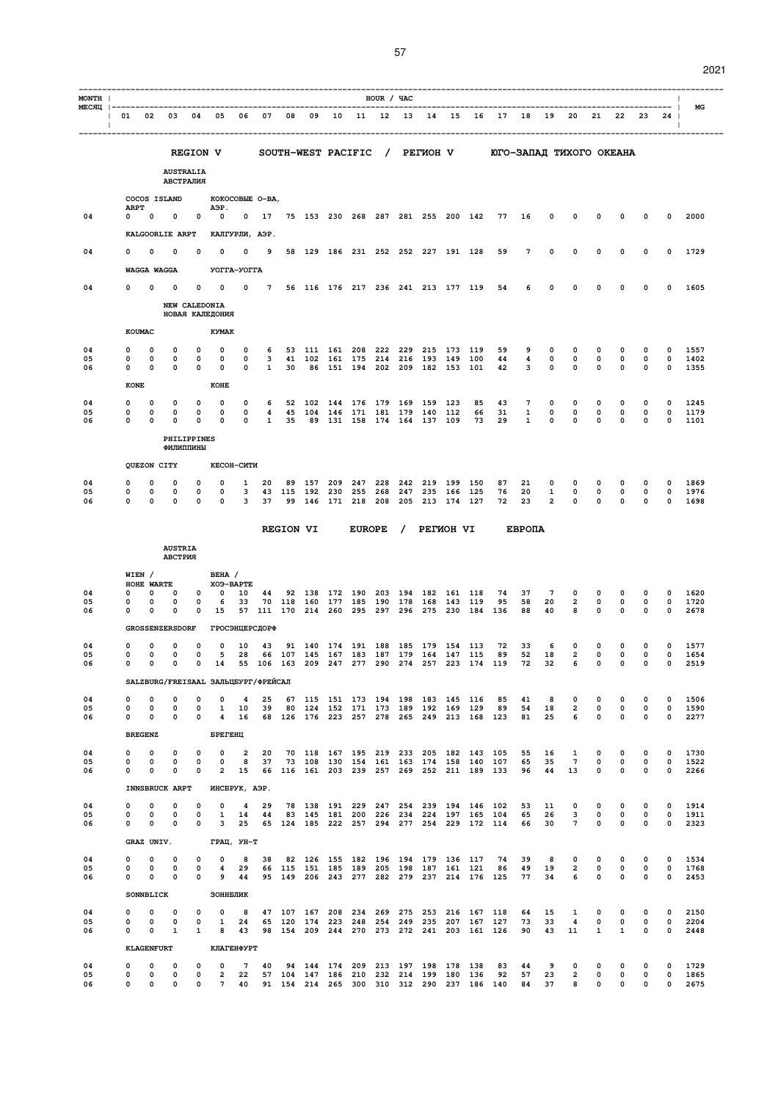| с.<br>r<br>۰. |
|---------------|
|---------------|

| MONTH                                               |                              |                                  |                                          |                               |                                   |                 |                              |              |                      |            |                                                                                          | HOUR / ЧАС |            |                                |             |            |                                                       |               |                            |                             |                            |                            |                     |                            | $\mathbf{I}$ |
|-----------------------------------------------------|------------------------------|----------------------------------|------------------------------------------|-------------------------------|-----------------------------------|-----------------|------------------------------|--------------|----------------------|------------|------------------------------------------------------------------------------------------|------------|------------|--------------------------------|-------------|------------|-------------------------------------------------------|---------------|----------------------------|-----------------------------|----------------------------|----------------------------|---------------------|----------------------------|--------------|
| MECЯЦ  ----------------------------------<br>$\Box$ | 01 02 03 04 05 06 07         |                                  |                                          |                               |                                   |                 |                              | 08           | 09                   |            |                                                                                          |            |            |                                |             |            | 10 11 12 13 14 15 16 17                               | 18            |                            | 19 20                       |                            |                            | 21  22  23          | 24<br>$\mathbf{I}$         | - 1<br>МG    |
|                                                     |                              |                                  |                                          |                               | <b>REGION V</b>                   |                 |                              |              |                      |            |                                                                                          |            |            |                                |             |            | SOUTH-WEST PACIFIC / PETMOH V DIO-SANAI TMXOFO OKEAHA |               |                            |                             |                            |                            |                     |                            |              |
|                                                     |                              |                                  | <b>AUSTRALIA</b>                         |                               |                                   |                 |                              |              |                      |            |                                                                                          |            |            |                                |             |            |                                                       |               |                            |                             |                            |                            |                     |                            |              |
|                                                     |                              |                                  | АВСТРАЛИЯ<br>COCOS ISLAND                |                               | KOKOCOBLE O-BA,                   |                 |                              |              |                      |            |                                                                                          |            |            |                                |             |            |                                                       |               |                            |                             |                            |                            |                     |                            |              |
| 04                                                  | <b>ARPT</b><br>0             | $\Omega$                         | 0                                        | $\mathbf 0$                   | A <sub>3</sub> P.<br>$\mathbf 0$  | 0               |                              |              |                      |            | 17 75 153 230 268 287 281 255 200 142                                                    |            |            |                                |             |            | 77                                                    | 16            | 0                          | 0                           | 0                          | 0                          | 0                   | 0                          | 2000         |
|                                                     |                              |                                  | KALGOORLIE ARPT                          |                               | КАЛГУРЛИ, АЭР.                    |                 |                              |              |                      |            |                                                                                          |            |            |                                |             |            |                                                       |               |                            |                             |                            |                            |                     |                            |              |
| 04                                                  | n                            | 0                                | 0                                        | O                             | $\Omega$                          | 0               | 9                            |              |                      |            | 58 129 186 231 252 252 227 191 128                                                       |            |            |                                |             |            | 59                                                    | 7             | 0                          | 0                           | 0                          | 0                          | 0                   | 0                          | 1729         |
|                                                     |                              | WAGGA WAGGA                      |                                          |                               | УОГГА-УОГГА                       |                 |                              |              |                      |            |                                                                                          |            |            |                                |             |            |                                                       |               |                            |                             |                            |                            |                     |                            |              |
| 04                                                  | O                            | n                                | n                                        | n                             | 0                                 | $\mathbf 0$     | $7^{\circ}$                  |              |                      |            | 56 116 176 217 236 241 213 177 119                                                       |            |            |                                |             |            | 54                                                    | 6             | 0                          | 0                           | 0                          | n                          | n                   | 0                          | 1605         |
|                                                     |                              |                                  | NEW CALEDONIA                            |                               | НОВАЯ КАЛЕДОНИЯ                   |                 |                              |              |                      |            |                                                                                          |            |            |                                |             |            |                                                       |               |                            |                             |                            |                            |                     |                            |              |
|                                                     |                              | <b>KOUMAC</b>                    |                                          |                               | <b>KYMAK</b>                      |                 |                              |              |                      |            |                                                                                          |            |            |                                |             |            |                                                       |               |                            |                             |                            |                            |                     |                            |              |
| 04                                                  | 0                            | 0                                | 0                                        | 0                             | 0                                 | 0               | 6                            |              |                      |            | 53 111 161 208                                                                           | 222        | 229        |                                | 215 173 119 |            | 59                                                    | 9             | 0                          | 0                           | 0                          | 0                          | 0                   | $\Omega$                   | 1557         |
| 05<br>06                                            | O<br>0                       | 0<br>0                           | $\Omega$<br>0                            | 0<br>0                        | $\Omega$<br>0                     | 0<br>0          | $\mathbf{3}$<br>$\mathbf{1}$ | 30           | 41 102 161 175       |            | 86 151 194 202 209 182 153                                                               | 214        |            | 216 193 149                    |             | 100<br>101 | 44<br>42                                              | 4<br>3        | $\mathbf 0$<br>$\mathbf 0$ | $\mathbf 0$<br>$\mathbf{0}$ | $\circ$<br>$\mathbf 0$     | $\mathbf 0$<br>0           | 0<br>$\Omega$       | $\Omega$<br>$\mathbf 0$    | 1402<br>1355 |
|                                                     | <b>KONE</b>                  |                                  |                                          |                               | KOHE                              |                 |                              |              |                      |            |                                                                                          |            |            |                                |             |            |                                                       |               |                            |                             |                            |                            |                     |                            |              |
| 04                                                  | 0                            | 0                                | 0                                        | 0                             | 0                                 | 0               | 6                            |              | 52 102               |            | 144 176 179                                                                              |            | 169 159    |                                | 123         | 85         | 43                                                    | 7             | 0                          | $\mathbf 0$                 | $\mathbf 0$                | 0                          | 0                   | 0                          | 1245         |
| 05<br>06                                            | 0<br><sup>0</sup>            | $\Omega$<br>$\Omega$             | 0<br>$\Omega$                            | 0<br>$\Omega$                 | 0<br>$\Omega$                     | 0<br>$\Omega$   | 4<br>$\mathbf{1}$            | 35           | 45 104<br>89         |            | 146 171 181 179 140 112<br>131 158 174 164 137 109                                       |            |            |                                |             | 66<br>73   | 31<br>29                                              | 1<br>1        | 0<br>0                     | 0<br>$\Omega$               | 0<br>$\Omega$              | $\mathbf 0$<br>$\Omega$    | 0<br>$\Omega$       | $\mathbf{o}$<br>$\Omega$   | 1179<br>1101 |
|                                                     |                              |                                  | PHILIPPINES<br>ФИЛИППИНЫ                 |                               |                                   |                 |                              |              |                      |            |                                                                                          |            |            |                                |             |            |                                                       |               |                            |                             |                            |                            |                     |                            |              |
|                                                     |                              | QUEZON CITY                      |                                          |                               | КЕСОН-СИТИ                        |                 |                              |              |                      |            |                                                                                          |            |            |                                |             |            |                                                       |               |                            |                             |                            |                            |                     |                            |              |
| 04                                                  | 0                            | 0                                | 0                                        | 0                             | 0                                 | 1               | 20                           | 89           | 157                  | 209        | 247                                                                                      | 228        | 242        | 219                            | 199         | 150        | 87                                                    | 21            | 0                          | 0                           | 0                          | 0                          | 0                   | 0                          | 1869         |
| 05<br>06                                            | 0<br>O                       | $\Omega$<br>$\Omega$             | $\Omega$<br>$\Omega$                     | $\Omega$<br>$\Omega$          | $\Omega$<br>$\Omega$              | 3<br>3          | 37                           | 43 115<br>99 | 192 230 255          |            | 146 171 218                                                                              | 268<br>208 | 205        | 247 235 166 125<br>213 174 127 |             |            | 76<br>72                                              | 20<br>23      | 1<br>$\overline{a}$        | $\mathbf 0$<br>$\Omega$     | $\circ$<br>$\Omega$        | $\mathbf 0$<br>$\Omega$    | 0<br>$\Omega$       | $\mathbf 0$<br>$\mathbf 0$ | 1976<br>1698 |
|                                                     |                              |                                  |                                          |                               |                                   |                 |                              |              |                      |            |                                                                                          |            |            |                                |             |            |                                                       |               |                            |                             |                            |                            |                     |                            |              |
|                                                     |                              |                                  |                                          |                               |                                   |                 |                              |              | <b>REGION VI</b>     |            | <b>EUROPE</b>                                                                            |            | $\prime$   | <b>PETWOH VI</b>               |             |            |                                                       | <b>EBPOIA</b> |                            |                             |                            |                            |                     |                            |              |
|                                                     |                              |                                  | <b>AUSTRIA</b><br>АВСТРИЯ                |                               |                                   |                 |                              |              |                      |            |                                                                                          |            |            |                                |             |            |                                                       |               |                            |                             |                            |                            |                     |                            |              |
|                                                     |                              | WIEN /<br>HOHE WARTE             |                                          |                               | BEHA /<br>XO9-BAPTE               |                 |                              |              |                      |            |                                                                                          |            |            |                                |             |            |                                                       |               |                            |                             |                            |                            |                     |                            |              |
| 04<br>05                                            | 0<br>0                       | $\Omega$<br>$\Omega$             | 0<br>$\Omega$                            | 0<br>0                        | $\mathbf 0$<br>6                  | 10<br>33        | 44                           |              | 92 138<br>70 118 160 | 177        | 172 190<br>185                                                                           | 203<br>190 | 194        | 178 168 143                    | 182 161 118 | 119        | 74<br>95                                              | 37<br>58      | $7\phantom{.0}$<br>20      | 0<br>$\overline{a}$         | 0<br>$\mathbf 0$           | 0<br>$\mathbf 0$           | 0<br>0              | 0<br>$\mathbf 0$           | 1620<br>1720 |
| 06                                                  | 0                            | 0                                | 0                                        | 0                             | 15                                | 57              |                              |              | 111 170 214 260      |            | 295                                                                                      | 297        |            | 296 275 230                    |             | 184        | 136                                                   | 88            | 40                         | 8                           | $\Omega$                   | 0                          | $\Omega$            | 0                          | 2678         |
|                                                     |                              |                                  | <b>GROSSENZERSDORF</b>                   |                               | <b>ГРОСЭНЦЕРСДОРФ</b>             |                 |                              |              |                      |            |                                                                                          |            |            |                                |             |            |                                                       |               |                            |                             |                            |                            |                     |                            |              |
| 04<br>05                                            | 0<br>0                       | 0<br>0                           | 0<br>0                                   | 0<br>0                        | 0<br>5                            | 10<br>28        | 43                           | 91<br>66 107 | 140<br>145           | 174<br>167 | 191<br>183                                                                               | 188<br>187 | 185<br>179 | 179<br>164                     | 154<br>147  | 113<br>115 | 72<br>89                                              | 33<br>52      | 6<br>18                    | 0<br>2                      | $\mathbf 0$<br>0           | 0<br>$\mathbf 0$           | 0<br>0              | 0<br>$\mathbf 0$           | 1577<br>1654 |
| 06                                                  | 0                            | $\Omega$                         | 0                                        |                               | $0\quad 14$                       |                 |                              | 55 106 163   | 209                  |            | 247 277                                                                                  | 290        | 274        |                                | 257 223     | 174 119    |                                                       | 72            | 32                         | 6                           | $\mathbf 0$                | $\mathbf 0$                | 0                   | $\mathbf 0$                | 2519         |
| 04                                                  | $\mathbf 0$                  | 0                                | SALZBURG/FREISAAL ЗАЛЬЦБУРГ/ФРЕЙСАЛ<br>0 | $\mathbf 0$                   | $\mathbf 0$                       | $\overline{4}$  | 25                           |              |                      |            | 67 115 151 173 194 198 183 145 116                                                       |            |            |                                |             |            | 85                                                    | 41            | 8                          | 0                           | $\mathbf 0$                | 0                          | $\mathbf 0$         | 0                          | 1506         |
| 05<br>06                                            | 0<br>0                       | $\mathbf 0$<br>0                 | 0<br>0                                   | $\mathsf{o}\,$<br>$\mathbf 0$ | $\mathbf{1}$<br>$\overline{4}$    | 10<br>16        | 39                           |              |                      |            | 80 124 152 171 173 189 192 169 129<br>68 126 176 223 257 278 265 249 213 168 123         |            |            |                                |             |            | 89                                                    | 54<br>81      | 18<br>25                   | $\overline{2}$<br>6         | $\mathbf 0$<br>0           | $\mathbf 0$<br>$\mathbf 0$ | 0<br>0              | $\mathbf 0$<br>$\mathbf 0$ | 1590<br>2277 |
|                                                     |                              | <b>BREGENZ</b>                   |                                          |                               | БРЕГЕНЦ                           |                 |                              |              |                      |            |                                                                                          |            |            |                                |             |            |                                                       |               |                            |                             |                            |                            |                     |                            |              |
| 04                                                  | 0                            | 0                                | 0                                        | 0                             | 0                                 | $\overline{a}$  | 20                           |              |                      |            | 70 118 167 195 219 233 205 182 143 105                                                   |            |            |                                |             |            |                                                       | 55            | 16                         | 1                           | 0                          | 0                          | 0                   | 0                          | 1730         |
| 05<br>06                                            | 0<br>0                       | 0<br>0                           | 0<br>$\mathbf 0$                         | 0<br>$\mathbf 0$              | $\mathbf 0$<br>$\overline{2}$     | 8<br>15         | 37                           |              |                      |            | 73 108 130 154 161 163 174 158 140 107<br>66 116 161 203 239 257 269 252 211 189 133     |            |            |                                |             |            |                                                       | 65<br>96      | 35<br>44                   | $7\phantom{.0}$<br>13       | 0<br>0                     | $\mathbf 0$<br>$\mathbf 0$ | 0<br>0              | 0<br>0                     | 1522<br>2266 |
|                                                     |                              |                                  | <b>INNSBRUCK ARPT</b>                    |                               | ИНСБРУК, АЭР.                     |                 |                              |              |                      |            |                                                                                          |            |            |                                |             |            |                                                       |               |                            |                             |                            |                            |                     |                            |              |
| 04                                                  | 0                            | $\mathbf 0$                      | 0                                        | 0                             | $\mathsf{o}\,$                    | 4               | 29                           |              |                      |            | 78 138 191 229 247 254 239 194 146 102                                                   |            |            |                                |             |            |                                                       | 53            | 11                         | 0                           | $\mathbf 0$                | 0                          | 0                   | 0                          | 1914         |
| 05<br>06                                            | 0<br>0                       | 0<br>0                           | 0<br>0                                   | 0<br>$\mathbf 0$              | 1<br>3                            | 14<br>25        | 44                           |              |                      |            | 83 145 181 200 226 234 224 197 165 104<br>65 124 185 222 257 294 277 254 229 172 114     |            |            |                                |             |            |                                                       | 65<br>66      | 26<br>30                   | 3<br>$\overline{7}$         | $\mathbf 0$<br>$\mathbf 0$ | $\bullet$<br>$\mathbf 0$   | $\mathbf 0$<br>0    | 0<br>0                     | 1911<br>2323 |
|                                                     |                              | GRAZ UNIV.                       |                                          |                               | ГРАЦ, УН-Т                        |                 |                              |              |                      |            |                                                                                          |            |            |                                |             |            |                                                       |               |                            |                             |                            |                            |                     |                            |              |
| 04<br>05                                            | 0<br>0                       | $\mathbf 0$<br>$\mathbf 0$       | 0<br>$\mathbf 0$                         | 0<br>$\mathbf 0$              | $\mathbf 0$<br>$\overline{4}$     | 8<br>29         | 38                           |              |                      |            | 82 126 155 182 196 194 179 136 117<br>66 115 151 185 189 205 198 187 161 121             |            |            |                                |             |            | 74<br>86                                              | 39<br>49      | 8<br>19                    | 0<br>$\overline{2}$         | 0<br>$\mathbf 0$           | 0<br>$\mathbf 0$           | 0<br>$\mathsf{o}\,$ | 0<br>$\mathbf 0$           | 1534<br>1768 |
| 06                                                  | 0                            | 0                                | $\mathbf 0$                              | $\mathbf 0$                   | 9                                 | 44              |                              |              |                      |            | 95 149 206 243 277 282 279 237 214 176 125                                               |            |            |                                |             |            |                                                       | 77            | 34                         | 6                           | 0                          | $\mathbf 0$                | $\mathbf 0$         | $\mathbf 0$                | 2453         |
|                                                     |                              | <b>SONNBLICK</b>                 |                                          |                               | ЗОННБЛИК                          |                 |                              |              |                      |            |                                                                                          |            |            |                                |             |            |                                                       |               |                            |                             |                            |                            |                     |                            |              |
| 04<br>05                                            | 0<br>0                       | 0<br>0                           | $\mathbf 0$<br>0                         | 0<br>0                        | $\mathbf 0$<br>1                  | 8<br>24         |                              |              |                      |            | 47 107 167 208 234 269 275 253 216 167 118<br>65 120 174 223 248 254 249 235 207 167 127 |            |            |                                |             |            |                                                       | 64<br>73      | 15<br>33                   | 1<br>4                      | $\mathbf 0$<br>$\mathbf 0$ | 0<br>$\mathbf 0$           | 0<br>$\mathsf{o}\,$ | 0<br>0                     | 2150<br>2204 |
| 06                                                  | $\mathbf{0}$                 | $\mathbf 0$                      | $\mathbf{1}$                             | $\mathbf{1}$                  | 8                                 | 43              |                              |              |                      |            | 98 154 209 244 270 273 272 241 203 161 126                                               |            |            |                                |             |            |                                                       | 90            | 43                         | 11                          | $\mathbf{1}$               | $\mathbf{1}$               | $\mathbf 0$         | $\circ$                    | 2448         |
| 04                                                  | $\mathbf 0$                  | <b>KLAGENFURT</b><br>$\mathbf 0$ | $\mathbf 0$                              | $\mathbf 0$                   | <b>КЛАГЕНФУРТ</b><br>$\circ$      | $7\phantom{.0}$ | 40                           |              |                      |            | 94 144 174 209 213 197 198 178 138                                                       |            |            |                                |             |            | 83                                                    | 44            | 9                          | $\mathbf 0$                 | $\mathbf 0$                | $\mathbf 0$                | $\mathbf 0$         | 0                          | 1729         |
| 05<br>06                                            | $\mathbf{0}$<br>$\mathbf{0}$ | $\mathbf 0$<br>$\overline{0}$    | $\mathbf 0$<br>$\mathbf 0$               | 0<br>$\mathbf{0}$             | $\overline{a}$<br>$7\overline{ }$ | 22<br>40        |                              |              |                      |            | 57 104 147 186 210 232 214 199 180 136<br>91 154 214 265 300 310 312 290 237 186 140     |            |            |                                |             |            | 92                                                    | 57<br>84      | 23<br>37                   | $\overline{2}$<br>8         | 0<br>$\mathbf 0$           | $\mathbf 0$<br>$\mathbf 0$ | 0<br>$\mathbf 0$    | 0<br>$\mathbf{0}$          | 1865<br>2675 |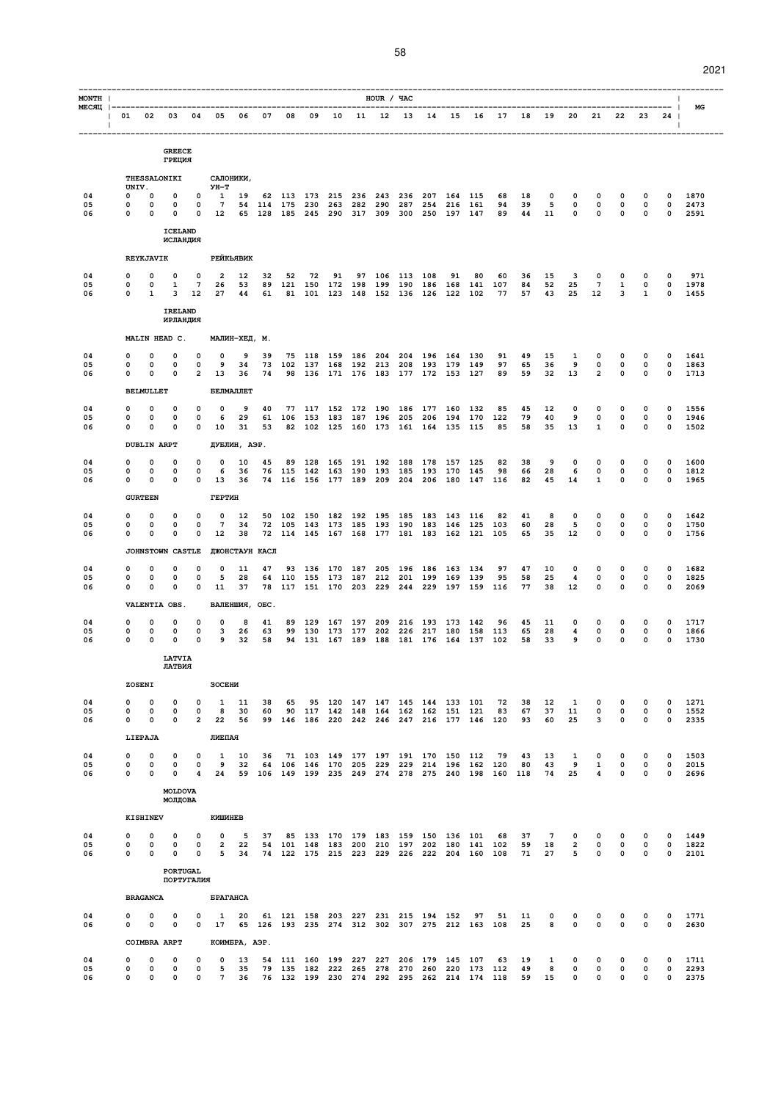| MONTH          |                                                                                                                                                                                                                                                                                                                                                                    |                                     |                            |                            |                                                                     |                    |                |    |                                            |    |         | HOUR / YAC     |             |                                                                                      |       |                                                    |                |                      |                        |                            |                |                                         |                            | $\mathbf{I}$                               | МG                   |
|----------------|--------------------------------------------------------------------------------------------------------------------------------------------------------------------------------------------------------------------------------------------------------------------------------------------------------------------------------------------------------------------|-------------------------------------|----------------------------|----------------------------|---------------------------------------------------------------------|--------------------|----------------|----|--------------------------------------------|----|---------|----------------|-------------|--------------------------------------------------------------------------------------|-------|----------------------------------------------------|----------------|----------------------|------------------------|----------------------------|----------------|-----------------------------------------|----------------------------|--------------------------------------------|----------------------|
| $\Box$         | $ \hspace{.1cm}01 \hspace{.1cm}02 \hspace{.1cm}03 \hspace{.1cm}04 \hspace{.1cm}05 \hspace{.1cm}06 \hspace{.1cm}07 \hspace{.1cm}08 \hspace{.1cm}09 \hspace{.1cm}10 \hspace{.1cm}11 \hspace{.1cm}12 \hspace{.1cm}13 \hspace{.1cm}14 \hspace{.1cm}15 \hspace{.1cm}16 \hspace{.1cm}17 \hspace{.1cm}18 \hspace{.1cm}19 \hspace{.1cm}20 \hspace{.1cm}21 \hspace{.1cm}22$ |                                     |                            |                            |                                                                     |                    |                |    |                                            |    |         |                |             |                                                                                      |       |                                                    |                |                      |                        |                            |                |                                         |                            | $\sim$ 1                                   |                      |
|                |                                                                                                                                                                                                                                                                                                                                                                    |                                     | <b>GREECE</b><br>ГРЕЦИЯ    |                            |                                                                     |                    |                |    |                                            |    |         |                |             |                                                                                      |       |                                                    |                |                      |                        |                            |                |                                         |                            |                                            |                      |
|                |                                                                                                                                                                                                                                                                                                                                                                    | THESSALONIKI                        |                            |                            |                                                                     | САЛОНИКИ,          |                |    |                                            |    |         |                |             |                                                                                      |       |                                                    |                |                      |                        |                            |                |                                         |                            |                                            |                      |
| 04<br>05       | $\mathbf{0}$<br>0                                                                                                                                                                                                                                                                                                                                                  | UNIV.<br>$\mathbf 0$<br>$\mathbf 0$ | $\mathbf 0$<br>$\mathbf 0$ | $\overline{\mathbf{0}}$    | УН-Т<br>0 1 19 62 113 173 215 236 243 236 207 164 115               |                    |                |    |                                            |    |         |                |             | 7 54 114 175 230 263 282 290 287 254 216 161                                         |       | 68                                                 | 18<br>39       | $\mathbf 0$          | $\mathbf 0$            | $\mathbf 0$                |                | $\Omega$                                | 0                          | $\mathbf 0$                                | 1870                 |
| 06             | $\mathbf{0}$                                                                                                                                                                                                                                                                                                                                                       | $\mathbf 0$                         | 0                          |                            | 0 12 65 128 185 245 290 317 309 300 250 197 147                     |                    |                |    |                                            |    |         |                |             |                                                                                      |       | 94<br>89 44                                        |                | 5<br>11              | 0<br>$\mathbf 0$       | $\mathbf 0$                |                | $\mathbf 0$<br>$0\qquad 0$              | 0<br>$\mathbf 0$           | $\mathbf 0$<br>$\circ$                     | 2473<br>2591         |
|                |                                                                                                                                                                                                                                                                                                                                                                    |                                     | <b>ICELAND</b><br>ИСЛАНДИЯ |                            |                                                                     |                    |                |    |                                            |    |         |                |             |                                                                                      |       |                                                    |                |                      |                        |                            |                |                                         |                            |                                            |                      |
|                |                                                                                                                                                                                                                                                                                                                                                                    | <b>REYKJAVIK</b>                    |                            |                            |                                                                     | РЕЙКЬЯВИК          |                |    |                                            |    |         |                |             |                                                                                      |       |                                                    |                |                      |                        |                            |                |                                         |                            |                                            |                      |
| 04<br>05       | 0<br>0                                                                                                                                                                                                                                                                                                                                                             | $\Omega$                            | 0                          | $\mathbf{o}$               | $\overline{\mathbf{2}}$<br>7 26 53                                  | 12                 | 32             | 52 | 72                                         | 91 |         | 97 106 113 108 |             | 91                                                                                   | 80    | 60                                                 | 36             | 15                   | 3<br>25                | 0<br>$7^{\circ}$           |                | 0                                       | $\Omega$                   | 0                                          | 971                  |
| 06             | $\mathbf{0}$                                                                                                                                                                                                                                                                                                                                                       | $\mathbf{0}$<br>$\mathbf{1}$        | 1<br>3                     |                            | 12 27 44                                                            |                    |                |    |                                            |    |         |                |             | 89 121 150 172 198 199 190 186 168 141                                               |       | 107<br>61 81 101 123 148 152 136 126 122 102 77    | 84             | 52<br>57 43 25       |                        | 12                         |                | $\mathbf{1}$<br>$\overline{\mathbf{3}}$ | 0<br>$\mathbf{1}$          | $\mathbf 0$<br>$\mathbf 0$                 | 1978<br>1455         |
|                |                                                                                                                                                                                                                                                                                                                                                                    |                                     | <b>IRELAND</b><br>ИРЛАНДИЯ |                            |                                                                     |                    |                |    |                                            |    |         |                |             |                                                                                      |       |                                                    |                |                      |                        |                            |                |                                         |                            |                                            |                      |
|                |                                                                                                                                                                                                                                                                                                                                                                    | MALIN HEAD C.                       |                            |                            |                                                                     | МАЛИН-ХЕД, М.      |                |    |                                            |    |         |                |             |                                                                                      |       |                                                    |                |                      |                        |                            |                |                                         |                            |                                            |                      |
| 04<br>05       | 0<br>0                                                                                                                                                                                                                                                                                                                                                             | $\Omega$<br>0                       | 0<br>0                     | 0<br>$\mathbf 0$           | $\mathbf 0$<br>9                                                    | 9<br>34            | 39             |    | 75 118 159 186 204                         |    |         |                |             | 204 196 164 130<br>73 102 137 168 192 213 208 193 179 149                            |       | 91<br>97                                           | 49<br>65       | 15<br>36             | 1<br>9                 | 0                          | $\overline{0}$ | 0<br>$\mathbf 0$                        | 0<br>$\mathbf 0$           | 0<br>$\circ$                               | 1641<br>1863         |
| 06             | 0                                                                                                                                                                                                                                                                                                                                                                  | $\Omega$                            | 0                          |                            | 2 13                                                                | 36                 | 74             |    |                                            |    |         |                |             | 98 136 171 176 183 177 172 153 127                                                   |       |                                                    | 89 59          |                      | 32 13                  |                            | $2^{\circ}$    | $\mathbf 0$                             | 0                          | $\circ$                                    | 1713                 |
|                |                                                                                                                                                                                                                                                                                                                                                                    | <b>BELMULLET</b>                    |                            |                            |                                                                     | БЕЛМАЛЛЕТ          |                |    |                                            |    |         |                |             |                                                                                      |       |                                                    |                |                      |                        |                            |                |                                         |                            |                                            |                      |
| 04<br>05       | 0<br>0                                                                                                                                                                                                                                                                                                                                                             | 0<br>0                              | 0<br>0                     | 0<br>0                     | 0<br>6                                                              | 9<br>29            | 40             |    |                                            |    |         |                |             | 77 117 152 172 190 186 177 160 132<br>61 106 153 183 187 196 205 206 194 170         |       | 85<br>122                                          | 45<br>79       | 12<br>40             | 0<br>9                 | 0<br>$\mathbf 0$           |                | 0<br>$\mathbf 0$                        | 0<br>0                     | 0<br>0                                     | 1556<br>1946         |
| 06             | 0                                                                                                                                                                                                                                                                                                                                                                  | 0<br><b>DUBLIN ARPT</b>             | 0                          | $\mathbf{0}$               | 10                                                                  | 31<br>ДУБЛИН, АЭР. | 53             |    |                                            |    |         |                |             | 82 102 125 160 173 161 164 135 115                                                   |       | 85                                                 | 58             | 35                   | 13                     | $\mathbf{1}$               |                | $\mathbf 0$                             | 0                          | $\mathbf 0$                                | 1502                 |
| 04             | 0                                                                                                                                                                                                                                                                                                                                                                  | 0                                   | 0                          | $\mathbf 0$                | $\mathbf 0$                                                         | 10                 | 45             |    |                                            |    |         |                |             | 89 128 165 191 192 188 178 157 125                                                   |       | 82                                                 | 38             | 9                    | $\mathbf 0$            | $\mathbf 0$                |                | $\mathbf 0$                             | 0                          | $\mathbf 0$                                | 1600                 |
| 05<br>06       | 0<br>0                                                                                                                                                                                                                                                                                                                                                             | 0<br>0                              | 0<br>0                     | $\mathbf 0$                | - 6<br>$0\quad 13$                                                  | 36<br>36           |                |    | 76 115 142 163 190 193 185 193 170         |    |         |                |             | 74 116 156 177 189 209 204 206 180 147 116                                           | 145   | 98                                                 | 66<br>82       | 28<br>45             | 6<br>14                | 0<br>$\mathbf{1}$          |                | $\mathbf 0$<br>$\mathbf 0$              | 0<br>$\mathbf 0$           | $\mathbf 0$<br>$\circ$                     | 1812<br>1965         |
|                |                                                                                                                                                                                                                                                                                                                                                                    | <b>GURTEEN</b>                      |                            |                            | ГЕРТИН                                                              |                    |                |    |                                            |    |         |                |             |                                                                                      |       |                                                    |                |                      |                        |                            |                |                                         |                            |                                            |                      |
| 04<br>05       | 0<br>0                                                                                                                                                                                                                                                                                                                                                             | $\Omega$<br>0                       | 0<br>0                     | $\mathbf 0$<br>$\mathbf 0$ | $\mathbf 0$<br>$7\phantom{.0}$                                      | 12<br>34           |                |    |                                            |    |         |                |             | 50 102 150 182 192 195 185 183 143 116<br>72 105 143 173 185 193 190 183 146 125 103 |       | 82                                                 | 41<br>60       | 8<br>28              | 0<br>5                 | $\mathbf 0$<br>$\mathbf 0$ |                | 0<br>$\mathbf 0$                        | $\mathbf 0$<br>$\mathbf 0$ | $\mathbf 0$<br>$\mathbf 0$                 | 1642<br>1750         |
| 06             | <sup>o</sup>                                                                                                                                                                                                                                                                                                                                                       | n                                   | $\Omega$                   | $\mathbf 0$                | 12                                                                  | 38                 |                |    |                                            |    |         |                |             | 72 114 145 167 168 177 181 183 162 121 105                                           |       |                                                    | 65             | 35                   | 12                     | $\Omega$                   |                | $\mathbf 0$                             | $\mathbf 0$                | $\Omega$                                   | 1756                 |
|                |                                                                                                                                                                                                                                                                                                                                                                    | <b>JOHNSTOWN CASTLE</b>             |                            |                            |                                                                     |                    | ДЖОНСТАУН КАСЛ |    |                                            |    |         |                |             |                                                                                      |       |                                                    |                |                      |                        |                            |                |                                         |                            |                                            |                      |
| 04<br>05<br>06 | 0<br>0<br>0                                                                                                                                                                                                                                                                                                                                                        | 0<br>0<br>0                         | 0<br>0<br>0                | 0<br>0<br>$\mathbf 0$      | $\mathbf 0$<br>5<br>11                                              | 11<br>28<br>37     | 47             |    |                                            |    |         |                |             | 93 136 170 187 205 196 186 163 134<br>64 110 155 173 187 212 201 199 169 139         |       | 97<br>95                                           | 47<br>58<br>77 | 10<br>25<br>38       | $\mathbf 0$<br>4<br>12 | $\mathbf 0$<br>0<br>0      |                | 0<br>0<br>$\mathbf 0$                   | $\mathbf 0$<br>0<br>0      | $\mathbf 0$<br>$\mathbf{o}$<br>$\mathbf 0$ | 1682<br>1825<br>2069 |
|                |                                                                                                                                                                                                                                                                                                                                                                    | VALENTIA OBS.                       |                            |                            |                                                                     |                    | ВАЛЕНШИЯ, ОБС. |    |                                            |    |         |                |             | 78 117 151 170 203 229 244 229 197 159 116                                           |       |                                                    |                |                      |                        |                            |                |                                         |                            |                                            |                      |
| 04             | 0                                                                                                                                                                                                                                                                                                                                                                  | 0                                   | 0                          | 0                          | 0                                                                   | 8                  | 41             |    | 89 129                                     |    | 167 197 | 209            | 216 193 173 |                                                                                      | 142   | 96                                                 | 45             | 11                   | 0                      | 0                          |                | 0                                       | 0                          | 0                                          | 1717                 |
| 05<br>06       | $\mathbf 0$<br>0                                                                                                                                                                                                                                                                                                                                                   | 0<br>$\Omega$                       | 0<br>0                     | $\mathbf 0$<br>0           | $\overline{\mathbf{3}}$<br>9                                        | 26<br>32           | 63<br>58       |    | 99 130 173 177                             |    |         |                |             | 202 226 217 180 158 113<br>94 131 167 189 188 181 176 164 137 102                    |       |                                                    | 65<br>58       | 28<br>33             | 4<br>9                 | $\mathbf 0$<br>$\mathbf 0$ |                | $\mathbf 0$<br>$\mathbf 0$              | 0<br>0                     | $\mathbf 0$<br>$\mathbf 0$                 | 1866<br>1730         |
|                |                                                                                                                                                                                                                                                                                                                                                                    |                                     | <b>LATVIA</b><br>ЛАТВИЯ    |                            |                                                                     |                    |                |    |                                            |    |         |                |             |                                                                                      |       |                                                    |                |                      |                        |                            |                |                                         |                            |                                            |                      |
|                |                                                                                                                                                                                                                                                                                                                                                                    | ZOSENI                              |                            |                            | ЗОСЕНИ                                                              |                    |                |    |                                            |    |         |                |             |                                                                                      |       |                                                    |                |                      |                        |                            |                |                                         |                            |                                            |                      |
| 04             | 0                                                                                                                                                                                                                                                                                                                                                                  | 0                                   | $\Omega$                   | 0                          | 1                                                                   | 11                 | 38             | 65 |                                            |    |         |                |             | 95 120 147 147 145 144 133 101                                                       |       | 72                                                 | 38             | 12                   | 1                      | 0                          |                | 0                                       | 0                          | 0                                          | 1271                 |
| 05<br>06       | 0<br>0                                                                                                                                                                                                                                                                                                                                                             | 0<br>0                              | 0<br>$\mathbf 0$           | 0<br>$\overline{2}$        | 8<br>22                                                             | 30<br>56           | 60             |    |                                            |    |         |                |             | 90 117 142 148 164 162 162 151 121<br>99 146 186 220 242 246 247 216 177 146 120     |       | 83                                                 | 67<br>93       | 37<br>60             | 11<br>25               | 0<br>3                     |                | 0<br>$\mathbf 0$                        | 0<br>0                     | 0<br>0                                     | 1552<br>2335         |
|                |                                                                                                                                                                                                                                                                                                                                                                    | LIEPAJA                             |                            |                            | ЛИЕПАЯ                                                              |                    |                |    |                                            |    |         |                |             |                                                                                      |       |                                                    |                |                      |                        |                            |                |                                         |                            |                                            |                      |
| 04<br>05       | 0<br>0                                                                                                                                                                                                                                                                                                                                                             | 0<br>0                              | 0<br>0                     | 0<br>$\mathbf 0$           | 1<br>9                                                              | 10<br>32           | 36             |    | 64 106 146 170 205 229                     |    |         |                |             | 71 103 149 177 197 191 170 150 112<br>229 214 196 162                                |       | 79<br>120                                          | 43<br>80       | 13<br>43             | 1<br>9                 | 0<br>1                     |                | 0<br>$\mathbf 0$                        | 0<br>0                     | 0<br>0                                     | 1503<br>2015         |
| 06             | $\mathbf 0$                                                                                                                                                                                                                                                                                                                                                        | 0                                   | 0                          | 4                          | 24                                                                  |                    |                |    |                                            |    |         |                |             |                                                                                      |       | 59 106 149 199 235 249 274 278 275 240 198 160 118 |                | 74                   | 25                     | 4                          |                | $\mathbf 0$                             | 0                          | 0                                          | 2696                 |
|                |                                                                                                                                                                                                                                                                                                                                                                    |                                     | <b>MOLDOVA</b><br>МОЛДОВА  |                            |                                                                     |                    |                |    |                                            |    |         |                |             |                                                                                      |       |                                                    |                |                      |                        |                            |                |                                         |                            |                                            |                      |
|                |                                                                                                                                                                                                                                                                                                                                                                    |                                     |                            |                            | KISHINEV KUWUHEB                                                    |                    |                |    |                                            |    |         |                |             |                                                                                      |       |                                                    |                |                      |                        |                            |                |                                         |                            |                                            |                      |
| 04<br>05       | 0<br>0                                                                                                                                                                                                                                                                                                                                                             | 0<br>0                              | 0<br>0                     | $\mathbf 0$<br>0           | $\mathbf 0$<br>2                                                    | 5<br>22            | 37             |    |                                            |    |         |                |             | 85 133 170 179 183 159 150 136 101<br>54 101 148 183 200 210 197 202 180 141 102     |       | 68                                                 | 37<br>59       | $\overline{7}$<br>18 | 0<br>2                 | $\mathbf 0$<br>0           |                | 0<br>0                                  | 0<br>0                     | 0<br>0                                     | 1449<br>1822         |
| 06             | 0                                                                                                                                                                                                                                                                                                                                                                  | $\mathbf 0$                         | 0                          | $\mathbf 0$                | 5 <sub>1</sub>                                                      | 34                 |                |    |                                            |    |         |                |             | 74 122 175 215 223 229 226 222 204 160 108                                           |       |                                                    | 71             | 27                   | 5                      | 0                          |                | $\mathbf 0$                             | 0                          | $\mathbf 0$                                | 2101                 |
|                |                                                                                                                                                                                                                                                                                                                                                                    |                                     | PORTUGAL<br>ПОРТУГАЛИЯ     |                            |                                                                     |                    |                |    |                                            |    |         |                |             |                                                                                      |       |                                                    |                |                      |                        |                            |                |                                         |                            |                                            |                      |
|                |                                                                                                                                                                                                                                                                                                                                                                    |                                     |                            |                            | BRAGANCA EPATAHCA                                                   |                    |                |    |                                            |    |         |                |             |                                                                                      |       |                                                    |                |                      |                        |                            |                |                                         |                            |                                            |                      |
| 04<br>06       | 0<br>0                                                                                                                                                                                                                                                                                                                                                             | 0<br>$\Omega$                       | 0<br>0                     | $\mathbf 0$                | $\mathbf{1}$<br>0 17 65 126 193 235 274 312 302 307 275 212 163 108 | 20                 |                |    |                                            |    |         |                |             | 61 121 158 203 227 231 215 194 152                                                   | 97 51 |                                                    | 11<br>25       | 0<br>8               | 0<br>$\mathbf 0$       | 0<br>0                     |                | 0<br>0                                  | 0<br>0                     | 0<br>0                                     | 1771<br>2630         |
|                |                                                                                                                                                                                                                                                                                                                                                                    | COIMBRA ARPT                        |                            |                            |                                                                     | КОИМБРА, АЭР.      |                |    |                                            |    |         |                |             |                                                                                      |       |                                                    |                |                      |                        |                            |                |                                         |                            |                                            |                      |
| 04             | 0<br><sup>0</sup>                                                                                                                                                                                                                                                                                                                                                  | 0<br>0                              | 0<br>$\Omega$              | 0<br>$\mathbf 0$           | 0<br>5                                                              | 13<br>35           |                |    | 54 111 160 199 227                         |    |         | 227            |             | 206 179 145 107<br>79 135 182 222 265 278 270 260 220 173 112                        |       | 63                                                 | 19<br>49       | 1<br>8               | 0<br>$\Omega$          | 0<br>0                     |                | 0<br>$\mathbf 0$                        | 0<br>$\mathbf 0$           | 0<br>0                                     | 1711<br>2293         |
| 05<br>06       | $\mathbf 0$                                                                                                                                                                                                                                                                                                                                                        | 0                                   | 0                          | 0                          | 7                                                                   | 36                 |                |    | 76 132 199 230 274 292 295 262 214 174 118 |    |         |                |             |                                                                                      |       |                                                    | 59             | 15                   | 0                      | 0                          |                | 0                                       | 0                          | 0                                          | 2375                 |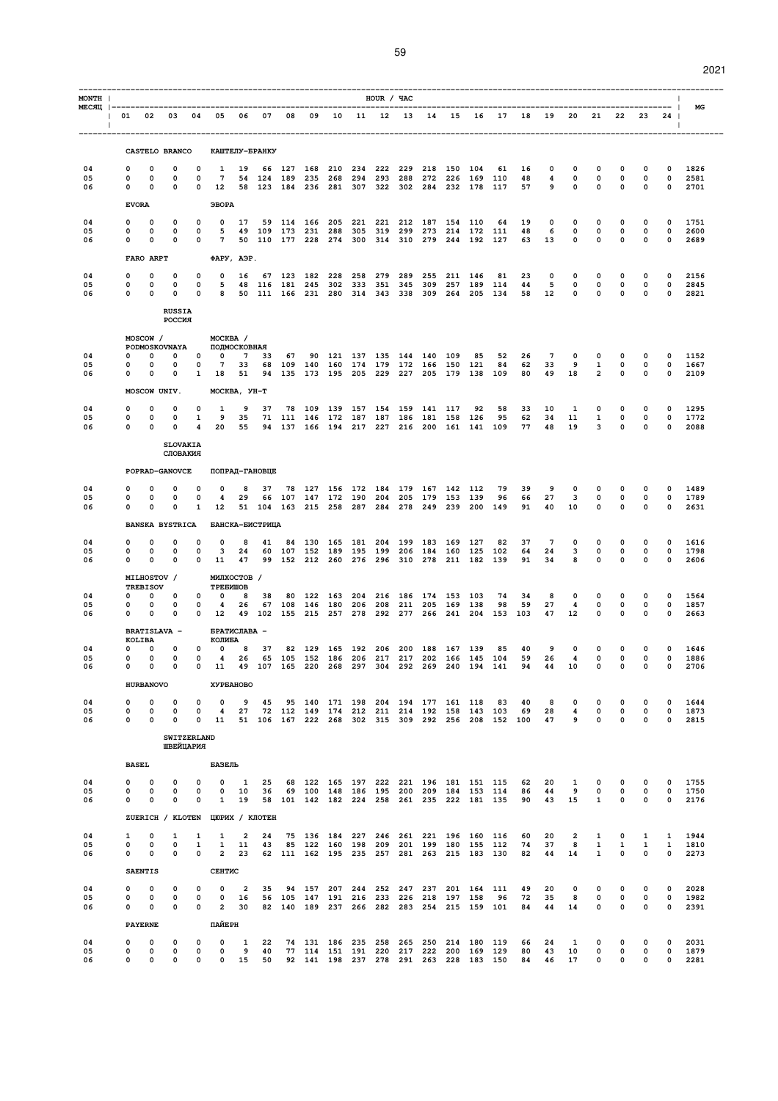| ×<br>۰. |  |
|---------|--|

| MONTH          |                                                                         |                                        |                                 |                                        |                                                                              |                      |                |    |                |         |                                                              | HOUR / YAC |            |                            |             |                                                                                                  |                                                             |                |                  |                                 |                                        |             |                                    |                                 |                                        |                      |
|----------------|-------------------------------------------------------------------------|----------------------------------------|---------------------------------|----------------------------------------|------------------------------------------------------------------------------|----------------------|----------------|----|----------------|---------|--------------------------------------------------------------|------------|------------|----------------------------|-------------|--------------------------------------------------------------------------------------------------|-------------------------------------------------------------|----------------|------------------|---------------------------------|----------------------------------------|-------------|------------------------------------|---------------------------------|----------------------------------------|----------------------|
| $\Box$         | 01 02 03 04 05 06 07 08 09 10 11 12 13 14 15 16 17 18 19 20 21 22 23 24 |                                        |                                 |                                        |                                                                              |                      |                |    |                |         |                                                              |            |            |                            |             |                                                                                                  |                                                             |                |                  |                                 |                                        |             |                                    |                                 | $\mathbf{I}$                           | МG                   |
|                |                                                                         |                                        | CASTELO BRANCO                  |                                        |                                                                              |                      | КАШТЕЛУ-БРАНКУ |    |                |         |                                                              |            |            |                            |             |                                                                                                  |                                                             |                |                  |                                 |                                        |             |                                    |                                 |                                        |                      |
| 04<br>05       | $\Omega$<br>0                                                           | $\mathbf 0$<br>$\mathbf 0$             | $\Omega$<br>0                   | $\Omega$<br>0                          | 1<br>7                                                                       | 19                   |                |    | 54 124 189 235 |         | 66 127 168 210 234<br>268 294 293                            | 222        | 229        |                            | 218 150 104 | 288 272 226 169 110                                                                              | 61                                                          | 16<br>48       | $\mathbf 0$<br>4 | $\mathbf 0$<br>0                | $\mathbf 0$<br>$\mathbf{o}$            |             | $\mathbf 0$<br>0                   | 0<br>0                          | 0<br>$\mathbf 0$                       | 1826<br>2581         |
| 06             | 0                                                                       | $\Omega$                               | $\mathbf 0$                     |                                        | 0 12 58 123 184 236 281 307 322 302 284 232 178 117                          |                      |                |    |                |         |                                                              |            |            |                            |             |                                                                                                  |                                                             | 57             | $9^{\circ}$      | $\mathbf 0$                     | $\mathbf 0$                            |             | $\mathbf 0$                        | $\mathbf 0$                     | $\overline{\mathbf{0}}$                | 2701                 |
|                |                                                                         | <b>EVORA</b>                           |                                 |                                        | ЭВОРА                                                                        |                      |                |    |                |         |                                                              |            |            |                            |             |                                                                                                  |                                                             |                |                  |                                 |                                        |             |                                    |                                 |                                        |                      |
| 04<br>05<br>06 | 0<br>0<br>0                                                             | 0<br>0<br>0                            | 0<br>0<br>0                     | 0<br>$\mathbf 0$<br>$\mathbf 0$        | $\mathbf 0$<br>5<br>$7^{\circ}$                                              | 17                   |                |    | 59 114 166     | 205     | 221                                                          | 221        | 212        |                            | 187 154 110 | 49 109 173 231 288 305 319 299 273 214 172 111<br>50 110 177 228 274 300 314 310 279 244 192 127 | 64                                                          | 19<br>48<br>63 | 0<br>6<br>13     | 0<br>$\mathbf 0$<br>$\mathbf 0$ | 0<br>$\mathbf 0$<br>$\mathbf 0$        |             | 0<br>$\mathbf 0$<br>$\mathbf 0$    | 0<br>$\mathbf 0$<br>0           | 0<br>$\circ$<br>$\mathbf 0$            | 1751<br>2600<br>2689 |
|                |                                                                         | FARO ARPT                              |                                 |                                        | <b>ΦΑΡΥ, ΑΘΡ.</b>                                                            |                      |                |    |                |         |                                                              |            |            |                            |             |                                                                                                  |                                                             |                |                  |                                 |                                        |             |                                    |                                 |                                        |                      |
| 04             | 0                                                                       | 0                                      | 0                               | 0                                      | 0                                                                            | 16                   |                |    | 67 123 182     | 228     | 258                                                          | 279        | 289        | 255                        | 211         | 146                                                                                              | 81                                                          | 23             | 0                | 0                               | $\mathbf 0$                            |             | 0                                  | 0                               | 0                                      | 2156                 |
| 05<br>06       | 0<br>$\mathbf 0$                                                        | $\mathbf 0$<br>$\overline{\mathbf{0}}$ | 0<br>$\mathbf 0$                | $\mathbf 0$<br>$\mathbf 0$             | 5                                                                            |                      |                |    |                |         | 48 116 181 245 302 333 351                                   |            | 345        |                            | 309 257     |                                                                                                  | 189 114<br>8 50 111 166 231 280 314 343 338 309 264 205 134 | 44<br>58       | 5<br>12          | 0<br>$\mathbf 0$                | $\mathbf 0$<br>$\mathbf 0$             |             | $\mathbf 0$<br>$\mathbf{0}$        | 0<br>$\mathbf 0$                | $\mathbf{o}$<br>$\mathbf 0$            | 2845<br>2821         |
|                |                                                                         |                                        | <b>RUSSIA</b><br>POCCMR         |                                        |                                                                              |                      |                |    |                |         |                                                              |            |            |                            |             |                                                                                                  |                                                             |                |                  |                                 |                                        |             |                                    |                                 |                                        |                      |
|                |                                                                         | MOSCOW /                               |                                 |                                        | MOCKBA /<br>PODMOSKOVNAYA ПОЛМОСКОВНАЯ                                       |                      |                |    |                |         |                                                              |            |            |                            |             |                                                                                                  |                                                             |                |                  |                                 |                                        |             |                                    |                                 |                                        |                      |
| 04<br>05       | $\Omega$<br>$\mathbf 0$                                                 | $\mathbf 0$<br>0                       | 0                               | $\circ$                                | 0 0 0 7<br>$\overline{7}$                                                    | 33                   | 33             | 67 |                |         | 90 121 137 135<br>68 109 140 160 174 179 172 166 150 121     |            |            | 144 140 109                |             | 85                                                                                               | 52<br>84                                                    | 26<br>62       | 7<br>33          | 0<br>9                          | 0<br>$\mathbf{1}$                      |             | 0<br>$\mathbf 0$                   | 0<br>$\mathbf 0$                | 0<br>$\mathbf 0$                       | 1152<br>1667         |
| 06             | 0                                                                       | $\Omega$                               | 0                               |                                        | 1 18 51                                                                      |                      |                |    |                |         |                                                              |            |            |                            |             |                                                                                                  | 94 135 173 195 205 229 227 205 179 138 109                  | 80             |                  | 49 18                           |                                        | $2^{\circ}$ | $\mathbf{0}$                       | $\mathbf 0$                     | $\mathbf 0$                            | 2109                 |
|                |                                                                         | MOSCOW UNIV.                           |                                 |                                        | МОСКВА, УН-Т                                                                 |                      |                |    |                |         |                                                              |            |            |                            |             |                                                                                                  |                                                             |                |                  |                                 |                                        |             |                                    |                                 |                                        |                      |
| 04<br>05       | 0<br>0                                                                  | $\Omega$<br>$\Omega$                   | 0<br>0                          | 0<br>1                                 | 1<br>9                                                                       | 9<br>35              | 37             |    |                |         | 78 109 139 157 154<br>71 111 146 172 187 187 186 181 158 126 |            |            | 159 141 117                |             | 92                                                                                               | 58<br>95                                                    | 33<br>62       | 10<br>34         | $\mathbf{1}$<br>11              | 0<br>$\mathbf{1}$                      |             | 0<br>0                             | 0<br>0                          | 0<br>$\mathbf 0$                       | 1295<br>1772         |
| 06             | 0                                                                       | $\mathbf 0$                            | 0<br><b>SLOVAKIA</b>            | $\overline{4}$                         | 20                                                                           | 55                   |                |    |                |         |                                                              |            |            |                            |             | 94 137 166 194 217 227 216 200 161 141 109                                                       |                                                             | 77             | 48               | 19                              | 3                                      |             | $\mathbf 0$                        | $\mathbf 0$                     | $\mathbf 0$                            | 2088                 |
|                |                                                                         |                                        | СЛОВАКИЯ                        |                                        |                                                                              |                      |                |    |                |         |                                                              |            |            |                            |             |                                                                                                  |                                                             |                |                  |                                 |                                        |             |                                    |                                 |                                        |                      |
|                |                                                                         |                                        | POPRAD-GANOVCE                  |                                        |                                                                              |                      | ПОПРАД-ГАНОВЦЕ |    |                |         |                                                              |            |            |                            |             |                                                                                                  |                                                             |                |                  |                                 |                                        |             |                                    |                                 |                                        |                      |
| 04<br>05       | 0<br>0                                                                  | 0<br>0                                 | 0<br>0                          | 0<br>$\mathbf 0$                       | 0<br>$\overline{4}$                                                          | 8<br>29              | 37             |    |                |         | 78 127 156 172 184 179 167 142 112<br>66 107 147 172 190 204 |            |            | 205 179 153 139            |             |                                                                                                  | 79<br>96                                                    | 39<br>66       | 9<br>27          | 0<br>$\overline{\mathbf{3}}$    | 0<br>$\mathbf{0}$                      |             | 0<br>$\mathbf 0$                   | 0<br>$\mathbf 0$                | 0<br>$\mathbf 0$                       | 1489<br>1789         |
| 06             | 0                                                                       | 0                                      | $\Omega$                        | $\mathbf{1}$                           | 12<br>BANSKA BYSTRICA БАНСКА-БИСТРИЦА                                        |                      |                |    |                |         |                                                              |            |            |                            |             | 51 104 163 215 258 287 284 278 249 239 200 149                                                   |                                                             | 91             | 40               | 10                              | $\mathbf 0$                            |             | $\mathbf 0$                        | $\mathbf 0$                     | $\mathbf 0$                            | 2631                 |
| 04             | 0                                                                       | 0                                      | 0                               | 0                                      | 0                                                                            | 8                    | 41             |    |                |         | 84 130 165 181 204                                           |            |            | 199 183 169                |             | 127                                                                                              | 82                                                          | 37             | 7                | 0                               | $\mathbf 0$                            |             | 0                                  | 0                               | 0                                      | 1616                 |
| 05<br>06       | 0<br>$\mathbf 0$                                                        | 0<br>$\Omega$                          | 0<br>$\mathbf 0$                | $\mathbf 0$                            | $3^{\circ}$<br>$0\quad 11$                                                   | 24<br>47             |                |    |                |         | 60 107 152 189 195 199                                       |            |            | 206 184 160 125            |             | 99 152 212 260 276 296 310 278 211 182 139                                                       | 102                                                         | 64<br>91       | 24<br>34         | 3<br>8                          | $\mathbf 0$<br>$\mathbf 0$             |             | $\mathbf 0$<br>$\mathbf 0$         | 0<br>$\mathbf 0$                | 0<br>$\mathbf 0$                       | 1798<br>2606         |
|                |                                                                         | MILHOSTOV /<br><b>TREBISOV</b>         |                                 |                                        | МИЛХОСТОВ /<br>TPEEMWOB                                                      |                      |                |    |                |         |                                                              |            |            |                            |             |                                                                                                  |                                                             |                |                  |                                 |                                        |             |                                    |                                 |                                        |                      |
| 04<br>05       | $\mathbf{0}$<br>0                                                       | $\mathbf 0$<br>$\Omega$                | $\mathbf 0$<br>0                | $\mathbf 0$<br>0                       | $\overline{\mathbf{0}}$<br>$\overline{\mathbf{4}}$                           | 8<br>26              | 38             |    |                |         | 80 122 163 204 216<br>67 108 146 180 206 208                 |            |            | 186 174 153<br>211 205 169 |             | 103<br>138                                                                                       | 74<br>98                                                    | 34<br>59       | 8<br>27          | $\mathbf 0$<br>4                | $\mathbf 0$<br>$\mathbf 0$             |             | $\mathbf 0$<br>$\mathbf 0$         | $\mathbf 0$<br>0                | $\mathbf 0$<br>$\mathbf 0$             | 1564<br>1857         |
| 06             | 0                                                                       | $\Omega$                               | 0                               |                                        | $0\quad 12$                                                                  |                      |                |    |                |         |                                                              |            |            |                            |             |                                                                                                  | 49 102 155 215 257 278 292 277 266 241 204 153 103          |                | 47               | 12                              | $\mathbf 0$                            |             | $\mathbf 0$                        | $\mathbf 0$                     | $\mathbf 0$                            | 2663                 |
|                |                                                                         | <b>BRATISLAVA -</b><br>KOLIBA          |                                 |                                        | БРАТИСЛАВА -<br>КОЛИБА                                                       |                      |                |    |                |         |                                                              |            |            |                            |             |                                                                                                  |                                                             |                |                  |                                 |                                        |             |                                    |                                 |                                        |                      |
| 04<br>05<br>06 | 0<br>$\mathbf 0$<br>$\mathbf{0}$                                        | 0<br>$\mathbf 0$<br>$\overline{0}$     | $\mathbf 0$<br>$\mathbf 0$      | $\mathbf 0$<br>$\overline{\mathbf{0}}$ | $\mathbf 0$<br>4 26<br>0 0 11 49 107 165 220 268 297 304 292 269 240 194 141 | 8                    | 37             |    | 82 129         | 165 192 | 65 105 152 186 206 217                                       | 206        | 200<br>217 | 188 167                    | 202 166     | 139<br>145 104                                                                                   | 85                                                          | 40<br>59<br>94 | 9<br>26<br>44    | 0<br>$\overline{4}$<br>10       | $\mathbf 0$<br>$\mathbf 0$<br>$\Omega$ |             | 0<br>$\mathbf 0$<br>$\overline{0}$ | $\mathbf 0$<br>0<br>$\mathbf 0$ | $\Omega$<br>$\mathbf 0$<br>$\mathbf 0$ | 1646<br>1886<br>2706 |
|                |                                                                         | <b>HURBANOVO</b>                       |                                 |                                        | ХУРБАНОВО                                                                    |                      |                |    |                |         |                                                              |            |            |                            |             |                                                                                                  |                                                             |                |                  |                                 |                                        |             |                                    |                                 |                                        |                      |
| 04             | 0                                                                       | 0                                      | $\Omega$                        | 0                                      | $\mathbf 0$                                                                  | 9                    | 45             |    |                |         | 95 140 171 198 204 194 177 161 118                           |            |            |                            |             |                                                                                                  | 83                                                          | 40             | 8                | 0                               | 0                                      |             | 0                                  | 0                               | 0                                      | 1644                 |
| 05<br>06       | 0<br>0                                                                  | 0<br>0                                 | 0<br>$\Omega$                   | 0<br>0                                 | 4<br>11                                                                      | 27                   |                |    |                |         |                                                              |            |            |                            |             | 72 112 149 174 212 211 214 192 158 143 103                                                       | 51 106 167 222 268 302 315 309 292 256 208 152 100          | 69             | 28<br>47         | 4<br>9                          | $\mathsf{o}\,$<br>0                    |             | 0<br>$\mathbf 0$                   | 0<br>$\mathbf 0$                | 0<br>0                                 | 1873<br>2815         |
|                |                                                                         |                                        | <b>SWITZERLAND</b><br>ШВЕЙЦАРИЯ |                                        |                                                                              |                      |                |    |                |         |                                                              |            |            |                            |             |                                                                                                  |                                                             |                |                  |                                 |                                        |             |                                    |                                 |                                        |                      |
|                |                                                                         | <b>BASEL</b>                           |                                 |                                        | БАЗЕЛЬ                                                                       |                      |                |    |                |         |                                                              |            |            |                            |             |                                                                                                  |                                                             |                |                  |                                 |                                        |             |                                    |                                 |                                        |                      |
| 04             | 0                                                                       | 0                                      | 0                               | 0                                      | 0                                                                            | 1                    | 25             |    |                |         |                                                              |            |            |                            |             | 68 122 165 197 222 221 196 181 151 115                                                           |                                                             | 62             | 20               | 1                               | 0                                      |             | 0                                  | 0                               | 0                                      | 1755                 |
| 05<br>06       | 0<br>0                                                                  | 0<br>0                                 | 0<br>$\Omega$                   | 0<br>0                                 | 0<br>$\mathbf{1}$                                                            | 10<br>19             | 36             |    |                |         | 69 100 148 186 195                                           |            |            |                            |             | 200 209 184 153 114<br>58 101 142 182 224 258 261 235 222 181 135                                |                                                             | 86<br>90       | 44<br>43         | 9<br>15                         | 0<br>$\mathbf{1}$                      |             | 0<br>$\mathbf 0$                   | 0<br>$\Omega$                   | 0<br>0                                 | 1750<br>2176         |
|                |                                                                         |                                        |                                 |                                        | ZUERICH / KLOTEN UOPMX / KJOTEH                                              |                      |                |    |                |         |                                                              |            |            |                            |             |                                                                                                  |                                                             |                |                  |                                 |                                        |             |                                    |                                 |                                        |                      |
| 04<br>05       | $\mathbf{1}$<br>0                                                       | 0<br>0                                 | 1<br>0                          | 1<br>1                                 | $\mathbf{1}$<br>1                                                            | $\overline{2}$<br>11 | 24<br>43       |    |                |         |                                                              |            |            |                            |             | 75 136 184 227 246 261 221 196 160 116<br>85 122 160 198 209 201 199 180 155 112                 |                                                             | 60<br>74       | 20<br>37         | $\overline{a}$<br>8             | 1<br>$\mathbf{1}$                      |             | 0<br>1                             | 1<br>1                          | $\mathbf{1}$<br>1                      | 1944<br>1810         |
| 06             | 0                                                                       | 0                                      | 0                               | 0                                      | $\overline{a}$                                                               | 23                   |                |    |                |         |                                                              |            |            |                            |             | 62 111 162 195 235 257 281 263 215 183 130                                                       |                                                             | 82             | 44               | 14                              | $\mathbf{1}$                           |             | $\mathbf 0$                        | $\mathbf 0$                     | 0                                      | 2273                 |
|                |                                                                         | <b>SAENTIS</b>                         |                                 |                                        | <b>CEHTMC</b>                                                                |                      |                |    |                |         |                                                              |            |            |                            |             |                                                                                                  |                                                             |                |                  |                                 |                                        |             |                                    |                                 |                                        |                      |
| 04<br>05       | 0<br>0                                                                  | 0<br>0                                 | 0<br>0                          | 0<br>$\mathbf 0$                       | 0<br>0                                                                       | $\overline{a}$<br>16 | 35             |    |                |         | 94 157 207 244 252 247<br>56 105 147 191 216 233             |            |            | 226 218 197 158            |             | 237 201 164                                                                                      | 111<br>96                                                   | 49<br>72       | 20<br>35         | 0<br>8                          | 0<br>$\mathbf 0$                       |             | 0<br>$\mathbf 0$                   | 0<br>0                          | 0<br>$\mathbf 0$                       | 2028<br>1982         |
| 06             | 0                                                                       | 0<br><b>PAYERNE</b>                    | $\mathbf 0$                     | 0                                      | $\overline{a}$<br>ПАЙЕРН                                                     | 30                   |                |    |                |         |                                                              |            |            |                            |             | 82 140 189 237 266 282 283 254 215 159 101                                                       |                                                             | 84             | 44               | 14                              | 0                                      |             | $\mathbf 0$                        | 0                               | 0                                      | 2391                 |
| 04             | 0                                                                       | 0                                      | 0                               | 0                                      | 0                                                                            | 1                    | 22             |    |                |         |                                                              |            |            |                            |             | 74 131 186 235 258 265 250 214 180 119                                                           |                                                             | 66             | 24               | 1                               | 0                                      |             | 0                                  | 0                               | 0                                      | 2031                 |
| 05<br>06       | 0<br>0                                                                  | 0<br>0                                 | 0<br>0                          | 0<br>0                                 | 0<br>0                                                                       | 9<br>15              | 40<br>50       |    |                |         |                                                              |            |            |                            |             | 77 114 151 191 220 217 222 200 169 129<br>92 141 198 237 278 291 263 228 183 150                 |                                                             | 80<br>84       | 43<br>46         | 10<br>17                        | 0<br>0                                 |             | 0<br>$\mathbf 0$                   | 0<br>0                          | 0<br>0                                 | 1879<br>2281         |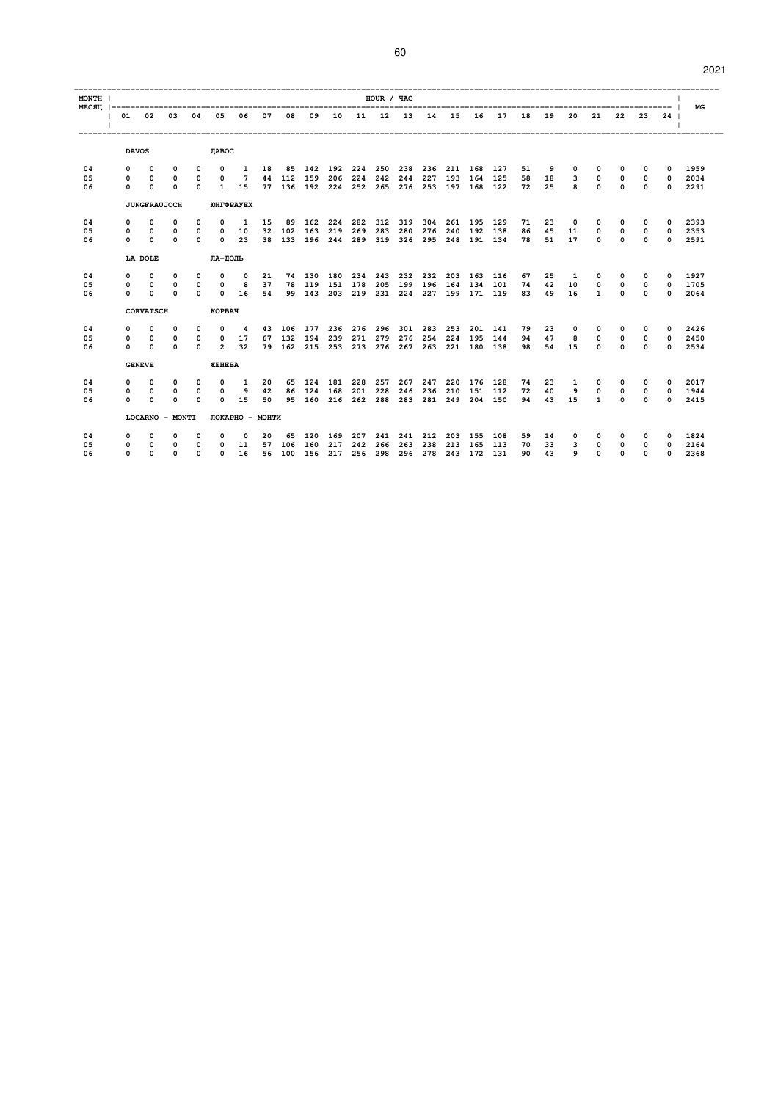| ×<br>۰. |  |
|---------|--|

| <b>MONTH</b> | HOUR / YAC<br>MECЯЦ  -------------------------<br>10 11 12 13 14 15<br>03<br>04<br>05<br>06<br>07<br>08<br>09<br><b>16</b><br>17<br>19<br>22<br>01 02<br>18<br>20<br>21<br>-23<br>$24$ l |                     |                 |             |                      |                   |    |            |                        |     |             |                     |     |     |         |                     |         |    |       |             |              |             |             |              |      |
|--------------|------------------------------------------------------------------------------------------------------------------------------------------------------------------------------------------|---------------------|-----------------|-------------|----------------------|-------------------|----|------------|------------------------|-----|-------------|---------------------|-----|-----|---------|---------------------|---------|----|-------|-------------|--------------|-------------|-------------|--------------|------|
|              |                                                                                                                                                                                          |                     |                 |             |                      |                   |    |            |                        |     |             |                     |     |     |         |                     |         |    |       |             |              |             |             |              | MG   |
|              |                                                                                                                                                                                          |                     |                 |             |                      |                   |    |            |                        |     |             |                     |     |     |         |                     |         |    |       |             |              |             |             |              |      |
|              |                                                                                                                                                                                          | <b>DAVOS</b>        |                 |             | <b>IIABOC</b>        |                   |    |            |                        |     |             |                     |     |     |         |                     |         |    |       |             |              |             |             |              |      |
| 04           | $\mathbf{0}$                                                                                                                                                                             | $^{\circ}$          | $\mathbf 0$     | 0           | $^{\circ}$           | $\mathbf{1}$      | 18 |            | 85 142 192 224         |     |             | 250                 | 238 | 236 |         | 211 168 127         |         | 51 | 9     | $\mathbf 0$ | $^{\circ}$   | 0           | $^{\circ}$  | $\Omega$     | 1959 |
| 05           | $\Omega$                                                                                                                                                                                 | $^{\circ}$          | 0               |             | $\Omega$             | $\overline{7}$    |    | 44 112 159 |                        | 206 | 224         | 242                 | 244 | 227 |         | 193 164 125         |         | 58 | 18    | 3           | 0            | $\Omega$    | $\Omega$    | $\Omega$     | 2034 |
| 06           | $\mathbf{0}$                                                                                                                                                                             | $\Omega$            | $\Omega$        | $\Omega$    | 1                    | 15                |    |            | 77 136 192 224 252 265 |     |             |                     |     |     |         | 276 253 197 168 122 |         | 72 | 25    | 8           | $\Omega$     | $\Omega$    | $\Omega$    | $\Omega$     | 2291 |
|              |                                                                                                                                                                                          | <b>JUNGFRAUJOCH</b> |                 |             |                      | <b>IOHTΦPAYEX</b> |    |            |                        |     |             |                     |     |     |         |                     |         |    |       |             |              |             |             |              |      |
| 04           | 0                                                                                                                                                                                        | 0                   | 0               | 0           | 0                    | 1                 | 15 | 89         | 162                    | 224 | 282         | 312                 | 319 | 304 |         | 261 195 129         |         | 71 | 23    | $\Omega$    | 0            |             | 0           | 0            | 2393 |
| 05           | 0                                                                                                                                                                                        | $\Omega$            | $\Omega$        | 0           | $\Omega$             | 10                | 32 | 102        | 163                    | 219 | 269         | 283                 | 280 | 276 | 240     | 192                 | 138     | 86 | 45    | 11          | 0            | $\Omega$    | $\Omega$    | 0            | 2353 |
| 06           | $\Omega$                                                                                                                                                                                 | $\Omega$            | 0               | $\Omega$    | $\Omega$             | 23                |    |            | 38 133 196             |     | 244 289 319 |                     |     |     |         | 326 295 248 191 134 |         |    | 78 51 | 17          | $\Omega$     | $\Omega$    | $\Omega$    | 0            | 2591 |
|              |                                                                                                                                                                                          | LA DOLE             |                 |             | ЛА-ДОЛЬ              |                   |    |            |                        |     |             |                     |     |     |         |                     |         |    |       |             |              |             |             |              |      |
| 04           | 0                                                                                                                                                                                        | $^{\circ}$          | $\mathbf 0$     | $\Omega$    | $^{\circ}$           | $\Omega$          | 21 |            | 74 130                 | 180 | 234         | 243                 | 232 | 232 |         | 203 163 116         |         | 67 | 25    | 1           | 0            | $^{\circ}$  | 0           | 0            | 1927 |
| 05           | $\mathbf{0}$                                                                                                                                                                             | $\mathbf 0$         | $\mathbf 0$     | 0           | $\mathbf 0$          | 8                 | 37 |            | 78 119                 |     | 151 178     | 205                 | 199 | 196 | 164     | 134 101             |         | 74 | 42    | 10          | $\mathbf 0$  | $\mathbf 0$ | $\mathbf 0$ | $\mathbf 0$  | 1705 |
| 06           | $\Omega$                                                                                                                                                                                 | $\Omega$            | 0               | $\Omega$    | $\Omega$             | <b>16</b>         | 54 |            | 99 143                 |     | 203 219 231 |                     |     |     |         | 224 227 199 171 119 |         | 83 | 49    | 16          | $\mathbf{1}$ | $\Omega$    | 0           | 0            | 2064 |
|              |                                                                                                                                                                                          | <b>CORVATSCH</b>    |                 |             | <b>KOPBAY</b>        |                   |    |            |                        |     |             |                     |     |     |         |                     |         |    |       |             |              |             |             |              |      |
| 04           | $\mathbf{0}$                                                                                                                                                                             | $^{\circ}$          | 0               | $\mathbf 0$ | $\mathbf 0$          | 4                 |    | 43 106     | 177                    |     | 236 276 296 |                     | 301 |     | 283 253 |                     | 201 141 | 79 | 23    | $\mathbf 0$ | $^{\circ}$   | 0           | $\mathbf 0$ | 0            | 2426 |
| 05           | $\Omega$                                                                                                                                                                                 | $\Omega$            | 0               | $\Omega$    | $^{\circ}$           | 17                |    | 67 132     | 194                    | 239 | 271         | 279                 | 276 | 254 | 224     | 195 144             |         | 94 | 47    | 8           | 0            | $\Omega$    | 0           | 0            | 2450 |
| 06           | $\Omega$                                                                                                                                                                                 | $\Omega$            | $\Omega$        | $\Omega$    | 2                    | 32                |    |            | 79 162 215 253 273 276 |     |             |                     | 267 | 263 |         | 221 180 138         |         | 98 | 54    | 15          | $\Omega$     | $\Omega$    | $\Omega$    | $\Omega$     | 2534 |
|              |                                                                                                                                                                                          | <b>GENEVE</b>       |                 |             | <b><i>ЖЕНЕВА</i></b> |                   |    |            |                        |     |             |                     |     |     |         |                     |         |    |       |             |              |             |             |              |      |
| 04           | $\Omega$                                                                                                                                                                                 | $\Omega$            | 0               | $\Omega$    | $^{\circ}$           | 1                 | 20 |            | 65 124                 | 181 | 228         | 257                 | 267 | 247 | 220     | 176                 | 128     | 74 | 23    | 1           | $\Omega$     | 0           | 0           | 0            | 2017 |
| 05           | 0                                                                                                                                                                                        | $\Omega$            | 0               | 0           | 0                    | 9                 | 42 |            | 86 124                 | 168 | 201         | 228                 | 246 | 236 | 210     |                     | 151 112 | 72 | 40    | 9           | 0            | $\mathbf 0$ | $\mathbf 0$ | $\Omega$     | 1944 |
| 06           | <sup>n</sup>                                                                                                                                                                             | $\Omega$            | 0               | $\Omega$    | $\Omega$             | 15                | 50 |            | 95 160 216 262 288     |     |             |                     | 283 |     |         | 281 249 204 150     |         | 94 | 43    | 15          | $\mathbf{1}$ | $\Omega$    | $\Omega$    | $\Omega$     | 2415 |
|              |                                                                                                                                                                                          |                     | LOCARNO - MONTI |             |                      | ЛОКАРНО - МОНТИ   |    |            |                        |     |             |                     |     |     |         |                     |         |    |       |             |              |             |             |              |      |
| 04           | 0                                                                                                                                                                                        | <sup>n</sup>        | 0               | 0           | 0                    | $\Omega$          | 20 | 65         | 120                    | 169 |             | 207 241             | 241 | 212 | 203     | 155                 | 108     | 59 | 14    | 0           | 0            |             | 0           | 0            | 1824 |
| 05           | 0                                                                                                                                                                                        | $^{\circ}$          | 0               | $\Omega$    | $\Omega$             | 11                | 57 | 106        | 160                    | 217 | 242         | 266                 | 263 | 238 | 213     | 165                 | 113     | 70 | 33    | 3           | 0            | $\Omega$    | 0           | $\Omega$     | 2164 |
| 06           | $\Omega$                                                                                                                                                                                 | $\Omega$            | 0               | $\Omega$    | $\Omega$             | 16                |    | 56 100 156 |                        |     |             | 217 256 298 296 278 |     |     |         | 243 172 131         |         | 90 | 43    | 9           | $\Omega$     | $\Omega$    | 0           | <sup>0</sup> | 2368 |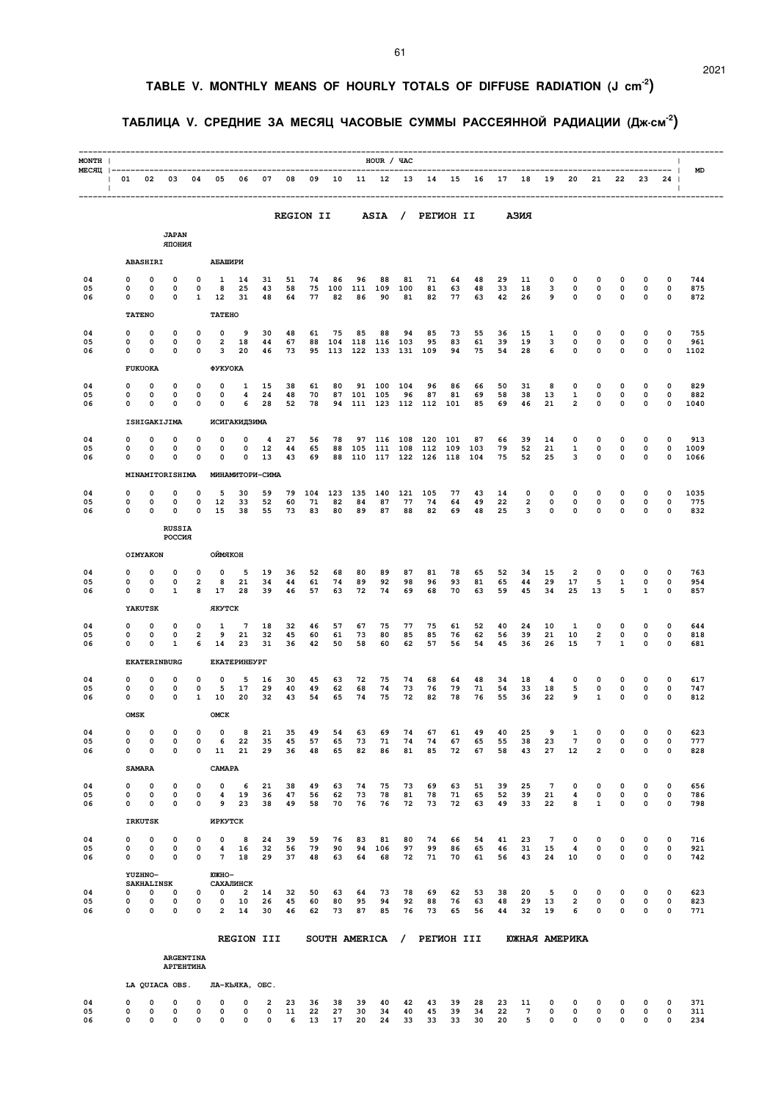# **TABLE V. MONTHLY MEANS OF HOURLY TOTALS OF DIFFUSE RADIATION (J cm-2)**

### **ТАБЛИЦА V. СРЕДНИЕ ЗА МЕСЯЦ ЧАСОВЫЕ СУММЫ РАССЕЯННОЙ РАДИАЦИИ (Дж.см-2)**

| MONTH                              |                    |                              |                         |                                 |                              |                                     |                         |                  |                |                |                | HOUR / YAC          |                |                  |                |                |                |                     |                            |                               |                              |                                        |                                        | $\mathbf{I}$                          |              |
|------------------------------------|--------------------|------------------------------|-------------------------|---------------------------------|------------------------------|-------------------------------------|-------------------------|------------------|----------------|----------------|----------------|---------------------|----------------|------------------|----------------|----------------|----------------|---------------------|----------------------------|-------------------------------|------------------------------|----------------------------------------|----------------------------------------|---------------------------------------|--------------|
| MECAII  -------------------<br>- 1 | 01<br>$\mathbf{L}$ | 02                           | 03                      | 04                              | 05                           | 06                                  | 07                      | 08               | 09             | 10             | 11             | -------------<br>12 | 13             | 14               | 15             | 16             | 17             | 18                  | 19                         | 20                            | 21                           | 22                                     | 23                                     | --<br>- 1<br>24<br>-1<br>$\mathbf{I}$ | MD           |
|                                    |                    |                              |                         |                                 |                              |                                     |                         | <b>REGION II</b> |                |                |                | ASIA /              |                | <b>PETMOH II</b> |                |                |                | АЗИЯ                |                            |                               |                              |                                        |                                        |                                       |              |
|                                    |                    |                              | <b>JAPAN</b><br>RNHOIR  |                                 |                              |                                     |                         |                  |                |                |                |                     |                |                  |                |                |                |                     |                            |                               |                              |                                        |                                        |                                       |              |
|                                    |                    | ABASHIRI                     |                         |                                 | АБАШИРИ                      |                                     |                         |                  |                |                |                |                     |                |                  |                |                |                |                     |                            |                               |                              |                                        |                                        |                                       |              |
| 04                                 | 0<br>0             | 0                            | 0<br>0                  | 0<br>0                          | 1<br>8                       | 14                                  | 31                      | 51               | 74<br>75       | 86             | 96             | 88                  | 81             | 71               | 64             | 48             | 29             | 11                  | 0                          | 0<br>0                        | 0<br>$\mathsf{o}\,$          | 0<br>0                                 | 0<br>$\mathbf 0$                       | 0<br>$\mathbf 0$                      | 744<br>875   |
| 05<br>06                           | 0                  | 0<br>0                       | 0                       | 1                               | 12                           | 25<br>31                            | 43<br>48                | 58<br>64         | 77             | 100<br>82      | 111<br>86      | 109<br>90           | 100<br>81      | 81<br>82         | 63<br>77       | 48<br>63       | 33<br>42       | 18<br>26            | 3<br>9                     | 0                             | 0                            | 0                                      | 0                                      | 0                                     | 872          |
|                                    |                    | <b>TATENO</b>                |                         |                                 | <b>TATEHO</b>                |                                     |                         |                  |                |                |                |                     |                |                  |                |                |                |                     |                            |                               |                              |                                        |                                        |                                       |              |
| 04<br>05                           | 0<br>0             | 0<br>0                       | 0<br>0                  | 0<br>$\mathbf 0$                | 0<br>$\overline{\mathbf{2}}$ | 9<br>18                             | 30<br>44                | 48<br>67         | 61<br>88       | 75<br>104      | 85<br>118      | 88<br>116           | 94<br>103      | 85<br>95         | 73<br>83       | 55<br>61       | 36<br>39       | 15<br>19            | 1<br>3                     | 0<br>0                        | 0<br>0                       | 0<br>$\mathbf 0$                       | 0<br>0                                 | 0<br>$\mathbf 0$                      | 755<br>961   |
| 06                                 | 0                  | 0                            | 0                       | 0                               | 3                            | 20                                  | 46                      | 73               | 95             | 113            | 122            | 133                 | 131            | 109              | 94             | 75             | 54             | 28                  | 6                          | 0                             | 0                            | 0                                      | 0                                      | 0                                     | 1102         |
| 04                                 | 0                  | <b>FUKUOKA</b><br>0          | 0                       | 0                               | ФУКУОКА<br>0                 | 1                                   | 15                      | 38               | 61             | 80             | 91             | 100                 | 104            | 96               | 86             | 66             | 50             | 31                  | 8                          | 0                             | 0                            | 0                                      | 0                                      | 0                                     | 829          |
| 05<br>06                           | 0<br>0             | 0<br>0                       | 0<br>0                  | 0<br>0                          | 0<br>0                       | 4<br>6                              | 24<br>28                | 48<br>52         | 70<br>78       | 87<br>94       | 101            | 105<br>111 123      | 96<br>112      | 87<br>112        | 81<br>101      | 69<br>85       | 58<br>69       | 38<br>46            | 13<br>21                   | 1<br>$\overline{c}$           | 0<br>0                       | 0<br>0                                 | 0<br>0                                 | 0<br>0                                | 882<br>1040  |
|                                    |                    |                              | ISHIGAKIJIMA            |                                 |                              | ИСИГАКИДЗИМА                        |                         |                  |                |                |                |                     |                |                  |                |                |                |                     |                            |                               |                              |                                        |                                        |                                       |              |
| 04                                 | n                  | 0<br>0                       | $\Omega$                | 0                               | 0                            | 0                                   | 4                       | 27               | 56             | 78             | 97             | 116                 | 108            | 120              | 101            | 87             | 66             | 39                  | 14                         | 0                             | 0                            | 0                                      | 0                                      | 0                                     | 913          |
| 05<br>06                           | 0<br>0             | 0                            | 0<br>0                  | 0<br>0                          | 0<br>0                       | 0<br>0                              | 12<br>13                | 44<br>43         | 65<br>69       | 88<br>88       | 105<br>110     | 111<br>117          | 108<br>122     | 112<br>126       | 109<br>118     | 103<br>104     | 79<br>75       | 52<br>52            | 21<br>25                   | 1<br>3                        | 0<br>0                       | 0<br>0                                 | 0<br>0                                 | 0<br>0                                | 1009<br>1066 |
|                                    |                    |                              | MINAMITORISHIMA         |                                 |                              | МИНАМИТОРИ-СИМА                     |                         |                  |                |                |                |                     |                |                  |                |                |                |                     |                            |                               |                              |                                        |                                        |                                       |              |
| 04<br>05                           | 0<br>0             | 0<br>0                       | 0<br>0                  | 0<br>0                          | 5<br>12                      | 30<br>33                            | 59<br>52                | 79<br>60         | 104<br>71      | 123<br>82      | 135<br>84      | 140<br>87           | 121<br>77      | 105<br>74        | 77<br>64       | 43<br>49       | 14<br>22       | 0<br>$\overline{a}$ | 0<br>0                     | 0<br>0                        | 0<br>$\mathbf 0$             | 0<br>0                                 | 0<br>0                                 | 0<br>0                                | 1035<br>775  |
| 06                                 | 0                  | 0                            | O                       | $\mathbf 0$                     | 15                           | 38                                  | 55                      | 73               | 83             | 80             | 89             | 87                  | 88             | 82               | 69             | 48             | 25             | 3                   | 0                          | 0                             | $\mathbf 0$                  | 0                                      | 0                                      | 0                                     | 832          |
|                                    |                    |                              | <b>RUSSIA</b><br>РОССИЯ |                                 |                              |                                     |                         |                  |                |                |                |                     |                |                  |                |                |                |                     |                            |                               |                              |                                        |                                        |                                       |              |
|                                    |                    | OIMYAKON                     |                         |                                 | ОЙМЯКОН                      |                                     |                         |                  |                |                |                |                     |                |                  |                |                |                |                     |                            |                               |                              |                                        |                                        |                                       |              |
| 04<br>05                           | 0<br>0             | 0<br>0                       | 0<br>0                  | 0<br>2                          | $\mathbf 0$<br>8             | 5<br>21                             | 19<br>34                | 36<br>44         | 52<br>61       | 68<br>74       | 80<br>89       | 89<br>92            | 87<br>98       | 81<br>96         | 78<br>93       | 65<br>81       | 52<br>65       | 34<br>44            | 15<br>29                   | 2<br>17                       | 0<br>5                       | 0<br>1                                 | 0<br>0                                 | 0<br>0                                | 763<br>954   |
| 06                                 | 0                  | 0<br>YAKUTSK                 | 1                       | 8                               | 17<br><b>AKYTCK</b>          | 28                                  | 39                      | 46               | 57             | 63             | 72             | 74                  | 69             | 68               | 70             | 63             | 59             | 45                  | 34                         | 25                            | 13                           | 5                                      | 1                                      | 0                                     | 857          |
| 04                                 | 0                  | 0                            | 0                       | 0                               | 1                            | 7                                   | 18                      | 32               | 46             | 57             | 67             | 75                  | 77             | 75               | 61             | 52             | 40             | 24                  | 10                         | 1                             | 0                            | 0                                      | 0                                      | 0                                     | 644          |
| 05<br>06                           | 0<br>0             | 0<br>0                       | 0<br>1                  | $\overline{2}$<br>6             | 9<br>14                      | 21<br>23                            | 32<br>31                | 45<br>36         | 60<br>42       | 61<br>50       | 73<br>58       | 80<br>60            | 85<br>62       | 85<br>57         | 76<br>56       | 62<br>54       | 56<br>45       | 39<br>36            | 21<br>26                   | 10<br>15                      | $\overline{\mathbf{2}}$<br>7 | 0<br>$\mathbf{1}$                      | 0<br>0                                 | 0<br>0                                | 818<br>681   |
|                                    |                    |                              | <b>EKATERINBURG</b>     |                                 |                              | <b>EKATEPMHEYPT</b>                 |                         |                  |                |                |                |                     |                |                  |                |                |                |                     |                            |                               |                              |                                        |                                        |                                       |              |
| 04                                 | 0<br>0             | 0<br>0                       | 0<br>0                  | 0<br>$\mathbf 0$                | 0                            | 5<br>17                             | 16                      | 30               | 45             | 63             | 72             | 75<br>74            | 74             | 68               | 64<br>79       | 48             | 34             | 18                  | 4                          | 0                             | 0<br>0                       | 0<br>0                                 | 0<br>0                                 | 0<br>0                                | 617<br>747   |
| 05<br>06                           | 0                  | 0                            | 0                       | 1                               | 5<br>10                      | 20                                  | 29<br>32                | 40<br>43         | 49<br>54       | 62<br>65       | 68<br>74       | 75                  | 73<br>72       | 76<br>82         | 78             | 71<br>76       | 54<br>55       | 33<br>36            | 18<br>22                   | 5<br>9                        | 1                            | 0                                      | 0                                      | 0                                     | 812          |
|                                    | <b>OMSK</b>        |                              |                         |                                 | OMCK                         |                                     |                         |                  |                |                |                |                     |                |                  |                |                |                |                     |                            |                               |                              |                                        |                                        |                                       |              |
| 04<br>05                           | 0<br>0             | 0<br>$\mathbf 0$             | 0<br>$\mathbf 0$        | 0<br>$\mathbf 0$                | 0<br>6                       | 8<br>22                             | 21<br>35                | 35<br>45         | 49<br>57       | 54<br>65       | 63<br>73       | 69<br>71            | 74<br>74       | 67<br>74         | 61<br>67       | 49<br>65       | 40<br>55       | 25<br>38            | 9<br>23                    | 1<br>$7\phantom{.0}$          | 0<br>0                       | 0<br>$\mathbf 0$                       | 0<br>0                                 | 0<br>$\mathbf 0$                      | 623<br>777   |
| 06                                 | 0                  | 0<br><b>SAMARA</b>           | 0                       | 0                               | 11<br>CAMAPA                 | 21                                  | 29                      | 36               | 48             | 65             | 82             | 86                  | 81             | 85               | 72             | 67             | 58             | 43                  | 27                         | 12                            | $\overline{a}$               | $\mathbf 0$                            | 0                                      | 0                                     | 828          |
| 04                                 | 0                  | 0                            | 0                       | 0                               | 0                            | 6                                   | 21                      | 38               | 49             | 63             | 74             | 75                  | 73             | 69               | 63             | 51             | 39             | 25                  | $7\phantom{.0}$            | 0                             | $\mathbf 0$                  | 0                                      | 0                                      | 0                                     | 656          |
| 05<br>06                           | 0<br>0             | 0<br>0                       | 0<br>0                  | 0<br>0                          | 4<br>9                       | 19<br>23                            | 36<br>38                | 47<br>49         | 56<br>58       | 62<br>70       | 73<br>76       | 78<br>76            | 81<br>72       | 78<br>73         | 71<br>72       | 65<br>63       | 52<br>49       | 39<br>33            | 21<br>22                   | 4<br>8                        | 0<br>$\mathbf{1}$            | 0<br>$\mathbf 0$                       | 0<br>0                                 | $\mathbf 0$<br>0                      | 786<br>798   |
|                                    |                    | <b>IRKUTSK</b>               |                         |                                 | ИРКУТСК                      |                                     |                         |                  |                |                |                |                     |                |                  |                |                |                |                     |                            |                               |                              |                                        |                                        |                                       |              |
| 04<br>05                           | 0<br>0             | $\mathbf 0$<br>0             | $\mathbf 0$<br>0        | $\mathbf 0$<br>0                | 0<br>4                       | 8<br>16                             | 24<br>32                | 39<br>56         | 59<br>79       | 76<br>90       | 83<br>94       | 81<br>106           | 80<br>97       | 74<br>99         | 66<br>86       | 54<br>65       | 41<br>46       | 23<br>31            | $7\phantom{.0}$<br>15      | $\mathbf 0$<br>4              | 0<br>0                       | 0<br>0                                 | 0<br>0                                 | 0<br>$\mathbf 0$                      | 716<br>921   |
| 06                                 | 0                  | 0                            | $\mathbf 0$             | 0                               | 7                            | 18                                  | 29                      | 37               | 48             | 63             | 64             | 68                  | 72             | 71               | 70             | 61             | 56             | 43                  | 24                         | 10                            | 0                            | 0                                      | 0                                      | 0                                     | 742          |
|                                    |                    | YUZHNO-<br><b>SAKHALINSK</b> |                         |                                 | <b>ЮЖНО-</b>                 | САХАЛИНСК                           |                         |                  |                |                |                |                     |                |                  |                |                |                |                     |                            |                               |                              |                                        |                                        |                                       |              |
| 04<br>05                           | 0<br>0<br>0        | $\mathbf 0$<br>0<br>0        | 0<br>0<br>$\mathbf 0$   | 0<br>$\mathbf 0$<br>$\mathbf 0$ | 0<br>0<br>$\overline{a}$     | $\overline{\mathbf{2}}$<br>10<br>14 | 14<br>26<br>30          | 32<br>45<br>46   | 50<br>60<br>62 | 63<br>80<br>73 | 64<br>95<br>87 | 73<br>94<br>85      | 78<br>92<br>76 | 69<br>88<br>73   | 62<br>76<br>65 | 53<br>63<br>56 | 38<br>48<br>44 | 20<br>29<br>32      | 5<br>13<br>19              | $\mathbf 0$<br>$\overline{2}$ | 0<br>0<br>0                  | $\mathbf 0$<br>$\mathbf 0$<br>$\Omega$ | $\mathbf 0$<br>$\mathbf 0$<br>$\Omega$ | 0<br>0<br>0                           | 623<br>823   |
| 06                                 |                    |                              |                         |                                 |                              |                                     |                         |                  |                |                |                |                     |                |                  |                |                |                |                     |                            | 6                             |                              |                                        |                                        |                                       | 771          |
|                                    |                    |                              |                         |                                 |                              | REGION III                          |                         |                  |                |                | SOUTH AMERICA  |                     | $\prime$       | PETMOH III       |                |                |                | ЮЖНАЯ АМЕРИКА       |                            |                               |                              |                                        |                                        |                                       |              |
|                                    |                    |                              | АРГЕНТИНА               | <b>ARGENTINA</b>                |                              |                                     |                         |                  |                |                |                |                     |                |                  |                |                |                |                     |                            |                               |                              |                                        |                                        |                                       |              |
|                                    |                    |                              | LA QUIACA OBS.          |                                 |                              | ЛА-КЬЯКА, ОБС.                      |                         |                  |                |                |                |                     |                |                  |                |                |                |                     |                            |                               |                              |                                        |                                        |                                       |              |
| 04                                 | 0                  | $\mathbf 0$                  | 0                       | $\mathbf 0$                     | 0                            | 0                                   | $\overline{\mathbf{2}}$ | 23               | 36             | 38             | 39             | 40                  | 42             | 43               | 39             | 28             | 23             | 11                  | 0                          | 0                             | 0                            | 0                                      | 0                                      | 0                                     | 371          |
| 05<br>06                           | 0<br>0             | 0<br>$\mathbf 0$             | 0<br>0                  | $\mathbf 0$<br>$\mathbf 0$      | 0<br>$\mathbf 0$             | 0<br>$\mathbf 0$                    | 0<br>$\mathbf 0$        | 11<br>6          | 22<br>13       | 27<br>17       | 30<br>20       | 34<br>24            | 40<br>33       | 45<br>33         | 39<br>33       | 34<br>30       | 22<br>20       | 7<br>5              | $\mathbf 0$<br>$\mathbf 0$ | 0<br>$\mathbf 0$              | 0<br>$\mathsf{o}\,$          | 0<br>0                                 | 0<br>0                                 | 0<br>0                                | 311<br>234   |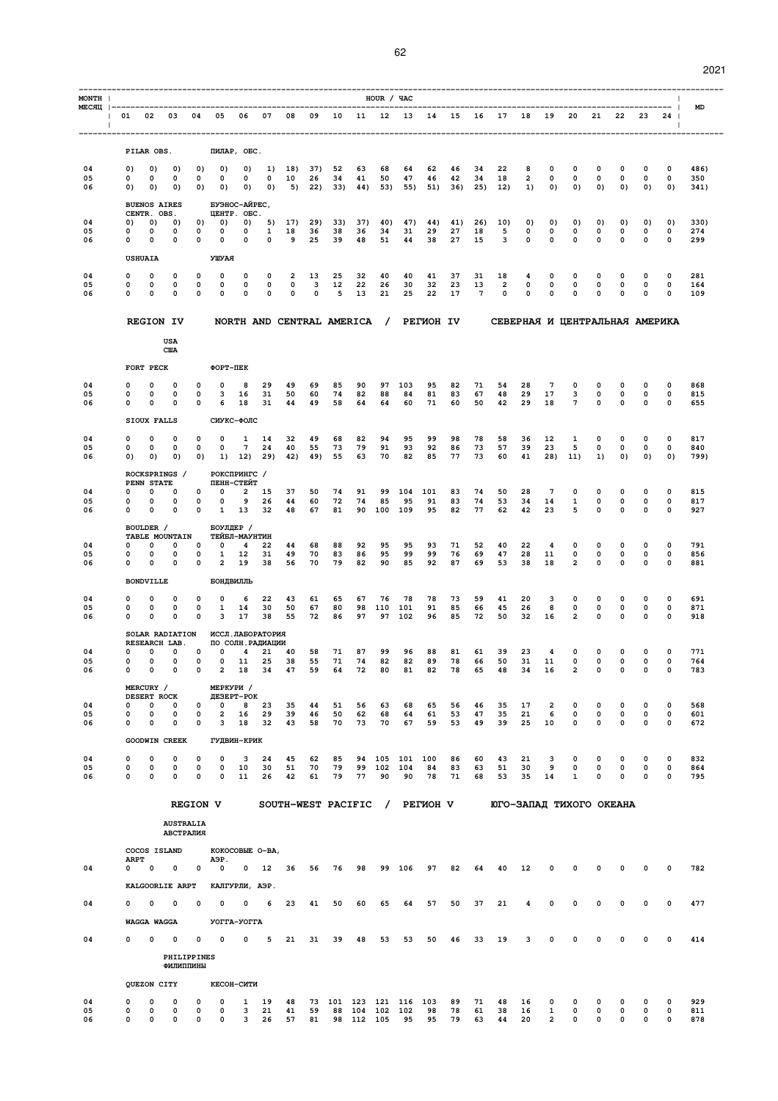2021

| MONTH                            |                                                                                                               |                                                                                          |                                            |                |                            | HOUR / YAC      |                      |                  |                       |                |                |                               |                                     |                              |                       |                               |                       |                       | $\mathbf{I}$     |                   |
|----------------------------------|---------------------------------------------------------------------------------------------------------------|------------------------------------------------------------------------------------------|--------------------------------------------|----------------|----------------------------|-----------------|----------------------|------------------|-----------------------|----------------|----------------|-------------------------------|-------------------------------------|------------------------------|-----------------------|-------------------------------|-----------------------|-----------------------|------------------|-------------------|
| <b>Contract Contract</b><br>- 11 | МЕСЯЦ  ----------<br>01 02 03 04 05                                                                           | 06                                                                                       | 07<br>08                                   |                | 09 10 11 12 13 14 15 16 17 | --------------- |                      |                  |                       |                |                |                               | 18 19                               |                              | 20                    | 21                            | 22                    | 23                    | - 1<br>24<br>л.  | MD                |
|                                  |                                                                                                               |                                                                                          |                                            |                |                            |                 |                      |                  |                       |                |                |                               |                                     |                              |                       |                               |                       |                       | ------           |                   |
| 04                               | PILAR OBS.<br>0)<br>0)<br>$_{0}$                                                                              | ПИЛАР, ОБС.<br>0)<br>0)<br>0)                                                            | 18)<br>1)                                  | 37)            | 52                         | 63              | 68                   | 64               | 62                    | 46             | 34             | 22                            | 8                                   | 0                            | 0                     | 0                             | 0                     | 0                     | 0                | 486)              |
| 05<br>06                         | 0<br>0<br>0<br>0)<br>0)<br>0)                                                                                 | $\mathbf 0$<br>0<br>$\mathbf 0$<br>0)<br>0)<br>0)                                        | 10<br>0<br>0)<br>5)                        | 26<br>22)      | 34<br>33)                  | 41<br>44)       | 50<br>53)            | 47<br>55)        | 46<br>51)             | 42<br>36)      | 34<br>25)      | 18<br>12)                     | $\overline{a}$<br>1)                | 0<br>0)                      | 0<br>0)               | 0<br>0)                       | $\mathbf 0$<br>0)     | 0<br>0)               | 0<br>0)          | 350<br>341)       |
|                                  | <b>BUENOS AIRES</b><br>CENTR. OBS.                                                                            | БУЭНОС-АЙРЕС,<br><b>ЦЕНТР. ОБС.</b>                                                      |                                            |                |                            |                 |                      |                  |                       |                |                |                               |                                     |                              |                       |                               |                       |                       |                  |                   |
| 04<br>05                         | 0)<br>0)<br>0)<br>0<br>0<br>0                                                                                 | 0)<br>0)<br>0)<br>$\mathbf 0$<br>0<br>0                                                  | 5)<br>17)<br>1<br>18                       | 29)<br>36      | 33)<br>38                  | 37)<br>36       | 40)<br>34            | 47)<br>31        | 44)<br>29             | 41)<br>27      | 26)<br>18      | 10)<br>5                      | 0)<br>0                             | 0)<br>0                      | 0)<br>0               | 0)<br>0                       | 0)<br>0               | 0)<br>0               | 0)<br>0          | 330)<br>274       |
| 06                               | 0<br>0<br>0                                                                                                   | $\mathbf 0$<br>0<br>0                                                                    | 0<br>9                                     | 25             | 39                         | 48              | 51                   | 44               | 38                    | 27             | 15             | 3                             | 0                                   | 0                            | 0                     | $\mathbf 0$                   | $\mathbf 0$           | 0                     | 0                | 299               |
| 04                               | <b>USHUAIA</b><br>0<br>0<br>0                                                                                 | УШУАЯ<br>0<br>0<br>0                                                                     | $\mathbf 0$<br>$\overline{a}$              | 13             | 25                         | 32              | 40                   | 40               | 41                    | 37             | 31             | 18                            | 4                                   | 0                            | 0                     | $\mathbf 0$                   | 0                     | 0                     | 0                | 281               |
| 05<br>06                         | 0<br>0<br>0<br>0<br>$\Omega$<br>0                                                                             | 0<br>0<br>0<br>0<br>0<br>0                                                               | $\mathsf{o}\,$<br>0<br>0<br>0              | 3<br>0         | 12<br>5                    | 22<br>13        | 26<br>21             | 30<br>25         | 32<br>22              | 23<br>17       | 13<br>7        | $\overline{a}$<br>$\mathbf 0$ | 0<br>0                              | $\mathbf 0$<br>0             | 0<br>0                | $\mathsf{o}\,$<br>0           | 0<br>0                | 0<br>0                | $\mathbf 0$<br>0 | 164<br>109        |
|                                  | <b>REGION IV</b>                                                                                              |                                                                                          | NORTH AND CENTRAL AMERICA /                |                |                            |                 |                      |                  | <b>PETMOH IV</b>      |                |                |                               | СЕВЕРНАЯ И ЦЕНТРАЛЬНАЯ АМЕРИКА      |                              |                       |                               |                       |                       |                  |                   |
|                                  | USA                                                                                                           |                                                                                          |                                            |                |                            |                 |                      |                  |                       |                |                |                               |                                     |                              |                       |                               |                       |                       |                  |                   |
|                                  | <b>CIIA</b>                                                                                                   |                                                                                          |                                            |                |                            |                 |                      |                  |                       |                |                |                               |                                     |                              |                       |                               |                       |                       |                  |                   |
| 04                               | FORT PECK<br>0<br>0<br>0                                                                                      | ФОРТ-ПЕК<br>0<br>0<br>8                                                                  | 29<br>49                                   | 69             | 85                         | 90              | 97                   | 103              | 95                    | 82             | 71             | 54                            | 28                                  | $7\phantom{.0}$              | 0                     | 0                             | 0                     | 0                     | 0                | 868               |
| 05<br>06                         | 0<br>0<br>0<br>0<br>0<br>0                                                                                    | 0<br>3<br>16<br>0<br>6<br>18                                                             | 31<br>50<br>31<br>44                       | 60<br>49       | 74<br>58                   | 82<br>64        | 88<br>64             | 84<br>60         | 81<br>71              | 83<br>60       | 67<br>50       | 48<br>42                      | 29<br>29                            | 17<br>18                     | 3<br>$7\phantom{.0}$  | $\mathsf{o}\,$<br>$\mathbf 0$ | 0<br>0                | 0<br>0                | $\mathbf 0$<br>0 | 815<br>655        |
|                                  | SIOUX FALLS                                                                                                   | СИУКС-ФОЛС                                                                               |                                            |                |                            |                 |                      |                  |                       |                |                |                               |                                     |                              |                       |                               |                       |                       |                  |                   |
| 04<br>05                         | 0<br>0<br>0<br>0<br>0<br>0                                                                                    | 0<br>0<br>1<br>$\overline{7}$<br>0<br>0                                                  | 14<br>32<br>24<br>40                       | 49<br>55       | 68<br>73                   | 82<br>79        | 94<br>91             | 95<br>93         | 99<br>92              | 98<br>86       | 78<br>73       | 58<br>57                      | 36<br>39                            | 12<br>23                     | 1<br>5                | 0<br>0                        | 0<br>0                | 0<br>0                | 0<br>0           | 817<br>840        |
| 06                               | 0)<br>0)<br>0)                                                                                                | 0)<br>1)<br>12)                                                                          | 29)<br>42)                                 | 49)            | 55                         | 63              | 70                   | 82               | 85                    | 77             | 73             | 60                            | 41                                  | 28)                          | 11)                   | 1)                            | 0)                    | 0)                    | 0)               | 799)              |
|                                  | ROCKSPRINGS /<br>PENN STATE                                                                                   | РОКСПРИНГС /<br>ПЕНН-СТЕЙТ                                                               |                                            |                |                            |                 |                      |                  |                       |                |                |                               |                                     |                              |                       |                               |                       |                       |                  |                   |
| 04<br>05<br>06                   | $\mathbf 0$<br>O<br>$\Omega$<br>0<br>0<br>0<br>0<br>$\mathbf 0$<br>$\Omega$                                   | $\mathbf 0$<br>$\overline{\mathbf{2}}$<br>0<br>0<br>0<br>9<br>$\mathbf 0$<br>13<br>1     | 37<br>15<br>44<br>26<br>32<br>48           | 50<br>60<br>67 | 74<br>72<br>81             | 91<br>74<br>90  | 99<br>85<br>100      | 104<br>95<br>109 | 101<br>91<br>95       | 83<br>83<br>82 | 74<br>74<br>77 | 50<br>53<br>62                | 28<br>34<br>42                      | $7\phantom{.0}$<br>14<br>23  | $\mathbf 0$<br>1<br>5 | 0<br>0<br>0                   | 0<br>0<br>$\mathbf 0$ | 0<br>0<br>$\mathbf 0$ | 0<br>0<br>0      | 815<br>817<br>927 |
|                                  | BOULDER /                                                                                                     | БОУЛДЕР /                                                                                |                                            |                |                            |                 |                      |                  |                       |                |                |                               |                                     |                              |                       |                               |                       |                       |                  |                   |
| 04                               | TABLE MOUNTAIN<br>0<br>0<br>0                                                                                 | ТЕЙБЛ-МАУНТИН<br>0<br>0<br>4                                                             | 22<br>44                                   | 68             | 88                         | 92              | 95                   | 95               | 93                    | 71             | 52             | 40                            | 22                                  | 4                            | 0                     | 0                             | 0                     | 0                     | 0                | 791               |
| 05<br>06                         | 0<br>0<br>0<br>0<br>0<br>0                                                                                    | 0<br>1<br>12<br>$\mathbf 0$<br>$\overline{\mathbf{2}}$<br>19                             | 31<br>49<br>56<br>38                       | 70<br>70       | 83<br>79                   | 86<br>82        | 95<br>90             | 99<br>85         | 99<br>92              | 76<br>87       | 69<br>69       | 47<br>53                      | 28<br>38                            | 11<br>18                     | 0<br>$\overline{a}$   | 0<br>0                        | $\mathbf 0$<br>0      | 0<br>0                | 0<br>0           | 856<br>881        |
|                                  | <b>BONDVILLE</b>                                                                                              | БОНДВИЛЛЬ                                                                                |                                            |                |                            |                 |                      |                  |                       |                |                |                               |                                     |                              |                       |                               |                       |                       |                  |                   |
| 04<br>05                         | 0<br>0<br>0<br>0<br>0<br>0                                                                                    | 0<br>0<br>6<br>0<br>1<br>14                                                              | 22<br>43<br>30<br>50                       | 61<br>67       | 65<br>80                   | 67<br>98        | 76<br>110            | 78<br>101        | 78<br>91              | 73<br>85       | 59<br>66       | 41<br>45                      | 20<br>26                            | з<br>8                       | 0<br>0                | 0<br>0                        | 0<br>0                | 0<br>0                | 0<br>0           | 691<br>871        |
| 06                               | 0<br>0<br>0<br>SOLAR RADIATION                                                                                | 0<br>3<br>17<br>ИССЛ. ЛАБОРАТОРИЯ                                                        | 38<br>55                                   | 72             | 86                         | 97              | 97                   | 102              | 96                    | 85             | 72             | 50                            | 32                                  | 16                           | $\overline{2}$        | 0                             | 0                     | 0                     | 0                | 918               |
| 04                               | RESEARCH LAB.<br>0<br>$\mathbf 0$<br>0                                                                        | ПО СОЛН. РАДИАЦИИ<br>$\mathbf 0$<br>$\overline{\mathbf{4}}$<br>0                         | 21 40                                      | 58             | 71                         | 87              | 99                   | 96               | 88                    | 81             | 61             | 39                            | 23                                  | 4                            | 0                     | 0                             | 0                     | 0                     | 0                | 771               |
| 05<br>06                         | 0<br>$\mathbf 0$<br>$\mathbf 0$<br>0<br>0<br>0                                                                | 0<br>$\mathbf 0$<br>11<br>0<br>2<br>18                                                   | 38<br>25<br>34<br>47                       | 55<br>59       | 71<br>64                   | 74<br>72        | 82<br>80             | 82<br>81         | 89<br>82              | 78<br>78       | 66<br>65       | 50<br>48                      | 31<br>34                            | 11<br>16                     | 0<br>2                | 0<br>0                        | 0<br>0                | 0<br>0                | 0<br>0           | 764<br>783        |
|                                  | MERCURY /<br>DESERT ROCK                                                                                      | МЕРКУРИ /<br><b>JE3EPT-POK</b>                                                           |                                            |                |                            |                 |                      |                  |                       |                |                |                               |                                     |                              |                       |                               |                       |                       |                  |                   |
| 04<br>05                         | 0<br>0<br>0<br>0<br>0<br>0                                                                                    | 8<br>0<br>0<br>0<br>2<br>16                                                              | 23<br>35<br>39<br>29                       | 44<br>46       | 51<br>50                   | 56<br>62        | 63<br>68             | 68<br>64         | 65<br>61              | 56<br>53       | 46<br>47       | 35<br>35                      | 17<br>21                            | $\overline{\mathbf{2}}$<br>6 | 0<br>0                | 0<br>0                        | 0<br>0                | 0<br>0                | 0<br>0           | 568<br>601        |
| 06                               | 0<br>0<br>0                                                                                                   | $\mathbf 0$<br>18<br>3                                                                   | 32<br>43                                   | 58             | 70                         | 73              | 70                   | 67               | 59                    | 53             | 49             | 39                            | 25                                  | 10                           | $\mathbf 0$           | 0                             | $\mathbf 0$           | $\mathbf 0$           | 0                | 672               |
|                                  |                                                                                                               |                                                                                          |                                            |                |                            |                 |                      |                  |                       |                |                |                               |                                     |                              |                       |                               |                       |                       |                  | 832               |
| 05<br>06                         | 0<br>0<br>0<br>0<br>$\mathbf 0$<br>0                                                                          | 0<br>0<br>10<br>$\mathbf 0$<br>0<br>11                                                   | 30<br>51<br>26<br>42                       | 70<br>61       | 79<br>79                   | 99<br>77        | 102<br>90            | 104<br>90        | 84<br>78              | 83<br>71       | 63<br>68       | 51<br>53                      | 30<br>35                            | 9<br>14                      | 0<br>1                | 0<br>0                        | 0<br>0                | 0<br>0                | 0<br>0           | 864<br>795        |
|                                  |                                                                                                               |                                                                                          |                                            |                |                            |                 |                      |                  |                       |                |                |                               |                                     |                              |                       |                               |                       |                       |                  |                   |
|                                  |                                                                                                               |                                                                                          |                                            |                |                            |                 |                      |                  |                       |                |                |                               |                                     |                              |                       |                               |                       |                       |                  |                   |
|                                  | АВСТРАЛИЯ                                                                                                     |                                                                                          |                                            |                |                            |                 |                      |                  |                       |                |                |                               |                                     |                              |                       |                               |                       |                       |                  |                   |
|                                  | COCOS ISLAND<br><b>ARPT</b>                                                                                   | KOKOCOBLE O-BA,<br>АЭР.                                                                  |                                            |                |                            |                 |                      |                  |                       |                |                |                               |                                     |                              |                       |                               |                       |                       |                  |                   |
|                                  | 0<br>0                                                                                                        | 0<br>$\Omega$                                                                            |                                            |                |                            |                 |                      |                  |                       |                |                |                               |                                     |                              |                       |                               |                       |                       |                  | 782               |
| 04                               | <sup>0</sup><br>$\Omega$<br>$\Omega$                                                                          | $\mathbf 0$<br>0<br>0                                                                    | 6<br>23                                    | 41             | 50                         | 60              | 65                   | 64               | 57                    | 50             | 37             | 21                            | 4                                   | 0                            | 0                     | 0                             | 0                     | 0                     | 0                | 477               |
|                                  | WAGGA WAGGA                                                                                                   | УОГГА-УОГГА                                                                              |                                            |                |                            |                 |                      |                  |                       |                |                |                               |                                     |                              |                       |                               |                       |                       |                  |                   |
| 04                               | 0<br>0<br>0                                                                                                   | 0<br>0<br>0                                                                              | 5<br>21                                    | 31             | 39                         | 48              | 53                   | 53               | 50                    | 46             | 33             | 19                            | 3                                   | $\mathbf 0$                  | 0                     | 0                             | 0                     | 0                     | $\mathbf 0$      | 414               |
|                                  | ФИЛИППИНЫ                                                                                                     | PHILIPPINES                                                                              |                                            |                |                            |                 |                      |                  |                       |                |                |                               |                                     |                              |                       |                               |                       |                       |                  |                   |
|                                  | QUEZON CITY                                                                                                   | КЕСОН-СИТИ                                                                               |                                            |                |                            |                 |                      |                  |                       |                |                |                               |                                     |                              |                       |                               |                       |                       |                  |                   |
| 04<br>04                         | <b>GOODWIN CREEK</b><br>0<br>$\mathbf 0$<br>$\mathbf 0$<br><b>AUSTRALIA</b><br>$\mathbf 0$<br>KALGOORLIE ARPT | ГУДВИН-КРИК<br>$\mathbf 0$<br>0<br>3<br><b>REGION V</b><br>$\mathbf 0$<br>КАЛГУРЛИ, АЭР. | 24<br>45<br>SOUTH-WEST PACIFIC<br>12<br>36 | 62<br>56       | 85<br>76                   | 94 105<br>98    | $\sqrt{2}$<br>99 106 | 101              | 100<br>PETMOH V<br>97 | 86<br>82       | 60<br>64       | 43<br>40                      | 21<br>ЮГО-ЗАПАД ТИХОГО ОКЕАНА<br>12 | 3<br>0                       | 0<br>$\mathbf 0$      | $\mathbf 0$<br>$\mathbf 0$    | 0<br>0                | 0<br>0                | 0<br>0           |                   |

04 0 0 0 0 0 1 19 48 73 101 123 121 116 103 89 71 48 16 0 0 0 0 0 0 0 929<br>05 0 0 0 0 0 3 21 41 59 88 104 102 102 98 78 61 38 16 1 0 0 0 0 0 0 0 11<br>06 0 0 0 0 0 3 26 57 81 98 112 105 95 95 79 63 44 20 2 0 0 0 0 0 878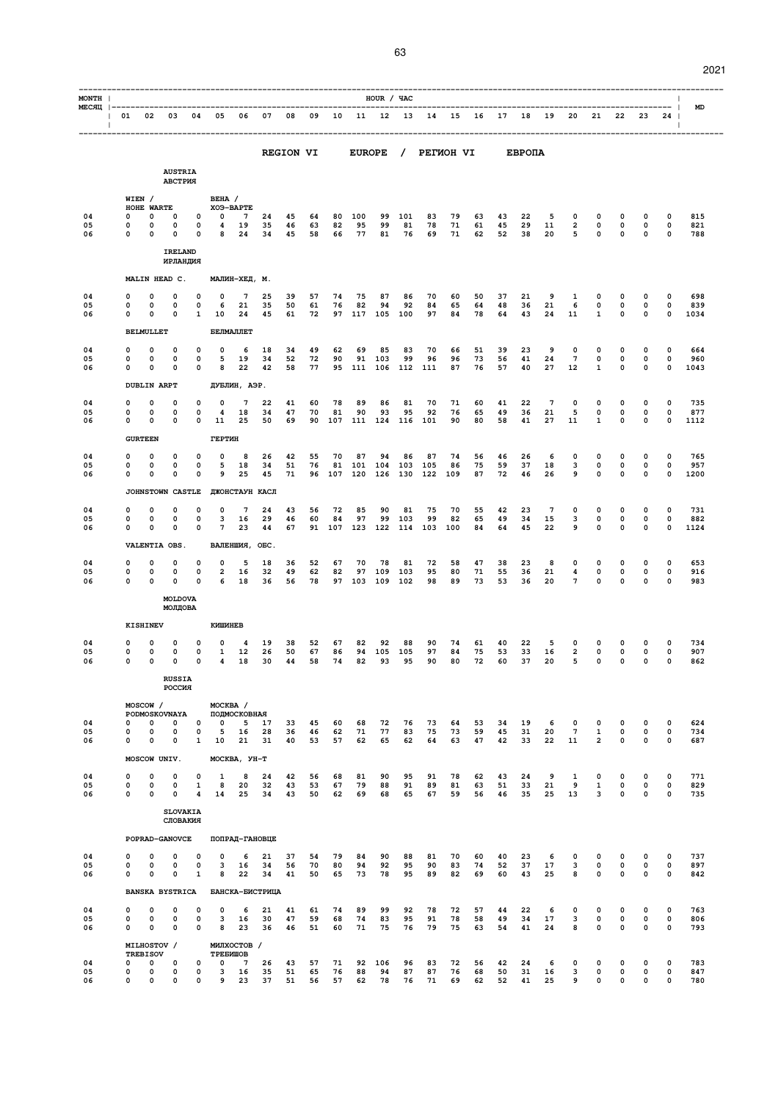| MONTH                                   |          |                            |                                       |                             |                   |                        |                       |                  |          |           |               |                     |           |           |          |          |          |          |                       |                       |                                |                            |                  |                                  |             |
|-----------------------------------------|----------|----------------------------|---------------------------------------|-----------------------------|-------------------|------------------------|-----------------------|------------------|----------|-----------|---------------|---------------------|-----------|-----------|----------|----------|----------|----------|-----------------------|-----------------------|--------------------------------|----------------------------|------------------|----------------------------------|-------------|
| MECAII  ---------------<br>$\mathbf{L}$ | 01 02 03 |                            |                                       | 04                          | 05                | 06                     | 07                    | 08               | 09       | 10        |               | HOUR / YAC<br>11 12 | 13        | 14        | 15       | 16       | 17       | 18       | 19                    | 20                    | 21                             | 22                         | 23               | --------  <br>24<br>$\mathbf{I}$ | <b>MD</b>   |
|                                         |          |                            |                                       |                             |                   |                        |                       | <b>REGION VI</b> |          |           | <b>EUROPE</b> |                     | $\prime$  | PETMOH VI |          |          |          | EBPONA   |                       |                       |                                |                            |                  |                                  | ----------  |
|                                         |          |                            | <b>AUSTRIA</b><br>АВСТРИЯ             |                             |                   |                        |                       |                  |          |           |               |                     |           |           |          |          |          |          |                       |                       |                                |                            |                  |                                  |             |
|                                         |          | WIEN /<br>HOHE WARTE       |                                       |                             | BEHA /            | XO <sub>3</sub> -BAPTE |                       |                  |          |           |               |                     |           |           |          |          |          |          |                       |                       |                                |                            |                  |                                  |             |
| 04<br>05                                | 0<br>0   | 0<br>0                     | 0<br>0                                | 0<br>0                      | $\Omega$<br>4     | 7<br>19                | 24<br>35              | 45<br>46         | 64<br>63 | 80<br>82  | 100<br>95     | 99<br>99            | 101<br>81 | 83<br>78  | 79<br>71 | 63<br>61 | 43<br>45 | 22<br>29 | 5<br>11               | 0<br>2                | 0<br>0                         | 0<br>0                     | 0<br>0           | 0<br>0                           | 815<br>821  |
| 06                                      | 0        | 0                          | 0<br><b>IRELAND</b>                   | 0                           | 8                 | 24                     | 34                    | 45               | 58       | 66        | 77            | 81                  | 76        | 69        | 71       | 62       | 52       | 38       | 20                    | 5                     | 0                              | 0                          | 0                | 0                                | 788         |
|                                         |          |                            | ИРЛАНДИЯ                              |                             |                   |                        |                       |                  |          |           |               |                     |           |           |          |          |          |          |                       |                       |                                |                            |                  |                                  |             |
| 04                                      | 0        | 0                          | MALIN HEAD C.<br>0                    | 0                           | 0                 | МАЛИН-ХЕД, М.<br>7     | 25                    | 39               | 57       | 74        | 75            | 87                  | 86        | 70        | 60       | 50       | 37       | 21       | 9                     | 1                     | 0                              | 0                          | 0                | 0                                | 698         |
| 05<br>06                                | 0<br>0   | 0<br>0                     | 0<br>0                                | 0<br>1                      | 6<br>10           | 21<br>24               | 35<br>45              | 50<br>61         | 61<br>72 | 76<br>97  | 82<br>117     | 94<br>105           | 92<br>100 | 84<br>97  | 65<br>84 | 64<br>78 | 48<br>64 | 36<br>43 | 21<br>24              | 6<br>11               | 0<br>$\mathbf{1}$              | 0<br>0                     | 0<br>0           | 0<br>0                           | 839<br>1034 |
|                                         |          | <b>BELMULLET</b>           |                                       |                             |                   | БЕЛМАЛЛЕТ              |                       |                  |          |           |               |                     |           |           |          |          |          |          |                       |                       |                                |                            |                  |                                  |             |
| 04                                      | 0        | 0                          | 0                                     | 0                           | 0                 | 6                      | 18                    | 34               | 49       | 62        | 69            | 85                  | 83        | 70        | 66       | 51       | 39       | 23       | 9                     | 0                     | 0                              | 0                          | 0                | 0                                | 664         |
| 05<br>06                                | 0<br>0   | 0<br>$\Omega$              | 0<br>0                                | 0<br>0                      | 5<br>8            | 19<br>22               | 34<br>42              | 52<br>58         | 72<br>77 | 90<br>95  | 91<br>111     | 103<br>106          | 99<br>112 | 96<br>111 | 96<br>87 | 73<br>76 | 56<br>57 | 41<br>40 | 24<br>27              | $7\phantom{.0}$<br>12 | 0<br>1                         | 0<br>0                     | 0<br>0           | 0<br>0                           | 960<br>1043 |
|                                         |          | <b>DUBLIN ARPT</b>         |                                       |                             |                   | ДУБЛИН, АЭР.           |                       |                  |          |           |               |                     |           |           |          |          |          |          |                       |                       |                                |                            |                  |                                  |             |
| 04                                      | 0        | 0                          | 0                                     | 0                           | 0                 | 7                      | 22                    | 41               | 60       | 78        | 89            | 86                  | 81        | 70        | 71       | 60       | 41       | 22       | $\overline{7}$        | 0                     | 0                              | 0                          | 0                | 0                                | 735         |
| 05<br>06                                | 0<br>0   | 0<br>0                     | $\mathbf 0$<br>0                      | $\mathbf 0$<br>0            | 4<br>11           | 18<br>25               | 34<br>50              | 47<br>69         | 70<br>90 | 81<br>107 | 90<br>111     | 93<br>124           | 95<br>116 | 92<br>101 | 76<br>90 | 65<br>80 | 49<br>58 | 36<br>41 | 21<br>27              | 5<br>11               | $\mathbf 0$<br>1               | $\mathbf 0$<br>0           | 0<br>0           | 0<br>0                           | 877<br>1112 |
|                                         |          | <b>GURTEEN</b>             |                                       |                             | ГЕРТИН            |                        |                       |                  |          |           |               |                     |           |           |          |          |          |          |                       |                       |                                |                            |                  |                                  |             |
| 04<br>05                                | 0<br>0   | 0<br>0                     | 0<br>0                                | 0<br>0                      | 0<br>5            | 8<br>18                | 26<br>34              | 42<br>51         | 55<br>76 | 70<br>81  | 87<br>101     | 94<br>104           | 86<br>103 | 87<br>105 | 74<br>86 | 56<br>75 | 46<br>59 | 26<br>37 | 6<br>18               | 0<br>3                | 0<br>0                         | 0<br>$\mathbf 0$           | 0<br>0           | 0<br>$\mathbf 0$                 | 765<br>957  |
| 06                                      | 0        | 0                          | 0                                     | 0                           | 9                 | 25                     | 45                    | 71               | 96       | 107       | 120           | 126                 | 130       | 122       | 109      | 87       | 72       | 46       | 26                    | 9                     | 0                              | $\mathbf 0$                | $\mathbf 0$      | 0                                | 1200        |
|                                         |          |                            | JOHNSTOWN CASTLE                      |                             |                   |                        | ДЖОНСТАУН КАСЛ        |                  |          |           |               |                     |           |           |          |          |          |          |                       |                       |                                |                            |                  |                                  |             |
| 04<br>05                                | 0<br>0   | 0<br>0                     | 0<br>0                                | 0<br>$\mathbf 0$            | 0<br>3            | 7<br>16                | 24<br>29              | 43<br>46         | 56<br>60 | 72<br>84  | 85<br>97      | 90<br>99            | 81<br>103 | 75<br>99  | 70<br>82 | 55<br>65 | 42<br>49 | 23<br>34 | $7\phantom{.0}$<br>15 | 0<br>3                | 0<br>0                         | 0<br>0                     | 0<br>0           | 0<br>$\mathbf 0$                 | 731<br>882  |
| 06                                      | 0        | 0                          | 0                                     | $\mathbf 0$                 | $7\overline{ }$   | 23                     | 44                    | 67               | 91       | 107       | 123           | 122                 | 114       | 103       | 100      | 84       | 64       | 45       | 22                    | 9                     | 0                              | $\mathbf 0$                | 0                | 0                                | 1124        |
|                                         |          |                            | VALENTIA OBS.                         |                             |                   | ВАЛЕНШИЯ, ОБС.         |                       |                  |          |           |               |                     |           |           |          |          |          |          |                       |                       |                                |                            |                  |                                  |             |
| 04<br>05                                | 0<br>0   | 0<br>0                     | 0<br>0                                | 0<br>0                      | 0<br>2            | 5<br>16                | 18<br>32              | 36<br>49         | 52<br>62 | 67<br>82  | 70<br>97      | 78<br>109           | 81<br>103 | 72<br>95  | 58<br>80 | 47<br>71 | 38<br>55 | 23<br>36 | 8<br>21               | 0<br>4                | 0<br>0                         | 0<br>0                     | 0<br>0           | 0<br>0                           | 653<br>916  |
| 06                                      | 0        | $\Omega$                   | O                                     | $\Omega$                    | 6                 | 18                     | 36                    | 56               | 78       |           | 97 103        | 109                 | 102       | 98        | 89       | 73       | 53       | 36       | 20                    | 7                     | 0                              | $\mathbf 0$                | 0                | 0                                | 983         |
|                                         |          |                            | MOLDOVA<br>МОЛДОВА                    |                             |                   |                        |                       |                  |          |           |               |                     |           |           |          |          |          |          |                       |                       |                                |                            |                  |                                  |             |
|                                         |          | <b>KISHINEV</b>            |                                       |                             | КИШИНЕВ           |                        |                       |                  |          |           |               |                     |           |           |          |          |          |          |                       |                       |                                |                            |                  |                                  |             |
| 04                                      | 0        | 0                          | 0                                     | 0                           | 0                 | 4                      | 19                    | 38               | 52       | 67        | 82            | 92                  | 88        | 90        | 74       | 61       | 40       | 22       | 5                     | 0                     | 0                              | 0                          | 0                | 0                                | 734         |
| 05<br>06                                | 0<br>0   | 0<br>0                     | $\mathbf 0$<br>0                      | $\mathbf 0$<br>0            | $\mathbf{1}$<br>4 | 12<br>18               | 26<br>30              | 50<br>44         | 67<br>58 | 86<br>74  | 94<br>82      | 105<br>93           | 105<br>95 | 97<br>90  | 84<br>80 | 75<br>72 | 53<br>60 | 33<br>37 | 16<br>20              | 2<br>5                | 0<br>0                         | 0<br>0                     | 0<br>0           | $\mathbf 0$<br>0                 | 907<br>862  |
|                                         |          |                            | <b>RUSSIA</b><br>РОССИЯ               |                             |                   |                        |                       |                  |          |           |               |                     |           |           |          |          |          |          |                       |                       |                                |                            |                  |                                  |             |
|                                         |          | MOSCOW /                   |                                       |                             | MOCKBA /          |                        |                       |                  |          |           |               |                     |           |           |          |          |          |          |                       |                       |                                |                            |                  |                                  |             |
| 04                                      | 0        | 0                          | PODMOSKOVNAYA<br>0                    | 0                           | 0                 | ПОДМОСКОВНАЯ<br>5      | 17                    | 33               | 45       | 60        | 68            | 72                  | 76        | 73        | 64       | 53       | 34       | 19       | 6                     | $\mathbf 0$           | 0                              | 0                          | 0                | 0                                | 624         |
| 05<br>06                                | 0<br>0   | 0<br>0                     | 0<br>0                                | $\mathbf 0$<br>$\mathbf{1}$ | 5<br>10           | 16<br>21               | 28<br>31              | 36<br>40         | 46<br>53 | 62<br>57  | 71<br>62      | 77<br>65            | 83<br>62  | 75<br>64  | 73<br>63 | 59<br>47 | 45<br>42 | 31<br>33 | 20<br>22              | $\overline{7}$<br>11  | $\mathbf{1}$<br>$\overline{2}$ | 0<br>$\mathbf 0$           | 0<br>0           | $\mathbf 0$<br>0                 | 734<br>687  |
|                                         |          |                            | MOSCOW UNIV.                          |                             |                   | MOCKBA, YH-T           |                       |                  |          |           |               |                     |           |           |          |          |          |          |                       |                       |                                |                            |                  |                                  |             |
| 04                                      | 0        | 0                          | $\mathbf 0$                           | 0                           | 1                 | 8                      | 24                    | 42               | 56       | 68        | 81            | 90                  | 95        | 91        | 78       | 62       | 43       | 24       | 9                     | 1                     | 0                              | 0                          | 0                | 0                                | 771         |
| 05<br>06                                | 0<br>0   | 0<br>0                     | 0<br>$\mathbf 0$                      | 1<br>4                      | 8<br>14           | 20<br>25               | 32<br>34              | 43<br>43         | 53<br>50 | 67<br>62  | 79<br>69      | 88<br>68            | 91<br>65  | 89<br>67  | 81<br>59 | 63<br>56 | 51<br>46 | 33<br>35 | 21<br>25              | 9<br>13               | $\mathbf{1}$<br>3              | 0<br>$\mathbf 0$           | 0<br>0           | $\mathbf 0$<br>0                 | 829<br>735  |
|                                         |          |                            |                                       | <b>SLOVAKIA</b>             |                   |                        |                       |                  |          |           |               |                     |           |           |          |          |          |          |                       |                       |                                |                            |                  |                                  |             |
|                                         |          |                            |                                       | СЛОВАКИЯ                    |                   |                        |                       |                  |          |           |               |                     |           |           |          |          |          |          |                       |                       |                                |                            |                  |                                  |             |
|                                         |          |                            | POPRAD-GANOVCE                        |                             |                   |                        | ПОПРАД-ГАНОВЦЕ        |                  |          |           |               |                     |           |           |          |          |          |          |                       |                       |                                |                            |                  |                                  |             |
| 04<br>05                                | 0<br>0   | $\mathbf 0$<br>$\mathbf 0$ | 0<br>0                                | 0<br>$\mathbf 0$            | 0<br>3            | 6<br>16                | 21<br>34              | 37<br>56         | 54<br>70 | 79<br>80  | 84<br>94      | 90<br>92            | 88<br>95  | 81<br>90  | 70<br>83 | 60<br>74 | 40<br>52 | 23<br>37 | 6<br>17               | 0<br>3                | 0<br>$\mathsf{o}\,$            | 0<br>0                     | 0<br>0           | $\mathbf 0$<br>$\mathbf 0$       | 737<br>897  |
| 06                                      | 0        | 0                          | $\mathbf 0$<br><b>BANSKA BYSTRICA</b> | $\mathbf{1}$                | 8                 | 22                     | 34<br>БАНСКА-БИСТРИЦА | 41               | 50       | 65        | 73            | 78                  | 95        | 89        | 82       | 69       | 60       | 43       | 25                    | 8                     | 0                              | $\mathbf 0$                | 0                | 0                                | 842         |
| 04                                      | 0        | $\mathbf 0$                | 0                                     | 0                           | $\mathbf 0$       | 6                      | 21                    | 41               | 61       | 74        | 89            | 99                  | 92        | 78        | 72       | 57       | 44       | 22       | 6                     | $\mathbf 0$           | 0                              | 0                          | 0                | 0                                | 763         |
| 05<br>06                                | 0<br>0   | 0<br>0                     | 0<br>0                                | $\mathbf 0$<br>$\mathbf 0$  | 3<br>8            | 16<br>23               | 30<br>36              | 47<br>46         | 59<br>51 | 68<br>60  | 74<br>71      | 83<br>75            | 95<br>76  | 91<br>79  | 78<br>75 | 58<br>63 | 49<br>54 | 34<br>41 | 17<br>24              | 3<br>8                | $\mathsf{o}\,$<br>$\mathbf 0$  | $\mathbf 0$<br>$\mathbf 0$ | 0<br>$\mathbf 0$ | $\pmb{0}$<br>0                   | 806<br>793  |
|                                         |          | MILHOSTOV /                |                                       |                             |                   | МИЛХОСТОВ /            |                       |                  |          |           |               |                     |           |           |          |          |          |          |                       |                       |                                |                            |                  |                                  |             |
| 04                                      | 0        | <b>TREBISOV</b><br>0       | 0                                     | 0                           | ТРЕБИШОВ<br>0     | 7                      | 26                    | 43               | 57       | 71        | 92            | 106                 | 96        | 83        | 72       | 56       | 42       | 24       | 6                     | 0                     | 0                              | 0                          | 0                | 0                                | 783         |
| 05<br>06                                | 0<br>0   | 0<br>0                     | 0<br>0                                | 0<br>$\mathsf{o}\,$         | 3<br>9            | 16<br>23               | 35<br>37              | 51<br>51         | 65<br>56 | 76<br>57  | 88<br>62      | 94<br>78            | 87<br>76  | 87<br>71  | 76<br>69 | 68<br>62 | 50<br>52 | 31<br>41 | 16<br>25              | 3<br>9                | 0<br>0                         | 0<br>0                     | 0<br>$\mathbf 0$ | $\mathbf 0$<br>$\mathbf 0$       | 847<br>780  |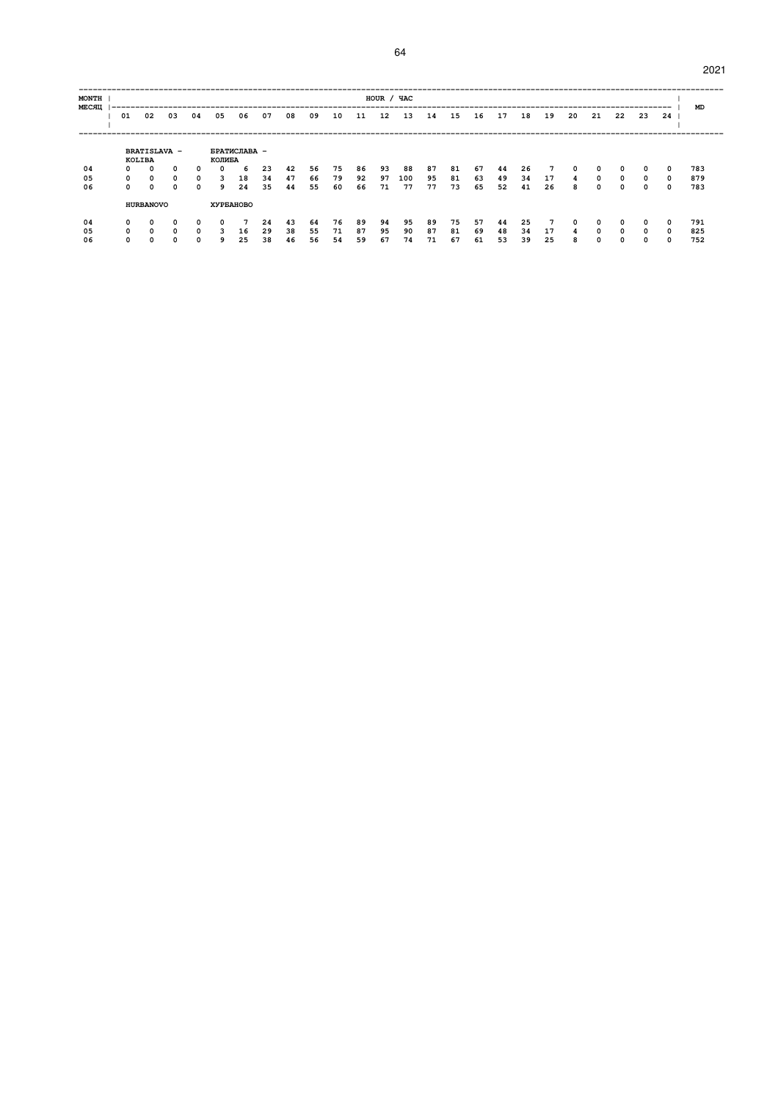| <b>MONTH</b><br><b>MECALL</b> |              |                                      |              |    |            |              |    |    |    |    |    | HOUR / YAC |     |    |    |    |    |    |    |    |    |          |     |    | MD  |
|-------------------------------|--------------|--------------------------------------|--------------|----|------------|--------------|----|----|----|----|----|------------|-----|----|----|----|----|----|----|----|----|----------|-----|----|-----|
|                               | 01           | 02                                   | 03           | 04 | 05         | 06           | 07 | 08 | 09 | 10 | 11 | 12         | 13  | 14 | 15 | 16 | 17 | 18 | 19 | 20 | 21 | 22       | -23 | 24 |     |
|                               |              | <b>BRATISLAVA -</b><br><b>KOLIBA</b> |              |    | КОЛИБА     | БРАТИСЛАВА - |    |    |    |    |    |            |     |    |    |    |    |    |    |    |    |          |     |    |     |
| 04                            | 0            | $\Omega$                             | 0            | 0  | $^{\circ}$ | 6            | 23 | 42 | 56 | 75 | 86 | 93         | 88  | 87 | 81 | 67 | 44 | 26 | 7  | 0  | 0  | 0        | 0   | 0  | 783 |
| 05                            | 0            | $\Omega$                             | 0            | 0  | 3          | 18           | 34 | 47 | 66 | 79 | 92 | 97         | 100 | 95 | 81 | 63 | 49 | 34 | 17 | 4  | 0  | $\Omega$ | 0   | 0  | 879 |
| 06                            | <sup>o</sup> | $\Omega$                             | 0            | 0  | 9          | 24           | 35 | 44 | 55 | 60 | 66 | 71         | 77  | 77 | 73 | 65 | 52 | 41 | 26 | я  | 0  | 0        | n   | 0  | 783 |
|                               |              | <b>HURBANOVO</b>                     |              |    |            | ХУРБАНОВО    |    |    |    |    |    |            |     |    |    |    |    |    |    |    |    |          |     |    |     |
| 04                            | 0            | 0                                    | 0            | 0  | 0          |              | 24 | 43 | 64 | 76 | 89 | 94         | 95  | 89 | 75 | 57 | 44 | 25 | 7  | 0  | 0  | $\Omega$ |     | 0  | 791 |
| 05                            | 0            | $\Omega$                             | 0            | 0  | 3          | 16           | 29 | 38 | 55 | 71 | 87 | 95         | 90  | 87 | 81 | 69 | 48 | 34 | 17 | 4  | 0  | $\Omega$ | 0   | 0  | 825 |
| 06                            | n            | n                                    | <sup>0</sup> | n  | ۹          | 25           | 38 | 46 | 56 | 54 | 59 | 67         | 74  | 71 | 67 | 61 | 53 | 39 | 25 | 8  | n  | 0        |     | 0  | 752 |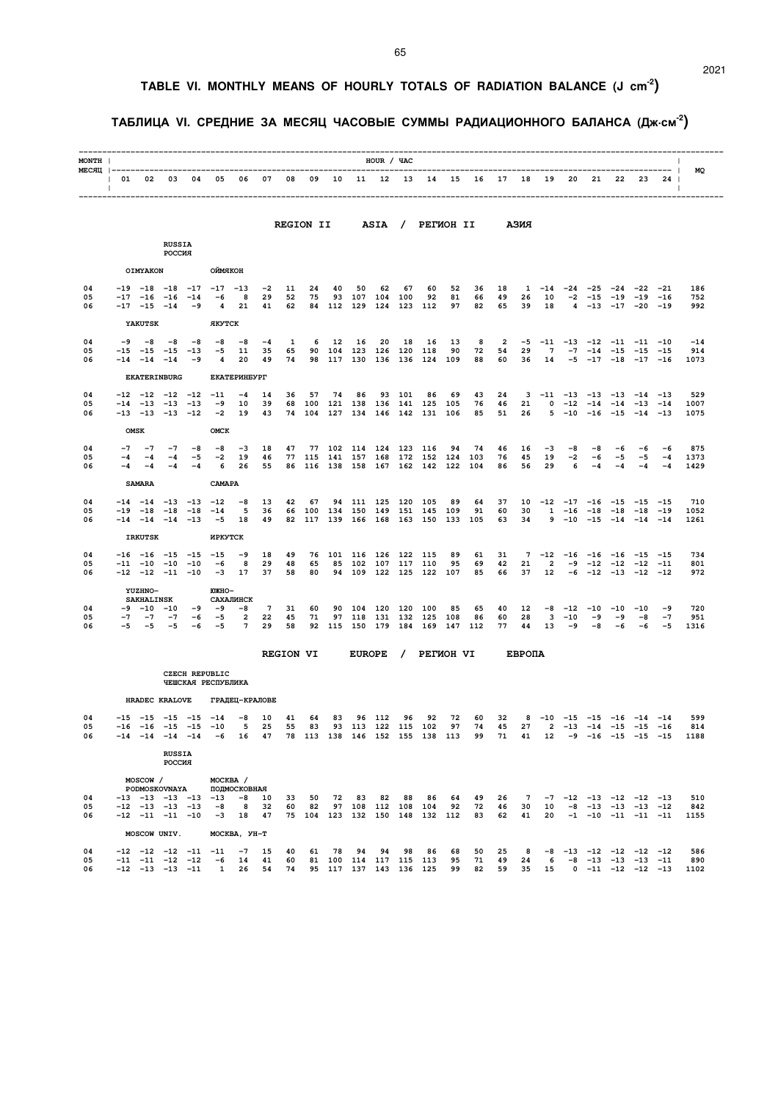### **TABLE VI. MONTHLY MEANS OF HOURLY TOTALS OF RADIATION BALANCE (J cm-2)**

### **ТАБЛИЦА VI. СРЕДНИЕ ЗА МЕСЯЦ ЧАСОВЫЕ СУММЫ РАДИАЦИОННОГО БАЛАНСА (Дж.см-2)**

| MONTH          |                    |                                                                            |                                                                                     |                     |                                                             |                                                                         |                            |                  |                          |           |                      | HOUR / YAC         |               |                                                                             |                |                                                            |                |                             |                                    |                            |                     |                                                                                               |                                 |                                                                 | $\mathbf{I}$                                                                                                                                                |
|----------------|--------------------|----------------------------------------------------------------------------|-------------------------------------------------------------------------------------|---------------------|-------------------------------------------------------------|-------------------------------------------------------------------------|----------------------------|------------------|--------------------------|-----------|----------------------|--------------------|---------------|-----------------------------------------------------------------------------|----------------|------------------------------------------------------------|----------------|-----------------------------|------------------------------------|----------------------------|---------------------|-----------------------------------------------------------------------------------------------|---------------------------------|-----------------------------------------------------------------|-------------------------------------------------------------------------------------------------------------------------------------------------------------|
| $\Box$         |                    |                                                                            |                                                                                     |                     |                                                             | 01 02 03 04 05 06 07 08 09 10 11 12 13 14 15 16 17 18 19 20 21 22 23 24 |                            |                  |                          |           |                      |                    |               |                                                                             |                |                                                            |                |                             |                                    |                            |                     |                                                                                               |                                 | $\sim$ 1.                                                       |                                                                                                                                                             |
|                |                    |                                                                            |                                                                                     |                     |                                                             |                                                                         |                            |                  | <b>REGION II</b>         |           |                      |                    |               | ASIA / PETWOH II                                                            |                |                                                            |                | АЗИЯ                        |                                    |                            |                     |                                                                                               |                                 |                                                                 |                                                                                                                                                             |
|                |                    |                                                                            | <b>RUSSIA</b><br>РОССИЯ                                                             |                     |                                                             |                                                                         |                            |                  |                          |           |                      |                    |               |                                                                             |                |                                                            |                |                             |                                    |                            |                     |                                                                                               |                                 |                                                                 |                                                                                                                                                             |
|                |                    | <b>OIMYAKON</b>                                                            |                                                                                     |                     | ОЙМЯКОН                                                     |                                                                         |                            |                  |                          |           |                      |                    |               |                                                                             |                |                                                            |                |                             |                                    |                            |                     |                                                                                               |                                 |                                                                 |                                                                                                                                                             |
| 04<br>05<br>06 |                    | $-17$ $-16$ $-16$<br>$-17 -15 -14$                                         |                                                                                     | $-14$<br>-9         | $-19$ $-18$ $-18$ $-17$ $-17$ $-13$<br>-6<br>$\overline{4}$ | 8<br>21                                                                 | $-2$<br>29<br>41           | 11<br>52<br>62   | 24<br>75                 | 40        | 50<br>84 112 129 124 | 62<br>93 107 104   | 67<br>100     | 60<br>92<br>123 112                                                         | 52<br>81<br>97 | 36<br>66<br>82                                             | 18<br>49<br>65 | 1<br>26<br>39               | $-14$<br>10<br>18                  | $-2$                       | $-24 -25$<br>-15    | $-24$<br>$4 -13 -17 -20 -19$                                                                  | $-22 - 21$<br>$-19$ $-19$ $-16$ |                                                                 | 186<br>752<br>992                                                                                                                                           |
|                |                    | <b>YAKUTSK</b>                                                             |                                                                                     |                     | <b>ЯКУТСК</b>                                               |                                                                         |                            |                  |                          |           |                      |                    |               |                                                                             |                |                                                            |                |                             |                                    |                            |                     |                                                                                               |                                 |                                                                 |                                                                                                                                                             |
| 04<br>05<br>06 | $-9$               | $-8$<br>$-15 - 15$<br>$-14$ $-14$ $-14$                                    | -8<br>$-15$                                                                         | -8<br>$-13$<br>$-9$ | $-8$<br>$-5$<br>4                                           | -8<br>11<br>20                                                          | $-4$<br>35<br>49           | 1<br>65<br>74    | 6<br>90                  | 12        | 16<br>104 123        | 20<br>126          | 18<br>120 118 | 16<br>98 117 130 136 136 124 109                                            | 13<br>90       | 8<br>72<br>88                                              | 2<br>54<br>60  | $-5$<br>29<br>36            | $-11$<br>$7\phantom{.0}$<br>14     |                            |                     | $-13$ $-12$ $-11$ $-11$ $-10$<br>$-7$ $-14$ $-15$ $-15$ $-15$<br>$-5$ $-17$ $-18$ $-17$ $-16$ |                                 |                                                                 | $-14$<br>914<br>1073                                                                                                                                        |
|                |                    |                                                                            | <b>EKATERINBURG</b>                                                                 |                     |                                                             | <b>EKATEPMHEYPT</b>                                                     |                            |                  |                          |           |                      |                    |               |                                                                             |                |                                                            |                |                             |                                    |                            |                     |                                                                                               |                                 |                                                                 |                                                                                                                                                             |
| 04<br>05<br>06 |                    |                                                                            | $-12$ $-12$ $-12$ $-12$ $-11$<br>$-14$ $-13$ $-13$ $-13$<br>$-13$ $-13$ $-13$ $-12$ |                     | $-9$<br>$-2$                                                | $-4$<br>10<br>19                                                        | 14<br>39<br>43             | 36               | 57<br>68 100<br>74 104   | 74<br>127 | 86                   |                    | 93 101        | 86<br>121 138 136 141 125<br>134 146 142 131 106                            | 69<br>105      | 43<br>76<br>85                                             | 24<br>46<br>51 | 21<br>26                    |                                    | $0 -12$<br>$5 - 10$        | $-14$               | $3 -11 -13 -13 -13 -14 -13$<br>$-16$ $-15$ $-14$ $-13$                                        | $-14$ $-13$ $-14$               |                                                                 | 529<br>1007<br>1075                                                                                                                                         |
|                |                    | <b>OMSK</b>                                                                |                                                                                     |                     | OMCK                                                        |                                                                         |                            |                  |                          |           |                      |                    |               |                                                                             |                |                                                            |                |                             |                                    |                            |                     |                                                                                               |                                 |                                                                 |                                                                                                                                                             |
| 04<br>05<br>06 | $-7$<br>$-4$<br>-4 | $-7$<br>$-4$<br>$-4$                                                       | $-7$<br>$-4$<br>$-4$                                                                | -8<br>-5<br>$-4$    | $-8$<br>$-2$<br>6                                           | $-3$<br>19<br>26                                                        | 18<br>46<br>55             | 47               | 77<br>77 115 141 157 168 |           | 102 114 124          |                    |               | 123 116<br>172 152 124<br>86 116 138 158 167 162 142 122                    | 94             | 74<br>103<br>104                                           | 46<br>76<br>86 | 16<br>45<br>56              | $-3$<br>19<br>29                   | -8<br>$^{-2}$<br>6         | -8<br>-6<br>$-4$    | -6<br>$-5$<br>$-4$                                                                            | -6<br>$-5$<br>$-4$              | -6<br>$-4$<br>$-4$                                              | 875<br>1373<br>1429                                                                                                                                         |
|                |                    | <b>SAMARA</b>                                                              |                                                                                     |                     | CAMAPA                                                      |                                                                         |                            |                  |                          |           |                      |                    |               |                                                                             |                |                                                            |                |                             |                                    |                            |                     |                                                                                               |                                 |                                                                 |                                                                                                                                                             |
| 04<br>05<br>06 | $-14$              | $-19$ $-18$ $-18$                                                          | $-14$ $-14$ $-13$ $-13$ $-12$<br>$-14$ $-14$ $-13$                                  | $-18$               | $-14$<br>$-5$                                               | $-8$<br>5<br>18                                                         | 13<br>36<br>49             | 42               | 67<br>66 100 134 150 149 |           |                      | 94 111 125 120 105 |               | 151 145 109<br>82 117 139 166 168 163 150 133 105                           | 89             | 64<br>91                                                   | 37<br>60<br>63 | 10<br>30<br>34              |                                    | $1 - 16$                   | $-18$               | $-12$ $-17$ $-16$ $-15$ $-15$ $-15$<br>$9 - 10 - 15 - 14 - 14 - 14$                           | $-18$ $-18$ $-19$               |                                                                 | 710<br>1052<br>1261                                                                                                                                         |
|                |                    | <b>IRKUTSK</b>                                                             |                                                                                     |                     | ИРКУТСК                                                     |                                                                         |                            |                  |                          |           |                      |                    |               |                                                                             |                |                                                            |                |                             |                                    |                            |                     |                                                                                               |                                 |                                                                 |                                                                                                                                                             |
| 04<br>05<br>06 |                    |                                                                            | $-16$ $-16$ $-15$ $-15$ $-15$<br>$-11$ $-10$ $-10$ $-10$<br>$-12$ $-12$ $-11$ $-10$ |                     | -6                                                          | $-9$<br>8<br>$-3$ 17                                                    | 18<br>29<br>37             | 49<br>48<br>58   | 76<br>65<br>80           |           | 101 116 126          | 85 102 107         | 122 115       | 117 110<br>94 109 122 125 122 107                                           | 89<br>95       | 61<br>69<br>85                                             | 31<br>42<br>66 | $7\phantom{.0}$<br>21<br>37 | $-12 - 16$<br>$\overline{2}$<br>12 | -9                         | $-12$               | $-16$ $-16$ $-15$ $-15$<br>$-6$ $-12$ $-13$ $-12$ $-12$                                       | $-12$ $-12$ $-11$               |                                                                 | 734<br>801<br>972                                                                                                                                           |
| 04<br>05<br>06 | $-7$               | YUZHNO-<br><b>SAKHALINSK</b><br>$-9$ $-10$ $-10$<br>$-7$<br>$-5 - -5 - -5$ | $-7$                                                                                | $-9$<br>-6<br>-6    | <b>ЮЖНО-</b><br>-9<br>$-5$<br>$-5$                          | САХАЛИНСК<br>$-8$<br>2<br>$\overline{7}$                                | $\overline{7}$<br>22<br>29 | 31<br>45<br>58   | 60<br>71                 |           | 90 104 120<br>97 118 | 131                | 120 100       | 132 125<br>92 115 150 179 184 169 147 112                                   | 85<br>108      | 65<br>86                                                   | 40<br>60<br>77 | 12<br>28<br>44              | 3<br>13                            | $-8$ $-12$<br>$-10$<br>- 9 | $-10$<br>-9<br>$-8$ | -9<br>-6                                                                                      | $-10 - 10$<br>-8<br>-6          | -9<br>$-7$<br>-5                                                | 720<br>951<br>1316                                                                                                                                          |
|                |                    |                                                                            |                                                                                     |                     |                                                             |                                                                         |                            | <b>REGION VI</b> |                          |           | <b>EUROPE</b>        |                    |               | / PETMOH VI                                                                 |                |                                                            |                | <b>EBPONA</b>               |                                    |                            |                     |                                                                                               |                                 |                                                                 |                                                                                                                                                             |
|                |                    |                                                                            |                                                                                     |                     | CZECH REPUBLIC<br>ЧЕШСКАЯ РЕСПУБЛИКА                        |                                                                         |                            |                  |                          |           |                      |                    |               |                                                                             |                |                                                            |                |                             |                                    |                            |                     |                                                                                               |                                 |                                                                 |                                                                                                                                                             |
|                |                    |                                                                            | HRADEC KRALOVE                                                                      |                     |                                                             | ГРАДЕЦ-КРАЛОВЕ                                                          |                            |                  |                          |           |                      |                    |               |                                                                             |                |                                                            |                |                             |                                    |                            |                     |                                                                                               |                                 |                                                                 |                                                                                                                                                             |
| 04<br>05<br>06 |                    |                                                                            | $-15$ $-15$ $-15$ $-15$ $-14$<br>$-16$ $-16$ $-15$ $-15$ $-10$                      |                     |                                                             | -8 10 41 64 83 96 112 96 92 72 60                                       |                            |                  |                          |           |                      |                    |               |                                                                             |                |                                                            | 32             |                             |                                    |                            |                     | $8 - 10 - 15 - 15 - 16 - 14 - 14$                                                             |                                 | 5 25 55 83 93 113 122 115 102 97 74 45 27 2 -13 -14 -15 -15 -16 | 599<br>814<br>$-14$ $-14$ $-14$ $-14$ $-6$ $16$ $47$ $78$ $113$ $138$ $146$ $152$ $155$ $138$ $113$ $99$ $71$ $41$ $12$ $-9$ $-16$ $-15$ $-15$ $-15$ $1188$ |
|                |                    |                                                                            | <b>RUSSIA</b><br>РОССИЯ                                                             |                     |                                                             |                                                                         |                            |                  |                          |           |                      |                    |               |                                                                             |                |                                                            |                |                             |                                    |                            |                     |                                                                                               |                                 |                                                                 |                                                                                                                                                             |
| 04             |                    |                                                                            | MOSCOW /<br>PODMOSKOVNAYA                                                           |                     | MOCKBA /<br>$-13$ $-13$ $-13$ $-13$ $-13$ $-8$              | ПОДМОСКОВНАЯ                                                            | 10                         |                  | 33 50                    |           |                      | 72 83 82           | 88            |                                                                             | 86 64          | 49                                                         | - 26           | $7\overline{ }$             |                                    |                            |                     | $-7$ $-12$ $-13$ $-12$ $-12$ $-13$                                                            |                                 |                                                                 | 510                                                                                                                                                         |
| 05<br>06       |                    |                                                                            |                                                                                     |                     |                                                             | $-12$ $-13$ $-13$ $-13$ $-8$ 8 32<br>$-12$ $-11$ $-11$ $-10$ $-3$ 18 47 |                            |                  |                          |           |                      |                    |               | 75 104 123 132 150 148 132 112                                              |                | 60 82 97 108 112 108 104 92 72 46 30 10 -8 -13 -13 -13 -12 | 83 62          | 41                          |                                    |                            |                     | $20 -1 -10 -11 -11 -11$                                                                       |                                 |                                                                 | 842<br>1155                                                                                                                                                 |
|                |                    |                                                                            | MOSCOW UNIV.                                                                        |                     |                                                             | МОСКВА, УН-Т                                                            |                            |                  |                          |           |                      |                    |               |                                                                             |                |                                                            |                |                             |                                    |                            |                     |                                                                                               |                                 |                                                                 |                                                                                                                                                             |
| 04<br>05<br>06 |                    |                                                                            |                                                                                     |                     | $-12$ $-12$ $-12$ $-11$ $-11$ $-7$                          | $-11$ $-11$ $-12$ $-12$ $-6$ $14$<br>$-12$ $-13$ $-13$ $-11$ 1 26 54    | 15<br>41                   |                  | 40 61                    |           |                      |                    |               | 78 94 94 98 86<br>60 81 100 114 117 115 113<br>74 95 117 137 143 136 125 99 | 68<br>95       | 50<br>71 49                                                | 25<br>82 59    | 8                           |                                    |                            |                     | $-8$ $-13$ $-12$ $-12$ $-12$ $-12$<br>$24$ 6 -8 -13 -13 -13 -11                               |                                 | $35 \quad 15 \quad 0 \quad -11 \quad -12 \quad -12 \quad -13$   | 586<br>890<br>1102                                                                                                                                          |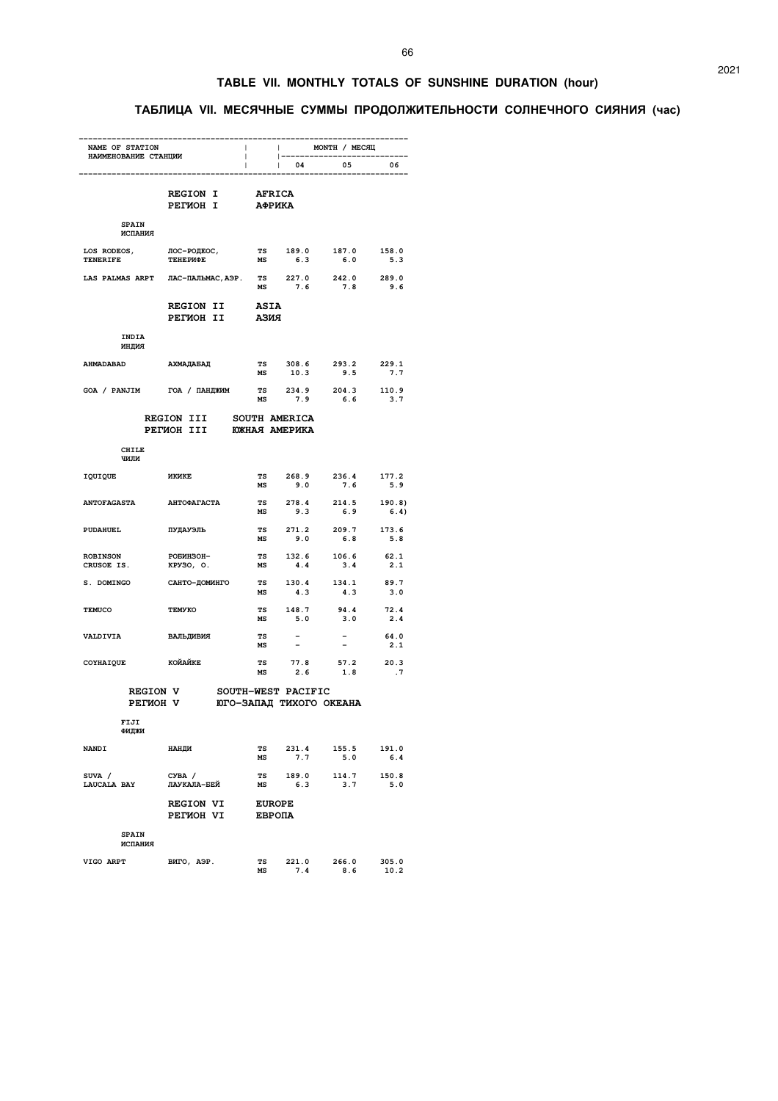### **TABLE VII. MONTHLY TOTALS OF SUNSHINE DURATION (hour)**

### **ТАБЛИЦА VII. МЕСЯЧНЫЕ СУММЫ ПРОДОЛЖИТЕЛЬНОСТИ СОЛНЕЧНОГО СИЯНИЯ (час)**

| NAME OF STATION<br>НАИМЕНОВАНИЕ СТАНЦИИ |                                                                  | $\mathbf{1}$                   |                      | ИОЛТН / МЕСЯЦ                          |                |
|-----------------------------------------|------------------------------------------------------------------|--------------------------------|----------------------|----------------------------------------|----------------|
|                                         | $\mathcal{L}$                                                    | $\mathbf{1}$                   | $\vert$ 04           | --------------------------<br>05       | 06             |
|                                         | REGION I<br><b>PETMOH I</b>                                      | <b>AFRICA</b><br><b>АФРИКА</b> |                      |                                        |                |
| <b>SPAIN</b><br>ИСПАНИЯ                 |                                                                  |                                |                      |                                        |                |
| <b>TENERIFE</b>                         | LOS RODEOS, JIOC-POJEOC,<br>TENERIEE TEHEPMOE<br><b>ТЕНЕРИФЕ</b> |                                |                      | TS 189.0 187.0 158.0<br>MS 6.3 6.0 5.3 |                |
|                                         | LAS PALMAS ARPT JIAC-ILAJIbMAC, APP. TS 227.0 242.0 289.0        |                                |                      |                                        | 9.6            |
|                                         | <b>REGION II</b><br>PETMOH II ASMA                               | <b>ASIA</b>                    |                      |                                        |                |
| INDIA<br>индия                          |                                                                  |                                |                      |                                        |                |
| <b>AHMADABAD</b>                        | АХМАДАБАД                                                        | MS                             | 10.3                 | TS 308.6 293.2 229.1<br>9.5            | 7.7            |
|                                         | GOA / PANJIM TOA / ПАНДЖИМ TS 234.9 204.3 110.9                  | MS                             | 7.9                  | 6.6                                    | 3.7            |
|                                         | <b>REGION III</b><br>PETMOH III ЮЖНАЯ АМЕРИКА                    |                                | <b>SOUTH AMERICA</b> |                                        |                |
| CHILE<br>ЧИЛИ                           |                                                                  |                                |                      |                                        |                |
| IQUIQUE                                 | <b>MKNKE</b>                                                     | MS                             | 9.0                  | TS 268.9 236.4 177.2<br>7.6            | 5.9            |
| <b>ANTOFAGASTA</b>                      | <b>АНТОФАГАСТА</b>                                               | <b>TS</b><br>MS                | 278.4<br>9.3         | 214.5<br>6.9                           | 190.8)<br>6.4) |
| <b>PUDAHUEL</b>                         | ПУДАУЭЛЬ                                                         |                                |                      | TS 271.2 209.7 173.6<br>MS 9.0 6.8 5.8 |                |
| <b>ROBINSON</b><br>CRUSOE IS.           | РОБИНЗОН-<br>KPY30, O.                                           |                                |                      | TS 132.6 106.6<br>MS 4.4 3.4           | 62.1<br>2.1    |
| S. DOMINGO                              | САНТО-ДОМИНГО                                                    | MS                             | 4.3                  | TS 130.4 134.1<br>4.3                  | 89.7<br>3.0    |
| <b>TEMUCO</b>                           | <b>TEMYKO</b>                                                    | MS                             | 5.0                  | TS 148.7 94.4 72.4<br>3.0              | 2.4            |
| VALDIVIA                                | ВАЛЬДИВИЯ                                                        | <b>TS</b><br>MS                |                      |                                        | 64.0<br>2.1    |
| СОҮНАІ QUE КОЙАЙКЕ                      |                                                                  | <b>TS</b><br>MS                | 77.8                 | 77.8 57.2 20.3<br>2.6 1.8 .7           |                |
| <b>REGION V</b>                         | РЕГИОН V ЮГО-ЗАПАД ТИХОГО ОКЕАНА                                 |                                | SOUTH-WEST PACIFIC   |                                        |                |
| FIJI<br>ФИДЖИ                           |                                                                  |                                |                      |                                        |                |
| <b>NANDI</b>                            | <b>НАНДИ</b>                                                     | TS<br>MS                       | 231.4<br>7.7         | 155.5<br>5.0                           | 191.0<br>6.4   |
| SUVA /<br>LAUCALA BAY                   | CYBA /<br>ЛАУКАЛА-БЕЙ                                            | МS                             | 6.3                  | TS 189.0 114.7 150.8<br>3.7            | 5.0            |
|                                         | <b>REGION VI</b><br>PETMOH VI                                    | <b>EUROPE</b><br>ЕВРОПА        |                      |                                        |                |
| <b>SPAIN</b><br>ИСПАНИЯ                 |                                                                  |                                |                      |                                        |                |
| VIGO ARPT                               | ВИГО, АЭР.                                                       | <b>TS</b><br>MS                | 221.0<br>7.4         | 266.0<br>8.6                           | 305.0<br>10.2  |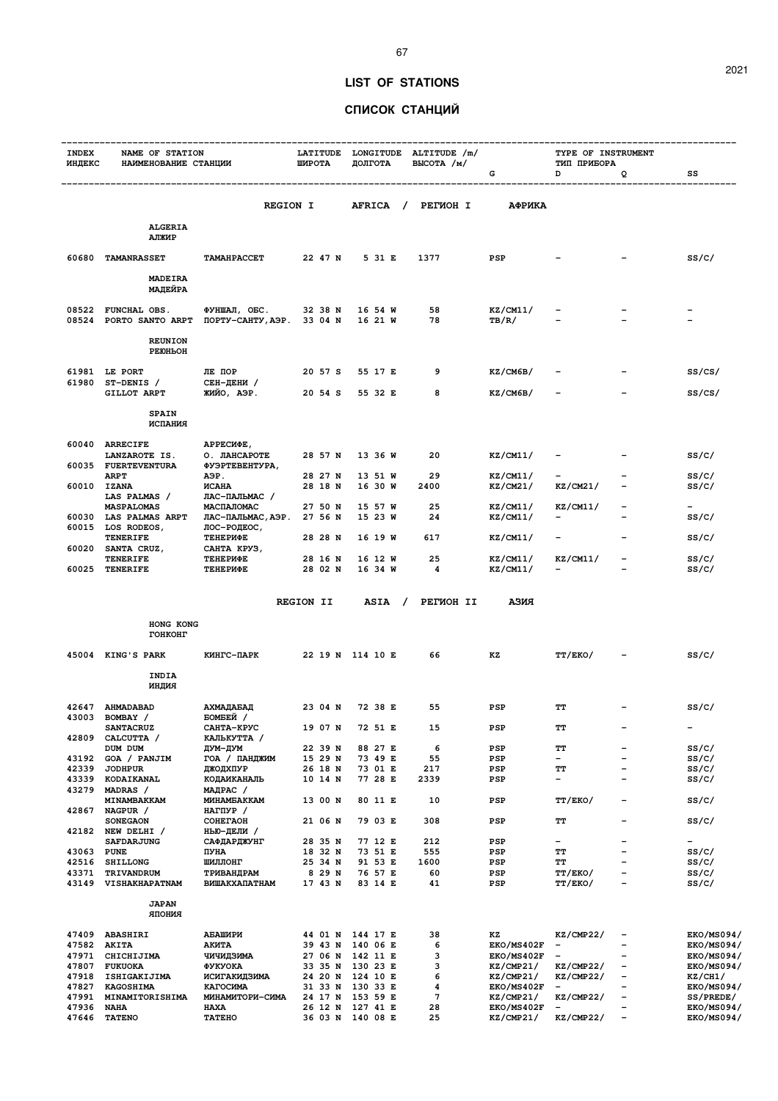### **LIST OF STATIONS**

67

### **СПИСОК СТАНЦИЙ**

| <b>INDEX</b>   | NAME OF STATION                                                                |                                                 |                    |                      | LATITUDE LONGITUDE ALTITUDE /m/ |                                 | TYPE OF INSTRUMENT                    |                          |                                |
|----------------|--------------------------------------------------------------------------------|-------------------------------------------------|--------------------|----------------------|---------------------------------|---------------------------------|---------------------------------------|--------------------------|--------------------------------|
|                | ИНДЕКС НАИМЕНОВАНИЕ СТАНЦИИ                                                    |                                                 | ШИРОТА             | ДОЛГОТА              | BLICOTA / M/                    | G                               | ТИП ПРИБОРА<br>D                      | Q                        | SS                             |
|                |                                                                                |                                                 |                    |                      |                                 |                                 |                                       |                          |                                |
|                |                                                                                | <b>REGION I</b>                                 |                    |                      | AFRICA / PETMOH I               | АФРИКА                          |                                       |                          |                                |
|                | <b>ALGERIA</b><br>АЛЖИР                                                        |                                                 |                    |                      |                                 |                                 |                                       |                          |                                |
|                | 60680 TAMANRASSET TAMAHPACCET 22 47 N 5 31 E 1377 PSP                          |                                                 |                    |                      |                                 |                                 |                                       |                          | SS/C/                          |
|                | <b>MADEIRA</b><br>МАДЕЙРА                                                      |                                                 |                    |                      |                                 |                                 |                                       |                          |                                |
|                | 08522 FUNCHAL OBS.<br>08524 PORTO SANTO ARPT NOPTY-CAHTY, AGP. 33 04 N 16 21 W | ФУНШАЛ, ОБС. 32 38 N 16 54 W                    |                    |                      | 58<br>78 —                      | KZ/CM11/<br>TB/R/               |                                       |                          |                                |
|                | <b>REUNION</b><br>PEIOHLOH                                                     |                                                 |                    |                      |                                 |                                 |                                       |                          |                                |
|                | 61981 LE PORT                                                                  | ЛЕ ПОР                                          |                    | 20 57 S 55 17 E      | 9                               | KZ/CM6B/                        |                                       |                          | SS/CS/                         |
|                | 61980 ST-DENIS /<br><b>GILLOT ARPT</b>                                         | СЕН-ДЕНИ /<br>ЖИЙО, АЭР.                        |                    | 20 54 S 55 32 E      | 8                               | KZ/CM6B/                        |                                       |                          | ss/cs/                         |
|                | <b>SPAIN</b><br>ИСПАНИЯ                                                        |                                                 |                    |                      |                                 |                                 |                                       |                          |                                |
|                | 60040 ARRECIFE                                                                 | АРРЕСИФЕ,                                       |                    | 28 57 N 13 36 W      | 20                              | KZ/CM11/                        |                                       |                          | ss/c/                          |
|                | LANZAROTE IS.<br>60035 FUERTEVENTURA<br><b>ARPT</b>                            | О. ЛАНСАРОТЕ<br>ФУЭРТЕВЕНТУРА,<br>АЭР.          |                    | 28 27 N 13 51 W      | 29                              | KZ/CM11/                        |                                       |                          | ss/c/                          |
|                | 60010 IZANA<br>LAS PALMAS /                                                    | <b>ИСАНА</b><br>ЛАС-ПАЛЬМАС /                   |                    | 28 18 N 16 30 W      | 2400                            | KZ/CM21/                        | KZ/CM21/                              |                          | ss/c/                          |
|                | <b>MASPALOMAS</b><br>60030 LAS PALMAS ARPT                                     | МАСПАЛОМАС<br>ЛАС-ПАЛЬМАС, АЭР. 27 56 N 15 23 W |                    | 27 50 N 15 57 W      | 25<br>24                        | KZ/CM11/<br>KZ/CM11/            | KZ/CM11/                              |                          | ss/c/                          |
|                | 60015 LOS RODEOS,<br>TENERIFE                                                  | лос-родеос,<br><b>ТЕНЕРИФЕ</b>                  |                    | 28 28 N 16 19 W      | 617                             | <b>KZ/CM11/</b>                 | <b>Contract Contract</b>              |                          | ss/c/                          |
|                | 60020 SANTA CRUZ,<br>TENERIFE                                                  | САНТА КРУЗ,<br><b>ТЕНЕРИФЕ</b>                  |                    | 28 16 N 16 12 W 25   |                                 | KZ/CM11/                        | KZ/CM11/                              | $\overline{\phantom{a}}$ | ss/c/                          |
|                | 60025 TENERIFE                                                                 | <b>ТЕНЕРИФЕ</b>                                 | 28 02 N            | 16 34 W              | $\overline{\mathbf{4}}$         | <b>KZ/CM11/</b>                 |                                       |                          | ss/c/                          |
|                |                                                                                |                                                 |                    |                      | REGION II ASIA / PETWOH II ASMA |                                 |                                       |                          |                                |
|                | HONG KONG<br>ГОНКОНГ                                                           |                                                 |                    |                      |                                 |                                 |                                       |                          |                                |
|                | 45004 KING'S PARK KMHTC-NAPK 22 19 N 114 10 E 66                               |                                                 |                    |                      |                                 | КZ                              | <b>TT/EKO/</b>                        |                          | SS/C/                          |
|                | INDIA<br>RNILHN                                                                |                                                 |                    |                      |                                 |                                 |                                       |                          |                                |
|                | 42647 AHMADABAD<br>43003 BOMBAY /                                              | АХМАДАБАД<br>БОМБЕЙ /                           |                    | 23 04 N 72 38 E      | 55                              | PSP                             | TT                                    |                          | SS/C/                          |
| 42809          | <b>SANTACRUZ</b><br>CALCUTTA /                                                 | САНТА-КРУС<br>КАЛЬКУТТА /                       | 19 O7 N            | 72 51 E              | 15                              | PSP                             | TТ                                    |                          | -                              |
| 43192          | DUM DUM<br>GOA / PANJIM                                                        | ДУМ-ДУМ<br>ГОА / ПАНДЖИМ                        | 22 39 N<br>15 29 N | 88 27 E<br>73 49 E   | 6<br>55                         | PSP<br>PSP                      | TТ<br>-                               | -<br>$\qquad \qquad -$   | ss/c/<br>ss/c/                 |
| 42339          | <b>JODHPUR</b>                                                                 | ДЖОДХПУР                                        | 26 18 N            | 73 01 E              | 217                             | PSP                             | ТT                                    | -                        | ss/c/                          |
|                | 43339 KODAIKANAL                                                               | КОДАИКАНАЛЬ                                     | 10 14 N            | 77 28 E              | 2339                            | PSP                             | -                                     | $\overline{\phantom{0}}$ | ss/c/                          |
| 43279          | MADRAS /<br>MINAMBAKKAM                                                        | МАДРАС /<br>MUHAMEAKKAM                         | 13 00 N            | 80 11 E              | 10                              | PSP                             | TT/EKO/                               | $\overline{a}$           | ss/c/                          |
| 42867          | NAGPUR /                                                                       | НАГПУР /                                        |                    |                      |                                 |                                 |                                       |                          |                                |
|                | <b>SONEGAON</b>                                                                | COHETAOH                                        | 21 06 N            | 79 03 E              | 308                             | PSP                             | TT                                    | -                        | ss/c/                          |
|                | 42182 NEW DELHI /<br><b>SAFDARJUNG</b>                                         | НЬЮ-ДЕЛИ /<br><b>САФДАРДЖУНГ</b>                | 28 35 N            | 77 12 E              | 212                             | PSP                             | $\overline{\phantom{a}}$              | -                        | $\qquad \qquad -$              |
| 43063 PUNE     |                                                                                | ПУНА                                            | 18 32 N            | 73 51 E              | 555                             | PSP                             | TТ                                    | -                        | ss/c/                          |
| 42516          | <b>SHILLONG</b>                                                                | ШИЛЛОНГ                                         | 25 34 N            | 91 53 E              | 1600                            | PSP                             | ТT                                    | -<br>-                   | ss/c/                          |
| 43371<br>43149 | TRIVANDRUM<br>VISHAKHAPATNAM                                                   | ТРИВАНДРАМ<br><b>ВИШАКХАПАТНАМ</b>              | 8 29 N<br>17 43 N  | 76 57 E<br>83 14 E   | 60<br>41                        | PSP<br>PSP                      | TT/EKO/<br>TT/EKO/                    | -                        | ss/c/<br>ss/c/                 |
|                | <b>JAPAN</b>                                                                   |                                                 |                    |                      |                                 |                                 |                                       |                          |                                |
|                | RNHOIR                                                                         |                                                 |                    |                      |                                 |                                 |                                       |                          |                                |
|                | 47409 ABASHIRI                                                                 | АБАШИРИ                                         |                    | 44 01 N 144 17 E     | 38<br>6                         | ΚZ                              | KZ/CMP22/<br>$\qquad \qquad -$        | -<br>$\equiv$            | <b>EKO/MS094/</b>              |
| 47582 AKITA    | 47971 CHICHIJIMA                                                               | АКИТА<br>ЧИЧИДЗИМА                              | 39 43 N<br>27 06 N | 140 06 E<br>142 11 E | 3                               | <b>EKO/MS402F</b><br>EKO/MS402F | $\overline{\phantom{a}}$              |                          | EKO/MS094/<br>EKO/MS094/       |
|                | 47807 FUKUOKA                                                                  | ФУКУОКА                                         | 33 35 N            | 130 23 E             | з                               | KZ/CMP21/                       | KZ/CMP22/                             | -                        | <b>EKO/MS094/</b>              |
|                | 47918 ISHIGAKIJIMA                                                             | ИСИГАКИДЗИМА                                    | 24 20 N            | 124 10 E             | 6                               | KZ/CMP21/                       | KZ/CMP22/                             | -                        | KZ/CH1/                        |
|                | 47827 KAGOSHIMA<br>47991 MINAMITORISHIMA                                       | КАГОСИМА<br>МИНАМИТОРИ-СИМА                     | 31 33 N<br>24 17 N | 130 33 E<br>153 59 E | 4<br>7                          | EKO/MS402F<br>KZ/CMP21/         | $\overline{\phantom{a}}$<br>KZ/CMP22/ | $\overline{a}$           | <b>EKO/MS094/</b><br>SS/PREDE/ |
| 47936          | NAHA                                                                           | <b>HAXA</b>                                     | 26 12 N            | 127 41 E             | 28                              | EKO/MS402F                      | $\overline{\phantom{a}}$              |                          | <b>EKO/MS094/</b>              |
| 47646          | <b>TATENO</b>                                                                  | <b>TATEHO</b>                                   |                    | 36 03 N 140 08 E     | 25                              | KZ/CMP21/                       | KZ/CMP22/                             | $\qquad \qquad -$        | <b>EKO/MS094/</b>              |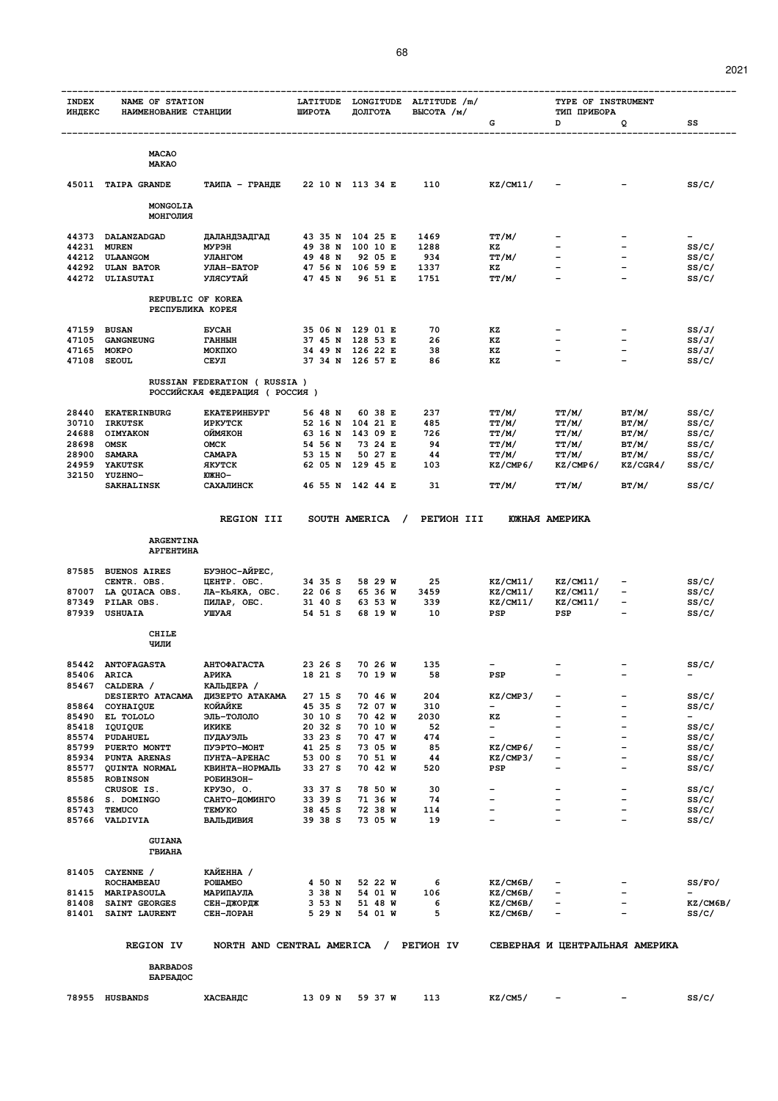| <b>INDEX</b><br>ИНДЕКС | NAME OF STATION<br>НАИМЕНОВАНИЕ СТАНЦИИ | LATITUDE<br>ШИРОТА                                             | LONGITUDE<br>ДОЛГОТА | ALTITUDE /m/<br>BLICOTA / M/ |            | TYPE OF INSTRUMENT<br>ТИП ПРИБОРА |                                                      |                          |                          |
|------------------------|-----------------------------------------|----------------------------------------------------------------|----------------------|------------------------------|------------|-----------------------------------|------------------------------------------------------|--------------------------|--------------------------|
|                        |                                         |                                                                |                      |                              |            | G                                 | D                                                    | Q                        | SS                       |
|                        | <b>MACAO</b><br><b>MAKAO</b>            |                                                                |                      |                              |            |                                   |                                                      |                          |                          |
| 45011                  | <b>TAIPA GRANDE</b>                     | ТАИПА - ГРАНДЕ                                                 |                      | 22 10 N 113 34 E             | 110        | KZ/CM11/                          |                                                      |                          | SS/C/                    |
|                        | MONGOLIA                                |                                                                |                      |                              |            |                                   |                                                      |                          |                          |
|                        | МОНГОЛИЯ                                |                                                                |                      |                              |            |                                   |                                                      |                          |                          |
| 44373                  | DALANZADGAD                             | ДАЛАНДЗАДГАД                                                   | 43 35 N              | 104 25 E                     | 1469       | TT/M/                             |                                                      |                          | $\overline{\phantom{a}}$ |
| 44231                  | <b>MUREN</b>                            | МУРЭН                                                          | 49 38 N              | 100 10 E                     | 1288       | ΚZ                                |                                                      |                          | SS/C/                    |
| 44212                  | <b>ULAANGOM</b>                         | УЛАНГОМ                                                        | 49 48 N              | 92 05 E                      | 934        | <b>TT/M/</b>                      |                                                      |                          | SS/C/                    |
| 44292                  | <b>ULAN BATOR</b>                       | УЛАН-БАТОР                                                     | 47 56 N              | 106 59 E                     | 1337       | кz                                |                                                      |                          | SS/C/                    |
| 44272                  | ULIASUTAI                               | УЛЯСУТАЙ                                                       | 47 45 N              | 96 51 E                      | 1751       | TT/M/                             |                                                      |                          | SS/C/                    |
|                        | REPUBLIC OF KOREA<br>РЕСПУБЛИКА КОРЕЯ   |                                                                |                      |                              |            |                                   |                                                      |                          |                          |
| 47159                  | <b>BUSAN</b>                            | <b>EYCAH</b>                                                   | 35 06 N              | 129 01 E                     | 70         | KZ                                |                                                      |                          | SS/J/                    |
| 47105                  | <b>GANGNEUNG</b>                        | <b>ГАННЫН</b>                                                  | 37 45 N              | 128 53 E                     | 26         | КZ                                |                                                      |                          | SS/J/                    |
| 47165                  | <b>MOKPO</b>                            | MOKIXO                                                         | 34 49 N              | 126 22 E                     | 38         | KZ                                | $\overline{\phantom{0}}$                             | $\overline{\phantom{0}}$ | SS/J/                    |
| 47108                  | <b>SEOUL</b>                            | СЕУЛ                                                           |                      | 37 34 N 126 57 E             | 86         | KZ                                |                                                      |                          | SS/C/                    |
|                        |                                         | RUSSIAN FEDERATION ( RUSSIA )<br>РОССИЙСКАЯ ФЕДЕРАЦИЯ (РОССИЯ) |                      |                              |            |                                   |                                                      |                          |                          |
| 28440                  | <b>EKATERINBURG</b>                     | <b>EKATEPMHEYPT</b>                                            | 56 48 N              | 60 38 E                      | 237        | TT/M/                             | TT/M/                                                | BT/M/                    | SS/C/                    |
| 30710                  | <b>IRKUTSK</b>                          | <b><i>MPKYTCK</i></b>                                          | 52 16 N              | 104 21 E                     | 485        | TT/M/                             | TT/M/                                                | BT/M/                    | SS/C/                    |
| 24688                  | OIMYAKON                                | <b>HOXRMNO</b>                                                 | 63 16 N              | 143 09 E                     | 726        | TT/M/                             | TT/M/                                                | BT/M/                    | SS/C/                    |
| 28698<br>28900         | <b>OMSK</b><br><b>SAMARA</b>            | OMCK<br><b>CAMAPA</b>                                          | 54 56 N<br>53 15 N   | 73 24 E<br>50 27 E           | 94<br>44   | TT/M/<br>TT/M/                    | TT/M/<br>TT/M/                                       | BT/M/<br>BT/M/           | SS/C/<br>SS/C/           |
| 24959                  | <b>YAKUTSK</b>                          | ЯКУТСК                                                         | 62 05 N              | 129 45 E                     | 103        | KZ/CMP6/                          | KZ/CMP6/                                             | KZ/CGR4/                 | SS/C/                    |
| 32150                  | YUZHNO-                                 | <b>ЮЖНО-</b>                                                   |                      |                              |            |                                   |                                                      |                          |                          |
|                        | <b>SAKHALINSK</b>                       | САХАЛИНСК                                                      |                      | 46 55 N 142 44 E             | 31         | TT/M/                             | TT/M/                                                | BT/M/                    | SS/C/                    |
|                        |                                         | <b>REGION III</b>                                              |                      | SOUTH AMERICA<br>$\prime$    | PETWOH III |                                   | <b>ЮЖНАЯ АМЕРИКА</b>                                 |                          |                          |
|                        |                                         |                                                                |                      |                              |            |                                   |                                                      |                          |                          |
|                        | <b>ARGENTINA</b><br><b>АРГЕНТИНА</b>    |                                                                |                      |                              |            |                                   |                                                      |                          |                          |
| 87585                  | <b>BUENOS AIRES</b>                     | БУЭНОС-АЙРЕС,                                                  |                      |                              |            |                                   |                                                      |                          |                          |
|                        | CENTR. OBS.                             | ILEHTP. OEC.                                                   | 34 35 S              | 58 29 W                      | 25         | KZ/CM11/                          | KZ/CM11/                                             |                          | SS/C/                    |
| 87007                  | LA QUIACA OBS.                          | ЛА-КЬЯКА, ОБС.                                                 | 22 06 S              | 65 36 W                      | 3459       | KZ/CM11/                          | KZ/CM11/                                             | $\overline{\phantom{a}}$ | SS/C/                    |
| 87349<br>87939         | PILAR OBS.<br><b>USHUAIA</b>            | ПИЛАР, ОБС.<br><b>RAYIIV</b>                                   | 31 40 S<br>54 51 S   | 63 53 W<br>68 19 W           | 339<br>10  | KZ/CM11/<br>PSP                   | KZ/CM11/<br>PSP                                      | $\equiv$                 | SS/C/<br>SS/C/           |
|                        | <b>CHILE</b>                            |                                                                |                      |                              |            |                                   |                                                      |                          |                          |
|                        | ЧИЛИ                                    |                                                                |                      |                              |            |                                   |                                                      |                          |                          |
|                        | 85442 ANTOFAGASTA                       | АНТОФАГАСТА                                                    | 23 26 S              | 70 26 W                      | 135        |                                   |                                                      |                          | SS/C/                    |
| 85406                  | <b>ARICA</b>                            | АРИКА                                                          | 18 21 S              | 70 19 W                      | 58         | PSP                               |                                                      |                          | $\overline{\phantom{0}}$ |
| 85467                  | CALDERA /                               | КАЛЬДЕРА /                                                     |                      |                              |            |                                   |                                                      |                          |                          |
| 85864                  | <b>DESIERTO ATACAMA</b><br>COYHAIQUE    | ДИЗЕРТО АТАКАМА<br>КОЙАЙКЕ                                     | 27 15 S<br>45 35 S   | 70 46 W<br>72 07 W           | 204<br>310 | KZ/CMP3/<br>$\qquad \qquad -$     | $\overline{\phantom{0}}$<br>$\overline{\phantom{0}}$ | ۳                        | SS/C/<br>SS/C/           |
| 85490                  | EL TOLOLO                               | ЭЛЬ-ТОЛОЛО                                                     | 30 10 S              | 70 42 W                      | 2030       | KZ                                |                                                      |                          |                          |
| 85418                  | IQUIQUE                                 | ИКИКЕ                                                          | 20 32 S              | 70 10 W                      | 52         | $\overline{\phantom{a}}$          |                                                      |                          | SS/C/                    |
| 85574                  | PUDAHUEL                                | ПУДАУЭЛЬ                                                       | 33 23 S              | 70 47 W                      | 474        |                                   |                                                      |                          | SS/C/                    |
| 85799                  | PUERTO MONTT                            | ПУЭРТО-МОНТ                                                    | 41 25 S              | 73 05 W                      | 85         | KZ/CMP6/                          | $\overline{\phantom{0}}$                             |                          | SS/C/                    |
| 85934                  | PUNTA ARENAS                            | ПУНТА-АРЕНАС                                                   | 53 00 S              | 70 51 W                      | 44         | KZ/CMP3/                          |                                                      |                          | SS/C/                    |
| -----                  |                                         | $\cdots$                                                       | <b>00.00</b>         | 70                           | - ^ ^      |                                   |                                                      |                          | $\sim$ $\sim$ $\sim$     |

|                | REPUBLIC OF KOREA<br>РЕСПУБЛИКА КОРЕЯ |                                                              |                    |                                 |             |                                      |                                                      |                                                          |                |
|----------------|---------------------------------------|--------------------------------------------------------------|--------------------|---------------------------------|-------------|--------------------------------------|------------------------------------------------------|----------------------------------------------------------|----------------|
| 47159          | <b>BUSAN</b>                          | <b><i>EYCAH</i></b>                                          | 35 O6 N            | 129 01 E                        | 70          | ΚZ                                   |                                                      | $\qquad \qquad$                                          | SS/J/          |
| 47105          | <b>GANGNEUNG</b>                      | <b>ГАННЫН</b>                                                | 37 45 N            | 128 53 E                        | 26          | ΚZ                                   | $\overline{\phantom{0}}$                             |                                                          | SS/J/          |
| 47165          | <b>MOKPO</b>                          | MOKIIXO                                                      | 34 49 N            | 126 22 E                        | 38          | KZ                                   | $\overline{\phantom{0}}$                             | $\qquad \qquad -$                                        | SS/J/          |
| 47108          | <b>SEOUL</b>                          | СЕУЛ                                                         |                    | 37 34 N 126 57 E                | 86          | ΚZ                                   | $\overline{\phantom{0}}$                             | $\equiv$                                                 | ss/c/          |
|                |                                       | RUSSIAN FEDERATION (RUSSIA)<br>РОССИЙСКАЯ ФЕДЕРАЦИЯ (РОССИЯ) |                    |                                 |             |                                      |                                                      |                                                          |                |
| 28440          | <b>EKATERINBURG</b>                   | <b>EKATEPMHEYPT</b>                                          | 56 48 N            | 60 38 E                         | 237         | TT/M/                                | TT/M/                                                | BT/M/                                                    | SS/C/          |
| 30710          | <b>IRKUTSK</b>                        | <b><i>MPKYTCK</i></b>                                        | 52 16 N            | 104 21 E                        | 485         | TT/M/                                | TT/M/                                                | BT/M/                                                    | ss/c/          |
| 24688          | <b>OIMYAKON</b>                       | ОЙМЯКОН                                                      | 63 16 N            | 143 09 E<br>73 24 E             | 726         | TT/M/                                | TT/M/                                                | BT/M/                                                    | ss/c/          |
| 28698<br>28900 | OMSK<br><b>SAMARA</b>                 | OMCK<br>CAMAPA                                               | 54 56 N<br>53 15 N | 50 27 E                         | 94<br>44    | TT/M/<br>TT/M/                       | TT/M/<br>TT/M/                                       | BT/M/<br>BT/M/                                           | SS/C/<br>SS/C/ |
| 24959          | <b>YAKUTSK</b>                        | <b>ЯКУТСК</b>                                                | 62 05 N            | 129 45 E                        | 103         | KZ/CMP6/                             | KZ/CMP6/                                             | KZ/CGR4/                                                 | ss/c/          |
| 32150          | <b>YUZHNO-</b>                        | <b>ЮЖНО-</b>                                                 |                    |                                 |             |                                      |                                                      |                                                          |                |
|                | <b>SAKHALINSK</b>                     | САХАЛИНСК                                                    |                    | 46 55 N 142 44 E                | 31          | TT/M/                                | TT/M/                                                | BT/M/                                                    | SS/C/          |
|                |                                       | <b>REGION III</b>                                            |                    | SOUTH AMERICA<br>$\overline{1}$ | PETMOH III  |                                      | ЮЖНАЯ АМЕРИКА                                        |                                                          |                |
|                |                                       |                                                              |                    |                                 |             |                                      |                                                      |                                                          |                |
|                | <b>ARGENTINA</b><br><b>АРГЕНТИНА</b>  |                                                              |                    |                                 |             |                                      |                                                      |                                                          |                |
| 87585          | <b>BUENOS AIRES</b>                   | БУЭНОС-АЙРЕС,                                                |                    |                                 |             |                                      |                                                      |                                                          |                |
|                | CENTR. OBS.                           | UEHTP. OBC.                                                  | 34 35 S            | 58 29 W                         | 25          | KZ/CM11/                             | KZ/CM11/                                             | $\qquad \qquad$                                          | SS/C/          |
| 87007<br>87349 | LA QUIACA OBS.<br>PILAR OBS.          | ЛА-КЬЯКА, ОБС.<br>ПИЛАР, ОБС.                                | 22 06 S<br>31 40 S | 65 36 W<br>63 53 W              | 3459<br>339 | KZ/CM11/<br>KZ/CM11/                 | KZ/CM11/<br>KZ/CM11/                                 | $\overline{\phantom{0}}$<br>$\qquad \qquad \blacksquare$ | SS/C/<br>ss/c/ |
| 87939          | <b>USHUAIA</b>                        | RAYIIY                                                       | 54 51 S            | 68 19 W                         | 10          | PSP                                  | PSP                                                  |                                                          | SS/C/          |
|                |                                       |                                                              |                    |                                 |             |                                      |                                                      |                                                          |                |
|                | <b>CHILE</b><br>ЧИЛИ                  |                                                              |                    |                                 |             |                                      |                                                      |                                                          |                |
| 85442          | <b>ANTOFAGASTA</b>                    | <b>АНТОФАГАСТА</b>                                           | 23 26 S            | 70 26 W                         | 135         |                                      |                                                      | $\qquad \qquad \blacksquare$                             | SS/C/          |
|                | 85406 ARICA                           | АРИКА                                                        | 18 21 S            | 70 19 W                         | 58          | PSP                                  | $\qquad \qquad -$                                    |                                                          | -              |
| 85467          | CALDERA /                             | КАЛЬДЕРА /                                                   |                    |                                 |             |                                      |                                                      |                                                          |                |
|                | DESIERTO ATACAMA                      | ДИЗЕРТО АТАКАМА<br>КОЙАЙКЕ                                   | 27 15 S            | 70 46 W                         | 204<br>310  | KZ/CMP3/<br>$\overline{\phantom{0}}$ | $\overline{\phantom{0}}$<br>$\overline{\phantom{0}}$ | $\overline{\phantom{0}}$<br>$\equiv$                     | SS/C/          |
| 85864<br>85490 | COYHAIQUE<br>EL TOLOLO                | ЭЛЬ-ТОЛОЛО                                                   | 45 35 S<br>30 10 S | 72 07 W<br>70 42 W              | 2030        | ΚZ                                   |                                                      |                                                          | ss/c/          |
| 85418          | IQUIQUE                               | <b>NKNKE</b>                                                 | 20 32 S            | 70 10 W                         | 52          | $\overline{\phantom{0}}$             | $\overline{\phantom{0}}$                             | $\overline{\phantom{0}}$                                 | SS/C/          |
| 85574          | <b>PUDAHUEL</b>                       | ПУДАУЭЛЬ                                                     | 33 23 S            | 70 47 W                         | 474         | $\equiv$                             | $\equiv$                                             | $\equiv$                                                 | ss/c/          |
| 85799          | PUERTO MONTT                          | ПУЭРТО-МОНТ                                                  | 41 25 S            | 73 05 W                         | 85          | KZ/CMP6/                             |                                                      |                                                          | ss/c/          |
| 85934          | <b>PUNTA ARENAS</b>                   | ПУНТА-АРЕНАС                                                 | 53 00 S            | 70 51 W                         | 44          | KZ/CMP3/                             | $\qquad \qquad -$                                    | $\overline{\phantom{0}}$                                 | SS/C/          |
| 85577          | QUINTA NORMAL                         | КВИНТА-НОРМАЛЬ                                               | 33 27 S            | 70 42 W                         | 520         | PSP                                  | $\overline{\phantom{0}}$                             | $\overline{\phantom{0}}$                                 | ss/c/          |
| 85585          | <b>ROBINSON</b><br>CRUSOE IS.         | РОБИНЗОН-                                                    | 33 37 S            | 78 50 W                         | 30          |                                      | $\overline{\phantom{0}}$                             |                                                          | SS/C/          |
| 85586          | S. DOMINGO                            | KPY30, 0.<br>САНТО-ДОМИНГО                                   | 33 39 S            | 71 36 W                         | 74          | $\qquad \qquad -$                    | $\overline{\phantom{0}}$                             | $\equiv$                                                 | SS/C/          |
| 85743          | <b>TEMUCO</b>                         | TEMYKO                                                       | 38 45 S            | 72 38 W                         | 114         | $\equiv$                             | $\equiv$                                             | $\equiv$                                                 | SS/C/          |
| 85766          | VALDIVIA                              | ВАЛЬДИВИЯ                                                    | 39 38 S            | 73 05 W                         | 19          |                                      | $\overline{\phantom{0}}$                             | $\equiv$                                                 | SS/C/          |
|                | <b>GUIANA</b><br><b>ГВИАНА</b>        |                                                              |                    |                                 |             |                                      |                                                      |                                                          |                |
|                | 81405 CAYENNE /                       | КАЙЕННА /                                                    |                    |                                 |             |                                      |                                                      |                                                          |                |
|                | <b>ROCHAMBEAU</b>                     | POWAMEO                                                      | 4 50 N             | 52 22 W                         | 6           | KZ/CM6B/                             |                                                      |                                                          | SS/FO/         |
|                | 81415 MARIPASOULA                     | МАРИПАУЛА                                                    | 3 38 N             | 54 01 W                         | 106         | KZ/CM6B/                             |                                                      |                                                          | $-$            |
|                | 81408 SAINT GEORGES                   | СЕН-ДЖОРДЖ                                                   | 3 53 N             | 51 48 W                         | 6           | KZ/CM6B/                             | $\overline{\phantom{0}}$                             |                                                          | KZ/CM6B/       |
|                | 81401 SAINT LAURENT                   | СЕН-ЛОРАН                                                    | 5 29 N             | 54 01 W                         | 5           | KZ/CM6B/                             | $\qquad \qquad -$                                    | $\overline{\phantom{a}}$                                 | SS/C/          |
|                | <b>REGION IV</b>                      | NORTH AND CENTRAL AMERICA / PETMOH IV                        |                    |                                 |             |                                      |                                                      | СЕВЕРНАЯ И ЦЕНТРАЛЬНАЯ АМЕРИКА                           |                |
|                | <b>BARBADOS</b><br>БАРБАДОС           |                                                              |                    |                                 |             |                                      |                                                      |                                                          |                |
|                | 78955 HUSBANDS                        | ХАСБАНДС                                                     |                    | 13 09 N 59 37 W                 | 113         | KZ/CM5/                              |                                                      |                                                          | SS/C/          |
|                |                                       |                                                              |                    |                                 |             |                                      |                                                      |                                                          |                |
|                |                                       |                                                              |                    |                                 |             |                                      |                                                      |                                                          |                |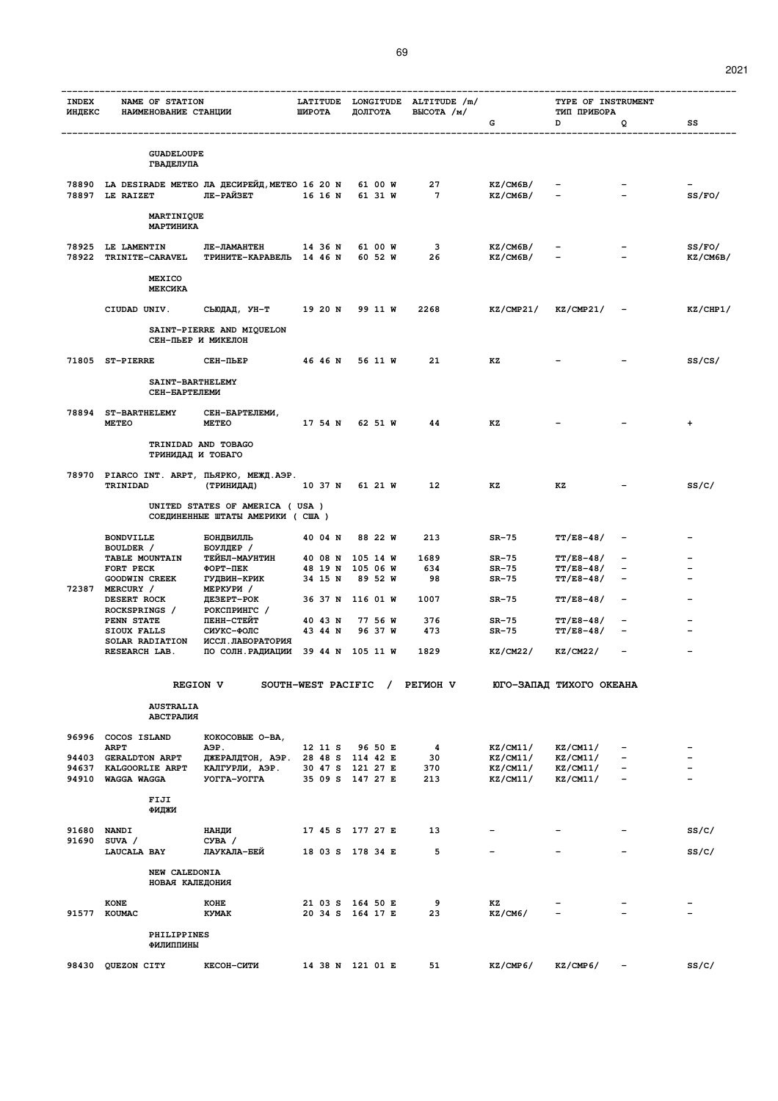| <b>INDEX</b><br>ИНДЕКС | NAME OF STATION<br>НАИМЕНОВАНИЕ СТАНЦИИ                    |                                                                     | ШИРОТА          | ДОЛГОТА                              | LATITUDE LONGITUDE ALTITUDE /m/<br>BHCOTA / m/ |                          | TYPE OF INSTRUMENT<br>ТИП ПРИБОРА    |                        |           |
|------------------------|------------------------------------------------------------|---------------------------------------------------------------------|-----------------|--------------------------------------|------------------------------------------------|--------------------------|--------------------------------------|------------------------|-----------|
|                        |                                                            |                                                                     |                 |                                      |                                                | G                        | D                                    | Q                      | SS        |
|                        |                                                            |                                                                     |                 |                                      |                                                |                          |                                      |                        |           |
|                        | <b>GUADELOUPE</b><br><b>ГВАДЕЛУПА</b>                      |                                                                     |                 |                                      |                                                |                          |                                      |                        |           |
|                        | 78890 LA DESIRADE METEO ЛА ДЕСИРЕЙД, METEO 16 20 N 61 00 W |                                                                     |                 |                                      | 27                                             | KZ/CM6B/                 |                                      |                        |           |
|                        | 78897 LE RAIZET                                            | ЛЕ-РАЙЗЕТ                                                           | 16 16 N 61 31 W |                                      | $\overline{7}$                                 | KZ/CM6B/                 |                                      |                        | SS/FO/    |
|                        | MARTINIQUE<br>МАРТИНИКА                                    |                                                                     |                 |                                      |                                                |                          |                                      |                        |           |
|                        | 78925 LE LAMENTIN                                          | ЛЕ-ЛАМАНТЕН                                                         |                 | 14 36 N 61 00 W                      | 3                                              | KZ/CM6B/                 |                                      |                        | SS/FO/    |
|                        | 78922 TRINITE-CARAVEL                                      | ТРИНИТЕ-КАРАВЕЛЬ 14 46 N 60 52 W                                    |                 |                                      | 26                                             | KZ/CM6B/                 |                                      |                        | KZ/CM6B/  |
|                        | MEXICO<br>МЕКСИКА                                          |                                                                     |                 |                                      |                                                |                          |                                      |                        |           |
|                        | CIUDAD UNIV.                                               | СЬЮДАД, УН-Т                                                        |                 | 1920 N 9911 W                        | 2268                                           |                          | $KZ/CMP21/$ $KZ/CMP21/$ -            |                        | KZ/CHP1/  |
|                        |                                                            | SAINT-PIERRE AND MIQUELON                                           |                 |                                      |                                                |                          |                                      |                        |           |
|                        |                                                            | СЕН-ПЬЕР И МИКЕЛОН                                                  |                 |                                      |                                                |                          |                                      |                        |           |
|                        | 71805 ST-PIERRE                                            | СЕН-ПЬЕР                                                            |                 | 4646N 5611W                          | 21                                             | кz                       |                                      |                        | SS/CS/    |
|                        | SAINT-BARTHELEMY<br>СЕН-БАРТЕЛЕМИ                          |                                                                     |                 |                                      |                                                |                          |                                      |                        |           |
|                        | 78894 ST-BARTHELEMY<br><b>METEO</b>                        | СЕН-БАРТЕЛЕМИ,<br><b>METEO</b>                                      |                 | 17 54 N 62 51 W                      | 44                                             | КZ                       |                                      |                        | $\ddot{}$ |
|                        |                                                            |                                                                     |                 |                                      |                                                |                          |                                      |                        |           |
|                        | ТРИНИДАД И ТОБАГО                                          | TRINIDAD AND TOBAGO                                                 |                 |                                      |                                                |                          |                                      |                        |           |
|                        | 78970 PIARCO INT. ARPT, ПЬЯРКО, МЕЖД. АЭР.                 |                                                                     |                 |                                      | $12 \,$                                        |                          |                                      |                        |           |
|                        | TRINIDAD                                                   | (ТРИНИДАД)                                                          |                 | 1037 N 6121 W                        |                                                | кz                       | кz                                   |                        | ss/c/     |
|                        |                                                            | UNITED STATES OF AMERICA ( USA )<br>СОЕДИНЕННЫЕ ШТАТЫ АМЕРИКИ (США) |                 |                                      |                                                |                          |                                      |                        |           |
|                        | <b>BONDVILLE</b>                                           | БОНДВИЛЛЬ                                                           | 40 04 N         | 88 22 W                              | 213                                            | $SR-75$                  | <b>TT/E8-48/</b>                     |                        |           |
|                        | BOULDER /<br>TABLE MOUNTAIN                                | БОУЛДЕР /<br>ТЕЙБЛ-МАУНТИН                                          |                 | 40 08 N 105 14 W                     | 1689                                           | $SR-75$                  | $TT/E8-48/$                          |                        |           |
|                        | FORT PECK<br><b>GOODWIN CREEK</b>                          | ФОРТ-ПЕК<br>гудвин-крик                                             | 34 15 N         | 48 19 N 105 06 W<br>89 52 W          | 634<br>98                                      | $SR-75$<br>$SR-75$       | <b>TT/E8-48/</b><br><b>TT/E8-48/</b> | -                      |           |
|                        | 72387 MERCURY /<br>DESERT ROCK                             | МЕРКУРИ /<br>ДЕЗЕРТ-РОК                                             |                 | 36 37 N 116 01 W                     | 1007                                           | SR-75                    | <b>TT/E8-48/</b>                     |                        |           |
|                        | ROCKSPRINGS /<br>PENN STATE                                | РОКСПРИНГС /<br>ПЕНН-СТЕЙТ                                          | 40 43 N         | 77 56 W                              | 376                                            | SR-75                    | $TT/E8-48/$                          |                        |           |
|                        | SIOUX FALLS<br>SOLAR RADIATION                             | СИУКС-ФОЛС<br>ИССЛ. ЛАБОРАТОРИЯ                                     | 43 44 N         | 96 37 W                              | 473                                            | SR-75                    | <b>TT/E8-48/</b>                     |                        |           |
|                        | RESEARCH LAB.                                              | ПО СОЛН. РАДИАЦИИ 39 44 N 105 11 W                                  |                 |                                      | 1829                                           | KZ/CM22/                 | KZ/CM22/                             |                        |           |
|                        |                                                            | <b>REGION V</b>                                                     |                 | SOUTH-WEST PACIFIC /                 | PETMOH V                                       |                          | ЮГО-ЗАПАД ТИХОГО ОКЕАНА              |                        |           |
|                        | <b>AUSTRALIA</b>                                           |                                                                     |                 |                                      |                                                |                          |                                      |                        |           |
|                        | АВСТРАЛИЯ                                                  |                                                                     |                 |                                      |                                                |                          |                                      |                        |           |
|                        | 96996 COCOS ISLAND<br><b>ARPT</b>                          | КОКОСОВЫЕ О-ВА,                                                     | 12 11 S         | 96 50 E                              |                                                | KZ/CM11/                 |                                      |                        |           |
|                        | 94403 GERALDTON ARPT                                       | A <sub>9</sub> P.<br>ДЖЕРАЛДТОН, АЭР. 28 48 S 114 42 E              |                 |                                      | 4<br>30                                        | KZ/CM11/                 | KZ/CM11/<br>KZ/CM11/                 | $\qquad \qquad -$      |           |
|                        | 94637 KALGOORLIE ARPT<br>94910 WAGGA WAGGA                 | КАЛГУРЛИ, АЭР.<br>УОГГА-УОГГА                                       |                 | 30 47 S 121 27 E<br>35 09 S 147 27 E | 370<br>213                                     | KZ/CM11/<br>KZ/CM11/     | KZ/CM11/<br>KZ/CM11/                 | -<br>$\qquad \qquad -$ |           |
|                        | FIJI                                                       |                                                                     |                 |                                      |                                                |                          |                                      |                        |           |
|                        | ФИДЖИ                                                      |                                                                     |                 |                                      |                                                |                          |                                      |                        |           |
|                        | 91680 NANDI<br>91690 SUVA /                                | НАНДИ<br>CYBA /                                                     |                 | 17 45 S 177 27 E                     | 13                                             |                          |                                      |                        | SS/C/     |
|                        | LAUCALA BAY                                                | ЛАУКАЛА-БЕЙ                                                         |                 | 18 03 S 178 34 E                     | 5                                              | $\overline{\phantom{0}}$ |                                      |                        | SS/C/     |
|                        | NEW CALEDONIA<br>НОВАЯ КАЛЕДОНИЯ                           |                                                                     |                 |                                      |                                                |                          |                                      |                        |           |
|                        | <b>KONE</b>                                                | KOHE                                                                |                 | 21 03 S 164 50 E                     | 9                                              | KZ<br>KZ/CM6/            | $\overline{\phantom{0}}$             |                        |           |
|                        | 91577 KOUMAC                                               | <b>KYMAK</b>                                                        |                 | 20 34 S 164 17 E                     | 23                                             |                          |                                      |                        |           |
|                        | PHILIPPINES<br>ФИЛИППИНЫ                                   |                                                                     |                 |                                      |                                                |                          |                                      |                        |           |
|                        | 98430 QUEZON CITY                                          | КЕСОН-СИТИ                                                          |                 | 14 38 N 121 01 E                     | 51                                             | KZ/CMP6/                 | KZ/CMP6/                             |                        | SS/C/     |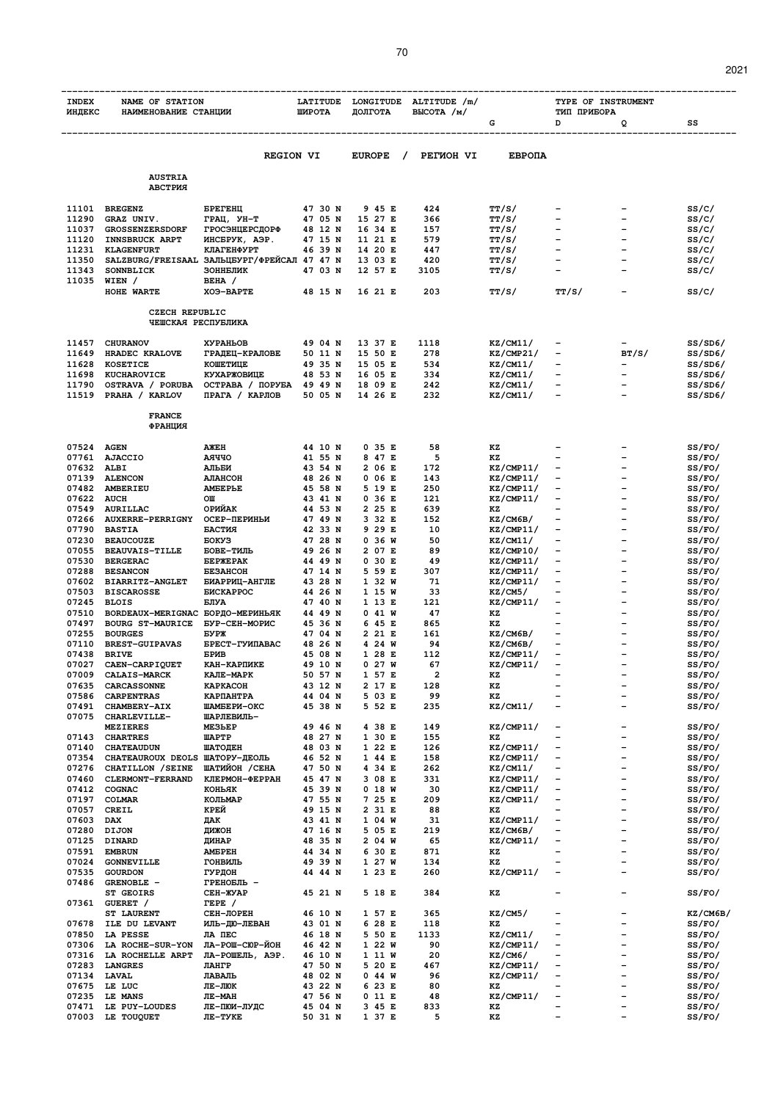| <b>INDEX</b><br>ИНДЕКС                      | NAME OF STATION<br>НАИМЕНОВАНИЕ СТАНЦИИ         |                                        | LATITUDE<br>ШИРОТА | LONGITUDE<br>ДОЛГОТА | ALTITUDE /m/<br>BHCOTA / M/ |                        | TYPE OF INSTRUMENT<br>ТИП ПРИБОРА                        |                                                      |                    |  |  |
|---------------------------------------------|-------------------------------------------------|----------------------------------------|--------------------|----------------------|-----------------------------|------------------------|----------------------------------------------------------|------------------------------------------------------|--------------------|--|--|
|                                             |                                                 |                                        |                    |                      |                             | G                      | D                                                        | Q                                                    | SS                 |  |  |
|                                             |                                                 |                                        |                    |                      |                             |                        |                                                          |                                                      |                    |  |  |
|                                             |                                                 | <b>REGION VI</b>                       |                    | <b>EUROPE</b>        | PETMOH VI                   | <b>EBPOIA</b>          |                                                          |                                                      |                    |  |  |
|                                             | <b>AUSTRIA</b>                                  |                                        |                    |                      |                             |                        |                                                          |                                                      |                    |  |  |
|                                             | АВСТРИЯ                                         |                                        |                    |                      |                             |                        |                                                          |                                                      |                    |  |  |
| 11101                                       | <b>BREGENZ</b>                                  | <b><i>GPETEHL</i></b>                  | 47 30 N            | 9 45 E               | 424                         | TT/S/                  |                                                          |                                                      | ss/c/              |  |  |
| 11290                                       | GRAZ UNIV.                                      | ГРАЦ, УН-Т                             | 47 05 N            | 15 27 E              | 366                         | TT/S/                  | $\overline{\phantom{0}}$                                 | $\overline{\phantom{0}}$                             | ss/c/              |  |  |
| 11037<br>11120                              | <b>GROSSENZERSDORF</b><br><b>INNSBRUCK ARPT</b> | <b>ГРОСЭНЦЕРСДОРФ</b><br>ИНСБРУК, АЭР. | 48 12 N<br>47 15 N | 16 34 E<br>11 21 E   | 157<br>579                  | TT/S/<br>TT/S/         | -                                                        |                                                      | ss/c/<br>ss/c/     |  |  |
| 11231                                       | <b>KLAGENFURT</b>                               | <b>КЛАГЕНФУРТ</b>                      | 46 39 N            | 14 20 E              | 447                         | TT/S/                  | $\overline{\phantom{0}}$                                 | $\overline{\phantom{0}}$                             | ss/c/              |  |  |
| 11350                                       | SALZBURG/FREISAAL ЗАЛЬЦБУРГ/ФРЕЙСАЛ 47 47 N     |                                        |                    | 13 03 E              | 420                         | TT/S/                  | $\overline{\phantom{0}}$                                 |                                                      | ss/c/              |  |  |
| 11343<br>11035                              | <b>SONNBLICK</b><br>WIEN /                      | ЗОННБЛИК<br>BEHA /                     | 47 03 N            | 12 57 E              | 3105                        | TT/S/                  |                                                          |                                                      | ss/c/              |  |  |
|                                             | HOHE WARTE                                      | XO9-BAPTE                              | 48 15 N            | 16 21 E              | 203                         | TT/S/                  | TT/S/                                                    |                                                      | ss/c/              |  |  |
|                                             |                                                 |                                        |                    |                      |                             |                        |                                                          |                                                      |                    |  |  |
| <b>CZECH REPUBLIC</b><br>ЧЕШСКАЯ РЕСПУБЛИКА |                                                 |                                        |                    |                      |                             |                        |                                                          |                                                      |                    |  |  |
|                                             |                                                 |                                        |                    |                      |                             |                        |                                                          |                                                      |                    |  |  |
| 11457<br>11649                              | <b>CHURANOV</b><br>HRADEC KRALOVE               | <b>XYPAHLOB</b><br>ГРАДЕЦ-КРАЛОВЕ      | 49 04 N<br>50 11 N | 13 37 E<br>15 50 E   | 1118<br>278                 | KZ/CM11/<br>KZ/CMP21/  | $\qquad \qquad \blacksquare$                             | BT/S/                                                | SS/SD6/<br>SS/SD6/ |  |  |
| 11628                                       | <b>KOSETICE</b>                                 | КОШЕТИЦЕ                               | 49 35 N            | 15 05 E              | 534                         | KZ/CM11/               | -                                                        |                                                      | SS/SD6/            |  |  |
| 11698                                       | KUCHAROVICE                                     | <b>КУХАРЖОВИЦЕ</b>                     | 48 53 N            | 16 05 E              | 334                         | KZ/CM11/               |                                                          |                                                      | SS/SD6/            |  |  |
| 11790                                       | OSTRAVA / PORUBA                                | ОСТРАВА / ПОРУБА                       | 49 49 N<br>50 05 N | 18 09 E              | 242                         | KZ/CM11/<br>KZ/CM11/   | $\overline{\phantom{a}}$<br>$\overline{\phantom{0}}$     |                                                      | SS/SD6/            |  |  |
| 11519                                       | PRAHA / KARLOV                                  | ПРАГА / КАРЛОВ                         |                    | 14 26 E              | 232                         |                        |                                                          |                                                      | SS/SD6/            |  |  |
|                                             | <b>FRANCE</b>                                   |                                        |                    |                      |                             |                        |                                                          |                                                      |                    |  |  |
|                                             | ФРАНЦИЯ                                         |                                        |                    |                      |                             |                        |                                                          |                                                      |                    |  |  |
| 07524                                       | <b>AGEN</b>                                     | AЖEH                                   | 44 10 N            | 0 35 E               | 58                          | ΚZ                     |                                                          |                                                      | SS/FO/             |  |  |
| 07761                                       | <b>AJACCIO</b>                                  | <b>AAYYO</b>                           | 41 55 N            | 8 47 E               | 5                           | ΚZ                     |                                                          |                                                      | SS/FO/             |  |  |
| 07632                                       | ALBI                                            | АЛЬБИ                                  | 43 54 N            | 2 06 E               | 172                         | KZ/CMP11/              | $\qquad \qquad$                                          | $\overline{\phantom{0}}$                             | SS/FO/             |  |  |
| 07139<br>07482                              | <b>ALENCON</b><br><b>AMBERIEU</b>               | <b>AJIAHCOH</b><br><b>AMEEPLE</b>      | 48 26 N<br>45 58 N | 0 06 E<br>5 19 E     | 143<br>250                  | KZ/CMP11/<br>KZ/CMP11/ | $\qquad \qquad \blacksquare$<br>$\overline{\phantom{a}}$ |                                                      | SS/FO/<br>SS/FO/   |  |  |
| 07622                                       | AUCH                                            | OШ                                     | 43 41 N            | 0 36 E               | 121                         | KZ/CMP11/              | $\qquad \qquad$                                          |                                                      | SS/FO/             |  |  |
| 07549                                       | AURILLAC                                        | ОРИЙАК                                 | 44 53 N            | 2 25 E               | 639                         | ΚZ                     | ۳                                                        |                                                      | SS/FO/             |  |  |
| 07266<br>07790                              | <b>AUXERRE-PERRIGNY</b>                         | ОСЕР-ПЕРИНЫИ                           | 47 49 N            | 3 32 E               | 152                         | KZ/CM6B/               | $\qquad \qquad -$<br>$\qquad \qquad$                     |                                                      | SS/FO/             |  |  |
| 07230                                       | <b>BASTIA</b><br><b>BEAUCOUZE</b>               | БАСТИЯ<br><b>EOKY3</b>                 | 42 33 N<br>47 28 N | 9 29 E<br>0 36 W     | 10<br>50                    | KZ/CMP11/<br>KZ/CM11/  | -                                                        |                                                      | SS/FO/<br>SS/FO/   |  |  |
| 07055                                       | <b>BEAUVAIS-TILLE</b>                           | БОВЕ-ТИЛЬ                              | 49 26 N            | 2 07 E               | 89                          | KZ/CMP10/              | $\qquad \qquad -$                                        |                                                      | SS/FO/             |  |  |
| 07530                                       | <b>BERGERAC</b>                                 | <b><i>GEPXEPAK</i></b>                 | 44 49 N            | 0 30 E               | 49                          | KZ/CMP11/              | $\overline{\phantom{0}}$                                 |                                                      | SS/FO/             |  |  |
| 07288<br>07602                              | <b>BESANCON</b><br><b>BIARRITZ-ANGLET</b>       | <b>EE3AHCOH</b><br>БИАРРИЦ-АНГЛЕ       | 47 14 N<br>43 28 N | 5 59 E<br>1 32 W     | 307<br>71                   | KZ/CMP11/<br>KZ/CMP11/ | $\overline{\phantom{0}}$<br>$\qquad \qquad -$            | ۳                                                    | SS/FO/<br>SS/FO/   |  |  |
| 07503                                       | <b>BISCAROSSE</b>                               | <b>БИСКАРРОС</b>                       | 44 26 N            | 1 15 W               | 33                          | KZ/CM5/                |                                                          |                                                      | SS/FO/             |  |  |
| 07245                                       | <b>BLOIS</b>                                    | БЛУА                                   | 47 40 N            | 1 13 E               | 121                         | KZ/CMP11/              |                                                          |                                                      | SS/FO/             |  |  |
| 07510<br>07497                              | BORDEAUX-MERIGNAC<br><b>BOURG ST-MAURICE</b>    | БОРДО-МЕРИНЬЯК<br><b>БУР-СЕН-МОРИС</b> | 44 49 N<br>45 36 N | $0$ 41 W<br>6 45 E   | 47<br>865                   | ΚZ<br>ΚZ               | $\overline{\phantom{0}}$                                 | $\overline{\phantom{0}}$                             | SS/FO/<br>SS/FO/   |  |  |
| 07255                                       | <b>BOURGES</b>                                  | <b>EYPX</b>                            | 47 04 N            | 2 21 E               | 161                         | KZ/CM6B/               | -                                                        |                                                      | SS/FO/             |  |  |
| 07110                                       | <b>BREST-GUIPAVAS</b>                           | БРЕСТ-ГУИПАВАС                         | 48 26 N            | 4 24 W               | 94                          | KZ/CM6B/               | $\qquad \qquad -$                                        |                                                      | SS/FO/             |  |  |
| 07438                                       | <b>BRIVE</b>                                    | <b>EPMB</b>                            | 45 08 N            | 128E                 | 112                         | KZ/CMP11/              | $\overline{\phantom{0}}$                                 |                                                      | SS/FO/             |  |  |
| 07027<br>07009                              | CAEN-CARPIQUET<br><b>CALAIS-MARCK</b>           | КАН-КАРПИКЕ<br>КАЛЕ-МАРК               | 49 10 N<br>50 57 N | 0 27 W<br>1 57 E     | 67<br>2                     | KZ/CMP11/<br>ΚZ        |                                                          |                                                      | SS/FO/<br>SS/FO/   |  |  |
| 07635                                       | <b>CARCASSONNE</b>                              | <b>KAPKACOH</b>                        | 43 12 N            | 2 17 E               | 128                         | KZ                     |                                                          |                                                      | SS/FO/             |  |  |
| 07586                                       | <b>CARPENTRAS</b>                               | КАРПАНТРА                              | 44 04 N            | 5 03 E               | 99                          | KZ                     | $\qquad \qquad -$                                        |                                                      | SS/FO/             |  |  |
| 07491<br>07075                              | CHAMBERY-AIX<br>CHARLEVILLE-                    | ШАМБЕРИ-ОКС<br>ШАРЛЕВИЛЬ-              | 45 38 N            | 5 52 E               | 235                         | KZ/CM11/               | $\qquad \qquad -$                                        |                                                      | SS/FO/             |  |  |
|                                             | <b>MEZIERES</b>                                 | ME3LEP                                 | 49 46 N            | 4 38 E               | 149                         | KZ/CMP11/              | -                                                        | $\overline{\phantom{0}}$                             | SS/FO/             |  |  |
| 07143                                       | <b>CHARTRES</b>                                 | <b><i>IIAPTP</i></b>                   | 48 27 N            | 1 30 E               | 155                         | ΚZ                     |                                                          | $\qquad \qquad -$                                    | SS/FO/             |  |  |
| 07140<br>07354                              | <b>CHATEAUDUN</b><br>CHATEAUROUX DEOLS          | ШАТОДЕН<br>ШАТОРУ-ДЕОЛЬ                | 48 03 N<br>46 52 N | 1 22 E<br>1 44 E     | 126<br>158                  | KZ/CMP11/<br>KZ/CMP11/ | $\qquad \qquad -$<br>-                                   | $\overline{\phantom{0}}$                             | SS/FO/<br>SS/FO/   |  |  |
| 07276                                       | CHATILLON / SEINE                               | ШАТИЙОН / СЕНА                         | 47 50 N            | 4 34 E               | 262                         | KZ/CM11/               | $\qquad \qquad -$                                        |                                                      | SS/FO/             |  |  |
| 07460                                       | CLERMONT-FERRAND                                | КЛЕРМОН-ФЕРРАН                         | 45 47 N            | 3 08 E               | 331                         | KZ/CMP11/              | -                                                        |                                                      | SS/FO/             |  |  |
| 07412                                       | COGNAC                                          | КОНЬЯК                                 | 45 39 N            | 0 18 W               | 30                          | KZ/CMP11/              | $\overline{\phantom{0}}$                                 | $\overline{\phantom{0}}$                             | SS/FO/             |  |  |
| 07197<br>07057                              | COLMAR<br>CREIL                                 | КОЛЬМАР<br>КРЕЙ                        | 47 55 N<br>49 15 N | 7 25 E<br>2 31 E     | 209<br>88                   | KZ/CMP11/<br>ΚZ        | $\overline{\phantom{0}}$                                 | $\overline{\phantom{0}}$                             | SS/FO/<br>SS/FO/   |  |  |
| 07603                                       | <b>DAX</b>                                      | ДАК                                    | 43 41 N            | 1 04 W               | 31                          | KZ/CMP11/              | -                                                        | $\overline{\phantom{0}}$                             | SS/FO/             |  |  |
| 07280                                       | <b>DIJON</b>                                    | дижон                                  | 47 16 N            | 5 05 E               | 219                         | KZ/CM6B/               | $\overline{\phantom{0}}$                                 | $\equiv$                                             | SS/FO/             |  |  |
| 07125                                       | <b>DINARD</b>                                   | ДИНАР                                  | 48 35 N<br>44 34 N | 2 04 W               | 65                          | KZ/CMP11/              | $\qquad \qquad -$<br>۳                                   | $\overline{\phantom{0}}$<br>$\overline{\phantom{0}}$ | SS/FO/             |  |  |
| 07591<br>07024                              | <b>EMBRUN</b><br><b>GONNEVILLE</b>              | <b>AMEPEH</b><br>ГОНВИЛЬ               | 49 39 N            | 6 30 E<br>1 27 W     | 871<br>134                  | ΚZ<br>KZ               |                                                          | $\qquad \qquad -$                                    | SS/FO/<br>SS/FO/   |  |  |
| 07535                                       | GOURDON                                         | гурдон                                 | 44 44 N            | 123E                 | 260                         | KZ/CMP11/              | $\overline{\phantom{0}}$                                 | $\equiv$                                             | SS/FO/             |  |  |
| 07486                                       | GRENOBLE -                                      | ГРЕНОБЛЬ -                             |                    |                      |                             |                        |                                                          | -                                                    |                    |  |  |
| 07361                                       | <b>ST GEOIRS</b><br>GUERET /                    | CEH-XYAP<br>TEPE /                     | 45 21 N            | 5 18 E               | 384                         | KZ                     |                                                          |                                                      | SS/FO/             |  |  |
|                                             | <b>ST LAURENT</b>                               | СЕН-ЛОРЕН                              | 46 10 N            | 1 57 E               | 365                         | KZ/CM5/                |                                                          |                                                      | KZ/CM6B/           |  |  |
| 07678                                       | ILE DU LEVANT                                   | ИЛЬ-ДЮ-ЛЕВАН                           | 43 O1 N            | 6 28 E               | 118                         | ΚZ                     | $\overline{\phantom{0}}$                                 | -                                                    | SS/FO/             |  |  |
| 07850<br>07306                              | LA PESSE<br>LA ROCHE-SUR-YON                    | ЛА ПЕС<br>ЛА-РОШ-СЮР-ЙОН               | 46 18 N<br>46 42 N | 5 50 E<br>1 22 W     | 1133<br>90                  | KZ/CM11/<br>KZ/CMP11/  | $\qquad \qquad -$<br>-                                   | $\overline{\phantom{0}}$<br>-                        | SS/FO/<br>SS/FO/   |  |  |
| 07316                                       | LA ROCHELLE ARPT                                | ЛА-РОШЕЛЬ, АЭР.                        | 46 10 N            | 1 11 W               | 20                          | KZ/CM6/                | -                                                        |                                                      | SS/FO/             |  |  |
| 07283                                       | <b>LANGRES</b>                                  | ЛАНГР                                  | 47 50 N            | 5 20 E               | 467                         | KZ/CMP11/              | $\qquad \qquad -$                                        | $\overline{\phantom{0}}$                             | SS/FO/             |  |  |
| 07134<br>07675                              | <b>LAVAL</b><br>LE LUC                          | ЛАВАЛЬ<br>ЛЕ-ЛЮК                       | 48 02 N<br>43 22 N | 0 44 W<br>6 23 E     | 96<br>80                    | KZ/CMP11/<br>ΚZ        | $\overline{\phantom{0}}$                                 | $\equiv$                                             | SS/FO/             |  |  |
| 07235                                       | LE MANS                                         | <b>JIE-MAH</b>                         | 47 56 N            | $0$ 11 E             | 48                          | KZ/CMP11/              | -                                                        |                                                      | SS/FO/<br>SS/FO/   |  |  |
| 07471                                       | LE PUY-LOUDES                                   | ЛЕ-ПЮИ-ЛУДС                            | 45 04 N            | 3 45 E               | 833                         | ΚZ                     | $\overline{\phantom{0}}$                                 |                                                      | SS/FO/             |  |  |
| 07003                                       | LE TOUQUET                                      | ЛЕ-ТУКЕ                                | 50 31 N            | 1 37 E               | 5                           | ΚZ                     | $\overline{\phantom{0}}$                                 |                                                      | SS/FO/             |  |  |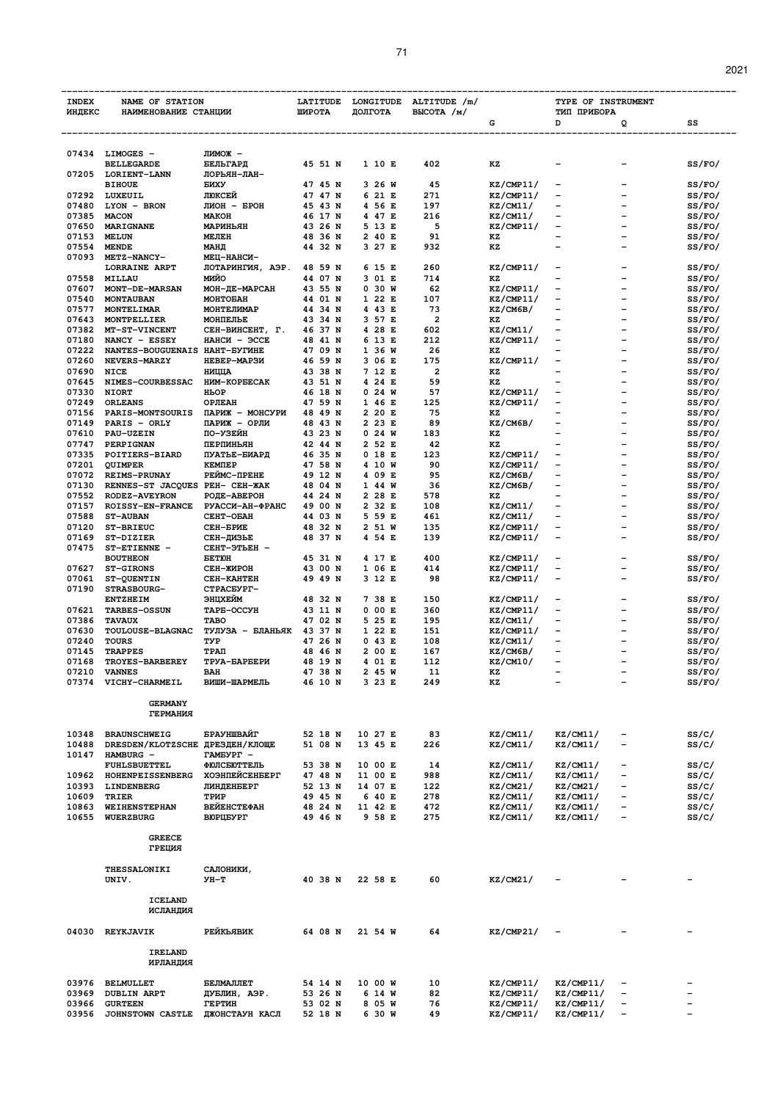| <b>INDEX</b>   | NAME OF STATION                                       |                                 | LATITUDE           | LONGITUDE          | ALTITUDE /m/            | TYPE OF INSTRUMENT     |                                        |                          |                  |  |
|----------------|-------------------------------------------------------|---------------------------------|--------------------|--------------------|-------------------------|------------------------|----------------------------------------|--------------------------|------------------|--|
| <b>ИНДЕКС</b>  | НАИМЕНОВАНИЕ СТАНЦИИ                                  |                                 | ШИРОТА             | ДОЛГОТА            | BLICOTA / M/            | G                      | ТИП ПРИБОРА<br>D                       | Q                        | SS               |  |
|                |                                                       |                                 |                    |                    |                         |                        |                                        |                          |                  |  |
|                |                                                       |                                 |                    |                    |                         |                        |                                        |                          |                  |  |
|                | 07434 LIMOGES -                                       | лимож -                         |                    |                    |                         |                        |                                        |                          |                  |  |
|                | <b>BELLEGARDE</b>                                     | БЕЛЬГАРД                        | 45 51 N            | 1 10 E             | 402                     | ΚZ                     |                                        |                          | SS/FO/           |  |
|                | 07205 LORIENT-LANN<br><b>BIHOUE</b>                   | ЛОРЬЯН-ЛАН-<br>БИХУ             | 47 45 N            | 3 26 W             | 45                      | KZ/CMP11/              |                                        |                          | SS/FO/           |  |
| 07292          | LUXEUIL                                               | ЛЮКСЕЙ                          | 47 47 N            | 6 21 E             | 271                     | KZ/CMP11/              | $\overline{\phantom{0}}$               | $\overline{\phantom{0}}$ | SS/FO/           |  |
| 07480          | LYON - BRON                                           | ЛИОН - БРОН                     | 45 43 N            | 4 56 E             | 197                     | KZ/CM11/               | $\qquad \qquad -$                      |                          | SS/FO/           |  |
| 07385          | <b>MACON</b>                                          | <b>MAKOH</b>                    | 46 17 N            | 4 47 E             | 216                     | KZ/CM11/               | $\overline{\phantom{m}}$               |                          | SS/FO/           |  |
| 07650          | <b>MARIGNANE</b>                                      | МАРИНЬЯН                        | 43 26 N            | 5 13 E             | 5                       | KZ/CMP11/              | $\qquad \qquad \blacksquare$           |                          | SS/FO/           |  |
| 07153          | <b>MELUN</b>                                          | <b>MEJIEH</b>                   | 48 36 N            | 2 40 E             | 91                      | ΚZ                     |                                        | $\overline{\phantom{0}}$ | SS/FO/           |  |
| 07554          | <b>MENDE</b>                                          | МАНД                            | 44 32 N            | 3 27 E             | 932                     | ΚZ                     |                                        |                          | SS/FO/           |  |
| 07093          | <b>METZ-NANCY-</b><br><b>LORRAINE ARPT</b>            | МЕЦ-НАНСИ-<br>ЛОТАРИНГИЯ, АЭР.  | 48 59 N            | 6 15 E             | 260                     | KZ/CMP11/              |                                        |                          | SS/FO/           |  |
| 07558          | <b>MILLAU</b>                                         | МИЙО                            | 44 07 N            | 3 01 E             | 714                     | ΚZ                     |                                        |                          | SS/FO/           |  |
| 07607          | <b>MONT-DE-MARSAN</b>                                 | МОН-ДЕ-МАРСАН                   | 43 55 N            | 0 30 W             | 62                      | KZ/CMP11/              | -                                      |                          | SS/FO/           |  |
| 07540          | <b>MONTAUBAN</b>                                      | MOHTOBAH                        | 44 01 N            | 122E               | 107                     | KZ/CMP11/              | $\overline{\phantom{m}}$               | $\overline{\phantom{0}}$ | SS/FO/           |  |
| 07577          | MONTELIMAR                                            | МОНТЕЛИМАР                      | 44 34 N            | 4 43 E             | 73                      | KZ/CM6B/               | $\overline{\phantom{0}}$               |                          | SS/FO/           |  |
| 07643          | MONTPELLIER                                           | МОНПЕЛЬЕ                        | 43 34 N            | 3 57 E             | $\mathbf{2}$            | ΚZ                     |                                        |                          | SS/FO/           |  |
| 07382          | <b>MT-ST-VINCENT</b>                                  | СЕН-ВИНСЕНТ, Г.                 | 46 37 N            | 4 28 E             | 602                     | KZ/CM11/               | $\qquad \qquad -$                      |                          | SS/FO/           |  |
| 07180          | NANCY - ESSEY                                         | $HAHCH - 9CCE$                  | 48 41 N            | 6 13 E             | 212                     | KZ/CMP11/              | $\qquad \qquad -$<br>$\qquad \qquad -$ |                          | SS/FO/           |  |
| 07222<br>07260 | NANTES-BOUGUENAIS HAHT-БУГИНЕ<br><b>NEVERS-MARZY</b>  | HEBEP-MAP3И                     | 47 09 N<br>46 59 N | 1 36 W<br>3 06 E   | 26<br>175               | ΚZ<br>KZ/CMP11/        | $\qquad \qquad -$                      |                          | SS/FO/<br>SS/FO/ |  |
| 07690          | <b>NICE</b>                                           | НИЦЦА                           | 43 38 N            | 7 12 E             | $\overline{\mathbf{2}}$ | ΚZ                     | $\overline{\phantom{0}}$               |                          | SS/FO/           |  |
| 07645          | NIMES-COURBESSAC                                      | <b>HИM-KOPEECAK</b>             | 43 51 N            | 4 24 E             | 59                      | ΚZ                     |                                        |                          | SS/FO/           |  |
| 07330          | <b>NIORT</b>                                          | HPOP                            | 46 18 N            | 0 24 W             | 57                      | KZ/CMP11/              | $\qquad \qquad -$                      |                          | SS/FO/           |  |
| 07249          | <b>ORLEANS</b>                                        | ОРЛЕАН                          | 47 59 N            | 1 46 E             | 125                     | KZ/CMP11/              | $\qquad \qquad -$                      |                          | SS/FO/           |  |
| 07156          | <b>PARIS-MONTSOURIS</b>                               | ПАРИЖ - МОНСУРИ                 | 48 49 N            | 2 20 E             | 75                      | ΚZ                     | $\qquad \qquad -$                      |                          | SS/FO/           |  |
| 07149          | <b>PARIS - ORLY</b>                                   | ПАРИЖ - ОРЛИ                    | 48 43 N            | 2 23 E             | 89                      | KZ/CM6B/               |                                        |                          | SS/FO/           |  |
|                | 07610 PAU-UZEIN                                       | ПО-УЗЕЙН                        | 43 23 N            | 024W               | 183                     | ΚZ                     |                                        |                          | SS/FO/           |  |
| 07747          | <b>PERPIGNAN</b>                                      | ПЕРПИНЬЯН                       | 42 44 N            | 2 52 E             | 42                      | ΚZ                     | -                                      |                          | SS/FO/           |  |
| 07335          | <b>POITIERS-BIARD</b>                                 | ПУАТЬЕ-БИАРД                    | 46 35 N            | 0 18 E             | 123                     | KZ/CMP11/              | $\qquad \qquad -$                      |                          | SS/FO/           |  |
| 07201          | QUIMPER                                               | <b>KEMTEP</b>                   | 47 58 N            | 4 10 W             | 90                      | KZ/CMP11/              | $\qquad \qquad -$                      |                          | SS/FO/           |  |
| 07072          | <b>REIMS-PRUNAY</b>                                   | РЕЙМС-ПРЕНЕ                     | 49 12 N            | 4 09 E             | 95                      | KZ/CM6B/               | $\qquad \qquad -$                      | $\overline{\phantom{0}}$ | SS/FO/           |  |
| 07130          | RENNES-ST JACQUES PEH- CEH-XAK                        |                                 | 48 04 N            | 1 44 W             | 36                      | KZ/CM6B/               | $\qquad \qquad -$                      |                          | SS/FO/           |  |
| 07552<br>07157 | <b>RODEZ-AVEYRON</b><br><b>ROISSY-EN-FRANCE</b>       | РОДЕ-АВЕРОН<br>РУАССИ-АН-ФРАНС  | 44 24 N<br>49 00 N | 2 28 E<br>2 32 E   | 578<br>108              | ΚZ<br>KZ/CM11/         | -                                      |                          | SS/FO/<br>SS/FO/ |  |
| 07588          | <b>ST-AUBAN</b>                                       | <b>CEHT-OEAH</b>                | 44 03 N            | 5 59 E             | 461                     | KZ/CM11/               | $\qquad \qquad -$                      |                          | SS/FO/           |  |
| 07120          | ST-BRIEUC                                             | СЕН-БРИЕ                        | 48 32 N            | 2 51 W             | 135                     | KZ/CMP11/              | $\overline{\phantom{a}}$               | $\equiv$                 | SS/FO/           |  |
| 07169          | ST-DIZIER                                             | СЕН-ДИЗЬЕ                       | 48 37 N            | 4 54 E             | 139                     | KZ/CMP11/              |                                        |                          | SS/FO/           |  |
| 07475          | ST-ETIENNE -                                          | СЕНТ-ЭТЬЕН -                    |                    |                    |                         |                        |                                        |                          |                  |  |
|                | <b>BOUTHEON</b>                                       | <b>EETIOH</b>                   | 45 31 N            | 4 17 E             | 400                     | KZ/CMP11/              | -                                      |                          | SS/FO/           |  |
| 07627          | <b>ST-GIRONS</b>                                      | СЕН-ЖИРОН                       | 43 00 N            | 106E               | 414                     | KZ/CMP11/              |                                        |                          | SS/FO/           |  |
| 07061          | ST-QUENTIN                                            | СЕН-КАНТЕН                      | 49 49 N            | 3 12 E             | 98                      | KZ/CMP11/              | $\overline{\phantom{0}}$               |                          | SS/FO/           |  |
| 07190          | <b>STRASBOURG-</b>                                    | CTPACEYPT-                      |                    |                    |                         |                        |                                        |                          |                  |  |
|                | <b>ENTZHEIM</b>                                       | ЭНЦХЕЙМ                         | 48 32 N            | 7 38 E             | 150                     | KZ/CMP11/              |                                        |                          | SS/FO/           |  |
| 07621          | <b>TARBES-OSSUN</b>                                   | TAPE-OCCYH                      | 43 11 N            | 0 00 E             | 360                     | KZ/CMP11/              |                                        |                          | SS/FO/           |  |
| 07386          | <b>TAVAUX</b>                                         | <b>TABO</b>                     | 47 02 N            | 5 25 E             | 195                     | KZ/CM11/               | $\overline{\phantom{a}}$               |                          | SS/FO/           |  |
| 07630<br>07240 | TOULOUSE-BLAGNAC<br><b>TOURS</b>                      | ТУЛУЗА - БЛАНЬЯК 43 37 N<br>TYP | 47 26 N            | 122E<br>0 43 E     | 151<br>108              | KZ/CMP11/<br>KZ/CM11/  | -                                      |                          | SS/FO/<br>SS/FO/ |  |
| 07145          | <b>TRAPPES</b>                                        | TPAN                            | 48 46 N            | 2 00 E             | 167                     | KZ/CM6B/               | $\overline{\phantom{a}}$               |                          | SS/FO/           |  |
| 07168          | TROYES-BARBEREY                                       | TPYA-BAPBEPИ                    | 48 19 N            | 4 01 E             | 112                     | KZ/CM10/               | $\overline{\phantom{0}}$               |                          | SS/FO/           |  |
| 07210          | <b>VANNES</b>                                         | BAH                             | 47 38 N            | 2 45 W             | 11                      | ΚZ                     | -                                      |                          | SS/FO/           |  |
| 07374          | VICHY-CHARMEIL                                        | ВИШИ-ШАРМЕЛЬ                    | 46 10 N            | 3 23 E             | 249                     | ΚZ                     |                                        |                          | SS/FO/           |  |
|                |                                                       |                                 |                    |                    |                         |                        |                                        |                          |                  |  |
|                | <b>GERMANY</b>                                        |                                 |                    |                    |                         |                        |                                        |                          |                  |  |
|                | <b>ГЕРМАНИЯ</b>                                       |                                 |                    |                    |                         |                        |                                        |                          |                  |  |
|                |                                                       |                                 |                    |                    |                         |                        |                                        |                          |                  |  |
|                | 10348 BRAUNSCHWEIG<br>DRESDEN/KLOTZSCHE ДРЕЗДЕН/КЛОЩЕ | <b>БРАУНШВАЙГ</b>               | 52 18 N<br>51 08 N | 10 27 E<br>13 45 E | 83<br>226               | KZ/CM11/<br>KZ/CM11/   | KZ/CM11/<br>KZ/CM11/                   | $\overline{\phantom{0}}$ | SS/C/            |  |
| 10488<br>10147 | HAMBURG -                                             | TAMEYPT -                       |                    |                    |                         |                        |                                        |                          | ss/c/            |  |
|                | <b>FUHLSBUETTEL</b>                                   | ФЮЛСБЮТТЕЛЬ                     | 53 38 N            | 10 00 E            | 14                      | KZ/CM11/               | KZ/CM11/                               | $\overline{\phantom{0}}$ | SS/C/            |  |
| 10962          | <b>HOHENPEISSENBERG</b>                               | ХОЭНПЕЙСЕНБЕРГ                  | 47 48 N            | 11 00 E            | 988                     | KZ/CM11/               | KZ/CM11/                               | ۳                        | SS/C/            |  |
|                | 10393 LINDENBERG                                      | ЛИНДЕНБЕРГ                      | 52 13 N            | 14 07 E            | 122                     | KZ/CM21/               | KZ/CM21/                               | $\overline{\phantom{0}}$ | SS/C/            |  |
| 10609          | TRIER                                                 | TPMP                            | 49 45 N            | 6 40 E             | 278                     | KZ/CM11/               | KZ/CM11/                               | -                        | SS/C/            |  |
| 10863          | WEIHENSTEPHAN                                         | <b>ВЕЙЕНСТЕФАН</b>              | 48 24 N            | 11 42 E            | 472                     | KZ/CM11/               | KZ/CM11/                               | $\overline{\phantom{0}}$ | SS/C/            |  |
| 10655          | <b>WUERZBURG</b>                                      | ВЮРЦБУРГ                        | 49 46 N            | 9 58 E             | 275                     | KZ/CM11/               | KZ/CM11/                               | $\overline{\phantom{0}}$ | ss/c/            |  |
|                |                                                       |                                 |                    |                    |                         |                        |                                        |                          |                  |  |
|                | <b>GREECE</b>                                         |                                 |                    |                    |                         |                        |                                        |                          |                  |  |
|                | ГРЕЦИЯ                                                |                                 |                    |                    |                         |                        |                                        |                          |                  |  |
|                | THESSALONIKI                                          | САЛОНИКИ,                       |                    |                    |                         |                        |                                        |                          |                  |  |
|                | UNIV.                                                 | УН-Т                            | 40 38 N            | 22 58 E            | 60                      | KZ/CM21/               |                                        |                          |                  |  |
|                |                                                       |                                 |                    |                    |                         |                        |                                        |                          |                  |  |
|                | <b>ICELAND</b>                                        |                                 |                    |                    |                         |                        |                                        |                          |                  |  |
|                | ИСЛАНДИЯ                                              |                                 |                    |                    |                         |                        |                                        |                          |                  |  |
|                |                                                       |                                 |                    |                    |                         |                        |                                        |                          |                  |  |
|                | 04030 REYKJAVIK                                       | РЕЙКЬЯВИК                       | 64 08 N            | 21 54 W            | 64                      | KZ/CMP21/              |                                        |                          |                  |  |
|                |                                                       |                                 |                    |                    |                         |                        |                                        |                          |                  |  |
|                | <b>IRELAND</b>                                        |                                 |                    |                    |                         |                        |                                        |                          |                  |  |
|                | ИРЛАНДИЯ                                              |                                 |                    |                    |                         |                        |                                        |                          |                  |  |
|                | 03976 BELMULLET                                       |                                 | 54 14 N            | 10 00 W            | 10                      |                        |                                        |                          |                  |  |
| 03969          | <b>DUBLIN ARPT</b>                                    | БЕЛМАЛЛЕТ<br>ДУБЛИН, АЭР.       | 53 26 N            | 6 14 W             | 82                      | KZ/CMP11/<br>KZ/CMP11/ | KZ/CMP11/<br>KZ/CMP11/                 | $\overline{\phantom{0}}$ | -                |  |
| 03966          | <b>GURTEEN</b>                                        | <b>ГЕРТИН</b>                   | 53 02 N            | 8 05 W             | 76                      | KZ/CMP11/              | KZ/CMP11/                              |                          |                  |  |
| 03956          | JOHNSTOWN CASTLE                                      | ДЖОНСТАУН КАСЛ                  | 52 18 N            | 6 30 W             | 49                      | KZ/CMP11/              | KZ/CMP11/                              | $\overline{\phantom{a}}$ |                  |  |
|                |                                                       |                                 |                    |                    |                         |                        |                                        |                          |                  |  |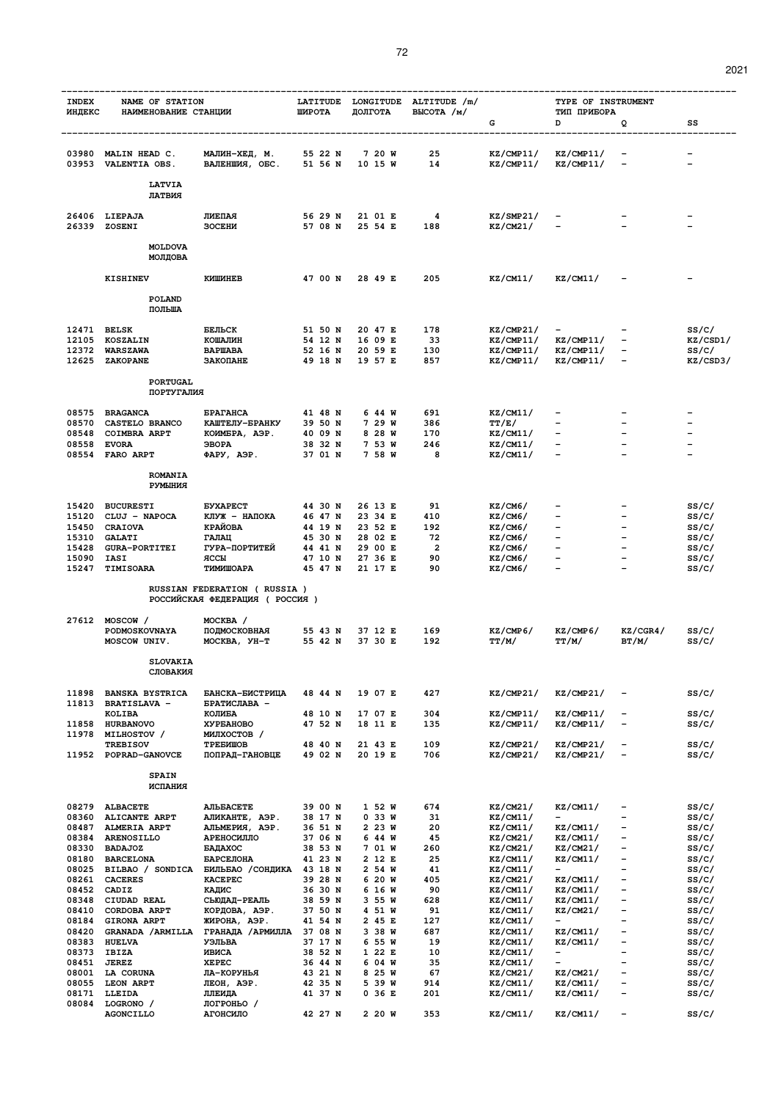| <b>INDEX</b><br>ИНДЕКС | NAME OF STATION<br>НАИМЕНОВАНИЕ СТАНЦИИ |                                          | LATITUDE<br>ШИРОТА |  | ДОЛГОТА            |  | LONGITUDE ALTITUDE /m/<br>BLICOTA / M/ |                      | TYPE OF INSTRUMENT<br>ТИП ПРИБОРА |                                                      |                                               |                   |
|------------------------|-----------------------------------------|------------------------------------------|--------------------|--|--------------------|--|----------------------------------------|----------------------|-----------------------------------|------------------------------------------------------|-----------------------------------------------|-------------------|
|                        |                                         |                                          |                    |  |                    |  |                                        |                      | G                                 | D                                                    | Q                                             | SS                |
|                        | 03980 MALIN HEAD C.                     | МАЛИН-ХЕД, М.                            | 55 22 N            |  |                    |  | 7 20 W                                 | 25                   | KZ/CMP11/                         | KZ/CMP11/                                            |                                               |                   |
|                        | 03953 VALENTIA OBS.                     | ВАЛЕНШИЯ, ОБС.                           | 51 56 N            |  | 10 15 W            |  |                                        | 14                   | KZ/CMP11/                         | KZ/CMP11/                                            |                                               |                   |
|                        | <b>LATVIA</b><br>ЛАТВИЯ                 |                                          |                    |  |                    |  |                                        |                      |                                   |                                                      |                                               |                   |
|                        | 26406 LIEPAJA<br>26339 ZOSENI           | ЛИЕПАЯ<br><b>SOCEHN</b>                  | 56 29 N<br>57 08 N |  | 25 54 E            |  | 21 01 E                                | 4<br>188             | KZ/SMP21/<br>KZ/CM21/             |                                                      |                                               |                   |
|                        | <b>MOLDOVA</b><br>МОЛДОВА               |                                          |                    |  |                    |  |                                        |                      |                                   |                                                      |                                               |                   |
|                        | <b>KISHINEV</b>                         | КИШИНЕВ                                  | 47 00 N            |  | 28 49 E            |  |                                        | 205                  | KZ/CM11/                          | KZ/CM11/                                             |                                               |                   |
|                        | POLAND<br>ПОЛЬША                        |                                          |                    |  |                    |  |                                        |                      |                                   |                                                      |                                               |                   |
| 12471 BELSK            |                                         | БЕЛЬСК                                   | 51 50 N            |  | 20 47 E            |  |                                        | 178                  | KZ/CMP21/                         |                                                      |                                               | ss/c/             |
|                        | 12105 KOSZALIN<br>12372 WARSZAWA        | КОШАЛИН<br><b>BAPWABA</b>                | 54 12 N<br>52 16 N |  | 16 09 E<br>20 59 E |  |                                        | - 33<br>130          | KZ/CMP11/<br>KZ/CMP11/            | KZ/CMP11/<br>KZ/CMP11/                               | $\overline{\phantom{m}}$                      | KZ/CSD1/<br>SS/C/ |
|                        | 12625 ZAKOPANE                          | ЗАКОПАНЕ                                 | 49 18 N            |  |                    |  | 19 57 E                                | 857                  | KZ/CMP11/                         | KZ/CMP11/                                            | $\qquad \qquad \blacksquare$                  | KZ/CSD3/          |
|                        | <b>PORTUGAL</b><br>ПОРТУГАЛИЯ           |                                          |                    |  |                    |  |                                        |                      |                                   |                                                      |                                               |                   |
|                        | 08575 BRAGANCA                          | <b><i>EPATAHCA</i></b>                   | 41 48 N            |  |                    |  | 644 W                                  | 691                  | KZ/CM11/                          |                                                      |                                               |                   |
|                        | 08570 CASTELO BRANCO                    | КАШТЕЛУ-БРАНКУ                           | 39 50 N            |  |                    |  | 7 29 W                                 | 386                  | TT/E/                             |                                                      |                                               |                   |
|                        | 08548 COIMBRA ARPT                      | КОИМБРА, АЭР.                            | 40 O9 N<br>38 32 N |  |                    |  | 8 28 W                                 | 170<br>246           | KZ/CM11/                          |                                                      |                                               |                   |
|                        | 08558 EVORA<br>08554 FARO ARPT          | <b>GBOPA</b><br>ФАРУ, АЭР.               | 37 O1 N            |  |                    |  | 7 53 W<br>7 58 W                       | 8                    | KZ/CM11/<br>KZ/CM11/              |                                                      |                                               |                   |
|                        | <b>ROMANIA</b><br><b>PYMLIHMA</b>       |                                          |                    |  |                    |  |                                        |                      |                                   |                                                      |                                               |                   |
| 15420                  | <b>BUCURESTI</b>                        | <b><i>EYXAPECT</i></b>                   | 44 30 N            |  |                    |  | 26 13 E                                | 91                   | KZ/CM6/                           |                                                      |                                               | ss/c/             |
|                        | 15120 CLUJ - NAPOCA                     | КЛУЖ - НАПОКА                            | 46 47 N            |  |                    |  | 23 34 E                                | 410                  | KZ/CM6/                           |                                                      |                                               | SS/C/             |
|                        | 15450 CRAIOVA                           | <b>КРАЙОВА</b>                           | 44 19 N            |  |                    |  | 23 52 E                                | 192                  | KZ/CM6/                           | $\overline{\phantom{0}}$<br>$\overline{\phantom{0}}$ | $\overline{\phantom{0}}$<br>$\qquad \qquad -$ | SS/C/             |
|                        | 15310 GALATI<br>15428 GURA-PORTITEI     | ГАЛАЦ<br>ГУРА-ПОРТИТЕЙ                   | 45 30 N<br>44 41 N |  |                    |  | 28 02 E<br>29 00 E                     | 72<br>$\overline{2}$ | KZ/CM6/<br>KZ/CM6/                |                                                      | $\qquad \qquad -$                             | ss/c/<br>ss/c/    |
| 15090                  | IASI                                    | ЯССЫ                                     | 47 10 N            |  |                    |  | 27 36 E                                | 90                   | KZ/CM6/                           |                                                      |                                               | SS/C/             |
| 15247                  | <b>TIMISOARA</b>                        | ТИМИШОАРА<br>RUSSIAN FEDERATION (RUSSIA) | 45 47 N            |  |                    |  | 21 17 E                                | 90                   | KZ/CM6/                           | $\overline{\phantom{a}}$                             |                                               | SS/C/             |
|                        |                                         | РОССИЙСКАЯ ФЕДЕРАЦИЯ (РОССИЯ)            |                    |  |                    |  |                                        |                      |                                   |                                                      |                                               |                   |
|                        | 27612 MOSCOW /<br>PODMOSKOVNAYA         | MOCKBA /<br>ПОДМОСКОВНАЯ                 | 55 43 N            |  | 37 12 E            |  |                                        | 169                  | KZ/CMP6/                          | KZ/CMP6/                                             | KZ/CGR4/                                      | ss/c/             |
|                        | MOSCOW UNIV.                            | MOCKBA, УН-Т                             | 55 42 N            |  |                    |  | 37 30 E                                | 192                  | TT/M/                             | TT/M/                                                | BT/M/                                         | SS/C/             |
|                        | <b>SLOVAKIA</b><br>СЛОВАКИЯ             |                                          |                    |  |                    |  |                                        |                      |                                   |                                                      |                                               |                   |
| 11898                  | <b>BANSKA BYSTRICA</b>                  | БАНСКА-БИСТРИЦА                          | 48 44 N            |  |                    |  | 19 07 E                                | 427                  | KZ/CMP21/                         | KZ/CMP21/                                            |                                               | ss/c/             |
|                        | 11813 BRATISLAVA -<br>KOLIBA            | БРАТИСЛАВА -<br>КОЛИБА                   | 48 10 N            |  |                    |  | 17 07 E                                | 304                  | KZ/CMP11/                         | KZ/CMP11/                                            | $\qquad \qquad$                               | SS/C/             |
| 11858                  | <b>HURBANOVO</b>                        | <b>XYPEAHOBO</b>                         | 47 52 N            |  |                    |  | 18 11 E                                | 135                  | KZ/CMP11/                         | KZ/CMP11/                                            | $\overline{a}$                                | ss/c/             |
| 11978                  | MILHOSTOV /<br><b>TREBISOV</b>          | МИЛХОСТОВ /<br>TPEBMWOB                  | 48 40 N            |  |                    |  | 21 43 E                                | 109                  | KZ/CMP21/                         | KZ/CMP21/                                            | $\qquad \qquad$                               | SS/C/             |
|                        | 11952 POPRAD-GANOVCE                    | ПОПРАД-ГАНОВЦЕ                           | 49 02 N            |  |                    |  | 20 19 E                                | 706                  | KZ/CMP21/                         | KZ/CMP21/                                            | $\overline{\phantom{m}}$                      | ss/c/             |
|                        | <b>SPAIN</b><br>ИСПАНИЯ                 |                                          |                    |  |                    |  |                                        |                      |                                   |                                                      |                                               |                   |
| 08279                  | <b>ALBACETE</b>                         | <b>AJILEACETE</b>                        | 39 00 N            |  |                    |  | 1 52 W                                 | 674                  | KZ/CM21/                          | KZ/CM11/                                             | -                                             | SS/C/             |
| 08360                  | ALICANTE ARPT                           | АЛИКАНТЕ, АЭР.                           | 38 17 N            |  |                    |  | 0.33W                                  | 31                   | KZ/CM11/                          |                                                      | $\overline{\phantom{0}}$                      | ss/c/             |
| 08487                  | <b>ALMERIA ARPT</b>                     | АЛЬМЕРИЯ, АЭР.                           | 36 51 N            |  |                    |  | 2 23 W                                 | 20                   | KZ/CM11/                          | KZ/CM11/                                             | $\qquad \qquad -$                             | SS/C/             |
| 08384<br>08330         | <b>ARENOSILLO</b><br><b>BADAJOZ</b>     | АРЕНОСИЛЛО<br>БАДАХОС                    | 37 06 N<br>38 53 N |  |                    |  | 644 W<br>7 01 W                        | 45<br>260            | KZ/CM21/<br>KZ/CM21/              | KZ/CM11/<br>KZ/CM21/                                 | $\overline{\phantom{a}}$<br>$\qquad \qquad -$ | ss/c/<br>ss/c/    |
| 08180                  | <b>BARCELONA</b>                        | БАРСЕЛОНА                                | 41 23 N            |  |                    |  | 2 12 E                                 | 25                   | KZ/CM11/                          | KZ/CM11/                                             | $\overline{\phantom{0}}$                      | ss/c/             |
| 08025                  | BILBAO / SONDICA                        | БИЛЬБАО / СОНДИКА                        | 43 18 N            |  |                    |  | 2 54 W                                 | 41                   | KZ/CM11/                          | $\overline{\phantom{a}}$                             | $\equiv$                                      | ss/c/             |
| 08261<br>08452         | <b>CACERES</b><br>CADIZ                 | <b>KACEPEC</b><br>КАДИС                  | 39 28 N<br>36 30 N |  |                    |  | 6 20 W<br>6 16 W                       | 405<br>90            | KZ/CM21/<br>KZ/CM11/              | KZ/CM11/<br>KZ/CM11/                                 | $\qquad \qquad -$<br>$\qquad \qquad -$        | ss/c/<br>ss/c/    |
| 08348                  | CIUDAD REAL                             | СЬЮДАД-РЕАЛЬ                             | 38 59 N            |  |                    |  | 3 55 W                                 | 628                  | KZ/CM11/                          | KZ/CM11/                                             | $\overline{\phantom{0}}$                      | ss/c/             |
| 08410                  | CORDOBA ARPT                            | КОРДОВА, АЭР.                            | 37 50 N            |  |                    |  | 4 51 W                                 | 91                   | KZ/CM11/                          | KZ/CM21/                                             | $\qquad \qquad -$<br>$\qquad \qquad -$        | ss/c/             |
| 08184<br>08420         | <b>GIRONA ARPT</b><br>GRANADA / ARMILLA | ЖИРОНА, АЭР.<br>ГРАНАДА /АРМИЛЛА         | 41 54 N<br>37 08 N |  |                    |  | 2 45 E<br>3 38 W                       | 127<br>687           | KZ/CM11/<br>KZ/CM11/              | KZ/CM11/                                             | $\overline{\phantom{a}}$                      | ss/c/<br>ss/c/    |
| 08383                  | <b>HUELVA</b>                           | УЭЛЬВА                                   | 37 17 N            |  |                    |  | 6 55 W                                 | 19                   | KZ/CM11/                          | KZ/CM11/                                             | $\qquad \qquad -$                             | ss/c/             |
| 08373                  | IBIZA                                   | ИВИСА                                    | 38 52 N            |  |                    |  | 1 22 E                                 | 10                   | KZ/CM11/                          | $\overline{\phantom{a}}$                             | $\qquad \qquad -$                             | ss/c/             |
| 08451<br>08001         | <b>JEREZ</b><br><b>LA CORUNA</b>        | <b>XEPEC</b><br>ЛА-КОРУНЬЯ               | 36 44 N<br>43 21 N |  |                    |  | 6 04 W<br>8 25 W                       | 35<br>67             | KZ/CM11/<br>KZ/CM21/              | $\overline{\phantom{a}}$<br>KZ/CM21/                 | $\overline{\phantom{m}}$<br>-                 | ss/c/<br>ss/c/    |
| 08055                  | LEON ARPT                               | ЛЕОН, АЭР.                               | 42 35 N            |  |                    |  | 5 39 W                                 | 914                  | KZ/CM11/                          | KZ/CM11/                                             | $\qquad \qquad -$                             | ss/c/             |
| 08171<br>08084         | LLEIDA<br>LOGRONO /                     | ЛЛЕИДА<br>логроньо /                     | 41 37 N            |  |                    |  | 0 36 E                                 | 201                  | KZ/CM11/                          | KZ/CM11/                                             | -                                             | ss/c/             |
|                        | <b>AGONCILLO</b>                        | АГОНСИЛО                                 | 42 27 N            |  |                    |  | 2 20 W                                 | 353                  | KZ/CM11/                          | KZ/CM11/                                             | $\qquad \qquad \blacksquare$                  | SS/C/             |